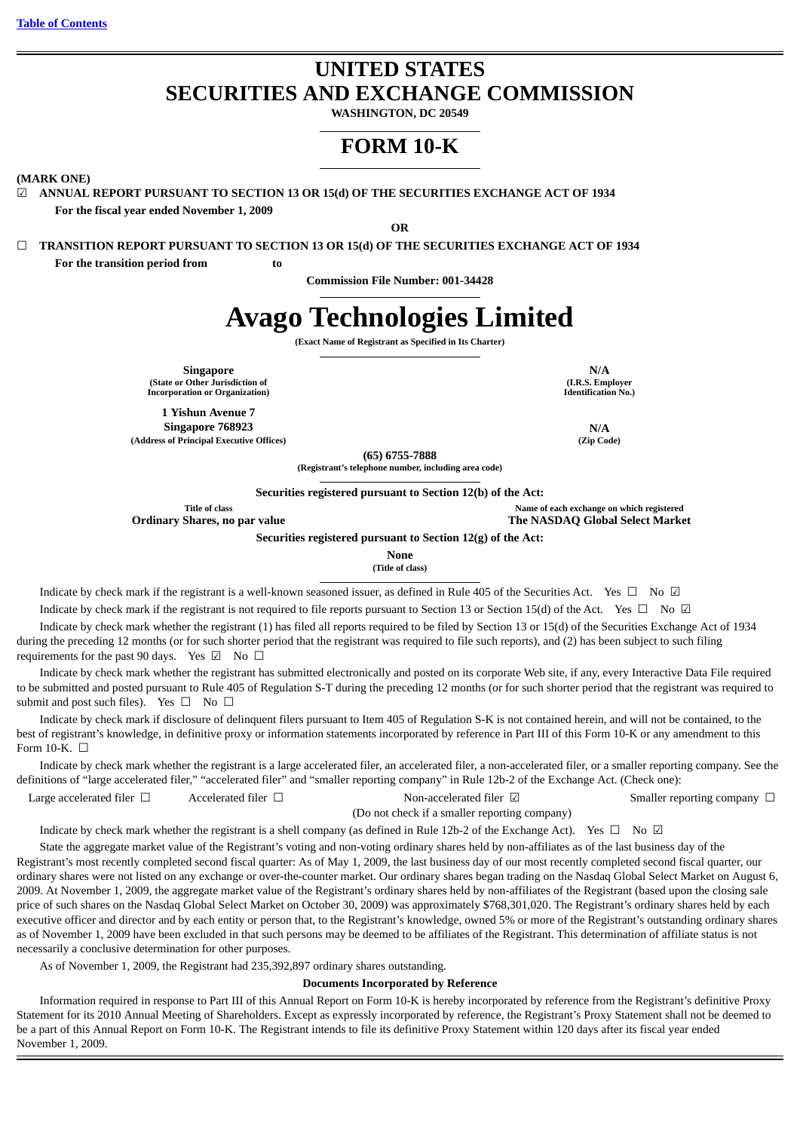# **UNITED STATES SECURITIES AND EXCHANGE COMMISSION**

**WASHINGTON, DC 20549**

# **FORM 10-K**

**(MARK ONE)**

☑ **ANNUAL REPORT PURSUANT TO SECTION 13 OR 15(d) OF THE SECURITIES EXCHANGE ACT OF 1934 For the fiscal year ended November 1, 2009**

**OR**

☐ **TRANSITION REPORT PURSUANT TO SECTION 13 OR 15(d) OF THE SECURITIES EXCHANGE ACT OF 1934 For the transition period from to** 

**Commission File Number: 001-34428**

# **Avago Technologies Limited**

**(Exact Name of Registrant as Specified in Its Charter)**

**Singapore N/A (State or Other Jurisdiction of Incorporation or Organization)**

**1 Yishun Avenue 7 Singapore 768923 N/A (Address of Principal Executive Offices) (Zip Code)**

**(I.R.S. Employer Identification No.)**

**(65) 6755-7888 (Registrant's telephone number, including area code)**

**Securities registered pursuant to Section 12(b) of the Act:**

Title of class **The of class Title of class 1996** The NASDAQ Global Select Marks **Criticianary Shares, no par value The NASDAQ Global Select Market** 

**Securities registered pursuant to Section 12(g) of the Act:**

**None**

**(Title of class)**

Indicate by check mark if the registrant is a well-known seasoned issuer, as defined in Rule 405 of the Securities Act. Yes  $\Box$  No  $\Box$ Indicate by check mark if the registrant is not required to file reports pursuant to Section 13 or Section 15(d) of the Act. Yes  $\Box$  No  $\Box$ 

Indicate by check mark whether the registrant (1) has filed all reports required to be filed by Section 13 or 15(d) of the Securities Exchange Act of 1934 during the preceding 12 months (or for such shorter period that the registrant was required to file such reports), and (2) has been subject to such filing requirements for the past 90 days. Yes  $\boxdot$  No  $\Box$ 

Indicate by check mark whether the registrant has submitted electronically and posted on its corporate Web site, if any, every Interactive Data File required to be submitted and posted pursuant to Rule 405 of Regulation S-T during the preceding 12 months (or for such shorter period that the registrant was required to submit and post such files). Yes  $\Box$  No  $\Box$ 

Indicate by check mark if disclosure of delinquent filers pursuant to Item 405 of Regulation S-K is not contained herein, and will not be contained, to the best of registrant's knowledge, in definitive proxy or information statements incorporated by reference in Part III of this Form 10-K or any amendment to this Form  $10-K$   $\Box$ 

Indicate by check mark whether the registrant is a large accelerated filer, an accelerated filer, a non-accelerated filer, or a smaller reporting company. See the definitions of "large accelerated filer," "accelerated filer" and "smaller reporting company" in Rule 12b-2 of the Exchange Act. (Check one):

Large accelerated filer □ Accelerated filer □ Non-accelerated filer □ Smaller reporting company □

(Do not check if a smaller reporting company)

Indicate by check mark whether the registrant is a shell company (as defined in Rule 12b-2 of the Exchange Act). Yes □ No □

State the aggregate market value of the Registrant's voting and non-voting ordinary shares held by non-affiliates as of the last business day of the Registrant's most recently completed second fiscal quarter: As of May 1, 2009, the last business day of our most recently completed second fiscal quarter, our ordinary shares were not listed on any exchange or over-the-counter market. Our ordinary shares began trading on the Nasdaq Global Select Market on August 6, 2009. At November 1, 2009, the aggregate market value of the Registrant's ordinary shares held by non-affiliates of the Registrant (based upon the closing sale price of such shares on the Nasdaq Global Select Market on October 30, 2009) was approximately \$768,301,020. The Registrant's ordinary shares held by each executive officer and director and by each entity or person that, to the Registrant's knowledge, owned 5% or more of the Registrant's outstanding ordinary shares as of November 1, 2009 have been excluded in that such persons may be deemed to be affiliates of the Registrant. This determination of affiliate status is not necessarily a conclusive determination for other purposes.

As of November 1, 2009, the Registrant had 235,392,897 ordinary shares outstanding.

#### **Documents Incorporated by Reference**

Information required in response to Part III of this Annual Report on Form 10-K is hereby incorporated by reference from the Registrant's definitive Proxy Statement for its 2010 Annual Meeting of Shareholders. Except as expressly incorporated by reference, the Registrant's Proxy Statement shall not be deemed to be a part of this Annual Report on Form 10-K. The Registrant intends to file its definitive Proxy Statement within 120 days after its fiscal year ended November 1, 2009.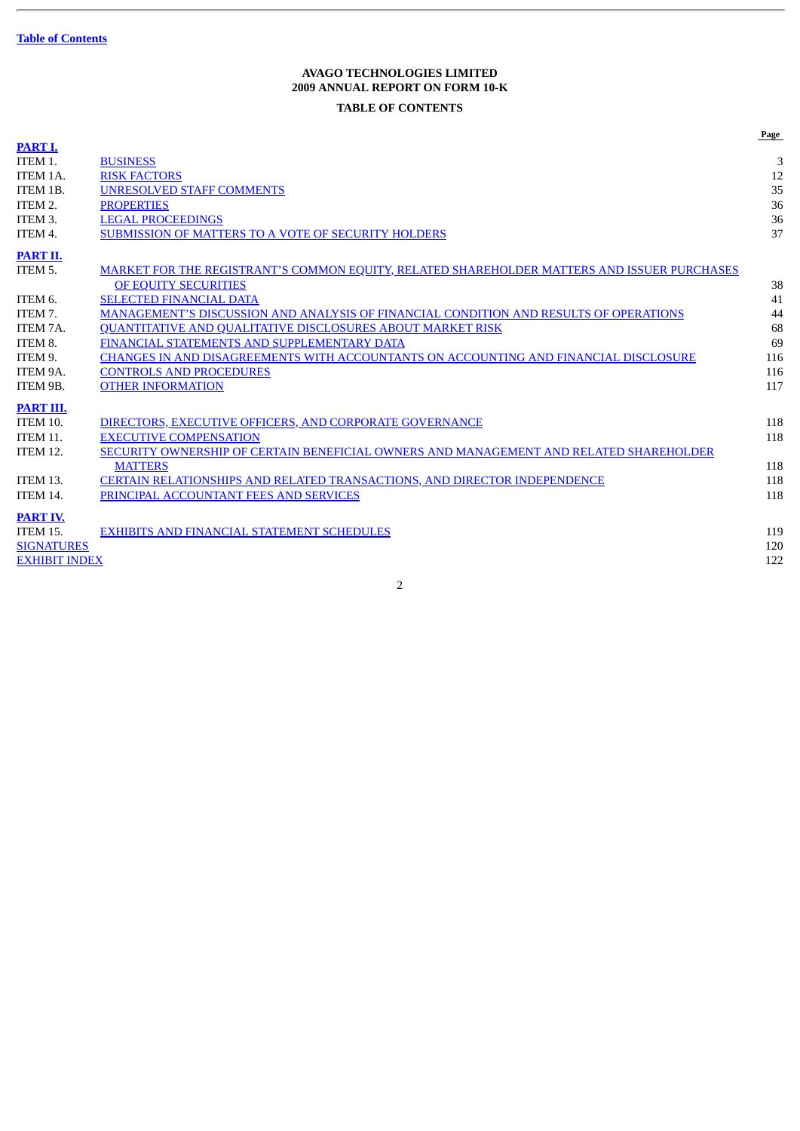# **AVAGO TECHNOLOGIES LIMITED 2009 ANNUAL REPORT ON FORM 10-K**

# **TABLE OF CONTENTS**

<span id="page-1-0"></span>

|                      |                                                                                             | Page |
|----------------------|---------------------------------------------------------------------------------------------|------|
| PART I.              |                                                                                             |      |
| ITEM 1.              | <b>BUSINESS</b>                                                                             | 3    |
| ITEM 1A.             | <b>RISK FACTORS</b>                                                                         | 12   |
| ITEM 1B.             | UNRESOLVED STAFF COMMENTS                                                                   | 35   |
| ITEM 2.              | <b>PROPERTIES</b>                                                                           | 36   |
| ITEM 3.              | <b>LEGAL PROCEEDINGS</b>                                                                    | 36   |
| ITEM 4.              | <b>SUBMISSION OF MATTERS TO A VOTE OF SECURITY HOLDERS</b>                                  | 37   |
| PART II.             |                                                                                             |      |
| ITEM 5.              | MARKET FOR THE REGISTRANT'S COMMON EQUITY, RELATED SHAREHOLDER MATTERS AND ISSUER PURCHASES |      |
|                      | <b>OF EQUITY SECURITIES</b>                                                                 | 38   |
| ITEM 6.              | <b>SELECTED FINANCIAL DATA</b>                                                              | 41   |
| ITEM 7.              | MANAGEMENT'S DISCUSSION AND ANALYSIS OF FINANCIAL CONDITION AND RESULTS OF OPERATIONS       | 44   |
| ITEM 7A.             | <b>OUANTITATIVE AND QUALITATIVE DISCLOSURES ABOUT MARKET RISK</b>                           | 68   |
| ITEM 8.              | FINANCIAL STATEMENTS AND SUPPLEMENTARY DATA                                                 | 69   |
| ITEM 9.              | CHANGES IN AND DISAGREEMENTS WITH ACCOUNTANTS ON ACCOUNTING AND FINANCIAL DISCLOSURE        | 116  |
| ITEM 9A.             | <b>CONTROLS AND PROCEDURES</b>                                                              | 116  |
| ITEM 9B.             | <b>OTHER INFORMATION</b>                                                                    | 117  |
| <b>PART III.</b>     |                                                                                             |      |
| ITEM 10.             | DIRECTORS, EXECUTIVE OFFICERS, AND CORPORATE GOVERNANCE                                     | 118  |
| ITEM 11.             | <b>EXECUTIVE COMPENSATION</b>                                                               | 118  |
| ITEM 12.             | SECURITY OWNERSHIP OF CERTAIN BENEFICIAL OWNERS AND MANAGEMENT AND RELATED SHAREHOLDER      |      |
|                      | <b>MATTERS</b>                                                                              | 118  |
| <b>ITEM 13.</b>      | CERTAIN RELATIONSHIPS AND RELATED TRANSACTIONS, AND DIRECTOR INDEPENDENCE                   | 118  |
| ITEM 14.             | PRINCIPAL ACCOUNTANT FEES AND SERVICES                                                      | 118  |
| <b>PART IV.</b>      |                                                                                             |      |
| ITEM 15.             | <b>EXHIBITS AND FINANCIAL STATEMENT SCHEDULES</b>                                           | 119  |
| <b>SIGNATURES</b>    |                                                                                             | 120  |
| <b>EXHIBIT INDEX</b> |                                                                                             | 122  |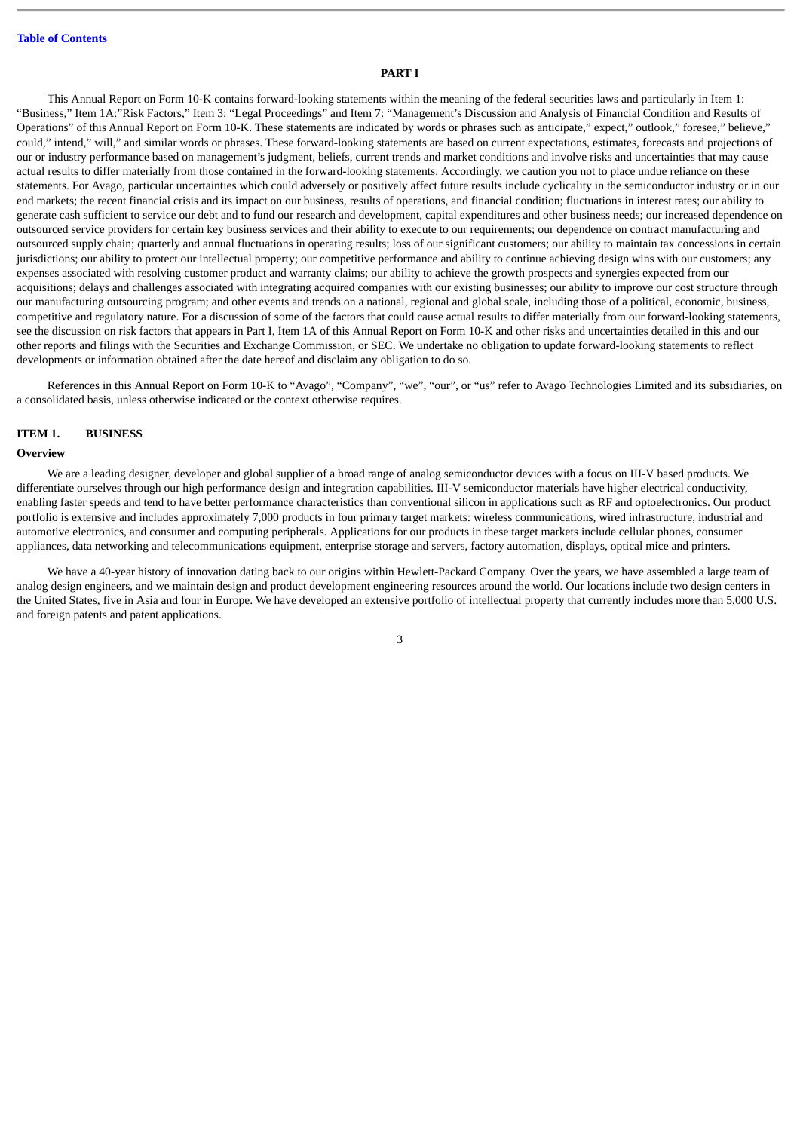# **PART I**

<span id="page-2-0"></span>This Annual Report on Form 10-K contains forward-looking statements within the meaning of the federal securities laws and particularly in Item 1: "Business," Item 1A:"Risk Factors," Item 3: "Legal Proceedings" and Item 7: "Management's Discussion and Analysis of Financial Condition and Results of Operations" of this Annual Report on Form 10-K. These statements are indicated by words or phrases such as anticipate," expect," outlook," foresee," believe," could," intend," will," and similar words or phrases. These forward-looking statements are based on current expectations, estimates, forecasts and projections of our or industry performance based on management's judgment, beliefs, current trends and market conditions and involve risks and uncertainties that may cause actual results to differ materially from those contained in the forward-looking statements. Accordingly, we caution you not to place undue reliance on these statements. For Avago, particular uncertainties which could adversely or positively affect future results include cyclicality in the semiconductor industry or in our end markets; the recent financial crisis and its impact on our business, results of operations, and financial condition; fluctuations in interest rates; our ability to generate cash sufficient to service our debt and to fund our research and development, capital expenditures and other business needs; our increased dependence on outsourced service providers for certain key business services and their ability to execute to our requirements; our dependence on contract manufacturing and outsourced supply chain; quarterly and annual fluctuations in operating results; loss of our significant customers; our ability to maintain tax concessions in certain jurisdictions; our ability to protect our intellectual property; our competitive performance and ability to continue achieving design wins with our customers; any expenses associated with resolving customer product and warranty claims; our ability to achieve the growth prospects and synergies expected from our acquisitions; delays and challenges associated with integrating acquired companies with our existing businesses; our ability to improve our cost structure through our manufacturing outsourcing program; and other events and trends on a national, regional and global scale, including those of a political, economic, business, competitive and regulatory nature. For a discussion of some of the factors that could cause actual results to differ materially from our forward-looking statements, see the discussion on risk factors that appears in Part I, Item 1A of this Annual Report on Form 10-K and other risks and uncertainties detailed in this and our other reports and filings with the Securities and Exchange Commission, or SEC. We undertake no obligation to update forward-looking statements to reflect developments or information obtained after the date hereof and disclaim any obligation to do so.

References in this Annual Report on Form 10-K to "Avago", "Company", "we", "our", or "us" refer to Avago Technologies Limited and its subsidiaries, on a consolidated basis, unless otherwise indicated or the context otherwise requires.

#### <span id="page-2-1"></span>**ITEM 1. BUSINESS**

#### **Overview**

We are a leading designer, developer and global supplier of a broad range of analog semiconductor devices with a focus on III-V based products. We differentiate ourselves through our high performance design and integration capabilities. III-V semiconductor materials have higher electrical conductivity, enabling faster speeds and tend to have better performance characteristics than conventional silicon in applications such as RF and optoelectronics. Our product portfolio is extensive and includes approximately 7,000 products in four primary target markets: wireless communications, wired infrastructure, industrial and automotive electronics, and consumer and computing peripherals. Applications for our products in these target markets include cellular phones, consumer appliances, data networking and telecommunications equipment, enterprise storage and servers, factory automation, displays, optical mice and printers.

We have a 40-year history of innovation dating back to our origins within Hewlett-Packard Company. Over the years, we have assembled a large team of analog design engineers, and we maintain design and product development engineering resources around the world. Our locations include two design centers in the United States, five in Asia and four in Europe. We have developed an extensive portfolio of intellectual property that currently includes more than 5,000 U.S. and foreign patents and patent applications.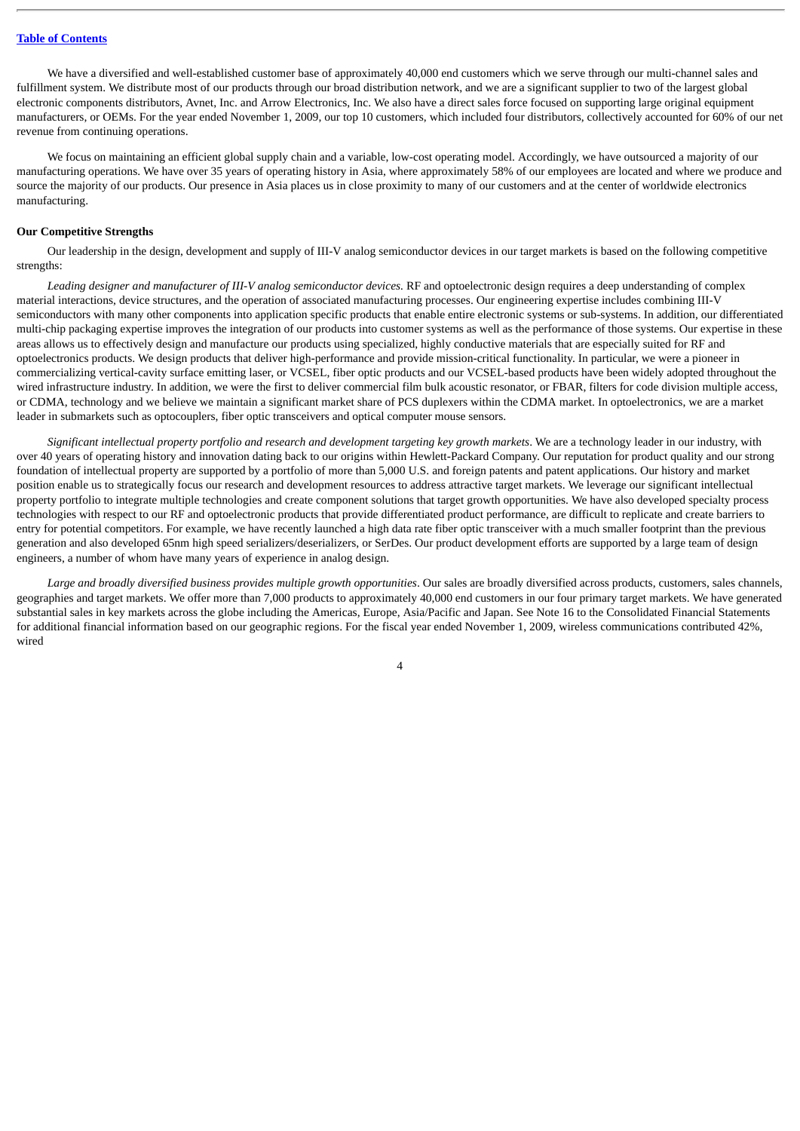We have a diversified and well-established customer base of approximately 40,000 end customers which we serve through our multi-channel sales and fulfillment system. We distribute most of our products through our broad distribution network, and we are a significant supplier to two of the largest global electronic components distributors, Avnet, Inc. and Arrow Electronics, Inc. We also have a direct sales force focused on supporting large original equipment manufacturers, or OEMs. For the year ended November 1, 2009, our top 10 customers, which included four distributors, collectively accounted for 60% of our net revenue from continuing operations.

We focus on maintaining an efficient global supply chain and a variable, low-cost operating model. Accordingly, we have outsourced a majority of our manufacturing operations. We have over 35 years of operating history in Asia, where approximately 58% of our employees are located and where we produce and source the majority of our products. Our presence in Asia places us in close proximity to many of our customers and at the center of worldwide electronics manufacturing.

# **Our Competitive Strengths**

Our leadership in the design, development and supply of III-V analog semiconductor devices in our target markets is based on the following competitive strengths:

*Leading designer and manufacturer of III-V analog semiconductor devices.* RF and optoelectronic design requires a deep understanding of complex material interactions, device structures, and the operation of associated manufacturing processes. Our engineering expertise includes combining III-V semiconductors with many other components into application specific products that enable entire electronic systems or sub-systems. In addition, our differentiated multi-chip packaging expertise improves the integration of our products into customer systems as well as the performance of those systems. Our expertise in these areas allows us to effectively design and manufacture our products using specialized, highly conductive materials that are especially suited for RF and optoelectronics products. We design products that deliver high-performance and provide mission-critical functionality. In particular, we were a pioneer in commercializing vertical-cavity surface emitting laser, or VCSEL, fiber optic products and our VCSEL-based products have been widely adopted throughout the wired infrastructure industry. In addition, we were the first to deliver commercial film bulk acoustic resonator, or FBAR, filters for code division multiple access, or CDMA, technology and we believe we maintain a significant market share of PCS duplexers within the CDMA market. In optoelectronics, we are a market leader in submarkets such as optocouplers, fiber optic transceivers and optical computer mouse sensors.

*Significant intellectual property portfolio and research and development targeting key growth markets*. We are a technology leader in our industry, with over 40 years of operating history and innovation dating back to our origins within Hewlett-Packard Company. Our reputation for product quality and our strong foundation of intellectual property are supported by a portfolio of more than 5,000 U.S. and foreign patents and patent applications. Our history and market position enable us to strategically focus our research and development resources to address attractive target markets. We leverage our significant intellectual property portfolio to integrate multiple technologies and create component solutions that target growth opportunities. We have also developed specialty process technologies with respect to our RF and optoelectronic products that provide differentiated product performance, are difficult to replicate and create barriers to entry for potential competitors. For example, we have recently launched a high data rate fiber optic transceiver with a much smaller footprint than the previous generation and also developed 65nm high speed serializers/deserializers, or SerDes. Our product development efforts are supported by a large team of design engineers, a number of whom have many years of experience in analog design.

*Large and broadly diversified business provides multiple growth opportunities*. Our sales are broadly diversified across products, customers, sales channels, geographies and target markets. We offer more than 7,000 products to approximately 40,000 end customers in our four primary target markets. We have generated substantial sales in key markets across the globe including the Americas, Europe, Asia/Pacific and Japan. See Note 16 to the Consolidated Financial Statements for additional financial information based on our geographic regions. For the fiscal year ended November 1, 2009, wireless communications contributed 42%, wired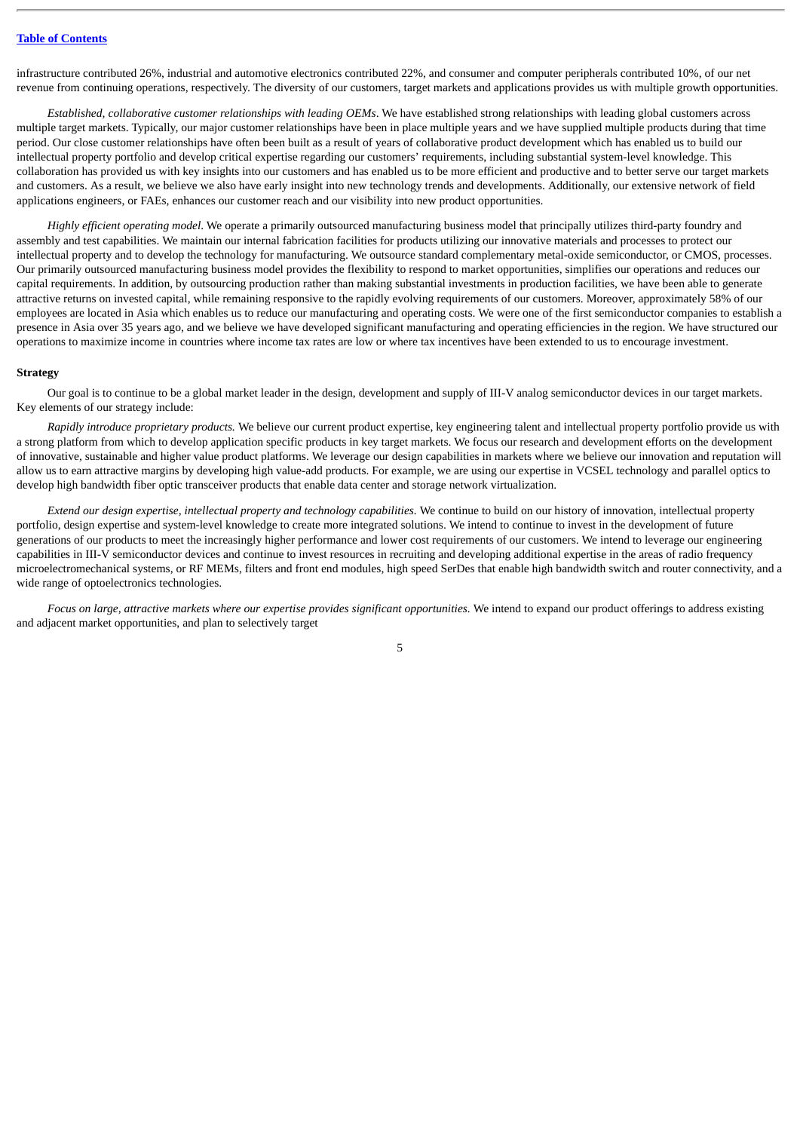infrastructure contributed 26%, industrial and automotive electronics contributed 22%, and consumer and computer peripherals contributed 10%, of our net revenue from continuing operations, respectively. The diversity of our customers, target markets and applications provides us with multiple growth opportunities.

*Established, collaborative customer relationships with leading OEMs*. We have established strong relationships with leading global customers across multiple target markets. Typically, our major customer relationships have been in place multiple years and we have supplied multiple products during that time period. Our close customer relationships have often been built as a result of years of collaborative product development which has enabled us to build our intellectual property portfolio and develop critical expertise regarding our customers' requirements, including substantial system-level knowledge. This collaboration has provided us with key insights into our customers and has enabled us to be more efficient and productive and to better serve our target markets and customers. As a result, we believe we also have early insight into new technology trends and developments. Additionally, our extensive network of field applications engineers, or FAEs, enhances our customer reach and our visibility into new product opportunities.

*Highly efficient operating model*. We operate a primarily outsourced manufacturing business model that principally utilizes third-party foundry and assembly and test capabilities. We maintain our internal fabrication facilities for products utilizing our innovative materials and processes to protect our intellectual property and to develop the technology for manufacturing. We outsource standard complementary metal-oxide semiconductor, or CMOS, processes. Our primarily outsourced manufacturing business model provides the flexibility to respond to market opportunities, simplifies our operations and reduces our capital requirements. In addition, by outsourcing production rather than making substantial investments in production facilities, we have been able to generate attractive returns on invested capital, while remaining responsive to the rapidly evolving requirements of our customers. Moreover, approximately 58% of our employees are located in Asia which enables us to reduce our manufacturing and operating costs. We were one of the first semiconductor companies to establish a presence in Asia over 35 years ago, and we believe we have developed significant manufacturing and operating efficiencies in the region. We have structured our operations to maximize income in countries where income tax rates are low or where tax incentives have been extended to us to encourage investment.

#### **Strategy**

Our goal is to continue to be a global market leader in the design, development and supply of III-V analog semiconductor devices in our target markets. Key elements of our strategy include:

*Rapidly introduce proprietary products.* We believe our current product expertise, key engineering talent and intellectual property portfolio provide us with a strong platform from which to develop application specific products in key target markets. We focus our research and development efforts on the development of innovative, sustainable and higher value product platforms. We leverage our design capabilities in markets where we believe our innovation and reputation will allow us to earn attractive margins by developing high value-add products. For example, we are using our expertise in VCSEL technology and parallel optics to develop high bandwidth fiber optic transceiver products that enable data center and storage network virtualization.

*Extend our design expertise, intellectual property and technology capabilities.* We continue to build on our history of innovation, intellectual property portfolio, design expertise and system-level knowledge to create more integrated solutions. We intend to continue to invest in the development of future generations of our products to meet the increasingly higher performance and lower cost requirements of our customers. We intend to leverage our engineering capabilities in III-V semiconductor devices and continue to invest resources in recruiting and developing additional expertise in the areas of radio frequency microelectromechanical systems, or RF MEMs, filters and front end modules, high speed SerDes that enable high bandwidth switch and router connectivity, and a wide range of optoelectronics technologies.

*Focus on large, attractive markets where our expertise provides significant opportunities.* We intend to expand our product offerings to address existing and adjacent market opportunities, and plan to selectively target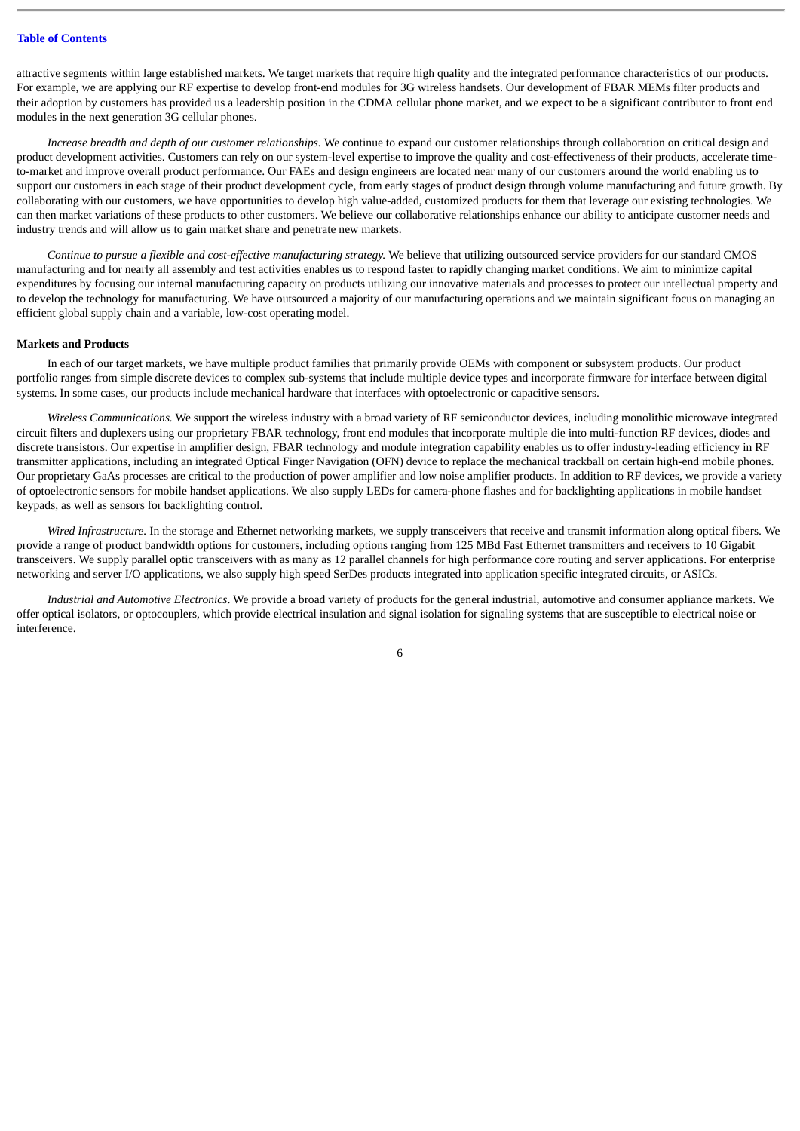attractive segments within large established markets. We target markets that require high quality and the integrated performance characteristics of our products. For example, we are applying our RF expertise to develop front-end modules for 3G wireless handsets. Our development of FBAR MEMs filter products and their adoption by customers has provided us a leadership position in the CDMA cellular phone market, and we expect to be a significant contributor to front end modules in the next generation 3G cellular phones.

*Increase breadth and depth of our customer relationships.* We continue to expand our customer relationships through collaboration on critical design and product development activities. Customers can rely on our system-level expertise to improve the quality and cost-effectiveness of their products, accelerate timeto-market and improve overall product performance. Our FAEs and design engineers are located near many of our customers around the world enabling us to support our customers in each stage of their product development cycle, from early stages of product design through volume manufacturing and future growth. By collaborating with our customers, we have opportunities to develop high value-added, customized products for them that leverage our existing technologies. We can then market variations of these products to other customers. We believe our collaborative relationships enhance our ability to anticipate customer needs and industry trends and will allow us to gain market share and penetrate new markets.

*Continue to pursue a flexible and cost-effective manufacturing strategy.* We believe that utilizing outsourced service providers for our standard CMOS manufacturing and for nearly all assembly and test activities enables us to respond faster to rapidly changing market conditions. We aim to minimize capital expenditures by focusing our internal manufacturing capacity on products utilizing our innovative materials and processes to protect our intellectual property and to develop the technology for manufacturing. We have outsourced a majority of our manufacturing operations and we maintain significant focus on managing an efficient global supply chain and a variable, low-cost operating model.

# **Markets and Products**

In each of our target markets, we have multiple product families that primarily provide OEMs with component or subsystem products. Our product portfolio ranges from simple discrete devices to complex sub-systems that include multiple device types and incorporate firmware for interface between digital systems. In some cases, our products include mechanical hardware that interfaces with optoelectronic or capacitive sensors.

*Wireless Communications.* We support the wireless industry with a broad variety of RF semiconductor devices, including monolithic microwave integrated circuit filters and duplexers using our proprietary FBAR technology, front end modules that incorporate multiple die into multi-function RF devices, diodes and discrete transistors. Our expertise in amplifier design, FBAR technology and module integration capability enables us to offer industry-leading efficiency in RF transmitter applications, including an integrated Optical Finger Navigation (OFN) device to replace the mechanical trackball on certain high-end mobile phones. Our proprietary GaAs processes are critical to the production of power amplifier and low noise amplifier products. In addition to RF devices, we provide a variety of optoelectronic sensors for mobile handset applications. We also supply LEDs for camera-phone flashes and for backlighting applications in mobile handset keypads, as well as sensors for backlighting control.

*Wired Infrastructure.* In the storage and Ethernet networking markets, we supply transceivers that receive and transmit information along optical fibers. We provide a range of product bandwidth options for customers, including options ranging from 125 MBd Fast Ethernet transmitters and receivers to 10 Gigabit transceivers. We supply parallel optic transceivers with as many as 12 parallel channels for high performance core routing and server applications. For enterprise networking and server I/O applications, we also supply high speed SerDes products integrated into application specific integrated circuits, or ASICs.

*Industrial and Automotive Electronics*. We provide a broad variety of products for the general industrial, automotive and consumer appliance markets. We offer optical isolators, or optocouplers, which provide electrical insulation and signal isolation for signaling systems that are susceptible to electrical noise or interference.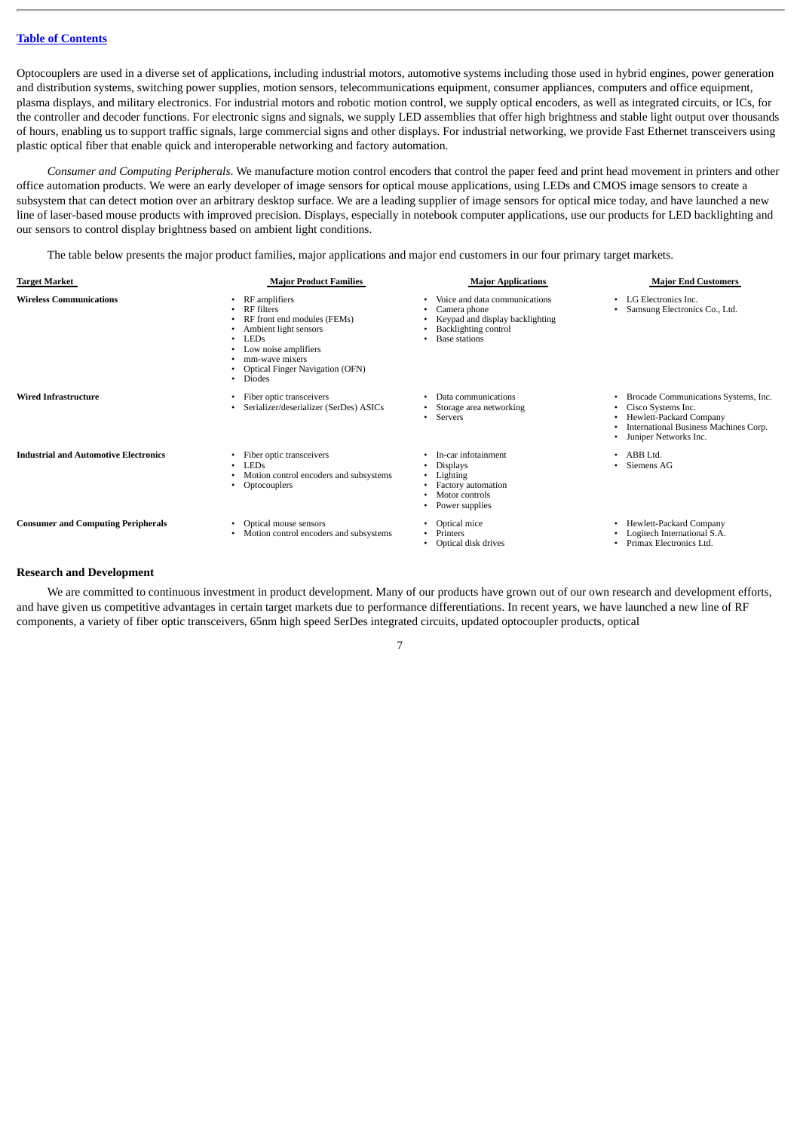Optocouplers are used in a diverse set of applications, including industrial motors, automotive systems including those used in hybrid engines, power generation and distribution systems, switching power supplies, motion sensors, telecommunications equipment, consumer appliances, computers and office equipment, plasma displays, and military electronics. For industrial motors and robotic motion control, we supply optical encoders, as well as integrated circuits, or ICs, for the controller and decoder functions. For electronic signs and signals, we supply LED assemblies that offer high brightness and stable light output over thousands of hours, enabling us to support traffic signals, large commercial signs and other displays. For industrial networking, we provide Fast Ethernet transceivers using plastic optical fiber that enable quick and interoperable networking and factory automation.

*Consumer and Computing Peripherals*. We manufacture motion control encoders that control the paper feed and print head movement in printers and other office automation products. We were an early developer of image sensors for optical mouse applications, using LEDs and CMOS image sensors to create a subsystem that can detect motion over an arbitrary desktop surface. We are a leading supplier of image sensors for optical mice today, and have launched a new line of laser-based mouse products with improved precision. Displays, especially in notebook computer applications, use our products for LED backlighting and our sensors to control display brightness based on ambient light conditions.

The table below presents the major product families, major applications and major end customers in our four primary target markets.

| <b>Target Market</b>                         | <b>Major Product Families</b>                                                                                                                                                                              | <b>Major Applications</b>                                                                                                        | <b>Major End Customers</b>                                                                                                                                           |
|----------------------------------------------|------------------------------------------------------------------------------------------------------------------------------------------------------------------------------------------------------------|----------------------------------------------------------------------------------------------------------------------------------|----------------------------------------------------------------------------------------------------------------------------------------------------------------------|
| <b>Wireless Communications</b>               | RF amplifiers<br><b>RF</b> filters<br>RF front end modules (FEMs)<br>Ambient light sensors<br>٠<br><b>LEDs</b><br>٠<br>Low noise amplifiers<br>mm-wave mixers<br>Optical Finger Navigation (OFN)<br>Diodes | Voice and data communications<br>Camera phone<br>Keypad and display backlighting<br>Backlighting control<br><b>Base stations</b> | LG Electronics Inc.<br>$\bullet$<br>Samsung Electronics Co., Ltd.                                                                                                    |
| <b>Wired Infrastructure</b>                  | Fiber optic transceivers<br>Serializer/deserializer (SerDes) ASICs                                                                                                                                         | Data communications<br>Storage area networking<br>Servers                                                                        | Brocade Communications Systems, Inc.<br>$\bullet$<br>Cisco Systems Inc.<br>Hewlett-Packard Company<br>International Business Machines Corp.<br>Juniper Networks Inc. |
| <b>Industrial and Automotive Electronics</b> | Fiber optic transceivers<br>LEDs<br>Motion control encoders and subsystems<br>Optocouplers<br>٠                                                                                                            | In-car inforainment<br><b>Displays</b><br>٠<br>Lighting<br>Factory automation<br>Motor controls<br>Power supplies                | ABB Ltd.<br>• Siemens AG                                                                                                                                             |
| <b>Consumer and Computing Peripherals</b>    | Optical mouse sensors<br>٠<br>Motion control encoders and subsystems                                                                                                                                       | Optical mice<br>$\bullet$<br>Printers<br>$\bullet$<br>Optical disk drives                                                        | Hewlett-Packard Company<br>$\bullet$<br>Logitech International S.A.<br>Primax Electronics Ltd.                                                                       |

#### **Research and Development**

We are committed to continuous investment in product development. Many of our products have grown out of our own research and development efforts, and have given us competitive advantages in certain target markets due to performance differentiations. In recent years, we have launched a new line of RF components, a variety of fiber optic transceivers, 65nm high speed SerDes integrated circuits, updated optocoupler products, optical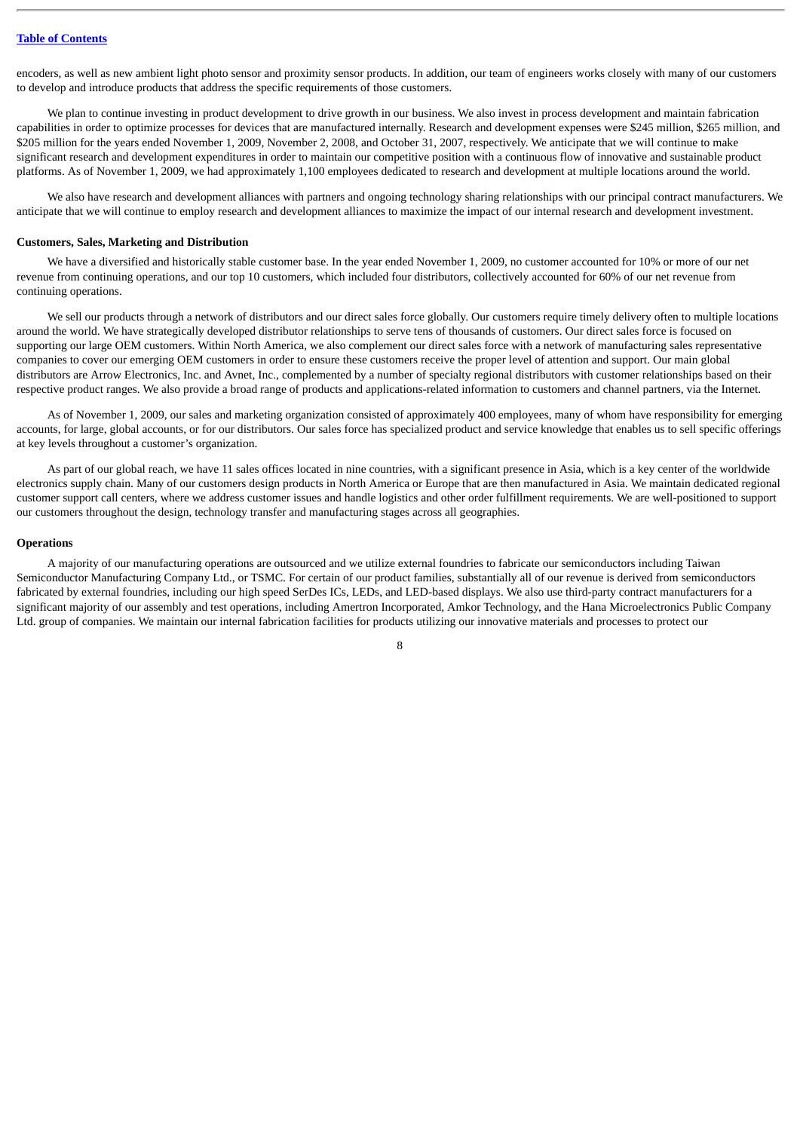encoders, as well as new ambient light photo sensor and proximity sensor products. In addition, our team of engineers works closely with many of our customers to develop and introduce products that address the specific requirements of those customers.

We plan to continue investing in product development to drive growth in our business. We also invest in process development and maintain fabrication capabilities in order to optimize processes for devices that are manufactured internally. Research and development expenses were \$245 million, \$265 million, and \$205 million for the years ended November 1, 2009, November 2, 2008, and October 31, 2007, respectively. We anticipate that we will continue to make significant research and development expenditures in order to maintain our competitive position with a continuous flow of innovative and sustainable product platforms. As of November 1, 2009, we had approximately 1,100 employees dedicated to research and development at multiple locations around the world.

We also have research and development alliances with partners and ongoing technology sharing relationships with our principal contract manufacturers. We anticipate that we will continue to employ research and development alliances to maximize the impact of our internal research and development investment.

# **Customers, Sales, Marketing and Distribution**

We have a diversified and historically stable customer base. In the year ended November 1, 2009, no customer accounted for 10% or more of our net revenue from continuing operations, and our top 10 customers, which included four distributors, collectively accounted for 60% of our net revenue from continuing operations.

We sell our products through a network of distributors and our direct sales force globally. Our customers require timely delivery often to multiple locations around the world. We have strategically developed distributor relationships to serve tens of thousands of customers. Our direct sales force is focused on supporting our large OEM customers. Within North America, we also complement our direct sales force with a network of manufacturing sales representative companies to cover our emerging OEM customers in order to ensure these customers receive the proper level of attention and support. Our main global distributors are Arrow Electronics, Inc. and Avnet, Inc., complemented by a number of specialty regional distributors with customer relationships based on their respective product ranges. We also provide a broad range of products and applications-related information to customers and channel partners, via the Internet.

As of November 1, 2009, our sales and marketing organization consisted of approximately 400 employees, many of whom have responsibility for emerging accounts, for large, global accounts, or for our distributors. Our sales force has specialized product and service knowledge that enables us to sell specific offerings at key levels throughout a customer's organization.

As part of our global reach, we have 11 sales offices located in nine countries, with a significant presence in Asia, which is a key center of the worldwide electronics supply chain. Many of our customers design products in North America or Europe that are then manufactured in Asia. We maintain dedicated regional customer support call centers, where we address customer issues and handle logistics and other order fulfillment requirements. We are well-positioned to support our customers throughout the design, technology transfer and manufacturing stages across all geographies.

#### **Operations**

A majority of our manufacturing operations are outsourced and we utilize external foundries to fabricate our semiconductors including Taiwan Semiconductor Manufacturing Company Ltd., or TSMC. For certain of our product families, substantially all of our revenue is derived from semiconductors fabricated by external foundries, including our high speed SerDes ICs, LEDs, and LED-based displays. We also use third-party contract manufacturers for a significant majority of our assembly and test operations, including Amertron Incorporated, Amkor Technology, and the Hana Microelectronics Public Company Ltd. group of companies. We maintain our internal fabrication facilities for products utilizing our innovative materials and processes to protect our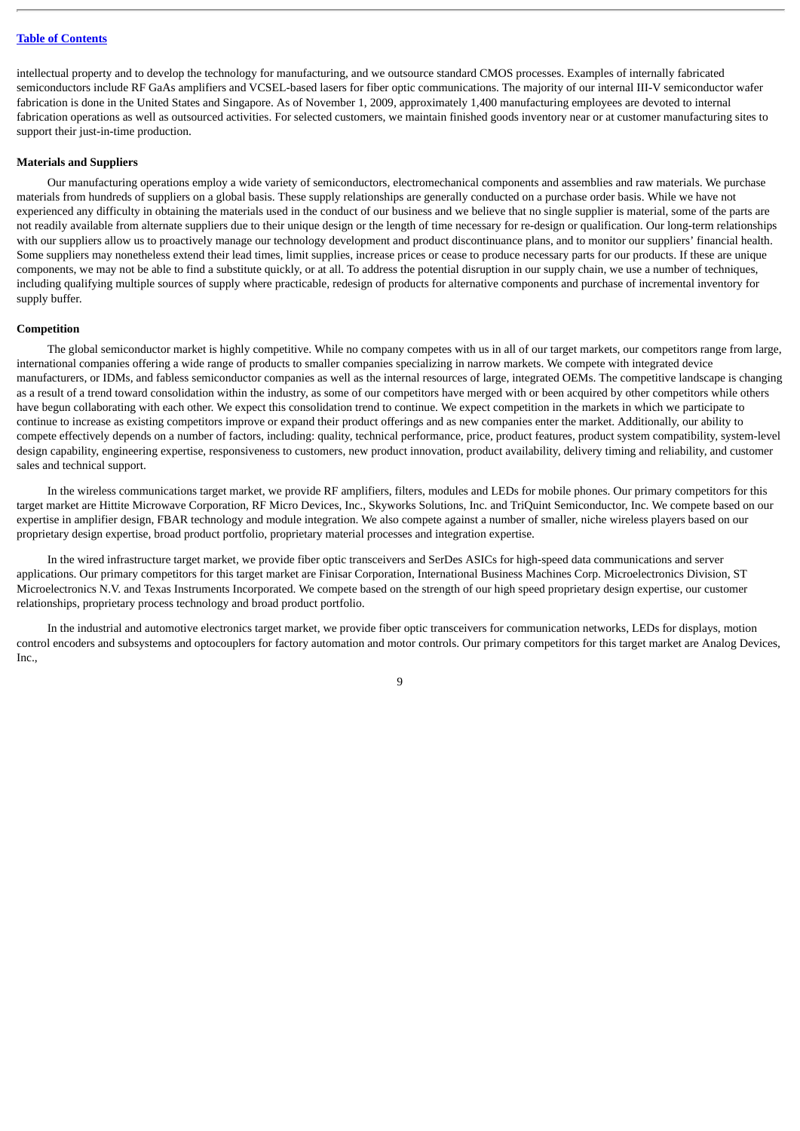intellectual property and to develop the technology for manufacturing, and we outsource standard CMOS processes. Examples of internally fabricated semiconductors include RF GaAs amplifiers and VCSEL-based lasers for fiber optic communications. The majority of our internal III-V semiconductor wafer fabrication is done in the United States and Singapore. As of November 1, 2009, approximately 1,400 manufacturing employees are devoted to internal fabrication operations as well as outsourced activities. For selected customers, we maintain finished goods inventory near or at customer manufacturing sites to support their just-in-time production.

#### **Materials and Suppliers**

Our manufacturing operations employ a wide variety of semiconductors, electromechanical components and assemblies and raw materials. We purchase materials from hundreds of suppliers on a global basis. These supply relationships are generally conducted on a purchase order basis. While we have not experienced any difficulty in obtaining the materials used in the conduct of our business and we believe that no single supplier is material, some of the parts are not readily available from alternate suppliers due to their unique design or the length of time necessary for re-design or qualification. Our long-term relationships with our suppliers allow us to proactively manage our technology development and product discontinuance plans, and to monitor our suppliers' financial health. Some suppliers may nonetheless extend their lead times, limit supplies, increase prices or cease to produce necessary parts for our products. If these are unique components, we may not be able to find a substitute quickly, or at all. To address the potential disruption in our supply chain, we use a number of techniques, including qualifying multiple sources of supply where practicable, redesign of products for alternative components and purchase of incremental inventory for supply buffer.

# **Competition**

The global semiconductor market is highly competitive. While no company competes with us in all of our target markets, our competitors range from large, international companies offering a wide range of products to smaller companies specializing in narrow markets. We compete with integrated device manufacturers, or IDMs, and fabless semiconductor companies as well as the internal resources of large, integrated OEMs. The competitive landscape is changing as a result of a trend toward consolidation within the industry, as some of our competitors have merged with or been acquired by other competitors while others have begun collaborating with each other. We expect this consolidation trend to continue. We expect competition in the markets in which we participate to continue to increase as existing competitors improve or expand their product offerings and as new companies enter the market. Additionally, our ability to compete effectively depends on a number of factors, including: quality, technical performance, price, product features, product system compatibility, system-level design capability, engineering expertise, responsiveness to customers, new product innovation, product availability, delivery timing and reliability, and customer sales and technical support.

In the wireless communications target market, we provide RF amplifiers, filters, modules and LEDs for mobile phones. Our primary competitors for this target market are Hittite Microwave Corporation, RF Micro Devices, Inc., Skyworks Solutions, Inc. and TriQuint Semiconductor, Inc. We compete based on our expertise in amplifier design, FBAR technology and module integration. We also compete against a number of smaller, niche wireless players based on our proprietary design expertise, broad product portfolio, proprietary material processes and integration expertise.

In the wired infrastructure target market, we provide fiber optic transceivers and SerDes ASICs for high-speed data communications and server applications. Our primary competitors for this target market are Finisar Corporation, International Business Machines Corp. Microelectronics Division, ST Microelectronics N.V. and Texas Instruments Incorporated. We compete based on the strength of our high speed proprietary design expertise, our customer relationships, proprietary process technology and broad product portfolio.

In the industrial and automotive electronics target market, we provide fiber optic transceivers for communication networks, LEDs for displays, motion control encoders and subsystems and optocouplers for factory automation and motor controls. Our primary competitors for this target market are Analog Devices, Inc.,

 $\overline{q}$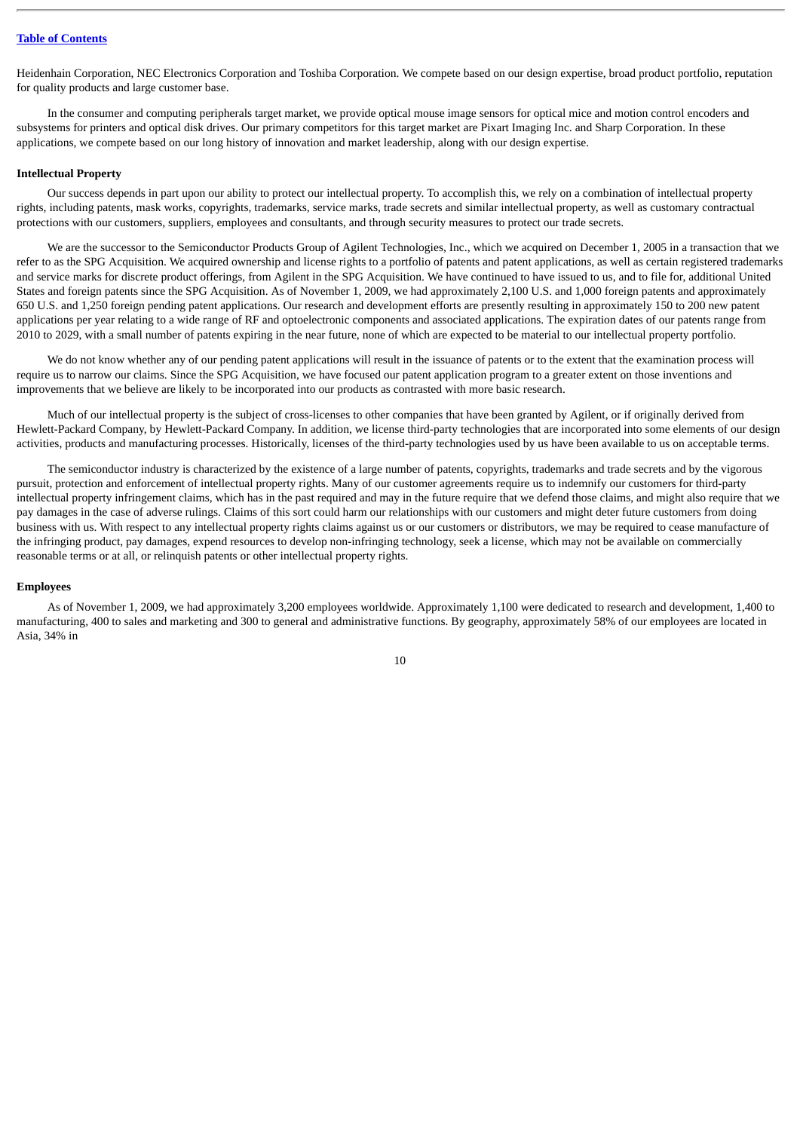Heidenhain Corporation, NEC Electronics Corporation and Toshiba Corporation. We compete based on our design expertise, broad product portfolio, reputation for quality products and large customer base.

In the consumer and computing peripherals target market, we provide optical mouse image sensors for optical mice and motion control encoders and subsystems for printers and optical disk drives. Our primary competitors for this target market are Pixart Imaging Inc. and Sharp Corporation. In these applications, we compete based on our long history of innovation and market leadership, along with our design expertise.

#### **Intellectual Property**

Our success depends in part upon our ability to protect our intellectual property. To accomplish this, we rely on a combination of intellectual property rights, including patents, mask works, copyrights, trademarks, service marks, trade secrets and similar intellectual property, as well as customary contractual protections with our customers, suppliers, employees and consultants, and through security measures to protect our trade secrets.

We are the successor to the Semiconductor Products Group of Agilent Technologies, Inc., which we acquired on December 1, 2005 in a transaction that we refer to as the SPG Acquisition. We acquired ownership and license rights to a portfolio of patents and patent applications, as well as certain registered trademarks and service marks for discrete product offerings, from Agilent in the SPG Acquisition. We have continued to have issued to us, and to file for, additional United States and foreign patents since the SPG Acquisition. As of November 1, 2009, we had approximately 2,100 U.S. and 1,000 foreign patents and approximately 650 U.S. and 1,250 foreign pending patent applications. Our research and development efforts are presently resulting in approximately 150 to 200 new patent applications per year relating to a wide range of RF and optoelectronic components and associated applications. The expiration dates of our patents range from 2010 to 2029, with a small number of patents expiring in the near future, none of which are expected to be material to our intellectual property portfolio.

We do not know whether any of our pending patent applications will result in the issuance of patents or to the extent that the examination process will require us to narrow our claims. Since the SPG Acquisition, we have focused our patent application program to a greater extent on those inventions and improvements that we believe are likely to be incorporated into our products as contrasted with more basic research.

Much of our intellectual property is the subject of cross-licenses to other companies that have been granted by Agilent, or if originally derived from Hewlett-Packard Company, by Hewlett-Packard Company. In addition, we license third-party technologies that are incorporated into some elements of our design activities, products and manufacturing processes. Historically, licenses of the third-party technologies used by us have been available to us on acceptable terms.

The semiconductor industry is characterized by the existence of a large number of patents, copyrights, trademarks and trade secrets and by the vigorous pursuit, protection and enforcement of intellectual property rights. Many of our customer agreements require us to indemnify our customers for third-party intellectual property infringement claims, which has in the past required and may in the future require that we defend those claims, and might also require that we pay damages in the case of adverse rulings. Claims of this sort could harm our relationships with our customers and might deter future customers from doing business with us. With respect to any intellectual property rights claims against us or our customers or distributors, we may be required to cease manufacture of the infringing product, pay damages, expend resources to develop non-infringing technology, seek a license, which may not be available on commercially reasonable terms or at all, or relinquish patents or other intellectual property rights.

#### **Employees**

As of November 1, 2009, we had approximately 3,200 employees worldwide. Approximately 1,100 were dedicated to research and development, 1,400 to manufacturing, 400 to sales and marketing and 300 to general and administrative functions. By geography, approximately 58% of our employees are located in Asia, 34% in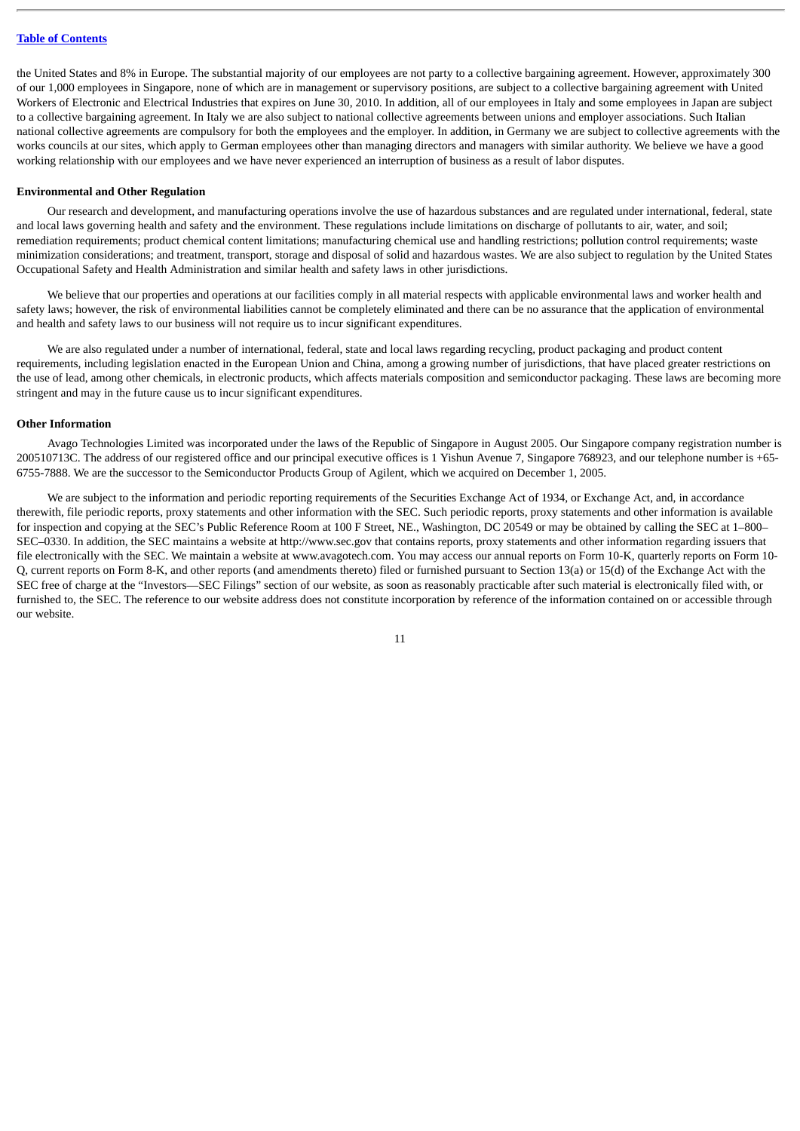the United States and 8% in Europe. The substantial majority of our employees are not party to a collective bargaining agreement. However, approximately 300 of our 1,000 employees in Singapore, none of which are in management or supervisory positions, are subject to a collective bargaining agreement with United Workers of Electronic and Electrical Industries that expires on June 30, 2010. In addition, all of our employees in Italy and some employees in Japan are subject to a collective bargaining agreement. In Italy we are also subject to national collective agreements between unions and employer associations. Such Italian national collective agreements are compulsory for both the employees and the employer. In addition, in Germany we are subject to collective agreements with the works councils at our sites, which apply to German employees other than managing directors and managers with similar authority. We believe we have a good working relationship with our employees and we have never experienced an interruption of business as a result of labor disputes.

#### **Environmental and Other Regulation**

Our research and development, and manufacturing operations involve the use of hazardous substances and are regulated under international, federal, state and local laws governing health and safety and the environment. These regulations include limitations on discharge of pollutants to air, water, and soil; remediation requirements; product chemical content limitations; manufacturing chemical use and handling restrictions; pollution control requirements; waste minimization considerations; and treatment, transport, storage and disposal of solid and hazardous wastes. We are also subject to regulation by the United States Occupational Safety and Health Administration and similar health and safety laws in other jurisdictions.

We believe that our properties and operations at our facilities comply in all material respects with applicable environmental laws and worker health and safety laws; however, the risk of environmental liabilities cannot be completely eliminated and there can be no assurance that the application of environmental and health and safety laws to our business will not require us to incur significant expenditures.

We are also regulated under a number of international, federal, state and local laws regarding recycling, product packaging and product content requirements, including legislation enacted in the European Union and China, among a growing number of jurisdictions, that have placed greater restrictions on the use of lead, among other chemicals, in electronic products, which affects materials composition and semiconductor packaging. These laws are becoming more stringent and may in the future cause us to incur significant expenditures.

#### **Other Information**

Avago Technologies Limited was incorporated under the laws of the Republic of Singapore in August 2005. Our Singapore company registration number is 200510713C. The address of our registered office and our principal executive offices is 1 Yishun Avenue 7, Singapore 768923, and our telephone number is +65- 6755-7888. We are the successor to the Semiconductor Products Group of Agilent, which we acquired on December 1, 2005.

We are subject to the information and periodic reporting requirements of the Securities Exchange Act of 1934, or Exchange Act, and, in accordance therewith, file periodic reports, proxy statements and other information with the SEC. Such periodic reports, proxy statements and other information is available for inspection and copying at the SEC's Public Reference Room at 100 F Street, NE., Washington, DC 20549 or may be obtained by calling the SEC at 1–800– SEC–0330. In addition, the SEC maintains a website at http://www.sec.gov that contains reports, proxy statements and other information regarding issuers that file electronically with the SEC. We maintain a website at www.avagotech.com. You may access our annual reports on Form 10-K, quarterly reports on Form 10-Q, current reports on Form 8-K, and other reports (and amendments thereto) filed or furnished pursuant to Section 13(a) or 15(d) of the Exchange Act with the SEC free of charge at the "Investors—SEC Filings" section of our website, as soon as reasonably practicable after such material is electronically filed with, or furnished to, the SEC. The reference to our website address does not constitute incorporation by reference of the information contained on or accessible through our website.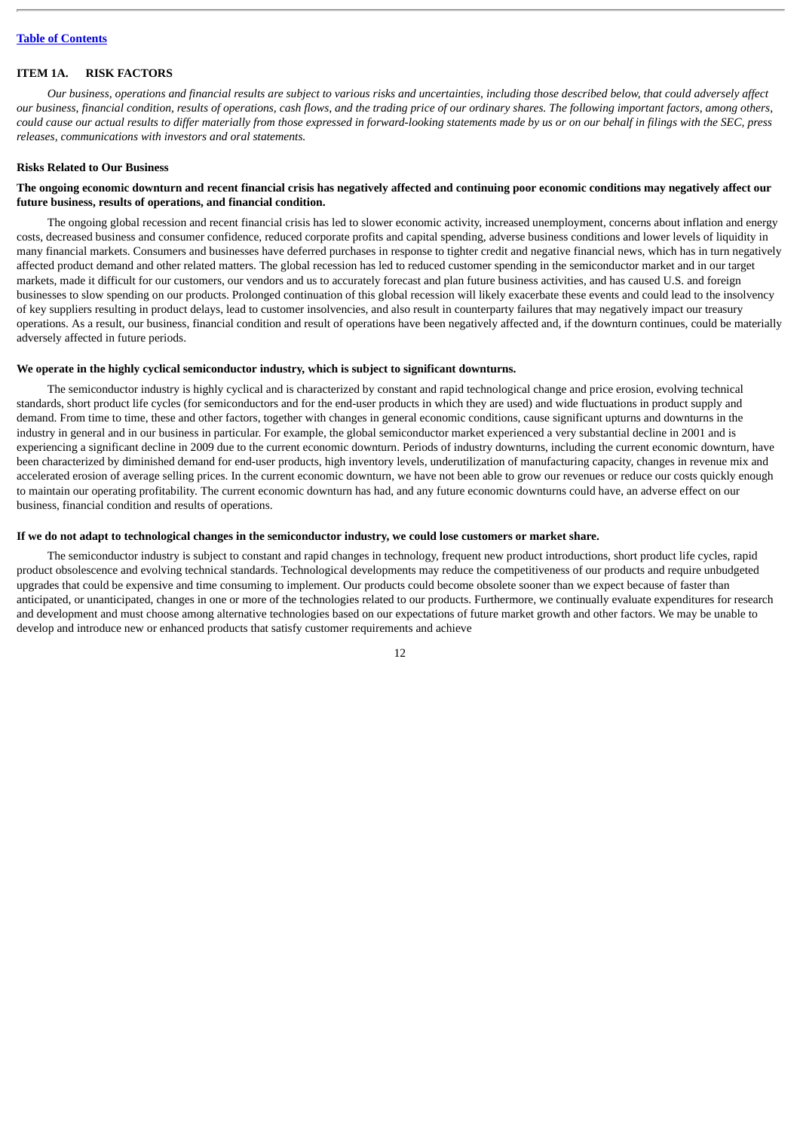#### <span id="page-11-0"></span>**ITEM 1A. RISK FACTORS**

*Our business, operations and financial results are subject to various risks and uncertainties, including those described below, that could adversely affect our business, financial condition, results of operations, cash flows, and the trading price of our ordinary shares. The following important factors, among others, could cause our actual results to differ materially from those expressed in forward-looking statements made by us or on our behalf in filings with the SEC, press releases, communications with investors and oral statements.*

#### **Risks Related to Our Business**

# **The ongoing economic downturn and recent financial crisis has negatively affected and continuing poor economic conditions may negatively affect our future business, results of operations, and financial condition.**

The ongoing global recession and recent financial crisis has led to slower economic activity, increased unemployment, concerns about inflation and energy costs, decreased business and consumer confidence, reduced corporate profits and capital spending, adverse business conditions and lower levels of liquidity in many financial markets. Consumers and businesses have deferred purchases in response to tighter credit and negative financial news, which has in turn negatively affected product demand and other related matters. The global recession has led to reduced customer spending in the semiconductor market and in our target markets, made it difficult for our customers, our vendors and us to accurately forecast and plan future business activities, and has caused U.S. and foreign businesses to slow spending on our products. Prolonged continuation of this global recession will likely exacerbate these events and could lead to the insolvency of key suppliers resulting in product delays, lead to customer insolvencies, and also result in counterparty failures that may negatively impact our treasury operations. As a result, our business, financial condition and result of operations have been negatively affected and, if the downturn continues, could be materially adversely affected in future periods.

#### **We operate in the highly cyclical semiconductor industry, which is subject to significant downturns.**

The semiconductor industry is highly cyclical and is characterized by constant and rapid technological change and price erosion, evolving technical standards, short product life cycles (for semiconductors and for the end-user products in which they are used) and wide fluctuations in product supply and demand. From time to time, these and other factors, together with changes in general economic conditions, cause significant upturns and downturns in the industry in general and in our business in particular. For example, the global semiconductor market experienced a very substantial decline in 2001 and is experiencing a significant decline in 2009 due to the current economic downturn. Periods of industry downturns, including the current economic downturn, have been characterized by diminished demand for end-user products, high inventory levels, underutilization of manufacturing capacity, changes in revenue mix and accelerated erosion of average selling prices. In the current economic downturn, we have not been able to grow our revenues or reduce our costs quickly enough to maintain our operating profitability. The current economic downturn has had, and any future economic downturns could have, an adverse effect on our business, financial condition and results of operations.

# **If we do not adapt to technological changes in the semiconductor industry, we could lose customers or market share.**

The semiconductor industry is subject to constant and rapid changes in technology, frequent new product introductions, short product life cycles, rapid product obsolescence and evolving technical standards. Technological developments may reduce the competitiveness of our products and require unbudgeted upgrades that could be expensive and time consuming to implement. Our products could become obsolete sooner than we expect because of faster than anticipated, or unanticipated, changes in one or more of the technologies related to our products. Furthermore, we continually evaluate expenditures for research and development and must choose among alternative technologies based on our expectations of future market growth and other factors. We may be unable to develop and introduce new or enhanced products that satisfy customer requirements and achieve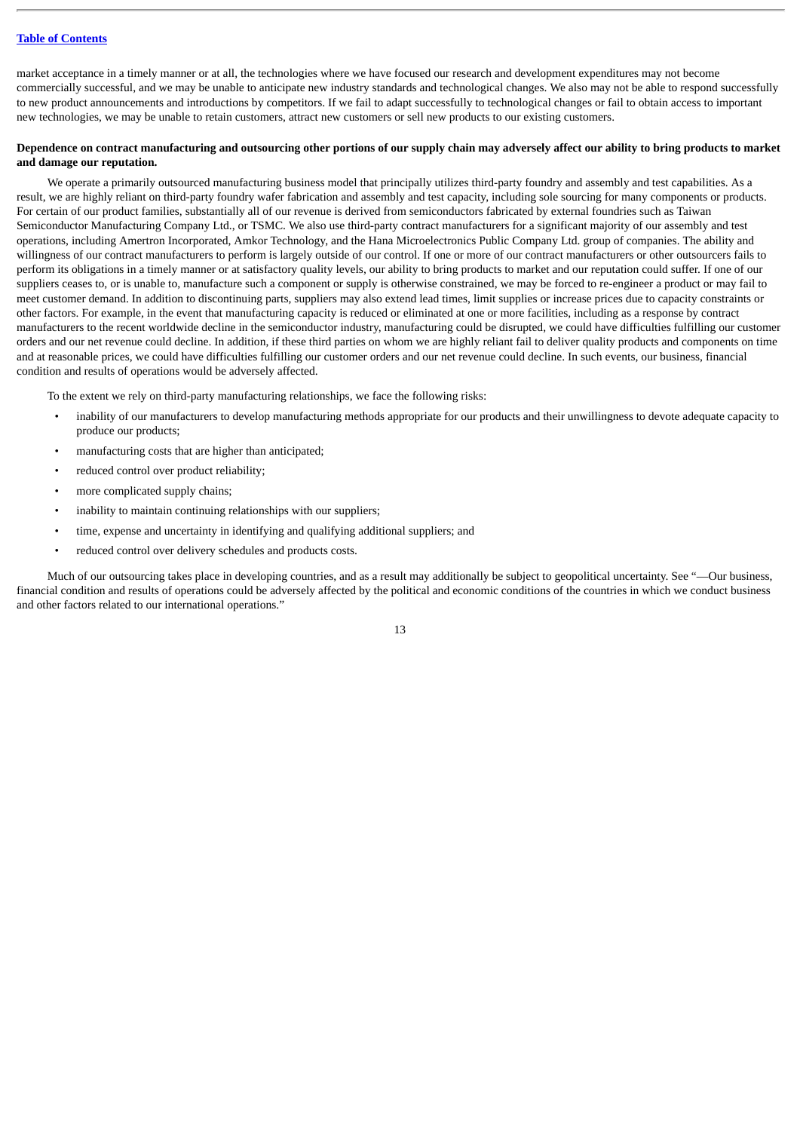market acceptance in a timely manner or at all, the technologies where we have focused our research and development expenditures may not become commercially successful, and we may be unable to anticipate new industry standards and technological changes. We also may not be able to respond successfully to new product announcements and introductions by competitors. If we fail to adapt successfully to technological changes or fail to obtain access to important new technologies, we may be unable to retain customers, attract new customers or sell new products to our existing customers.

#### **Dependence on contract manufacturing and outsourcing other portions of our supply chain may adversely affect our ability to bring products to market and damage our reputation.**

We operate a primarily outsourced manufacturing business model that principally utilizes third-party foundry and assembly and test capabilities. As a result, we are highly reliant on third-party foundry wafer fabrication and assembly and test capacity, including sole sourcing for many components or products. For certain of our product families, substantially all of our revenue is derived from semiconductors fabricated by external foundries such as Taiwan Semiconductor Manufacturing Company Ltd., or TSMC. We also use third-party contract manufacturers for a significant majority of our assembly and test operations, including Amertron Incorporated, Amkor Technology, and the Hana Microelectronics Public Company Ltd. group of companies. The ability and willingness of our contract manufacturers to perform is largely outside of our control. If one or more of our contract manufacturers or other outsourcers fails to perform its obligations in a timely manner or at satisfactory quality levels, our ability to bring products to market and our reputation could suffer. If one of our suppliers ceases to, or is unable to, manufacture such a component or supply is otherwise constrained, we may be forced to re-engineer a product or may fail to meet customer demand. In addition to discontinuing parts, suppliers may also extend lead times, limit supplies or increase prices due to capacity constraints or other factors. For example, in the event that manufacturing capacity is reduced or eliminated at one or more facilities, including as a response by contract manufacturers to the recent worldwide decline in the semiconductor industry, manufacturing could be disrupted, we could have difficulties fulfilling our customer orders and our net revenue could decline. In addition, if these third parties on whom we are highly reliant fail to deliver quality products and components on time and at reasonable prices, we could have difficulties fulfilling our customer orders and our net revenue could decline. In such events, our business, financial condition and results of operations would be adversely affected.

To the extent we rely on third-party manufacturing relationships, we face the following risks:

- inability of our manufacturers to develop manufacturing methods appropriate for our products and their unwillingness to devote adequate capacity to produce our products;
- manufacturing costs that are higher than anticipated;
- reduced control over product reliability;
- more complicated supply chains;
- inability to maintain continuing relationships with our suppliers;
- time, expense and uncertainty in identifying and qualifying additional suppliers; and
- reduced control over delivery schedules and products costs.

Much of our outsourcing takes place in developing countries, and as a result may additionally be subject to geopolitical uncertainty. See "—Our business, financial condition and results of operations could be adversely affected by the political and economic conditions of the countries in which we conduct business and other factors related to our international operations."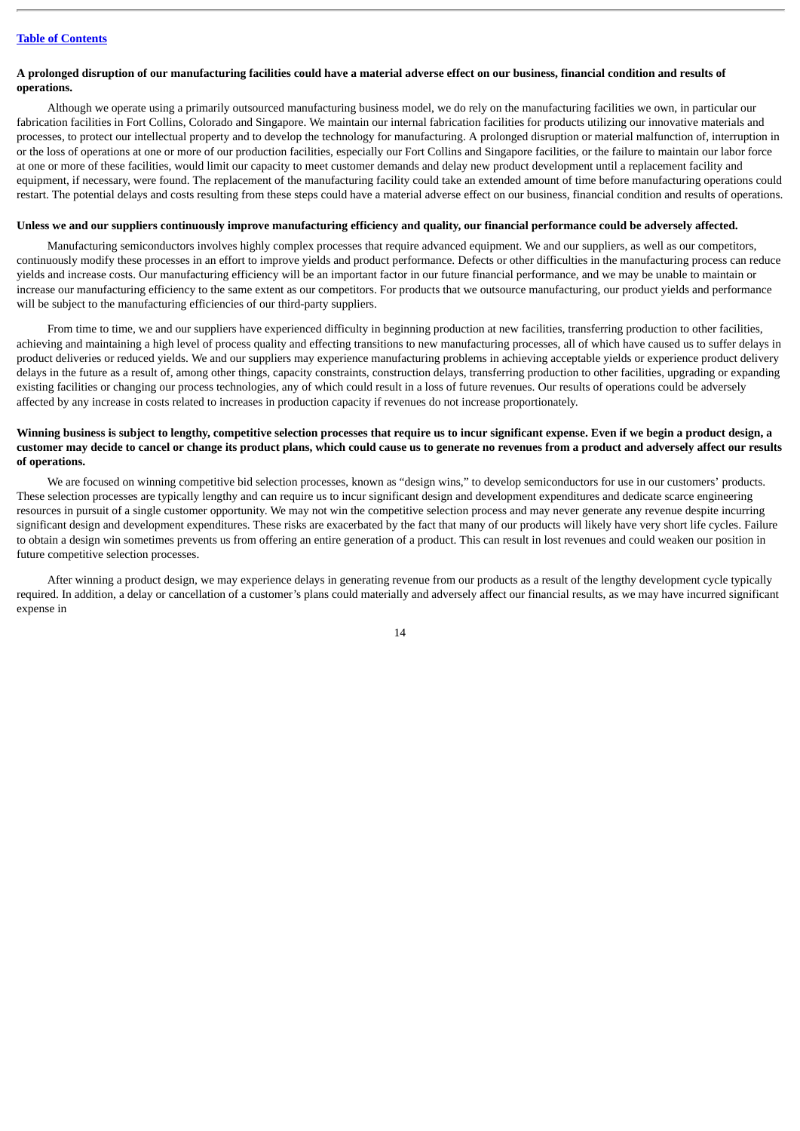# **A prolonged disruption of our manufacturing facilities could have a material adverse effect on our business, financial condition and results of operations.**

Although we operate using a primarily outsourced manufacturing business model, we do rely on the manufacturing facilities we own, in particular our fabrication facilities in Fort Collins, Colorado and Singapore. We maintain our internal fabrication facilities for products utilizing our innovative materials and processes, to protect our intellectual property and to develop the technology for manufacturing. A prolonged disruption or material malfunction of, interruption in or the loss of operations at one or more of our production facilities, especially our Fort Collins and Singapore facilities, or the failure to maintain our labor force at one or more of these facilities, would limit our capacity to meet customer demands and delay new product development until a replacement facility and equipment, if necessary, were found. The replacement of the manufacturing facility could take an extended amount of time before manufacturing operations could restart. The potential delays and costs resulting from these steps could have a material adverse effect on our business, financial condition and results of operations.

#### **Unless we and our suppliers continuously improve manufacturing efficiency and quality, our financial performance could be adversely affected.**

Manufacturing semiconductors involves highly complex processes that require advanced equipment. We and our suppliers, as well as our competitors, continuously modify these processes in an effort to improve yields and product performance. Defects or other difficulties in the manufacturing process can reduce yields and increase costs. Our manufacturing efficiency will be an important factor in our future financial performance, and we may be unable to maintain or increase our manufacturing efficiency to the same extent as our competitors. For products that we outsource manufacturing, our product yields and performance will be subject to the manufacturing efficiencies of our third-party suppliers.

From time to time, we and our suppliers have experienced difficulty in beginning production at new facilities, transferring production to other facilities, achieving and maintaining a high level of process quality and effecting transitions to new manufacturing processes, all of which have caused us to suffer delays in product deliveries or reduced yields. We and our suppliers may experience manufacturing problems in achieving acceptable yields or experience product delivery delays in the future as a result of, among other things, capacity constraints, construction delays, transferring production to other facilities, upgrading or expanding existing facilities or changing our process technologies, any of which could result in a loss of future revenues. Our results of operations could be adversely affected by any increase in costs related to increases in production capacity if revenues do not increase proportionately.

# **Winning business is subject to lengthy, competitive selection processes that require us to incur significant expense. Even if we begin a product design, a customer may decide to cancel or change its product plans, which could cause us to generate no revenues from a product and adversely affect our results of operations.**

We are focused on winning competitive bid selection processes, known as "design wins," to develop semiconductors for use in our customers' products. These selection processes are typically lengthy and can require us to incur significant design and development expenditures and dedicate scarce engineering resources in pursuit of a single customer opportunity. We may not win the competitive selection process and may never generate any revenue despite incurring significant design and development expenditures. These risks are exacerbated by the fact that many of our products will likely have very short life cycles. Failure to obtain a design win sometimes prevents us from offering an entire generation of a product. This can result in lost revenues and could weaken our position in future competitive selection processes.

After winning a product design, we may experience delays in generating revenue from our products as a result of the lengthy development cycle typically required. In addition, a delay or cancellation of a customer's plans could materially and adversely affect our financial results, as we may have incurred significant expense in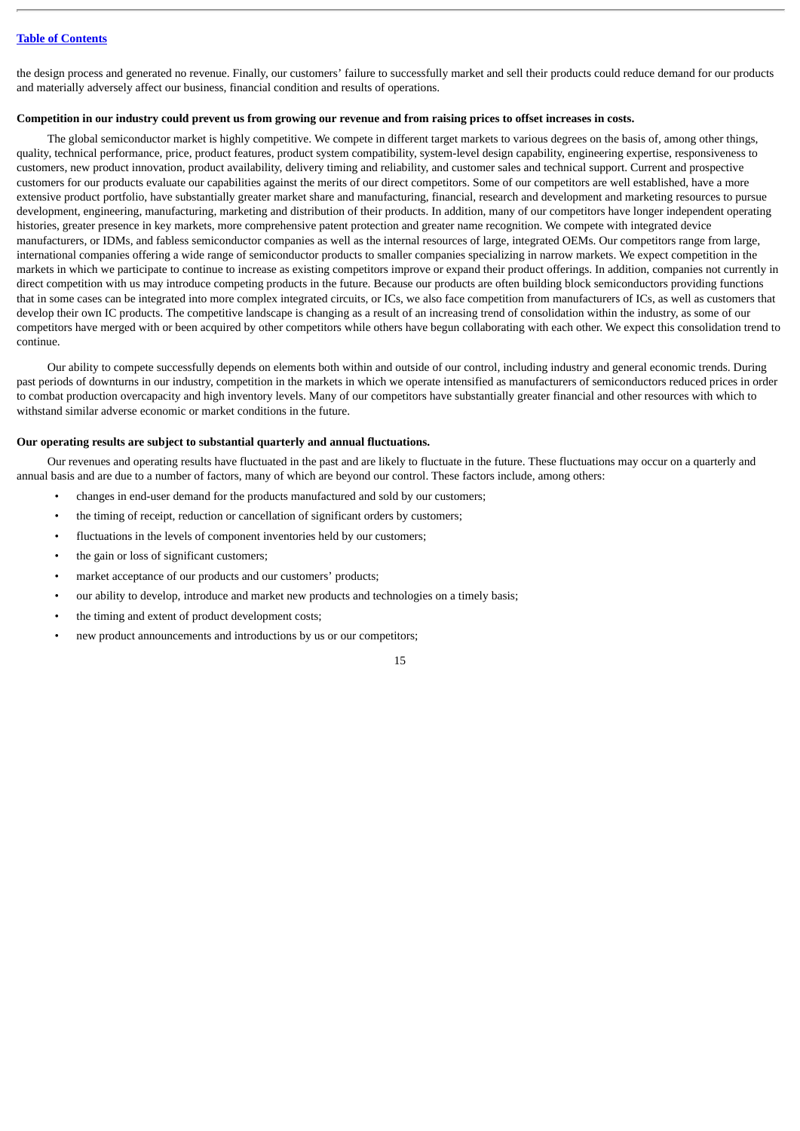the design process and generated no revenue. Finally, our customers' failure to successfully market and sell their products could reduce demand for our products and materially adversely affect our business, financial condition and results of operations.

#### **Competition in our industry could prevent us from growing our revenue and from raising prices to offset increases in costs.**

The global semiconductor market is highly competitive. We compete in different target markets to various degrees on the basis of, among other things, quality, technical performance, price, product features, product system compatibility, system-level design capability, engineering expertise, responsiveness to customers, new product innovation, product availability, delivery timing and reliability, and customer sales and technical support. Current and prospective customers for our products evaluate our capabilities against the merits of our direct competitors. Some of our competitors are well established, have a more extensive product portfolio, have substantially greater market share and manufacturing, financial, research and development and marketing resources to pursue development, engineering, manufacturing, marketing and distribution of their products. In addition, many of our competitors have longer independent operating histories, greater presence in key markets, more comprehensive patent protection and greater name recognition. We compete with integrated device manufacturers, or IDMs, and fabless semiconductor companies as well as the internal resources of large, integrated OEMs. Our competitors range from large, international companies offering a wide range of semiconductor products to smaller companies specializing in narrow markets. We expect competition in the markets in which we participate to continue to increase as existing competitors improve or expand their product offerings. In addition, companies not currently in direct competition with us may introduce competing products in the future. Because our products are often building block semiconductors providing functions that in some cases can be integrated into more complex integrated circuits, or ICs, we also face competition from manufacturers of ICs, as well as customers that develop their own IC products. The competitive landscape is changing as a result of an increasing trend of consolidation within the industry, as some of our competitors have merged with or been acquired by other competitors while others have begun collaborating with each other. We expect this consolidation trend to continue.

Our ability to compete successfully depends on elements both within and outside of our control, including industry and general economic trends. During past periods of downturns in our industry, competition in the markets in which we operate intensified as manufacturers of semiconductors reduced prices in order to combat production overcapacity and high inventory levels. Many of our competitors have substantially greater financial and other resources with which to withstand similar adverse economic or market conditions in the future.

#### **Our operating results are subject to substantial quarterly and annual fluctuations.**

Our revenues and operating results have fluctuated in the past and are likely to fluctuate in the future. These fluctuations may occur on a quarterly and annual basis and are due to a number of factors, many of which are beyond our control. These factors include, among others:

- changes in end-user demand for the products manufactured and sold by our customers;
- the timing of receipt, reduction or cancellation of significant orders by customers;
- fluctuations in the levels of component inventories held by our customers;
- the gain or loss of significant customers;
- market acceptance of our products and our customers' products;
- our ability to develop, introduce and market new products and technologies on a timely basis;
- the timing and extent of product development costs;
- new product announcements and introductions by us or our competitors;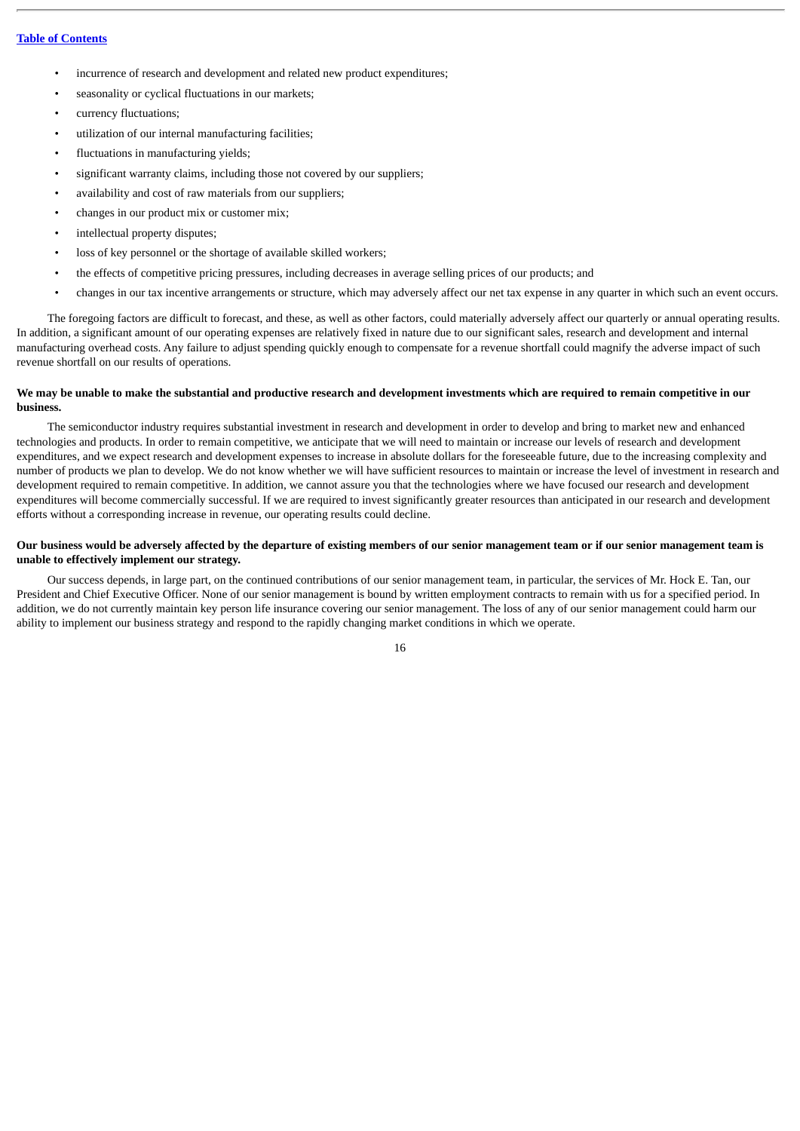- incurrence of research and development and related new product expenditures;
- seasonality or cyclical fluctuations in our markets;
- currency fluctuations;
- utilization of our internal manufacturing facilities;
- fluctuations in manufacturing yields;
- significant warranty claims, including those not covered by our suppliers;
- availability and cost of raw materials from our suppliers;
- changes in our product mix or customer mix;
- intellectual property disputes:
- loss of key personnel or the shortage of available skilled workers;
- the effects of competitive pricing pressures, including decreases in average selling prices of our products; and
- changes in our tax incentive arrangements or structure, which may adversely affect our net tax expense in any quarter in which such an event occurs.

The foregoing factors are difficult to forecast, and these, as well as other factors, could materially adversely affect our quarterly or annual operating results. In addition, a significant amount of our operating expenses are relatively fixed in nature due to our significant sales, research and development and internal manufacturing overhead costs. Any failure to adjust spending quickly enough to compensate for a revenue shortfall could magnify the adverse impact of such revenue shortfall on our results of operations.

# **We may be unable to make the substantial and productive research and development investments which are required to remain competitive in our business.**

The semiconductor industry requires substantial investment in research and development in order to develop and bring to market new and enhanced technologies and products. In order to remain competitive, we anticipate that we will need to maintain or increase our levels of research and development expenditures, and we expect research and development expenses to increase in absolute dollars for the foreseeable future, due to the increasing complexity and number of products we plan to develop. We do not know whether we will have sufficient resources to maintain or increase the level of investment in research and development required to remain competitive. In addition, we cannot assure you that the technologies where we have focused our research and development expenditures will become commercially successful. If we are required to invest significantly greater resources than anticipated in our research and development efforts without a corresponding increase in revenue, our operating results could decline.

# **Our business would be adversely affected by the departure of existing members of our senior management team or if our senior management team is unable to effectively implement our strategy.**

Our success depends, in large part, on the continued contributions of our senior management team, in particular, the services of Mr. Hock E. Tan, our President and Chief Executive Officer. None of our senior management is bound by written employment contracts to remain with us for a specified period. In addition, we do not currently maintain key person life insurance covering our senior management. The loss of any of our senior management could harm our ability to implement our business strategy and respond to the rapidly changing market conditions in which we operate.

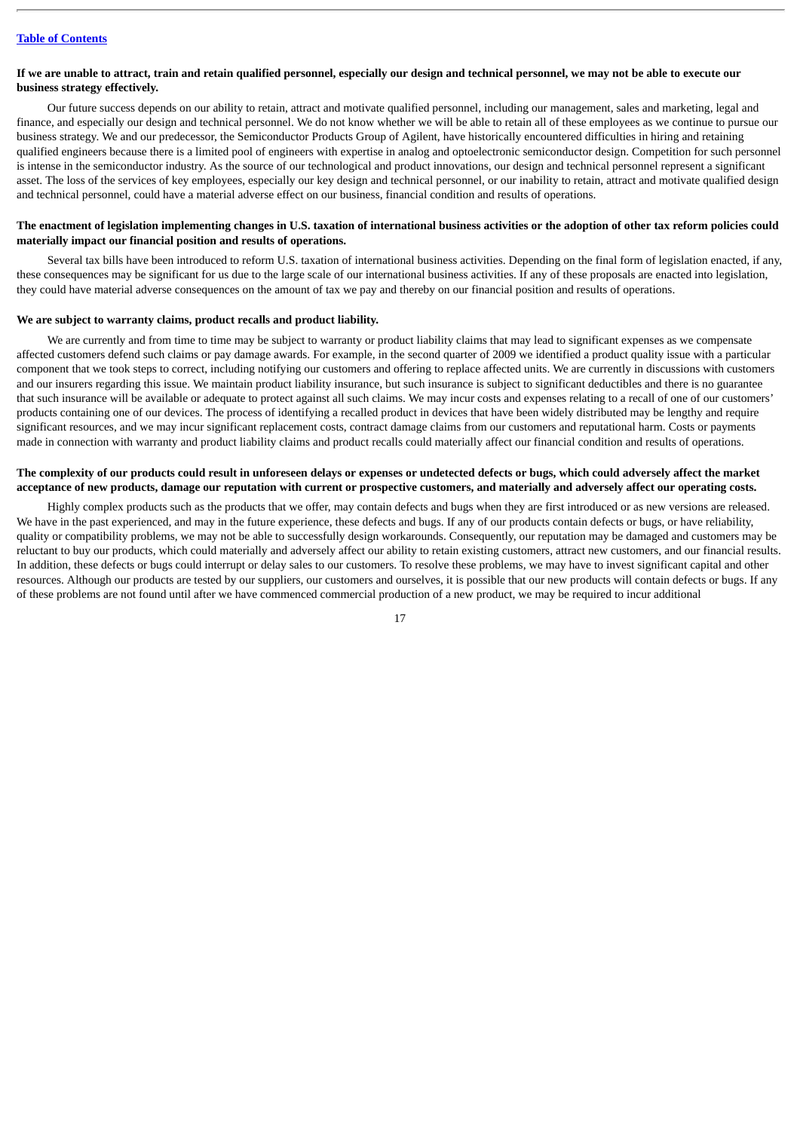# **If we are unable to attract, train and retain qualified personnel, especially our design and technical personnel, we may not be able to execute our business strategy effectively.**

Our future success depends on our ability to retain, attract and motivate qualified personnel, including our management, sales and marketing, legal and finance, and especially our design and technical personnel. We do not know whether we will be able to retain all of these employees as we continue to pursue our business strategy. We and our predecessor, the Semiconductor Products Group of Agilent, have historically encountered difficulties in hiring and retaining qualified engineers because there is a limited pool of engineers with expertise in analog and optoelectronic semiconductor design. Competition for such personnel is intense in the semiconductor industry. As the source of our technological and product innovations, our design and technical personnel represent a significant asset. The loss of the services of key employees, especially our key design and technical personnel, or our inability to retain, attract and motivate qualified design and technical personnel, could have a material adverse effect on our business, financial condition and results of operations.

# **The enactment of legislation implementing changes in U.S. taxation of international business activities or the adoption of other tax reform policies could materially impact our financial position and results of operations.**

Several tax bills have been introduced to reform U.S. taxation of international business activities. Depending on the final form of legislation enacted, if any, these consequences may be significant for us due to the large scale of our international business activities. If any of these proposals are enacted into legislation, they could have material adverse consequences on the amount of tax we pay and thereby on our financial position and results of operations.

#### **We are subject to warranty claims, product recalls and product liability.**

We are currently and from time to time may be subject to warranty or product liability claims that may lead to significant expenses as we compensate affected customers defend such claims or pay damage awards. For example, in the second quarter of 2009 we identified a product quality issue with a particular component that we took steps to correct, including notifying our customers and offering to replace affected units. We are currently in discussions with customers and our insurers regarding this issue. We maintain product liability insurance, but such insurance is subject to significant deductibles and there is no guarantee that such insurance will be available or adequate to protect against all such claims. We may incur costs and expenses relating to a recall of one of our customers' products containing one of our devices. The process of identifying a recalled product in devices that have been widely distributed may be lengthy and require significant resources, and we may incur significant replacement costs, contract damage claims from our customers and reputational harm. Costs or payments made in connection with warranty and product liability claims and product recalls could materially affect our financial condition and results of operations.

# **The complexity of our products could result in unforeseen delays or expenses or undetected defects or bugs, which could adversely affect the market acceptance of new products, damage our reputation with current or prospective customers, and materially and adversely affect our operating costs.**

Highly complex products such as the products that we offer, may contain defects and bugs when they are first introduced or as new versions are released. We have in the past experienced, and may in the future experience, these defects and bugs. If any of our products contain defects or bugs, or have reliability, quality or compatibility problems, we may not be able to successfully design workarounds. Consequently, our reputation may be damaged and customers may be reluctant to buy our products, which could materially and adversely affect our ability to retain existing customers, attract new customers, and our financial results. In addition, these defects or bugs could interrupt or delay sales to our customers. To resolve these problems, we may have to invest significant capital and other resources. Although our products are tested by our suppliers, our customers and ourselves, it is possible that our new products will contain defects or bugs. If any of these problems are not found until after we have commenced commercial production of a new product, we may be required to incur additional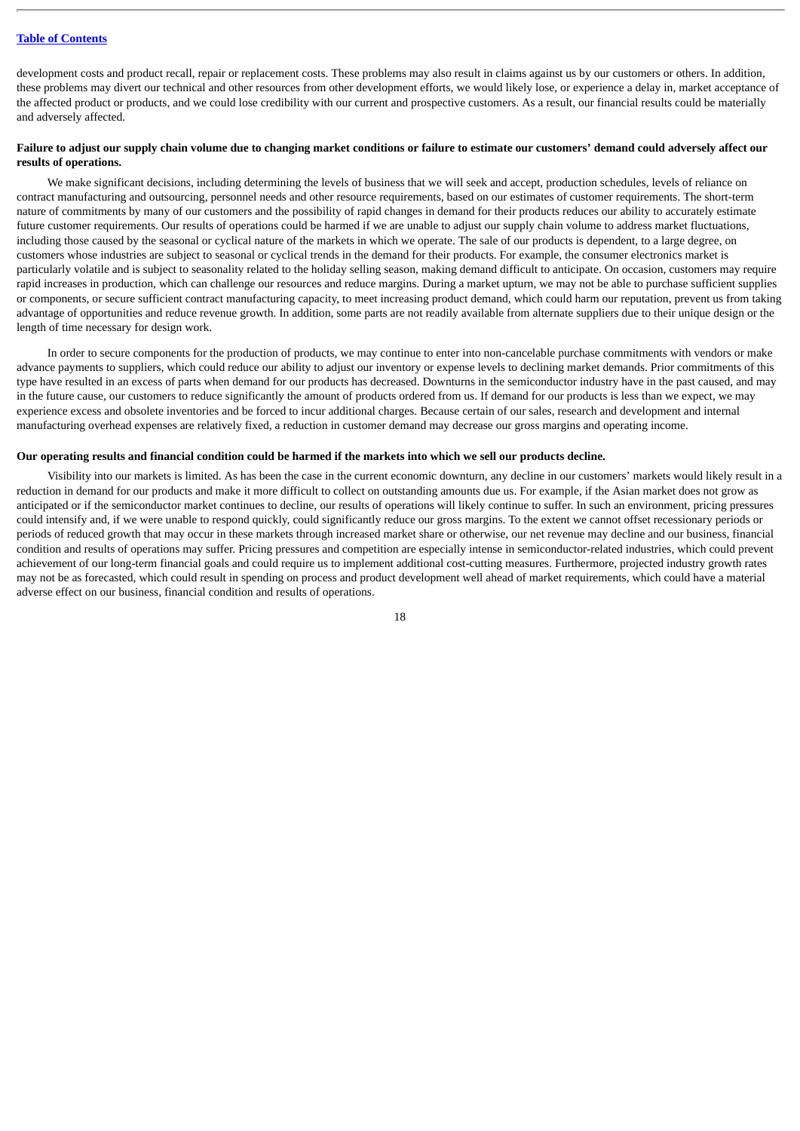development costs and product recall, repair or replacement costs. These problems may also result in claims against us by our customers or others. In addition, these problems may divert our technical and other resources from other development efforts, we would likely lose, or experience a delay in, market acceptance of the affected product or products, and we could lose credibility with our current and prospective customers. As a result, our financial results could be materially and adversely affected.

#### **Failure to adjust our supply chain volume due to changing market conditions or failure to estimate our customers' demand could adversely affect our results of operations.**

We make significant decisions, including determining the levels of business that we will seek and accept, production schedules, levels of reliance on contract manufacturing and outsourcing, personnel needs and other resource requirements, based on our estimates of customer requirements. The short-term nature of commitments by many of our customers and the possibility of rapid changes in demand for their products reduces our ability to accurately estimate future customer requirements. Our results of operations could be harmed if we are unable to adjust our supply chain volume to address market fluctuations, including those caused by the seasonal or cyclical nature of the markets in which we operate. The sale of our products is dependent, to a large degree, on customers whose industries are subject to seasonal or cyclical trends in the demand for their products. For example, the consumer electronics market is particularly volatile and is subject to seasonality related to the holiday selling season, making demand difficult to anticipate. On occasion, customers may require rapid increases in production, which can challenge our resources and reduce margins. During a market upturn, we may not be able to purchase sufficient supplies or components, or secure sufficient contract manufacturing capacity, to meet increasing product demand, which could harm our reputation, prevent us from taking advantage of opportunities and reduce revenue growth. In addition, some parts are not readily available from alternate suppliers due to their unique design or the length of time necessary for design work.

In order to secure components for the production of products, we may continue to enter into non-cancelable purchase commitments with vendors or make advance payments to suppliers, which could reduce our ability to adjust our inventory or expense levels to declining market demands. Prior commitments of this type have resulted in an excess of parts when demand for our products has decreased. Downturns in the semiconductor industry have in the past caused, and may in the future cause, our customers to reduce significantly the amount of products ordered from us. If demand for our products is less than we expect, we may experience excess and obsolete inventories and be forced to incur additional charges. Because certain of our sales, research and development and internal manufacturing overhead expenses are relatively fixed, a reduction in customer demand may decrease our gross margins and operating income.

#### **Our operating results and financial condition could be harmed if the markets into which we sell our products decline.**

Visibility into our markets is limited. As has been the case in the current economic downturn, any decline in our customers' markets would likely result in a reduction in demand for our products and make it more difficult to collect on outstanding amounts due us. For example, if the Asian market does not grow as anticipated or if the semiconductor market continues to decline, our results of operations will likely continue to suffer. In such an environment, pricing pressures could intensify and, if we were unable to respond quickly, could significantly reduce our gross margins. To the extent we cannot offset recessionary periods or periods of reduced growth that may occur in these markets through increased market share or otherwise, our net revenue may decline and our business, financial condition and results of operations may suffer. Pricing pressures and competition are especially intense in semiconductor-related industries, which could prevent achievement of our long-term financial goals and could require us to implement additional cost-cutting measures. Furthermore, projected industry growth rates may not be as forecasted, which could result in spending on process and product development well ahead of market requirements, which could have a material adverse effect on our business, financial condition and results of operations.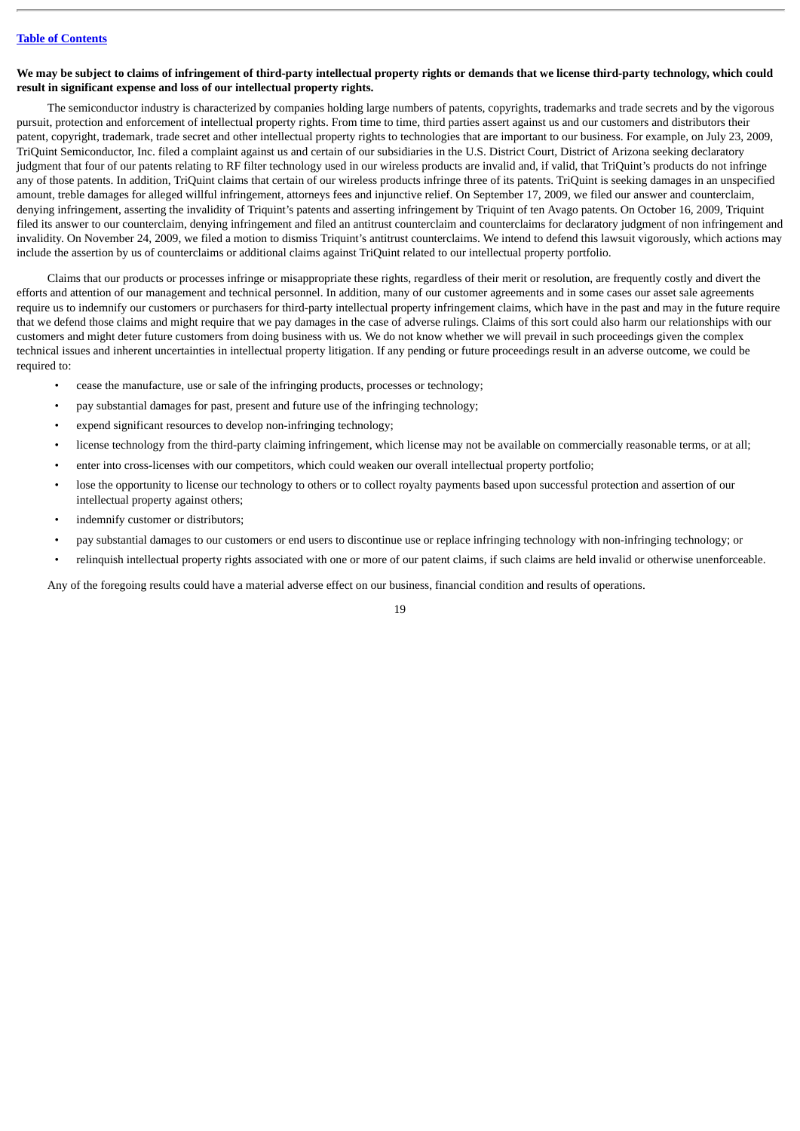# **We may be subject to claims of infringement of third-party intellectual property rights or demands that we license third-party technology, which could result in significant expense and loss of our intellectual property rights.**

The semiconductor industry is characterized by companies holding large numbers of patents, copyrights, trademarks and trade secrets and by the vigorous pursuit, protection and enforcement of intellectual property rights. From time to time, third parties assert against us and our customers and distributors their patent, copyright, trademark, trade secret and other intellectual property rights to technologies that are important to our business. For example, on July 23, 2009, TriQuint Semiconductor, Inc. filed a complaint against us and certain of our subsidiaries in the U.S. District Court, District of Arizona seeking declaratory judgment that four of our patents relating to RF filter technology used in our wireless products are invalid and, if valid, that TriQuint's products do not infringe any of those patents. In addition, TriQuint claims that certain of our wireless products infringe three of its patents. TriQuint is seeking damages in an unspecified amount, treble damages for alleged willful infringement, attorneys fees and injunctive relief. On September 17, 2009, we filed our answer and counterclaim, denying infringement, asserting the invalidity of Triquint's patents and asserting infringement by Triquint of ten Avago patents. On October 16, 2009, Triquint filed its answer to our counterclaim, denying infringement and filed an antitrust counterclaim and counterclaims for declaratory judgment of non infringement and invalidity. On November 24, 2009, we filed a motion to dismiss Triquint's antitrust counterclaims. We intend to defend this lawsuit vigorously, which actions may include the assertion by us of counterclaims or additional claims against TriQuint related to our intellectual property portfolio.

Claims that our products or processes infringe or misappropriate these rights, regardless of their merit or resolution, are frequently costly and divert the efforts and attention of our management and technical personnel. In addition, many of our customer agreements and in some cases our asset sale agreements require us to indemnify our customers or purchasers for third-party intellectual property infringement claims, which have in the past and may in the future require that we defend those claims and might require that we pay damages in the case of adverse rulings. Claims of this sort could also harm our relationships with our customers and might deter future customers from doing business with us. We do not know whether we will prevail in such proceedings given the complex technical issues and inherent uncertainties in intellectual property litigation. If any pending or future proceedings result in an adverse outcome, we could be required to:

- cease the manufacture, use or sale of the infringing products, processes or technology;
- pay substantial damages for past, present and future use of the infringing technology;
- expend significant resources to develop non-infringing technology;
- license technology from the third-party claiming infringement, which license may not be available on commercially reasonable terms, or at all;
- enter into cross-licenses with our competitors, which could weaken our overall intellectual property portfolio;
- lose the opportunity to license our technology to others or to collect royalty payments based upon successful protection and assertion of our intellectual property against others;
- indemnify customer or distributors;
- pay substantial damages to our customers or end users to discontinue use or replace infringing technology with non-infringing technology; or
- relinquish intellectual property rights associated with one or more of our patent claims, if such claims are held invalid or otherwise unenforceable.

Any of the foregoing results could have a material adverse effect on our business, financial condition and results of operations.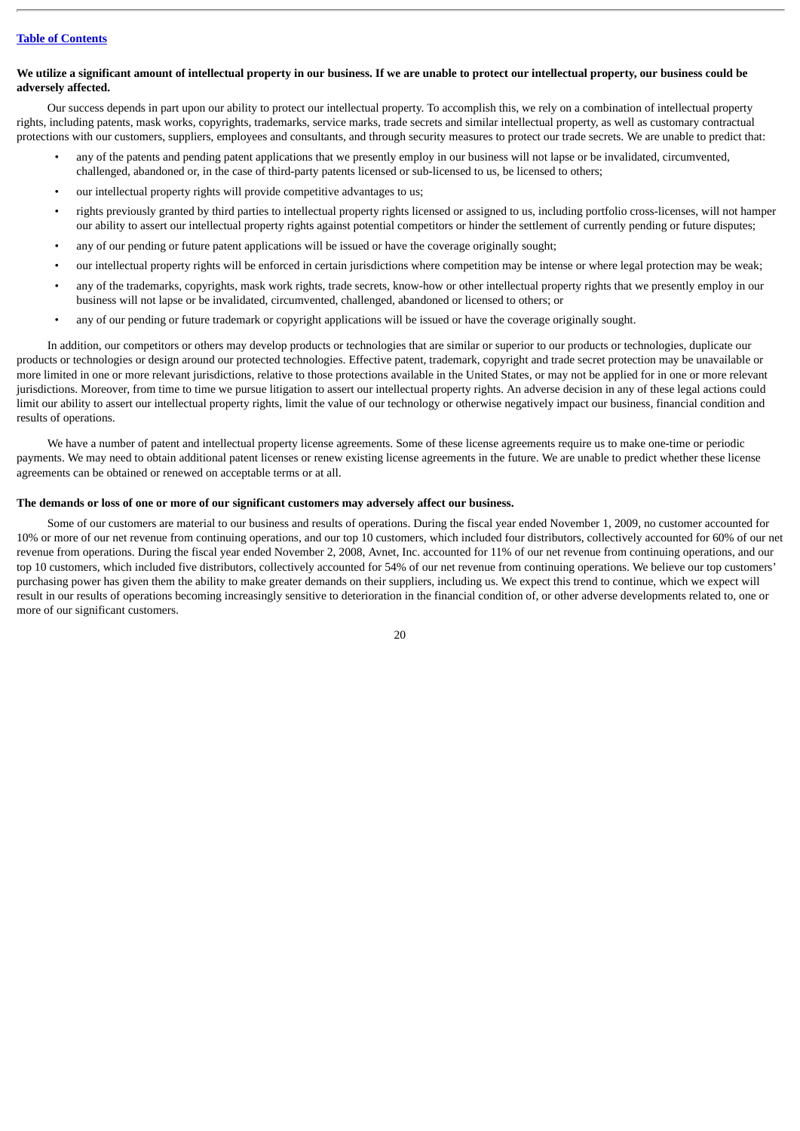# **We utilize a significant amount of intellectual property in our business. If we are unable to protect our intellectual property, our business could be adversely affected.**

Our success depends in part upon our ability to protect our intellectual property. To accomplish this, we rely on a combination of intellectual property rights, including patents, mask works, copyrights, trademarks, service marks, trade secrets and similar intellectual property, as well as customary contractual protections with our customers, suppliers, employees and consultants, and through security measures to protect our trade secrets. We are unable to predict that:

- any of the patents and pending patent applications that we presently employ in our business will not lapse or be invalidated, circumvented, challenged, abandoned or, in the case of third-party patents licensed or sub-licensed to us, be licensed to others;
- our intellectual property rights will provide competitive advantages to us;
- rights previously granted by third parties to intellectual property rights licensed or assigned to us, including portfolio cross-licenses, will not hamper our ability to assert our intellectual property rights against potential competitors or hinder the settlement of currently pending or future disputes;
- any of our pending or future patent applications will be issued or have the coverage originally sought;
- our intellectual property rights will be enforced in certain jurisdictions where competition may be intense or where legal protection may be weak;
- any of the trademarks, copyrights, mask work rights, trade secrets, know-how or other intellectual property rights that we presently employ in our business will not lapse or be invalidated, circumvented, challenged, abandoned or licensed to others; or
- any of our pending or future trademark or copyright applications will be issued or have the coverage originally sought.

In addition, our competitors or others may develop products or technologies that are similar or superior to our products or technologies, duplicate our products or technologies or design around our protected technologies. Effective patent, trademark, copyright and trade secret protection may be unavailable or more limited in one or more relevant jurisdictions, relative to those protections available in the United States, or may not be applied for in one or more relevant jurisdictions. Moreover, from time to time we pursue litigation to assert our intellectual property rights. An adverse decision in any of these legal actions could limit our ability to assert our intellectual property rights, limit the value of our technology or otherwise negatively impact our business, financial condition and results of operations.

We have a number of patent and intellectual property license agreements. Some of these license agreements require us to make one-time or periodic payments. We may need to obtain additional patent licenses or renew existing license agreements in the future. We are unable to predict whether these license agreements can be obtained or renewed on acceptable terms or at all.

#### **The demands or loss of one or more of our significant customers may adversely affect our business.**

Some of our customers are material to our business and results of operations. During the fiscal year ended November 1, 2009, no customer accounted for 10% or more of our net revenue from continuing operations, and our top 10 customers, which included four distributors, collectively accounted for 60% of our net revenue from operations. During the fiscal year ended November 2, 2008, Avnet, Inc. accounted for 11% of our net revenue from continuing operations, and our top 10 customers, which included five distributors, collectively accounted for 54% of our net revenue from continuing operations. We believe our top customers' purchasing power has given them the ability to make greater demands on their suppliers, including us. We expect this trend to continue, which we expect will result in our results of operations becoming increasingly sensitive to deterioration in the financial condition of, or other adverse developments related to, one or more of our significant customers.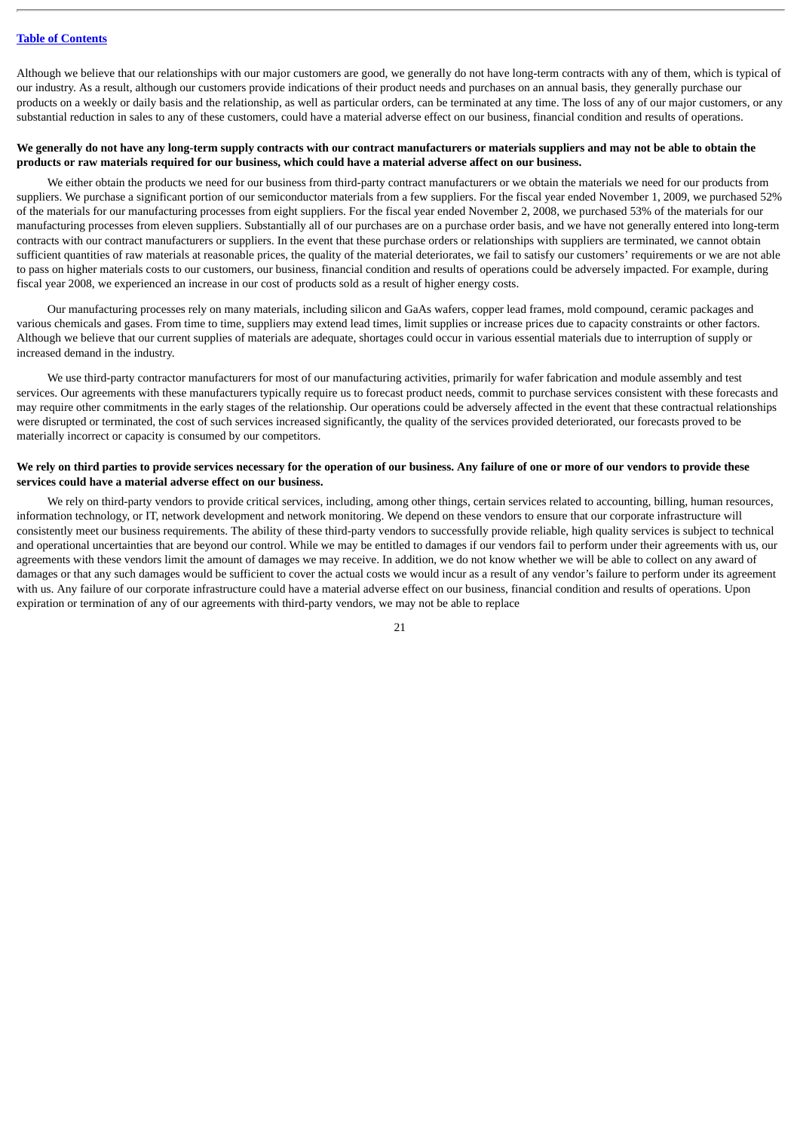Although we believe that our relationships with our major customers are good, we generally do not have long-term contracts with any of them, which is typical of our industry. As a result, although our customers provide indications of their product needs and purchases on an annual basis, they generally purchase our products on a weekly or daily basis and the relationship, as well as particular orders, can be terminated at any time. The loss of any of our major customers, or any substantial reduction in sales to any of these customers, could have a material adverse effect on our business, financial condition and results of operations.

# **We generally do not have any long-term supply contracts with our contract manufacturers or materials suppliers and may not be able to obtain the products or raw materials required for our business, which could have a material adverse affect on our business.**

We either obtain the products we need for our business from third-party contract manufacturers or we obtain the materials we need for our products from suppliers. We purchase a significant portion of our semiconductor materials from a few suppliers. For the fiscal year ended November 1, 2009, we purchased 52% of the materials for our manufacturing processes from eight suppliers. For the fiscal year ended November 2, 2008, we purchased 53% of the materials for our manufacturing processes from eleven suppliers. Substantially all of our purchases are on a purchase order basis, and we have not generally entered into long-term contracts with our contract manufacturers or suppliers. In the event that these purchase orders or relationships with suppliers are terminated, we cannot obtain sufficient quantities of raw materials at reasonable prices, the quality of the material deteriorates, we fail to satisfy our customers' requirements or we are not able to pass on higher materials costs to our customers, our business, financial condition and results of operations could be adversely impacted. For example, during fiscal year 2008, we experienced an increase in our cost of products sold as a result of higher energy costs.

Our manufacturing processes rely on many materials, including silicon and GaAs wafers, copper lead frames, mold compound, ceramic packages and various chemicals and gases. From time to time, suppliers may extend lead times, limit supplies or increase prices due to capacity constraints or other factors. Although we believe that our current supplies of materials are adequate, shortages could occur in various essential materials due to interruption of supply or increased demand in the industry.

We use third-party contractor manufacturers for most of our manufacturing activities, primarily for wafer fabrication and module assembly and test services. Our agreements with these manufacturers typically require us to forecast product needs, commit to purchase services consistent with these forecasts and may require other commitments in the early stages of the relationship. Our operations could be adversely affected in the event that these contractual relationships were disrupted or terminated, the cost of such services increased significantly, the quality of the services provided deteriorated, our forecasts proved to be materially incorrect or capacity is consumed by our competitors.

# **We rely on third parties to provide services necessary for the operation of our business. Any failure of one or more of our vendors to provide these services could have a material adverse effect on our business.**

We rely on third-party vendors to provide critical services, including, among other things, certain services related to accounting, billing, human resources, information technology, or IT, network development and network monitoring. We depend on these vendors to ensure that our corporate infrastructure will consistently meet our business requirements. The ability of these third-party vendors to successfully provide reliable, high quality services is subject to technical and operational uncertainties that are beyond our control. While we may be entitled to damages if our vendors fail to perform under their agreements with us, our agreements with these vendors limit the amount of damages we may receive. In addition, we do not know whether we will be able to collect on any award of damages or that any such damages would be sufficient to cover the actual costs we would incur as a result of any vendor's failure to perform under its agreement with us. Any failure of our corporate infrastructure could have a material adverse effect on our business, financial condition and results of operations. Upon expiration or termination of any of our agreements with third-party vendors, we may not be able to replace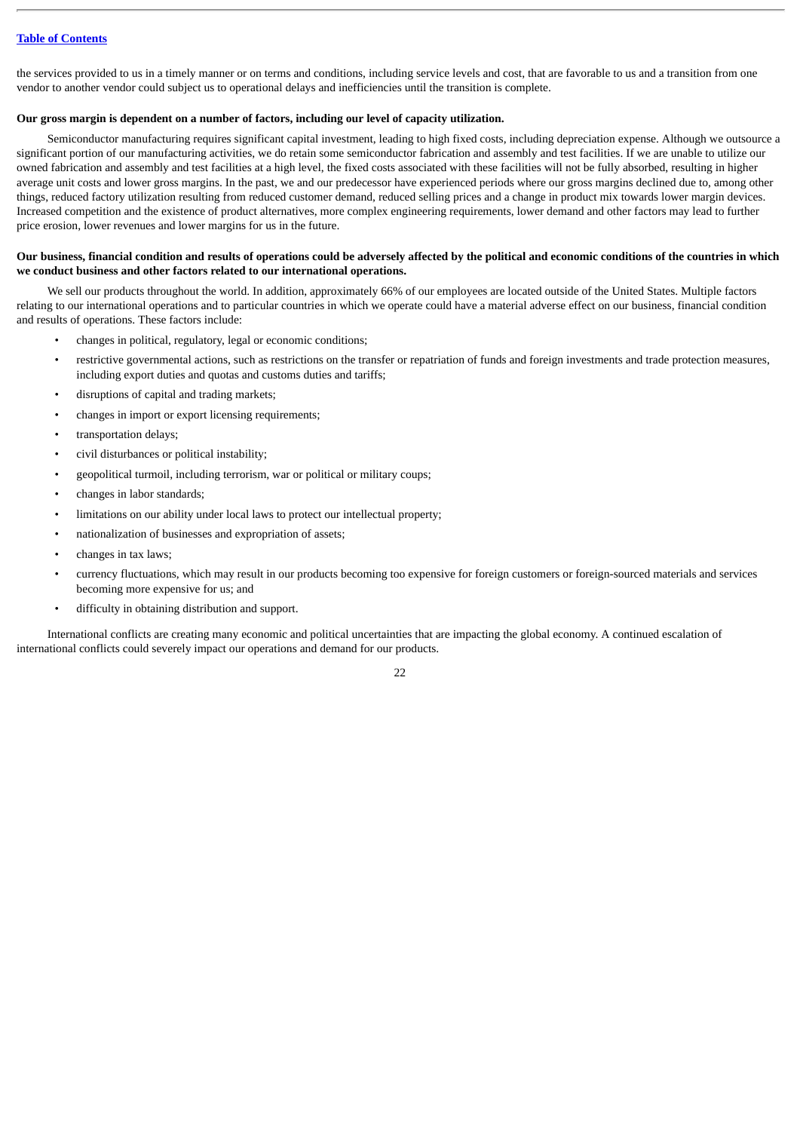the services provided to us in a timely manner or on terms and conditions, including service levels and cost, that are favorable to us and a transition from one vendor to another vendor could subject us to operational delays and inefficiencies until the transition is complete.

#### **Our gross margin is dependent on a number of factors, including our level of capacity utilization.**

Semiconductor manufacturing requires significant capital investment, leading to high fixed costs, including depreciation expense. Although we outsource a significant portion of our manufacturing activities, we do retain some semiconductor fabrication and assembly and test facilities. If we are unable to utilize our owned fabrication and assembly and test facilities at a high level, the fixed costs associated with these facilities will not be fully absorbed, resulting in higher average unit costs and lower gross margins. In the past, we and our predecessor have experienced periods where our gross margins declined due to, among other things, reduced factory utilization resulting from reduced customer demand, reduced selling prices and a change in product mix towards lower margin devices. Increased competition and the existence of product alternatives, more complex engineering requirements, lower demand and other factors may lead to further price erosion, lower revenues and lower margins for us in the future.

# **Our business, financial condition and results of operations could be adversely affected by the political and economic conditions of the countries in which we conduct business and other factors related to our international operations.**

We sell our products throughout the world. In addition, approximately 66% of our employees are located outside of the United States. Multiple factors relating to our international operations and to particular countries in which we operate could have a material adverse effect on our business, financial condition and results of operations. These factors include:

- changes in political, regulatory, legal or economic conditions;
- restrictive governmental actions, such as restrictions on the transfer or repatriation of funds and foreign investments and trade protection measures, including export duties and quotas and customs duties and tariffs;
- disruptions of capital and trading markets;
- changes in import or export licensing requirements;
- transportation delays;
- civil disturbances or political instability;
- geopolitical turmoil, including terrorism, war or political or military coups;
- changes in labor standards;
- limitations on our ability under local laws to protect our intellectual property;
- nationalization of businesses and expropriation of assets;
- changes in tax laws;
- currency fluctuations, which may result in our products becoming too expensive for foreign customers or foreign-sourced materials and services becoming more expensive for us; and
- difficulty in obtaining distribution and support.

International conflicts are creating many economic and political uncertainties that are impacting the global economy. A continued escalation of international conflicts could severely impact our operations and demand for our products.

 $\overline{2}$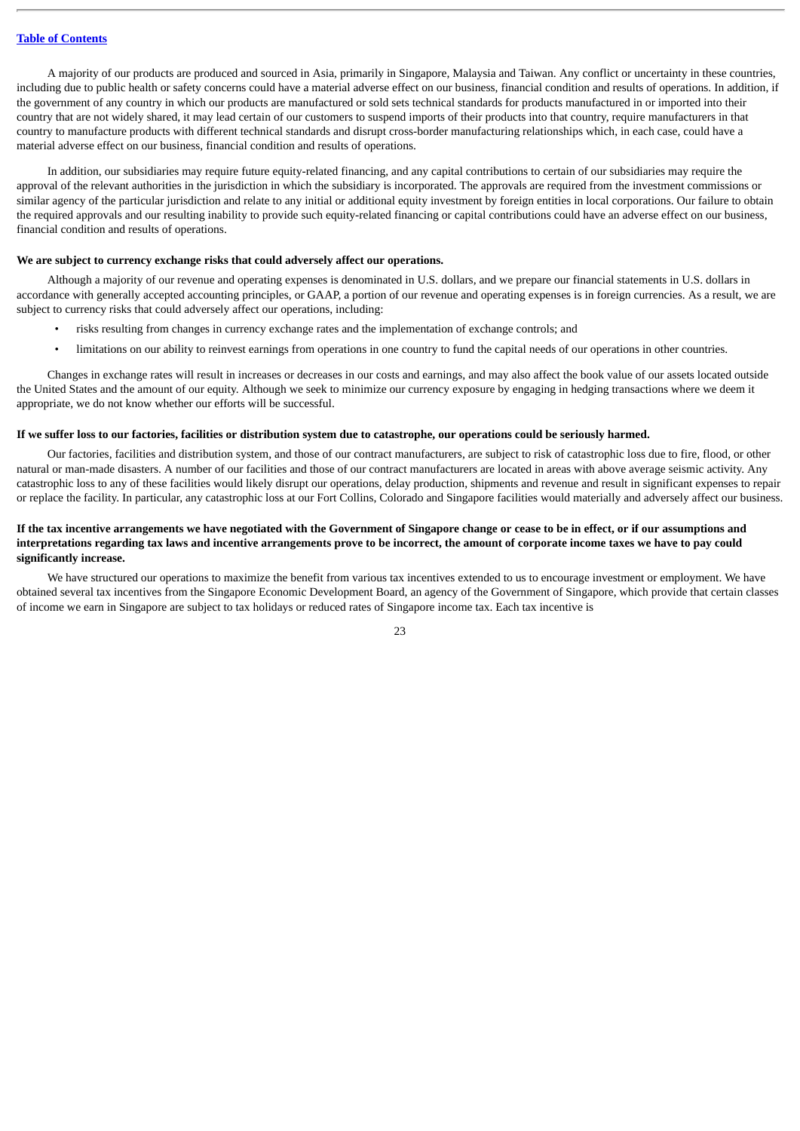A majority of our products are produced and sourced in Asia, primarily in Singapore, Malaysia and Taiwan. Any conflict or uncertainty in these countries, including due to public health or safety concerns could have a material adverse effect on our business, financial condition and results of operations. In addition, if the government of any country in which our products are manufactured or sold sets technical standards for products manufactured in or imported into their country that are not widely shared, it may lead certain of our customers to suspend imports of their products into that country, require manufacturers in that country to manufacture products with different technical standards and disrupt cross-border manufacturing relationships which, in each case, could have a material adverse effect on our business, financial condition and results of operations.

In addition, our subsidiaries may require future equity-related financing, and any capital contributions to certain of our subsidiaries may require the approval of the relevant authorities in the jurisdiction in which the subsidiary is incorporated. The approvals are required from the investment commissions or similar agency of the particular jurisdiction and relate to any initial or additional equity investment by foreign entities in local corporations. Our failure to obtain the required approvals and our resulting inability to provide such equity-related financing or capital contributions could have an adverse effect on our business, financial condition and results of operations.

# **We are subject to currency exchange risks that could adversely affect our operations.**

Although a majority of our revenue and operating expenses is denominated in U.S. dollars, and we prepare our financial statements in U.S. dollars in accordance with generally accepted accounting principles, or GAAP, a portion of our revenue and operating expenses is in foreign currencies. As a result, we are subject to currency risks that could adversely affect our operations, including:

- risks resulting from changes in currency exchange rates and the implementation of exchange controls; and
- limitations on our ability to reinvest earnings from operations in one country to fund the capital needs of our operations in other countries.

Changes in exchange rates will result in increases or decreases in our costs and earnings, and may also affect the book value of our assets located outside the United States and the amount of our equity. Although we seek to minimize our currency exposure by engaging in hedging transactions where we deem it appropriate, we do not know whether our efforts will be successful.

#### **If we suffer loss to our factories, facilities or distribution system due to catastrophe, our operations could be seriously harmed.**

Our factories, facilities and distribution system, and those of our contract manufacturers, are subject to risk of catastrophic loss due to fire, flood, or other natural or man-made disasters. A number of our facilities and those of our contract manufacturers are located in areas with above average seismic activity. Any catastrophic loss to any of these facilities would likely disrupt our operations, delay production, shipments and revenue and result in significant expenses to repair or replace the facility. In particular, any catastrophic loss at our Fort Collins, Colorado and Singapore facilities would materially and adversely affect our business.

# **If the tax incentive arrangements we have negotiated with the Government of Singapore change or cease to be in effect, or if our assumptions and interpretations regarding tax laws and incentive arrangements prove to be incorrect, the amount of corporate income taxes we have to pay could significantly increase.**

We have structured our operations to maximize the benefit from various tax incentives extended to us to encourage investment or employment. We have obtained several tax incentives from the Singapore Economic Development Board, an agency of the Government of Singapore, which provide that certain classes of income we earn in Singapore are subject to tax holidays or reduced rates of Singapore income tax. Each tax incentive is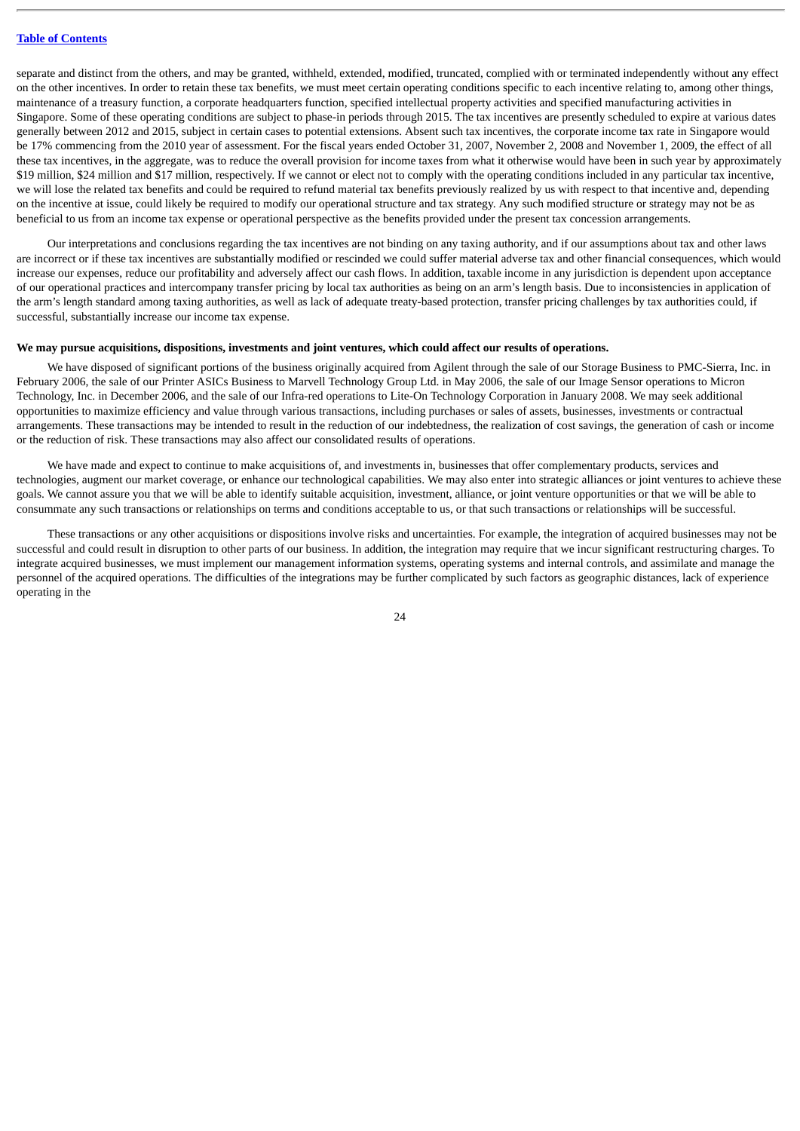separate and distinct from the others, and may be granted, withheld, extended, modified, truncated, complied with or terminated independently without any effect on the other incentives. In order to retain these tax benefits, we must meet certain operating conditions specific to each incentive relating to, among other things, maintenance of a treasury function, a corporate headquarters function, specified intellectual property activities and specified manufacturing activities in Singapore. Some of these operating conditions are subject to phase-in periods through 2015. The tax incentives are presently scheduled to expire at various dates generally between 2012 and 2015, subject in certain cases to potential extensions. Absent such tax incentives, the corporate income tax rate in Singapore would be 17% commencing from the 2010 year of assessment. For the fiscal years ended October 31, 2007, November 2, 2008 and November 1, 2009, the effect of all these tax incentives, in the aggregate, was to reduce the overall provision for income taxes from what it otherwise would have been in such year by approximately \$19 million, \$24 million and \$17 million, respectively. If we cannot or elect not to comply with the operating conditions included in any particular tax incentive, we will lose the related tax benefits and could be required to refund material tax benefits previously realized by us with respect to that incentive and, depending on the incentive at issue, could likely be required to modify our operational structure and tax strategy. Any such modified structure or strategy may not be as beneficial to us from an income tax expense or operational perspective as the benefits provided under the present tax concession arrangements.

Our interpretations and conclusions regarding the tax incentives are not binding on any taxing authority, and if our assumptions about tax and other laws are incorrect or if these tax incentives are substantially modified or rescinded we could suffer material adverse tax and other financial consequences, which would increase our expenses, reduce our profitability and adversely affect our cash flows. In addition, taxable income in any jurisdiction is dependent upon acceptance of our operational practices and intercompany transfer pricing by local tax authorities as being on an arm's length basis. Due to inconsistencies in application of the arm's length standard among taxing authorities, as well as lack of adequate treaty-based protection, transfer pricing challenges by tax authorities could, if successful, substantially increase our income tax expense.

#### **We may pursue acquisitions, dispositions, investments and joint ventures, which could affect our results of operations.**

We have disposed of significant portions of the business originally acquired from Agilent through the sale of our Storage Business to PMC-Sierra, Inc. in February 2006, the sale of our Printer ASICs Business to Marvell Technology Group Ltd. in May 2006, the sale of our Image Sensor operations to Micron Technology, Inc. in December 2006, and the sale of our Infra-red operations to Lite-On Technology Corporation in January 2008. We may seek additional opportunities to maximize efficiency and value through various transactions, including purchases or sales of assets, businesses, investments or contractual arrangements. These transactions may be intended to result in the reduction of our indebtedness, the realization of cost savings, the generation of cash or income or the reduction of risk. These transactions may also affect our consolidated results of operations.

We have made and expect to continue to make acquisitions of, and investments in, businesses that offer complementary products, services and technologies, augment our market coverage, or enhance our technological capabilities. We may also enter into strategic alliances or joint ventures to achieve these goals. We cannot assure you that we will be able to identify suitable acquisition, investment, alliance, or joint venture opportunities or that we will be able to consummate any such transactions or relationships on terms and conditions acceptable to us, or that such transactions or relationships will be successful.

These transactions or any other acquisitions or dispositions involve risks and uncertainties. For example, the integration of acquired businesses may not be successful and could result in disruption to other parts of our business. In addition, the integration may require that we incur significant restructuring charges. To integrate acquired businesses, we must implement our management information systems, operating systems and internal controls, and assimilate and manage the personnel of the acquired operations. The difficulties of the integrations may be further complicated by such factors as geographic distances, lack of experience operating in the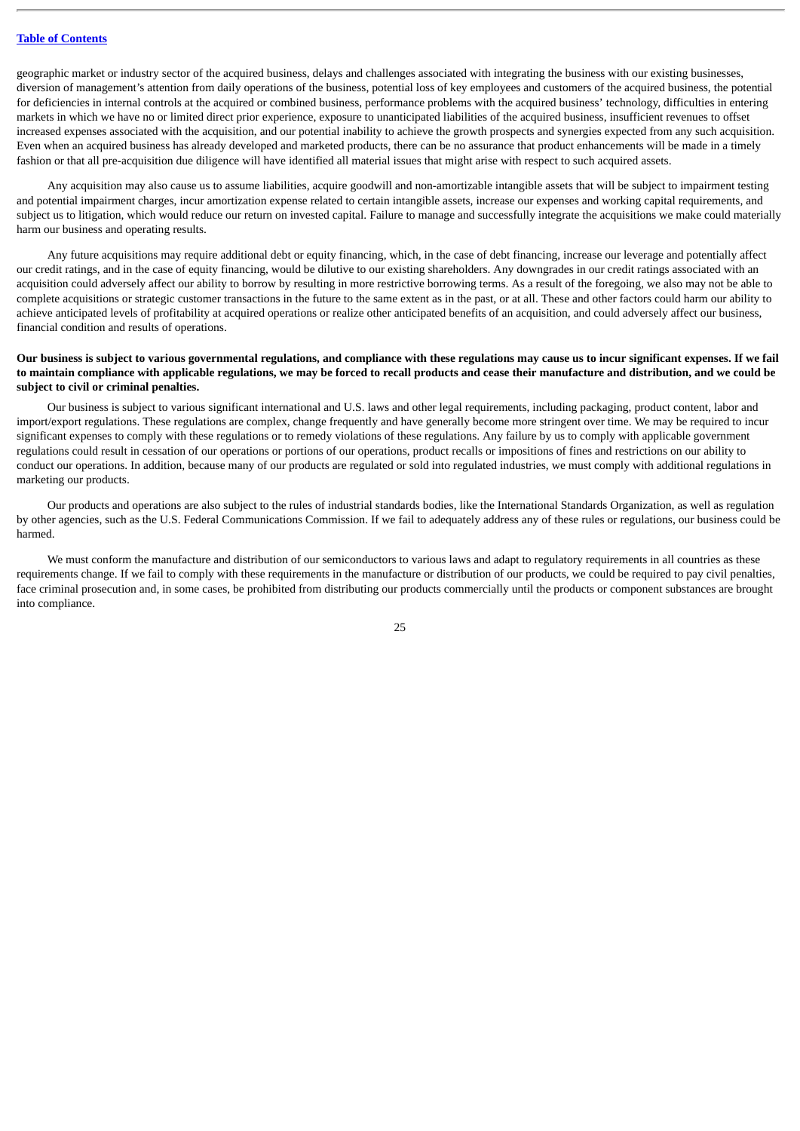geographic market or industry sector of the acquired business, delays and challenges associated with integrating the business with our existing businesses, diversion of management's attention from daily operations of the business, potential loss of key employees and customers of the acquired business, the potential for deficiencies in internal controls at the acquired or combined business, performance problems with the acquired business' technology, difficulties in entering markets in which we have no or limited direct prior experience, exposure to unanticipated liabilities of the acquired business, insufficient revenues to offset increased expenses associated with the acquisition, and our potential inability to achieve the growth prospects and synergies expected from any such acquisition. Even when an acquired business has already developed and marketed products, there can be no assurance that product enhancements will be made in a timely fashion or that all pre-acquisition due diligence will have identified all material issues that might arise with respect to such acquired assets.

Any acquisition may also cause us to assume liabilities, acquire goodwill and non-amortizable intangible assets that will be subject to impairment testing and potential impairment charges, incur amortization expense related to certain intangible assets, increase our expenses and working capital requirements, and subject us to litigation, which would reduce our return on invested capital. Failure to manage and successfully integrate the acquisitions we make could materially harm our business and operating results.

Any future acquisitions may require additional debt or equity financing, which, in the case of debt financing, increase our leverage and potentially affect our credit ratings, and in the case of equity financing, would be dilutive to our existing shareholders. Any downgrades in our credit ratings associated with an acquisition could adversely affect our ability to borrow by resulting in more restrictive borrowing terms. As a result of the foregoing, we also may not be able to complete acquisitions or strategic customer transactions in the future to the same extent as in the past, or at all. These and other factors could harm our ability to achieve anticipated levels of profitability at acquired operations or realize other anticipated benefits of an acquisition, and could adversely affect our business, financial condition and results of operations.

# **Our business is subject to various governmental regulations, and compliance with these regulations may cause us to incur significant expenses. If we fail to maintain compliance with applicable regulations, we may be forced to recall products and cease their manufacture and distribution, and we could be subject to civil or criminal penalties.**

Our business is subject to various significant international and U.S. laws and other legal requirements, including packaging, product content, labor and import/export regulations. These regulations are complex, change frequently and have generally become more stringent over time. We may be required to incur significant expenses to comply with these regulations or to remedy violations of these regulations. Any failure by us to comply with applicable government regulations could result in cessation of our operations or portions of our operations, product recalls or impositions of fines and restrictions on our ability to conduct our operations. In addition, because many of our products are regulated or sold into regulated industries, we must comply with additional regulations in marketing our products.

Our products and operations are also subject to the rules of industrial standards bodies, like the International Standards Organization, as well as regulation by other agencies, such as the U.S. Federal Communications Commission. If we fail to adequately address any of these rules or regulations, our business could be harmed.

We must conform the manufacture and distribution of our semiconductors to various laws and adapt to regulatory requirements in all countries as these requirements change. If we fail to comply with these requirements in the manufacture or distribution of our products, we could be required to pay civil penalties, face criminal prosecution and, in some cases, be prohibited from distributing our products commercially until the products or component substances are brought into compliance.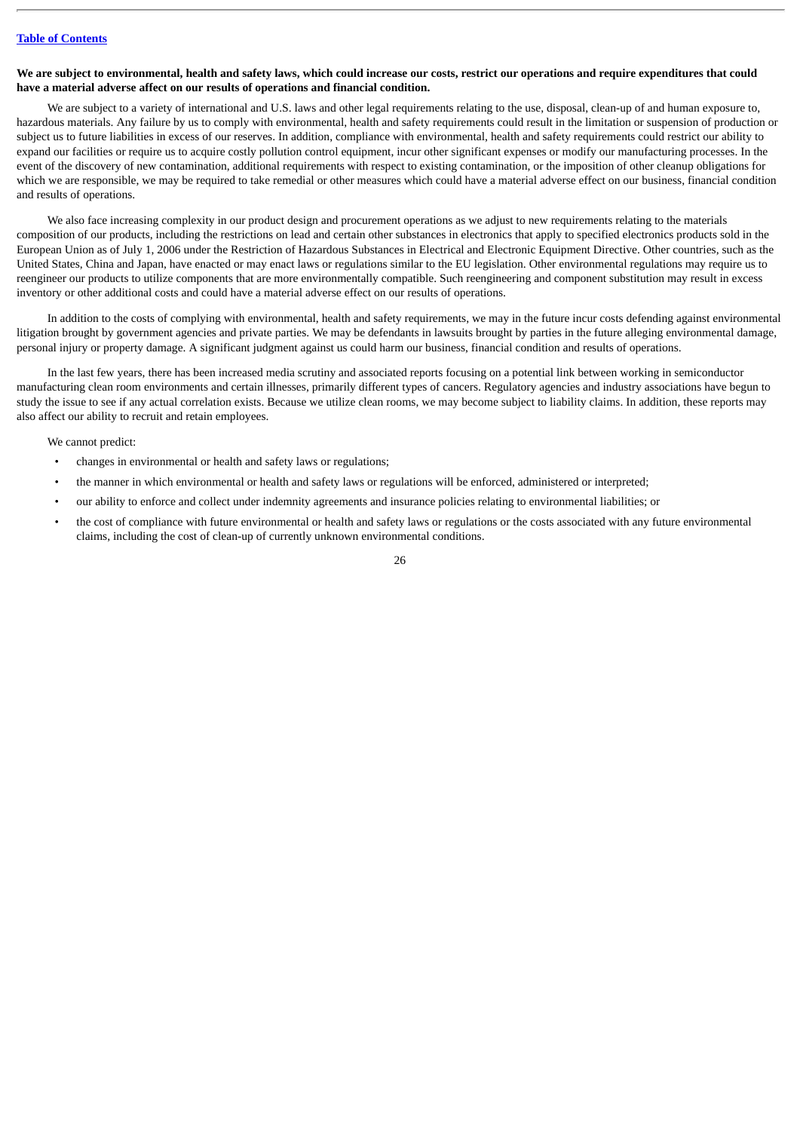#### **We are subject to environmental, health and safety laws, which could increase our costs, restrict our operations and require expenditures that could have a material adverse affect on our results of operations and financial condition.**

We are subject to a variety of international and U.S. laws and other legal requirements relating to the use, disposal, clean-up of and human exposure to, hazardous materials. Any failure by us to comply with environmental, health and safety requirements could result in the limitation or suspension of production or subject us to future liabilities in excess of our reserves. In addition, compliance with environmental, health and safety requirements could restrict our ability to expand our facilities or require us to acquire costly pollution control equipment, incur other significant expenses or modify our manufacturing processes. In the event of the discovery of new contamination, additional requirements with respect to existing contamination, or the imposition of other cleanup obligations for which we are responsible, we may be required to take remedial or other measures which could have a material adverse effect on our business, financial condition and results of operations.

We also face increasing complexity in our product design and procurement operations as we adjust to new requirements relating to the materials composition of our products, including the restrictions on lead and certain other substances in electronics that apply to specified electronics products sold in the European Union as of July 1, 2006 under the Restriction of Hazardous Substances in Electrical and Electronic Equipment Directive. Other countries, such as the United States, China and Japan, have enacted or may enact laws or regulations similar to the EU legislation. Other environmental regulations may require us to reengineer our products to utilize components that are more environmentally compatible. Such reengineering and component substitution may result in excess inventory or other additional costs and could have a material adverse effect on our results of operations.

In addition to the costs of complying with environmental, health and safety requirements, we may in the future incur costs defending against environmental litigation brought by government agencies and private parties. We may be defendants in lawsuits brought by parties in the future alleging environmental damage, personal injury or property damage. A significant judgment against us could harm our business, financial condition and results of operations.

In the last few years, there has been increased media scrutiny and associated reports focusing on a potential link between working in semiconductor manufacturing clean room environments and certain illnesses, primarily different types of cancers. Regulatory agencies and industry associations have begun to study the issue to see if any actual correlation exists. Because we utilize clean rooms, we may become subject to liability claims. In addition, these reports may also affect our ability to recruit and retain employees.

We cannot predict:

- changes in environmental or health and safety laws or regulations;
- the manner in which environmental or health and safety laws or regulations will be enforced, administered or interpreted;
- our ability to enforce and collect under indemnity agreements and insurance policies relating to environmental liabilities; or
- the cost of compliance with future environmental or health and safety laws or regulations or the costs associated with any future environmental claims, including the cost of clean-up of currently unknown environmental conditions.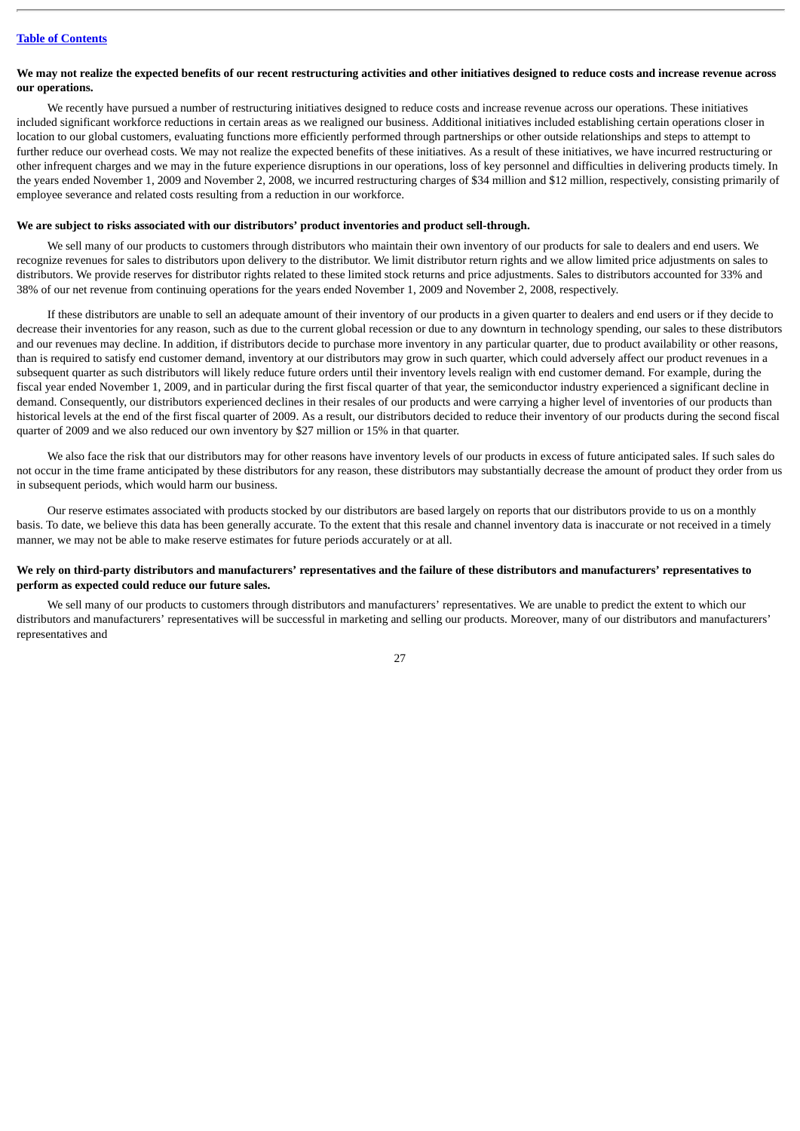# **We may not realize the expected benefits of our recent restructuring activities and other initiatives designed to reduce costs and increase revenue across our operations.**

We recently have pursued a number of restructuring initiatives designed to reduce costs and increase revenue across our operations. These initiatives included significant workforce reductions in certain areas as we realigned our business. Additional initiatives included establishing certain operations closer in location to our global customers, evaluating functions more efficiently performed through partnerships or other outside relationships and steps to attempt to further reduce our overhead costs. We may not realize the expected benefits of these initiatives. As a result of these initiatives, we have incurred restructuring or other infrequent charges and we may in the future experience disruptions in our operations, loss of key personnel and difficulties in delivering products timely. In the years ended November 1, 2009 and November 2, 2008, we incurred restructuring charges of \$34 million and \$12 million, respectively, consisting primarily of employee severance and related costs resulting from a reduction in our workforce.

# **We are subject to risks associated with our distributors' product inventories and product sell-through.**

We sell many of our products to customers through distributors who maintain their own inventory of our products for sale to dealers and end users. We recognize revenues for sales to distributors upon delivery to the distributor. We limit distributor return rights and we allow limited price adjustments on sales to distributors. We provide reserves for distributor rights related to these limited stock returns and price adjustments. Sales to distributors accounted for 33% and 38% of our net revenue from continuing operations for the years ended November 1, 2009 and November 2, 2008, respectively.

If these distributors are unable to sell an adequate amount of their inventory of our products in a given quarter to dealers and end users or if they decide to decrease their inventories for any reason, such as due to the current global recession or due to any downturn in technology spending, our sales to these distributors and our revenues may decline. In addition, if distributors decide to purchase more inventory in any particular quarter, due to product availability or other reasons, than is required to satisfy end customer demand, inventory at our distributors may grow in such quarter, which could adversely affect our product revenues in a subsequent quarter as such distributors will likely reduce future orders until their inventory levels realign with end customer demand. For example, during the fiscal year ended November 1, 2009, and in particular during the first fiscal quarter of that year, the semiconductor industry experienced a significant decline in demand. Consequently, our distributors experienced declines in their resales of our products and were carrying a higher level of inventories of our products than historical levels at the end of the first fiscal quarter of 2009. As a result, our distributors decided to reduce their inventory of our products during the second fiscal quarter of 2009 and we also reduced our own inventory by \$27 million or 15% in that quarter.

We also face the risk that our distributors may for other reasons have inventory levels of our products in excess of future anticipated sales. If such sales do not occur in the time frame anticipated by these distributors for any reason, these distributors may substantially decrease the amount of product they order from us in subsequent periods, which would harm our business.

Our reserve estimates associated with products stocked by our distributors are based largely on reports that our distributors provide to us on a monthly basis. To date, we believe this data has been generally accurate. To the extent that this resale and channel inventory data is inaccurate or not received in a timely manner, we may not be able to make reserve estimates for future periods accurately or at all.

# **We rely on third-party distributors and manufacturers' representatives and the failure of these distributors and manufacturers' representatives to perform as expected could reduce our future sales.**

We sell many of our products to customers through distributors and manufacturers' representatives. We are unable to predict the extent to which our distributors and manufacturers' representatives will be successful in marketing and selling our products. Moreover, many of our distributors and manufacturers' representatives and

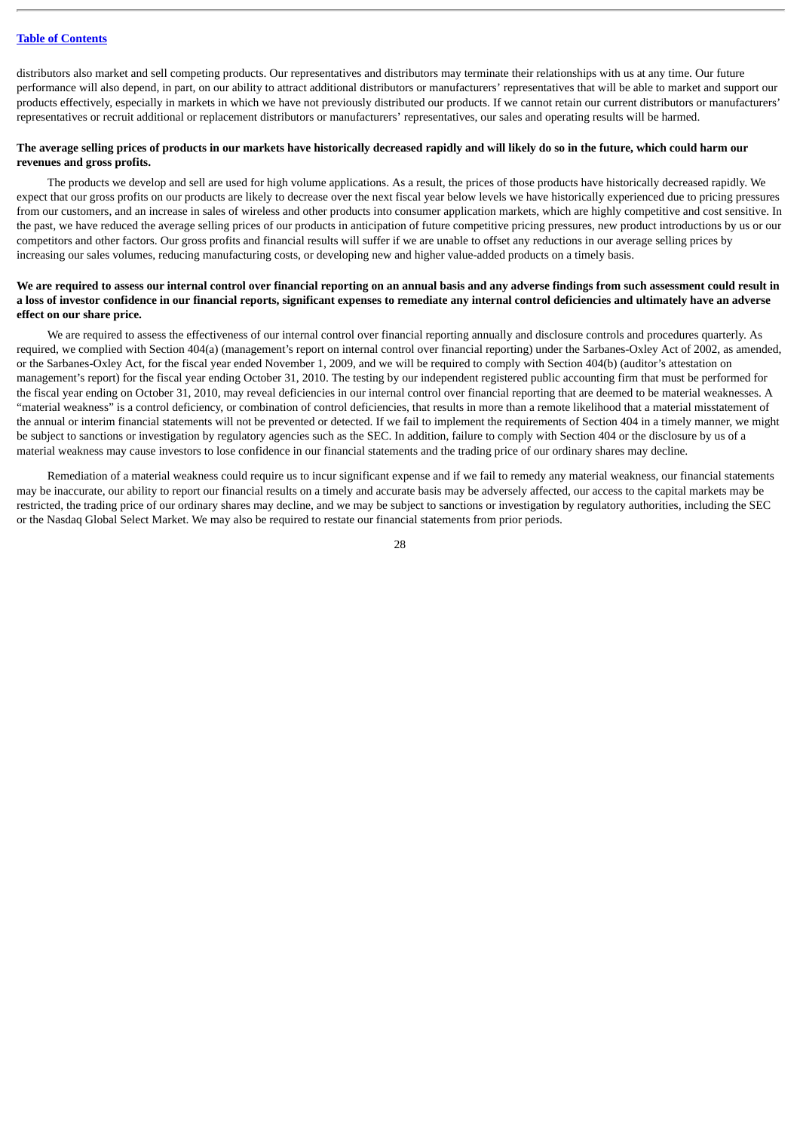distributors also market and sell competing products. Our representatives and distributors may terminate their relationships with us at any time. Our future performance will also depend, in part, on our ability to attract additional distributors or manufacturers' representatives that will be able to market and support our products effectively, especially in markets in which we have not previously distributed our products. If we cannot retain our current distributors or manufacturers' representatives or recruit additional or replacement distributors or manufacturers' representatives, our sales and operating results will be harmed.

# **The average selling prices of products in our markets have historically decreased rapidly and will likely do so in the future, which could harm our revenues and gross profits.**

The products we develop and sell are used for high volume applications. As a result, the prices of those products have historically decreased rapidly. We expect that our gross profits on our products are likely to decrease over the next fiscal year below levels we have historically experienced due to pricing pressures from our customers, and an increase in sales of wireless and other products into consumer application markets, which are highly competitive and cost sensitive. In the past, we have reduced the average selling prices of our products in anticipation of future competitive pricing pressures, new product introductions by us or our competitors and other factors. Our gross profits and financial results will suffer if we are unable to offset any reductions in our average selling prices by increasing our sales volumes, reducing manufacturing costs, or developing new and higher value-added products on a timely basis.

# **We are required to assess our internal control over financial reporting on an annual basis and any adverse findings from such assessment could result in a loss of investor confidence in our financial reports, significant expenses to remediate any internal control deficiencies and ultimately have an adverse effect on our share price.**

We are required to assess the effectiveness of our internal control over financial reporting annually and disclosure controls and procedures quarterly. As required, we complied with Section 404(a) (management's report on internal control over financial reporting) under the Sarbanes-Oxley Act of 2002, as amended, or the Sarbanes-Oxley Act, for the fiscal year ended November 1, 2009, and we will be required to comply with Section 404(b) (auditor's attestation on management's report) for the fiscal year ending October 31, 2010. The testing by our independent registered public accounting firm that must be performed for the fiscal year ending on October 31, 2010, may reveal deficiencies in our internal control over financial reporting that are deemed to be material weaknesses. A "material weakness" is a control deficiency, or combination of control deficiencies, that results in more than a remote likelihood that a material misstatement of the annual or interim financial statements will not be prevented or detected. If we fail to implement the requirements of Section 404 in a timely manner, we might be subject to sanctions or investigation by regulatory agencies such as the SEC. In addition, failure to comply with Section 404 or the disclosure by us of a material weakness may cause investors to lose confidence in our financial statements and the trading price of our ordinary shares may decline.

Remediation of a material weakness could require us to incur significant expense and if we fail to remedy any material weakness, our financial statements may be inaccurate, our ability to report our financial results on a timely and accurate basis may be adversely affected, our access to the capital markets may be restricted, the trading price of our ordinary shares may decline, and we may be subject to sanctions or investigation by regulatory authorities, including the SEC or the Nasdaq Global Select Market. We may also be required to restate our financial statements from prior periods.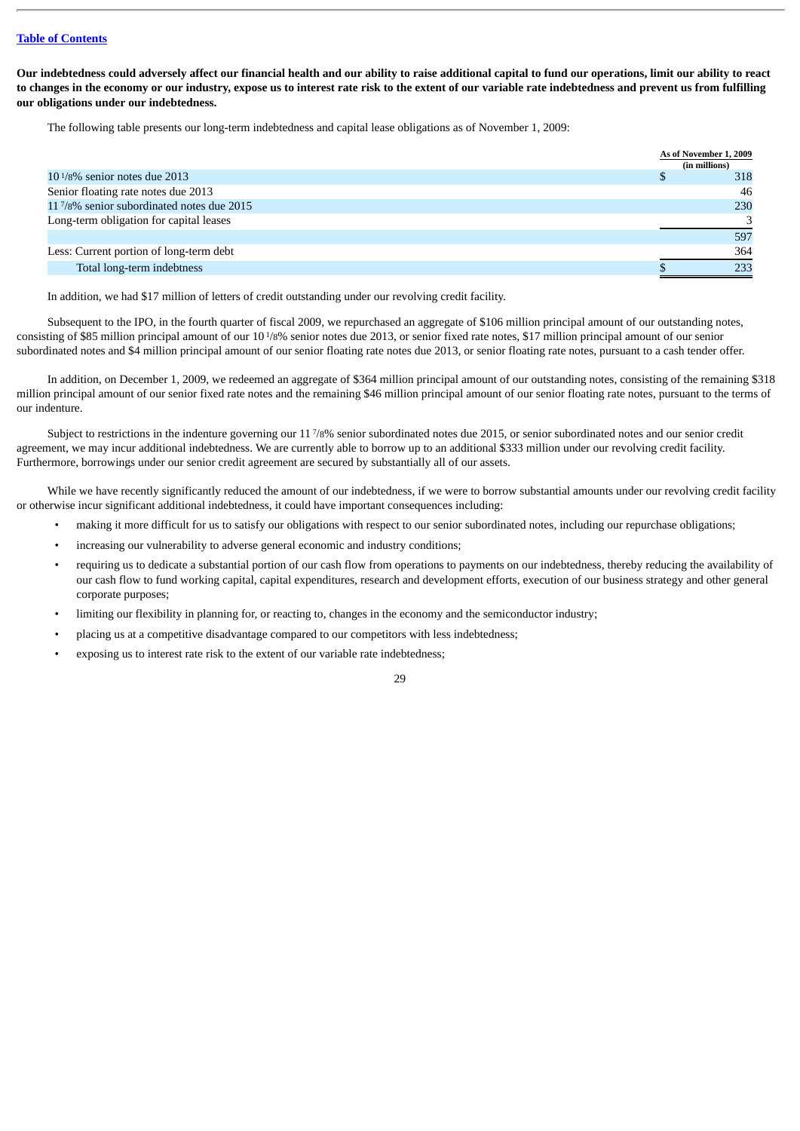**Our indebtedness could adversely affect our financial health and our ability to raise additional capital to fund our operations, limit our ability to react to changes in the economy or our industry, expose us to interest rate risk to the extent of our variable rate indebtedness and prevent us from fulfilling our obligations under our indebtedness.**

The following table presents our long-term indebtedness and capital lease obligations as of November 1, 2009:

|                                           |  | As of November 1, 2009 |
|-------------------------------------------|--|------------------------|
|                                           |  | (in millions)          |
| $10\frac{1}{8}\%$ senior notes due 2013   |  | 318                    |
| Senior floating rate notes due 2013       |  | 46                     |
| 117/8% senior subordinated notes due 2015 |  | 230                    |
| Long-term obligation for capital leases   |  |                        |
|                                           |  | 597                    |
| Less: Current portion of long-term debt   |  | 364                    |
| Total long-term indebtness                |  | 233                    |

In addition, we had \$17 million of letters of credit outstanding under our revolving credit facility.

Subsequent to the IPO, in the fourth quarter of fiscal 2009, we repurchased an aggregate of \$106 million principal amount of our outstanding notes, consisting of \$85 million principal amount of our 10 /8% senior notes due 2013, or senior fixed rate notes, \$17 million principal amount of our senior 1 subordinated notes and \$4 million principal amount of our senior floating rate notes due 2013, or senior floating rate notes, pursuant to a cash tender offer.

In addition, on December 1, 2009, we redeemed an aggregate of \$364 million principal amount of our outstanding notes, consisting of the remaining \$318 million principal amount of our senior fixed rate notes and the remaining \$46 million principal amount of our senior floating rate notes, pursuant to the terms of our indenture.

Subject to restrictions in the indenture governing our 117/8% senior subordinated notes due 2015, or senior subordinated notes and our senior credit agreement, we may incur additional indebtedness. We are currently able to borrow up to an additional \$333 million under our revolving credit facility. Furthermore, borrowings under our senior credit agreement are secured by substantially all of our assets.

While we have recently significantly reduced the amount of our indebtedness, if we were to borrow substantial amounts under our revolving credit facility or otherwise incur significant additional indebtedness, it could have important consequences including:

- making it more difficult for us to satisfy our obligations with respect to our senior subordinated notes, including our repurchase obligations;
- increasing our vulnerability to adverse general economic and industry conditions;
- requiring us to dedicate a substantial portion of our cash flow from operations to payments on our indebtedness, thereby reducing the availability of our cash flow to fund working capital, capital expenditures, research and development efforts, execution of our business strategy and other general corporate purposes;
- limiting our flexibility in planning for, or reacting to, changes in the economy and the semiconductor industry;
- placing us at a competitive disadvantage compared to our competitors with less indebtedness;
- exposing us to interest rate risk to the extent of our variable rate indebtedness;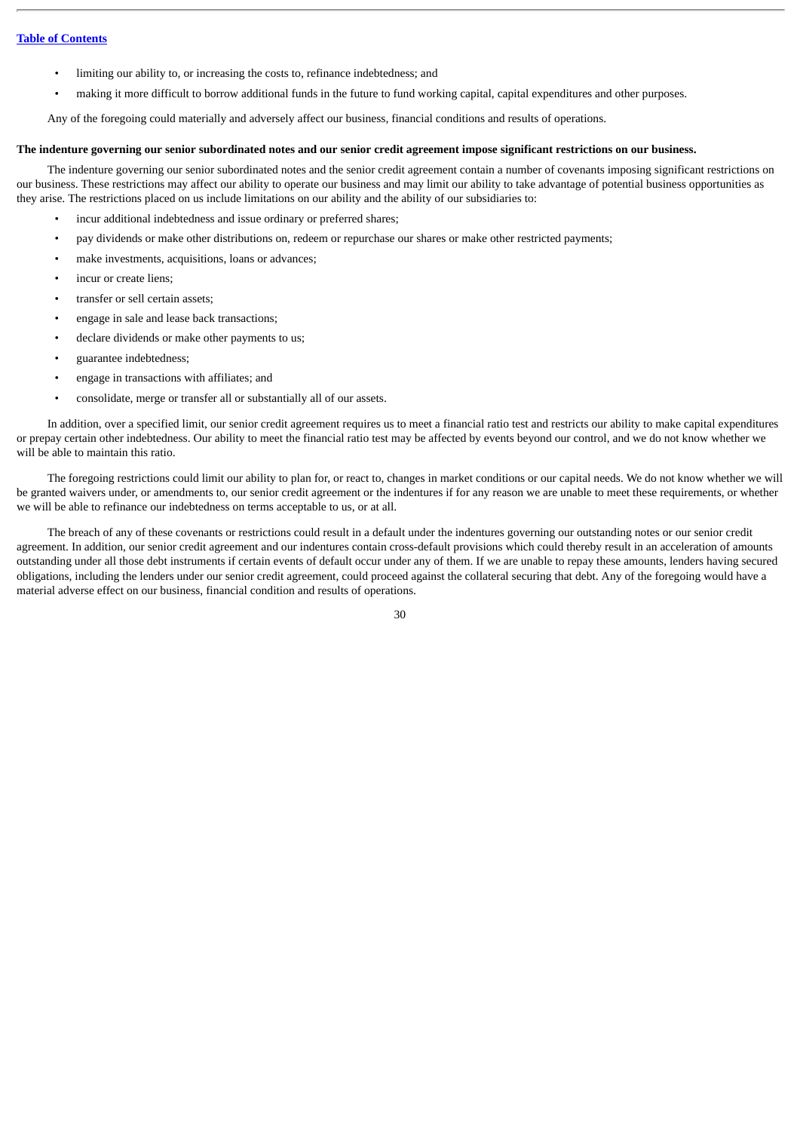- limiting our ability to, or increasing the costs to, refinance indebtedness; and
- making it more difficult to borrow additional funds in the future to fund working capital, capital expenditures and other purposes.

Any of the foregoing could materially and adversely affect our business, financial conditions and results of operations.

#### **The indenture governing our senior subordinated notes and our senior credit agreement impose significant restrictions on our business.**

The indenture governing our senior subordinated notes and the senior credit agreement contain a number of covenants imposing significant restrictions on our business. These restrictions may affect our ability to operate our business and may limit our ability to take advantage of potential business opportunities as they arise. The restrictions placed on us include limitations on our ability and the ability of our subsidiaries to:

- incur additional indebtedness and issue ordinary or preferred shares;
- pay dividends or make other distributions on, redeem or repurchase our shares or make other restricted payments;
- make investments, acquisitions, loans or advances;
- incur or create liens:
- transfer or sell certain assets;
- engage in sale and lease back transactions;
- declare dividends or make other payments to us;
- guarantee indebtedness;
- engage in transactions with affiliates; and
- consolidate, merge or transfer all or substantially all of our assets.

In addition, over a specified limit, our senior credit agreement requires us to meet a financial ratio test and restricts our ability to make capital expenditures or prepay certain other indebtedness. Our ability to meet the financial ratio test may be affected by events beyond our control, and we do not know whether we will be able to maintain this ratio.

The foregoing restrictions could limit our ability to plan for, or react to, changes in market conditions or our capital needs. We do not know whether we will be granted waivers under, or amendments to, our senior credit agreement or the indentures if for any reason we are unable to meet these requirements, or whether we will be able to refinance our indebtedness on terms acceptable to us, or at all.

The breach of any of these covenants or restrictions could result in a default under the indentures governing our outstanding notes or our senior credit agreement. In addition, our senior credit agreement and our indentures contain cross-default provisions which could thereby result in an acceleration of amounts outstanding under all those debt instruments if certain events of default occur under any of them. If we are unable to repay these amounts, lenders having secured obligations, including the lenders under our senior credit agreement, could proceed against the collateral securing that debt. Any of the foregoing would have a material adverse effect on our business, financial condition and results of operations.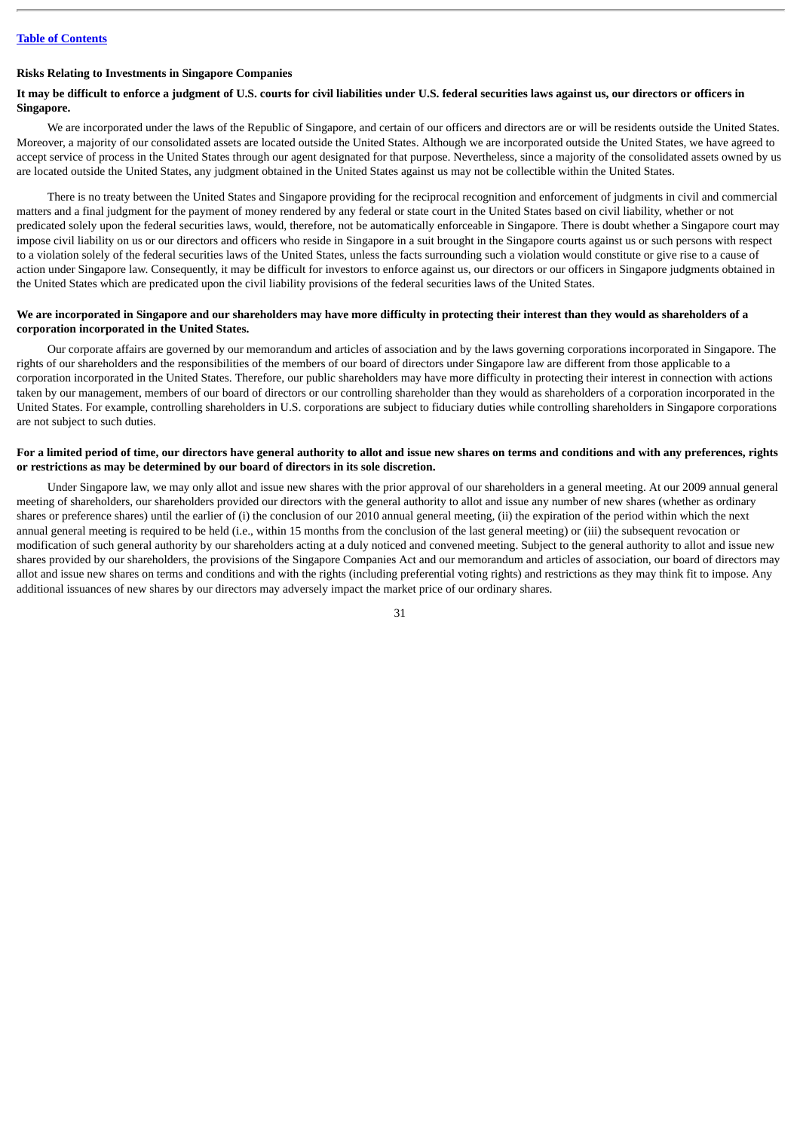#### **Risks Relating to Investments in Singapore Companies**

# **It may be difficult to enforce a judgment of U.S. courts for civil liabilities under U.S. federal securities laws against us, our directors or officers in Singapore.**

We are incorporated under the laws of the Republic of Singapore, and certain of our officers and directors are or will be residents outside the United States. Moreover, a majority of our consolidated assets are located outside the United States. Although we are incorporated outside the United States, we have agreed to accept service of process in the United States through our agent designated for that purpose. Nevertheless, since a majority of the consolidated assets owned by us are located outside the United States, any judgment obtained in the United States against us may not be collectible within the United States.

There is no treaty between the United States and Singapore providing for the reciprocal recognition and enforcement of judgments in civil and commercial matters and a final judgment for the payment of money rendered by any federal or state court in the United States based on civil liability, whether or not predicated solely upon the federal securities laws, would, therefore, not be automatically enforceable in Singapore. There is doubt whether a Singapore court may impose civil liability on us or our directors and officers who reside in Singapore in a suit brought in the Singapore courts against us or such persons with respect to a violation solely of the federal securities laws of the United States, unless the facts surrounding such a violation would constitute or give rise to a cause of action under Singapore law. Consequently, it may be difficult for investors to enforce against us, our directors or our officers in Singapore judgments obtained in the United States which are predicated upon the civil liability provisions of the federal securities laws of the United States.

# **We are incorporated in Singapore and our shareholders may have more difficulty in protecting their interest than they would as shareholders of a corporation incorporated in the United States.**

Our corporate affairs are governed by our memorandum and articles of association and by the laws governing corporations incorporated in Singapore. The rights of our shareholders and the responsibilities of the members of our board of directors under Singapore law are different from those applicable to a corporation incorporated in the United States. Therefore, our public shareholders may have more difficulty in protecting their interest in connection with actions taken by our management, members of our board of directors or our controlling shareholder than they would as shareholders of a corporation incorporated in the United States. For example, controlling shareholders in U.S. corporations are subject to fiduciary duties while controlling shareholders in Singapore corporations are not subject to such duties.

# **For a limited period of time, our directors have general authority to allot and issue new shares on terms and conditions and with any preferences, rights or restrictions as may be determined by our board of directors in its sole discretion.**

Under Singapore law, we may only allot and issue new shares with the prior approval of our shareholders in a general meeting. At our 2009 annual general meeting of shareholders, our shareholders provided our directors with the general authority to allot and issue any number of new shares (whether as ordinary shares or preference shares) until the earlier of (i) the conclusion of our 2010 annual general meeting, (ii) the expiration of the period within which the next annual general meeting is required to be held (i.e., within 15 months from the conclusion of the last general meeting) or (iii) the subsequent revocation or modification of such general authority by our shareholders acting at a duly noticed and convened meeting. Subject to the general authority to allot and issue new shares provided by our shareholders, the provisions of the Singapore Companies Act and our memorandum and articles of association, our board of directors may allot and issue new shares on terms and conditions and with the rights (including preferential voting rights) and restrictions as they may think fit to impose. Any additional issuances of new shares by our directors may adversely impact the market price of our ordinary shares.

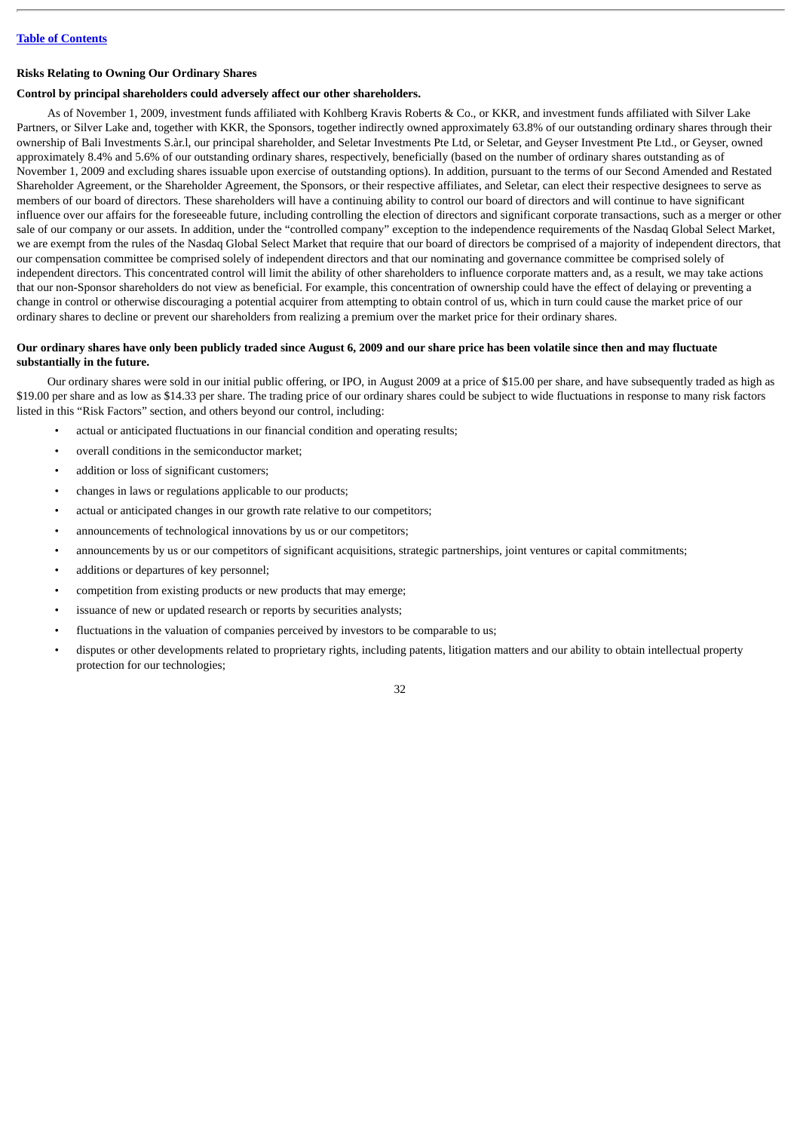#### **Risks Relating to Owning Our Ordinary Shares**

# **Control by principal shareholders could adversely affect our other shareholders.**

As of November 1, 2009, investment funds affiliated with Kohlberg Kravis Roberts & Co., or KKR, and investment funds affiliated with Silver Lake Partners, or Silver Lake and, together with KKR, the Sponsors, together indirectly owned approximately 63.8% of our outstanding ordinary shares through their ownership of Bali Investments S.àr.l, our principal shareholder, and Seletar Investments Pte Ltd, or Seletar, and Geyser Investment Pte Ltd., or Geyser, owned approximately 8.4% and 5.6% of our outstanding ordinary shares, respectively, beneficially (based on the number of ordinary shares outstanding as of November 1, 2009 and excluding shares issuable upon exercise of outstanding options). In addition, pursuant to the terms of our Second Amended and Restated Shareholder Agreement, or the Shareholder Agreement, the Sponsors, or their respective affiliates, and Seletar, can elect their respective designees to serve as members of our board of directors. These shareholders will have a continuing ability to control our board of directors and will continue to have significant influence over our affairs for the foreseeable future, including controlling the election of directors and significant corporate transactions, such as a merger or other sale of our company or our assets. In addition, under the "controlled company" exception to the independence requirements of the Nasdaq Global Select Market, we are exempt from the rules of the Nasdaq Global Select Market that require that our board of directors be comprised of a majority of independent directors, that our compensation committee be comprised solely of independent directors and that our nominating and governance committee be comprised solely of independent directors. This concentrated control will limit the ability of other shareholders to influence corporate matters and, as a result, we may take actions that our non-Sponsor shareholders do not view as beneficial. For example, this concentration of ownership could have the effect of delaying or preventing a change in control or otherwise discouraging a potential acquirer from attempting to obtain control of us, which in turn could cause the market price of our ordinary shares to decline or prevent our shareholders from realizing a premium over the market price for their ordinary shares.

# **Our ordinary shares have only been publicly traded since August 6, 2009 and our share price has been volatile since then and may fluctuate substantially in the future.**

Our ordinary shares were sold in our initial public offering, or IPO, in August 2009 at a price of \$15.00 per share, and have subsequently traded as high as \$19.00 per share and as low as \$14.33 per share. The trading price of our ordinary shares could be subject to wide fluctuations in response to many risk factors listed in this "Risk Factors" section, and others beyond our control, including:

- actual or anticipated fluctuations in our financial condition and operating results;
- overall conditions in the semiconductor market;
- addition or loss of significant customers:
- changes in laws or regulations applicable to our products;
- actual or anticipated changes in our growth rate relative to our competitors;
- announcements of technological innovations by us or our competitors;
- announcements by us or our competitors of significant acquisitions, strategic partnerships, joint ventures or capital commitments;
- additions or departures of key personnel;
- competition from existing products or new products that may emerge;
- issuance of new or updated research or reports by securities analysts;
- fluctuations in the valuation of companies perceived by investors to be comparable to us;
- disputes or other developments related to proprietary rights, including patents, litigation matters and our ability to obtain intellectual property protection for our technologies;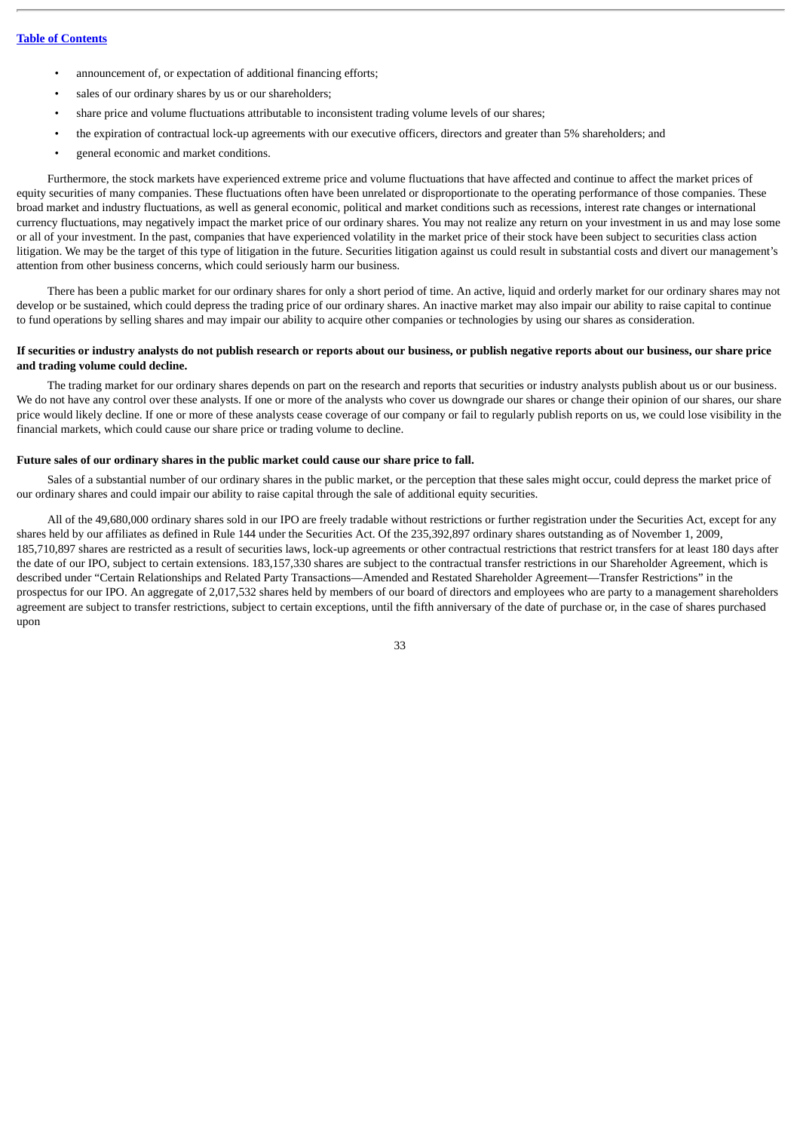- announcement of, or expectation of additional financing efforts;
- sales of our ordinary shares by us or our shareholders;
- share price and volume fluctuations attributable to inconsistent trading volume levels of our shares;
- the expiration of contractual lock-up agreements with our executive officers, directors and greater than 5% shareholders; and
- general economic and market conditions.

Furthermore, the stock markets have experienced extreme price and volume fluctuations that have affected and continue to affect the market prices of equity securities of many companies. These fluctuations often have been unrelated or disproportionate to the operating performance of those companies. These broad market and industry fluctuations, as well as general economic, political and market conditions such as recessions, interest rate changes or international currency fluctuations, may negatively impact the market price of our ordinary shares. You may not realize any return on your investment in us and may lose some or all of your investment. In the past, companies that have experienced volatility in the market price of their stock have been subject to securities class action litigation. We may be the target of this type of litigation in the future. Securities litigation against us could result in substantial costs and divert our management's attention from other business concerns, which could seriously harm our business.

There has been a public market for our ordinary shares for only a short period of time. An active, liquid and orderly market for our ordinary shares may not develop or be sustained, which could depress the trading price of our ordinary shares. An inactive market may also impair our ability to raise capital to continue to fund operations by selling shares and may impair our ability to acquire other companies or technologies by using our shares as consideration.

#### **If securities or industry analysts do not publish research or reports about our business, or publish negative reports about our business, our share price and trading volume could decline.**

The trading market for our ordinary shares depends on part on the research and reports that securities or industry analysts publish about us or our business. We do not have any control over these analysts. If one or more of the analysts who cover us downgrade our shares or change their opinion of our shares, our share price would likely decline. If one or more of these analysts cease coverage of our company or fail to regularly publish reports on us, we could lose visibility in the financial markets, which could cause our share price or trading volume to decline.

#### **Future sales of our ordinary shares in the public market could cause our share price to fall.**

Sales of a substantial number of our ordinary shares in the public market, or the perception that these sales might occur, could depress the market price of our ordinary shares and could impair our ability to raise capital through the sale of additional equity securities.

All of the 49,680,000 ordinary shares sold in our IPO are freely tradable without restrictions or further registration under the Securities Act, except for any shares held by our affiliates as defined in Rule 144 under the Securities Act. Of the 235,392,897 ordinary shares outstanding as of November 1, 2009, 185,710,897 shares are restricted as a result of securities laws, lock-up agreements or other contractual restrictions that restrict transfers for at least 180 days after the date of our IPO, subject to certain extensions. 183,157,330 shares are subject to the contractual transfer restrictions in our Shareholder Agreement, which is described under "Certain Relationships and Related Party Transactions—Amended and Restated Shareholder Agreement—Transfer Restrictions" in the prospectus for our IPO. An aggregate of 2,017,532 shares held by members of our board of directors and employees who are party to a management shareholders agreement are subject to transfer restrictions, subject to certain exceptions, until the fifth anniversary of the date of purchase or, in the case of shares purchased upon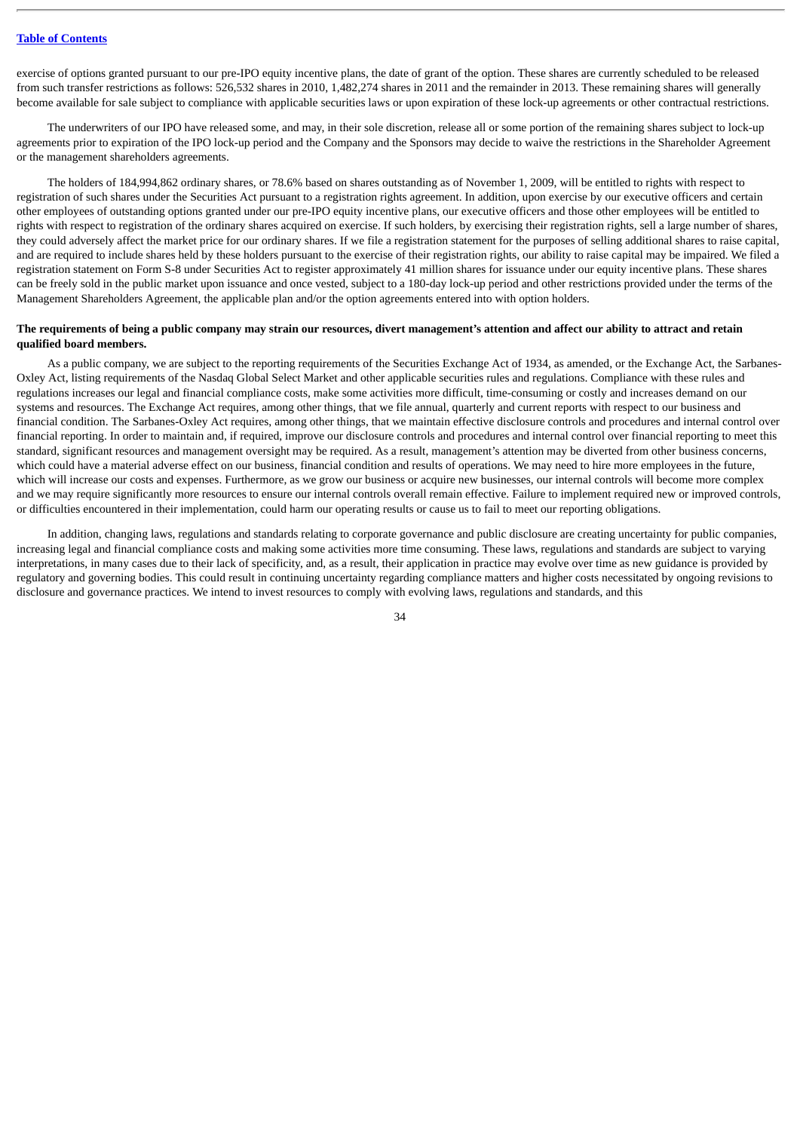exercise of options granted pursuant to our pre-IPO equity incentive plans, the date of grant of the option. These shares are currently scheduled to be released from such transfer restrictions as follows: 526,532 shares in 2010, 1,482,274 shares in 2011 and the remainder in 2013. These remaining shares will generally become available for sale subject to compliance with applicable securities laws or upon expiration of these lock-up agreements or other contractual restrictions.

The underwriters of our IPO have released some, and may, in their sole discretion, release all or some portion of the remaining shares subject to lock-up agreements prior to expiration of the IPO lock-up period and the Company and the Sponsors may decide to waive the restrictions in the Shareholder Agreement or the management shareholders agreements.

The holders of 184,994,862 ordinary shares, or 78.6% based on shares outstanding as of November 1, 2009, will be entitled to rights with respect to registration of such shares under the Securities Act pursuant to a registration rights agreement. In addition, upon exercise by our executive officers and certain other employees of outstanding options granted under our pre-IPO equity incentive plans, our executive officers and those other employees will be entitled to rights with respect to registration of the ordinary shares acquired on exercise. If such holders, by exercising their registration rights, sell a large number of shares, they could adversely affect the market price for our ordinary shares. If we file a registration statement for the purposes of selling additional shares to raise capital, and are required to include shares held by these holders pursuant to the exercise of their registration rights, our ability to raise capital may be impaired. We filed a registration statement on Form S-8 under Securities Act to register approximately 41 million shares for issuance under our equity incentive plans. These shares can be freely sold in the public market upon issuance and once vested, subject to a 180-day lock-up period and other restrictions provided under the terms of the Management Shareholders Agreement, the applicable plan and/or the option agreements entered into with option holders.

# **The requirements of being a public company may strain our resources, divert management's attention and affect our ability to attract and retain qualified board members.**

As a public company, we are subject to the reporting requirements of the Securities Exchange Act of 1934, as amended, or the Exchange Act, the Sarbanes-Oxley Act, listing requirements of the Nasdaq Global Select Market and other applicable securities rules and regulations. Compliance with these rules and regulations increases our legal and financial compliance costs, make some activities more difficult, time-consuming or costly and increases demand on our systems and resources. The Exchange Act requires, among other things, that we file annual, quarterly and current reports with respect to our business and financial condition. The Sarbanes-Oxley Act requires, among other things, that we maintain effective disclosure controls and procedures and internal control over financial reporting. In order to maintain and, if required, improve our disclosure controls and procedures and internal control over financial reporting to meet this standard, significant resources and management oversight may be required. As a result, management's attention may be diverted from other business concerns, which could have a material adverse effect on our business, financial condition and results of operations. We may need to hire more employees in the future, which will increase our costs and expenses. Furthermore, as we grow our business or acquire new businesses, our internal controls will become more complex and we may require significantly more resources to ensure our internal controls overall remain effective. Failure to implement required new or improved controls, or difficulties encountered in their implementation, could harm our operating results or cause us to fail to meet our reporting obligations.

In addition, changing laws, regulations and standards relating to corporate governance and public disclosure are creating uncertainty for public companies, increasing legal and financial compliance costs and making some activities more time consuming. These laws, regulations and standards are subject to varying interpretations, in many cases due to their lack of specificity, and, as a result, their application in practice may evolve over time as new guidance is provided by regulatory and governing bodies. This could result in continuing uncertainty regarding compliance matters and higher costs necessitated by ongoing revisions to disclosure and governance practices. We intend to invest resources to comply with evolving laws, regulations and standards, and this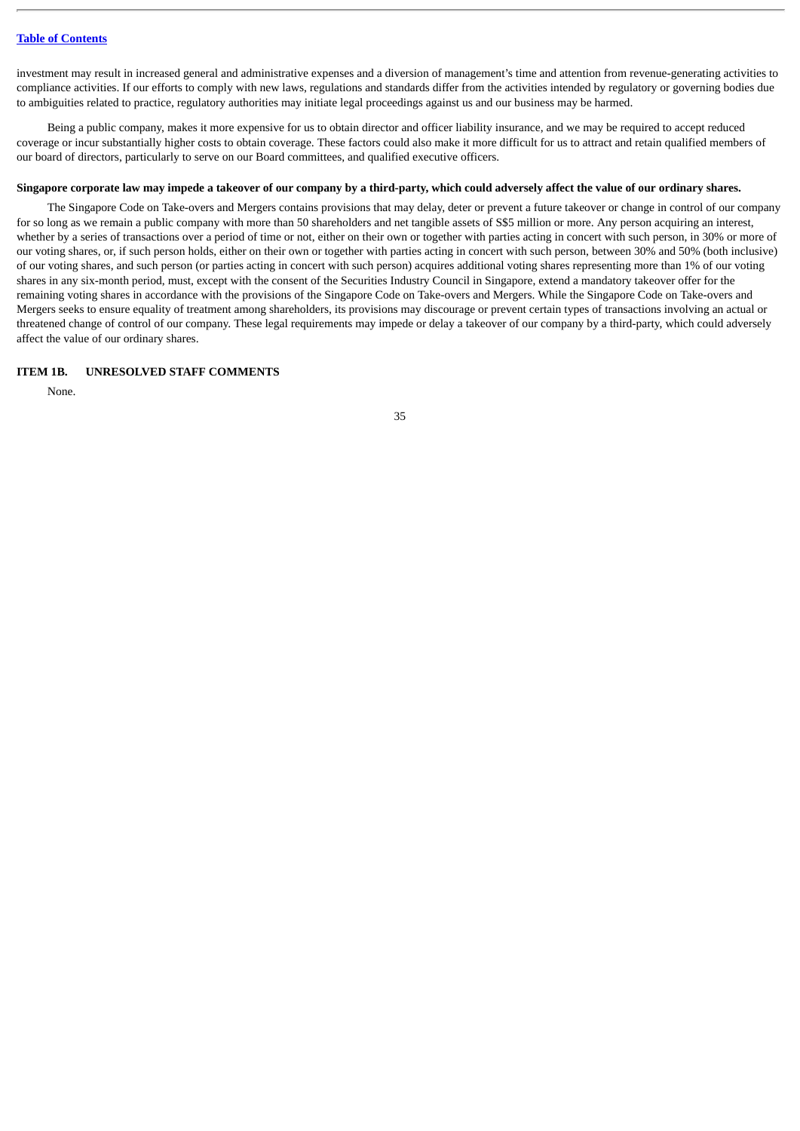investment may result in increased general and administrative expenses and a diversion of management's time and attention from revenue-generating activities to compliance activities. If our efforts to comply with new laws, regulations and standards differ from the activities intended by regulatory or governing bodies due to ambiguities related to practice, regulatory authorities may initiate legal proceedings against us and our business may be harmed.

Being a public company, makes it more expensive for us to obtain director and officer liability insurance, and we may be required to accept reduced coverage or incur substantially higher costs to obtain coverage. These factors could also make it more difficult for us to attract and retain qualified members of our board of directors, particularly to serve on our Board committees, and qualified executive officers.

#### **Singapore corporate law may impede a takeover of our company by a third-party, which could adversely affect the value of our ordinary shares.**

The Singapore Code on Take-overs and Mergers contains provisions that may delay, deter or prevent a future takeover or change in control of our company for so long as we remain a public company with more than 50 shareholders and net tangible assets of S\$5 million or more. Any person acquiring an interest, whether by a series of transactions over a period of time or not, either on their own or together with parties acting in concert with such person, in 30% or more of our voting shares, or, if such person holds, either on their own or together with parties acting in concert with such person, between 30% and 50% (both inclusive) of our voting shares, and such person (or parties acting in concert with such person) acquires additional voting shares representing more than 1% of our voting shares in any six-month period, must, except with the consent of the Securities Industry Council in Singapore, extend a mandatory takeover offer for the remaining voting shares in accordance with the provisions of the Singapore Code on Take-overs and Mergers. While the Singapore Code on Take-overs and Mergers seeks to ensure equality of treatment among shareholders, its provisions may discourage or prevent certain types of transactions involving an actual or threatened change of control of our company. These legal requirements may impede or delay a takeover of our company by a third-party, which could adversely affect the value of our ordinary shares.

#### <span id="page-34-0"></span>**ITEM 1B. UNRESOLVED STAFF COMMENTS**

None.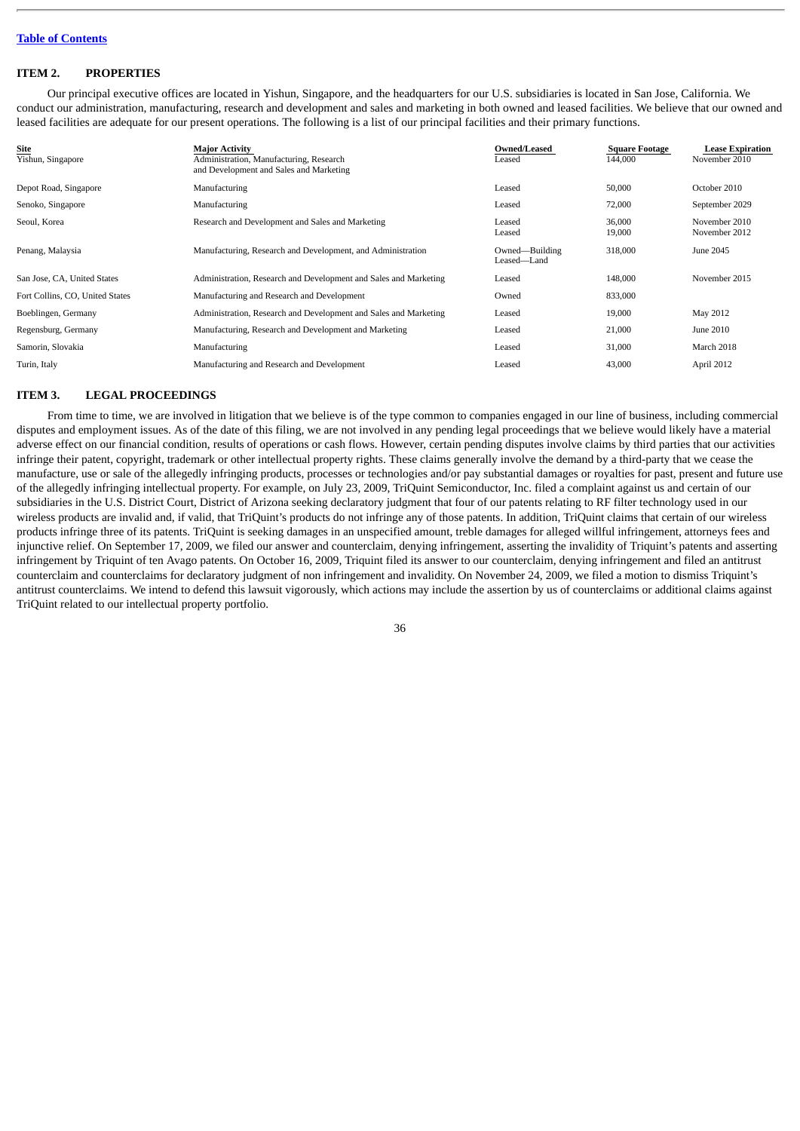# <span id="page-35-0"></span>**ITEM 2. PROPERTIES**

Our principal executive offices are located in Yishun, Singapore, and the headquarters for our U.S. subsidiaries is located in San Jose, California. We conduct our administration, manufacturing, research and development and sales and marketing in both owned and leased facilities. We believe that our owned and leased facilities are adequate for our present operations. The following is a list of our principal facilities and their primary functions.

| <b>Site</b><br>Yishun, Singapore | <b>Major Activity</b><br>Administration, Manufacturing, Research<br>and Development and Sales and Marketing | Owned/Leased<br>Leased        | <b>Square Footage</b><br>144,000 | <b>Lease Expiration</b><br>November 2010 |
|----------------------------------|-------------------------------------------------------------------------------------------------------------|-------------------------------|----------------------------------|------------------------------------------|
| Depot Road, Singapore            | Manufacturing                                                                                               | Leased                        | 50,000                           | October 2010                             |
| Senoko, Singapore                | Manufacturing                                                                                               | Leased                        | 72,000                           | September 2029                           |
| Seoul, Korea                     | Research and Development and Sales and Marketing                                                            | Leased<br>Leased              | 36,000<br>19,000                 | November 2010<br>November 2012           |
| Penang, Malaysia                 | Manufacturing, Research and Development, and Administration                                                 | Owned-Building<br>Leased—Land | 318,000                          | June 2045                                |
| San Jose, CA, United States      | Administration, Research and Development and Sales and Marketing                                            | Leased                        | 148,000                          | November 2015                            |
| Fort Collins, CO, United States  | Manufacturing and Research and Development                                                                  | Owned                         | 833,000                          |                                          |
| Boeblingen, Germany              | Administration, Research and Development and Sales and Marketing                                            | Leased                        | 19,000                           | May 2012                                 |
| Regensburg, Germany              | Manufacturing, Research and Development and Marketing                                                       | Leased                        | 21,000                           | June 2010                                |
| Samorin, Slovakia                | Manufacturing                                                                                               | Leased                        | 31,000                           | March 2018                               |
| Turin, Italy                     | Manufacturing and Research and Development                                                                  | Leased                        | 43,000                           | April 2012                               |

#### <span id="page-35-1"></span>**ITEM 3. LEGAL PROCEEDINGS**

From time to time, we are involved in litigation that we believe is of the type common to companies engaged in our line of business, including commercial disputes and employment issues. As of the date of this filing, we are not involved in any pending legal proceedings that we believe would likely have a material adverse effect on our financial condition, results of operations or cash flows. However, certain pending disputes involve claims by third parties that our activities infringe their patent, copyright, trademark or other intellectual property rights. These claims generally involve the demand by a third-party that we cease the manufacture, use or sale of the allegedly infringing products, processes or technologies and/or pay substantial damages or royalties for past, present and future use of the allegedly infringing intellectual property. For example, on July 23, 2009, TriQuint Semiconductor, Inc. filed a complaint against us and certain of our subsidiaries in the U.S. District Court, District of Arizona seeking declaratory judgment that four of our patents relating to RF filter technology used in our wireless products are invalid and, if valid, that TriQuint's products do not infringe any of those patents. In addition, TriQuint claims that certain of our wireless products infringe three of its patents. TriQuint is seeking damages in an unspecified amount, treble damages for alleged willful infringement, attorneys fees and injunctive relief. On September 17, 2009, we filed our answer and counterclaim, denying infringement, asserting the invalidity of Triquint's patents and asserting infringement by Triquint of ten Avago patents. On October 16, 2009, Triquint filed its answer to our counterclaim, denying infringement and filed an antitrust counterclaim and counterclaims for declaratory judgment of non infringement and invalidity. On November 24, 2009, we filed a motion to dismiss Triquint's antitrust counterclaims. We intend to defend this lawsuit vigorously, which actions may include the assertion by us of counterclaims or additional claims against TriQuint related to our intellectual property portfolio.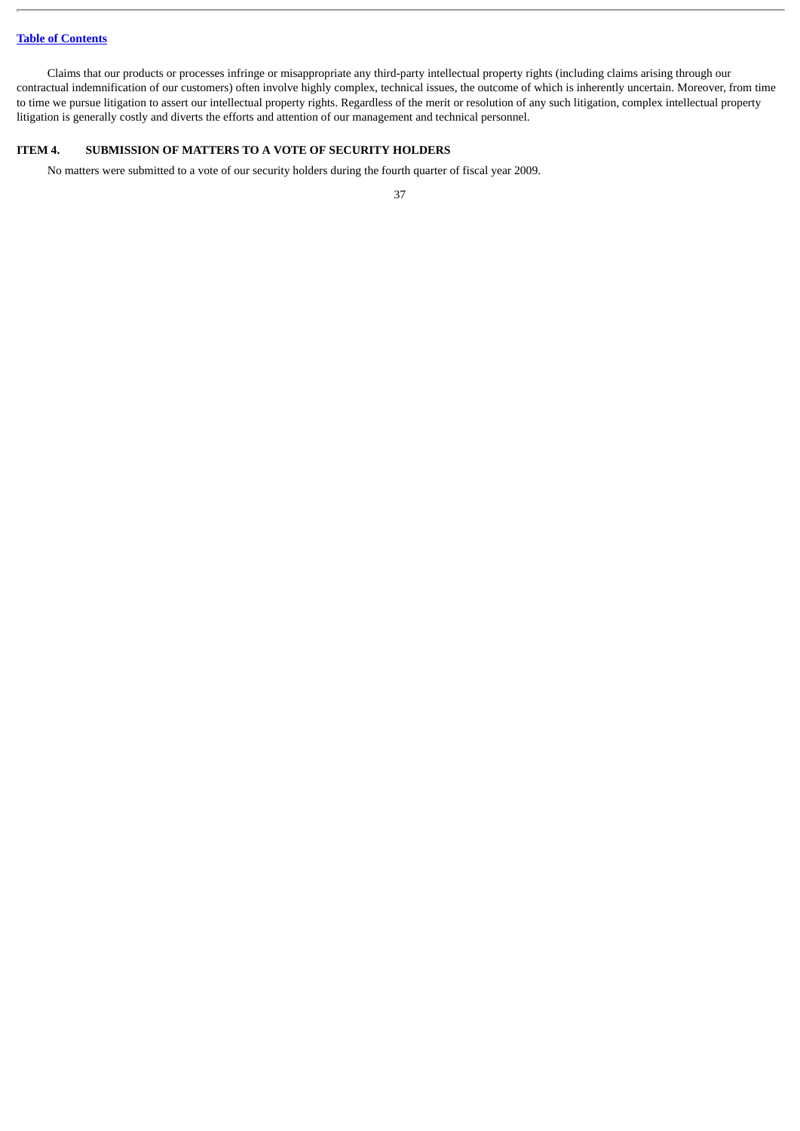Claims that our products or processes infringe or misappropriate any third-party intellectual property rights (including claims arising through our contractual indemnification of our customers) often involve highly complex, technical issues, the outcome of which is inherently uncertain. Moreover, from time to time we pursue litigation to assert our intellectual property rights. Regardless of the merit or resolution of any such litigation, complex intellectual property litigation is generally costly and diverts the efforts and attention of our management and technical personnel.

# **ITEM 4. SUBMISSION OF MATTERS TO A VOTE OF SECURITY HOLDERS**

No matters were submitted to a vote of our security holders during the fourth quarter of fiscal year 2009.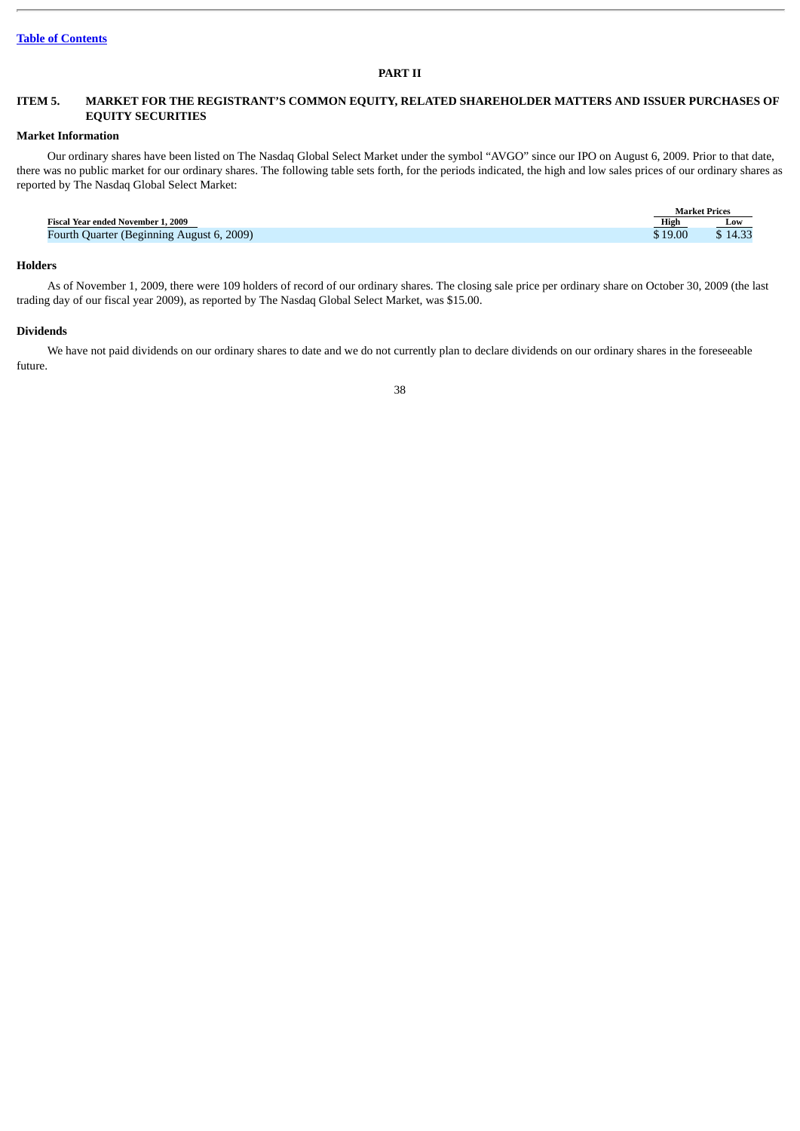# **PART II**

# **ITEM 5. MARKET FOR THE REGISTRANT'S COMMON EQUITY, RELATED SHAREHOLDER MATTERS AND ISSUER PURCHASES OF EQUITY SECURITIES**

# **Market Information**

Our ordinary shares have been listed on The Nasdaq Global Select Market under the symbol "AVGO" since our IPO on August 6, 2009. Prior to that date, there was no public market for our ordinary shares. The following table sets forth, for the periods indicated, the high and low sales prices of our ordinary shares as reported by The Nasdaq Global Select Market:

|                                           | <b>Market Prices</b> |                 |
|-------------------------------------------|----------------------|-----------------|
| Fiscal Year ended November 1, 2009        | High                 | $_{\text{Low}}$ |
| Fourth Quarter (Beginning August 6, 2009) | \$19.00              | \$14.33         |

# **Holders**

As of November 1, 2009, there were 109 holders of record of our ordinary shares. The closing sale price per ordinary share on October 30, 2009 (the last trading day of our fiscal year 2009), as reported by The Nasdaq Global Select Market, was \$15.00.

# **Dividends**

We have not paid dividends on our ordinary shares to date and we do not currently plan to declare dividends on our ordinary shares in the foreseeable future.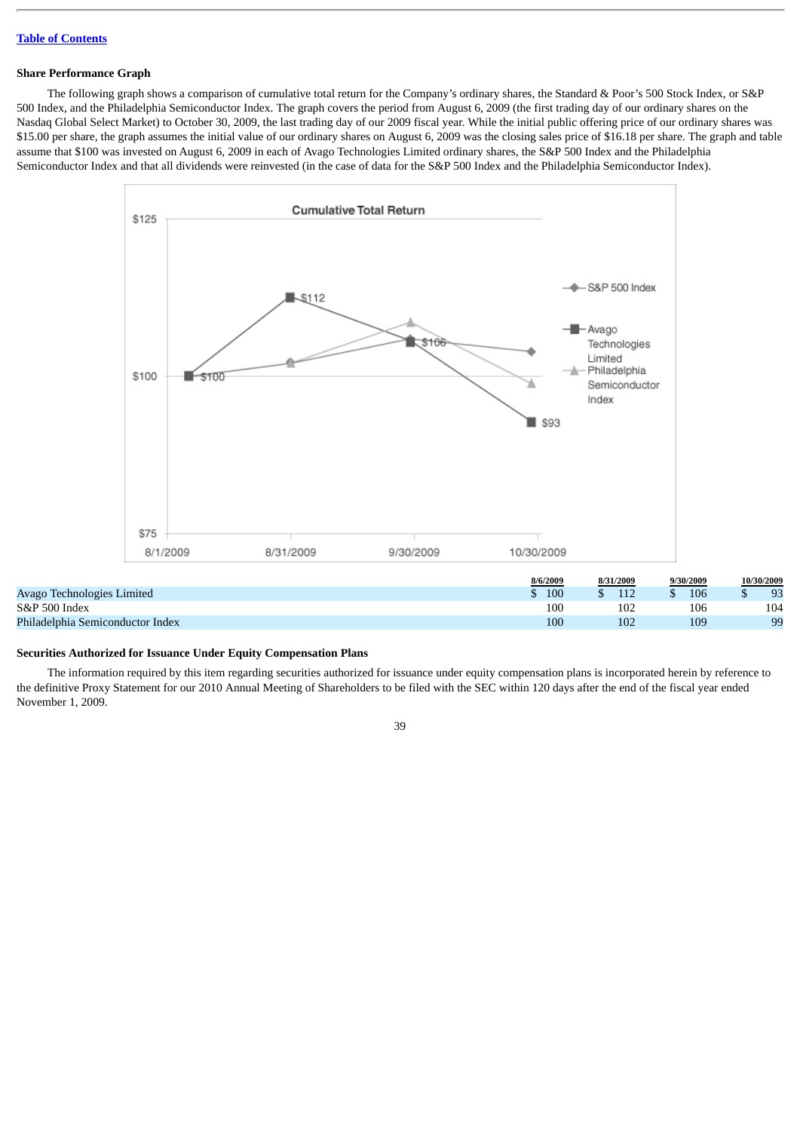### **Share Performance Graph**

The following graph shows a comparison of cumulative total return for the Company's ordinary shares, the Standard & Poor's 500 Stock Index, or S&P 500 Index, and the Philadelphia Semiconductor Index. The graph covers the period from August 6, 2009 (the first trading day of our ordinary shares on the Nasdaq Global Select Market) to October 30, 2009, the last trading day of our 2009 fiscal year. While the initial public offering price of our ordinary shares was \$15.00 per share, the graph assumes the initial value of our ordinary shares on August 6, 2009 was the closing sales price of \$16.18 per share. The graph and table assume that \$100 was invested on August 6, 2009 in each of Avago Technologies Limited ordinary shares, the S&P 500 Index and the Philadelphia Semiconductor Index and that all dividends were reinvested (in the case of data for the S&P 500 Index and the Philadelphia Semiconductor Index).



|                                  | U/V/4VVJ | <b>0/JI/400J</b> | <i><b>JIJU/400J</b></i> | LU/JU/400J |
|----------------------------------|----------|------------------|-------------------------|------------|
| Avago Technologies Limited       | 100      | 112              | 106                     | 93         |
| S&P 500 Index                    | 100      | 102              | 106                     | 104        |
| Philadelphia Semiconductor Index | 100      | 102              | 109                     | 99         |
|                                  |          |                  |                         |            |

# **Securities Authorized for Issuance Under Equity Compensation Plans**

The information required by this item regarding securities authorized for issuance under equity compensation plans is incorporated herein by reference to the definitive Proxy Statement for our 2010 Annual Meeting of Shareholders to be filed with the SEC within 120 days after the end of the fiscal year ended November 1, 2009.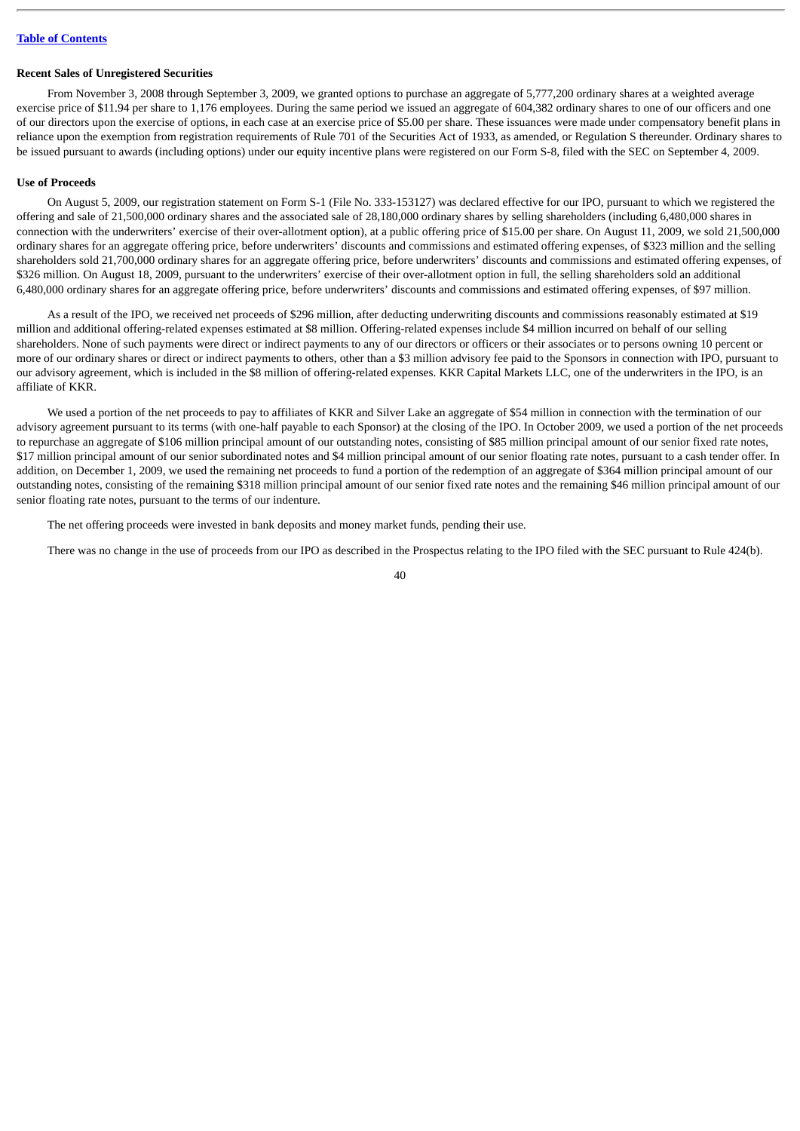#### **Recent Sales of Unregistered Securities**

From November 3, 2008 through September 3, 2009, we granted options to purchase an aggregate of 5,777,200 ordinary shares at a weighted average exercise price of \$11.94 per share to 1,176 employees. During the same period we issued an aggregate of 604,382 ordinary shares to one of our officers and one of our directors upon the exercise of options, in each case at an exercise price of \$5.00 per share. These issuances were made under compensatory benefit plans in reliance upon the exemption from registration requirements of Rule 701 of the Securities Act of 1933, as amended, or Regulation S thereunder. Ordinary shares to be issued pursuant to awards (including options) under our equity incentive plans were registered on our Form S-8, filed with the SEC on September 4, 2009.

### **Use of Proceeds**

On August 5, 2009, our registration statement on Form S-1 (File No. 333-153127) was declared effective for our IPO, pursuant to which we registered the offering and sale of 21,500,000 ordinary shares and the associated sale of 28,180,000 ordinary shares by selling shareholders (including 6,480,000 shares in connection with the underwriters' exercise of their over-allotment option), at a public offering price of \$15.00 per share. On August 11, 2009, we sold 21,500,000 ordinary shares for an aggregate offering price, before underwriters' discounts and commissions and estimated offering expenses, of \$323 million and the selling shareholders sold 21,700,000 ordinary shares for an aggregate offering price, before underwriters' discounts and commissions and estimated offering expenses, of \$326 million. On August 18, 2009, pursuant to the underwriters' exercise of their over-allotment option in full, the selling shareholders sold an additional 6,480,000 ordinary shares for an aggregate offering price, before underwriters' discounts and commissions and estimated offering expenses, of \$97 million.

As a result of the IPO, we received net proceeds of \$296 million, after deducting underwriting discounts and commissions reasonably estimated at \$19 million and additional offering-related expenses estimated at \$8 million. Offering-related expenses include \$4 million incurred on behalf of our selling shareholders. None of such payments were direct or indirect payments to any of our directors or officers or their associates or to persons owning 10 percent or more of our ordinary shares or direct or indirect payments to others, other than a \$3 million advisory fee paid to the Sponsors in connection with IPO, pursuant to our advisory agreement, which is included in the \$8 million of offering-related expenses. KKR Capital Markets LLC, one of the underwriters in the IPO, is an affiliate of KKR.

We used a portion of the net proceeds to pay to affiliates of KKR and Silver Lake an aggregate of \$54 million in connection with the termination of our advisory agreement pursuant to its terms (with one-half payable to each Sponsor) at the closing of the IPO. In October 2009, we used a portion of the net proceeds to repurchase an aggregate of \$106 million principal amount of our outstanding notes, consisting of \$85 million principal amount of our senior fixed rate notes, \$17 million principal amount of our senior subordinated notes and \$4 million principal amount of our senior floating rate notes, pursuant to a cash tender offer. In addition, on December 1, 2009, we used the remaining net proceeds to fund a portion of the redemption of an aggregate of \$364 million principal amount of our outstanding notes, consisting of the remaining \$318 million principal amount of our senior fixed rate notes and the remaining \$46 million principal amount of our senior floating rate notes, pursuant to the terms of our indenture.

The net offering proceeds were invested in bank deposits and money market funds, pending their use.

There was no change in the use of proceeds from our IPO as described in the Prospectus relating to the IPO filed with the SEC pursuant to Rule 424(b).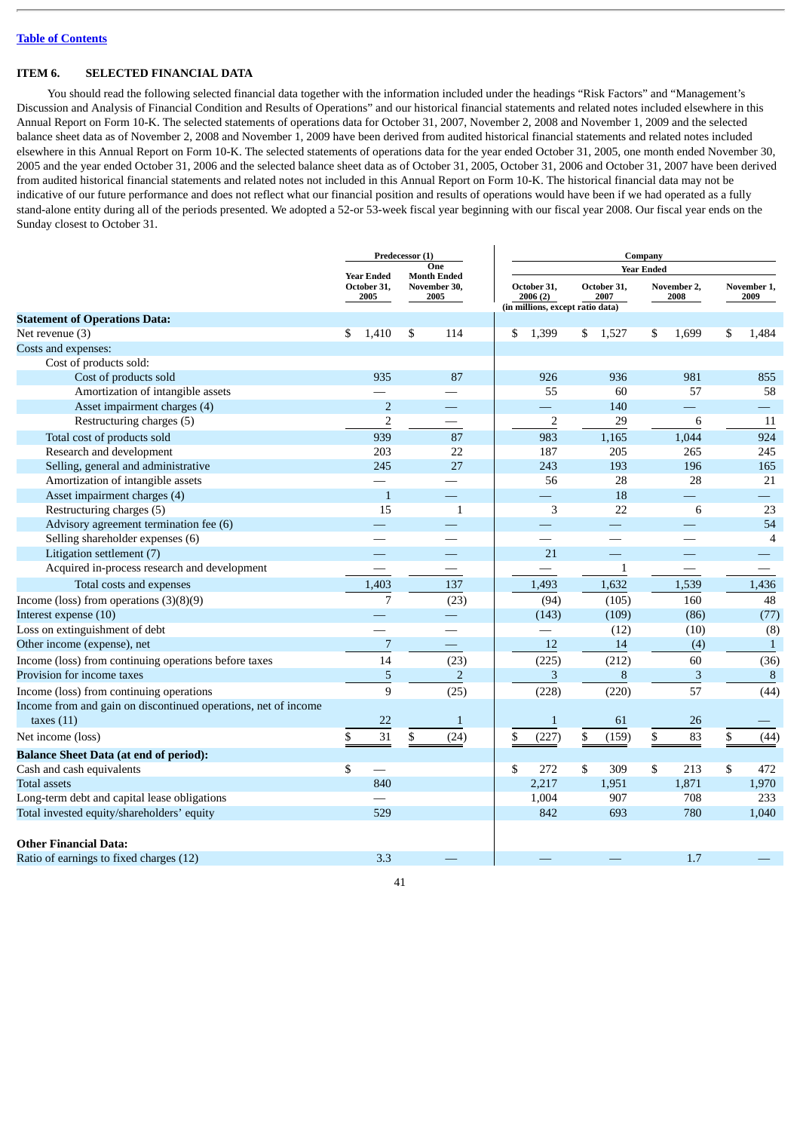# **ITEM 6. SELECTED FINANCIAL DATA**

You should read the following selected financial data together with the information included under the headings "Risk Factors" and "Management's Discussion and Analysis of Financial Condition and Results of Operations" and our historical financial statements and related notes included elsewhere in this Annual Report on Form 10-K. The selected statements of operations data for October 31, 2007, November 2, 2008 and November 1, 2009 and the selected balance sheet data as of November 2, 2008 and November 1, 2009 have been derived from audited historical financial statements and related notes included elsewhere in this Annual Report on Form 10-K. The selected statements of operations data for the year ended October 31, 2005, one month ended November 30, 2005 and the year ended October 31, 2006 and the selected balance sheet data as of October 31, 2005, October 31, 2006 and October 31, 2007 have been derived from audited historical financial statements and related notes not included in this Annual Report on Form 10-K. The historical financial data may not be indicative of our future performance and does not reflect what our financial position and results of operations would have been if we had operated as a fully stand-alone entity during all of the periods presented. We adopted a 52-or 53-week fiscal year beginning with our fiscal year 2008. Our fiscal year ends on the Sunday closest to October 31.

|                                                                | Predecessor (1) |                                          |                                            |                                  | Company             |                   |                          |                          |
|----------------------------------------------------------------|-----------------|------------------------------------------|--------------------------------------------|----------------------------------|---------------------|-------------------|--------------------------|--------------------------|
|                                                                |                 |                                          | One                                        |                                  |                     | <b>Year Ended</b> |                          |                          |
|                                                                |                 | <b>Year Ended</b><br>October 31,<br>2005 | <b>Month Ended</b><br>November 30,<br>2005 | October 31,<br>2006(2)           | October 31,<br>2007 |                   | November 2,<br>2008      | November 1,<br>2009      |
| <b>Statement of Operations Data:</b>                           |                 |                                          |                                            | (in millions, except ratio data) |                     |                   |                          |                          |
| Net revenue (3)                                                | \$              | 1,410                                    | \$<br>114                                  | \$<br>1,399                      | \$1,527             | \$                | 1,699                    | \$<br>1,484              |
| Costs and expenses:                                            |                 |                                          |                                            |                                  |                     |                   |                          |                          |
| Cost of products sold:                                         |                 |                                          |                                            |                                  |                     |                   |                          |                          |
| Cost of products sold                                          |                 | 935                                      | 87                                         | 926                              | 936                 |                   | 981                      | 855                      |
| Amortization of intangible assets                              |                 |                                          |                                            | 55                               | 60                  |                   | 57                       | 58                       |
| Asset impairment charges (4)                                   |                 | $\overline{2}$                           |                                            | $\equiv$                         | 140                 |                   | $\overline{\phantom{0}}$ | $\equiv$                 |
| Restructuring charges (5)                                      |                 | $\overline{c}$                           |                                            | $\overline{2}$                   | 29                  |                   | 6                        | 11                       |
| Total cost of products sold                                    |                 | 939                                      | 87                                         | 983                              | 1,165               |                   | 1,044                    | 924                      |
| Research and development                                       |                 | 203                                      | 22                                         | 187                              | 205                 |                   | 265                      | 245                      |
| Selling, general and administrative                            |                 | 245                                      | 27                                         | 243                              | 193                 |                   | 196                      | 165                      |
| Amortization of intangible assets                              |                 |                                          |                                            | 56                               | 28                  |                   | 28                       | 21                       |
| Asset impairment charges (4)                                   |                 | $\mathbf{1}$                             | $\equiv$                                   |                                  | 18                  |                   | $\overline{\phantom{0}}$ | $\frac{1}{2}$            |
| Restructuring charges (5)                                      |                 | 15                                       | $\mathbf{1}$                               | 3                                | 22                  |                   | 6                        | 23                       |
| Advisory agreement termination fee (6)                         |                 |                                          |                                            |                                  |                     |                   |                          | 54                       |
| Selling shareholder expenses (6)                               |                 |                                          |                                            |                                  |                     |                   |                          | $\overline{4}$           |
| Litigation settlement (7)                                      |                 |                                          |                                            | 21                               |                     |                   |                          | $\overline{\phantom{0}}$ |
| Acquired in-process research and development                   |                 |                                          |                                            |                                  | $\mathbf{1}$        |                   |                          |                          |
| Total costs and expenses                                       |                 | 1,403                                    | 137                                        | 1,493                            | 1,632               |                   | 1,539                    | 1,436                    |
| Income (loss) from operations $(3)(8)(9)$                      |                 | 7                                        | (23)                                       | (94)                             | (105)               |                   | 160                      | 48                       |
| Interest expense (10)                                          |                 |                                          |                                            | (143)                            | (109)               |                   | (86)                     | (77)                     |
| Loss on extinguishment of debt                                 |                 |                                          |                                            |                                  | (12)                |                   | (10)                     | (8)                      |
| Other income (expense), net                                    |                 | $\overline{7}$                           |                                            | 12                               | 14                  |                   | (4)                      | $\mathbf{1}$             |
| Income (loss) from continuing operations before taxes          |                 | 14                                       | (23)                                       | (225)                            | (212)               |                   | 60                       | (36)                     |
| Provision for income taxes                                     |                 | 5                                        | $\sqrt{2}$                                 | 3                                | 8                   |                   | $\mathsf 3$              | 8                        |
| Income (loss) from continuing operations                       |                 | 9                                        | (25)                                       | (228)                            | (220)               |                   | 57                       | (44)                     |
| Income from and gain on discontinued operations, net of income |                 |                                          |                                            |                                  |                     |                   |                          |                          |
| taxes $(11)$                                                   |                 | 22                                       | $\mathbf{1}$                               | $\mathbf{1}$                     | 61                  |                   | 26                       |                          |
| Net income (loss)                                              | \$              | 31                                       | \$<br>(24)                                 | \$<br>(227)                      | \$<br>(159)         | \$                | 83                       | \$<br>(44)               |
| <b>Balance Sheet Data (at end of period):</b>                  |                 |                                          |                                            |                                  |                     |                   |                          |                          |
| Cash and cash equivalents                                      | \$              |                                          |                                            | \$<br>272                        | \$<br>309           | \$                | 213                      | \$<br>472                |
| <b>Total assets</b>                                            |                 | 840                                      |                                            | 2,217                            | 1,951               |                   | 1,871                    | 1,970                    |
| Long-term debt and capital lease obligations                   |                 |                                          |                                            | 1,004                            | 907                 |                   | 708                      | 233                      |
| Total invested equity/shareholders' equity                     |                 | 529                                      |                                            | 842                              | 693                 |                   | 780                      | 1,040                    |
|                                                                |                 |                                          |                                            |                                  |                     |                   |                          |                          |
| <b>Other Financial Data:</b>                                   |                 |                                          |                                            |                                  |                     |                   |                          |                          |
| Ratio of earnings to fixed charges (12)                        |                 | 3.3                                      |                                            |                                  |                     |                   | 1.7                      |                          |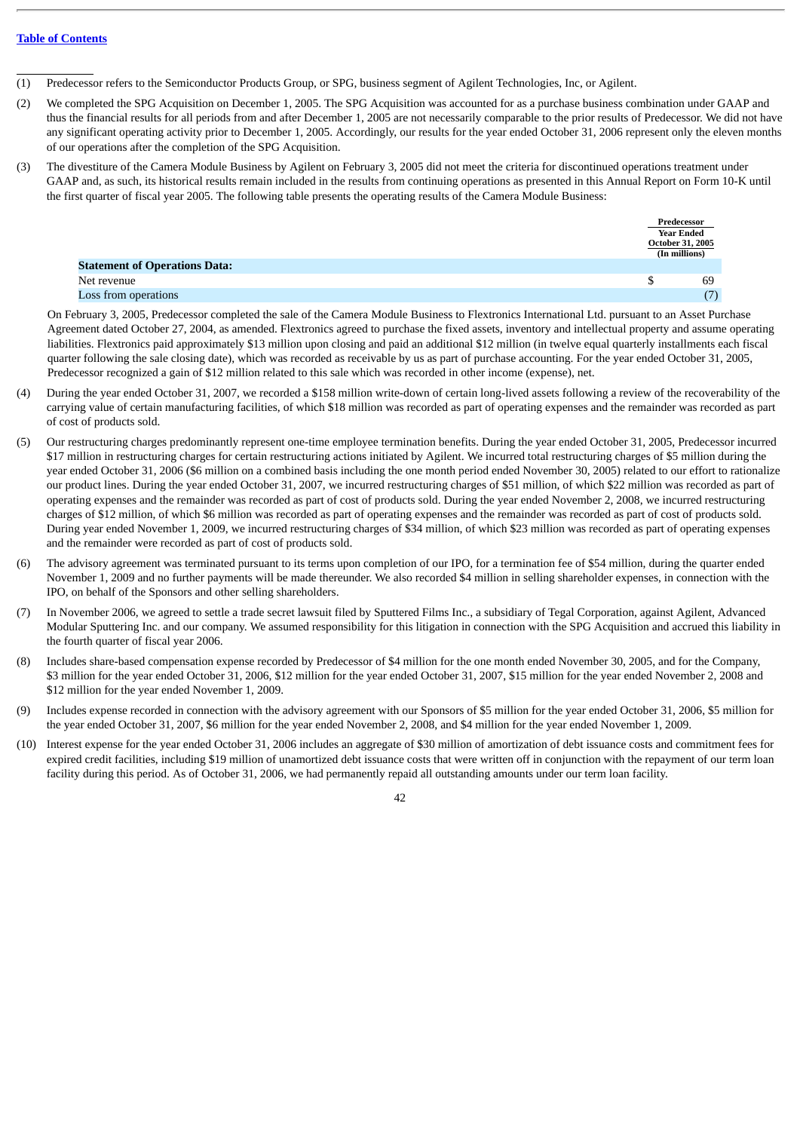- (1) Predecessor refers to the Semiconductor Products Group, or SPG, business segment of Agilent Technologies, Inc, or Agilent.
- (2) We completed the SPG Acquisition on December 1, 2005. The SPG Acquisition was accounted for as a purchase business combination under GAAP and thus the financial results for all periods from and after December 1, 2005 are not necessarily comparable to the prior results of Predecessor. We did not have any significant operating activity prior to December 1, 2005. Accordingly, our results for the year ended October 31, 2006 represent only the eleven months of our operations after the completion of the SPG Acquisition.
- (3) The divestiture of the Camera Module Business by Agilent on February 3, 2005 did not meet the criteria for discontinued operations treatment under GAAP and, as such, its historical results remain included in the results from continuing operations as presented in this Annual Report on Form 10-K until the first quarter of fiscal year 2005. The following table presents the operating results of the Camera Module Business:

|                                      | Predecessor             |
|--------------------------------------|-------------------------|
|                                      | Year Ended              |
|                                      | <b>October 31, 2005</b> |
|                                      | (In millions)           |
| <b>Statement of Operations Data:</b> |                         |
| Net revenue                          | 69                      |
| Loss from operations                 | (7)                     |

On February 3, 2005, Predecessor completed the sale of the Camera Module Business to Flextronics International Ltd. pursuant to an Asset Purchase Agreement dated October 27, 2004, as amended. Flextronics agreed to purchase the fixed assets, inventory and intellectual property and assume operating liabilities. Flextronics paid approximately \$13 million upon closing and paid an additional \$12 million (in twelve equal quarterly installments each fiscal quarter following the sale closing date), which was recorded as receivable by us as part of purchase accounting. For the year ended October 31, 2005, Predecessor recognized a gain of \$12 million related to this sale which was recorded in other income (expense), net.

- (4) During the year ended October 31, 2007, we recorded a \$158 million write-down of certain long-lived assets following a review of the recoverability of the carrying value of certain manufacturing facilities, of which \$18 million was recorded as part of operating expenses and the remainder was recorded as part of cost of products sold.
- (5) Our restructuring charges predominantly represent one-time employee termination benefits. During the year ended October 31, 2005, Predecessor incurred \$17 million in restructuring charges for certain restructuring actions initiated by Agilent. We incurred total restructuring charges of \$5 million during the year ended October 31, 2006 (\$6 million on a combined basis including the one month period ended November 30, 2005) related to our effort to rationalize our product lines. During the year ended October 31, 2007, we incurred restructuring charges of \$51 million, of which \$22 million was recorded as part of operating expenses and the remainder was recorded as part of cost of products sold. During the year ended November 2, 2008, we incurred restructuring charges of \$12 million, of which \$6 million was recorded as part of operating expenses and the remainder was recorded as part of cost of products sold. During year ended November 1, 2009, we incurred restructuring charges of \$34 million, of which \$23 million was recorded as part of operating expenses and the remainder were recorded as part of cost of products sold.
- (6) The advisory agreement was terminated pursuant to its terms upon completion of our IPO, for a termination fee of \$54 million, during the quarter ended November 1, 2009 and no further payments will be made thereunder. We also recorded \$4 million in selling shareholder expenses, in connection with the IPO, on behalf of the Sponsors and other selling shareholders.
- (7) In November 2006, we agreed to settle a trade secret lawsuit filed by Sputtered Films Inc., a subsidiary of Tegal Corporation, against Agilent, Advanced Modular Sputtering Inc. and our company. We assumed responsibility for this litigation in connection with the SPG Acquisition and accrued this liability in the fourth quarter of fiscal year 2006.
- (8) Includes share-based compensation expense recorded by Predecessor of \$4 million for the one month ended November 30, 2005, and for the Company, \$3 million for the year ended October 31, 2006, \$12 million for the year ended October 31, 2007, \$15 million for the year ended November 2, 2008 and \$12 million for the year ended November 1, 2009.
- (9) Includes expense recorded in connection with the advisory agreement with our Sponsors of \$5 million for the year ended October 31, 2006, \$5 million for the year ended October 31, 2007, \$6 million for the year ended November 2, 2008, and \$4 million for the year ended November 1, 2009.
- (10) Interest expense for the year ended October 31, 2006 includes an aggregate of \$30 million of amortization of debt issuance costs and commitment fees for expired credit facilities, including \$19 million of unamortized debt issuance costs that were written off in conjunction with the repayment of our term loan facility during this period. As of October 31, 2006, we had permanently repaid all outstanding amounts under our term loan facility.

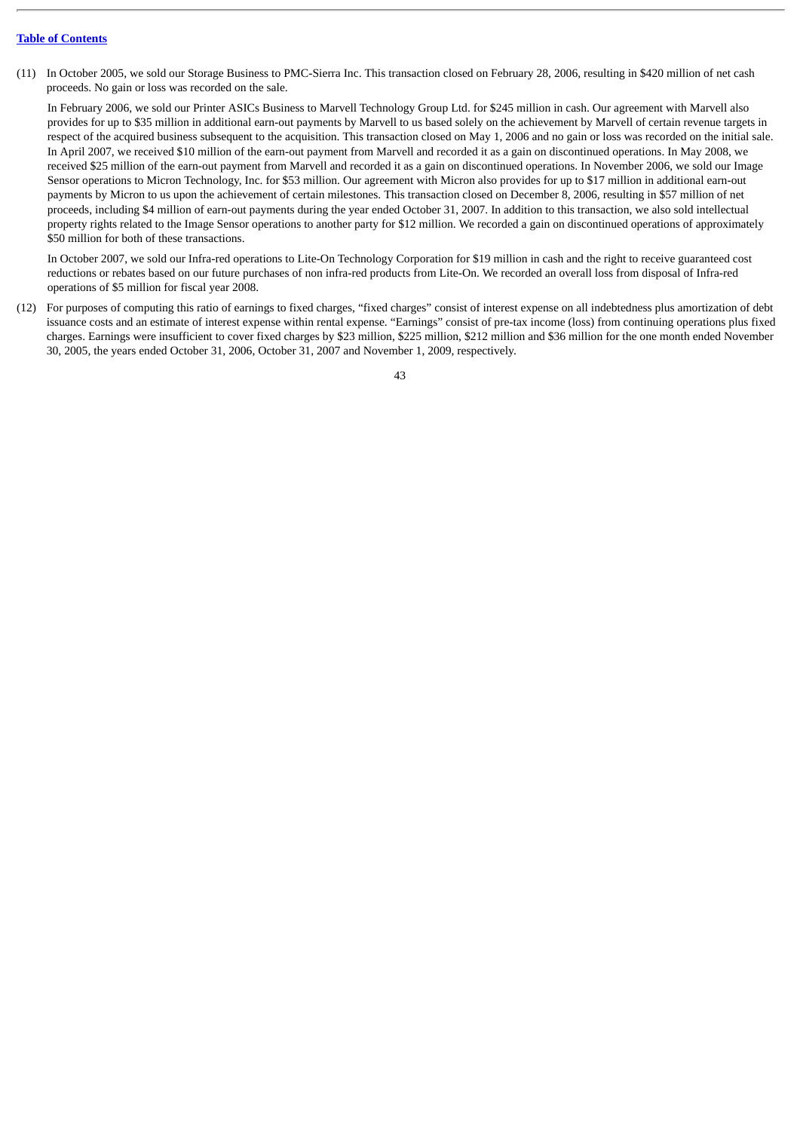(11) In October 2005, we sold our Storage Business to PMC-Sierra Inc. This transaction closed on February 28, 2006, resulting in \$420 million of net cash proceeds. No gain or loss was recorded on the sale.

In February 2006, we sold our Printer ASICs Business to Marvell Technology Group Ltd. for \$245 million in cash. Our agreement with Marvell also provides for up to \$35 million in additional earn-out payments by Marvell to us based solely on the achievement by Marvell of certain revenue targets in respect of the acquired business subsequent to the acquisition. This transaction closed on May 1, 2006 and no gain or loss was recorded on the initial sale. In April 2007, we received \$10 million of the earn-out payment from Marvell and recorded it as a gain on discontinued operations. In May 2008, we received \$25 million of the earn-out payment from Marvell and recorded it as a gain on discontinued operations. In November 2006, we sold our Image Sensor operations to Micron Technology, Inc. for \$53 million. Our agreement with Micron also provides for up to \$17 million in additional earn-out payments by Micron to us upon the achievement of certain milestones. This transaction closed on December 8, 2006, resulting in \$57 million of net proceeds, including \$4 million of earn-out payments during the year ended October 31, 2007. In addition to this transaction, we also sold intellectual property rights related to the Image Sensor operations to another party for \$12 million. We recorded a gain on discontinued operations of approximately \$50 million for both of these transactions.

In October 2007, we sold our Infra-red operations to Lite-On Technology Corporation for \$19 million in cash and the right to receive guaranteed cost reductions or rebates based on our future purchases of non infra-red products from Lite-On. We recorded an overall loss from disposal of Infra-red operations of \$5 million for fiscal year 2008.

(12) For purposes of computing this ratio of earnings to fixed charges, "fixed charges" consist of interest expense on all indebtedness plus amortization of debt issuance costs and an estimate of interest expense within rental expense. "Earnings" consist of pre-tax income (loss) from continuing operations plus fixed charges. Earnings were insufficient to cover fixed charges by \$23 million, \$225 million, \$212 million and \$36 million for the one month ended November 30, 2005, the years ended October 31, 2006, October 31, 2007 and November 1, 2009, respectively.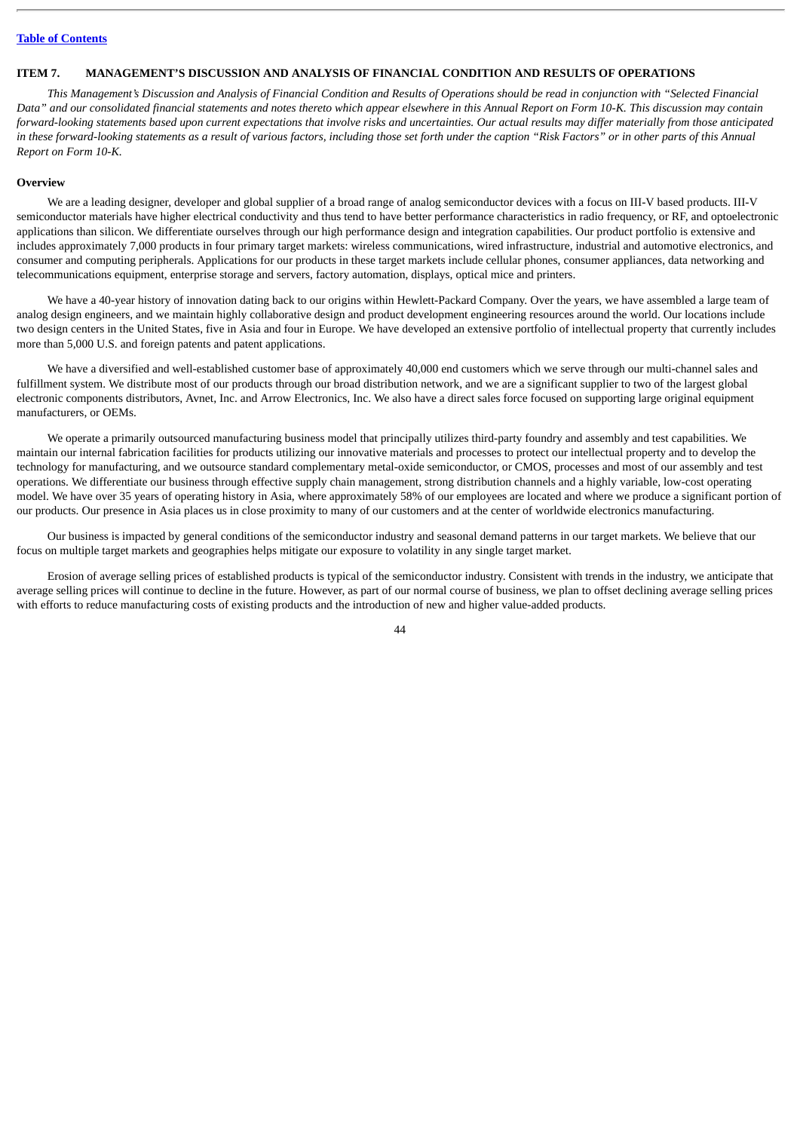## **ITEM 7. MANAGEMENT'S DISCUSSION AND ANALYSIS OF FINANCIAL CONDITION AND RESULTS OF OPERATIONS**

*This Management's Discussion and Analysis of Financial Condition and Results of Operations should be read in conjunction with "Selected Financial Data" and our consolidated financial statements and notes thereto which appear elsewhere in this Annual Report on Form 10-K. This discussion may contain forward-looking statements based upon current expectations that involve risks and uncertainties. Our actual results may differ materially from those anticipated in these forward-looking statements as a result of various factors, including those set forth under the caption "Risk Factors" or in other parts of this Annual Report on Form 10-K.*

## **Overview**

We are a leading designer, developer and global supplier of a broad range of analog semiconductor devices with a focus on III-V based products. III-V semiconductor materials have higher electrical conductivity and thus tend to have better performance characteristics in radio frequency, or RF, and optoelectronic applications than silicon. We differentiate ourselves through our high performance design and integration capabilities. Our product portfolio is extensive and includes approximately 7,000 products in four primary target markets: wireless communications, wired infrastructure, industrial and automotive electronics, and consumer and computing peripherals. Applications for our products in these target markets include cellular phones, consumer appliances, data networking and telecommunications equipment, enterprise storage and servers, factory automation, displays, optical mice and printers.

We have a 40-year history of innovation dating back to our origins within Hewlett-Packard Company. Over the years, we have assembled a large team of analog design engineers, and we maintain highly collaborative design and product development engineering resources around the world. Our locations include two design centers in the United States, five in Asia and four in Europe. We have developed an extensive portfolio of intellectual property that currently includes more than 5,000 U.S. and foreign patents and patent applications.

We have a diversified and well-established customer base of approximately 40,000 end customers which we serve through our multi-channel sales and fulfillment system. We distribute most of our products through our broad distribution network, and we are a significant supplier to two of the largest global electronic components distributors, Avnet, Inc. and Arrow Electronics, Inc. We also have a direct sales force focused on supporting large original equipment manufacturers, or OEMs.

We operate a primarily outsourced manufacturing business model that principally utilizes third-party foundry and assembly and test capabilities. We maintain our internal fabrication facilities for products utilizing our innovative materials and processes to protect our intellectual property and to develop the technology for manufacturing, and we outsource standard complementary metal-oxide semiconductor, or CMOS, processes and most of our assembly and test operations. We differentiate our business through effective supply chain management, strong distribution channels and a highly variable, low-cost operating model. We have over 35 years of operating history in Asia, where approximately 58% of our employees are located and where we produce a significant portion of our products. Our presence in Asia places us in close proximity to many of our customers and at the center of worldwide electronics manufacturing.

Our business is impacted by general conditions of the semiconductor industry and seasonal demand patterns in our target markets. We believe that our focus on multiple target markets and geographies helps mitigate our exposure to volatility in any single target market.

Erosion of average selling prices of established products is typical of the semiconductor industry. Consistent with trends in the industry, we anticipate that average selling prices will continue to decline in the future. However, as part of our normal course of business, we plan to offset declining average selling prices with efforts to reduce manufacturing costs of existing products and the introduction of new and higher value-added products.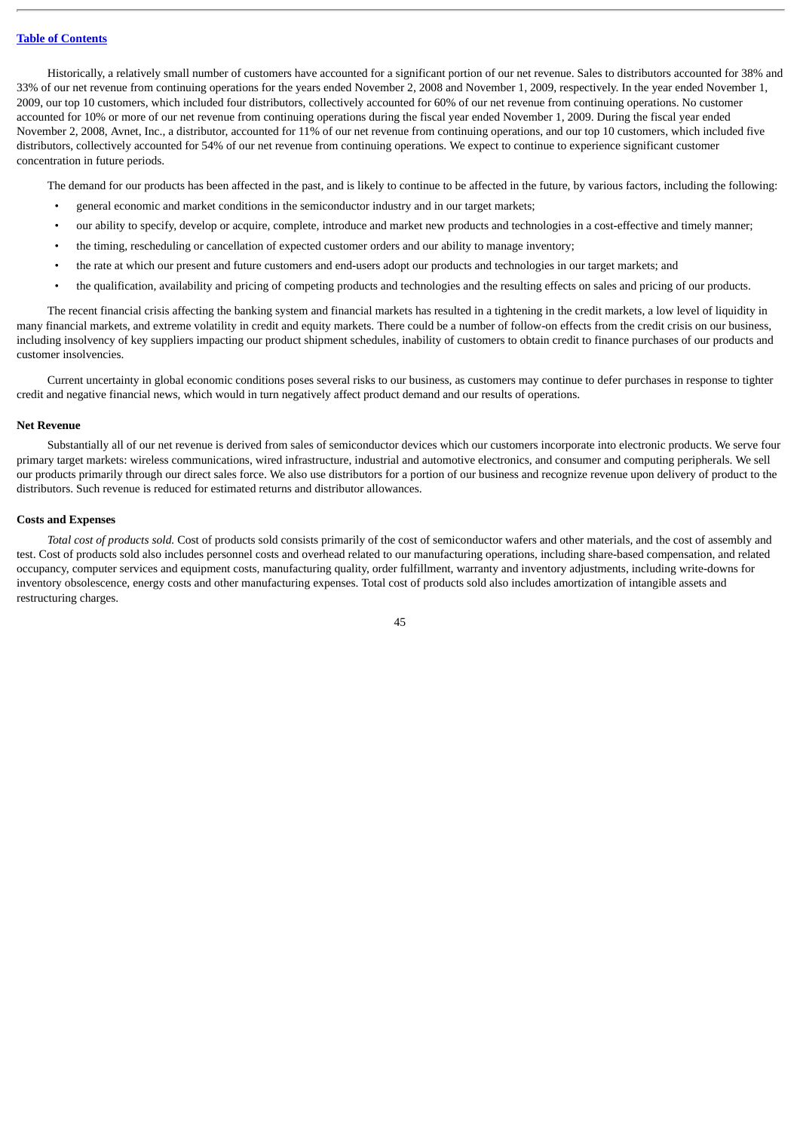Historically, a relatively small number of customers have accounted for a significant portion of our net revenue. Sales to distributors accounted for 38% and 33% of our net revenue from continuing operations for the years ended November 2, 2008 and November 1, 2009, respectively. In the year ended November 1, 2009, our top 10 customers, which included four distributors, collectively accounted for 60% of our net revenue from continuing operations. No customer accounted for 10% or more of our net revenue from continuing operations during the fiscal year ended November 1, 2009. During the fiscal year ended November 2, 2008, Avnet, Inc., a distributor, accounted for 11% of our net revenue from continuing operations, and our top 10 customers, which included five distributors, collectively accounted for 54% of our net revenue from continuing operations. We expect to continue to experience significant customer concentration in future periods.

The demand for our products has been affected in the past, and is likely to continue to be affected in the future, by various factors, including the following:

- general economic and market conditions in the semiconductor industry and in our target markets;
- our ability to specify, develop or acquire, complete, introduce and market new products and technologies in a cost-effective and timely manner;
- the timing, rescheduling or cancellation of expected customer orders and our ability to manage inventory;
- the rate at which our present and future customers and end-users adopt our products and technologies in our target markets; and
- the qualification, availability and pricing of competing products and technologies and the resulting effects on sales and pricing of our products.

The recent financial crisis affecting the banking system and financial markets has resulted in a tightening in the credit markets, a low level of liquidity in many financial markets, and extreme volatility in credit and equity markets. There could be a number of follow-on effects from the credit crisis on our business, including insolvency of key suppliers impacting our product shipment schedules, inability of customers to obtain credit to finance purchases of our products and customer insolvencies.

Current uncertainty in global economic conditions poses several risks to our business, as customers may continue to defer purchases in response to tighter credit and negative financial news, which would in turn negatively affect product demand and our results of operations.

### **Net Revenue**

Substantially all of our net revenue is derived from sales of semiconductor devices which our customers incorporate into electronic products. We serve four primary target markets: wireless communications, wired infrastructure, industrial and automotive electronics, and consumer and computing peripherals. We sell our products primarily through our direct sales force. We also use distributors for a portion of our business and recognize revenue upon delivery of product to the distributors. Such revenue is reduced for estimated returns and distributor allowances.

# **Costs and Expenses**

*Total cost of products sold.* Cost of products sold consists primarily of the cost of semiconductor wafers and other materials, and the cost of assembly and test. Cost of products sold also includes personnel costs and overhead related to our manufacturing operations, including share-based compensation, and related occupancy, computer services and equipment costs, manufacturing quality, order fulfillment, warranty and inventory adjustments, including write-downs for inventory obsolescence, energy costs and other manufacturing expenses. Total cost of products sold also includes amortization of intangible assets and restructuring charges.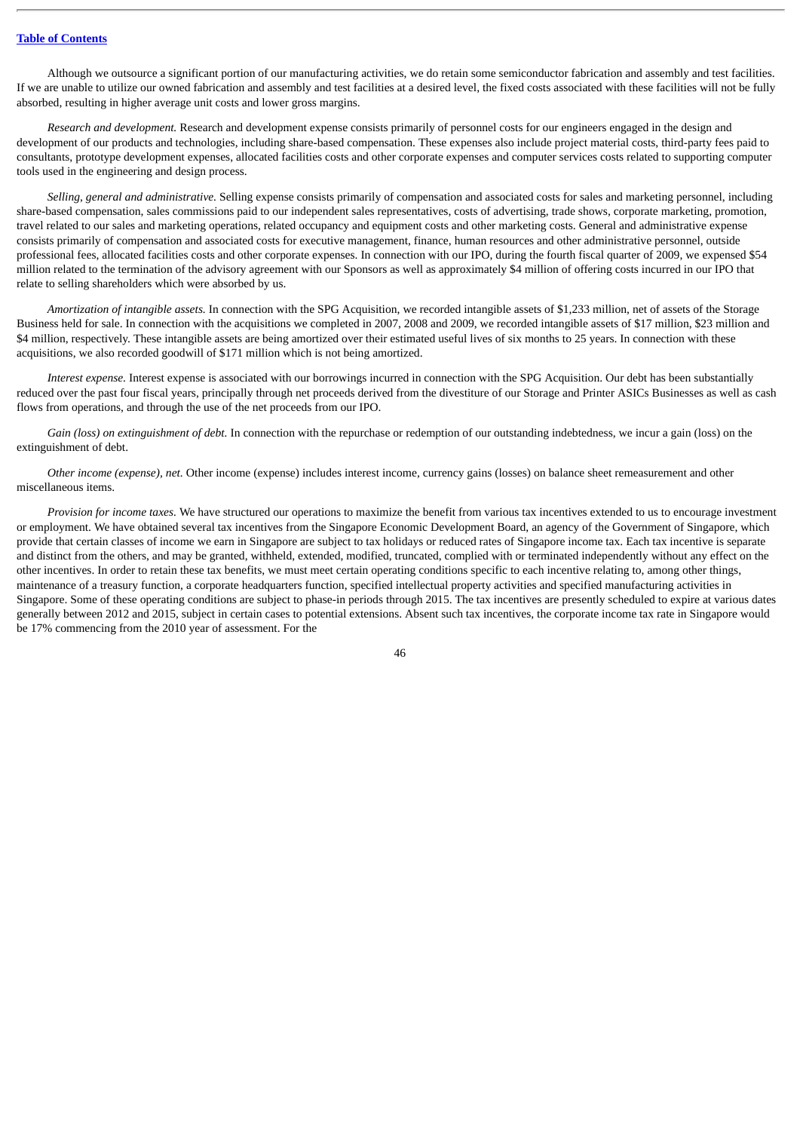Although we outsource a significant portion of our manufacturing activities, we do retain some semiconductor fabrication and assembly and test facilities. If we are unable to utilize our owned fabrication and assembly and test facilities at a desired level, the fixed costs associated with these facilities will not be fully absorbed, resulting in higher average unit costs and lower gross margins.

*Research and development.* Research and development expense consists primarily of personnel costs for our engineers engaged in the design and development of our products and technologies, including share-based compensation. These expenses also include project material costs, third-party fees paid to consultants, prototype development expenses, allocated facilities costs and other corporate expenses and computer services costs related to supporting computer tools used in the engineering and design process.

*Selling*, *general and administrative.* Selling expense consists primarily of compensation and associated costs for sales and marketing personnel, including share-based compensation, sales commissions paid to our independent sales representatives, costs of advertising, trade shows, corporate marketing, promotion, travel related to our sales and marketing operations, related occupancy and equipment costs and other marketing costs. General and administrative expense consists primarily of compensation and associated costs for executive management, finance, human resources and other administrative personnel, outside professional fees, allocated facilities costs and other corporate expenses. In connection with our IPO, during the fourth fiscal quarter of 2009, we expensed \$54 million related to the termination of the advisory agreement with our Sponsors as well as approximately \$4 million of offering costs incurred in our IPO that relate to selling shareholders which were absorbed by us.

*Amortization of intangible assets.* In connection with the SPG Acquisition, we recorded intangible assets of \$1,233 million, net of assets of the Storage Business held for sale. In connection with the acquisitions we completed in 2007, 2008 and 2009, we recorded intangible assets of \$17 million, \$23 million and \$4 million, respectively. These intangible assets are being amortized over their estimated useful lives of six months to 25 years. In connection with these acquisitions, we also recorded goodwill of \$171 million which is not being amortized.

*Interest expense.* Interest expense is associated with our borrowings incurred in connection with the SPG Acquisition. Our debt has been substantially reduced over the past four fiscal years, principally through net proceeds derived from the divestiture of our Storage and Printer ASICs Businesses as well as cash flows from operations, and through the use of the net proceeds from our IPO.

*Gain (loss) on extinguishment of debt.* In connection with the repurchase or redemption of our outstanding indebtedness, we incur a gain (loss) on the extinguishment of debt.

*Other income (expense), net.* Other income (expense) includes interest income, currency gains (losses) on balance sheet remeasurement and other miscellaneous items.

*Provision for income taxes.* We have structured our operations to maximize the benefit from various tax incentives extended to us to encourage investment or employment. We have obtained several tax incentives from the Singapore Economic Development Board, an agency of the Government of Singapore, which provide that certain classes of income we earn in Singapore are subject to tax holidays or reduced rates of Singapore income tax. Each tax incentive is separate and distinct from the others, and may be granted, withheld, extended, modified, truncated, complied with or terminated independently without any effect on the other incentives. In order to retain these tax benefits, we must meet certain operating conditions specific to each incentive relating to, among other things, maintenance of a treasury function, a corporate headquarters function, specified intellectual property activities and specified manufacturing activities in Singapore. Some of these operating conditions are subject to phase-in periods through 2015. The tax incentives are presently scheduled to expire at various dates generally between 2012 and 2015, subject in certain cases to potential extensions. Absent such tax incentives, the corporate income tax rate in Singapore would be 17% commencing from the 2010 year of assessment. For the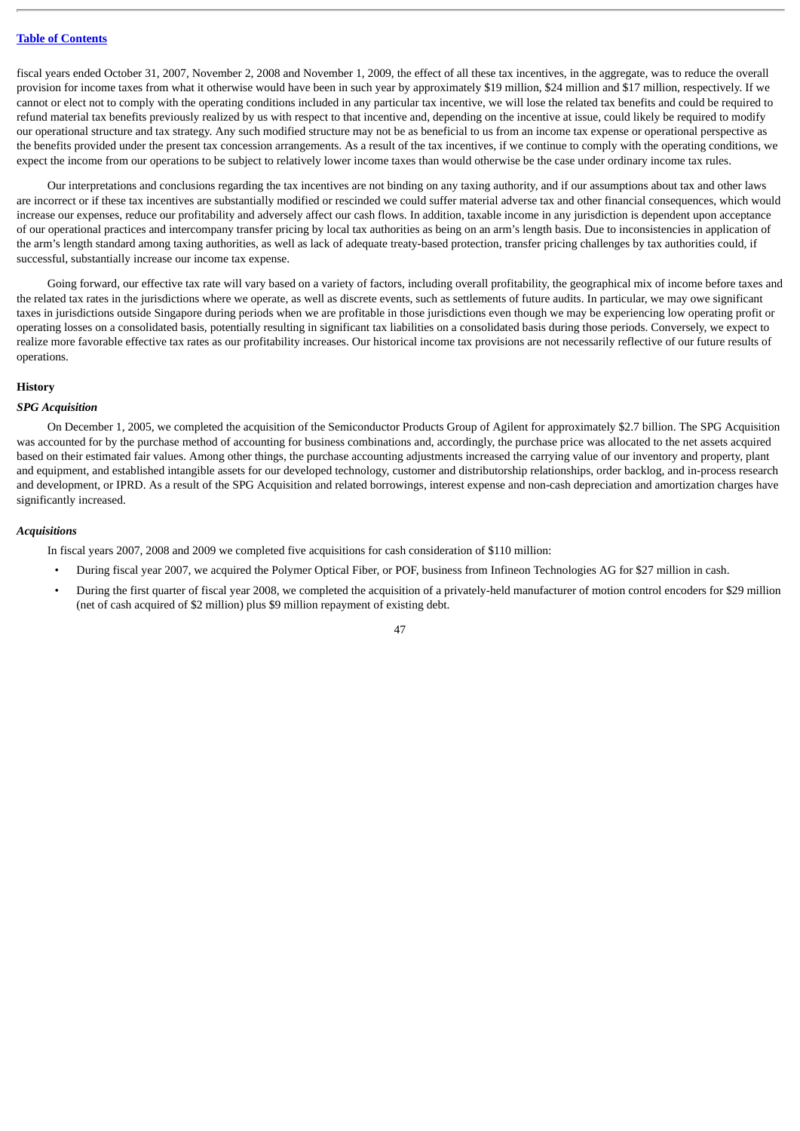fiscal years ended October 31, 2007, November 2, 2008 and November 1, 2009, the effect of all these tax incentives, in the aggregate, was to reduce the overall provision for income taxes from what it otherwise would have been in such year by approximately \$19 million, \$24 million and \$17 million, respectively. If we cannot or elect not to comply with the operating conditions included in any particular tax incentive, we will lose the related tax benefits and could be required to refund material tax benefits previously realized by us with respect to that incentive and, depending on the incentive at issue, could likely be required to modify our operational structure and tax strategy. Any such modified structure may not be as beneficial to us from an income tax expense or operational perspective as the benefits provided under the present tax concession arrangements. As a result of the tax incentives, if we continue to comply with the operating conditions, we expect the income from our operations to be subject to relatively lower income taxes than would otherwise be the case under ordinary income tax rules.

Our interpretations and conclusions regarding the tax incentives are not binding on any taxing authority, and if our assumptions about tax and other laws are incorrect or if these tax incentives are substantially modified or rescinded we could suffer material adverse tax and other financial consequences, which would increase our expenses, reduce our profitability and adversely affect our cash flows. In addition, taxable income in any jurisdiction is dependent upon acceptance of our operational practices and intercompany transfer pricing by local tax authorities as being on an arm's length basis. Due to inconsistencies in application of the arm's length standard among taxing authorities, as well as lack of adequate treaty-based protection, transfer pricing challenges by tax authorities could, if successful, substantially increase our income tax expense.

Going forward, our effective tax rate will vary based on a variety of factors, including overall profitability, the geographical mix of income before taxes and the related tax rates in the jurisdictions where we operate, as well as discrete events, such as settlements of future audits. In particular, we may owe significant taxes in jurisdictions outside Singapore during periods when we are profitable in those jurisdictions even though we may be experiencing low operating profit or operating losses on a consolidated basis, potentially resulting in significant tax liabilities on a consolidated basis during those periods. Conversely, we expect to realize more favorable effective tax rates as our profitability increases. Our historical income tax provisions are not necessarily reflective of our future results of operations.

# **History**

# *SPG Acquisition*

On December 1, 2005, we completed the acquisition of the Semiconductor Products Group of Agilent for approximately \$2.7 billion. The SPG Acquisition was accounted for by the purchase method of accounting for business combinations and, accordingly, the purchase price was allocated to the net assets acquired based on their estimated fair values. Among other things, the purchase accounting adjustments increased the carrying value of our inventory and property, plant and equipment, and established intangible assets for our developed technology, customer and distributorship relationships, order backlog, and in-process research and development, or IPRD. As a result of the SPG Acquisition and related borrowings, interest expense and non-cash depreciation and amortization charges have significantly increased.

#### *Acquisitions*

In fiscal years 2007, 2008 and 2009 we completed five acquisitions for cash consideration of \$110 million:

- During fiscal year 2007, we acquired the Polymer Optical Fiber, or POF, business from Infineon Technologies AG for \$27 million in cash.
- During the first quarter of fiscal year 2008, we completed the acquisition of a privately-held manufacturer of motion control encoders for \$29 million (net of cash acquired of \$2 million) plus \$9 million repayment of existing debt.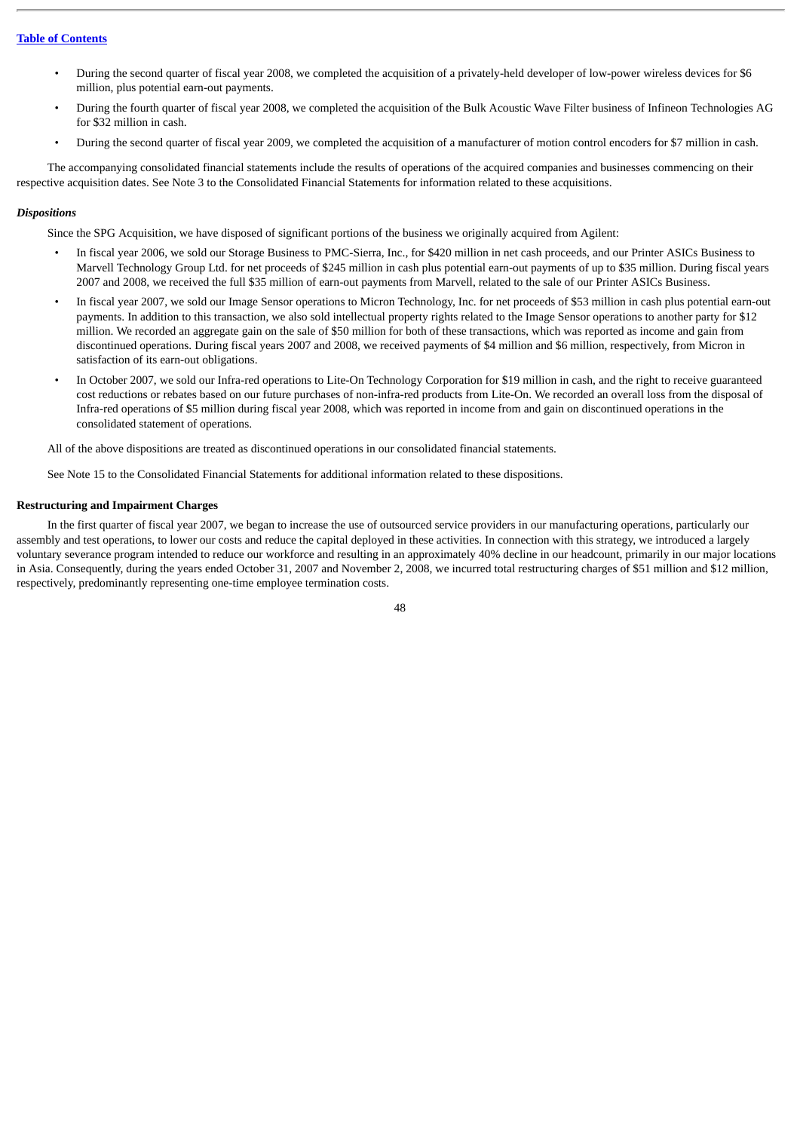- During the second quarter of fiscal year 2008, we completed the acquisition of a privately-held developer of low-power wireless devices for \$6 million, plus potential earn-out payments.
- During the fourth quarter of fiscal year 2008, we completed the acquisition of the Bulk Acoustic Wave Filter business of Infineon Technologies AG for \$32 million in cash.
- During the second quarter of fiscal year 2009, we completed the acquisition of a manufacturer of motion control encoders for \$7 million in cash.

The accompanying consolidated financial statements include the results of operations of the acquired companies and businesses commencing on their respective acquisition dates. See Note 3 to the Consolidated Financial Statements for information related to these acquisitions.

## *Dispositions*

Since the SPG Acquisition, we have disposed of significant portions of the business we originally acquired from Agilent:

- In fiscal year 2006, we sold our Storage Business to PMC-Sierra, Inc., for \$420 million in net cash proceeds, and our Printer ASICs Business to Marvell Technology Group Ltd. for net proceeds of \$245 million in cash plus potential earn-out payments of up to \$35 million. During fiscal years 2007 and 2008, we received the full \$35 million of earn-out payments from Marvell, related to the sale of our Printer ASICs Business.
- In fiscal year 2007, we sold our Image Sensor operations to Micron Technology, Inc. for net proceeds of \$53 million in cash plus potential earn-out payments. In addition to this transaction, we also sold intellectual property rights related to the Image Sensor operations to another party for \$12 million. We recorded an aggregate gain on the sale of \$50 million for both of these transactions, which was reported as income and gain from discontinued operations. During fiscal years 2007 and 2008, we received payments of \$4 million and \$6 million, respectively, from Micron in satisfaction of its earn-out obligations.
- In October 2007, we sold our Infra-red operations to Lite-On Technology Corporation for \$19 million in cash, and the right to receive guaranteed cost reductions or rebates based on our future purchases of non-infra-red products from Lite-On. We recorded an overall loss from the disposal of Infra-red operations of \$5 million during fiscal year 2008, which was reported in income from and gain on discontinued operations in the consolidated statement of operations.

All of the above dispositions are treated as discontinued operations in our consolidated financial statements.

See Note 15 to the Consolidated Financial Statements for additional information related to these dispositions.

# **Restructuring and Impairment Charges**

In the first quarter of fiscal year 2007, we began to increase the use of outsourced service providers in our manufacturing operations, particularly our assembly and test operations, to lower our costs and reduce the capital deployed in these activities. In connection with this strategy, we introduced a largely voluntary severance program intended to reduce our workforce and resulting in an approximately 40% decline in our headcount, primarily in our major locations in Asia. Consequently, during the years ended October 31, 2007 and November 2, 2008, we incurred total restructuring charges of \$51 million and \$12 million, respectively, predominantly representing one-time employee termination costs.

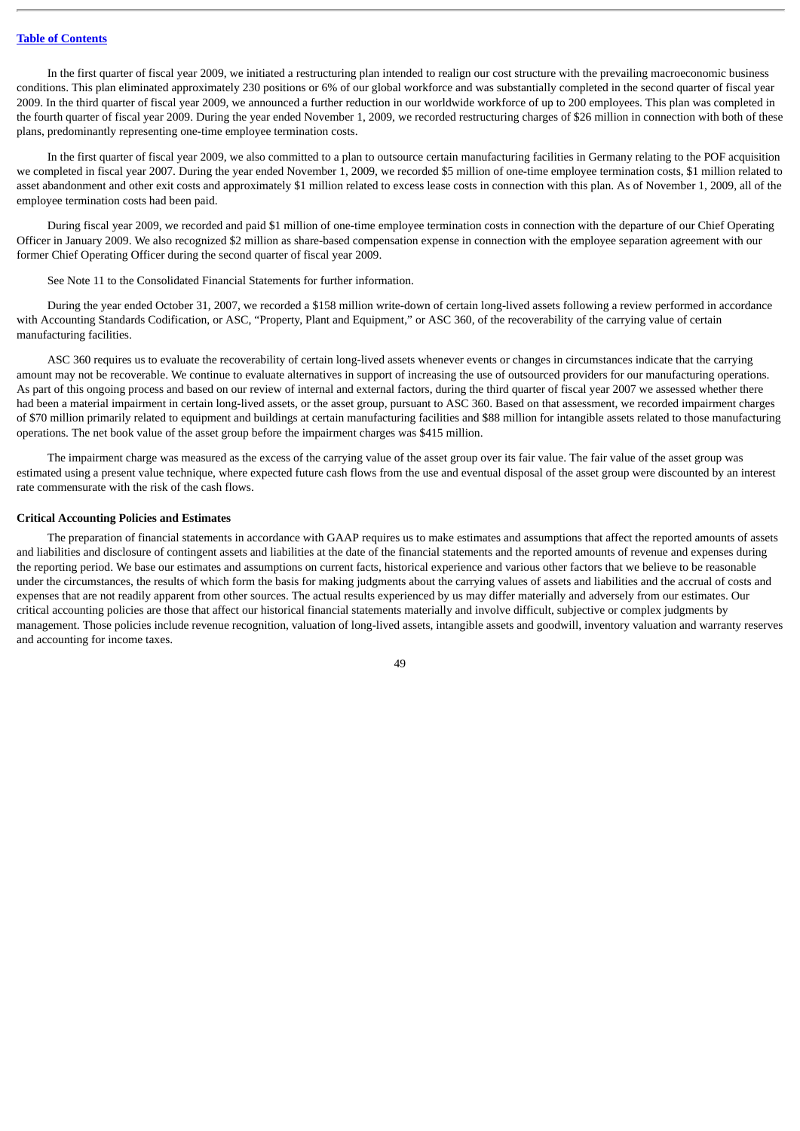In the first quarter of fiscal year 2009, we initiated a restructuring plan intended to realign our cost structure with the prevailing macroeconomic business conditions. This plan eliminated approximately 230 positions or 6% of our global workforce and was substantially completed in the second quarter of fiscal year 2009. In the third quarter of fiscal year 2009, we announced a further reduction in our worldwide workforce of up to 200 employees. This plan was completed in the fourth quarter of fiscal year 2009. During the year ended November 1, 2009, we recorded restructuring charges of \$26 million in connection with both of these plans, predominantly representing one-time employee termination costs.

In the first quarter of fiscal year 2009, we also committed to a plan to outsource certain manufacturing facilities in Germany relating to the POF acquisition we completed in fiscal year 2007. During the year ended November 1, 2009, we recorded \$5 million of one-time employee termination costs, \$1 million related to asset abandonment and other exit costs and approximately \$1 million related to excess lease costs in connection with this plan. As of November 1, 2009, all of the employee termination costs had been paid.

During fiscal year 2009, we recorded and paid \$1 million of one-time employee termination costs in connection with the departure of our Chief Operating Officer in January 2009. We also recognized \$2 million as share-based compensation expense in connection with the employee separation agreement with our former Chief Operating Officer during the second quarter of fiscal year 2009.

See Note 11 to the Consolidated Financial Statements for further information.

During the year ended October 31, 2007, we recorded a \$158 million write-down of certain long-lived assets following a review performed in accordance with Accounting Standards Codification, or ASC, "Property, Plant and Equipment," or ASC 360, of the recoverability of the carrying value of certain manufacturing facilities.

ASC 360 requires us to evaluate the recoverability of certain long-lived assets whenever events or changes in circumstances indicate that the carrying amount may not be recoverable. We continue to evaluate alternatives in support of increasing the use of outsourced providers for our manufacturing operations. As part of this ongoing process and based on our review of internal and external factors, during the third quarter of fiscal year 2007 we assessed whether there had been a material impairment in certain long-lived assets, or the asset group, pursuant to ASC 360. Based on that assessment, we recorded impairment charges of \$70 million primarily related to equipment and buildings at certain manufacturing facilities and \$88 million for intangible assets related to those manufacturing operations. The net book value of the asset group before the impairment charges was \$415 million.

The impairment charge was measured as the excess of the carrying value of the asset group over its fair value. The fair value of the asset group was estimated using a present value technique, where expected future cash flows from the use and eventual disposal of the asset group were discounted by an interest rate commensurate with the risk of the cash flows.

#### **Critical Accounting Policies and Estimates**

The preparation of financial statements in accordance with GAAP requires us to make estimates and assumptions that affect the reported amounts of assets and liabilities and disclosure of contingent assets and liabilities at the date of the financial statements and the reported amounts of revenue and expenses during the reporting period. We base our estimates and assumptions on current facts, historical experience and various other factors that we believe to be reasonable under the circumstances, the results of which form the basis for making judgments about the carrying values of assets and liabilities and the accrual of costs and expenses that are not readily apparent from other sources. The actual results experienced by us may differ materially and adversely from our estimates. Our critical accounting policies are those that affect our historical financial statements materially and involve difficult, subjective or complex judgments by management. Those policies include revenue recognition, valuation of long-lived assets, intangible assets and goodwill, inventory valuation and warranty reserves and accounting for income taxes.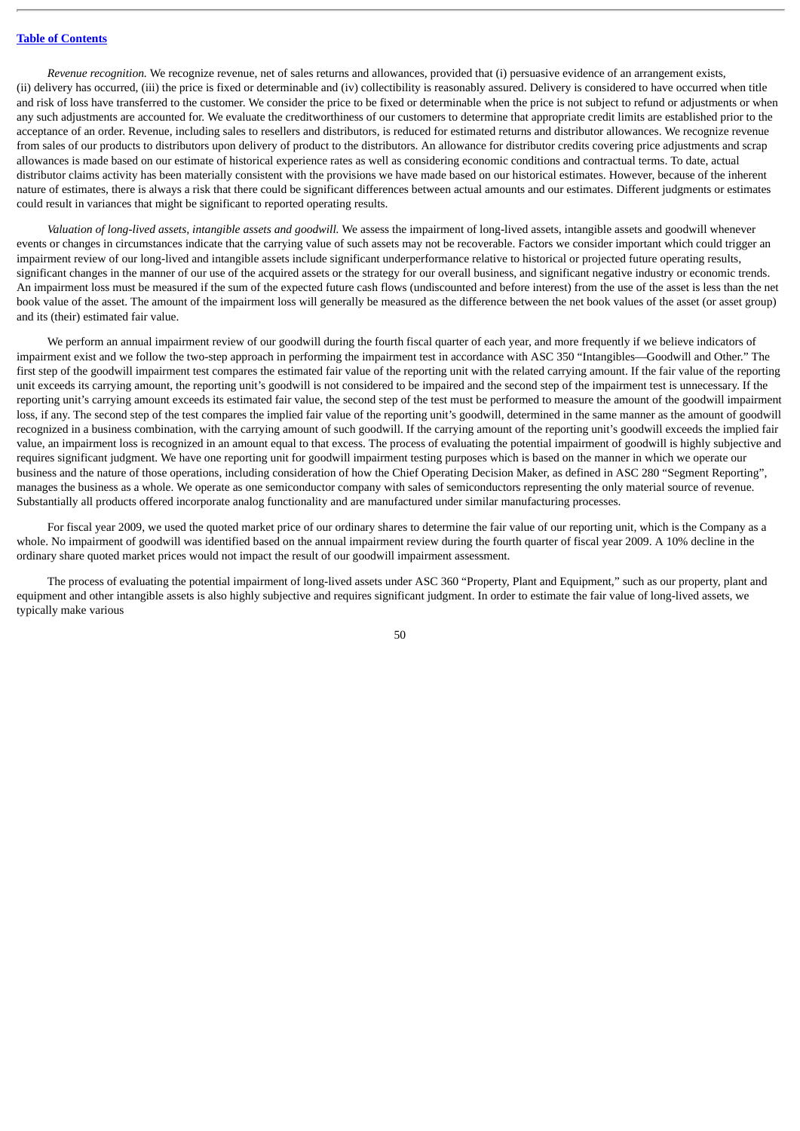*Revenue recognition.* We recognize revenue, net of sales returns and allowances, provided that (i) persuasive evidence of an arrangement exists, (ii) delivery has occurred, (iii) the price is fixed or determinable and (iv) collectibility is reasonably assured. Delivery is considered to have occurred when title and risk of loss have transferred to the customer. We consider the price to be fixed or determinable when the price is not subject to refund or adjustments or when any such adjustments are accounted for. We evaluate the creditworthiness of our customers to determine that appropriate credit limits are established prior to the acceptance of an order. Revenue, including sales to resellers and distributors, is reduced for estimated returns and distributor allowances. We recognize revenue from sales of our products to distributors upon delivery of product to the distributors. An allowance for distributor credits covering price adjustments and scrap allowances is made based on our estimate of historical experience rates as well as considering economic conditions and contractual terms. To date, actual distributor claims activity has been materially consistent with the provisions we have made based on our historical estimates. However, because of the inherent nature of estimates, there is always a risk that there could be significant differences between actual amounts and our estimates. Different judgments or estimates could result in variances that might be significant to reported operating results.

*Valuation of long-lived assets, intangible assets and goodwill.* We assess the impairment of long-lived assets, intangible assets and goodwill whenever events or changes in circumstances indicate that the carrying value of such assets may not be recoverable. Factors we consider important which could trigger an impairment review of our long-lived and intangible assets include significant underperformance relative to historical or projected future operating results, significant changes in the manner of our use of the acquired assets or the strategy for our overall business, and significant negative industry or economic trends. An impairment loss must be measured if the sum of the expected future cash flows (undiscounted and before interest) from the use of the asset is less than the net book value of the asset. The amount of the impairment loss will generally be measured as the difference between the net book values of the asset (or asset group) and its (their) estimated fair value.

We perform an annual impairment review of our goodwill during the fourth fiscal quarter of each year, and more frequently if we believe indicators of impairment exist and we follow the two-step approach in performing the impairment test in accordance with ASC 350 "Intangibles—Goodwill and Other." The first step of the goodwill impairment test compares the estimated fair value of the reporting unit with the related carrying amount. If the fair value of the reporting unit exceeds its carrying amount, the reporting unit's goodwill is not considered to be impaired and the second step of the impairment test is unnecessary. If the reporting unit's carrying amount exceeds its estimated fair value, the second step of the test must be performed to measure the amount of the goodwill impairment loss, if any. The second step of the test compares the implied fair value of the reporting unit's goodwill, determined in the same manner as the amount of goodwill recognized in a business combination, with the carrying amount of such goodwill. If the carrying amount of the reporting unit's goodwill exceeds the implied fair value, an impairment loss is recognized in an amount equal to that excess. The process of evaluating the potential impairment of goodwill is highly subjective and requires significant judgment. We have one reporting unit for goodwill impairment testing purposes which is based on the manner in which we operate our business and the nature of those operations, including consideration of how the Chief Operating Decision Maker, as defined in ASC 280 "Segment Reporting", manages the business as a whole. We operate as one semiconductor company with sales of semiconductors representing the only material source of revenue. Substantially all products offered incorporate analog functionality and are manufactured under similar manufacturing processes.

For fiscal year 2009, we used the quoted market price of our ordinary shares to determine the fair value of our reporting unit, which is the Company as a whole. No impairment of goodwill was identified based on the annual impairment review during the fourth quarter of fiscal year 2009. A 10% decline in the ordinary share quoted market prices would not impact the result of our goodwill impairment assessment.

The process of evaluating the potential impairment of long-lived assets under ASC 360 "Property, Plant and Equipment," such as our property, plant and equipment and other intangible assets is also highly subjective and requires significant judgment. In order to estimate the fair value of long-lived assets, we typically make various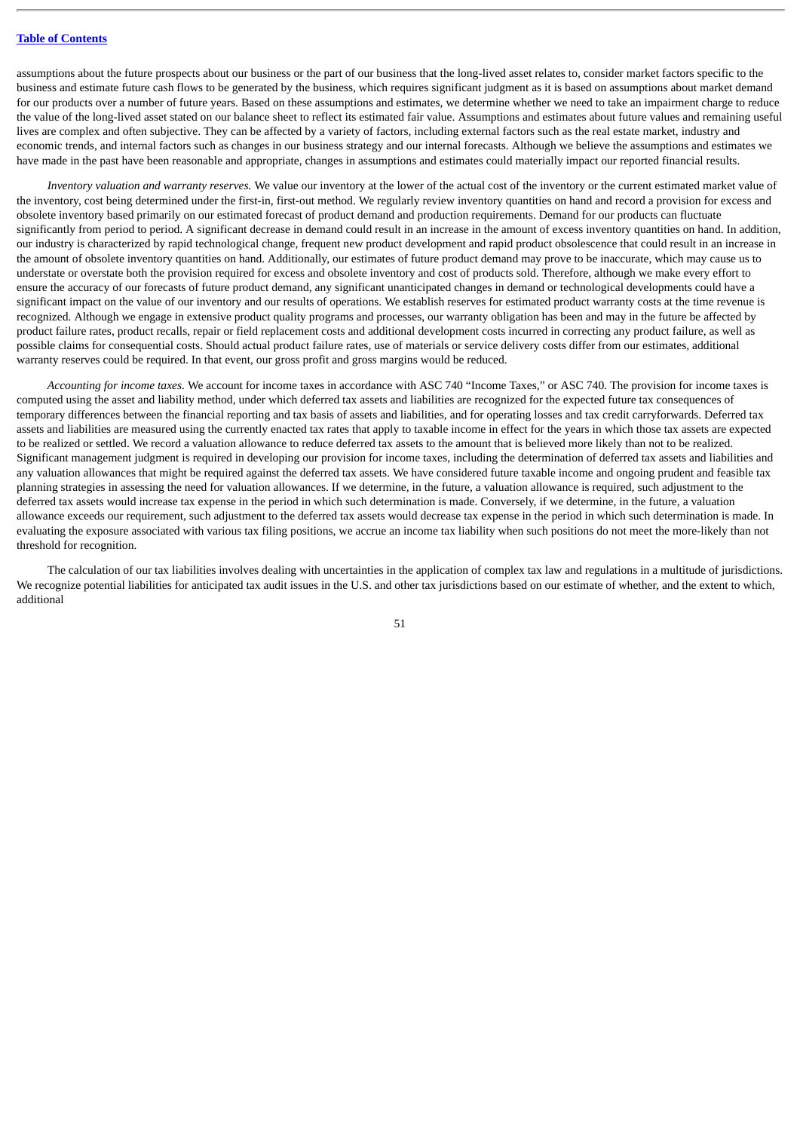assumptions about the future prospects about our business or the part of our business that the long-lived asset relates to, consider market factors specific to the business and estimate future cash flows to be generated by the business, which requires significant judgment as it is based on assumptions about market demand for our products over a number of future years. Based on these assumptions and estimates, we determine whether we need to take an impairment charge to reduce the value of the long-lived asset stated on our balance sheet to reflect its estimated fair value. Assumptions and estimates about future values and remaining useful lives are complex and often subjective. They can be affected by a variety of factors, including external factors such as the real estate market, industry and economic trends, and internal factors such as changes in our business strategy and our internal forecasts. Although we believe the assumptions and estimates we have made in the past have been reasonable and appropriate, changes in assumptions and estimates could materially impact our reported financial results.

*Inventory valuation and warranty reserves.* We value our inventory at the lower of the actual cost of the inventory or the current estimated market value of the inventory, cost being determined under the first-in, first-out method. We regularly review inventory quantities on hand and record a provision for excess and obsolete inventory based primarily on our estimated forecast of product demand and production requirements. Demand for our products can fluctuate significantly from period to period. A significant decrease in demand could result in an increase in the amount of excess inventory quantities on hand. In addition, our industry is characterized by rapid technological change, frequent new product development and rapid product obsolescence that could result in an increase in the amount of obsolete inventory quantities on hand. Additionally, our estimates of future product demand may prove to be inaccurate, which may cause us to understate or overstate both the provision required for excess and obsolete inventory and cost of products sold. Therefore, although we make every effort to ensure the accuracy of our forecasts of future product demand, any significant unanticipated changes in demand or technological developments could have a significant impact on the value of our inventory and our results of operations. We establish reserves for estimated product warranty costs at the time revenue is recognized. Although we engage in extensive product quality programs and processes, our warranty obligation has been and may in the future be affected by product failure rates, product recalls, repair or field replacement costs and additional development costs incurred in correcting any product failure, as well as possible claims for consequential costs. Should actual product failure rates, use of materials or service delivery costs differ from our estimates, additional warranty reserves could be required. In that event, our gross profit and gross margins would be reduced.

*Accounting for income taxes.* We account for income taxes in accordance with ASC 740 "Income Taxes," or ASC 740. The provision for income taxes is computed using the asset and liability method, under which deferred tax assets and liabilities are recognized for the expected future tax consequences of temporary differences between the financial reporting and tax basis of assets and liabilities, and for operating losses and tax credit carryforwards. Deferred tax assets and liabilities are measured using the currently enacted tax rates that apply to taxable income in effect for the years in which those tax assets are expected to be realized or settled. We record a valuation allowance to reduce deferred tax assets to the amount that is believed more likely than not to be realized. Significant management judgment is required in developing our provision for income taxes, including the determination of deferred tax assets and liabilities and any valuation allowances that might be required against the deferred tax assets. We have considered future taxable income and ongoing prudent and feasible tax planning strategies in assessing the need for valuation allowances. If we determine, in the future, a valuation allowance is required, such adjustment to the deferred tax assets would increase tax expense in the period in which such determination is made. Conversely, if we determine, in the future, a valuation allowance exceeds our requirement, such adjustment to the deferred tax assets would decrease tax expense in the period in which such determination is made. In evaluating the exposure associated with various tax filing positions, we accrue an income tax liability when such positions do not meet the more-likely than not threshold for recognition.

The calculation of our tax liabilities involves dealing with uncertainties in the application of complex tax law and regulations in a multitude of jurisdictions. We recognize potential liabilities for anticipated tax audit issues in the U.S. and other tax jurisdictions based on our estimate of whether, and the extent to which, additional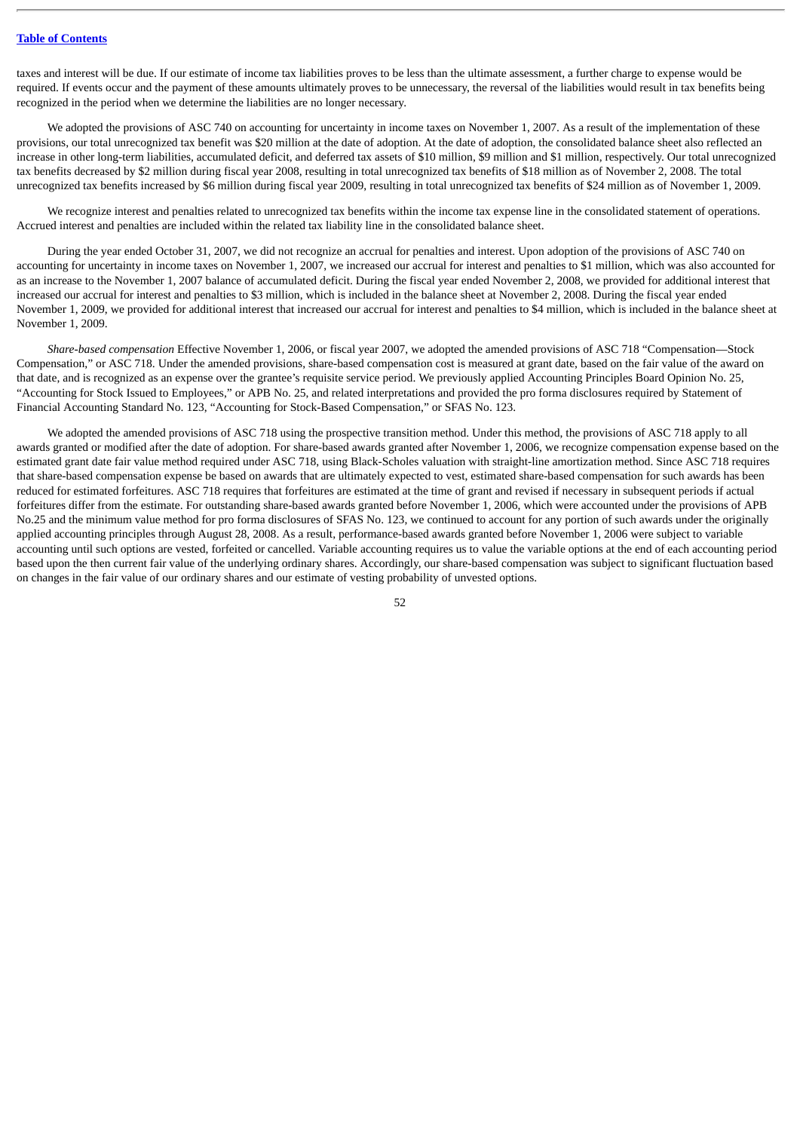taxes and interest will be due. If our estimate of income tax liabilities proves to be less than the ultimate assessment, a further charge to expense would be required. If events occur and the payment of these amounts ultimately proves to be unnecessary, the reversal of the liabilities would result in tax benefits being recognized in the period when we determine the liabilities are no longer necessary.

We adopted the provisions of ASC 740 on accounting for uncertainty in income taxes on November 1, 2007. As a result of the implementation of these provisions, our total unrecognized tax benefit was \$20 million at the date of adoption. At the date of adoption, the consolidated balance sheet also reflected an increase in other long-term liabilities, accumulated deficit, and deferred tax assets of \$10 million, \$9 million and \$1 million, respectively. Our total unrecognized tax benefits decreased by \$2 million during fiscal year 2008, resulting in total unrecognized tax benefits of \$18 million as of November 2, 2008. The total unrecognized tax benefits increased by \$6 million during fiscal year 2009, resulting in total unrecognized tax benefits of \$24 million as of November 1, 2009.

We recognize interest and penalties related to unrecognized tax benefits within the income tax expense line in the consolidated statement of operations. Accrued interest and penalties are included within the related tax liability line in the consolidated balance sheet.

During the year ended October 31, 2007, we did not recognize an accrual for penalties and interest. Upon adoption of the provisions of ASC 740 on accounting for uncertainty in income taxes on November 1, 2007, we increased our accrual for interest and penalties to \$1 million, which was also accounted for as an increase to the November 1, 2007 balance of accumulated deficit. During the fiscal year ended November 2, 2008, we provided for additional interest that increased our accrual for interest and penalties to \$3 million, which is included in the balance sheet at November 2, 2008. During the fiscal year ended November 1, 2009, we provided for additional interest that increased our accrual for interest and penalties to \$4 million, which is included in the balance sheet at November 1, 2009.

*Share-based compensation* Effective November 1, 2006, or fiscal year 2007, we adopted the amended provisions of ASC 718 "Compensation—Stock Compensation," or ASC 718. Under the amended provisions, share-based compensation cost is measured at grant date, based on the fair value of the award on that date, and is recognized as an expense over the grantee's requisite service period. We previously applied Accounting Principles Board Opinion No. 25, "Accounting for Stock Issued to Employees," or APB No. 25, and related interpretations and provided the pro forma disclosures required by Statement of Financial Accounting Standard No. 123, "Accounting for Stock-Based Compensation," or SFAS No. 123.

We adopted the amended provisions of ASC 718 using the prospective transition method. Under this method, the provisions of ASC 718 apply to all awards granted or modified after the date of adoption. For share-based awards granted after November 1, 2006, we recognize compensation expense based on the estimated grant date fair value method required under ASC 718, using Black-Scholes valuation with straight-line amortization method. Since ASC 718 requires that share-based compensation expense be based on awards that are ultimately expected to vest, estimated share-based compensation for such awards has been reduced for estimated forfeitures. ASC 718 requires that forfeitures are estimated at the time of grant and revised if necessary in subsequent periods if actual forfeitures differ from the estimate. For outstanding share-based awards granted before November 1, 2006, which were accounted under the provisions of APB No.25 and the minimum value method for pro forma disclosures of SFAS No. 123, we continued to account for any portion of such awards under the originally applied accounting principles through August 28, 2008. As a result, performance-based awards granted before November 1, 2006 were subject to variable accounting until such options are vested, forfeited or cancelled. Variable accounting requires us to value the variable options at the end of each accounting period based upon the then current fair value of the underlying ordinary shares. Accordingly, our share-based compensation was subject to significant fluctuation based on changes in the fair value of our ordinary shares and our estimate of vesting probability of unvested options.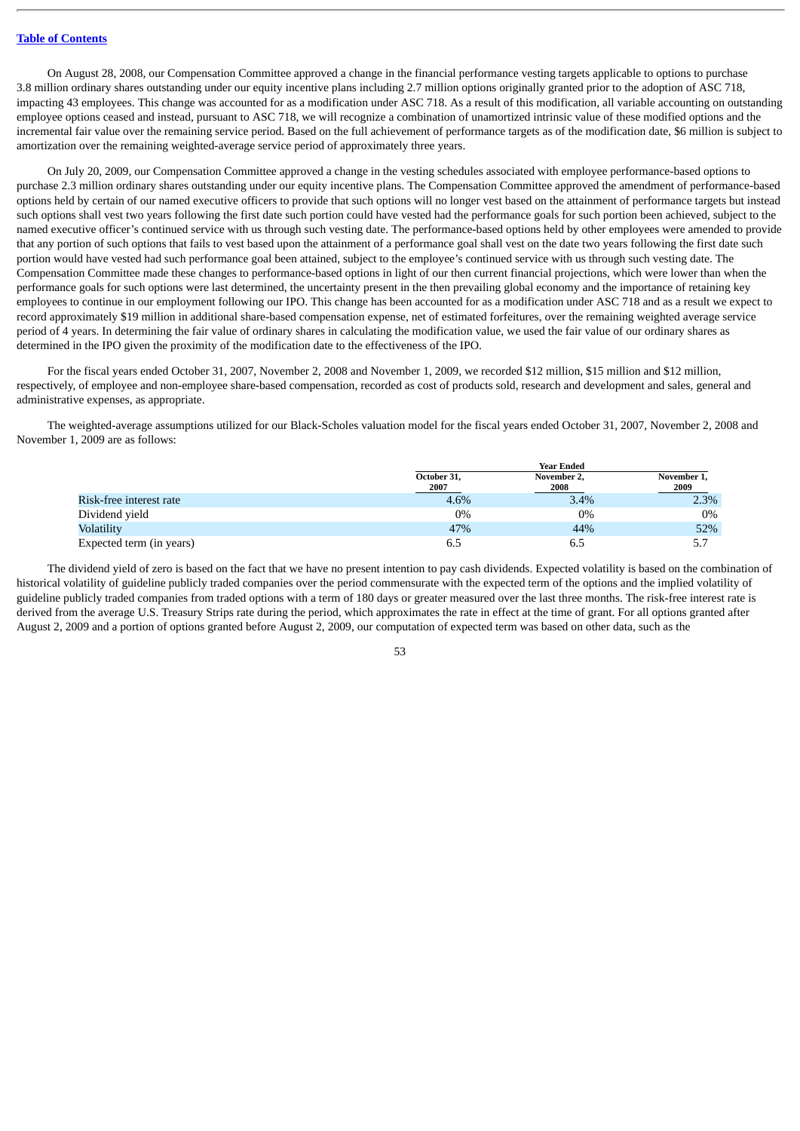On August 28, 2008, our Compensation Committee approved a change in the financial performance vesting targets applicable to options to purchase 3.8 million ordinary shares outstanding under our equity incentive plans including 2.7 million options originally granted prior to the adoption of ASC 718, impacting 43 employees. This change was accounted for as a modification under ASC 718. As a result of this modification, all variable accounting on outstanding employee options ceased and instead, pursuant to ASC 718, we will recognize a combination of unamortized intrinsic value of these modified options and the incremental fair value over the remaining service period. Based on the full achievement of performance targets as of the modification date, \$6 million is subject to amortization over the remaining weighted-average service period of approximately three years.

On July 20, 2009, our Compensation Committee approved a change in the vesting schedules associated with employee performance-based options to purchase 2.3 million ordinary shares outstanding under our equity incentive plans. The Compensation Committee approved the amendment of performance-based options held by certain of our named executive officers to provide that such options will no longer vest based on the attainment of performance targets but instead such options shall vest two years following the first date such portion could have vested had the performance goals for such portion been achieved, subject to the named executive officer's continued service with us through such vesting date. The performance-based options held by other employees were amended to provide that any portion of such options that fails to vest based upon the attainment of a performance goal shall vest on the date two years following the first date such portion would have vested had such performance goal been attained, subject to the employee's continued service with us through such vesting date. The Compensation Committee made these changes to performance-based options in light of our then current financial projections, which were lower than when the performance goals for such options were last determined, the uncertainty present in the then prevailing global economy and the importance of retaining key employees to continue in our employment following our IPO. This change has been accounted for as a modification under ASC 718 and as a result we expect to record approximately \$19 million in additional share-based compensation expense, net of estimated forfeitures, over the remaining weighted average service period of 4 years. In determining the fair value of ordinary shares in calculating the modification value, we used the fair value of our ordinary shares as determined in the IPO given the proximity of the modification date to the effectiveness of the IPO.

For the fiscal years ended October 31, 2007, November 2, 2008 and November 1, 2009, we recorded \$12 million, \$15 million and \$12 million, respectively, of employee and non-employee share-based compensation, recorded as cost of products sold, research and development and sales, general and administrative expenses, as appropriate.

The weighted-average assumptions utilized for our Black-Scholes valuation model for the fiscal years ended October 31, 2007, November 2, 2008 and November 1, 2009 are as follows:

|                          |                     | <b>Year Ended</b>   |                     |  |
|--------------------------|---------------------|---------------------|---------------------|--|
|                          | October 31,<br>2007 | November 2,<br>2008 | November 1,<br>2009 |  |
| Risk-free interest rate  | 4.6%                | 3.4%                | 2.3%                |  |
| Dividend vield           | 0%                  | 0%                  | 0%                  |  |
| Volatility               | 47%                 | 44%                 | 52%                 |  |
| Expected term (in years) | 6.5                 | ნ.5                 | 5.7                 |  |

The dividend yield of zero is based on the fact that we have no present intention to pay cash dividends. Expected volatility is based on the combination of historical volatility of guideline publicly traded companies over the period commensurate with the expected term of the options and the implied volatility of guideline publicly traded companies from traded options with a term of 180 days or greater measured over the last three months. The risk-free interest rate is derived from the average U.S. Treasury Strips rate during the period, which approximates the rate in effect at the time of grant. For all options granted after August 2, 2009 and a portion of options granted before August 2, 2009, our computation of expected term was based on other data, such as the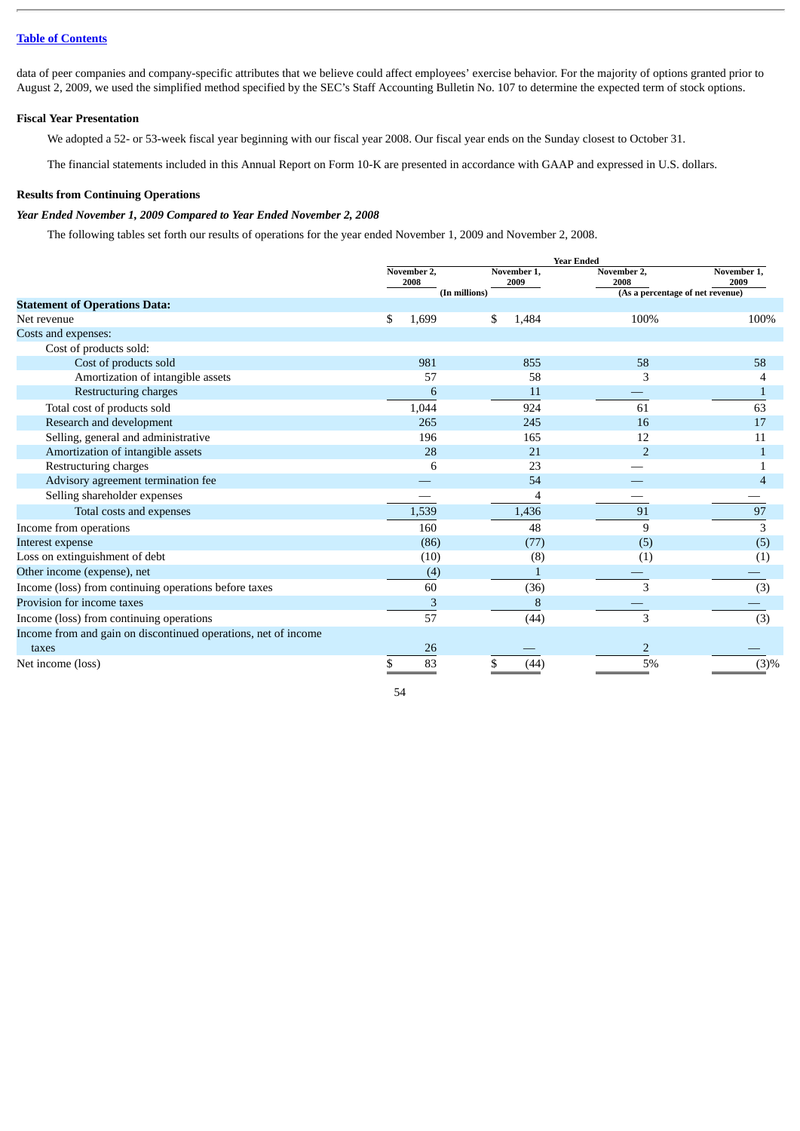data of peer companies and company-specific attributes that we believe could affect employees' exercise behavior. For the majority of options granted prior to August 2, 2009, we used the simplified method specified by the SEC's Staff Accounting Bulletin No. 107 to determine the expected term of stock options.

# **Fiscal Year Presentation**

We adopted a 52- or 53-week fiscal year beginning with our fiscal year 2008. Our fiscal year ends on the Sunday closest to October 31.

The financial statements included in this Annual Report on Form 10-K are presented in accordance with GAAP and expressed in U.S. dollars.

## **Results from Continuing Operations**

# *Year Ended November 1, 2009 Compared to Year Ended November 2, 2008*

The following tables set forth our results of operations for the year ended November 1, 2009 and November 2, 2008.

|                                                                |                     |                     | <b>Year Ended</b>                |                          |
|----------------------------------------------------------------|---------------------|---------------------|----------------------------------|--------------------------|
|                                                                | November 2,<br>2008 | November 1,<br>2009 | November 2,<br>2008              | November 1,<br>2009      |
|                                                                |                     | (In millions)       | (As a percentage of net revenue) |                          |
| <b>Statement of Operations Data:</b>                           |                     |                     |                                  |                          |
| Net revenue                                                    | \$<br>1,699         | \$<br>1,484         | 100%                             | 100%                     |
| Costs and expenses:                                            |                     |                     |                                  |                          |
| Cost of products sold:                                         |                     |                     |                                  |                          |
| Cost of products sold                                          | 981                 | 855                 | 58                               | 58                       |
| Amortization of intangible assets                              | 57                  | 58                  | 3                                | 4                        |
| Restructuring charges                                          | 6                   | 11                  |                                  | $\mathbf{1}$             |
| Total cost of products sold                                    | 1,044               | 924                 | 61                               | 63                       |
| Research and development                                       | 265                 | 245                 | 16                               | 17                       |
| Selling, general and administrative                            | 196                 | 165                 | 12                               | 11                       |
| Amortization of intangible assets                              | 28                  | 21                  | $\overline{\phantom{a}}$         |                          |
| Restructuring charges                                          | 6                   | 23                  |                                  |                          |
| Advisory agreement termination fee                             |                     | 54                  |                                  | $\overline{\mathcal{A}}$ |
| Selling shareholder expenses                                   |                     | 4                   |                                  |                          |
| Total costs and expenses                                       | 1,539               | 1,436               | 91                               | 97                       |
| Income from operations                                         | 160                 | 48                  | 9                                | 3                        |
| Interest expense                                               | (86)                | (77)                | (5)                              | (5)                      |
| Loss on extinguishment of debt                                 | (10)                | (8)                 | (1)                              | (1)                      |
| Other income (expense), net                                    | (4)                 |                     |                                  |                          |
| Income (loss) from continuing operations before taxes          | 60                  | (36)                | 3                                | (3)                      |
| Provision for income taxes                                     | 3                   | 8                   |                                  |                          |
| Income (loss) from continuing operations                       | 57                  | (44)                | 3                                | (3)                      |
| Income from and gain on discontinued operations, net of income |                     |                     |                                  |                          |
| taxes                                                          | 26                  |                     | $\overline{2}$                   |                          |
| Net income (loss)                                              | 83<br>\$            | \$<br>(44)          | 5%                               | (3)%                     |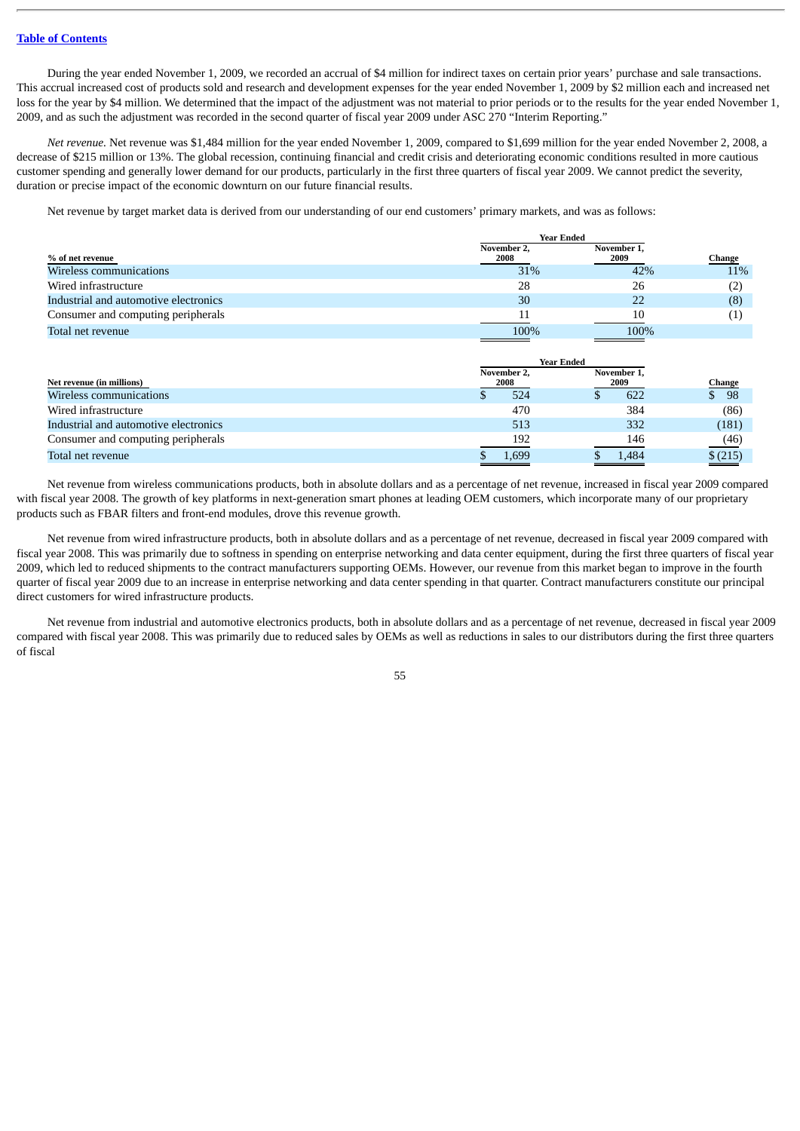During the year ended November 1, 2009, we recorded an accrual of \$4 million for indirect taxes on certain prior years' purchase and sale transactions. This accrual increased cost of products sold and research and development expenses for the year ended November 1, 2009 by \$2 million each and increased net loss for the year by \$4 million. We determined that the impact of the adjustment was not material to prior periods or to the results for the year ended November 1, 2009, and as such the adjustment was recorded in the second quarter of fiscal year 2009 under ASC 270 "Interim Reporting."

*Net revenue.* Net revenue was \$1,484 million for the year ended November 1, 2009, compared to \$1,699 million for the year ended November 2, 2008, a decrease of \$215 million or 13%. The global recession, continuing financial and credit crisis and deteriorating economic conditions resulted in more cautious customer spending and generally lower demand for our products, particularly in the first three quarters of fiscal year 2009. We cannot predict the severity, duration or precise impact of the economic downturn on our future financial results.

Net revenue by target market data is derived from our understanding of our end customers' primary markets, and was as follows:

|                                       |                     | <b>Year Ended</b>   |                              |  |
|---------------------------------------|---------------------|---------------------|------------------------------|--|
| % of net revenue                      | November 2,<br>2008 | November 1,<br>2009 | Change                       |  |
| Wireless communications               | 31%                 | 42%                 | 11%                          |  |
| Wired infrastructure                  | 28                  | 26                  | (2)                          |  |
| Industrial and automotive electronics | 30                  | 22                  | (8)                          |  |
| Consumer and computing peripherals    |                     |                     | $\left\lceil 1 \right\rceil$ |  |
| Total net revenue                     | 100%                | 100%                |                              |  |

|                                       | <b>Year Ended</b>   |                     |              |
|---------------------------------------|---------------------|---------------------|--------------|
| Net revenue (in millions)             | November 2.<br>2008 | November 1.<br>2009 | Change       |
| Wireless communications               | 524                 | 622                 | 98           |
| Wired infrastructure                  | 470                 | 384                 | (86)         |
| Industrial and automotive electronics | 513                 | 332                 | (181)        |
| Consumer and computing peripherals    | 192                 | 146                 | (46)         |
| Total net revenue                     | 1,699               | 1,484               | $\sqrt{215}$ |

Net revenue from wireless communications products, both in absolute dollars and as a percentage of net revenue, increased in fiscal year 2009 compared with fiscal year 2008. The growth of key platforms in next-generation smart phones at leading OEM customers, which incorporate many of our proprietary products such as FBAR filters and front-end modules, drove this revenue growth.

Net revenue from wired infrastructure products, both in absolute dollars and as a percentage of net revenue, decreased in fiscal year 2009 compared with fiscal year 2008. This was primarily due to softness in spending on enterprise networking and data center equipment, during the first three quarters of fiscal year 2009, which led to reduced shipments to the contract manufacturers supporting OEMs. However, our revenue from this market began to improve in the fourth quarter of fiscal year 2009 due to an increase in enterprise networking and data center spending in that quarter. Contract manufacturers constitute our principal direct customers for wired infrastructure products.

Net revenue from industrial and automotive electronics products, both in absolute dollars and as a percentage of net revenue, decreased in fiscal year 2009 compared with fiscal year 2008. This was primarily due to reduced sales by OEMs as well as reductions in sales to our distributors during the first three quarters of fiscal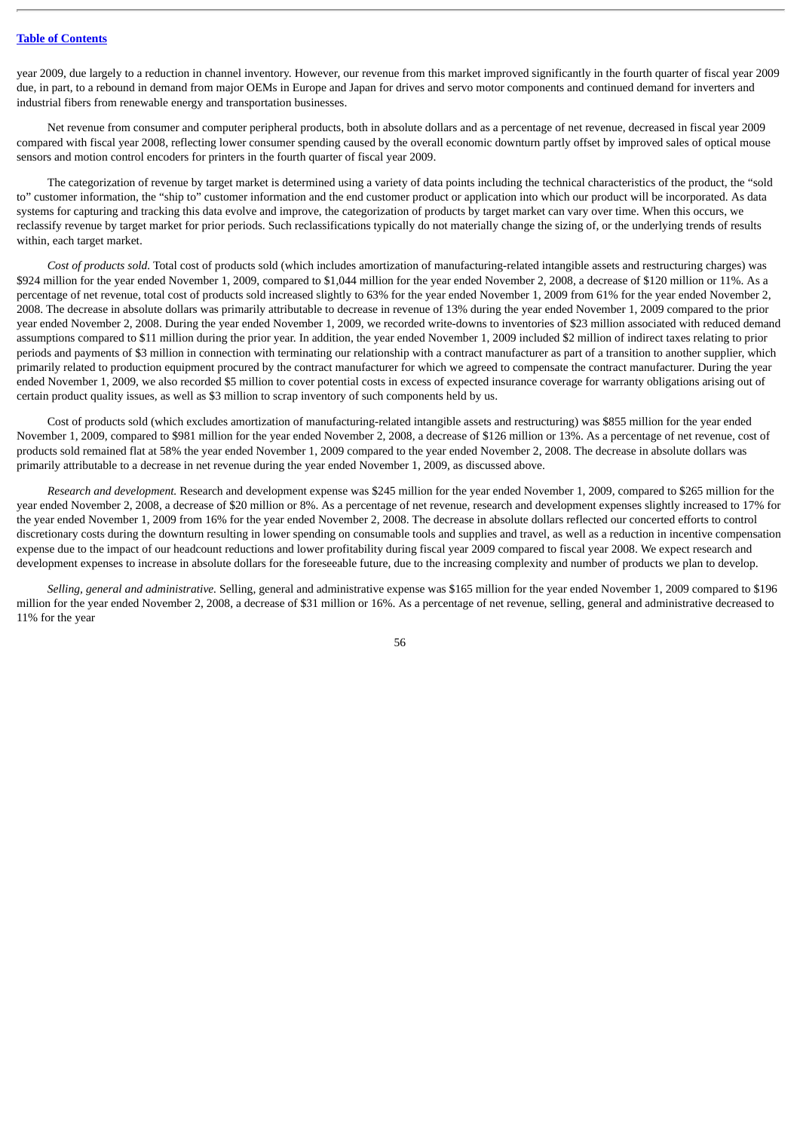year 2009, due largely to a reduction in channel inventory. However, our revenue from this market improved significantly in the fourth quarter of fiscal year 2009 due, in part, to a rebound in demand from major OEMs in Europe and Japan for drives and servo motor components and continued demand for inverters and industrial fibers from renewable energy and transportation businesses.

Net revenue from consumer and computer peripheral products, both in absolute dollars and as a percentage of net revenue, decreased in fiscal year 2009 compared with fiscal year 2008, reflecting lower consumer spending caused by the overall economic downturn partly offset by improved sales of optical mouse sensors and motion control encoders for printers in the fourth quarter of fiscal year 2009.

The categorization of revenue by target market is determined using a variety of data points including the technical characteristics of the product, the "sold to" customer information, the "ship to" customer information and the end customer product or application into which our product will be incorporated. As data systems for capturing and tracking this data evolve and improve, the categorization of products by target market can vary over time. When this occurs, we reclassify revenue by target market for prior periods. Such reclassifications typically do not materially change the sizing of, or the underlying trends of results within, each target market.

*Cost of products sold.* Total cost of products sold (which includes amortization of manufacturing-related intangible assets and restructuring charges) was \$924 million for the year ended November 1, 2009, compared to \$1,044 million for the year ended November 2, 2008, a decrease of \$120 million or 11%. As a percentage of net revenue, total cost of products sold increased slightly to 63% for the year ended November 1, 2009 from 61% for the year ended November 2, 2008. The decrease in absolute dollars was primarily attributable to decrease in revenue of 13% during the year ended November 1, 2009 compared to the prior year ended November 2, 2008. During the year ended November 1, 2009, we recorded write-downs to inventories of \$23 million associated with reduced demand assumptions compared to \$11 million during the prior year. In addition, the year ended November 1, 2009 included \$2 million of indirect taxes relating to prior periods and payments of \$3 million in connection with terminating our relationship with a contract manufacturer as part of a transition to another supplier, which primarily related to production equipment procured by the contract manufacturer for which we agreed to compensate the contract manufacturer. During the year ended November 1, 2009, we also recorded \$5 million to cover potential costs in excess of expected insurance coverage for warranty obligations arising out of certain product quality issues, as well as \$3 million to scrap inventory of such components held by us.

Cost of products sold (which excludes amortization of manufacturing-related intangible assets and restructuring) was \$855 million for the year ended November 1, 2009, compared to \$981 million for the year ended November 2, 2008, a decrease of \$126 million or 13%. As a percentage of net revenue, cost of products sold remained flat at 58% the year ended November 1, 2009 compared to the year ended November 2, 2008. The decrease in absolute dollars was primarily attributable to a decrease in net revenue during the year ended November 1, 2009, as discussed above.

*Research and development.* Research and development expense was \$245 million for the year ended November 1, 2009, compared to \$265 million for the year ended November 2, 2008, a decrease of \$20 million or 8%. As a percentage of net revenue, research and development expenses slightly increased to 17% for the year ended November 1, 2009 from 16% for the year ended November 2, 2008. The decrease in absolute dollars reflected our concerted efforts to control discretionary costs during the downturn resulting in lower spending on consumable tools and supplies and travel, as well as a reduction in incentive compensation expense due to the impact of our headcount reductions and lower profitability during fiscal year 2009 compared to fiscal year 2008. We expect research and development expenses to increase in absolute dollars for the foreseeable future, due to the increasing complexity and number of products we plan to develop.

*Selling, general and administrative.* Selling, general and administrative expense was \$165 million for the year ended November 1, 2009 compared to \$196 million for the year ended November 2, 2008, a decrease of \$31 million or 16%. As a percentage of net revenue, selling, general and administrative decreased to 11% for the year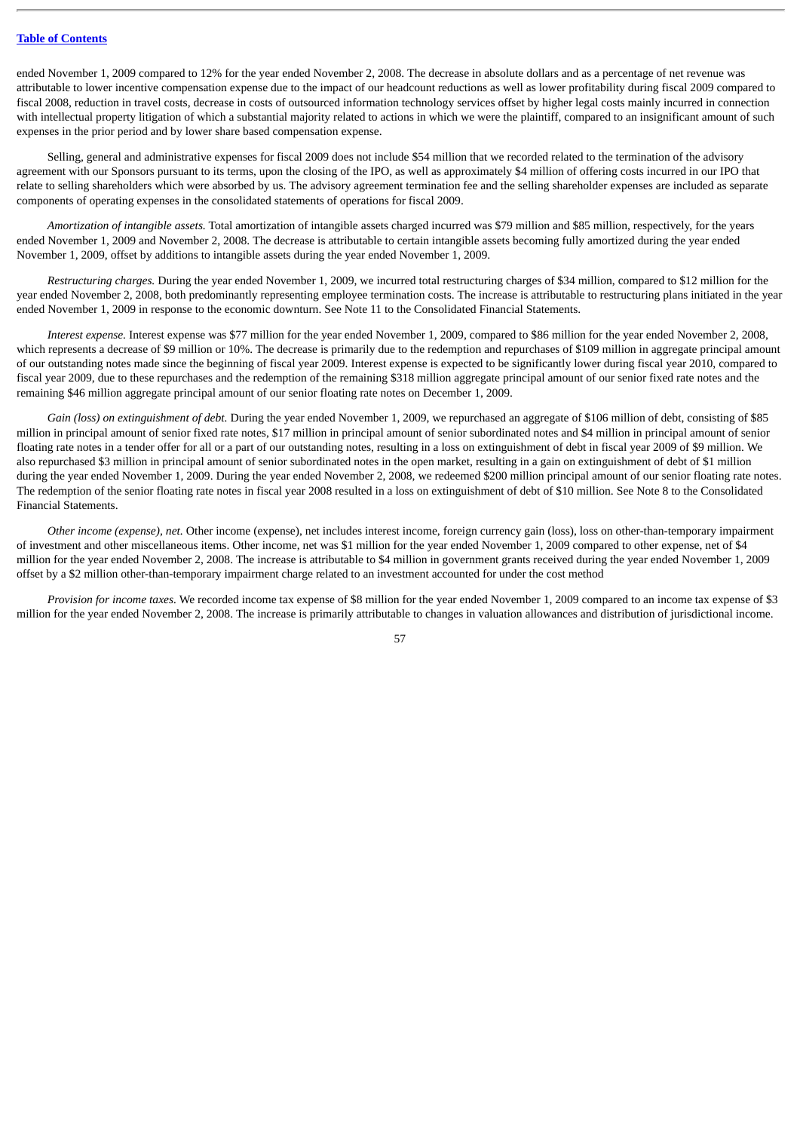ended November 1, 2009 compared to 12% for the year ended November 2, 2008. The decrease in absolute dollars and as a percentage of net revenue was attributable to lower incentive compensation expense due to the impact of our headcount reductions as well as lower profitability during fiscal 2009 compared to fiscal 2008, reduction in travel costs, decrease in costs of outsourced information technology services offset by higher legal costs mainly incurred in connection with intellectual property litigation of which a substantial majority related to actions in which we were the plaintiff, compared to an insignificant amount of such expenses in the prior period and by lower share based compensation expense.

Selling, general and administrative expenses for fiscal 2009 does not include \$54 million that we recorded related to the termination of the advisory agreement with our Sponsors pursuant to its terms, upon the closing of the IPO, as well as approximately \$4 million of offering costs incurred in our IPO that relate to selling shareholders which were absorbed by us. The advisory agreement termination fee and the selling shareholder expenses are included as separate components of operating expenses in the consolidated statements of operations for fiscal 2009.

*Amortization of intangible assets.* Total amortization of intangible assets charged incurred was \$79 million and \$85 million, respectively, for the years ended November 1, 2009 and November 2, 2008. The decrease is attributable to certain intangible assets becoming fully amortized during the year ended November 1, 2009, offset by additions to intangible assets during the year ended November 1, 2009.

*Restructuring charges.* During the year ended November 1, 2009, we incurred total restructuring charges of \$34 million, compared to \$12 million for the year ended November 2, 2008, both predominantly representing employee termination costs. The increase is attributable to restructuring plans initiated in the year ended November 1, 2009 in response to the economic downturn. See Note 11 to the Consolidated Financial Statements.

*Interest expense.* Interest expense was \$77 million for the year ended November 1, 2009, compared to \$86 million for the year ended November 2, 2008, which represents a decrease of \$9 million or 10%. The decrease is primarily due to the redemption and repurchases of \$109 million in aggregate principal amount of our outstanding notes made since the beginning of fiscal year 2009. Interest expense is expected to be significantly lower during fiscal year 2010, compared to fiscal year 2009, due to these repurchases and the redemption of the remaining \$318 million aggregate principal amount of our senior fixed rate notes and the remaining \$46 million aggregate principal amount of our senior floating rate notes on December 1, 2009.

*Gain (loss) on extinguishment of debt.* During the year ended November 1, 2009, we repurchased an aggregate of \$106 million of debt, consisting of \$85 million in principal amount of senior fixed rate notes, \$17 million in principal amount of senior subordinated notes and \$4 million in principal amount of senior floating rate notes in a tender offer for all or a part of our outstanding notes, resulting in a loss on extinguishment of debt in fiscal year 2009 of \$9 million. We also repurchased \$3 million in principal amount of senior subordinated notes in the open market, resulting in a gain on extinguishment of debt of \$1 million during the year ended November 1, 2009. During the year ended November 2, 2008, we redeemed \$200 million principal amount of our senior floating rate notes. The redemption of the senior floating rate notes in fiscal year 2008 resulted in a loss on extinguishment of debt of \$10 million. See Note 8 to the Consolidated Financial Statements.

*Other income (expense), net.* Other income (expense), net includes interest income, foreign currency gain (loss), loss on other-than-temporary impairment of investment and other miscellaneous items. Other income, net was \$1 million for the year ended November 1, 2009 compared to other expense, net of \$4 million for the year ended November 2, 2008. The increase is attributable to \$4 million in government grants received during the year ended November 1, 2009 offset by a \$2 million other-than-temporary impairment charge related to an investment accounted for under the cost method

*Provision for income taxes.* We recorded income tax expense of \$8 million for the year ended November 1, 2009 compared to an income tax expense of \$3 million for the year ended November 2, 2008. The increase is primarily attributable to changes in valuation allowances and distribution of jurisdictional income.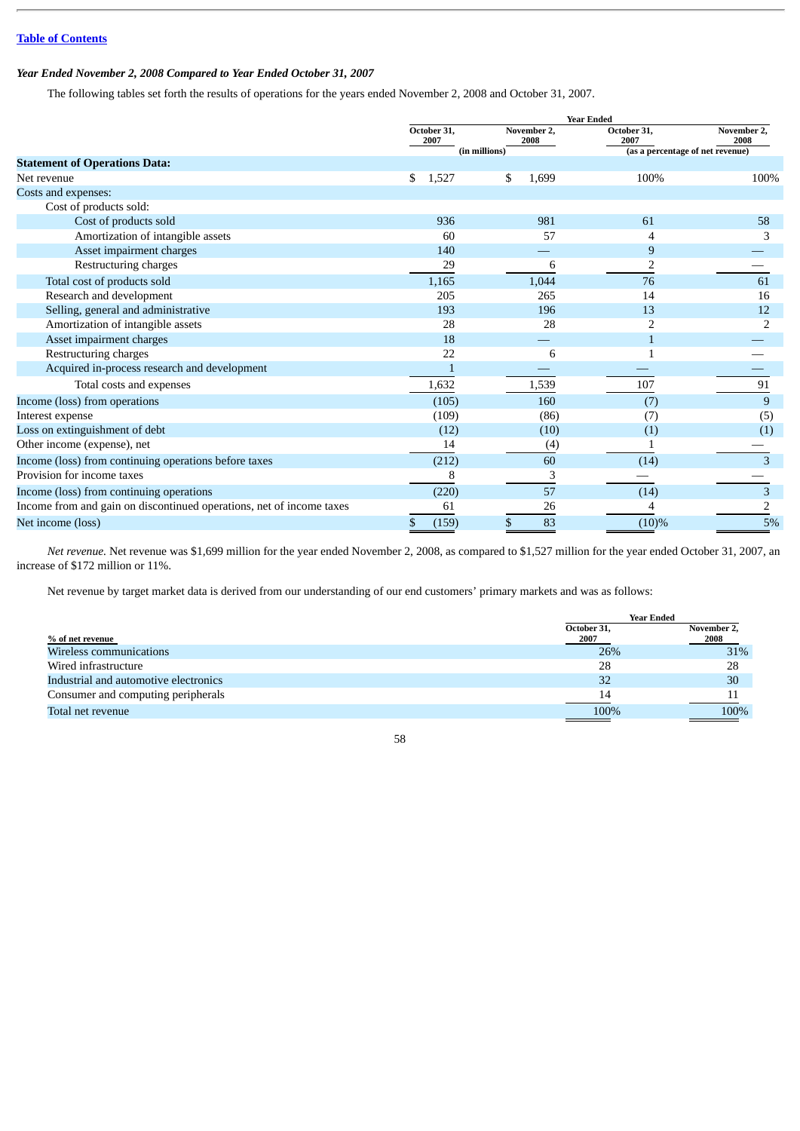# *Year Ended November 2, 2008 Compared to Year Ended October 31, 2007*

The following tables set forth the results of operations for the years ended November 2, 2008 and October 31, 2007.

|                                                                      | <b>Year Ended</b>   |                     |                                  |                     |  |
|----------------------------------------------------------------------|---------------------|---------------------|----------------------------------|---------------------|--|
|                                                                      | October 31,<br>2007 | November 2.<br>2008 | October 31.<br>2007              | November 2.<br>2008 |  |
|                                                                      |                     | (in millions)       | (as a percentage of net revenue) |                     |  |
| <b>Statement of Operations Data:</b>                                 |                     |                     |                                  |                     |  |
| Net revenue                                                          | \$<br>1,527         | 1,699<br>\$         | 100%                             | 100%                |  |
| Costs and expenses:                                                  |                     |                     |                                  |                     |  |
| Cost of products sold:                                               |                     |                     |                                  |                     |  |
| Cost of products sold                                                | 936                 | 981                 | 61                               | 58                  |  |
| Amortization of intangible assets                                    | 60                  | 57                  | $\overline{4}$                   | 3                   |  |
| Asset impairment charges                                             | 140                 |                     | 9                                |                     |  |
| Restructuring charges                                                | 29                  | 6                   | 2                                |                     |  |
| Total cost of products sold                                          | 1,165               | 1,044               | 76                               | 61                  |  |
| Research and development                                             | 205                 | 265                 | 14                               | 16                  |  |
| Selling, general and administrative                                  | 193                 | 196                 | 13                               | 12                  |  |
| Amortization of intangible assets                                    | 28                  | 28                  | 2                                | $\overline{2}$      |  |
| Asset impairment charges                                             | 18                  |                     |                                  |                     |  |
| Restructuring charges                                                | 22                  | 6                   |                                  |                     |  |
| Acquired in-process research and development                         |                     |                     |                                  |                     |  |
| Total costs and expenses                                             | 1,632               | 1,539               | 107                              | 91                  |  |
| Income (loss) from operations                                        | (105)               | 160                 | (7)                              | 9                   |  |
| Interest expense                                                     | (109)               | (86)                | (7)                              | (5)                 |  |
| Loss on extinguishment of debt                                       | (12)                | (10)                | (1)                              | (1)                 |  |
| Other income (expense), net                                          | 14                  | (4)                 |                                  |                     |  |
| Income (loss) from continuing operations before taxes                | (212)               | 60                  | (14)                             | 3                   |  |
| Provision for income taxes                                           | 8                   | 3                   |                                  |                     |  |
| Income (loss) from continuing operations                             | (220)               | 57                  | (14)                             | 3                   |  |
| Income from and gain on discontinued operations, net of income taxes | 61                  | 26                  | Δ                                | 2                   |  |
| Net income (loss)                                                    | (159)<br>\$         | 83<br>\$            | (10)%                            | 5%                  |  |

*Net revenue.* Net revenue was \$1,699 million for the year ended November 2, 2008, as compared to \$1,527 million for the year ended October 31, 2007, an increase of \$172 million or 11%.

Net revenue by target market data is derived from our understanding of our end customers' primary markets and was as follows:

|                                       |                     | <b>Year Ended</b>   |  |  |
|---------------------------------------|---------------------|---------------------|--|--|
| % of net revenue                      | October 31,<br>2007 | November 2,<br>2008 |  |  |
| Wireless communications               | 26%                 | 31%                 |  |  |
| Wired infrastructure                  | 28                  | 28                  |  |  |
| Industrial and automotive electronics | 32                  | 30                  |  |  |
| Consumer and computing peripherals    | 14                  |                     |  |  |
| Total net revenue                     | 100%                | 100%                |  |  |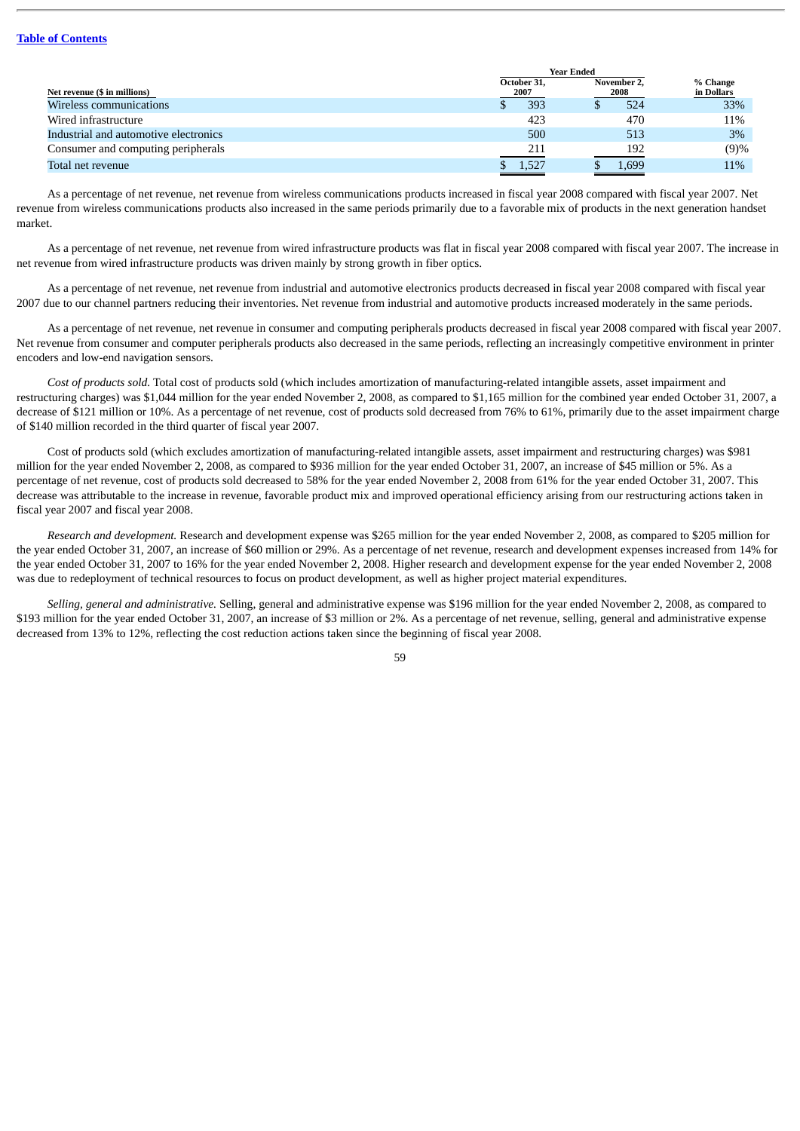|                                       | <b>Year Ended</b>   |                     |                        |
|---------------------------------------|---------------------|---------------------|------------------------|
| Net revenue (\$ in millions)          | October 31,<br>2007 | November 2.<br>2008 | % Change<br>in Dollars |
| Wireless communications               | 393                 | 524                 | 33%                    |
| Wired infrastructure                  | 423                 | 470                 | 11%                    |
| Industrial and automotive electronics | 500                 | 513                 | 3%                     |
| Consumer and computing peripherals    | 211                 | 192                 | (9)%                   |
| Total net revenue                     | 1,527               | 1.699               | 11%                    |

As a percentage of net revenue, net revenue from wireless communications products increased in fiscal year 2008 compared with fiscal year 2007. Net revenue from wireless communications products also increased in the same periods primarily due to a favorable mix of products in the next generation handset market.

As a percentage of net revenue, net revenue from wired infrastructure products was flat in fiscal year 2008 compared with fiscal year 2007. The increase in net revenue from wired infrastructure products was driven mainly by strong growth in fiber optics.

As a percentage of net revenue, net revenue from industrial and automotive electronics products decreased in fiscal year 2008 compared with fiscal year 2007 due to our channel partners reducing their inventories. Net revenue from industrial and automotive products increased moderately in the same periods.

As a percentage of net revenue, net revenue in consumer and computing peripherals products decreased in fiscal year 2008 compared with fiscal year 2007. Net revenue from consumer and computer peripherals products also decreased in the same periods, reflecting an increasingly competitive environment in printer encoders and low-end navigation sensors.

*Cost of products sold.* Total cost of products sold (which includes amortization of manufacturing-related intangible assets, asset impairment and restructuring charges) was \$1,044 million for the year ended November 2, 2008, as compared to \$1,165 million for the combined year ended October 31, 2007, a decrease of \$121 million or 10%. As a percentage of net revenue, cost of products sold decreased from 76% to 61%, primarily due to the asset impairment charge of \$140 million recorded in the third quarter of fiscal year 2007.

Cost of products sold (which excludes amortization of manufacturing-related intangible assets, asset impairment and restructuring charges) was \$981 million for the year ended November 2, 2008, as compared to \$936 million for the year ended October 31, 2007, an increase of \$45 million or 5%. As a percentage of net revenue, cost of products sold decreased to 58% for the year ended November 2, 2008 from 61% for the year ended October 31, 2007. This decrease was attributable to the increase in revenue, favorable product mix and improved operational efficiency arising from our restructuring actions taken in fiscal year 2007 and fiscal year 2008.

*Research and development.* Research and development expense was \$265 million for the year ended November 2, 2008, as compared to \$205 million for the year ended October 31, 2007, an increase of \$60 million or 29%. As a percentage of net revenue, research and development expenses increased from 14% for the year ended October 31, 2007 to 16% for the year ended November 2, 2008. Higher research and development expense for the year ended November 2, 2008 was due to redeployment of technical resources to focus on product development, as well as higher project material expenditures.

*Selling, general and administrative.* Selling, general and administrative expense was \$196 million for the year ended November 2, 2008, as compared to \$193 million for the year ended October 31, 2007, an increase of \$3 million or 2%. As a percentage of net revenue, selling, general and administrative expense decreased from 13% to 12%, reflecting the cost reduction actions taken since the beginning of fiscal year 2008.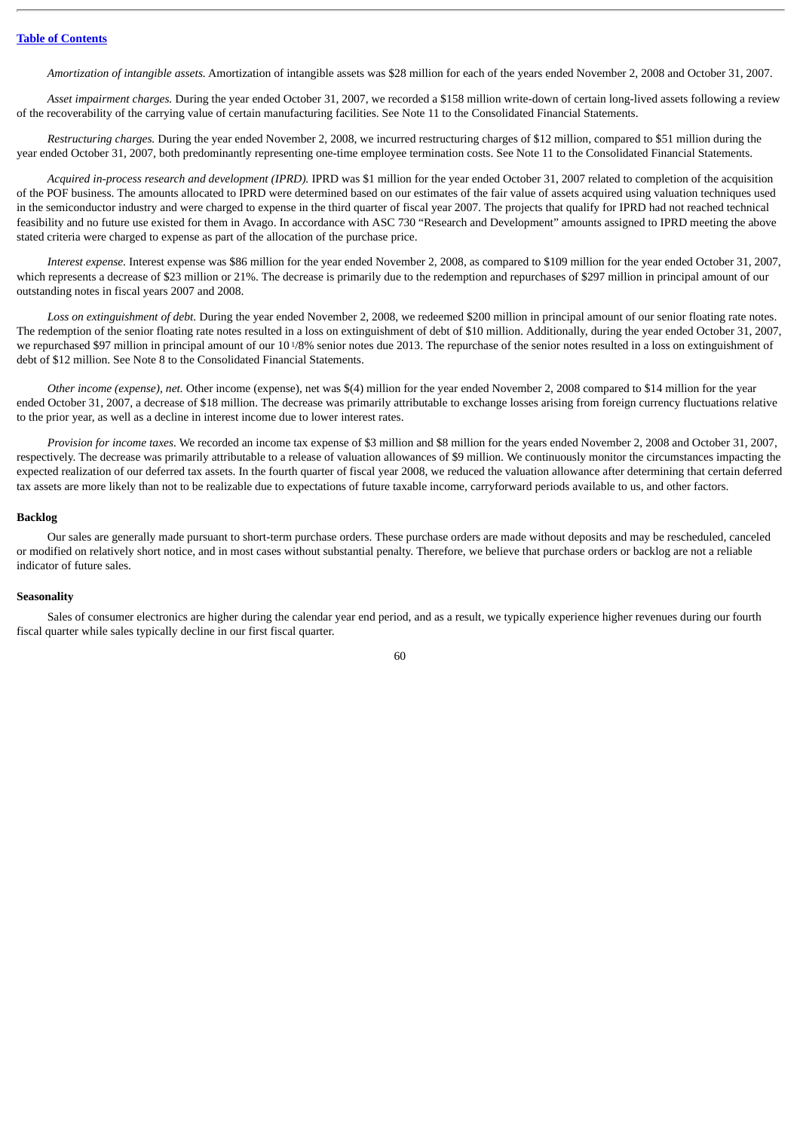*Amortization of intangible assets.* Amortization of intangible assets was \$28 million for each of the years ended November 2, 2008 and October 31, 2007.

*Asset impairment charges.* During the year ended October 31, 2007, we recorded a \$158 million write-down of certain long-lived assets following a review of the recoverability of the carrying value of certain manufacturing facilities. See Note 11 to the Consolidated Financial Statements.

*Restructuring charges.* During the year ended November 2, 2008, we incurred restructuring charges of \$12 million, compared to \$51 million during the year ended October 31, 2007, both predominantly representing one-time employee termination costs. See Note 11 to the Consolidated Financial Statements.

*Acquired in-process research and development (IPRD).* IPRD was \$1 million for the year ended October 31, 2007 related to completion of the acquisition of the POF business. The amounts allocated to IPRD were determined based on our estimates of the fair value of assets acquired using valuation techniques used in the semiconductor industry and were charged to expense in the third quarter of fiscal year 2007. The projects that qualify for IPRD had not reached technical feasibility and no future use existed for them in Avago. In accordance with ASC 730 "Research and Development" amounts assigned to IPRD meeting the above stated criteria were charged to expense as part of the allocation of the purchase price.

*Interest expense.* Interest expense was \$86 million for the year ended November 2, 2008, as compared to \$109 million for the year ended October 31, 2007, which represents a decrease of \$23 million or 21%. The decrease is primarily due to the redemption and repurchases of \$297 million in principal amount of our outstanding notes in fiscal years 2007 and 2008.

*Loss on extinguishment of debt.* During the year ended November 2, 2008, we redeemed \$200 million in principal amount of our senior floating rate notes. The redemption of the senior floating rate notes resulted in a loss on extinguishment of debt of \$10 million. Additionally, during the year ended October 31, 2007, we repurchased \$97 million in principal amount of our 10<sup>1</sup>/8% senior notes due 2013. The repurchase of the senior notes resulted in a loss on extinguishment of debt of \$12 million. See Note 8 to the Consolidated Financial Statements.

*Other income (expense), net.* Other income (expense), net was \$(4) million for the year ended November 2, 2008 compared to \$14 million for the year ended October 31, 2007, a decrease of \$18 million. The decrease was primarily attributable to exchange losses arising from foreign currency fluctuations relative to the prior year, as well as a decline in interest income due to lower interest rates.

*Provision for income taxes.* We recorded an income tax expense of \$3 million and \$8 million for the years ended November 2, 2008 and October 31, 2007, respectively. The decrease was primarily attributable to a release of valuation allowances of \$9 million. We continuously monitor the circumstances impacting the expected realization of our deferred tax assets. In the fourth quarter of fiscal year 2008, we reduced the valuation allowance after determining that certain deferred tax assets are more likely than not to be realizable due to expectations of future taxable income, carryforward periods available to us, and other factors.

#### **Backlog**

Our sales are generally made pursuant to short-term purchase orders. These purchase orders are made without deposits and may be rescheduled, canceled or modified on relatively short notice, and in most cases without substantial penalty. Therefore, we believe that purchase orders or backlog are not a reliable indicator of future sales.

### **Seasonality**

Sales of consumer electronics are higher during the calendar year end period, and as a result, we typically experience higher revenues during our fourth fiscal quarter while sales typically decline in our first fiscal quarter.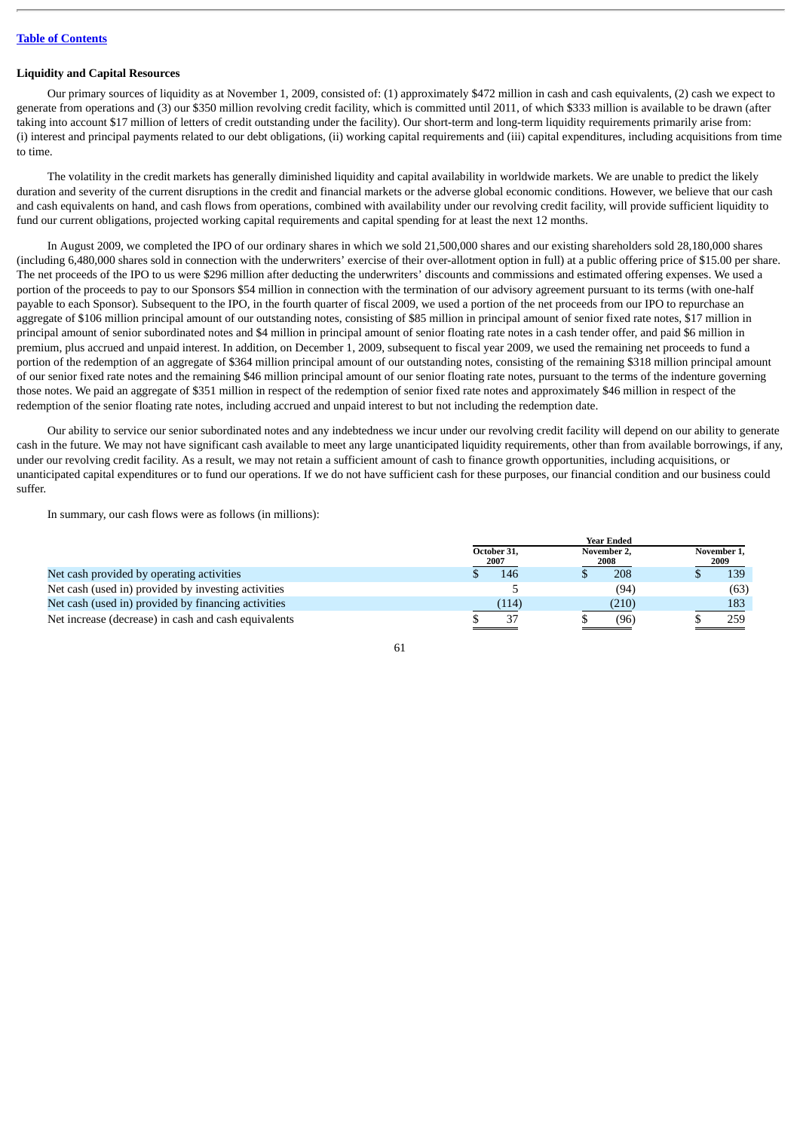## **Liquidity and Capital Resources**

Our primary sources of liquidity as at November 1, 2009, consisted of: (1) approximately \$472 million in cash and cash equivalents, (2) cash we expect to generate from operations and (3) our \$350 million revolving credit facility, which is committed until 2011, of which \$333 million is available to be drawn (after taking into account \$17 million of letters of credit outstanding under the facility). Our short-term and long-term liquidity requirements primarily arise from: (i) interest and principal payments related to our debt obligations, (ii) working capital requirements and (iii) capital expenditures, including acquisitions from time to time.

The volatility in the credit markets has generally diminished liquidity and capital availability in worldwide markets. We are unable to predict the likely duration and severity of the current disruptions in the credit and financial markets or the adverse global economic conditions. However, we believe that our cash and cash equivalents on hand, and cash flows from operations, combined with availability under our revolving credit facility, will provide sufficient liquidity to fund our current obligations, projected working capital requirements and capital spending for at least the next 12 months.

In August 2009, we completed the IPO of our ordinary shares in which we sold 21,500,000 shares and our existing shareholders sold 28,180,000 shares (including 6,480,000 shares sold in connection with the underwriters' exercise of their over-allotment option in full) at a public offering price of \$15.00 per share. The net proceeds of the IPO to us were \$296 million after deducting the underwriters' discounts and commissions and estimated offering expenses. We used a portion of the proceeds to pay to our Sponsors \$54 million in connection with the termination of our advisory agreement pursuant to its terms (with one-half payable to each Sponsor). Subsequent to the IPO, in the fourth quarter of fiscal 2009, we used a portion of the net proceeds from our IPO to repurchase an aggregate of \$106 million principal amount of our outstanding notes, consisting of \$85 million in principal amount of senior fixed rate notes, \$17 million in principal amount of senior subordinated notes and \$4 million in principal amount of senior floating rate notes in a cash tender offer, and paid \$6 million in premium, plus accrued and unpaid interest. In addition, on December 1, 2009, subsequent to fiscal year 2009, we used the remaining net proceeds to fund a portion of the redemption of an aggregate of \$364 million principal amount of our outstanding notes, consisting of the remaining \$318 million principal amount of our senior fixed rate notes and the remaining \$46 million principal amount of our senior floating rate notes, pursuant to the terms of the indenture governing those notes. We paid an aggregate of \$351 million in respect of the redemption of senior fixed rate notes and approximately \$46 million in respect of the redemption of the senior floating rate notes, including accrued and unpaid interest to but not including the redemption date.

Our ability to service our senior subordinated notes and any indebtedness we incur under our revolving credit facility will depend on our ability to generate cash in the future. We may not have significant cash available to meet any large unanticipated liquidity requirements, other than from available borrowings, if any, under our revolving credit facility. As a result, we may not retain a sufficient amount of cash to finance growth opportunities, including acquisitions, or unanticipated capital expenditures or to fund our operations. If we do not have sufficient cash for these purposes, our financial condition and our business could suffer.

In summary, our cash flows were as follows (in millions):

|                                                      | <b>Year Ended</b>   |                     |                     |  |
|------------------------------------------------------|---------------------|---------------------|---------------------|--|
|                                                      | October 31,<br>2007 | November 2.<br>2008 | November 1.<br>2009 |  |
| Net cash provided by operating activities            | 146                 | 208                 | 139                 |  |
| Net cash (used in) provided by investing activities  |                     | (94)                | (63)                |  |
| Net cash (used in) provided by financing activities  | (114)               | (210)               | 183                 |  |
| Net increase (decrease) in cash and cash equivalents |                     | (96)                | 259                 |  |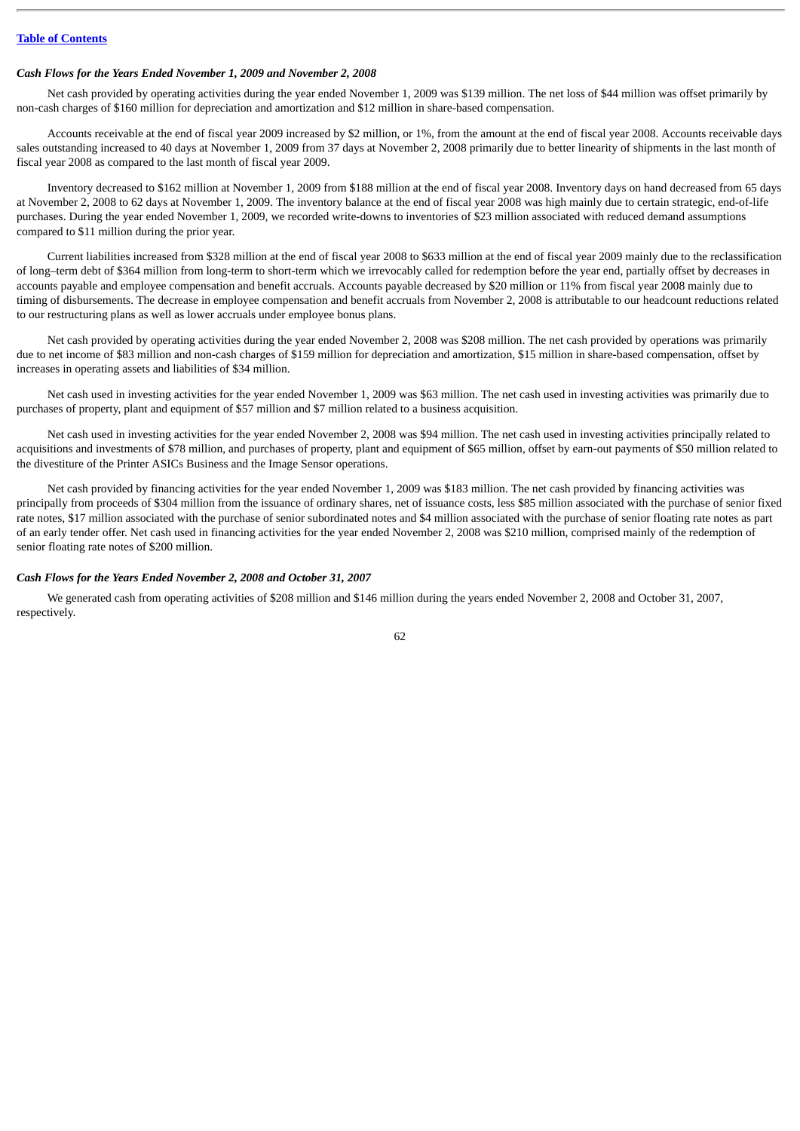#### *Cash Flows for the Years Ended November 1, 2009 and November 2, 2008*

Net cash provided by operating activities during the year ended November 1, 2009 was \$139 million. The net loss of \$44 million was offset primarily by non-cash charges of \$160 million for depreciation and amortization and \$12 million in share-based compensation.

Accounts receivable at the end of fiscal year 2009 increased by \$2 million, or 1%, from the amount at the end of fiscal year 2008. Accounts receivable days sales outstanding increased to 40 days at November 1, 2009 from 37 days at November 2, 2008 primarily due to better linearity of shipments in the last month of fiscal year 2008 as compared to the last month of fiscal year 2009.

Inventory decreased to \$162 million at November 1, 2009 from \$188 million at the end of fiscal year 2008. Inventory days on hand decreased from 65 days at November 2, 2008 to 62 days at November 1, 2009. The inventory balance at the end of fiscal year 2008 was high mainly due to certain strategic, end-of-life purchases. During the year ended November 1, 2009, we recorded write-downs to inventories of \$23 million associated with reduced demand assumptions compared to \$11 million during the prior year.

Current liabilities increased from \$328 million at the end of fiscal year 2008 to \$633 million at the end of fiscal year 2009 mainly due to the reclassification of long–term debt of \$364 million from long-term to short-term which we irrevocably called for redemption before the year end, partially offset by decreases in accounts payable and employee compensation and benefit accruals. Accounts payable decreased by \$20 million or 11% from fiscal year 2008 mainly due to timing of disbursements. The decrease in employee compensation and benefit accruals from November 2, 2008 is attributable to our headcount reductions related to our restructuring plans as well as lower accruals under employee bonus plans.

Net cash provided by operating activities during the year ended November 2, 2008 was \$208 million. The net cash provided by operations was primarily due to net income of \$83 million and non-cash charges of \$159 million for depreciation and amortization, \$15 million in share-based compensation, offset by increases in operating assets and liabilities of \$34 million.

Net cash used in investing activities for the year ended November 1, 2009 was \$63 million. The net cash used in investing activities was primarily due to purchases of property, plant and equipment of \$57 million and \$7 million related to a business acquisition.

Net cash used in investing activities for the year ended November 2, 2008 was \$94 million. The net cash used in investing activities principally related to acquisitions and investments of \$78 million, and purchases of property, plant and equipment of \$65 million, offset by earn-out payments of \$50 million related to the divestiture of the Printer ASICs Business and the Image Sensor operations.

Net cash provided by financing activities for the year ended November 1, 2009 was \$183 million. The net cash provided by financing activities was principally from proceeds of \$304 million from the issuance of ordinary shares, net of issuance costs, less \$85 million associated with the purchase of senior fixed rate notes, \$17 million associated with the purchase of senior subordinated notes and \$4 million associated with the purchase of senior floating rate notes as part of an early tender offer. Net cash used in financing activities for the year ended November 2, 2008 was \$210 million, comprised mainly of the redemption of senior floating rate notes of \$200 million.

### *Cash Flows for the Years Ended November 2, 2008 and October 31, 2007*

We generated cash from operating activities of \$208 million and \$146 million during the years ended November 2, 2008 and October 31, 2007, respectively.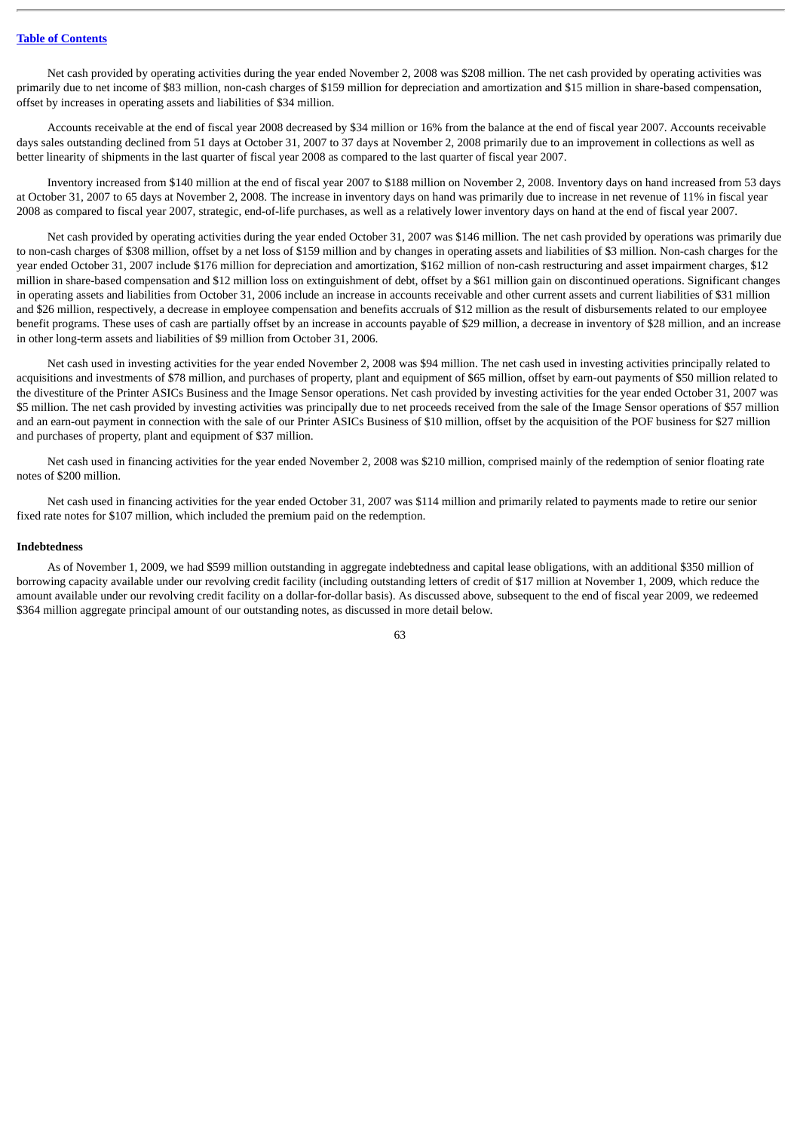Net cash provided by operating activities during the year ended November 2, 2008 was \$208 million. The net cash provided by operating activities was primarily due to net income of \$83 million, non-cash charges of \$159 million for depreciation and amortization and \$15 million in share-based compensation, offset by increases in operating assets and liabilities of \$34 million.

Accounts receivable at the end of fiscal year 2008 decreased by \$34 million or 16% from the balance at the end of fiscal year 2007. Accounts receivable days sales outstanding declined from 51 days at October 31, 2007 to 37 days at November 2, 2008 primarily due to an improvement in collections as well as better linearity of shipments in the last quarter of fiscal year 2008 as compared to the last quarter of fiscal year 2007.

Inventory increased from \$140 million at the end of fiscal year 2007 to \$188 million on November 2, 2008. Inventory days on hand increased from 53 days at October 31, 2007 to 65 days at November 2, 2008. The increase in inventory days on hand was primarily due to increase in net revenue of 11% in fiscal year 2008 as compared to fiscal year 2007, strategic, end-of-life purchases, as well as a relatively lower inventory days on hand at the end of fiscal year 2007.

Net cash provided by operating activities during the year ended October 31, 2007 was \$146 million. The net cash provided by operations was primarily due to non-cash charges of \$308 million, offset by a net loss of \$159 million and by changes in operating assets and liabilities of \$3 million. Non-cash charges for the year ended October 31, 2007 include \$176 million for depreciation and amortization, \$162 million of non-cash restructuring and asset impairment charges, \$12 million in share-based compensation and \$12 million loss on extinguishment of debt, offset by a \$61 million gain on discontinued operations. Significant changes in operating assets and liabilities from October 31, 2006 include an increase in accounts receivable and other current assets and current liabilities of \$31 million and \$26 million, respectively, a decrease in employee compensation and benefits accruals of \$12 million as the result of disbursements related to our employee benefit programs. These uses of cash are partially offset by an increase in accounts payable of \$29 million, a decrease in inventory of \$28 million, and an increase in other long-term assets and liabilities of \$9 million from October 31, 2006.

Net cash used in investing activities for the year ended November 2, 2008 was \$94 million. The net cash used in investing activities principally related to acquisitions and investments of \$78 million, and purchases of property, plant and equipment of \$65 million, offset by earn-out payments of \$50 million related to the divestiture of the Printer ASICs Business and the Image Sensor operations. Net cash provided by investing activities for the year ended October 31, 2007 was \$5 million. The net cash provided by investing activities was principally due to net proceeds received from the sale of the Image Sensor operations of \$57 million and an earn-out payment in connection with the sale of our Printer ASICs Business of \$10 million, offset by the acquisition of the POF business for \$27 million and purchases of property, plant and equipment of \$37 million.

Net cash used in financing activities for the year ended November 2, 2008 was \$210 million, comprised mainly of the redemption of senior floating rate notes of \$200 million.

Net cash used in financing activities for the year ended October 31, 2007 was \$114 million and primarily related to payments made to retire our senior fixed rate notes for \$107 million, which included the premium paid on the redemption.

#### **Indebtedness**

As of November 1, 2009, we had \$599 million outstanding in aggregate indebtedness and capital lease obligations, with an additional \$350 million of borrowing capacity available under our revolving credit facility (including outstanding letters of credit of \$17 million at November 1, 2009, which reduce the amount available under our revolving credit facility on a dollar-for-dollar basis). As discussed above, subsequent to the end of fiscal year 2009, we redeemed \$364 million aggregate principal amount of our outstanding notes, as discussed in more detail below.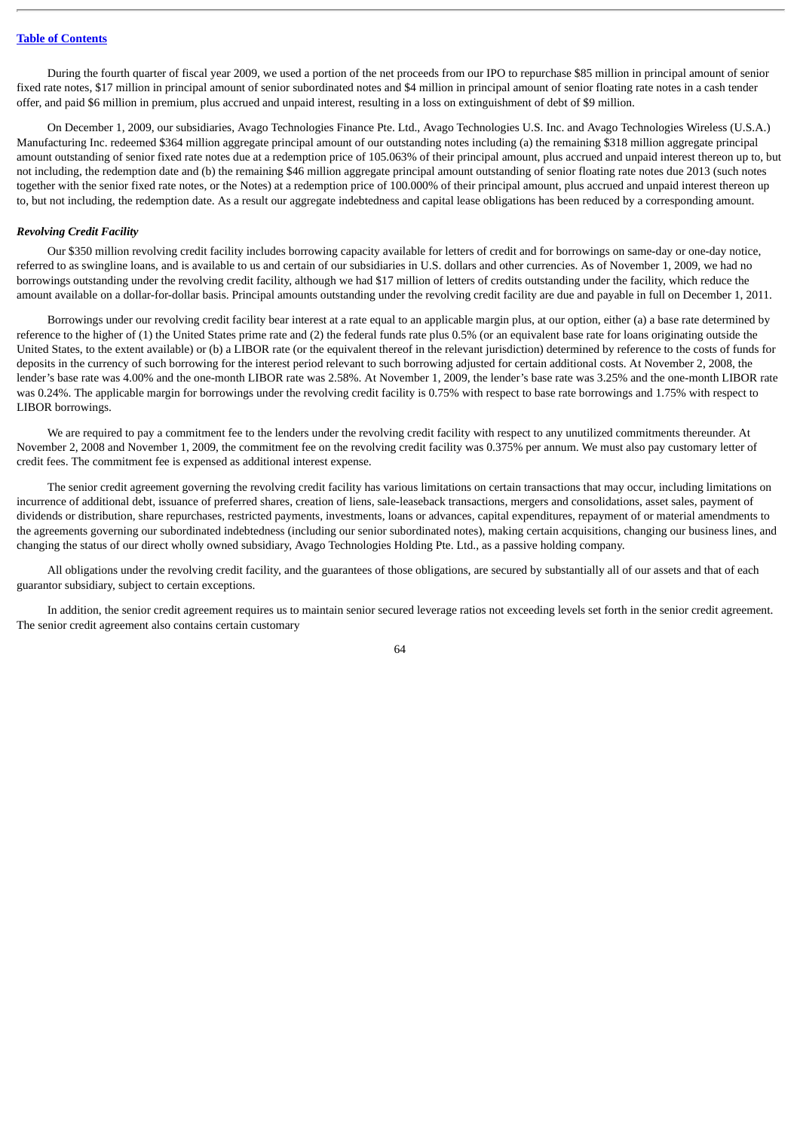During the fourth quarter of fiscal year 2009, we used a portion of the net proceeds from our IPO to repurchase \$85 million in principal amount of senior fixed rate notes, \$17 million in principal amount of senior subordinated notes and \$4 million in principal amount of senior floating rate notes in a cash tender offer, and paid \$6 million in premium, plus accrued and unpaid interest, resulting in a loss on extinguishment of debt of \$9 million.

On December 1, 2009, our subsidiaries, Avago Technologies Finance Pte. Ltd., Avago Technologies U.S. Inc. and Avago Technologies Wireless (U.S.A.) Manufacturing Inc. redeemed \$364 million aggregate principal amount of our outstanding notes including (a) the remaining \$318 million aggregate principal amount outstanding of senior fixed rate notes due at a redemption price of 105.063% of their principal amount, plus accrued and unpaid interest thereon up to, but not including, the redemption date and (b) the remaining \$46 million aggregate principal amount outstanding of senior floating rate notes due 2013 (such notes together with the senior fixed rate notes, or the Notes) at a redemption price of 100.000% of their principal amount, plus accrued and unpaid interest thereon up to, but not including, the redemption date. As a result our aggregate indebtedness and capital lease obligations has been reduced by a corresponding amount.

#### *Revolving Credit Facility*

Our \$350 million revolving credit facility includes borrowing capacity available for letters of credit and for borrowings on same-day or one-day notice, referred to as swingline loans, and is available to us and certain of our subsidiaries in U.S. dollars and other currencies. As of November 1, 2009, we had no borrowings outstanding under the revolving credit facility, although we had \$17 million of letters of credits outstanding under the facility, which reduce the amount available on a dollar-for-dollar basis. Principal amounts outstanding under the revolving credit facility are due and payable in full on December 1, 2011.

Borrowings under our revolving credit facility bear interest at a rate equal to an applicable margin plus, at our option, either (a) a base rate determined by reference to the higher of (1) the United States prime rate and (2) the federal funds rate plus 0.5% (or an equivalent base rate for loans originating outside the United States, to the extent available) or (b) a LIBOR rate (or the equivalent thereof in the relevant jurisdiction) determined by reference to the costs of funds for deposits in the currency of such borrowing for the interest period relevant to such borrowing adjusted for certain additional costs. At November 2, 2008, the lender's base rate was 4.00% and the one-month LIBOR rate was 2.58%. At November 1, 2009, the lender's base rate was 3.25% and the one-month LIBOR rate was 0.24%. The applicable margin for borrowings under the revolving credit facility is 0.75% with respect to base rate borrowings and 1.75% with respect to LIBOR borrowings.

We are required to pay a commitment fee to the lenders under the revolving credit facility with respect to any unutilized commitments thereunder. At November 2, 2008 and November 1, 2009, the commitment fee on the revolving credit facility was 0.375% per annum. We must also pay customary letter of credit fees. The commitment fee is expensed as additional interest expense.

The senior credit agreement governing the revolving credit facility has various limitations on certain transactions that may occur, including limitations on incurrence of additional debt, issuance of preferred shares, creation of liens, sale-leaseback transactions, mergers and consolidations, asset sales, payment of dividends or distribution, share repurchases, restricted payments, investments, loans or advances, capital expenditures, repayment of or material amendments to the agreements governing our subordinated indebtedness (including our senior subordinated notes), making certain acquisitions, changing our business lines, and changing the status of our direct wholly owned subsidiary, Avago Technologies Holding Pte. Ltd., as a passive holding company.

All obligations under the revolving credit facility, and the guarantees of those obligations, are secured by substantially all of our assets and that of each guarantor subsidiary, subject to certain exceptions.

In addition, the senior credit agreement requires us to maintain senior secured leverage ratios not exceeding levels set forth in the senior credit agreement. The senior credit agreement also contains certain customary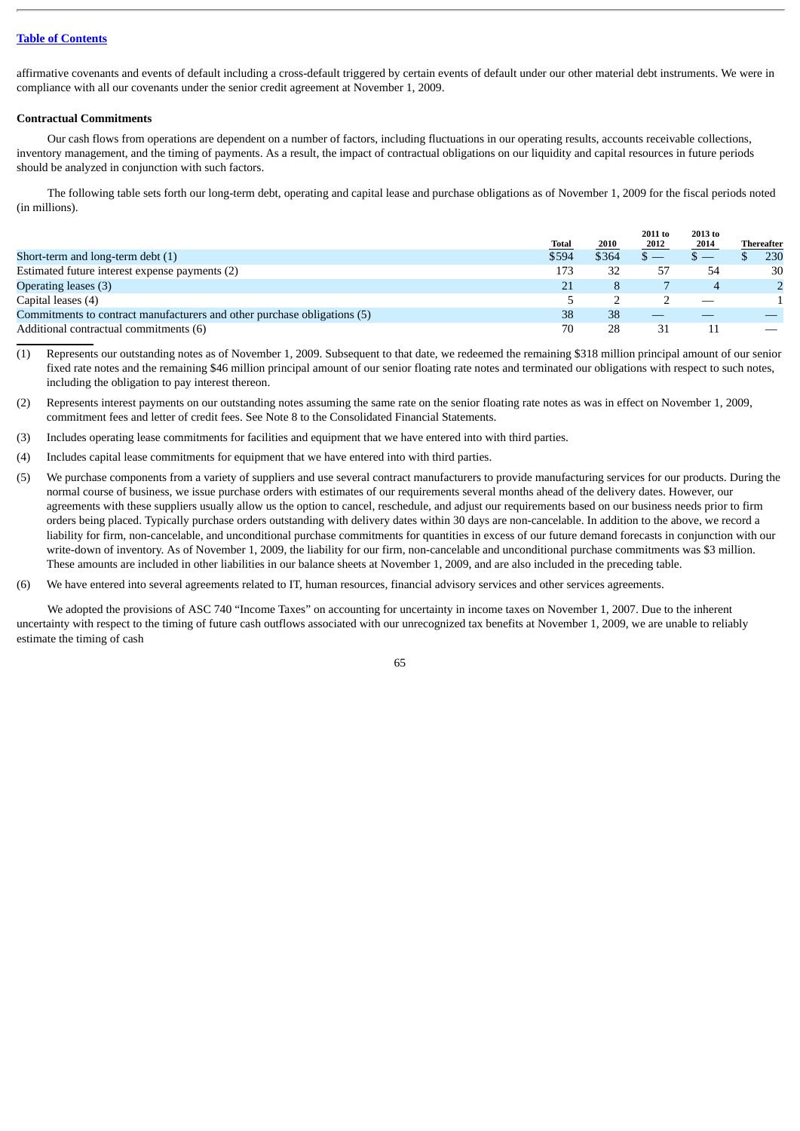affirmative covenants and events of default including a cross-default triggered by certain events of default under our other material debt instruments. We were in compliance with all our covenants under the senior credit agreement at November 1, 2009.

### **Contractual Commitments**

Our cash flows from operations are dependent on a number of factors, including fluctuations in our operating results, accounts receivable collections, inventory management, and the timing of payments. As a result, the impact of contractual obligations on our liquidity and capital resources in future periods should be analyzed in conjunction with such factors.

The following table sets forth our long-term debt, operating and capital lease and purchase obligations as of November 1, 2009 for the fiscal periods noted (in millions).

|                                                                          |              |       | 2011 to | 2013 to |            |  |
|--------------------------------------------------------------------------|--------------|-------|---------|---------|------------|--|
|                                                                          | <b>Total</b> | 2010  | 2012    | 2014    | Thereafter |  |
| Short-term and long-term debt (1)                                        | \$594        | \$364 |         |         | 230        |  |
| Estimated future interest expense payments (2)                           | 173          | 32    |         | 54      | 30         |  |
| Operating leases (3)                                                     |              |       |         | 4       |            |  |
| Capital leases (4)                                                       |              |       |         |         |            |  |
| Commitments to contract manufacturers and other purchase obligations (5) | 38           | 38    |         |         |            |  |
| Additional contractual commitments (6)                                   | 70           | 28    |         |         |            |  |

(1) Represents our outstanding notes as of November 1, 2009. Subsequent to that date, we redeemed the remaining \$318 million principal amount of our senior fixed rate notes and the remaining \$46 million principal amount of our senior floating rate notes and terminated our obligations with respect to such notes, including the obligation to pay interest thereon.

(2) Represents interest payments on our outstanding notes assuming the same rate on the senior floating rate notes as was in effect on November 1, 2009, commitment fees and letter of credit fees. See Note 8 to the Consolidated Financial Statements.

- (3) Includes operating lease commitments for facilities and equipment that we have entered into with third parties.
- (4) Includes capital lease commitments for equipment that we have entered into with third parties.
- (5) We purchase components from a variety of suppliers and use several contract manufacturers to provide manufacturing services for our products. During the normal course of business, we issue purchase orders with estimates of our requirements several months ahead of the delivery dates. However, our agreements with these suppliers usually allow us the option to cancel, reschedule, and adjust our requirements based on our business needs prior to firm orders being placed. Typically purchase orders outstanding with delivery dates within 30 days are non-cancelable. In addition to the above, we record a liability for firm, non-cancelable, and unconditional purchase commitments for quantities in excess of our future demand forecasts in conjunction with our write-down of inventory. As of November 1, 2009, the liability for our firm, non-cancelable and unconditional purchase commitments was \$3 million. These amounts are included in other liabilities in our balance sheets at November 1, 2009, and are also included in the preceding table.

(6) We have entered into several agreements related to IT, human resources, financial advisory services and other services agreements.

We adopted the provisions of ASC 740 "Income Taxes" on accounting for uncertainty in income taxes on November 1, 2007. Due to the inherent uncertainty with respect to the timing of future cash outflows associated with our unrecognized tax benefits at November 1, 2009, we are unable to reliably estimate the timing of cash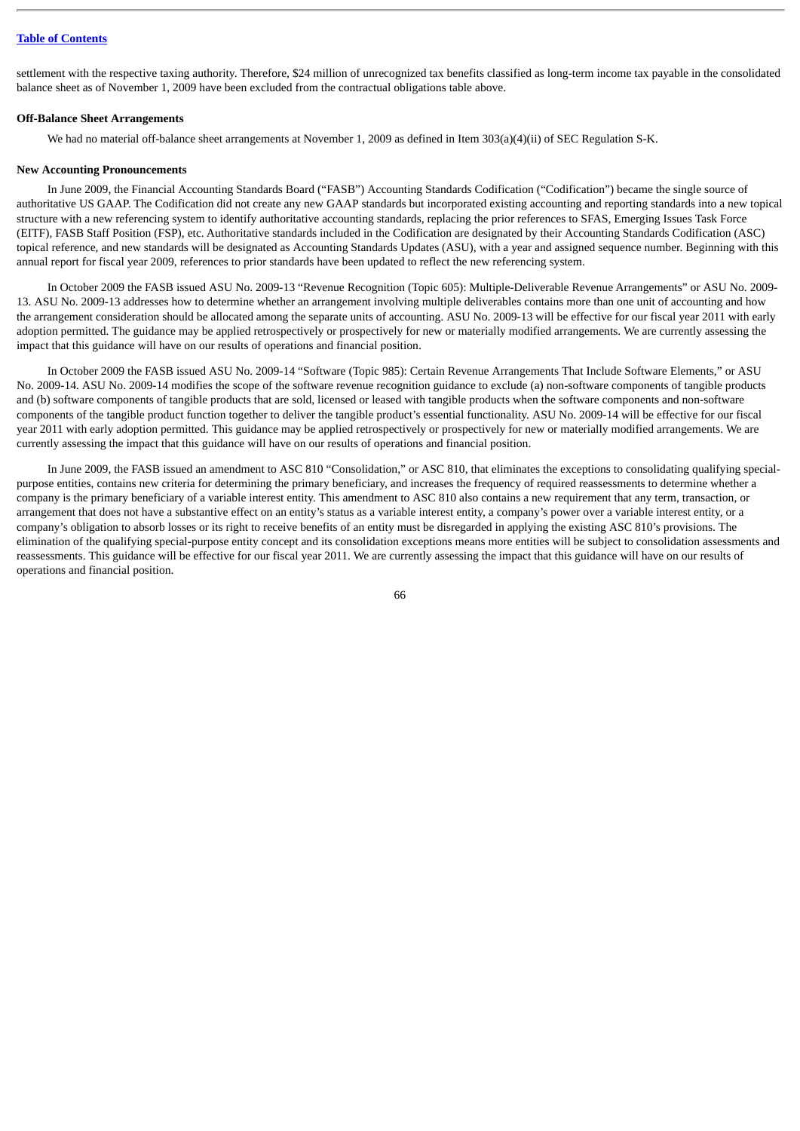settlement with the respective taxing authority. Therefore, \$24 million of unrecognized tax benefits classified as long-term income tax payable in the consolidated balance sheet as of November 1, 2009 have been excluded from the contractual obligations table above.

#### **Off-Balance Sheet Arrangements**

We had no material off-balance sheet arrangements at November 1, 2009 as defined in Item 303(a)(4)(ii) of SEC Regulation S-K.

#### **New Accounting Pronouncements**

In June 2009, the Financial Accounting Standards Board ("FASB") Accounting Standards Codification ("Codification") became the single source of authoritative US GAAP. The Codification did not create any new GAAP standards but incorporated existing accounting and reporting standards into a new topical structure with a new referencing system to identify authoritative accounting standards, replacing the prior references to SFAS, Emerging Issues Task Force (EITF), FASB Staff Position (FSP), etc. Authoritative standards included in the Codification are designated by their Accounting Standards Codification (ASC) topical reference, and new standards will be designated as Accounting Standards Updates (ASU), with a year and assigned sequence number. Beginning with this annual report for fiscal year 2009, references to prior standards have been updated to reflect the new referencing system.

In October 2009 the FASB issued ASU No. 2009-13 "Revenue Recognition (Topic 605): Multiple-Deliverable Revenue Arrangements" or ASU No. 2009- 13. ASU No. 2009-13 addresses how to determine whether an arrangement involving multiple deliverables contains more than one unit of accounting and how the arrangement consideration should be allocated among the separate units of accounting. ASU No. 2009-13 will be effective for our fiscal year 2011 with early adoption permitted. The guidance may be applied retrospectively or prospectively for new or materially modified arrangements. We are currently assessing the impact that this guidance will have on our results of operations and financial position.

In October 2009 the FASB issued ASU No. 2009-14 "Software (Topic 985): Certain Revenue Arrangements That Include Software Elements," or ASU No. 2009-14. ASU No. 2009-14 modifies the scope of the software revenue recognition guidance to exclude (a) non-software components of tangible products and (b) software components of tangible products that are sold, licensed or leased with tangible products when the software components and non-software components of the tangible product function together to deliver the tangible product's essential functionality. ASU No. 2009-14 will be effective for our fiscal year 2011 with early adoption permitted. This guidance may be applied retrospectively or prospectively for new or materially modified arrangements. We are currently assessing the impact that this guidance will have on our results of operations and financial position.

In June 2009, the FASB issued an amendment to ASC 810 "Consolidation," or ASC 810, that eliminates the exceptions to consolidating qualifying specialpurpose entities, contains new criteria for determining the primary beneficiary, and increases the frequency of required reassessments to determine whether a company is the primary beneficiary of a variable interest entity. This amendment to ASC 810 also contains a new requirement that any term, transaction, or arrangement that does not have a substantive effect on an entity's status as a variable interest entity, a company's power over a variable interest entity, or a company's obligation to absorb losses or its right to receive benefits of an entity must be disregarded in applying the existing ASC 810's provisions. The elimination of the qualifying special-purpose entity concept and its consolidation exceptions means more entities will be subject to consolidation assessments and reassessments. This guidance will be effective for our fiscal year 2011. We are currently assessing the impact that this guidance will have on our results of operations and financial position.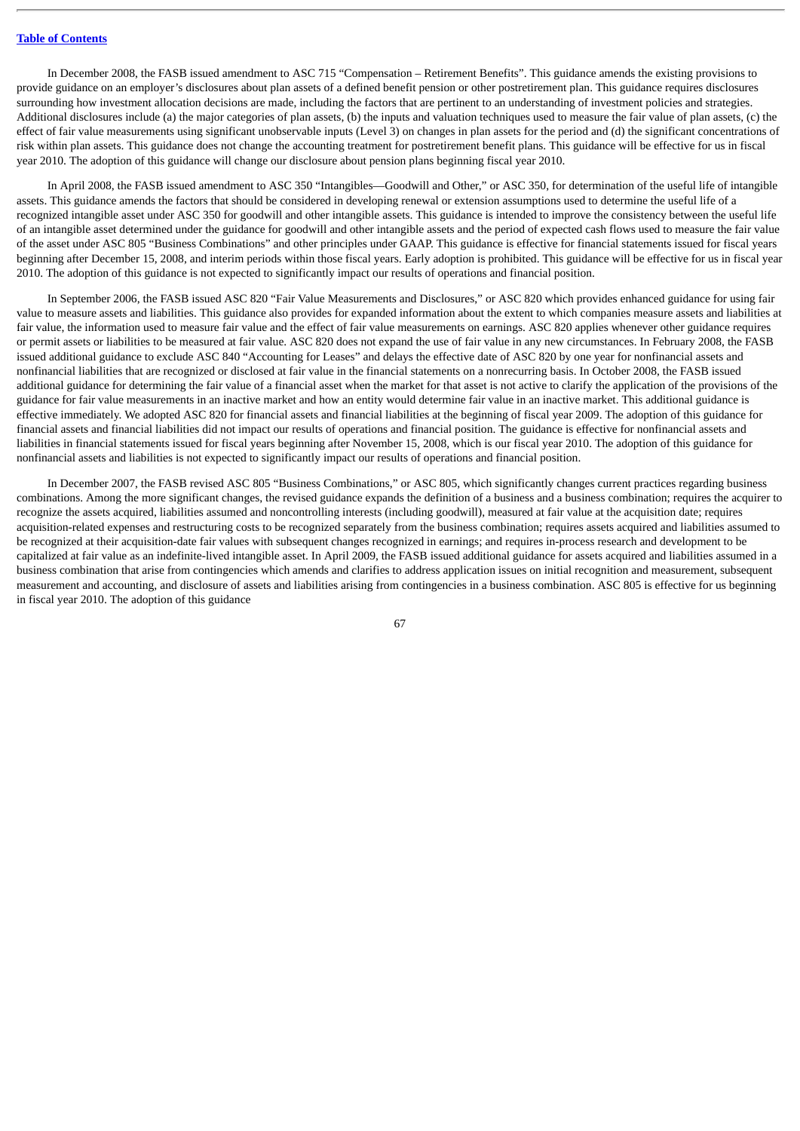In December 2008, the FASB issued amendment to ASC 715 "Compensation – Retirement Benefits". This guidance amends the existing provisions to provide guidance on an employer's disclosures about plan assets of a defined benefit pension or other postretirement plan. This guidance requires disclosures surrounding how investment allocation decisions are made, including the factors that are pertinent to an understanding of investment policies and strategies. Additional disclosures include (a) the major categories of plan assets, (b) the inputs and valuation techniques used to measure the fair value of plan assets, (c) the effect of fair value measurements using significant unobservable inputs (Level 3) on changes in plan assets for the period and (d) the significant concentrations of risk within plan assets. This guidance does not change the accounting treatment for postretirement benefit plans. This guidance will be effective for us in fiscal year 2010. The adoption of this guidance will change our disclosure about pension plans beginning fiscal year 2010.

In April 2008, the FASB issued amendment to ASC 350 "Intangibles—Goodwill and Other," or ASC 350, for determination of the useful life of intangible assets. This guidance amends the factors that should be considered in developing renewal or extension assumptions used to determine the useful life of a recognized intangible asset under ASC 350 for goodwill and other intangible assets. This guidance is intended to improve the consistency between the useful life of an intangible asset determined under the guidance for goodwill and other intangible assets and the period of expected cash flows used to measure the fair value of the asset under ASC 805 "Business Combinations" and other principles under GAAP. This guidance is effective for financial statements issued for fiscal years beginning after December 15, 2008, and interim periods within those fiscal years. Early adoption is prohibited. This guidance will be effective for us in fiscal year 2010. The adoption of this guidance is not expected to significantly impact our results of operations and financial position.

In September 2006, the FASB issued ASC 820 "Fair Value Measurements and Disclosures," or ASC 820 which provides enhanced guidance for using fair value to measure assets and liabilities. This guidance also provides for expanded information about the extent to which companies measure assets and liabilities at fair value, the information used to measure fair value and the effect of fair value measurements on earnings. ASC 820 applies whenever other guidance requires or permit assets or liabilities to be measured at fair value. ASC 820 does not expand the use of fair value in any new circumstances. In February 2008, the FASB issued additional guidance to exclude ASC 840 "Accounting for Leases" and delays the effective date of ASC 820 by one year for nonfinancial assets and nonfinancial liabilities that are recognized or disclosed at fair value in the financial statements on a nonrecurring basis. In October 2008, the FASB issued additional guidance for determining the fair value of a financial asset when the market for that asset is not active to clarify the application of the provisions of the guidance for fair value measurements in an inactive market and how an entity would determine fair value in an inactive market. This additional guidance is effective immediately. We adopted ASC 820 for financial assets and financial liabilities at the beginning of fiscal year 2009. The adoption of this guidance for financial assets and financial liabilities did not impact our results of operations and financial position. The guidance is effective for nonfinancial assets and liabilities in financial statements issued for fiscal years beginning after November 15, 2008, which is our fiscal year 2010. The adoption of this guidance for nonfinancial assets and liabilities is not expected to significantly impact our results of operations and financial position.

In December 2007, the FASB revised ASC 805 "Business Combinations," or ASC 805, which significantly changes current practices regarding business combinations. Among the more significant changes, the revised guidance expands the definition of a business and a business combination; requires the acquirer to recognize the assets acquired, liabilities assumed and noncontrolling interests (including goodwill), measured at fair value at the acquisition date; requires acquisition-related expenses and restructuring costs to be recognized separately from the business combination; requires assets acquired and liabilities assumed to be recognized at their acquisition-date fair values with subsequent changes recognized in earnings; and requires in-process research and development to be capitalized at fair value as an indefinite-lived intangible asset. In April 2009, the FASB issued additional guidance for assets acquired and liabilities assumed in a business combination that arise from contingencies which amends and clarifies to address application issues on initial recognition and measurement, subsequent measurement and accounting, and disclosure of assets and liabilities arising from contingencies in a business combination. ASC 805 is effective for us beginning in fiscal year 2010. The adoption of this guidance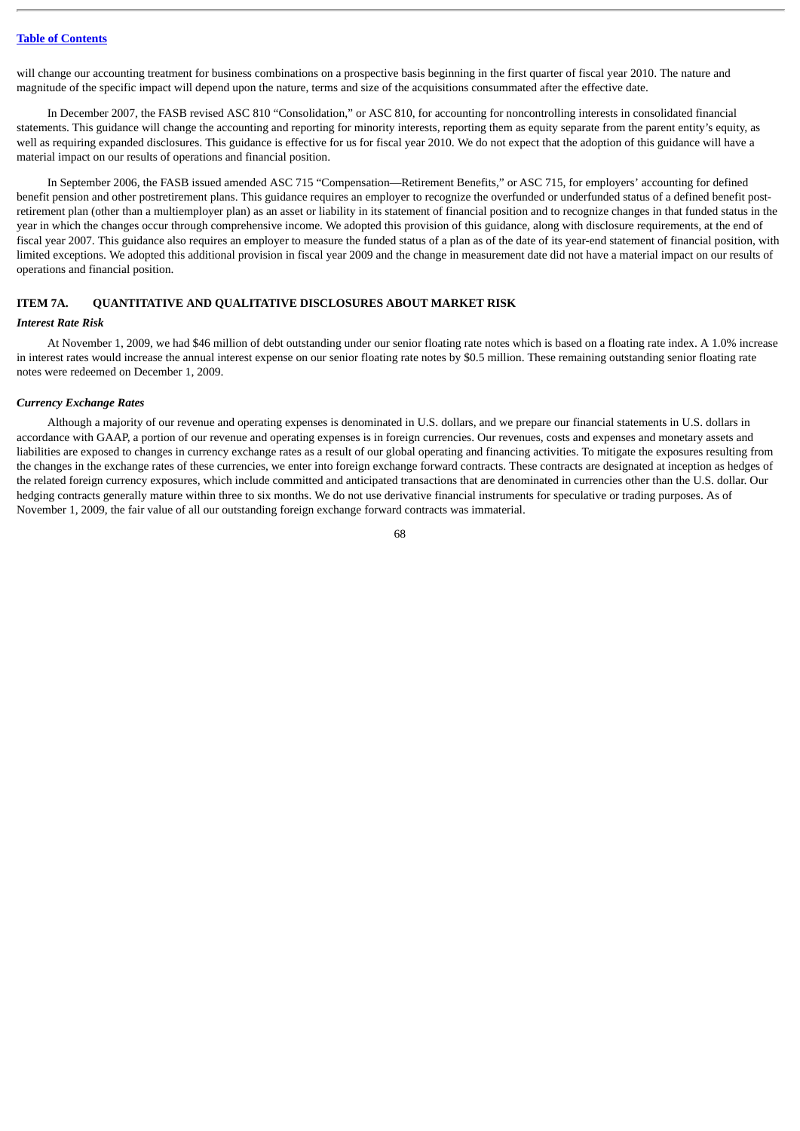will change our accounting treatment for business combinations on a prospective basis beginning in the first quarter of fiscal year 2010. The nature and magnitude of the specific impact will depend upon the nature, terms and size of the acquisitions consummated after the effective date.

In December 2007, the FASB revised ASC 810 "Consolidation," or ASC 810, for accounting for noncontrolling interests in consolidated financial statements. This guidance will change the accounting and reporting for minority interests, reporting them as equity separate from the parent entity's equity, as well as requiring expanded disclosures. This guidance is effective for us for fiscal year 2010. We do not expect that the adoption of this guidance will have a material impact on our results of operations and financial position.

In September 2006, the FASB issued amended ASC 715 "Compensation—Retirement Benefits," or ASC 715, for employers' accounting for defined benefit pension and other postretirement plans. This guidance requires an employer to recognize the overfunded or underfunded status of a defined benefit postretirement plan (other than a multiemployer plan) as an asset or liability in its statement of financial position and to recognize changes in that funded status in the year in which the changes occur through comprehensive income. We adopted this provision of this guidance, along with disclosure requirements, at the end of fiscal year 2007. This guidance also requires an employer to measure the funded status of a plan as of the date of its year-end statement of financial position, with limited exceptions. We adopted this additional provision in fiscal year 2009 and the change in measurement date did not have a material impact on our results of operations and financial position.

# **ITEM 7A. QUANTITATIVE AND QUALITATIVE DISCLOSURES ABOUT MARKET RISK**

#### *Interest Rate Risk*

At November 1, 2009, we had \$46 million of debt outstanding under our senior floating rate notes which is based on a floating rate index. A 1.0% increase in interest rates would increase the annual interest expense on our senior floating rate notes by \$0.5 million. These remaining outstanding senior floating rate notes were redeemed on December 1, 2009.

## *Currency Exchange Rates*

Although a majority of our revenue and operating expenses is denominated in U.S. dollars, and we prepare our financial statements in U.S. dollars in accordance with GAAP, a portion of our revenue and operating expenses is in foreign currencies. Our revenues, costs and expenses and monetary assets and liabilities are exposed to changes in currency exchange rates as a result of our global operating and financing activities. To mitigate the exposures resulting from the changes in the exchange rates of these currencies, we enter into foreign exchange forward contracts. These contracts are designated at inception as hedges of the related foreign currency exposures, which include committed and anticipated transactions that are denominated in currencies other than the U.S. dollar. Our hedging contracts generally mature within three to six months. We do not use derivative financial instruments for speculative or trading purposes. As of November 1, 2009, the fair value of all our outstanding foreign exchange forward contracts was immaterial.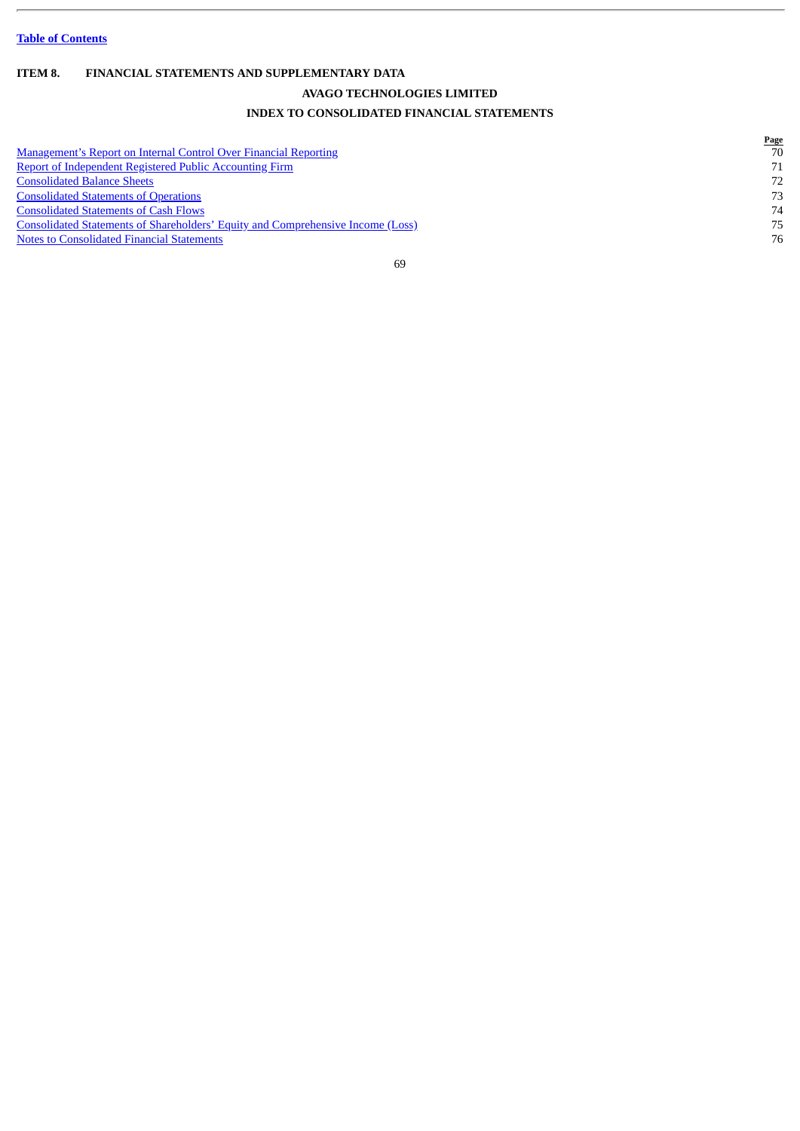# **ITEM 8. FINANCIAL STATEMENTS AND SUPPLEMENTARY DATA**

# **AVAGO TECHNOLOGIES LIMITED**

# **INDEX TO CONSOLIDATED FINANCIAL STATEMENTS**

|                                                                                        | Page |
|----------------------------------------------------------------------------------------|------|
| <b>Management's Report on Internal Control Over Financial Reporting</b>                | 70   |
| <b>Report of Independent Registered Public Accounting Firm</b>                         | 71   |
| <b>Consolidated Balance Sheets</b>                                                     | 72   |
| <b>Consolidated Statements of Operations</b>                                           | 73   |
| <b>Consolidated Statements of Cash Flows</b>                                           | 74   |
| <b>Consolidated Statements of Shareholders' Equity and Comprehensive Income (Loss)</b> | 75   |
| <b>Notes to Consolidated Financial Statements</b>                                      | 76   |
|                                                                                        |      |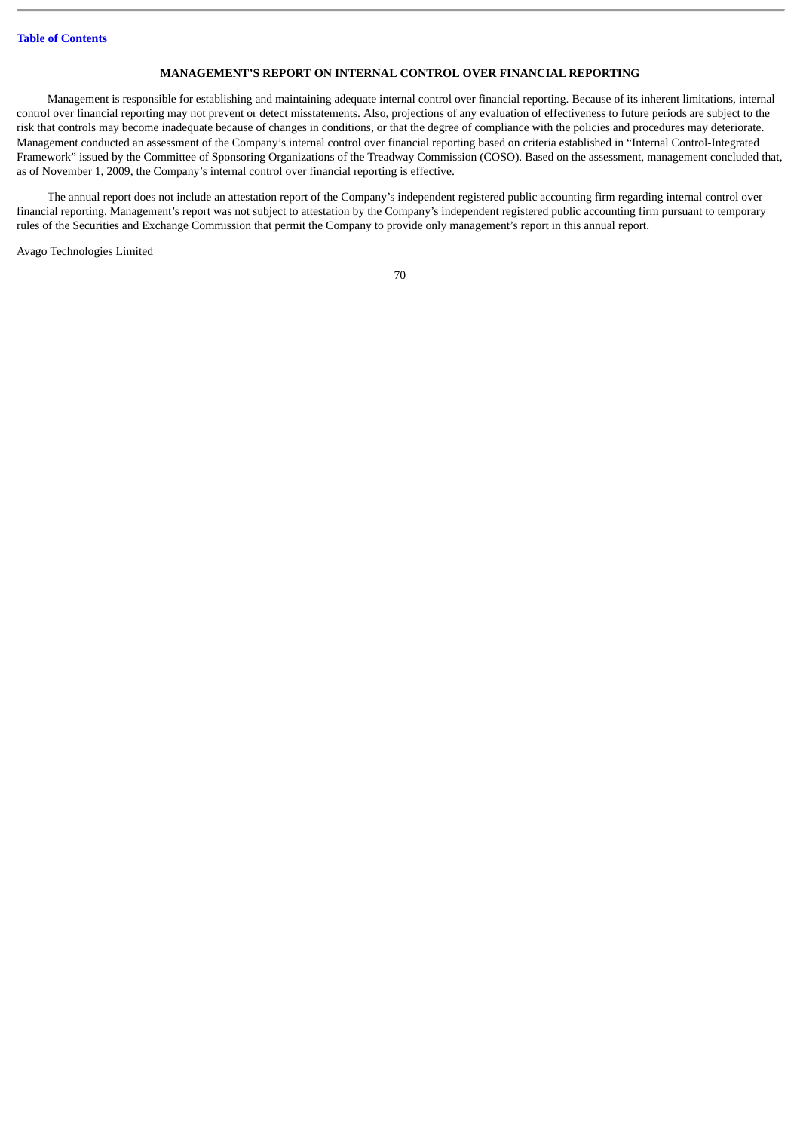### **MANAGEMENT'S REPORT ON INTERNAL CONTROL OVER FINANCIAL REPORTING**

<span id="page-69-0"></span>Management is responsible for establishing and maintaining adequate internal control over financial reporting. Because of its inherent limitations, internal control over financial reporting may not prevent or detect misstatements. Also, projections of any evaluation of effectiveness to future periods are subject to the risk that controls may become inadequate because of changes in conditions, or that the degree of compliance with the policies and procedures may deteriorate. Management conducted an assessment of the Company's internal control over financial reporting based on criteria established in "Internal Control-Integrated Framework" issued by the Committee of Sponsoring Organizations of the Treadway Commission (COSO). Based on the assessment, management concluded that, as of November 1, 2009, the Company's internal control over financial reporting is effective.

The annual report does not include an attestation report of the Company's independent registered public accounting firm regarding internal control over financial reporting. Management's report was not subject to attestation by the Company's independent registered public accounting firm pursuant to temporary rules of the Securities and Exchange Commission that permit the Company to provide only management's report in this annual report.

Avago Technologies Limited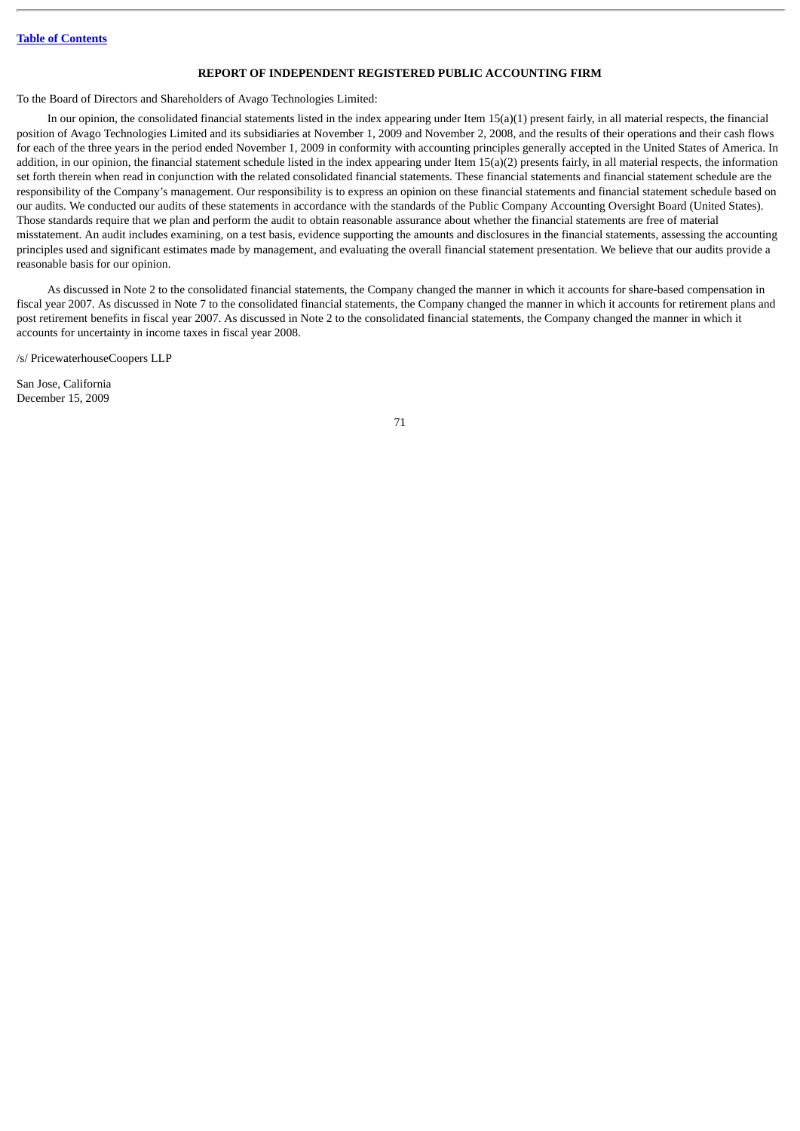# **REPORT OF INDEPENDENT REGISTERED PUBLIC ACCOUNTING FIRM**

<span id="page-70-0"></span>To the Board of Directors and Shareholders of Avago Technologies Limited:

In our opinion, the consolidated financial statements listed in the index appearing under Item 15(a)(1) present fairly, in all material respects, the financial position of Avago Technologies Limited and its subsidiaries at November 1, 2009 and November 2, 2008, and the results of their operations and their cash flows for each of the three years in the period ended November 1, 2009 in conformity with accounting principles generally accepted in the United States of America. In addition, in our opinion, the financial statement schedule listed in the index appearing under Item 15(a)(2) presents fairly, in all material respects, the information set forth therein when read in conjunction with the related consolidated financial statements. These financial statements and financial statement schedule are the responsibility of the Company's management. Our responsibility is to express an opinion on these financial statements and financial statement schedule based on our audits. We conducted our audits of these statements in accordance with the standards of the Public Company Accounting Oversight Board (United States). Those standards require that we plan and perform the audit to obtain reasonable assurance about whether the financial statements are free of material misstatement. An audit includes examining, on a test basis, evidence supporting the amounts and disclosures in the financial statements, assessing the accounting principles used and significant estimates made by management, and evaluating the overall financial statement presentation. We believe that our audits provide a reasonable basis for our opinion.

As discussed in Note 2 to the consolidated financial statements, the Company changed the manner in which it accounts for share-based compensation in fiscal year 2007. As discussed in Note 7 to the consolidated financial statements, the Company changed the manner in which it accounts for retirement plans and post retirement benefits in fiscal year 2007. As discussed in Note 2 to the consolidated financial statements, the Company changed the manner in which it accounts for uncertainty in income taxes in fiscal year 2008.

/s/ PricewaterhouseCoopers LLP

San Jose, California December 15, 2009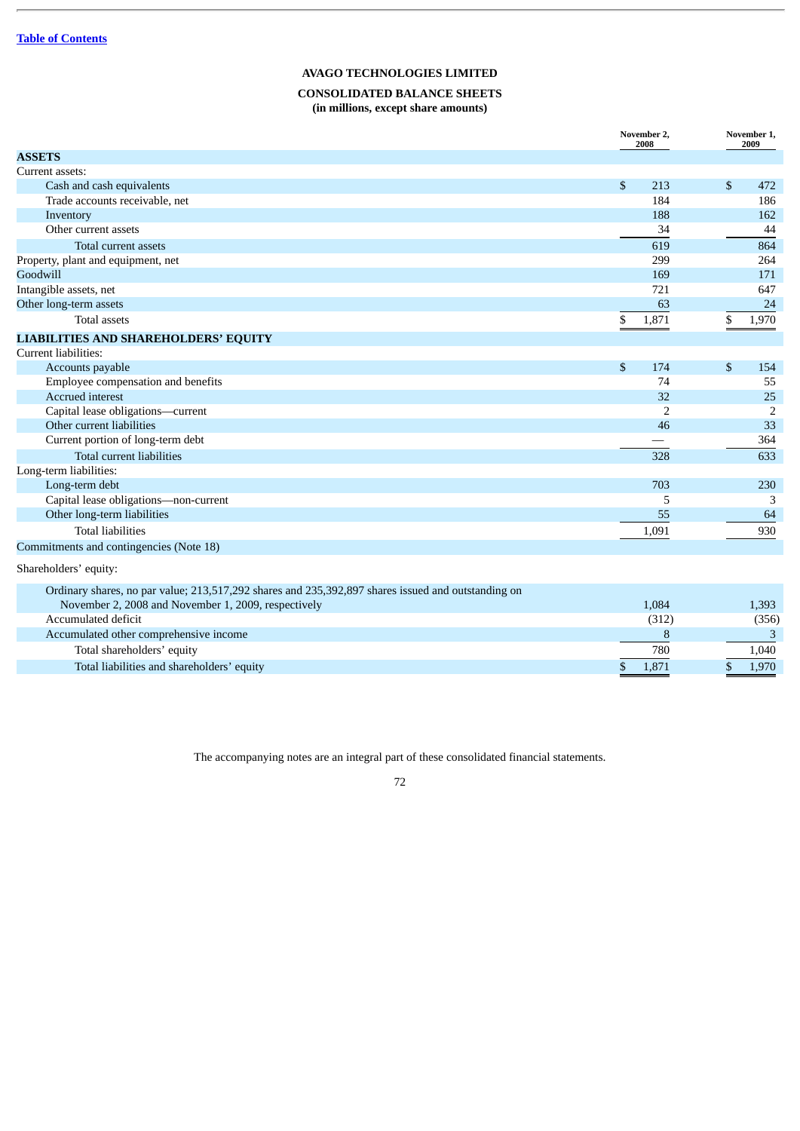# **AVAGO TECHNOLOGIES LIMITED**

# **CONSOLIDATED BALANCE SHEETS (in millions, except share amounts)**

<span id="page-71-0"></span>

|                                                                                                    | November 2,<br>2008 |                | November 1,<br>2009 |                |
|----------------------------------------------------------------------------------------------------|---------------------|----------------|---------------------|----------------|
| <b>ASSETS</b>                                                                                      |                     |                |                     |                |
| Current assets:                                                                                    |                     |                |                     |                |
| Cash and cash equivalents                                                                          | \$                  | 213            | \$                  | 472            |
| Trade accounts receivable, net                                                                     |                     | 184            |                     | 186            |
| Inventory                                                                                          |                     | 188            |                     | 162            |
| Other current assets                                                                               |                     | 34             |                     | 44             |
| Total current assets                                                                               |                     | 619            |                     | 864            |
| Property, plant and equipment, net                                                                 |                     | 299            |                     | 264            |
| Goodwill                                                                                           |                     | 169            |                     | 171            |
| Intangible assets, net                                                                             |                     | 721            |                     | 647            |
| Other long-term assets                                                                             |                     | 63             |                     | 24             |
| <b>Total assets</b>                                                                                | \$                  | 1,871          | \$                  | 1,970          |
| <b>LIABILITIES AND SHAREHOLDERS' EQUITY</b>                                                        |                     |                |                     |                |
| Current liabilities:                                                                               |                     |                |                     |                |
| Accounts payable                                                                                   | \$                  | 174            | $\mathbb{S}$        | 154            |
| Employee compensation and benefits                                                                 |                     | 74             |                     | 55             |
| <b>Accrued</b> interest                                                                            |                     | 32             |                     | 25             |
| Capital lease obligations-current                                                                  |                     | $\overline{2}$ |                     | $\overline{2}$ |
| Other current liabilities                                                                          |                     | 46             |                     | 33             |
| Current portion of long-term debt                                                                  |                     |                |                     | 364            |
| Total current liabilities                                                                          |                     | 328            |                     | 633            |
| Long-term liabilities:                                                                             |                     |                |                     |                |
| Long-term debt                                                                                     |                     | 703            |                     | 230            |
| Capital lease obligations-non-current                                                              |                     | 5              |                     | 3              |
| Other long-term liabilities                                                                        |                     | 55             |                     | 64             |
| <b>Total liabilities</b>                                                                           |                     | 1,091          |                     | 930            |
| Commitments and contingencies (Note 18)                                                            |                     |                |                     |                |
| Shareholders' equity:                                                                              |                     |                |                     |                |
| Ordinary shares, no par value; 213,517,292 shares and 235,392,897 shares issued and outstanding on |                     |                |                     |                |
| November 2, 2008 and November 1, 2009, respectively                                                |                     | 1,084          |                     | 1,393          |
| Accumulated deficit                                                                                |                     | (312)          |                     | (356)          |

Accumulated other comprehensive income and the state income and the state of the state of the state of the state of the state of the state of the state of the state of the state of the state of the state of the state of th Total shareholders' equity Total liabilities and shareholders' equity  $\overline{\text{S}}$  1,871  $\overline{\text{S}}$  1,871  $\overline{\text{S}}$  1,970

The accompanying notes are an integral part of these consolidated financial statements.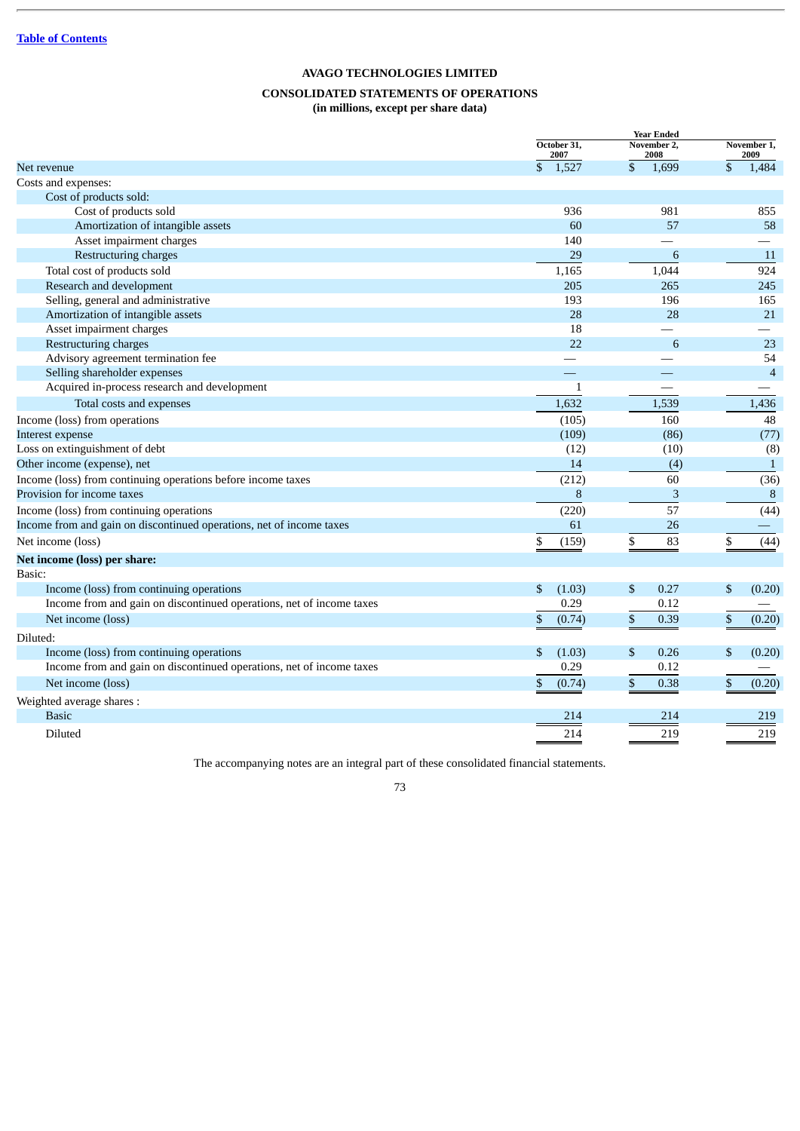# **CONSOLIDATED STATEMENTS OF OPERATIONS (in millions, except per share data)**

|                                                                      |                     | <b>Year Ended</b>   |                     |
|----------------------------------------------------------------------|---------------------|---------------------|---------------------|
|                                                                      | October 31.<br>2007 | November 2,<br>2008 | November 1.<br>2009 |
| Net revenue                                                          | \$<br>1,527         | \$<br>1,699         | \$<br>1,484         |
| Costs and expenses:                                                  |                     |                     |                     |
| Cost of products sold:                                               |                     |                     |                     |
| Cost of products sold                                                | 936                 | 981                 | 855                 |
| Amortization of intangible assets                                    | 60                  | 57                  | 58                  |
| Asset impairment charges                                             | 140                 |                     |                     |
| Restructuring charges                                                | 29                  | 6                   | 11                  |
| Total cost of products sold                                          | 1,165               | 1,044               | 924                 |
| Research and development                                             | 205                 | 265                 | 245                 |
| Selling, general and administrative                                  | 193                 | 196                 | 165                 |
| Amortization of intangible assets                                    | 28                  | 28                  | 21                  |
| Asset impairment charges                                             | 18                  |                     |                     |
| Restructuring charges                                                | 22                  | 6                   | 23                  |
| Advisory agreement termination fee                                   |                     |                     | 54                  |
| Selling shareholder expenses                                         |                     |                     | $\overline{4}$      |
| Acquired in-process research and development                         | 1                   |                     |                     |
| Total costs and expenses                                             | 1,632               | 1,539               | 1,436               |
| Income (loss) from operations                                        | (105)               | 160                 | 48                  |
| Interest expense                                                     | (109)               | (86)                | (77)                |
| Loss on extinguishment of debt                                       | (12)                | (10)                | (8)                 |
| Other income (expense), net                                          | 14                  | (4)                 | $\mathbf{1}$        |
| Income (loss) from continuing operations before income taxes         | (212)               | 60                  | (36)                |
| Provision for income taxes                                           | 8                   | 3                   | $\, 8$              |
| Income (loss) from continuing operations                             | (220)               | 57                  | (44)                |
| Income from and gain on discontinued operations, net of income taxes | 61                  | 26                  |                     |
| Net income (loss)                                                    | \$<br>(159)         | \$<br>83            | \$<br>(44)          |
| Net income (loss) per share:                                         |                     |                     |                     |
| Basic:                                                               |                     |                     |                     |
| Income (loss) from continuing operations                             | \$<br>(1.03)        | \$<br>0.27          | \$<br>(0.20)        |
| Income from and gain on discontinued operations, net of income taxes | 0.29                | 0.12                |                     |
| Net income (loss)                                                    | \$<br>(0.74)        | $\$$<br>0.39        | \$<br>(0.20)        |
| Diluted:                                                             |                     |                     |                     |
| Income (loss) from continuing operations                             | \$<br>(1.03)        | \$<br>0.26          | \$<br>(0.20)        |
| Income from and gain on discontinued operations, net of income taxes | 0.29                | 0.12                |                     |
| Net income (loss)                                                    | \$<br>(0.74)        | $\mathbb S$<br>0.38 | \$<br>(0.20)        |
| Weighted average shares:                                             |                     |                     |                     |
| <b>Basic</b>                                                         | 214                 | 214                 | 219                 |
|                                                                      |                     |                     |                     |
| Diluted                                                              | 214                 | 219                 | 219                 |

The accompanying notes are an integral part of these consolidated financial statements.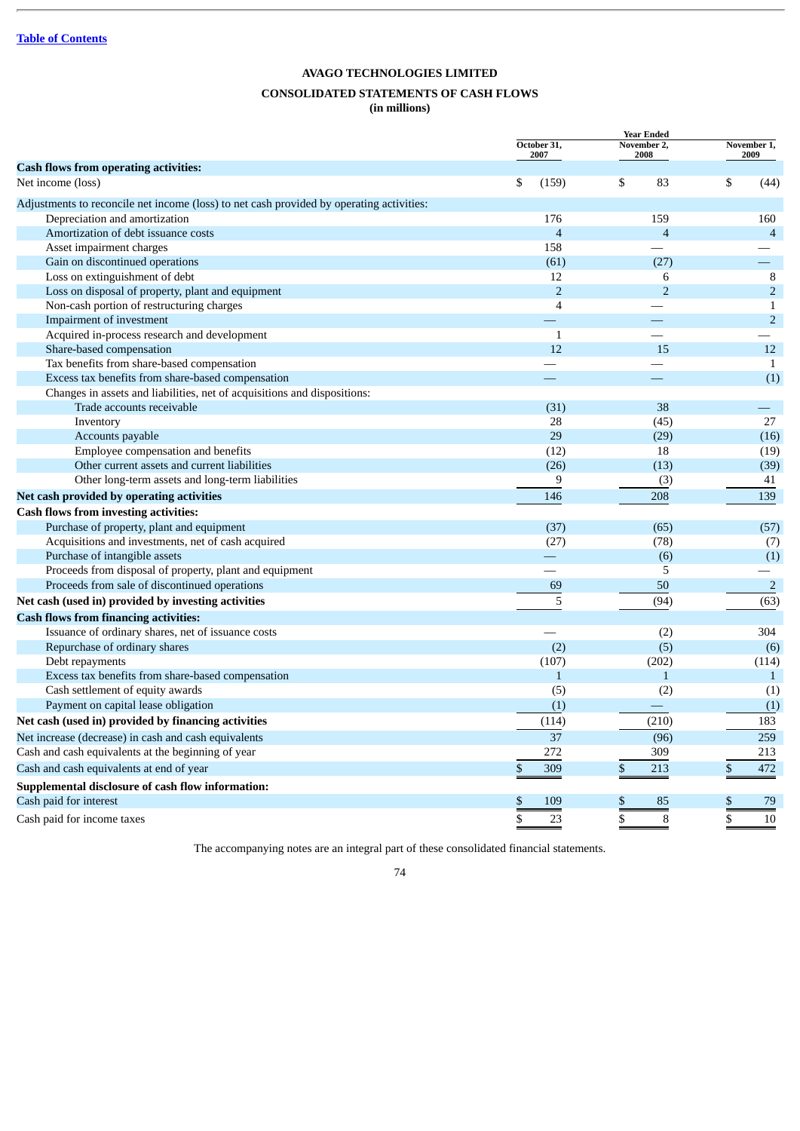# **CONSOLIDATED STATEMENTS OF CASH FLOWS**

**(in millions)**

|                                                                                          |                | <b>Year Ended</b> |                     |
|------------------------------------------------------------------------------------------|----------------|-------------------|---------------------|
|                                                                                          | October 31,    | November 2,       | November 1,         |
| <b>Cash flows from operating activities:</b>                                             | 2007           | 2008              | 2009                |
| Net income (loss)                                                                        | \$<br>(159)    | \$<br>83          | \$<br>(44)          |
|                                                                                          |                |                   |                     |
| Adjustments to reconcile net income (loss) to net cash provided by operating activities: |                |                   |                     |
| Depreciation and amortization                                                            | 176            | 159               | 160                 |
| Amortization of debt issuance costs                                                      | $\overline{4}$ | $\overline{4}$    | $\overline{4}$      |
| Asset impairment charges                                                                 | 158            |                   |                     |
| Gain on discontinued operations                                                          | (61)           | (27)              |                     |
| Loss on extinguishment of debt                                                           | 12             | 6                 | 8                   |
| Loss on disposal of property, plant and equipment                                        | $\overline{2}$ | $\overline{2}$    | $\overline{2}$      |
| Non-cash portion of restructuring charges                                                | $\overline{4}$ |                   | $\mathbf{1}$        |
| Impairment of investment                                                                 |                |                   | $\overline{2}$      |
| Acquired in-process research and development                                             | $\mathbf{1}$   |                   |                     |
| Share-based compensation                                                                 | 12             | 15                | 12                  |
| Tax benefits from share-based compensation                                               |                |                   | 1                   |
| Excess tax benefits from share-based compensation                                        |                |                   | (1)                 |
| Changes in assets and liabilities, net of acquisitions and dispositions:                 |                |                   |                     |
| Trade accounts receivable                                                                | (31)           | 38                |                     |
| Inventory                                                                                | 28<br>29       | (45)              | 27                  |
| Accounts payable                                                                         |                | (29)<br>18        | (16)                |
| Employee compensation and benefits<br>Other current assets and current liabilities       | (12)           |                   | (19)                |
|                                                                                          | (26)<br>9      | (13)              | (39)                |
| Other long-term assets and long-term liabilities                                         |                | (3)               | 41                  |
| Net cash provided by operating activities                                                | 146            | 208               | 139                 |
| Cash flows from investing activities:                                                    |                |                   |                     |
| Purchase of property, plant and equipment                                                | (37)           | (65)              | (57)                |
| Acquisitions and investments, net of cash acquired                                       | (27)           | (78)              | (7)                 |
| Purchase of intangible assets                                                            |                | (6)               | (1)                 |
| Proceeds from disposal of property, plant and equipment                                  |                | 5                 |                     |
| Proceeds from sale of discontinued operations                                            | 69             | 50                | $\sqrt{2}$          |
| Net cash (used in) provided by investing activities                                      | $\mathsf S$    | (94)              | (63)                |
| <b>Cash flows from financing activities:</b>                                             |                |                   |                     |
| Issuance of ordinary shares, net of issuance costs                                       |                | (2)               | 304                 |
| Repurchase of ordinary shares                                                            | (2)            | (5)               | (6)                 |
| Debt repayments                                                                          | (107)          | (202)             | (114)               |
| Excess tax benefits from share-based compensation                                        | $\mathbf{1}$   | $\mathbf{1}$      | $\mathbf{1}$        |
| Cash settlement of equity awards                                                         | (5)            | (2)               | (1)                 |
| Payment on capital lease obligation                                                      | (1)            |                   | (1)                 |
| Net cash (used in) provided by financing activities                                      | (114)          | (210)             | 183                 |
| Net increase (decrease) in cash and cash equivalents                                     | 37             | (96)              | 259                 |
| Cash and cash equivalents at the beginning of year                                       | 272            | 309               | 213                 |
| Cash and cash equivalents at end of year                                                 | \$<br>309      | \$<br>213         | \$<br>472           |
| Supplemental disclosure of cash flow information:                                        |                |                   |                     |
| Cash paid for interest                                                                   | \$<br>109      | \$<br>85          | \$<br>79            |
| Cash paid for income taxes                                                               | \$<br>23       | $\mathbb{S}$<br>8 | $\mathbf{\$}$<br>10 |
|                                                                                          |                |                   |                     |

The accompanying notes are an integral part of these consolidated financial statements.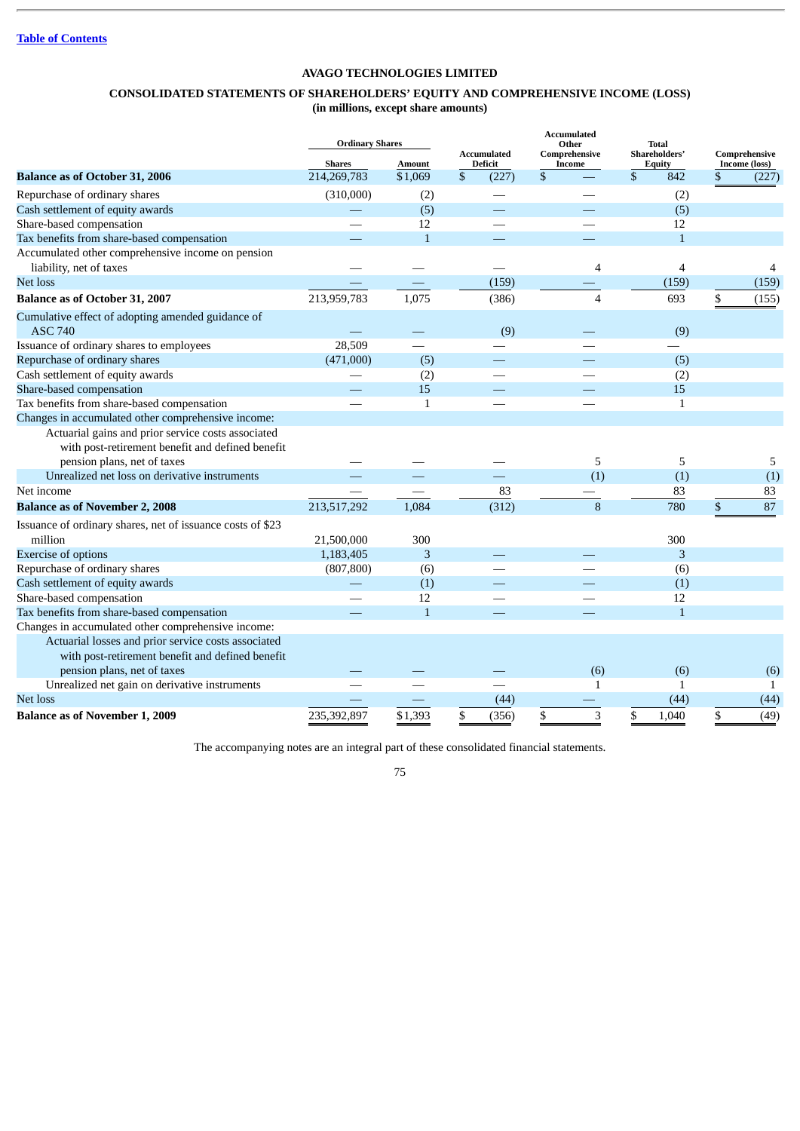# **CONSOLIDATED STATEMENTS OF SHAREHOLDERS' EQUITY AND COMPREHENSIVE INCOME (LOSS) (in millions, except share amounts)**

|                                                                                                                                                              | <b>Ordinary Shares</b>       |                          | <b>Accumulated</b>   |       | Accumulated<br>Other<br>Comprehensive |                |              | <b>Total</b><br>Shareholders' | Comprehensive                |
|--------------------------------------------------------------------------------------------------------------------------------------------------------------|------------------------------|--------------------------|----------------------|-------|---------------------------------------|----------------|--------------|-------------------------------|------------------------------|
| <b>Balance as of October 31, 2006</b>                                                                                                                        | <b>Shares</b><br>214,269,783 | <b>Amount</b><br>\$1,069 | <b>Deficit</b><br>\$ | (227) | \$                                    | Income         | $\mathbb{S}$ | Equity<br>842                 | \$<br>Income (loss)<br>(227) |
|                                                                                                                                                              |                              |                          |                      |       |                                       |                |              |                               |                              |
| Repurchase of ordinary shares                                                                                                                                | (310,000)                    | (2)                      |                      |       |                                       |                |              | (2)                           |                              |
| Cash settlement of equity awards                                                                                                                             |                              | (5)                      |                      |       |                                       |                |              | (5)                           |                              |
| Share-based compensation                                                                                                                                     |                              | 12                       |                      |       |                                       |                |              | 12                            |                              |
| Tax benefits from share-based compensation                                                                                                                   |                              | $\mathbf{1}$             |                      |       |                                       |                |              | $\mathbf{1}$                  |                              |
| Accumulated other comprehensive income on pension                                                                                                            |                              |                          |                      |       |                                       |                |              |                               |                              |
| liability, net of taxes                                                                                                                                      |                              |                          |                      |       |                                       | $\overline{4}$ |              | 4                             | 4                            |
| <b>Net loss</b>                                                                                                                                              |                              |                          |                      | (159) |                                       |                |              | (159)                         | (159)                        |
| Balance as of October 31, 2007                                                                                                                               | 213,959,783                  | 1,075                    |                      | (386) |                                       | $\overline{4}$ |              | 693                           | \$<br>(155)                  |
| Cumulative effect of adopting amended guidance of                                                                                                            |                              |                          |                      |       |                                       |                |              |                               |                              |
| <b>ASC 740</b>                                                                                                                                               | 28,509                       |                          |                      | (9)   |                                       |                |              | (9)                           |                              |
| Issuance of ordinary shares to employees                                                                                                                     | (471,000)                    |                          |                      |       |                                       |                |              |                               |                              |
| Repurchase of ordinary shares                                                                                                                                |                              | (5)                      |                      |       |                                       |                |              | (5)                           |                              |
| Cash settlement of equity awards                                                                                                                             |                              | (2)                      |                      |       |                                       |                |              | (2)                           |                              |
| Share-based compensation                                                                                                                                     |                              | 15                       |                      |       |                                       |                |              | 15                            |                              |
| Tax benefits from share-based compensation                                                                                                                   |                              | $\mathbf{1}$             |                      |       |                                       |                |              | $\mathbf{1}$                  |                              |
| Changes in accumulated other comprehensive income:<br>Actuarial gains and prior service costs associated<br>with post-retirement benefit and defined benefit |                              |                          |                      |       |                                       |                |              |                               |                              |
| pension plans, net of taxes                                                                                                                                  |                              |                          |                      |       |                                       | 5              |              | 5                             | 5                            |
| Unrealized net loss on derivative instruments                                                                                                                |                              |                          |                      |       |                                       | (1)            |              | (1)                           | (1)                          |
| Net income                                                                                                                                                   |                              |                          |                      | 83    |                                       |                |              | 83                            | 83                           |
| <b>Balance as of November 2, 2008</b>                                                                                                                        | 213,517,292                  | 1,084                    |                      | (312) |                                       | 8              |              | 780                           | \$<br>87                     |
| Issuance of ordinary shares, net of issuance costs of \$23                                                                                                   |                              |                          |                      |       |                                       |                |              |                               |                              |
| million                                                                                                                                                      | 21,500,000                   | 300                      |                      |       |                                       |                |              | 300                           |                              |
| <b>Exercise of options</b>                                                                                                                                   | 1,183,405                    | 3                        |                      |       |                                       |                |              | 3                             |                              |
| Repurchase of ordinary shares                                                                                                                                | (807, 800)                   | (6)                      |                      |       |                                       |                |              | (6)                           |                              |
| Cash settlement of equity awards                                                                                                                             |                              | (1)                      |                      |       |                                       |                |              | (1)                           |                              |
| Share-based compensation                                                                                                                                     |                              | 12                       |                      |       |                                       |                |              | 12                            |                              |
| Tax benefits from share-based compensation                                                                                                                   |                              | $\mathbf{1}$             |                      |       |                                       |                |              | $\mathbf{1}$                  |                              |
| Changes in accumulated other comprehensive income:                                                                                                           |                              |                          |                      |       |                                       |                |              |                               |                              |
| Actuarial losses and prior service costs associated<br>with post-retirement benefit and defined benefit                                                      |                              |                          |                      |       |                                       |                |              |                               |                              |
| pension plans, net of taxes                                                                                                                                  |                              |                          |                      |       |                                       | (6)            |              | (6)                           | (6)                          |
| Unrealized net gain on derivative instruments                                                                                                                |                              |                          |                      |       |                                       | 1              |              | 1                             | 1                            |
| Net loss                                                                                                                                                     |                              |                          |                      | (44)  |                                       |                |              | (44)                          | (44)                         |
| <b>Balance as of November 1, 2009</b>                                                                                                                        | 235,392,897                  | \$1,393                  | \$                   | (356) | \$                                    | 3              | \$           | 1.040                         | \$<br>(49)                   |

The accompanying notes are an integral part of these consolidated financial statements.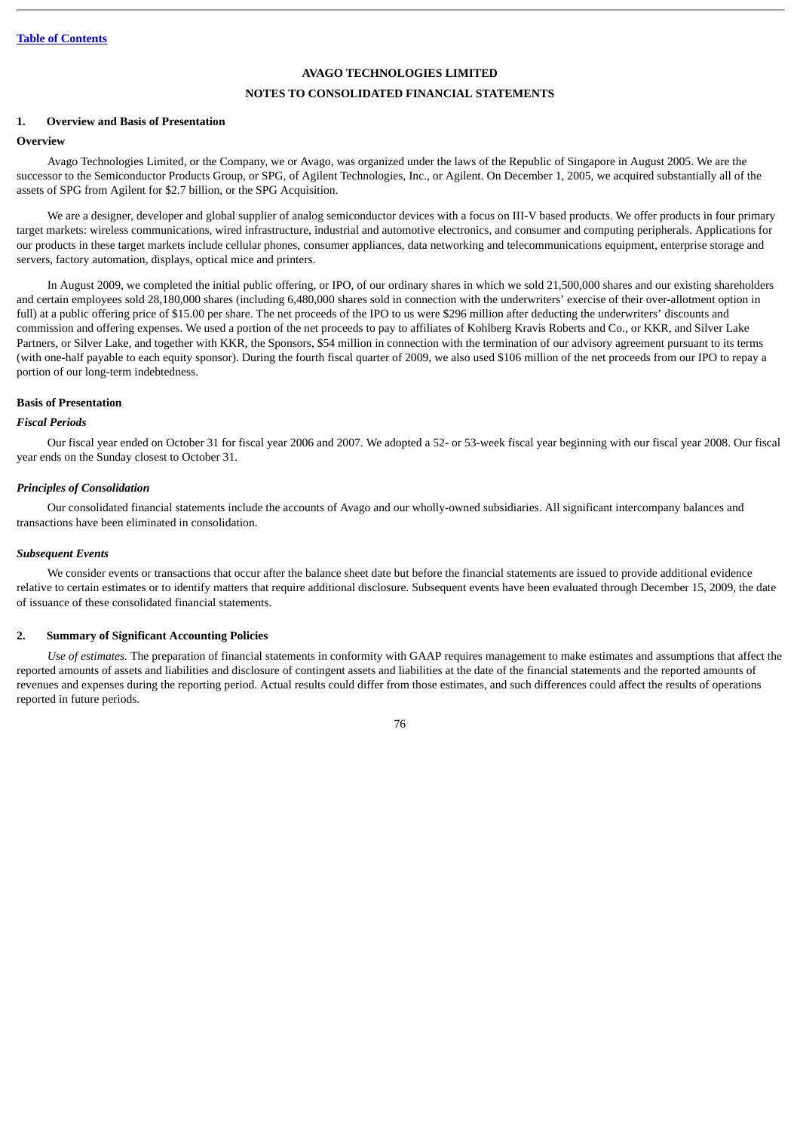## **NOTES TO CONSOLIDATED FINANCIAL STATEMENTS**

### **1. Overview and Basis of Presentation**

# **Overview**

Avago Technologies Limited, or the Company, we or Avago, was organized under the laws of the Republic of Singapore in August 2005. We are the successor to the Semiconductor Products Group, or SPG, of Agilent Technologies, Inc., or Agilent. On December 1, 2005, we acquired substantially all of the assets of SPG from Agilent for \$2.7 billion, or the SPG Acquisition.

We are a designer, developer and global supplier of analog semiconductor devices with a focus on III-V based products. We offer products in four primary target markets: wireless communications, wired infrastructure, industrial and automotive electronics, and consumer and computing peripherals. Applications for our products in these target markets include cellular phones, consumer appliances, data networking and telecommunications equipment, enterprise storage and servers, factory automation, displays, optical mice and printers.

In August 2009, we completed the initial public offering, or IPO, of our ordinary shares in which we sold 21,500,000 shares and our existing shareholders and certain employees sold 28,180,000 shares (including 6,480,000 shares sold in connection with the underwriters' exercise of their over-allotment option in full) at a public offering price of \$15.00 per share. The net proceeds of the IPO to us were \$296 million after deducting the underwriters' discounts and commission and offering expenses. We used a portion of the net proceeds to pay to affiliates of Kohlberg Kravis Roberts and Co., or KKR, and Silver Lake Partners, or Silver Lake, and together with KKR, the Sponsors, \$54 million in connection with the termination of our advisory agreement pursuant to its terms (with one-half payable to each equity sponsor). During the fourth fiscal quarter of 2009, we also used \$106 million of the net proceeds from our IPO to repay a portion of our long-term indebtedness.

### **Basis of Presentation**

### *Fiscal Periods*

Our fiscal year ended on October 31 for fiscal year 2006 and 2007. We adopted a 52- or 53-week fiscal year beginning with our fiscal year 2008. Our fiscal year ends on the Sunday closest to October 31.

#### *Principles of Consolidation*

Our consolidated financial statements include the accounts of Avago and our wholly-owned subsidiaries. All significant intercompany balances and transactions have been eliminated in consolidation.

#### *Subsequent Events*

We consider events or transactions that occur after the balance sheet date but before the financial statements are issued to provide additional evidence relative to certain estimates or to identify matters that require additional disclosure. Subsequent events have been evaluated through December 15, 2009, the date of issuance of these consolidated financial statements.

### **2. Summary of Significant Accounting Policies**

*Use of estimates.* The preparation of financial statements in conformity with GAAP requires management to make estimates and assumptions that affect the reported amounts of assets and liabilities and disclosure of contingent assets and liabilities at the date of the financial statements and the reported amounts of revenues and expenses during the reporting period. Actual results could differ from those estimates, and such differences could affect the results of operations reported in future periods.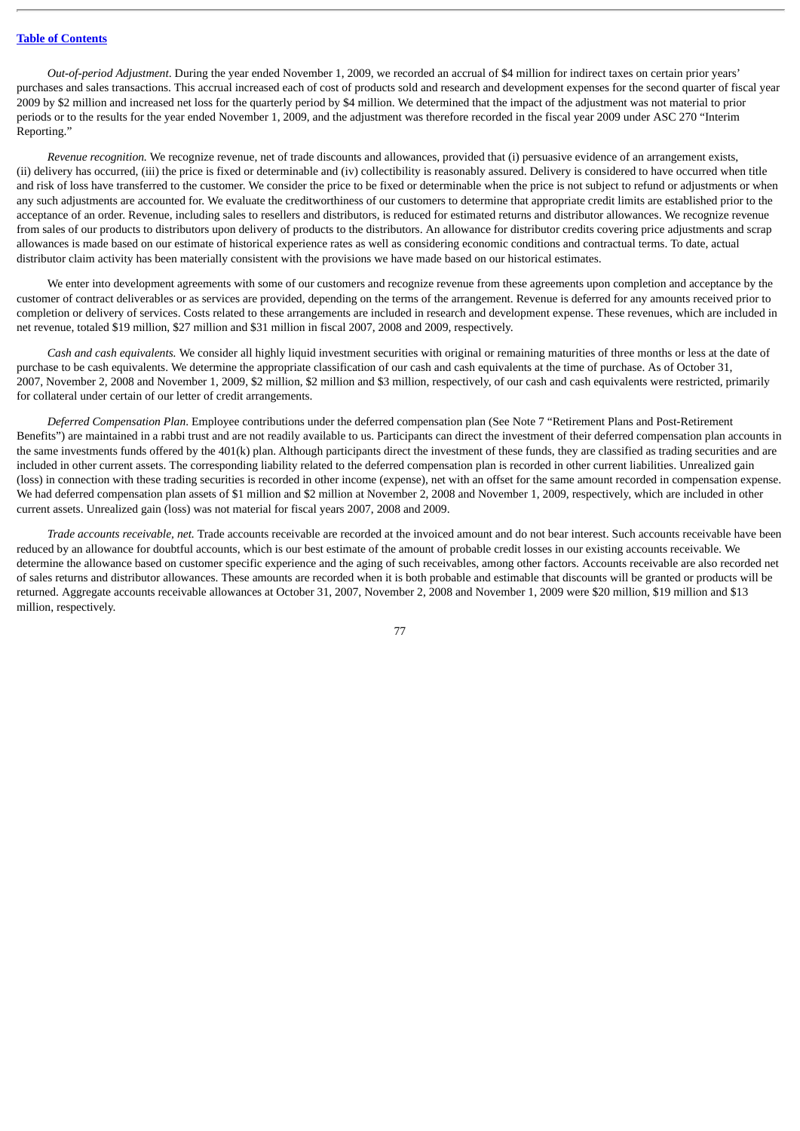*Out-of-period Adjustment*. During the year ended November 1, 2009, we recorded an accrual of \$4 million for indirect taxes on certain prior years' purchases and sales transactions. This accrual increased each of cost of products sold and research and development expenses for the second quarter of fiscal year 2009 by \$2 million and increased net loss for the quarterly period by \$4 million. We determined that the impact of the adjustment was not material to prior periods or to the results for the year ended November 1, 2009, and the adjustment was therefore recorded in the fiscal year 2009 under ASC 270 "Interim Reporting."

*Revenue recognition.* We recognize revenue, net of trade discounts and allowances, provided that (i) persuasive evidence of an arrangement exists, (ii) delivery has occurred, (iii) the price is fixed or determinable and (iv) collectibility is reasonably assured. Delivery is considered to have occurred when title and risk of loss have transferred to the customer. We consider the price to be fixed or determinable when the price is not subject to refund or adjustments or when any such adjustments are accounted for. We evaluate the creditworthiness of our customers to determine that appropriate credit limits are established prior to the acceptance of an order. Revenue, including sales to resellers and distributors, is reduced for estimated returns and distributor allowances. We recognize revenue from sales of our products to distributors upon delivery of products to the distributors. An allowance for distributor credits covering price adjustments and scrap allowances is made based on our estimate of historical experience rates as well as considering economic conditions and contractual terms. To date, actual distributor claim activity has been materially consistent with the provisions we have made based on our historical estimates.

We enter into development agreements with some of our customers and recognize revenue from these agreements upon completion and acceptance by the customer of contract deliverables or as services are provided, depending on the terms of the arrangement. Revenue is deferred for any amounts received prior to completion or delivery of services. Costs related to these arrangements are included in research and development expense. These revenues, which are included in net revenue, totaled \$19 million, \$27 million and \$31 million in fiscal 2007, 2008 and 2009, respectively.

*Cash and cash equivalents.* We consider all highly liquid investment securities with original or remaining maturities of three months or less at the date of purchase to be cash equivalents. We determine the appropriate classification of our cash and cash equivalents at the time of purchase. As of October 31, 2007, November 2, 2008 and November 1, 2009, \$2 million, \$2 million and \$3 million, respectively, of our cash and cash equivalents were restricted, primarily for collateral under certain of our letter of credit arrangements.

*Deferred Compensation Plan*. Employee contributions under the deferred compensation plan (See Note 7 "Retirement Plans and Post-Retirement Benefits") are maintained in a rabbi trust and are not readily available to us. Participants can direct the investment of their deferred compensation plan accounts in the same investments funds offered by the 401(k) plan. Although participants direct the investment of these funds, they are classified as trading securities and are included in other current assets. The corresponding liability related to the deferred compensation plan is recorded in other current liabilities. Unrealized gain (loss) in connection with these trading securities is recorded in other income (expense), net with an offset for the same amount recorded in compensation expense. We had deferred compensation plan assets of \$1 million and \$2 million at November 2, 2008 and November 1, 2009, respectively, which are included in other current assets. Unrealized gain (loss) was not material for fiscal years 2007, 2008 and 2009.

*Trade accounts receivable, net.* Trade accounts receivable are recorded at the invoiced amount and do not bear interest. Such accounts receivable have been reduced by an allowance for doubtful accounts, which is our best estimate of the amount of probable credit losses in our existing accounts receivable. We determine the allowance based on customer specific experience and the aging of such receivables, among other factors. Accounts receivable are also recorded net of sales returns and distributor allowances. These amounts are recorded when it is both probable and estimable that discounts will be granted or products will be returned. Aggregate accounts receivable allowances at October 31, 2007, November 2, 2008 and November 1, 2009 were \$20 million, \$19 million and \$13 million, respectively.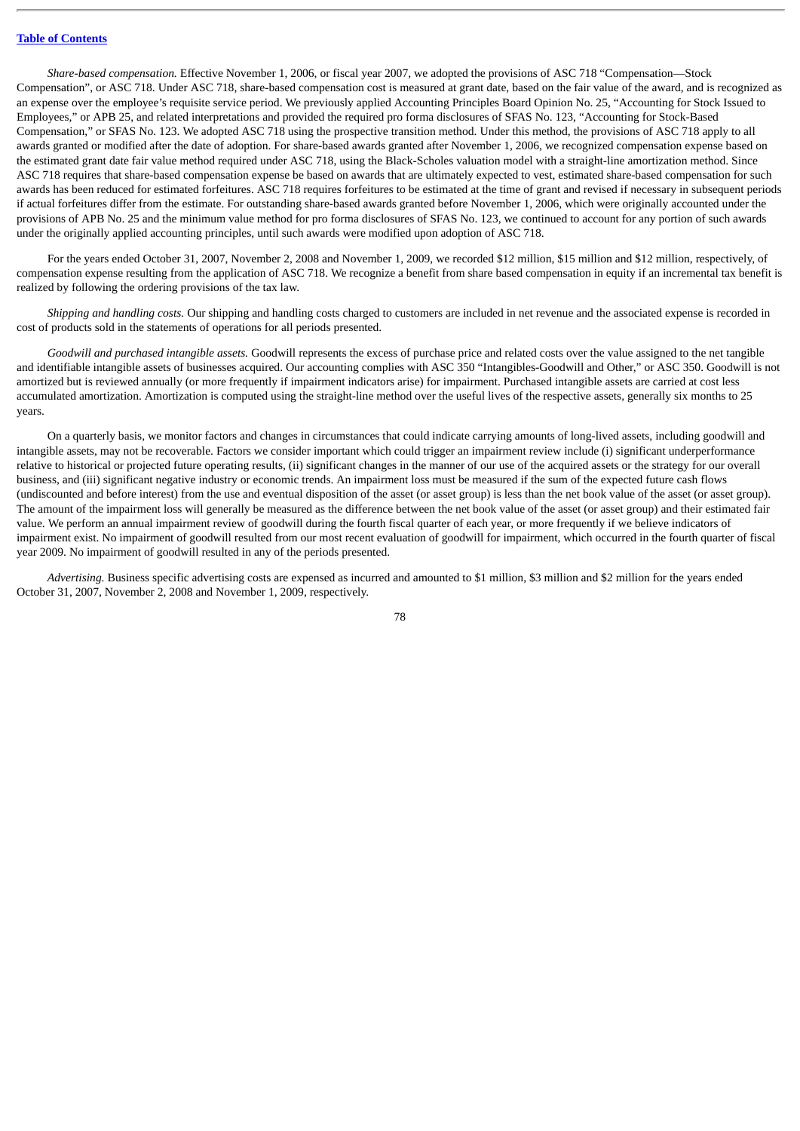*Share-based compensation.* Effective November 1, 2006, or fiscal year 2007, we adopted the provisions of ASC 718 "Compensation—Stock Compensation", or ASC 718. Under ASC 718, share-based compensation cost is measured at grant date, based on the fair value of the award, and is recognized as an expense over the employee's requisite service period. We previously applied Accounting Principles Board Opinion No. 25, "Accounting for Stock Issued to Employees," or APB 25, and related interpretations and provided the required pro forma disclosures of SFAS No. 123, "Accounting for Stock-Based Compensation," or SFAS No. 123. We adopted ASC 718 using the prospective transition method. Under this method, the provisions of ASC 718 apply to all awards granted or modified after the date of adoption. For share-based awards granted after November 1, 2006, we recognized compensation expense based on the estimated grant date fair value method required under ASC 718, using the Black-Scholes valuation model with a straight-line amortization method. Since ASC 718 requires that share-based compensation expense be based on awards that are ultimately expected to vest, estimated share-based compensation for such awards has been reduced for estimated forfeitures. ASC 718 requires forfeitures to be estimated at the time of grant and revised if necessary in subsequent periods if actual forfeitures differ from the estimate. For outstanding share-based awards granted before November 1, 2006, which were originally accounted under the provisions of APB No. 25 and the minimum value method for pro forma disclosures of SFAS No. 123, we continued to account for any portion of such awards under the originally applied accounting principles, until such awards were modified upon adoption of ASC 718.

For the years ended October 31, 2007, November 2, 2008 and November 1, 2009, we recorded \$12 million, \$15 million and \$12 million, respectively, of compensation expense resulting from the application of ASC 718. We recognize a benefit from share based compensation in equity if an incremental tax benefit is realized by following the ordering provisions of the tax law.

*Shipping and handling costs.* Our shipping and handling costs charged to customers are included in net revenue and the associated expense is recorded in cost of products sold in the statements of operations for all periods presented.

*Goodwill and purchased intangible assets.* Goodwill represents the excess of purchase price and related costs over the value assigned to the net tangible and identifiable intangible assets of businesses acquired. Our accounting complies with ASC 350 "Intangibles-Goodwill and Other," or ASC 350. Goodwill is not amortized but is reviewed annually (or more frequently if impairment indicators arise) for impairment. Purchased intangible assets are carried at cost less accumulated amortization. Amortization is computed using the straight-line method over the useful lives of the respective assets, generally six months to 25 years.

On a quarterly basis, we monitor factors and changes in circumstances that could indicate carrying amounts of long-lived assets, including goodwill and intangible assets, may not be recoverable. Factors we consider important which could trigger an impairment review include (i) significant underperformance relative to historical or projected future operating results, (ii) significant changes in the manner of our use of the acquired assets or the strategy for our overall business, and (iii) significant negative industry or economic trends. An impairment loss must be measured if the sum of the expected future cash flows (undiscounted and before interest) from the use and eventual disposition of the asset (or asset group) is less than the net book value of the asset (or asset group). The amount of the impairment loss will generally be measured as the difference between the net book value of the asset (or asset group) and their estimated fair value. We perform an annual impairment review of goodwill during the fourth fiscal quarter of each year, or more frequently if we believe indicators of impairment exist. No impairment of goodwill resulted from our most recent evaluation of goodwill for impairment, which occurred in the fourth quarter of fiscal year 2009. No impairment of goodwill resulted in any of the periods presented.

*Advertising.* Business specific advertising costs are expensed as incurred and amounted to \$1 million, \$3 million and \$2 million for the years ended October 31, 2007, November 2, 2008 and November 1, 2009, respectively.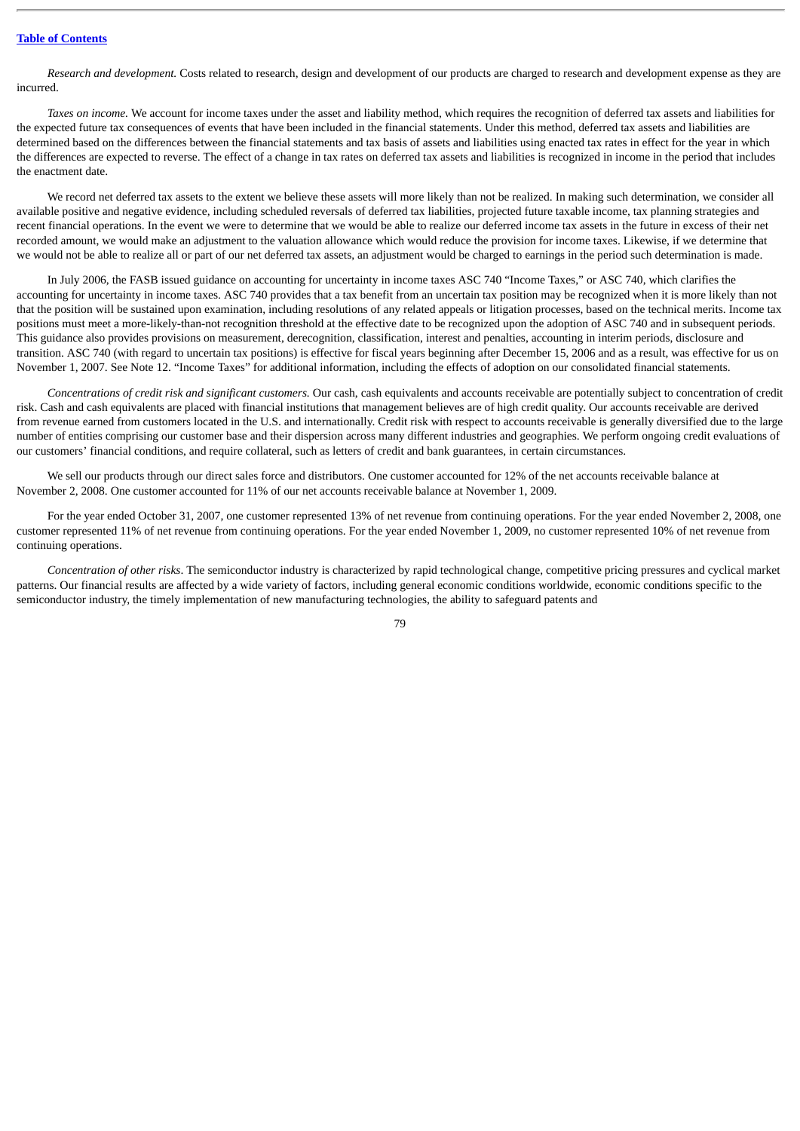*Research and development.* Costs related to research, design and development of our products are charged to research and development expense as they are incurred.

*Taxes on income.* We account for income taxes under the asset and liability method, which requires the recognition of deferred tax assets and liabilities for the expected future tax consequences of events that have been included in the financial statements. Under this method, deferred tax assets and liabilities are determined based on the differences between the financial statements and tax basis of assets and liabilities using enacted tax rates in effect for the year in which the differences are expected to reverse. The effect of a change in tax rates on deferred tax assets and liabilities is recognized in income in the period that includes the enactment date.

We record net deferred tax assets to the extent we believe these assets will more likely than not be realized. In making such determination, we consider all available positive and negative evidence, including scheduled reversals of deferred tax liabilities, projected future taxable income, tax planning strategies and recent financial operations. In the event we were to determine that we would be able to realize our deferred income tax assets in the future in excess of their net recorded amount, we would make an adjustment to the valuation allowance which would reduce the provision for income taxes. Likewise, if we determine that we would not be able to realize all or part of our net deferred tax assets, an adjustment would be charged to earnings in the period such determination is made.

In July 2006, the FASB issued guidance on accounting for uncertainty in income taxes ASC 740 "Income Taxes," or ASC 740, which clarifies the accounting for uncertainty in income taxes. ASC 740 provides that a tax benefit from an uncertain tax position may be recognized when it is more likely than not that the position will be sustained upon examination, including resolutions of any related appeals or litigation processes, based on the technical merits. Income tax positions must meet a more-likely-than-not recognition threshold at the effective date to be recognized upon the adoption of ASC 740 and in subsequent periods. This guidance also provides provisions on measurement, derecognition, classification, interest and penalties, accounting in interim periods, disclosure and transition. ASC 740 (with regard to uncertain tax positions) is effective for fiscal years beginning after December 15, 2006 and as a result, was effective for us on November 1, 2007. See Note 12. "Income Taxes" for additional information, including the effects of adoption on our consolidated financial statements.

*Concentrations of credit risk and significant customers.* Our cash, cash equivalents and accounts receivable are potentially subject to concentration of credit risk. Cash and cash equivalents are placed with financial institutions that management believes are of high credit quality. Our accounts receivable are derived from revenue earned from customers located in the U.S. and internationally. Credit risk with respect to accounts receivable is generally diversified due to the large number of entities comprising our customer base and their dispersion across many different industries and geographies. We perform ongoing credit evaluations of our customers' financial conditions, and require collateral, such as letters of credit and bank guarantees, in certain circumstances.

We sell our products through our direct sales force and distributors. One customer accounted for 12% of the net accounts receivable balance at November 2, 2008. One customer accounted for 11% of our net accounts receivable balance at November 1, 2009.

For the year ended October 31, 2007, one customer represented 13% of net revenue from continuing operations. For the year ended November 2, 2008, one customer represented 11% of net revenue from continuing operations. For the year ended November 1, 2009, no customer represented 10% of net revenue from continuing operations.

*Concentration of other risks*. The semiconductor industry is characterized by rapid technological change, competitive pricing pressures and cyclical market patterns. Our financial results are affected by a wide variety of factors, including general economic conditions worldwide, economic conditions specific to the semiconductor industry, the timely implementation of new manufacturing technologies, the ability to safeguard patents and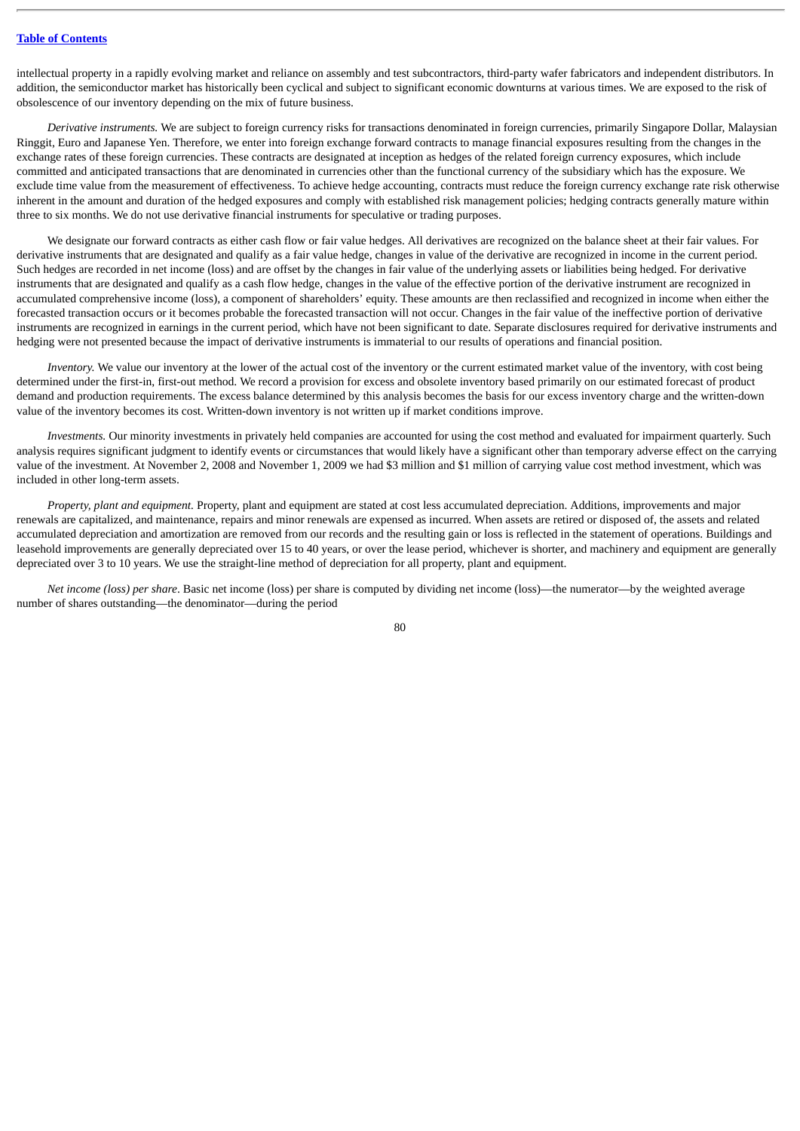intellectual property in a rapidly evolving market and reliance on assembly and test subcontractors, third-party wafer fabricators and independent distributors. In addition, the semiconductor market has historically been cyclical and subject to significant economic downturns at various times. We are exposed to the risk of obsolescence of our inventory depending on the mix of future business.

*Derivative instruments.* We are subject to foreign currency risks for transactions denominated in foreign currencies, primarily Singapore Dollar, Malaysian Ringgit, Euro and Japanese Yen. Therefore, we enter into foreign exchange forward contracts to manage financial exposures resulting from the changes in the exchange rates of these foreign currencies. These contracts are designated at inception as hedges of the related foreign currency exposures, which include committed and anticipated transactions that are denominated in currencies other than the functional currency of the subsidiary which has the exposure. We exclude time value from the measurement of effectiveness. To achieve hedge accounting, contracts must reduce the foreign currency exchange rate risk otherwise inherent in the amount and duration of the hedged exposures and comply with established risk management policies; hedging contracts generally mature within three to six months. We do not use derivative financial instruments for speculative or trading purposes.

We designate our forward contracts as either cash flow or fair value hedges. All derivatives are recognized on the balance sheet at their fair values. For derivative instruments that are designated and qualify as a fair value hedge, changes in value of the derivative are recognized in income in the current period. Such hedges are recorded in net income (loss) and are offset by the changes in fair value of the underlying assets or liabilities being hedged. For derivative instruments that are designated and qualify as a cash flow hedge, changes in the value of the effective portion of the derivative instrument are recognized in accumulated comprehensive income (loss), a component of shareholders' equity. These amounts are then reclassified and recognized in income when either the forecasted transaction occurs or it becomes probable the forecasted transaction will not occur. Changes in the fair value of the ineffective portion of derivative instruments are recognized in earnings in the current period, which have not been significant to date. Separate disclosures required for derivative instruments and hedging were not presented because the impact of derivative instruments is immaterial to our results of operations and financial position.

*Inventory.* We value our inventory at the lower of the actual cost of the inventory or the current estimated market value of the inventory, with cost being determined under the first-in, first-out method. We record a provision for excess and obsolete inventory based primarily on our estimated forecast of product demand and production requirements. The excess balance determined by this analysis becomes the basis for our excess inventory charge and the written-down value of the inventory becomes its cost. Written-down inventory is not written up if market conditions improve.

*Investments.* Our minority investments in privately held companies are accounted for using the cost method and evaluated for impairment quarterly. Such analysis requires significant judgment to identify events or circumstances that would likely have a significant other than temporary adverse effect on the carrying value of the investment. At November 2, 2008 and November 1, 2009 we had \$3 million and \$1 million of carrying value cost method investment, which was included in other long-term assets.

*Property, plant and equipment.* Property, plant and equipment are stated at cost less accumulated depreciation. Additions, improvements and major renewals are capitalized, and maintenance, repairs and minor renewals are expensed as incurred. When assets are retired or disposed of, the assets and related accumulated depreciation and amortization are removed from our records and the resulting gain or loss is reflected in the statement of operations. Buildings and leasehold improvements are generally depreciated over 15 to 40 years, or over the lease period, whichever is shorter, and machinery and equipment are generally depreciated over 3 to 10 years. We use the straight-line method of depreciation for all property, plant and equipment.

*Net income (loss) per share*. Basic net income (loss) per share is computed by dividing net income (loss)—the numerator—by the weighted average number of shares outstanding—the denominator—during the period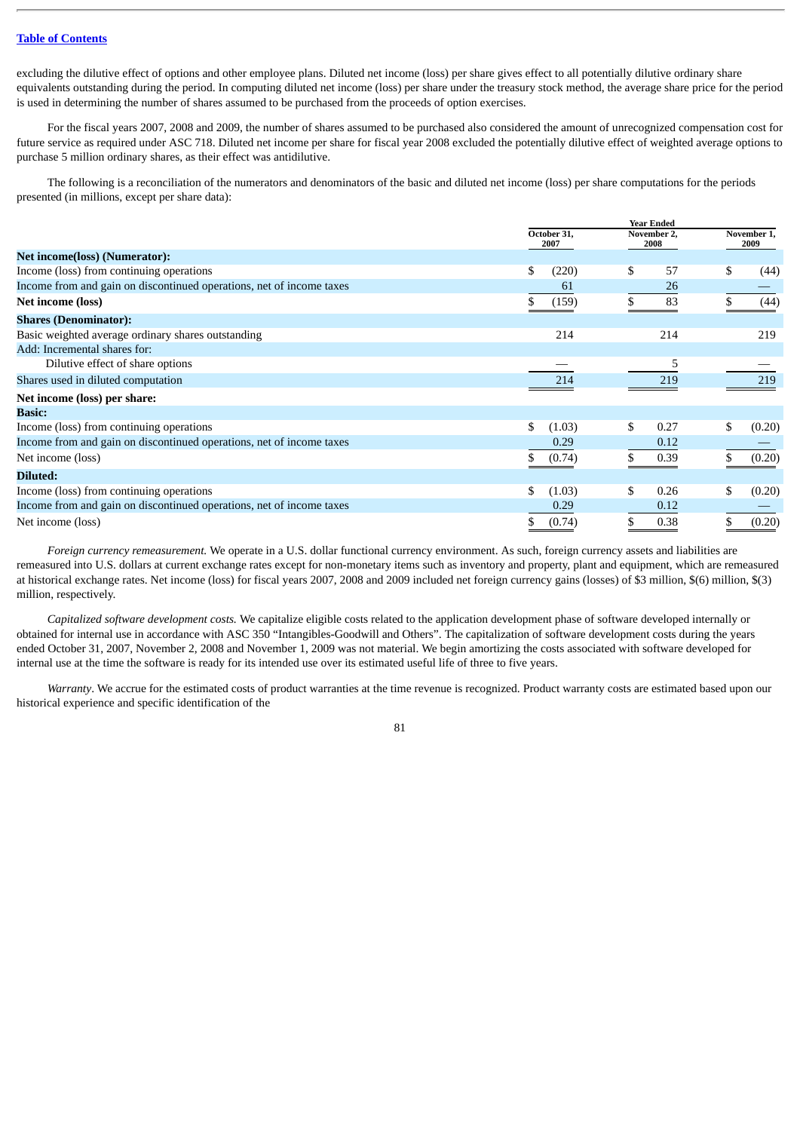excluding the dilutive effect of options and other employee plans. Diluted net income (loss) per share gives effect to all potentially dilutive ordinary share equivalents outstanding during the period. In computing diluted net income (loss) per share under the treasury stock method, the average share price for the period is used in determining the number of shares assumed to be purchased from the proceeds of option exercises.

For the fiscal years 2007, 2008 and 2009, the number of shares assumed to be purchased also considered the amount of unrecognized compensation cost for future service as required under ASC 718. Diluted net income per share for fiscal year 2008 excluded the potentially dilutive effect of weighted average options to purchase 5 million ordinary shares, as their effect was antidilutive.

The following is a reconciliation of the numerators and denominators of the basic and diluted net income (loss) per share computations for the periods presented (in millions, except per share data):

|                                                                      |                     | <b>Year Ended</b>   |                     |  |
|----------------------------------------------------------------------|---------------------|---------------------|---------------------|--|
|                                                                      | October 31,<br>2007 | November 2,<br>2008 | November 1,<br>2009 |  |
| Net income(loss) (Numerator):                                        |                     |                     |                     |  |
| Income (loss) from continuing operations                             | \$<br>(220)         | \$<br>57            | \$<br>(44)          |  |
| Income from and gain on discontinued operations, net of income taxes | 61                  | 26                  |                     |  |
| Net income (loss)                                                    | (159)               | 83                  | (44)                |  |
| <b>Shares (Denominator):</b>                                         |                     |                     |                     |  |
| Basic weighted average ordinary shares outstanding                   | 214                 | 214                 | 219                 |  |
| Add: Incremental shares for:                                         |                     |                     |                     |  |
| Dilutive effect of share options                                     |                     | 5                   |                     |  |
| Shares used in diluted computation                                   | 214                 | 219                 | 219                 |  |
| Net income (loss) per share:                                         |                     |                     |                     |  |
| <b>Basic:</b>                                                        |                     |                     |                     |  |
| Income (loss) from continuing operations                             | (1.03)              | \$<br>0.27          | \$<br>(0.20)        |  |
| Income from and gain on discontinued operations, net of income taxes | 0.29                | 0.12                |                     |  |
| Net income (loss)                                                    | (0.74)              | 0.39                | (0.20)              |  |
| <b>Diluted:</b>                                                      |                     |                     |                     |  |
| Income (loss) from continuing operations                             | (1.03)              | \$<br>0.26          | (0.20)              |  |
| Income from and gain on discontinued operations, net of income taxes | 0.29                | 0.12                |                     |  |
| Net income (loss)                                                    | (0.74)<br>\$        | 0.38                | (0.20)              |  |

*Foreign currency remeasurement.* We operate in a U.S. dollar functional currency environment. As such, foreign currency assets and liabilities are remeasured into U.S. dollars at current exchange rates except for non-monetary items such as inventory and property, plant and equipment, which are remeasured at historical exchange rates. Net income (loss) for fiscal years 2007, 2008 and 2009 included net foreign currency gains (losses) of \$3 million, \$(6) million, \$(3) million, respectively.

*Capitalized software development costs.* We capitalize eligible costs related to the application development phase of software developed internally or obtained for internal use in accordance with ASC 350 "Intangibles-Goodwill and Others". The capitalization of software development costs during the years ended October 31, 2007, November 2, 2008 and November 1, 2009 was not material. We begin amortizing the costs associated with software developed for internal use at the time the software is ready for its intended use over its estimated useful life of three to five years.

*Warranty*. We accrue for the estimated costs of product warranties at the time revenue is recognized. Product warranty costs are estimated based upon our historical experience and specific identification of the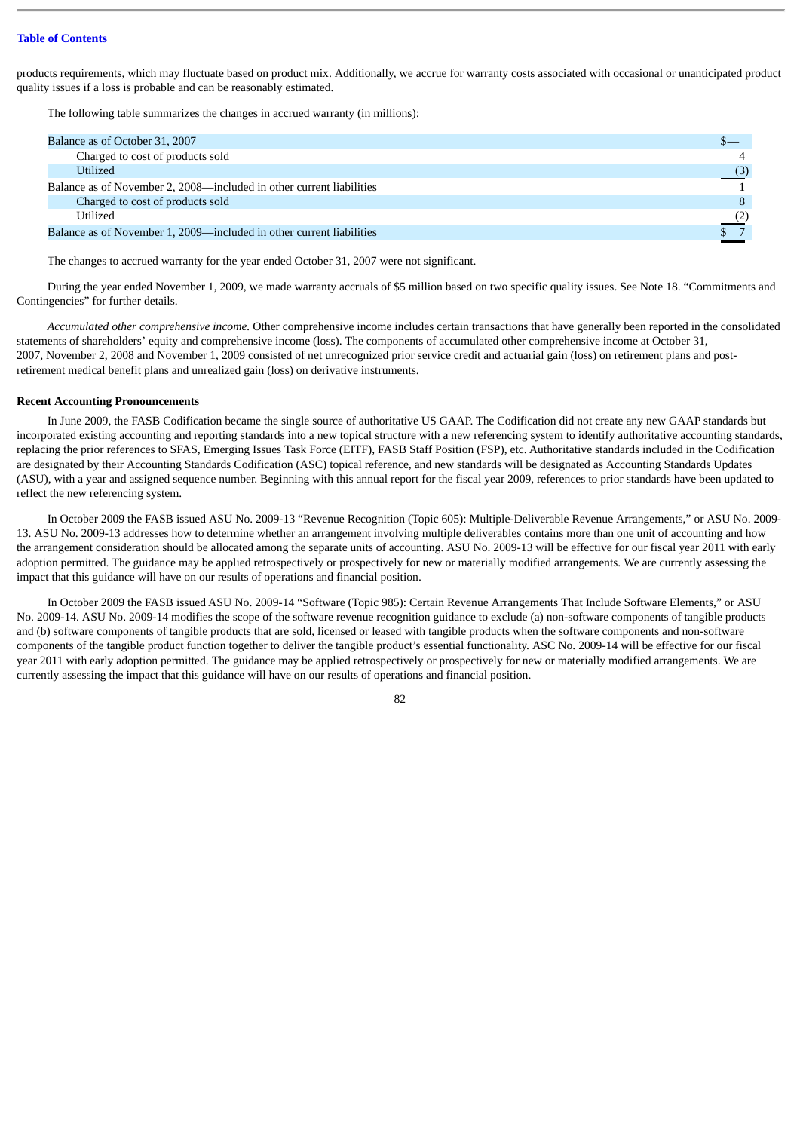products requirements, which may fluctuate based on product mix. Additionally, we accrue for warranty costs associated with occasional or unanticipated product quality issues if a loss is probable and can be reasonably estimated.

The following table summarizes the changes in accrued warranty (in millions):

| Balance as of October 31, 2007                                       |              |
|----------------------------------------------------------------------|--------------|
| Charged to cost of products sold                                     |              |
| <b>Utilized</b>                                                      |              |
| Balance as of November 2, 2008—included in other current liabilities |              |
| Charged to cost of products sold                                     |              |
| Utilized                                                             |              |
| Balance as of November 1, 2009—included in other current liabilities | $\mathbb{S}$ |
|                                                                      |              |

The changes to accrued warranty for the year ended October 31, 2007 were not significant.

During the year ended November 1, 2009, we made warranty accruals of \$5 million based on two specific quality issues. See Note 18. "Commitments and Contingencies" for further details.

*Accumulated other comprehensive income.* Other comprehensive income includes certain transactions that have generally been reported in the consolidated statements of shareholders' equity and comprehensive income (loss). The components of accumulated other comprehensive income at October 31, 2007, November 2, 2008 and November 1, 2009 consisted of net unrecognized prior service credit and actuarial gain (loss) on retirement plans and postretirement medical benefit plans and unrealized gain (loss) on derivative instruments.

#### **Recent Accounting Pronouncements**

In June 2009, the FASB Codification became the single source of authoritative US GAAP. The Codification did not create any new GAAP standards but incorporated existing accounting and reporting standards into a new topical structure with a new referencing system to identify authoritative accounting standards, replacing the prior references to SFAS, Emerging Issues Task Force (EITF), FASB Staff Position (FSP), etc. Authoritative standards included in the Codification are designated by their Accounting Standards Codification (ASC) topical reference, and new standards will be designated as Accounting Standards Updates (ASU), with a year and assigned sequence number. Beginning with this annual report for the fiscal year 2009, references to prior standards have been updated to reflect the new referencing system.

In October 2009 the FASB issued ASU No. 2009-13 "Revenue Recognition (Topic 605): Multiple-Deliverable Revenue Arrangements," or ASU No. 2009- 13. ASU No. 2009-13 addresses how to determine whether an arrangement involving multiple deliverables contains more than one unit of accounting and how the arrangement consideration should be allocated among the separate units of accounting. ASU No. 2009-13 will be effective for our fiscal year 2011 with early adoption permitted. The guidance may be applied retrospectively or prospectively for new or materially modified arrangements. We are currently assessing the impact that this guidance will have on our results of operations and financial position.

In October 2009 the FASB issued ASU No. 2009-14 "Software (Topic 985): Certain Revenue Arrangements That Include Software Elements," or ASU No. 2009-14. ASU No. 2009-14 modifies the scope of the software revenue recognition guidance to exclude (a) non-software components of tangible products and (b) software components of tangible products that are sold, licensed or leased with tangible products when the software components and non-software components of the tangible product function together to deliver the tangible product's essential functionality. ASC No. 2009-14 will be effective for our fiscal year 2011 with early adoption permitted. The guidance may be applied retrospectively or prospectively for new or materially modified arrangements. We are currently assessing the impact that this guidance will have on our results of operations and financial position.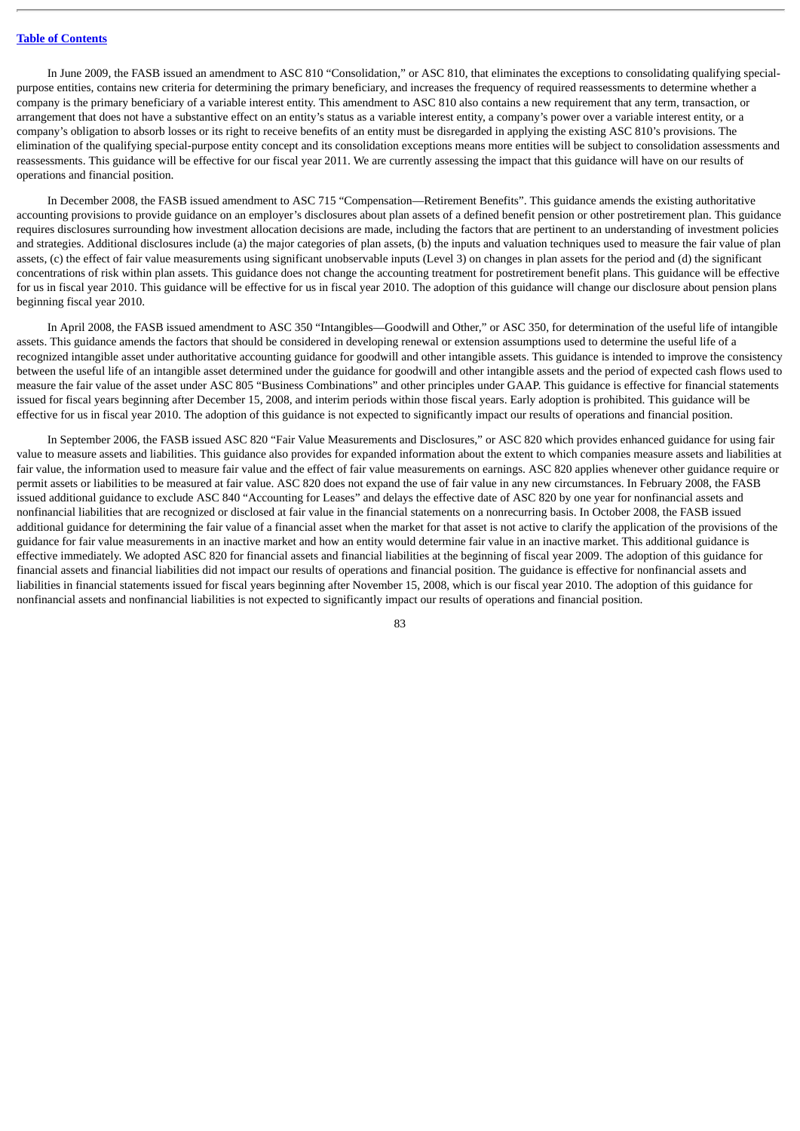In June 2009, the FASB issued an amendment to ASC 810 "Consolidation," or ASC 810, that eliminates the exceptions to consolidating qualifying specialpurpose entities, contains new criteria for determining the primary beneficiary, and increases the frequency of required reassessments to determine whether a company is the primary beneficiary of a variable interest entity. This amendment to ASC 810 also contains a new requirement that any term, transaction, or arrangement that does not have a substantive effect on an entity's status as a variable interest entity, a company's power over a variable interest entity, or a company's obligation to absorb losses or its right to receive benefits of an entity must be disregarded in applying the existing ASC 810's provisions. The elimination of the qualifying special-purpose entity concept and its consolidation exceptions means more entities will be subject to consolidation assessments and reassessments. This guidance will be effective for our fiscal year 2011. We are currently assessing the impact that this guidance will have on our results of operations and financial position.

In December 2008, the FASB issued amendment to ASC 715 "Compensation—Retirement Benefits". This guidance amends the existing authoritative accounting provisions to provide guidance on an employer's disclosures about plan assets of a defined benefit pension or other postretirement plan. This guidance requires disclosures surrounding how investment allocation decisions are made, including the factors that are pertinent to an understanding of investment policies and strategies. Additional disclosures include (a) the major categories of plan assets, (b) the inputs and valuation techniques used to measure the fair value of plan assets, (c) the effect of fair value measurements using significant unobservable inputs (Level 3) on changes in plan assets for the period and (d) the significant concentrations of risk within plan assets. This guidance does not change the accounting treatment for postretirement benefit plans. This guidance will be effective for us in fiscal year 2010. This guidance will be effective for us in fiscal year 2010. The adoption of this guidance will change our disclosure about pension plans beginning fiscal year 2010.

In April 2008, the FASB issued amendment to ASC 350 "Intangibles—Goodwill and Other," or ASC 350, for determination of the useful life of intangible assets. This guidance amends the factors that should be considered in developing renewal or extension assumptions used to determine the useful life of a recognized intangible asset under authoritative accounting guidance for goodwill and other intangible assets. This guidance is intended to improve the consistency between the useful life of an intangible asset determined under the guidance for goodwill and other intangible assets and the period of expected cash flows used to measure the fair value of the asset under ASC 805 "Business Combinations" and other principles under GAAP. This guidance is effective for financial statements issued for fiscal years beginning after December 15, 2008, and interim periods within those fiscal years. Early adoption is prohibited. This guidance will be effective for us in fiscal year 2010. The adoption of this guidance is not expected to significantly impact our results of operations and financial position.

In September 2006, the FASB issued ASC 820 "Fair Value Measurements and Disclosures," or ASC 820 which provides enhanced guidance for using fair value to measure assets and liabilities. This guidance also provides for expanded information about the extent to which companies measure assets and liabilities at fair value, the information used to measure fair value and the effect of fair value measurements on earnings. ASC 820 applies whenever other guidance require or permit assets or liabilities to be measured at fair value. ASC 820 does not expand the use of fair value in any new circumstances. In February 2008, the FASB issued additional guidance to exclude ASC 840 "Accounting for Leases" and delays the effective date of ASC 820 by one year for nonfinancial assets and nonfinancial liabilities that are recognized or disclosed at fair value in the financial statements on a nonrecurring basis. In October 2008, the FASB issued additional guidance for determining the fair value of a financial asset when the market for that asset is not active to clarify the application of the provisions of the guidance for fair value measurements in an inactive market and how an entity would determine fair value in an inactive market. This additional guidance is effective immediately. We adopted ASC 820 for financial assets and financial liabilities at the beginning of fiscal year 2009. The adoption of this guidance for financial assets and financial liabilities did not impact our results of operations and financial position. The guidance is effective for nonfinancial assets and liabilities in financial statements issued for fiscal years beginning after November 15, 2008, which is our fiscal year 2010. The adoption of this guidance for nonfinancial assets and nonfinancial liabilities is not expected to significantly impact our results of operations and financial position.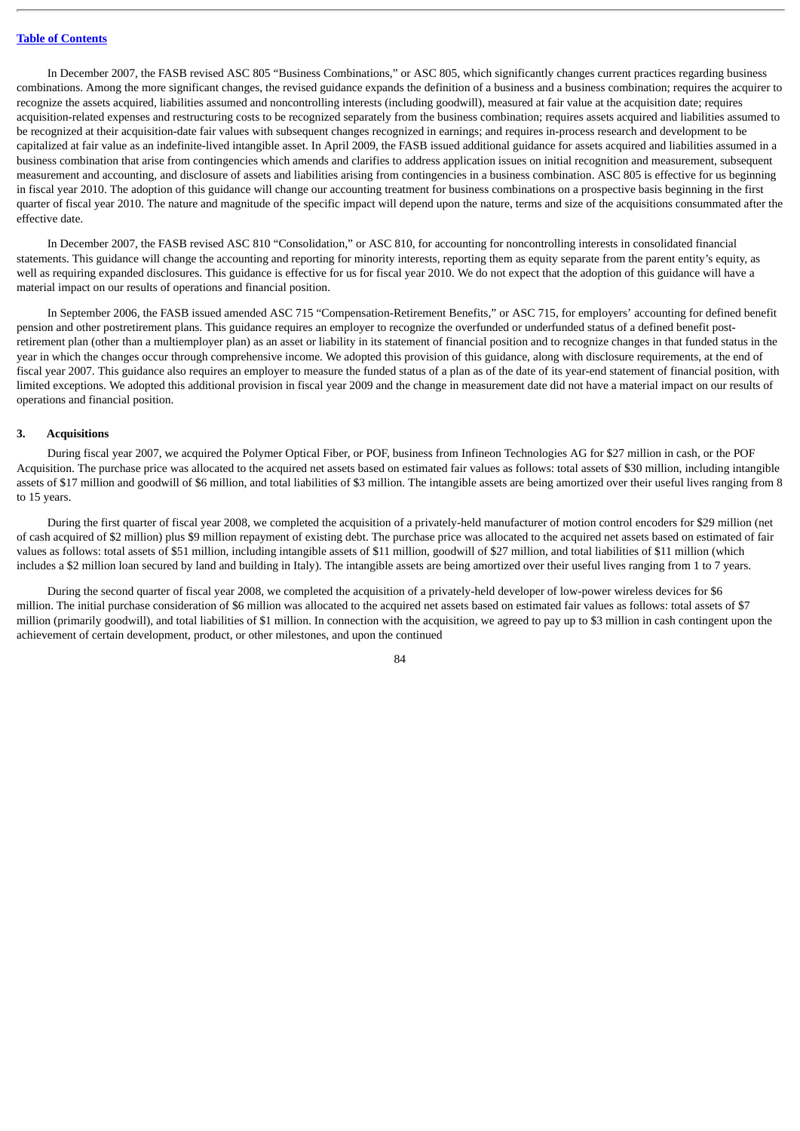In December 2007, the FASB revised ASC 805 "Business Combinations," or ASC 805, which significantly changes current practices regarding business combinations. Among the more significant changes, the revised guidance expands the definition of a business and a business combination; requires the acquirer to recognize the assets acquired, liabilities assumed and noncontrolling interests (including goodwill), measured at fair value at the acquisition date; requires acquisition-related expenses and restructuring costs to be recognized separately from the business combination; requires assets acquired and liabilities assumed to be recognized at their acquisition-date fair values with subsequent changes recognized in earnings; and requires in-process research and development to be capitalized at fair value as an indefinite-lived intangible asset. In April 2009, the FASB issued additional guidance for assets acquired and liabilities assumed in a business combination that arise from contingencies which amends and clarifies to address application issues on initial recognition and measurement, subsequent measurement and accounting, and disclosure of assets and liabilities arising from contingencies in a business combination. ASC 805 is effective for us beginning in fiscal year 2010. The adoption of this guidance will change our accounting treatment for business combinations on a prospective basis beginning in the first quarter of fiscal year 2010. The nature and magnitude of the specific impact will depend upon the nature, terms and size of the acquisitions consummated after the effective date.

In December 2007, the FASB revised ASC 810 "Consolidation," or ASC 810, for accounting for noncontrolling interests in consolidated financial statements. This guidance will change the accounting and reporting for minority interests, reporting them as equity separate from the parent entity's equity, as well as requiring expanded disclosures. This guidance is effective for us for fiscal year 2010. We do not expect that the adoption of this guidance will have a material impact on our results of operations and financial position.

In September 2006, the FASB issued amended ASC 715 "Compensation-Retirement Benefits," or ASC 715, for employers' accounting for defined benefit pension and other postretirement plans. This guidance requires an employer to recognize the overfunded or underfunded status of a defined benefit postretirement plan (other than a multiemployer plan) as an asset or liability in its statement of financial position and to recognize changes in that funded status in the year in which the changes occur through comprehensive income. We adopted this provision of this guidance, along with disclosure requirements, at the end of fiscal year 2007. This guidance also requires an employer to measure the funded status of a plan as of the date of its year-end statement of financial position, with limited exceptions. We adopted this additional provision in fiscal year 2009 and the change in measurement date did not have a material impact on our results of operations and financial position.

# **3. Acquisitions**

During fiscal year 2007, we acquired the Polymer Optical Fiber, or POF, business from Infineon Technologies AG for \$27 million in cash, or the POF Acquisition. The purchase price was allocated to the acquired net assets based on estimated fair values as follows: total assets of \$30 million, including intangible assets of \$17 million and goodwill of \$6 million, and total liabilities of \$3 million. The intangible assets are being amortized over their useful lives ranging from 8 to 15 years.

During the first quarter of fiscal year 2008, we completed the acquisition of a privately-held manufacturer of motion control encoders for \$29 million (net of cash acquired of \$2 million) plus \$9 million repayment of existing debt. The purchase price was allocated to the acquired net assets based on estimated of fair values as follows: total assets of \$51 million, including intangible assets of \$11 million, goodwill of \$27 million, and total liabilities of \$11 million (which includes a \$2 million loan secured by land and building in Italy). The intangible assets are being amortized over their useful lives ranging from 1 to 7 years.

During the second quarter of fiscal year 2008, we completed the acquisition of a privately-held developer of low-power wireless devices for \$6 million. The initial purchase consideration of \$6 million was allocated to the acquired net assets based on estimated fair values as follows: total assets of \$7 million (primarily goodwill), and total liabilities of \$1 million. In connection with the acquisition, we agreed to pay up to \$3 million in cash contingent upon the achievement of certain development, product, or other milestones, and upon the continued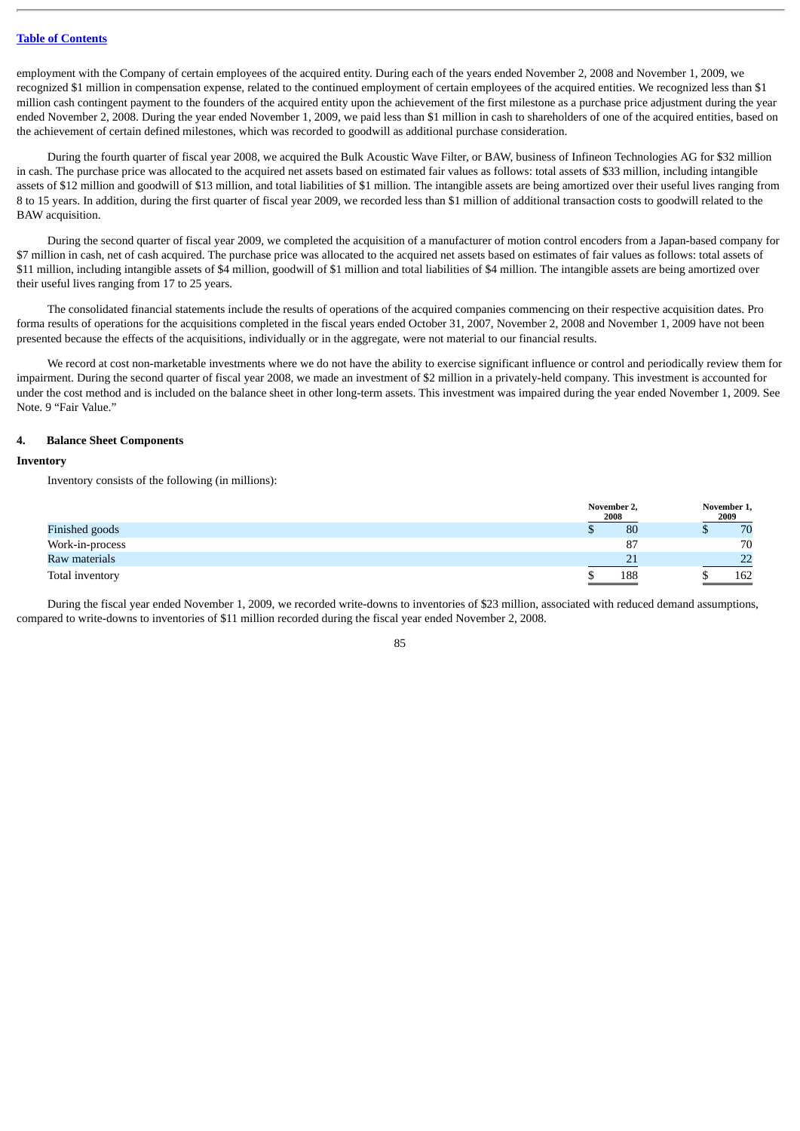employment with the Company of certain employees of the acquired entity. During each of the years ended November 2, 2008 and November 1, 2009, we recognized \$1 million in compensation expense, related to the continued employment of certain employees of the acquired entities. We recognized less than \$1 million cash contingent payment to the founders of the acquired entity upon the achievement of the first milestone as a purchase price adjustment during the year ended November 2, 2008. During the year ended November 1, 2009, we paid less than \$1 million in cash to shareholders of one of the acquired entities, based on the achievement of certain defined milestones, which was recorded to goodwill as additional purchase consideration.

During the fourth quarter of fiscal year 2008, we acquired the Bulk Acoustic Wave Filter, or BAW, business of Infineon Technologies AG for \$32 million in cash. The purchase price was allocated to the acquired net assets based on estimated fair values as follows: total assets of \$33 million, including intangible assets of \$12 million and goodwill of \$13 million, and total liabilities of \$1 million. The intangible assets are being amortized over their useful lives ranging from 8 to 15 years. In addition, during the first quarter of fiscal year 2009, we recorded less than \$1 million of additional transaction costs to goodwill related to the BAW acquisition.

During the second quarter of fiscal year 2009, we completed the acquisition of a manufacturer of motion control encoders from a Japan-based company for \$7 million in cash, net of cash acquired. The purchase price was allocated to the acquired net assets based on estimates of fair values as follows: total assets of \$11 million, including intangible assets of \$4 million, goodwill of \$1 million and total liabilities of \$4 million. The intangible assets are being amortized over their useful lives ranging from 17 to 25 years.

The consolidated financial statements include the results of operations of the acquired companies commencing on their respective acquisition dates. Pro forma results of operations for the acquisitions completed in the fiscal years ended October 31, 2007, November 2, 2008 and November 1, 2009 have not been presented because the effects of the acquisitions, individually or in the aggregate, were not material to our financial results.

We record at cost non-marketable investments where we do not have the ability to exercise significant influence or control and periodically review them for impairment. During the second quarter of fiscal year 2008, we made an investment of \$2 million in a privately-held company. This investment is accounted for under the cost method and is included on the balance sheet in other long-term assets. This investment was impaired during the year ended November 1, 2009. See Note. 9 "Fair Value."

# **4. Balance Sheet Components**

### **Inventory**

Inventory consists of the following (in millions):

|                 | November 2,<br>2008 | November 1,<br>2009 |
|-----------------|---------------------|---------------------|
| Finished goods  | 80                  | 70                  |
| Work-in-process | 87                  | 70                  |
| Raw materials   | n.                  | 22                  |
| Total inventory | 188                 | 162                 |

During the fiscal year ended November 1, 2009, we recorded write-downs to inventories of \$23 million, associated with reduced demand assumptions, compared to write-downs to inventories of \$11 million recorded during the fiscal year ended November 2, 2008.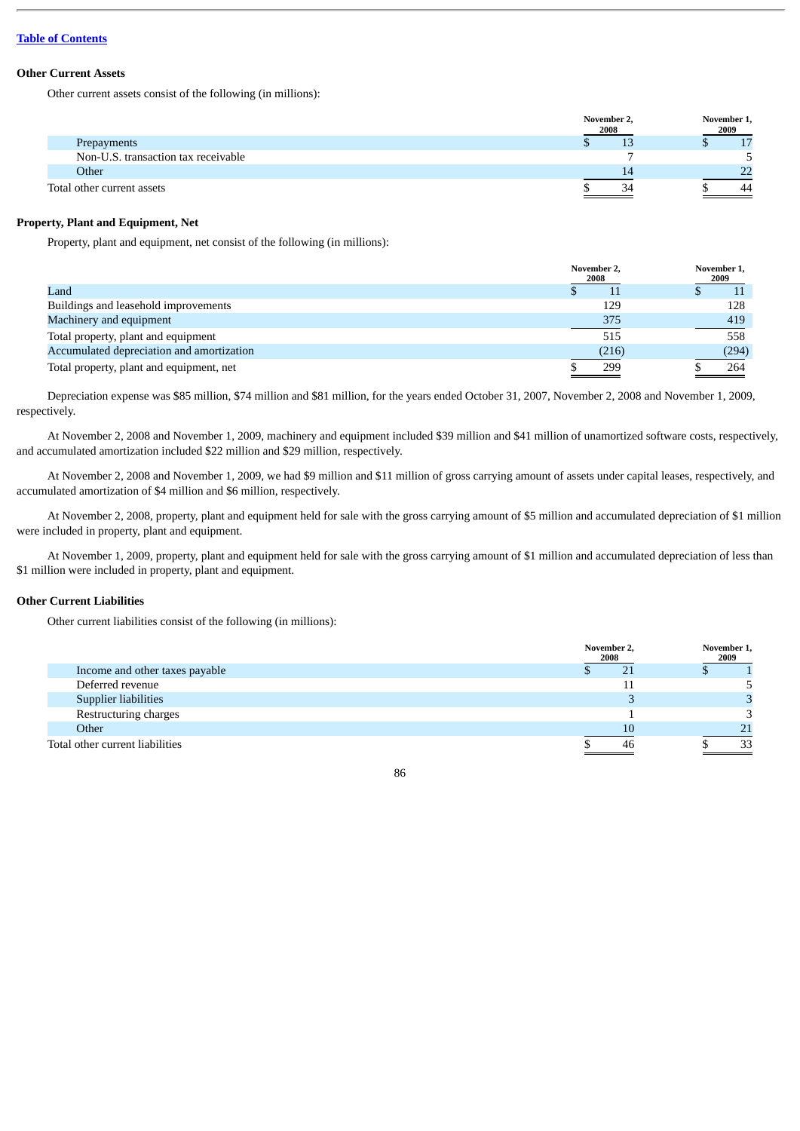## **Other Current Assets**

Other current assets consist of the following (in millions):

|                                     | November 2,<br>2008 | November 1,<br>2009 |    |  |
|-------------------------------------|---------------------|---------------------|----|--|
| Prepayments                         |                     |                     |    |  |
| Non-U.S. transaction tax receivable |                     |                     |    |  |
| Other                               |                     |                     | רר |  |
| Total other current assets          |                     |                     | 44 |  |

# **Property, Plant and Equipment, Net**

Property, plant and equipment, net consist of the following (in millions):

|                                           | November 2,<br>2008 |       | November 1,<br>2009 |  |       |
|-------------------------------------------|---------------------|-------|---------------------|--|-------|
| Land                                      |                     | 11    |                     |  |       |
| Buildings and leasehold improvements      |                     | 129   |                     |  | 128   |
| Machinery and equipment                   |                     | 375   |                     |  | 419   |
| Total property, plant and equipment       |                     | 515   |                     |  | 558   |
| Accumulated depreciation and amortization |                     | (216) |                     |  | (294) |
| Total property, plant and equipment, net  |                     | 299   |                     |  | 264   |

Depreciation expense was \$85 million, \$74 million and \$81 million, for the years ended October 31, 2007, November 2, 2008 and November 1, 2009, respectively.

At November 2, 2008 and November 1, 2009, machinery and equipment included \$39 million and \$41 million of unamortized software costs, respectively, and accumulated amortization included \$22 million and \$29 million, respectively.

At November 2, 2008 and November 1, 2009, we had \$9 million and \$11 million of gross carrying amount of assets under capital leases, respectively, and accumulated amortization of \$4 million and \$6 million, respectively.

At November 2, 2008, property, plant and equipment held for sale with the gross carrying amount of \$5 million and accumulated depreciation of \$1 million were included in property, plant and equipment.

At November 1, 2009, property, plant and equipment held for sale with the gross carrying amount of \$1 million and accumulated depreciation of less than \$1 million were included in property, plant and equipment.

# **Other Current Liabilities**

Other current liabilities consist of the following (in millions):

|                                 | November 2,<br>2008 |    | November 1,<br>2009 |
|---------------------------------|---------------------|----|---------------------|
| Income and other taxes payable  |                     |    |                     |
| Deferred revenue                |                     |    |                     |
| Supplier liabilities            |                     |    |                     |
| Restructuring charges           |                     |    |                     |
| Other                           |                     | 10 |                     |
| Total other current liabilities |                     | 46 | 33                  |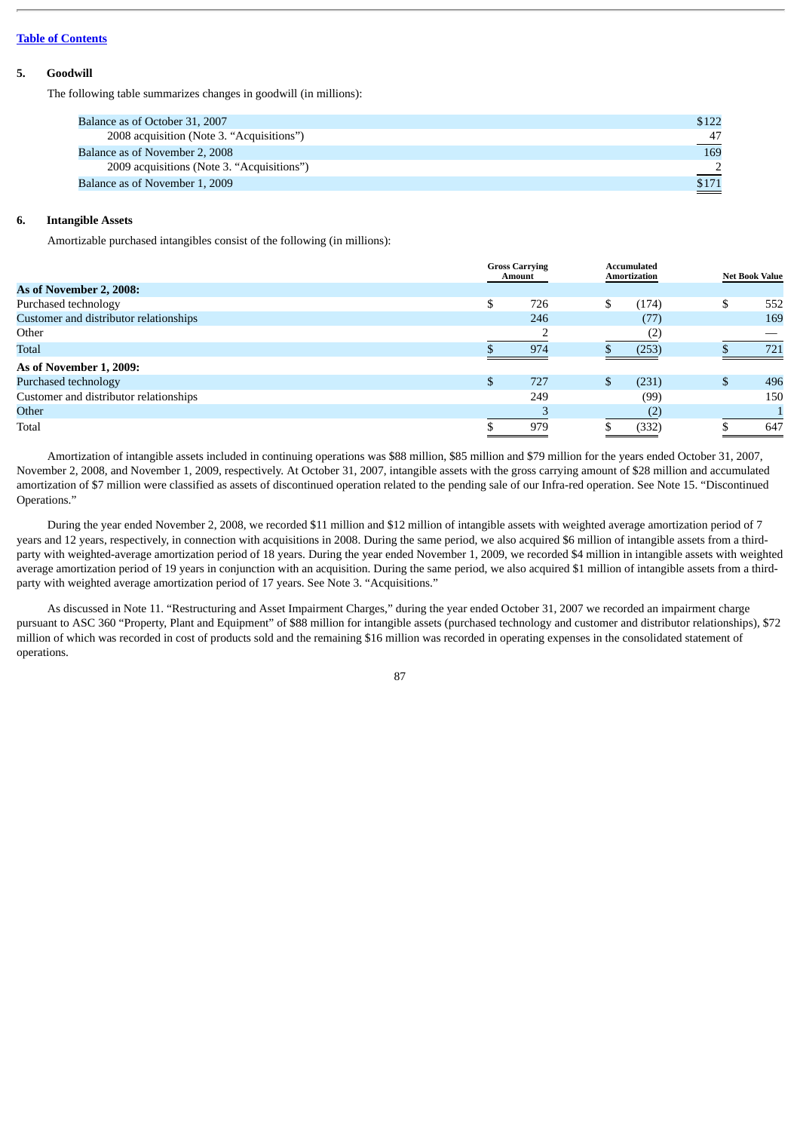### **5. Goodwill**

The following table summarizes changes in goodwill (in millions):

| Balance as of October 31, 2007             | \$122 |
|--------------------------------------------|-------|
| 2008 acquisition (Note 3. "Acquisitions")  | 47    |
| Balance as of November 2, 2008             | 169   |
| 2009 acquisitions (Note 3. "Acquisitions") |       |
| Balance as of November 1, 2009             | \$171 |

### **6. Intangible Assets**

Amortizable purchased intangibles consist of the following (in millions):

|                                        |  | <b>Gross Carrying</b><br>Amount |    | <b>Accumulated</b><br><b>Amortization</b> |  | <b>Net Book Value</b> |  |
|----------------------------------------|--|---------------------------------|----|-------------------------------------------|--|-----------------------|--|
| As of November 2, 2008:                |  |                                 |    |                                           |  |                       |  |
| Purchased technology                   |  | 726                             |    | (174)                                     |  | 552                   |  |
| Customer and distributor relationships |  | 246                             |    | (77)                                      |  | 169                   |  |
| Other                                  |  |                                 |    | (2                                        |  |                       |  |
| <b>Total</b>                           |  | 974                             |    | (253)                                     |  | 721                   |  |
| As of November 1, 2009:                |  |                                 |    |                                           |  |                       |  |
| Purchased technology                   |  | 727                             | \$ | (231)                                     |  | 496                   |  |
| Customer and distributor relationships |  | 249                             |    | (99)                                      |  | 150                   |  |
| Other                                  |  |                                 |    | (2)                                       |  |                       |  |
| Total                                  |  | 979                             |    | (332)                                     |  | 647                   |  |

Amortization of intangible assets included in continuing operations was \$88 million, \$85 million and \$79 million for the years ended October 31, 2007, November 2, 2008, and November 1, 2009, respectively. At October 31, 2007, intangible assets with the gross carrying amount of \$28 million and accumulated amortization of \$7 million were classified as assets of discontinued operation related to the pending sale of our Infra-red operation. See Note 15. "Discontinued Operations."

During the year ended November 2, 2008, we recorded \$11 million and \$12 million of intangible assets with weighted average amortization period of 7 years and 12 years, respectively, in connection with acquisitions in 2008. During the same period, we also acquired \$6 million of intangible assets from a thirdparty with weighted-average amortization period of 18 years. During the year ended November 1, 2009, we recorded \$4 million in intangible assets with weighted average amortization period of 19 years in conjunction with an acquisition. During the same period, we also acquired \$1 million of intangible assets from a thirdparty with weighted average amortization period of 17 years. See Note 3. "Acquisitions."

As discussed in Note 11. "Restructuring and Asset Impairment Charges," during the year ended October 31, 2007 we recorded an impairment charge pursuant to ASC 360 "Property, Plant and Equipment" of \$88 million for intangible assets (purchased technology and customer and distributor relationships), \$72 million of which was recorded in cost of products sold and the remaining \$16 million was recorded in operating expenses in the consolidated statement of operations.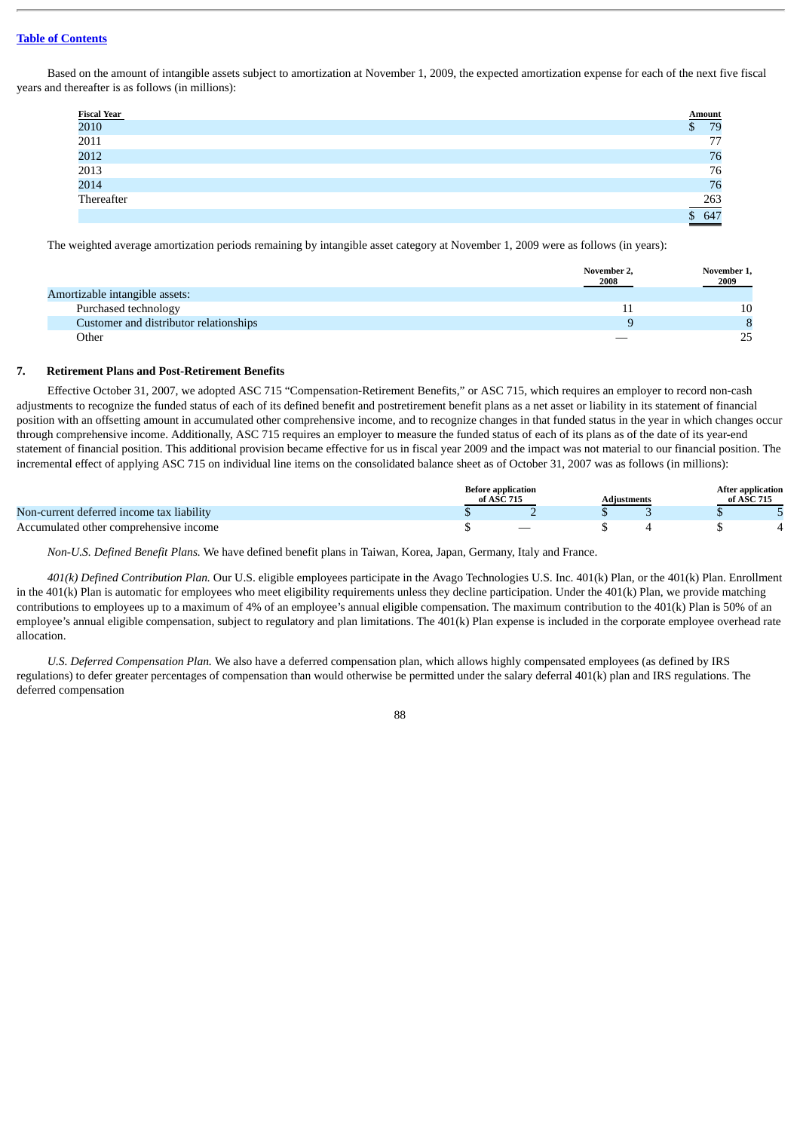Based on the amount of intangible assets subject to amortization at November 1, 2009, the expected amortization expense for each of the next five fiscal years and thereafter is as follows (in millions):

| <b>Fiscal Year</b> | Amount |
|--------------------|--------|
| 2010               | 79     |
| 2011               | 77     |
| 2012               | 76     |
| 2013               | 76     |
| 2014               | 76     |
| Thereafter         | $-263$ |
|                    | 647    |

The weighted average amortization periods remaining by intangible asset category at November 1, 2009 were as follows (in years):

|                                        | November 2,<br>2008 | November 1,<br>2009 |
|----------------------------------------|---------------------|---------------------|
| Amortizable intangible assets:         |                     |                     |
| Purchased technology                   |                     | 10                  |
| Customer and distributor relationships |                     |                     |
| Other                                  |                     | 25                  |

### **7. Retirement Plans and Post-Retirement Benefits**

Effective October 31, 2007, we adopted ASC 715 "Compensation-Retirement Benefits," or ASC 715, which requires an employer to record non-cash adjustments to recognize the funded status of each of its defined benefit and postretirement benefit plans as a net asset or liability in its statement of financial position with an offsetting amount in accumulated other comprehensive income, and to recognize changes in that funded status in the year in which changes occur through comprehensive income. Additionally, ASC 715 requires an employer to measure the funded status of each of its plans as of the date of its year-end statement of financial position. This additional provision became effective for us in fiscal year 2009 and the impact was not material to our financial position. The incremental effect of applying ASC 715 on individual line items on the consolidated balance sheet as of October 31, 2007 was as follows (in millions):

|                                           | <b>Before application</b> |  |  |             | After application |
|-------------------------------------------|---------------------------|--|--|-------------|-------------------|
|                                           |                           |  |  | Adiustments |                   |
| Non-current deferred income tax liability |                           |  |  |             |                   |
| Accumulated other comprehensive income    |                           |  |  |             |                   |

*Non-U.S. Defined Benefit Plans.* We have defined benefit plans in Taiwan, Korea, Japan, Germany, Italy and France.

*401(k) Defined Contribution Plan.* Our U.S. eligible employees participate in the Avago Technologies U.S. Inc. 401(k) Plan, or the 401(k) Plan. Enrollment in the  $401(k)$  Plan is automatic for employees who meet eligibility requirements unless they decline participation. Under the  $401(k)$  Plan, we provide matching contributions to employees up to a maximum of 4% of an employee's annual eligible compensation. The maximum contribution to the 401(k) Plan is 50% of an employee's annual eligible compensation, subject to regulatory and plan limitations. The 401(k) Plan expense is included in the corporate employee overhead rate allocation.

*U.S. Deferred Compensation Plan.* We also have a deferred compensation plan, which allows highly compensated employees (as defined by IRS regulations) to defer greater percentages of compensation than would otherwise be permitted under the salary deferral 401(k) plan and IRS regulations. The deferred compensation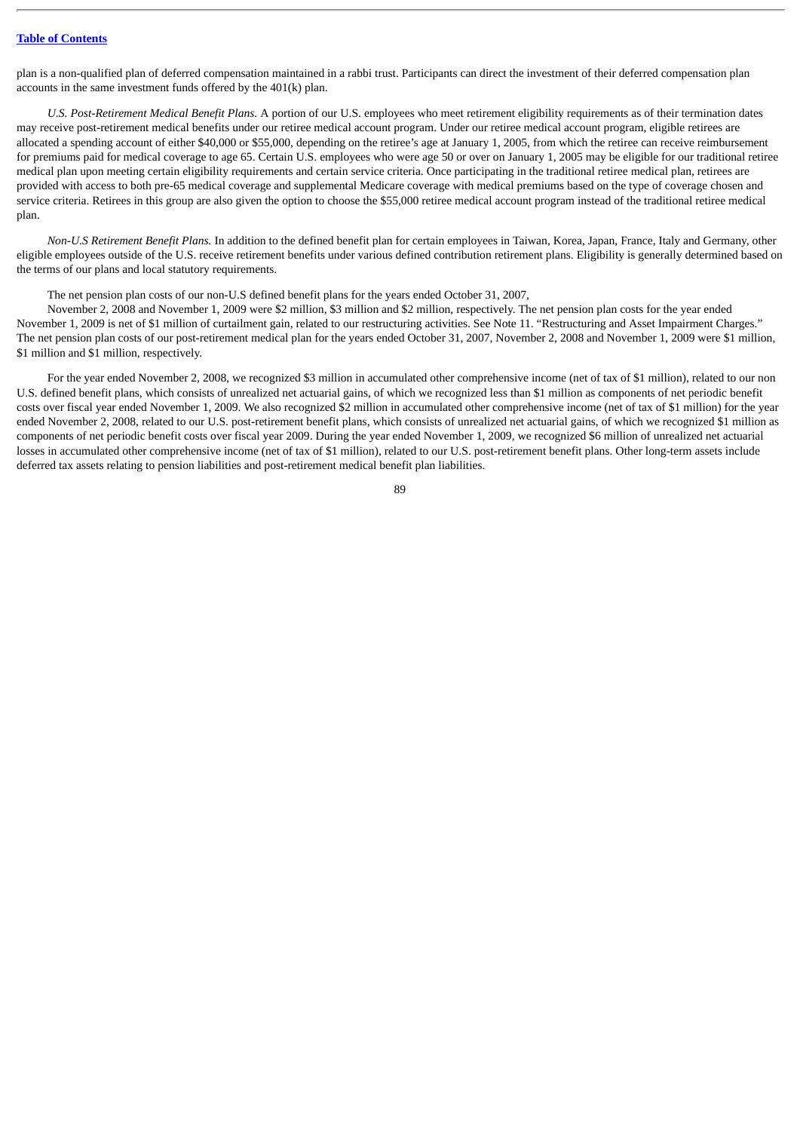plan is a non-qualified plan of deferred compensation maintained in a rabbi trust. Participants can direct the investment of their deferred compensation plan accounts in the same investment funds offered by the 401(k) plan.

*U.S. Post-Retirement Medical Benefit Plans.* A portion of our U.S. employees who meet retirement eligibility requirements as of their termination dates may receive post-retirement medical benefits under our retiree medical account program. Under our retiree medical account program, eligible retirees are allocated a spending account of either \$40,000 or \$55,000, depending on the retiree's age at January 1, 2005, from which the retiree can receive reimbursement for premiums paid for medical coverage to age 65. Certain U.S. employees who were age 50 or over on January 1, 2005 may be eligible for our traditional retiree medical plan upon meeting certain eligibility requirements and certain service criteria. Once participating in the traditional retiree medical plan, retirees are provided with access to both pre-65 medical coverage and supplemental Medicare coverage with medical premiums based on the type of coverage chosen and service criteria. Retirees in this group are also given the option to choose the \$55,000 retiree medical account program instead of the traditional retiree medical plan.

*Non-U.S Retirement Benefit Plans.* In addition to the defined benefit plan for certain employees in Taiwan, Korea, Japan, France, Italy and Germany, other eligible employees outside of the U.S. receive retirement benefits under various defined contribution retirement plans. Eligibility is generally determined based on the terms of our plans and local statutory requirements.

The net pension plan costs of our non-U.S defined benefit plans for the years ended October 31, 2007,

November 2, 2008 and November 1, 2009 were \$2 million, \$3 million and \$2 million, respectively. The net pension plan costs for the year ended November 1, 2009 is net of \$1 million of curtailment gain, related to our restructuring activities. See Note 11. "Restructuring and Asset Impairment Charges." The net pension plan costs of our post-retirement medical plan for the years ended October 31, 2007, November 2, 2008 and November 1, 2009 were \$1 million, \$1 million and \$1 million, respectively.

For the year ended November 2, 2008, we recognized \$3 million in accumulated other comprehensive income (net of tax of \$1 million), related to our non U.S. defined benefit plans, which consists of unrealized net actuarial gains, of which we recognized less than \$1 million as components of net periodic benefit costs over fiscal year ended November 1, 2009. We also recognized \$2 million in accumulated other comprehensive income (net of tax of \$1 million) for the year ended November 2, 2008, related to our U.S. post-retirement benefit plans, which consists of unrealized net actuarial gains, of which we recognized \$1 million as components of net periodic benefit costs over fiscal year 2009. During the year ended November 1, 2009, we recognized \$6 million of unrealized net actuarial losses in accumulated other comprehensive income (net of tax of \$1 million), related to our U.S. post-retirement benefit plans. Other long-term assets include deferred tax assets relating to pension liabilities and post-retirement medical benefit plan liabilities.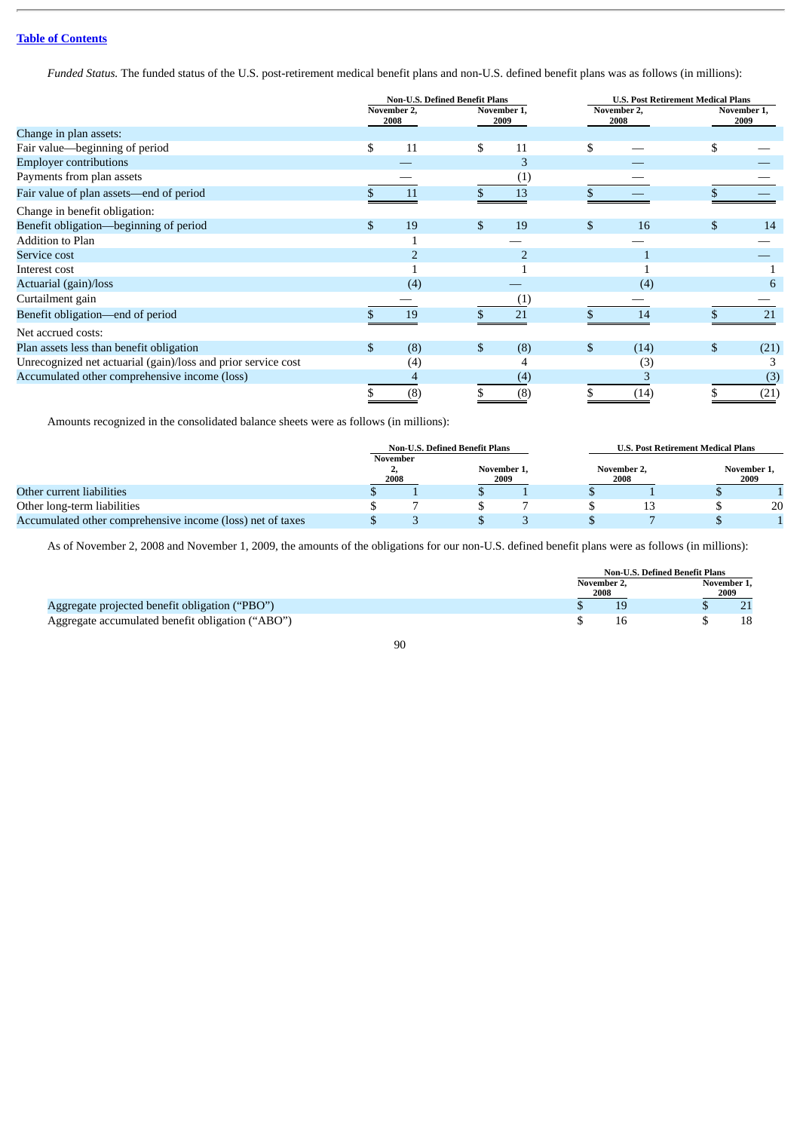*Funded Status.* The funded status of the U.S. post-retirement medical benefit plans and non-U.S. defined benefit plans was as follows (in millions):

|                                                               |              |                     |     | <b>Non-U.S. Defined Benefit Plans</b> |    |                     | <b>U.S. Post Retirement Medical Plans</b> |                     |  |
|---------------------------------------------------------------|--------------|---------------------|-----|---------------------------------------|----|---------------------|-------------------------------------------|---------------------|--|
|                                                               |              | November 2,<br>2008 |     | November 1.<br>2009                   |    | November 2,<br>2008 |                                           | November 1,<br>2009 |  |
| Change in plan assets:                                        |              |                     |     |                                       |    |                     |                                           |                     |  |
| Fair value—beginning of period                                | \$           | 11                  | \$  | 11                                    |    |                     |                                           |                     |  |
| <b>Employer contributions</b>                                 |              |                     |     |                                       |    |                     |                                           |                     |  |
| Payments from plan assets                                     |              |                     |     | (1)                                   |    |                     |                                           |                     |  |
| Fair value of plan assets-end of period                       |              | 11                  |     | 13                                    |    |                     |                                           |                     |  |
| Change in benefit obligation:                                 |              |                     |     |                                       |    |                     |                                           |                     |  |
| Benefit obligation-beginning of period                        | $\mathbf{s}$ | 19                  | \$  | 19                                    | \$ | 16                  | \$                                        | 14                  |  |
| <b>Addition to Plan</b>                                       |              |                     |     |                                       |    |                     |                                           |                     |  |
| Service cost                                                  |              |                     |     |                                       |    |                     |                                           |                     |  |
| Interest cost                                                 |              |                     |     |                                       |    |                     |                                           |                     |  |
| Actuarial (gain)/loss                                         |              | (4)                 |     |                                       |    | (4)                 |                                           | 6                   |  |
| Curtailment gain                                              |              |                     |     | ( L                                   |    |                     |                                           |                     |  |
| Benefit obligation—end of period                              |              | 19                  |     | 21                                    |    | 14                  |                                           | 21                  |  |
| Net accrued costs:                                            |              |                     |     |                                       |    |                     |                                           |                     |  |
| Plan assets less than benefit obligation                      | \$           | (8)                 | \$. | (8)                                   | S. | (14)                | \$                                        | (21)                |  |
| Unrecognized net actuarial (gain)/loss and prior service cost |              | $\left( 4\right)$   |     | 4                                     |    | (3)                 |                                           |                     |  |
| Accumulated other comprehensive income (loss)                 |              |                     |     | (4)                                   |    |                     |                                           | (3)                 |  |
|                                                               |              | (8)                 |     | (8)                                   |    | (14)                |                                           | (21)                |  |

Amounts recognized in the consolidated balance sheets were as follows (in millions):

|                                                            |  | <b>Non-U.S. Defined Benefit Plans</b> |  |                     |  |                     | <b>U.S. Post Retirement Medical Plans</b> |                     |  |
|------------------------------------------------------------|--|---------------------------------------|--|---------------------|--|---------------------|-------------------------------------------|---------------------|--|
|                                                            |  | November<br>2008                      |  | November 1.<br>2009 |  | November 2.<br>2008 |                                           | November 1.<br>2009 |  |
| Other current liabilities                                  |  |                                       |  |                     |  |                     |                                           |                     |  |
| Other long-term liabilities                                |  |                                       |  |                     |  |                     |                                           | 20                  |  |
| Accumulated other comprehensive income (loss) net of taxes |  |                                       |  |                     |  |                     |                                           |                     |  |

As of November 2, 2008 and November 1, 2009, the amounts of the obligations for our non-U.S. defined benefit plans were as follows (in millions):

|                                                  |                     | <b>Non-U.S. Defined Benefit Plans</b> |                     |    |
|--------------------------------------------------|---------------------|---------------------------------------|---------------------|----|
|                                                  | November 2.<br>2008 |                                       | November 1,<br>2009 |    |
| Aggregate projected benefit obligation ("PBO")   |                     |                                       |                     |    |
| Aggregate accumulated benefit obligation ("ABO") |                     |                                       |                     | 18 |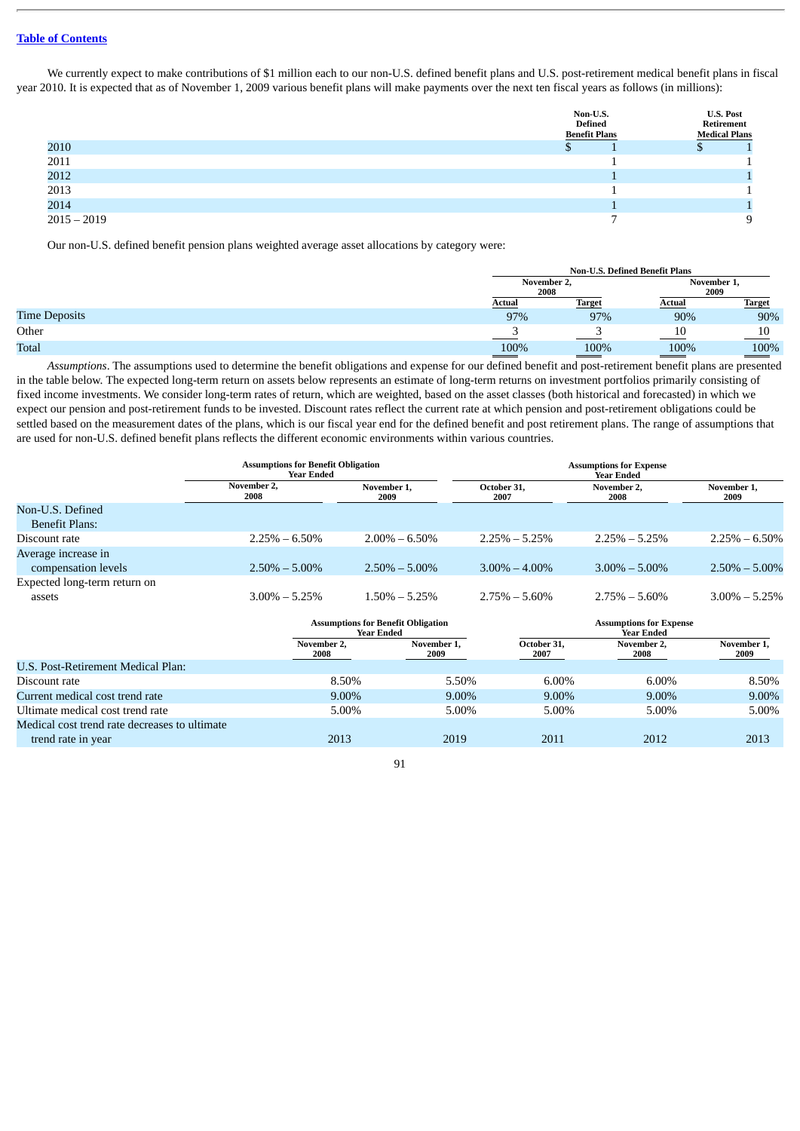We currently expect to make contributions of \$1 million each to our non-U.S. defined benefit plans and U.S. post-retirement medical benefit plans in fiscal year 2010. It is expected that as of November 1, 2009 various benefit plans will make payments over the next ten fiscal years as follows (in millions):

|               | Non-U.S.<br>Defined<br><b>Benefit Plans</b> | <b>U.S. Post</b><br>Retirement<br><b>Medical Plans</b> |
|---------------|---------------------------------------------|--------------------------------------------------------|
| 2010          | Ψ                                           | Φ                                                      |
| 2011          |                                             |                                                        |
| 2012          |                                             |                                                        |
| 2013          |                                             |                                                        |
| 2014          |                                             |                                                        |
| $2015 - 2019$ |                                             | 9                                                      |

Our non-U.S. defined benefit pension plans weighted average asset allocations by category were:

|                      |        | <b>Non-U.S. Defined Benefit Plans</b> |        |               |  |  |  |
|----------------------|--------|---------------------------------------|--------|---------------|--|--|--|
|                      |        | November 2,                           |        | November 1,   |  |  |  |
|                      |        | 2008                                  |        | 2009          |  |  |  |
|                      | Actual | <b>Target</b>                         | Actual | <b>Target</b> |  |  |  |
| <b>Time Deposits</b> | 97%    | 97%                                   | 90%    | 90%           |  |  |  |
| Other                |        |                                       |        |               |  |  |  |
| <b>Total</b>         | 100%   | 100%                                  | 100%   | 100%          |  |  |  |

 *Assumptions*. The assumptions used to determine the benefit obligations and expense for our defined benefit and post-retirement benefit plans are presented in the table below. The expected long-term return on assets below represents an estimate of long-term returns on investment portfolios primarily consisting of fixed income investments. We consider long-term rates of return, which are weighted, based on the asset classes (both historical and forecasted) in which we expect our pension and post-retirement funds to be invested. Discount rates reflect the current rate at which pension and post-retirement obligations could be settled based on the measurement dates of the plans, which is our fiscal year end for the defined benefit and post retirement plans. The range of assumptions that are used for non-U.S. defined benefit plans reflects the different economic environments within various countries.

|                              | <b>Assumptions for Benefit Obligation</b><br><b>Year Ended</b> |                                                                | <b>Assumptions for Expense</b> |                                                     |                     |
|------------------------------|----------------------------------------------------------------|----------------------------------------------------------------|--------------------------------|-----------------------------------------------------|---------------------|
|                              | November 2.<br>2008                                            | November 1.<br>2009                                            | October 31.<br>2007            | November 2.<br>2008                                 | November 1.<br>2009 |
| Non-U.S. Defined             |                                                                |                                                                |                                |                                                     |                     |
| <b>Benefit Plans:</b>        |                                                                |                                                                |                                |                                                     |                     |
| Discount rate                | $2.25\% - 6.50\%$                                              | $2.00\% - 6.50\%$                                              | $2.25\% - 5.25\%$              | $2.25\% - 5.25\%$                                   | $2.25\% - 6.50\%$   |
| Average increase in          |                                                                |                                                                |                                |                                                     |                     |
| compensation levels          | $2.50\% - 5.00\%$                                              | $2.50\% - 5.00\%$                                              | $3.00\% - 4.00\%$              | $3.00\% - 5.00\%$                                   | $2.50\% - 5.00\%$   |
| Expected long-term return on |                                                                |                                                                |                                |                                                     |                     |
| assets                       | $3.00\% - 5.25\%$                                              | $1.50\% - 5.25\%$                                              | $2.75\% - 5.60\%$              | $2.75\% - 5.60\%$                                   | $3.00\% - 5.25\%$   |
|                              |                                                                | <b>Assumptions for Benefit Obligation</b><br><b>Year Ended</b> |                                | <b>Assumptions for Expense</b><br><b>Year Ended</b> |                     |

|                                               | November 2.<br>2008 | November 1.<br>2009 | October 31.<br>2007 | November 2.<br>2008 | November 1.<br>2009 |  |  |
|-----------------------------------------------|---------------------|---------------------|---------------------|---------------------|---------------------|--|--|
| U.S. Post-Retirement Medical Plan:            |                     |                     |                     |                     |                     |  |  |
| Discount rate                                 | 8.50%               | 5.50%               | $6.00\%$            | $6.00\%$            | 8.50%               |  |  |
| Current medical cost trend rate               | 9.00%               | 9.00%               | 9.00%               | 9.00%               | 9.00%               |  |  |
| Ultimate medical cost trend rate              | 5.00%               | 5.00%               | 5.00%               | 5.00%               | 5.00%               |  |  |
| Medical cost trend rate decreases to ultimate |                     |                     |                     |                     |                     |  |  |
| trend rate in year                            | 2013                | 2019                | 2011                | 2012                | 2013                |  |  |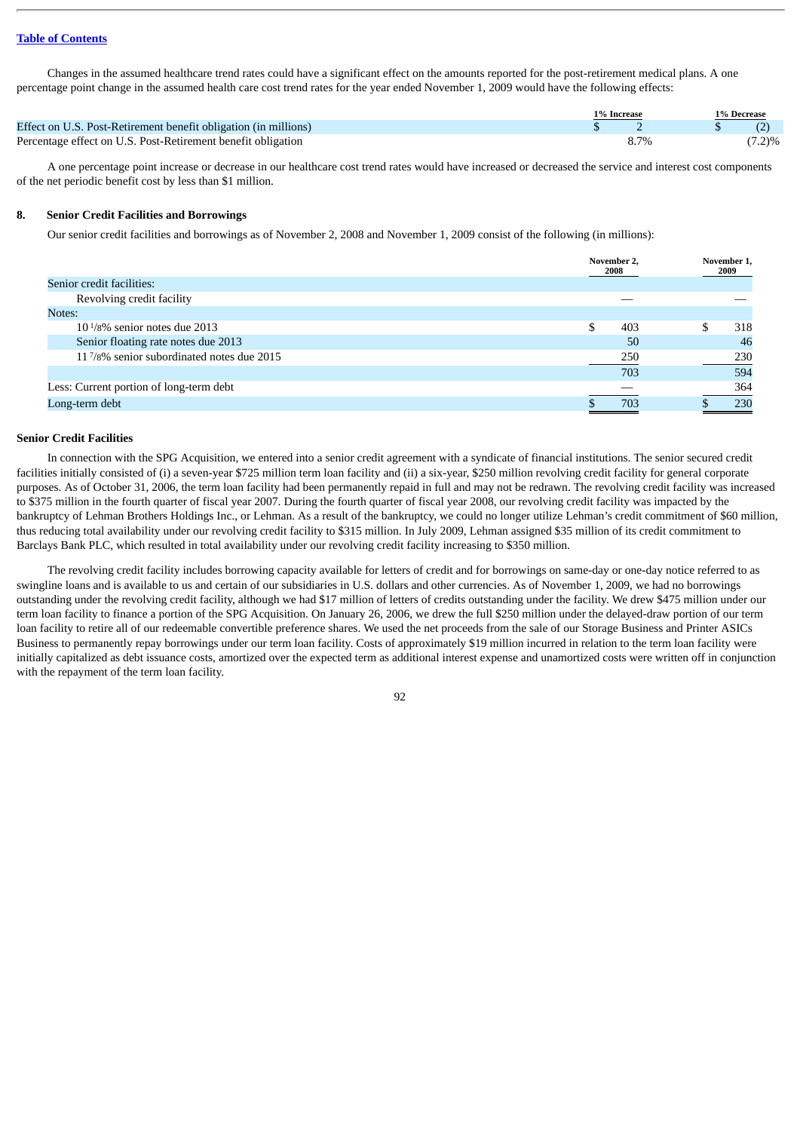Changes in the assumed healthcare trend rates could have a significant effect on the amounts reported for the post-retirement medical plans. A one percentage point change in the assumed health care cost trend rates for the year ended November 1, 2009 would have the following effects:

|                                                                 | 1% Increase | 1% Decrease |           |
|-----------------------------------------------------------------|-------------|-------------|-----------|
| Effect on U.S. Post-Retirement benefit obligation (in millions) |             |             |           |
| Percentage effect on U.S. Post-Retirement benefit obligation    |             |             | $(7.2)\%$ |

A one percentage point increase or decrease in our healthcare cost trend rates would have increased or decreased the service and interest cost components of the net periodic benefit cost by less than \$1 million.

# **8. Senior Credit Facilities and Borrowings**

Our senior credit facilities and borrowings as of November 2, 2008 and November 1, 2009 consist of the following (in millions):

|                                           |    | November 2,<br>2008 |    |     |  | November 1,<br>2009 |
|-------------------------------------------|----|---------------------|----|-----|--|---------------------|
| Senior credit facilities:                 |    |                     |    |     |  |                     |
| Revolving credit facility                 |    |                     |    |     |  |                     |
| Notes:                                    |    |                     |    |     |  |                     |
| $10\frac{1}{8}\%$ senior notes due 2013   | \$ | 403                 | £. | 318 |  |                     |
| Senior floating rate notes due 2013       |    | 50                  |    | 46  |  |                     |
| 117/8% senior subordinated notes due 2015 |    | 250                 |    | 230 |  |                     |
|                                           |    | 703                 |    | 594 |  |                     |
| Less: Current portion of long-term debt   |    |                     |    | 364 |  |                     |
| Long-term debt                            |    | 703                 |    | 230 |  |                     |

### **Senior Credit Facilities**

In connection with the SPG Acquisition, we entered into a senior credit agreement with a syndicate of financial institutions. The senior secured credit facilities initially consisted of (i) a seven-year \$725 million term loan facility and (ii) a six-year, \$250 million revolving credit facility for general corporate purposes. As of October 31, 2006, the term loan facility had been permanently repaid in full and may not be redrawn. The revolving credit facility was increased to \$375 million in the fourth quarter of fiscal year 2007. During the fourth quarter of fiscal year 2008, our revolving credit facility was impacted by the bankruptcy of Lehman Brothers Holdings Inc., or Lehman. As a result of the bankruptcy, we could no longer utilize Lehman's credit commitment of \$60 million, thus reducing total availability under our revolving credit facility to \$315 million. In July 2009, Lehman assigned \$35 million of its credit commitment to Barclays Bank PLC, which resulted in total availability under our revolving credit facility increasing to \$350 million.

The revolving credit facility includes borrowing capacity available for letters of credit and for borrowings on same-day or one-day notice referred to as swingline loans and is available to us and certain of our subsidiaries in U.S. dollars and other currencies. As of November 1, 2009, we had no borrowings outstanding under the revolving credit facility, although we had \$17 million of letters of credits outstanding under the facility. We drew \$475 million under our term loan facility to finance a portion of the SPG Acquisition. On January 26, 2006, we drew the full \$250 million under the delayed-draw portion of our term loan facility to retire all of our redeemable convertible preference shares. We used the net proceeds from the sale of our Storage Business and Printer ASICs Business to permanently repay borrowings under our term loan facility. Costs of approximately \$19 million incurred in relation to the term loan facility were initially capitalized as debt issuance costs, amortized over the expected term as additional interest expense and unamortized costs were written off in conjunction with the repayment of the term loan facility.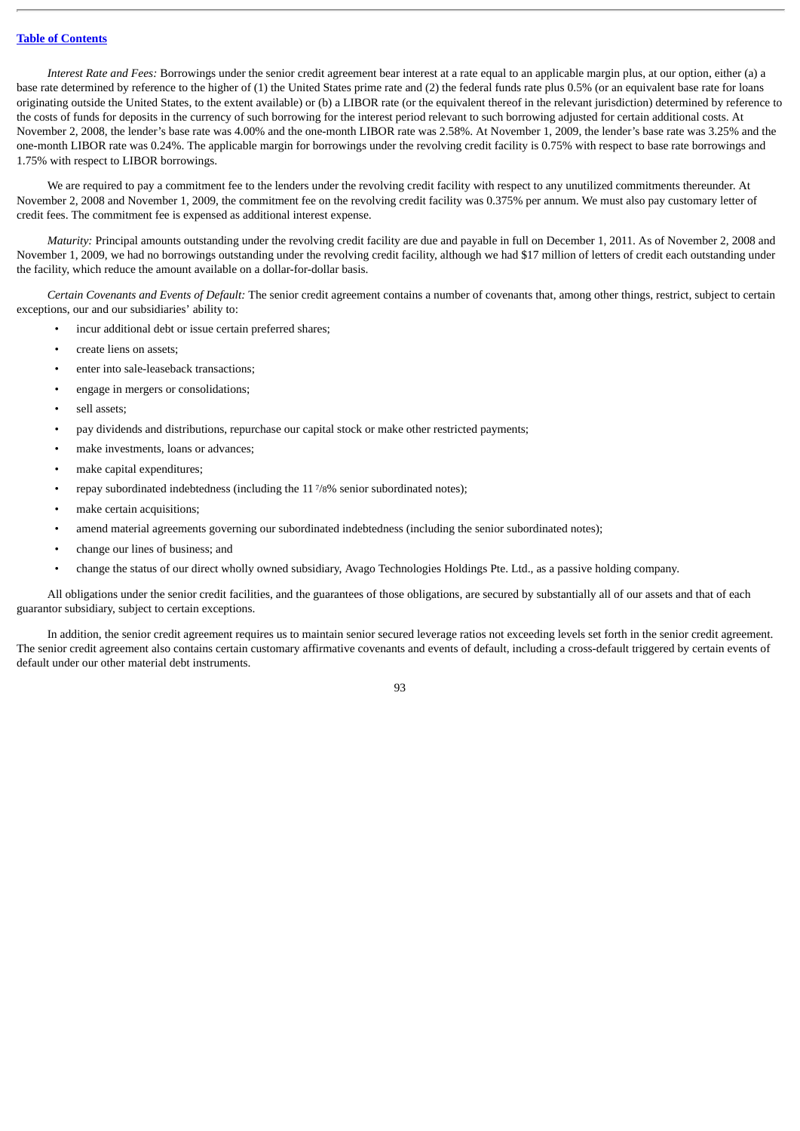*Interest Rate and Fees:* Borrowings under the senior credit agreement bear interest at a rate equal to an applicable margin plus, at our option, either (a) a base rate determined by reference to the higher of (1) the United States prime rate and (2) the federal funds rate plus 0.5% (or an equivalent base rate for loans originating outside the United States, to the extent available) or (b) a LIBOR rate (or the equivalent thereof in the relevant jurisdiction) determined by reference to the costs of funds for deposits in the currency of such borrowing for the interest period relevant to such borrowing adjusted for certain additional costs. At November 2, 2008, the lender's base rate was 4.00% and the one-month LIBOR rate was 2.58%. At November 1, 2009, the lender's base rate was 3.25% and the one-month LIBOR rate was 0.24%. The applicable margin for borrowings under the revolving credit facility is 0.75% with respect to base rate borrowings and 1.75% with respect to LIBOR borrowings.

We are required to pay a commitment fee to the lenders under the revolving credit facility with respect to any unutilized commitments thereunder. At November 2, 2008 and November 1, 2009, the commitment fee on the revolving credit facility was 0.375% per annum. We must also pay customary letter of credit fees. The commitment fee is expensed as additional interest expense.

*Maturity:* Principal amounts outstanding under the revolving credit facility are due and payable in full on December 1, 2011. As of November 2, 2008 and November 1, 2009, we had no borrowings outstanding under the revolving credit facility, although we had \$17 million of letters of credit each outstanding under the facility, which reduce the amount available on a dollar-for-dollar basis.

*Certain Covenants and Events of Default:* The senior credit agreement contains a number of covenants that, among other things, restrict, subject to certain exceptions, our and our subsidiaries' ability to:

- incur additional debt or issue certain preferred shares;
- create liens on assets;
- enter into sale-leaseback transactions;
- engage in mergers or consolidations;
- sell assets;
- pay dividends and distributions, repurchase our capital stock or make other restricted payments;
- make investments, loans or advances;
- make capital expenditures;
- repay subordinated indebtedness (including the  $11\frac{7}{8}\%$  senior subordinated notes);
- make certain acquisitions;
- amend material agreements governing our subordinated indebtedness (including the senior subordinated notes);
- change our lines of business; and
- change the status of our direct wholly owned subsidiary, Avago Technologies Holdings Pte. Ltd., as a passive holding company.

All obligations under the senior credit facilities, and the guarantees of those obligations, are secured by substantially all of our assets and that of each guarantor subsidiary, subject to certain exceptions.

In addition, the senior credit agreement requires us to maintain senior secured leverage ratios not exceeding levels set forth in the senior credit agreement. The senior credit agreement also contains certain customary affirmative covenants and events of default, including a cross-default triggered by certain events of default under our other material debt instruments.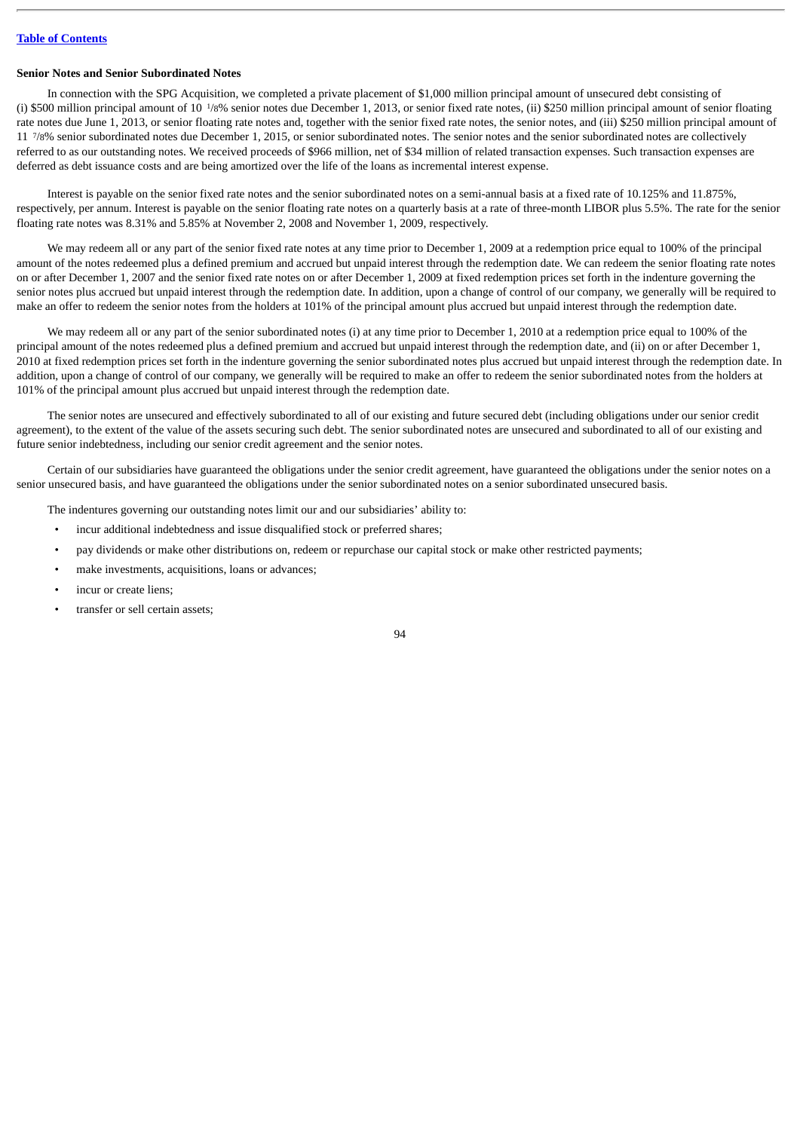# **Senior Notes and Senior Subordinated Notes**

In connection with the SPG Acquisition, we completed a private placement of \$1,000 million principal amount of unsecured debt consisting of (i) \$500 million principal amount of 10 1/8% senior notes due December 1, 2013, or senior fixed rate notes, (ii) \$250 million principal amount of senior floating rate notes due June 1, 2013, or senior floating rate notes and, together with the senior fixed rate notes, the senior notes, and (iii) \$250 million principal amount of 11 /8% senior subordinated notes due December 1, 2015, or senior subordinated notes. The senior notes and the senior subordinated notes are collectively 7referred to as our outstanding notes. We received proceeds of \$966 million, net of \$34 million of related transaction expenses. Such transaction expenses are deferred as debt issuance costs and are being amortized over the life of the loans as incremental interest expense.

Interest is payable on the senior fixed rate notes and the senior subordinated notes on a semi-annual basis at a fixed rate of 10.125% and 11.875%, respectively, per annum. Interest is payable on the senior floating rate notes on a quarterly basis at a rate of three-month LIBOR plus 5.5%. The rate for the senior floating rate notes was 8.31% and 5.85% at November 2, 2008 and November 1, 2009, respectively.

We may redeem all or any part of the senior fixed rate notes at any time prior to December 1, 2009 at a redemption price equal to 100% of the principal amount of the notes redeemed plus a defined premium and accrued but unpaid interest through the redemption date. We can redeem the senior floating rate notes on or after December 1, 2007 and the senior fixed rate notes on or after December 1, 2009 at fixed redemption prices set forth in the indenture governing the senior notes plus accrued but unpaid interest through the redemption date. In addition, upon a change of control of our company, we generally will be required to make an offer to redeem the senior notes from the holders at 101% of the principal amount plus accrued but unpaid interest through the redemption date.

We may redeem all or any part of the senior subordinated notes (i) at any time prior to December 1, 2010 at a redemption price equal to 100% of the principal amount of the notes redeemed plus a defined premium and accrued but unpaid interest through the redemption date, and (ii) on or after December 1, 2010 at fixed redemption prices set forth in the indenture governing the senior subordinated notes plus accrued but unpaid interest through the redemption date. In addition, upon a change of control of our company, we generally will be required to make an offer to redeem the senior subordinated notes from the holders at 101% of the principal amount plus accrued but unpaid interest through the redemption date.

The senior notes are unsecured and effectively subordinated to all of our existing and future secured debt (including obligations under our senior credit agreement), to the extent of the value of the assets securing such debt. The senior subordinated notes are unsecured and subordinated to all of our existing and future senior indebtedness, including our senior credit agreement and the senior notes.

Certain of our subsidiaries have guaranteed the obligations under the senior credit agreement, have guaranteed the obligations under the senior notes on a senior unsecured basis, and have guaranteed the obligations under the senior subordinated notes on a senior subordinated unsecured basis.

The indentures governing our outstanding notes limit our and our subsidiaries' ability to:

- incur additional indebtedness and issue disqualified stock or preferred shares;
- pay dividends or make other distributions on, redeem or repurchase our capital stock or make other restricted payments;
- make investments, acquisitions, loans or advances;
- incur or create liens:
- transfer or sell certain assets;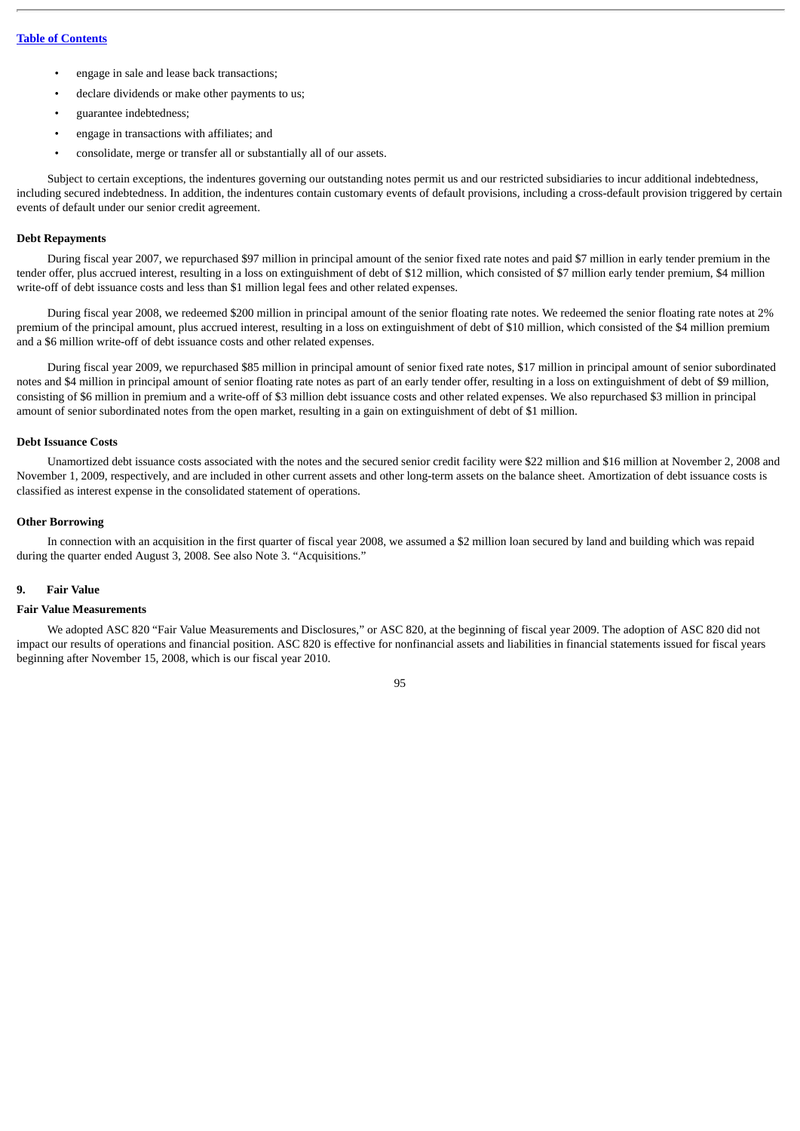- engage in sale and lease back transactions;
- declare dividends or make other payments to us;
- guarantee indebtedness;
- engage in transactions with affiliates; and
- consolidate, merge or transfer all or substantially all of our assets.

Subject to certain exceptions, the indentures governing our outstanding notes permit us and our restricted subsidiaries to incur additional indebtedness, including secured indebtedness. In addition, the indentures contain customary events of default provisions, including a cross-default provision triggered by certain events of default under our senior credit agreement.

### **Debt Repayments**

During fiscal year 2007, we repurchased \$97 million in principal amount of the senior fixed rate notes and paid \$7 million in early tender premium in the tender offer, plus accrued interest, resulting in a loss on extinguishment of debt of \$12 million, which consisted of \$7 million early tender premium, \$4 million write-off of debt issuance costs and less than \$1 million legal fees and other related expenses.

During fiscal year 2008, we redeemed \$200 million in principal amount of the senior floating rate notes. We redeemed the senior floating rate notes at 2% premium of the principal amount, plus accrued interest, resulting in a loss on extinguishment of debt of \$10 million, which consisted of the \$4 million premium and a \$6 million write-off of debt issuance costs and other related expenses.

During fiscal year 2009, we repurchased \$85 million in principal amount of senior fixed rate notes, \$17 million in principal amount of senior subordinated notes and \$4 million in principal amount of senior floating rate notes as part of an early tender offer, resulting in a loss on extinguishment of debt of \$9 million, consisting of \$6 million in premium and a write-off of \$3 million debt issuance costs and other related expenses. We also repurchased \$3 million in principal amount of senior subordinated notes from the open market, resulting in a gain on extinguishment of debt of \$1 million.

### **Debt Issuance Costs**

Unamortized debt issuance costs associated with the notes and the secured senior credit facility were \$22 million and \$16 million at November 2, 2008 and November 1, 2009, respectively, and are included in other current assets and other long-term assets on the balance sheet. Amortization of debt issuance costs is classified as interest expense in the consolidated statement of operations.

# **Other Borrowing**

In connection with an acquisition in the first quarter of fiscal year 2008, we assumed a \$2 million loan secured by land and building which was repaid during the quarter ended August 3, 2008. See also Note 3. "Acquisitions."

### **9. Fair Value**

#### **Fair Value Measurements**

We adopted ASC 820 "Fair Value Measurements and Disclosures," or ASC 820, at the beginning of fiscal year 2009. The adoption of ASC 820 did not impact our results of operations and financial position. ASC 820 is effective for nonfinancial assets and liabilities in financial statements issued for fiscal years beginning after November 15, 2008, which is our fiscal year 2010.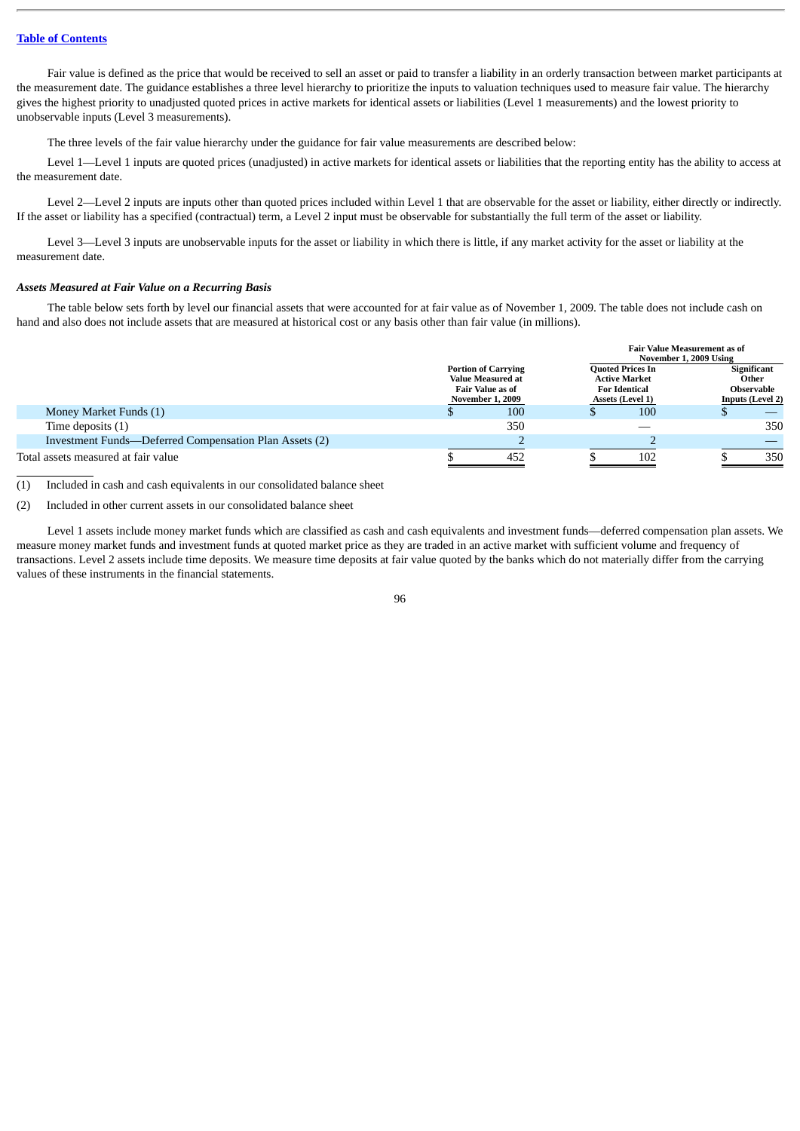Fair value is defined as the price that would be received to sell an asset or paid to transfer a liability in an orderly transaction between market participants at the measurement date. The guidance establishes a three level hierarchy to prioritize the inputs to valuation techniques used to measure fair value. The hierarchy gives the highest priority to unadjusted quoted prices in active markets for identical assets or liabilities (Level 1 measurements) and the lowest priority to unobservable inputs (Level 3 measurements).

The three levels of the fair value hierarchy under the guidance for fair value measurements are described below:

Level 1—Level 1 inputs are quoted prices (unadjusted) in active markets for identical assets or liabilities that the reporting entity has the ability to access at the measurement date.

Level 2—Level 2 inputs are inputs other than quoted prices included within Level 1 that are observable for the asset or liability, either directly or indirectly. If the asset or liability has a specified (contractual) term, a Level 2 input must be observable for substantially the full term of the asset or liability.

Level 3—Level 3 inputs are unobservable inputs for the asset or liability in which there is little, if any market activity for the asset or liability at the measurement date.

# *Assets Measured at Fair Value on a Recurring Basis*

The table below sets forth by level our financial assets that were accounted for at fair value as of November 1, 2009. The table does not include cash on hand and also does not include assets that are measured at historical cost or any basis other than fair value (in millions).

|                                                        |                                                                                   |                         |  | <b>Fair Value Measurement as of</b> |                        |                         |
|--------------------------------------------------------|-----------------------------------------------------------------------------------|-------------------------|--|-------------------------------------|------------------------|-------------------------|
|                                                        |                                                                                   |                         |  |                                     | November 1, 2009 Using |                         |
|                                                        | <b>Portion of Carrying</b><br><b>Value Measured at</b><br><b>Fair Value as of</b> |                         |  | <b>Quoted Prices In</b>             |                        | Significant             |
|                                                        |                                                                                   |                         |  | <b>Active Market</b>                |                        | Other                   |
|                                                        |                                                                                   |                         |  | <b>For Identical</b>                |                        | Observable              |
|                                                        |                                                                                   | <b>November 1, 2009</b> |  | <b>Assets (Level 1)</b>             |                        | <b>Inputs (Level 2)</b> |
| Money Market Funds (1)                                 |                                                                                   | 100                     |  | 100                                 |                        |                         |
| Time deposits (1)                                      |                                                                                   | 350                     |  |                                     |                        | 350                     |
| Investment Funds—Deferred Compensation Plan Assets (2) |                                                                                   |                         |  |                                     |                        |                         |
| Total assets measured at fair value                    |                                                                                   | 452                     |  | 102                                 |                        | 350                     |

(1) Included in cash and cash equivalents in our consolidated balance sheet

(2) Included in other current assets in our consolidated balance sheet

Level 1 assets include money market funds which are classified as cash and cash equivalents and investment funds—deferred compensation plan assets. We measure money market funds and investment funds at quoted market price as they are traded in an active market with sufficient volume and frequency of transactions. Level 2 assets include time deposits. We measure time deposits at fair value quoted by the banks which do not materially differ from the carrying values of these instruments in the financial statements.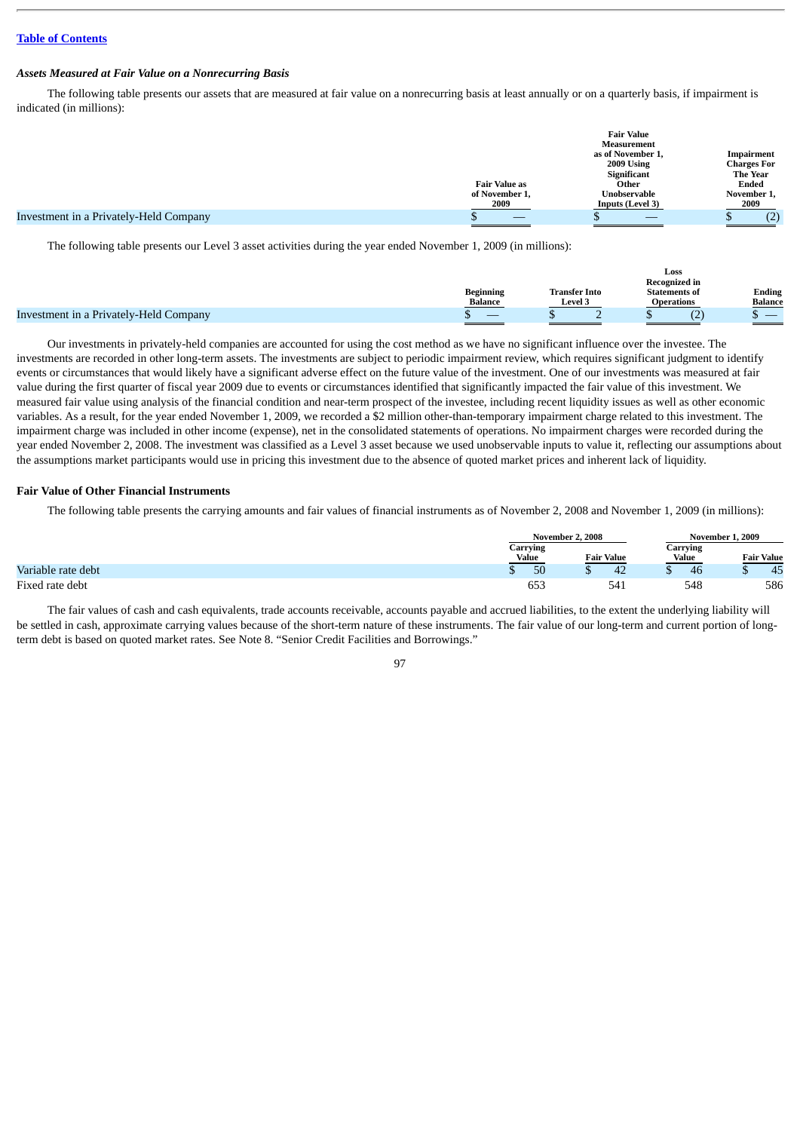#### *Assets Measured at Fair Value on a Nonrecurring Basis*

The following table presents our assets that are measured at fair value on a nonrecurring basis at least annually or on a quarterly basis, if impairment is indicated (in millions):

|                                        | <b>Fair Value</b><br>Measurement |
|----------------------------------------|----------------------------------|
|                                        | as of November 1,<br>Impairment  |
|                                        | 2009 Using<br><b>Charges For</b> |
|                                        | Significant<br>The Year          |
| <b>Fair Value as</b>                   | Ended<br>Other                   |
| of November 1,                         | Unobservable<br>November 1,      |
| 2009                                   | 2009<br>Inputs (Level 3)         |
| Investment in a Privately-Held Company | (2)                              |

The following table presents our Level 3 asset activities during the year ended November 1, 2009 (in millions):

|                                        |                  |                | Loss                 |         |
|----------------------------------------|------------------|----------------|----------------------|---------|
|                                        |                  |                | <b>Recognized in</b> |         |
|                                        | <b>Beginning</b> | Transfer Into  | Statements of        | Ending  |
|                                        | <b>Balance</b>   | <b>Level 3</b> | <b>Operations</b>    | Balance |
| Investment in a Privately-Held Company | __               |                |                      | ___     |

Our investments in privately-held companies are accounted for using the cost method as we have no significant influence over the investee. The investments are recorded in other long-term assets. The investments are subject to periodic impairment review, which requires significant judgment to identify events or circumstances that would likely have a significant adverse effect on the future value of the investment. One of our investments was measured at fair value during the first quarter of fiscal year 2009 due to events or circumstances identified that significantly impacted the fair value of this investment. We measured fair value using analysis of the financial condition and near-term prospect of the investee, including recent liquidity issues as well as other economic variables. As a result, for the year ended November 1, 2009, we recorded a \$2 million other-than-temporary impairment charge related to this investment. The impairment charge was included in other income (expense), net in the consolidated statements of operations. No impairment charges were recorded during the year ended November 2, 2008. The investment was classified as a Level 3 asset because we used unobservable inputs to value it, reflecting our assumptions about the assumptions market participants would use in pricing this investment due to the absence of quoted market prices and inherent lack of liquidity.

# **Fair Value of Other Financial Instruments**

The following table presents the carrying amounts and fair values of financial instruments as of November 2, 2008 and November 1, 2009 (in millions):

|                    |                             | <b>November 2, 2008</b> |          | <b>November 1, 2009</b> |  |
|--------------------|-----------------------------|-------------------------|----------|-------------------------|--|
|                    | Carrving                    |                         | Carrying |                         |  |
|                    | Value                       | <b>Fair Value</b>       | Value    | Fair Value              |  |
| Variable rate debt | 50<br>υu                    | 42                      | 46       | 45                      |  |
| Fixed rate debt    | $\sim$ $\sim$ $\sim$<br>ხჂᲙ | 541                     | 548      | 586                     |  |

The fair values of cash and cash equivalents, trade accounts receivable, accounts payable and accrued liabilities, to the extent the underlying liability will be settled in cash, approximate carrying values because of the short-term nature of these instruments. The fair value of our long-term and current portion of longterm debt is based on quoted market rates. See Note 8. "Senior Credit Facilities and Borrowings."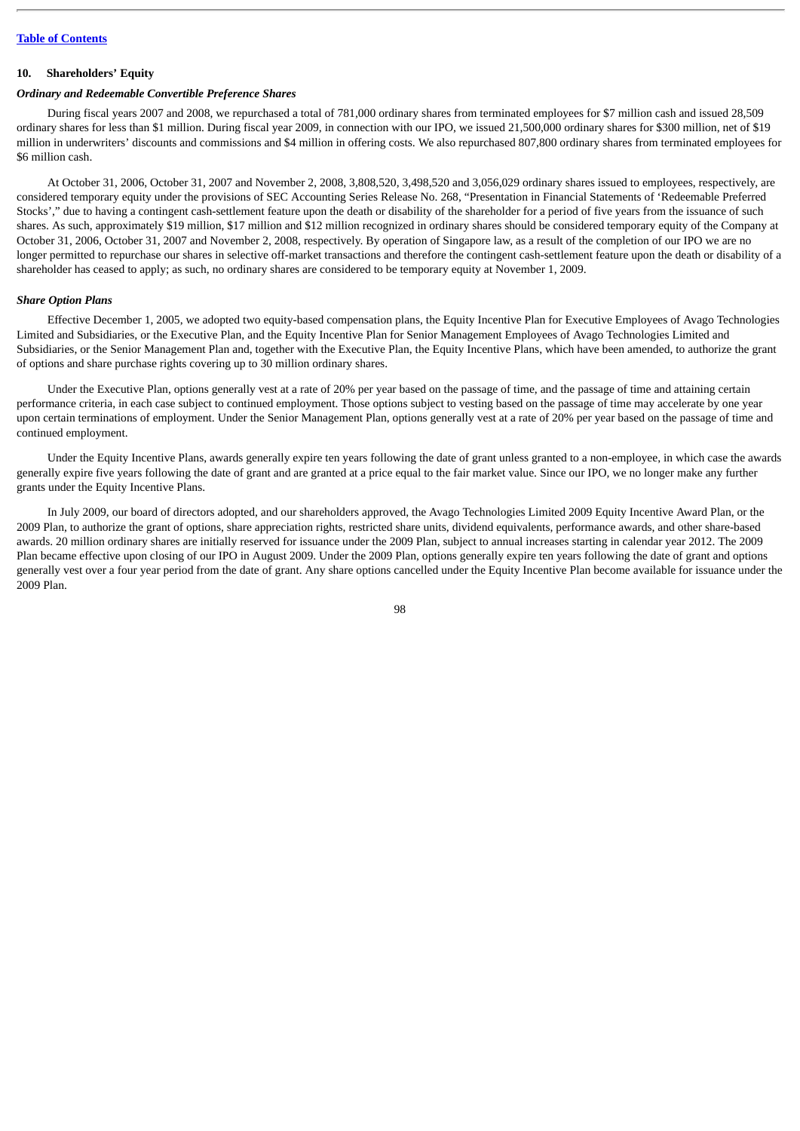### **10. Shareholders' Equity**

### *Ordinary and Redeemable Convertible Preference Shares*

During fiscal years 2007 and 2008, we repurchased a total of 781,000 ordinary shares from terminated employees for \$7 million cash and issued 28,509 ordinary shares for less than \$1 million. During fiscal year 2009, in connection with our IPO, we issued 21,500,000 ordinary shares for \$300 million, net of \$19 million in underwriters' discounts and commissions and \$4 million in offering costs. We also repurchased 807,800 ordinary shares from terminated employees for \$6 million cash.

At October 31, 2006, October 31, 2007 and November 2, 2008, 3,808,520, 3,498,520 and 3,056,029 ordinary shares issued to employees, respectively, are considered temporary equity under the provisions of SEC Accounting Series Release No. 268, "Presentation in Financial Statements of 'Redeemable Preferred Stocks'," due to having a contingent cash-settlement feature upon the death or disability of the shareholder for a period of five years from the issuance of such shares. As such, approximately \$19 million, \$17 million and \$12 million recognized in ordinary shares should be considered temporary equity of the Company at October 31, 2006, October 31, 2007 and November 2, 2008, respectively. By operation of Singapore law, as a result of the completion of our IPO we are no longer permitted to repurchase our shares in selective off-market transactions and therefore the contingent cash-settlement feature upon the death or disability of a shareholder has ceased to apply; as such, no ordinary shares are considered to be temporary equity at November 1, 2009.

#### *Share Option Plans*

Effective December 1, 2005, we adopted two equity-based compensation plans, the Equity Incentive Plan for Executive Employees of Avago Technologies Limited and Subsidiaries, or the Executive Plan, and the Equity Incentive Plan for Senior Management Employees of Avago Technologies Limited and Subsidiaries, or the Senior Management Plan and, together with the Executive Plan, the Equity Incentive Plans, which have been amended, to authorize the grant of options and share purchase rights covering up to 30 million ordinary shares.

Under the Executive Plan, options generally vest at a rate of 20% per year based on the passage of time, and the passage of time and attaining certain performance criteria, in each case subject to continued employment. Those options subject to vesting based on the passage of time may accelerate by one year upon certain terminations of employment. Under the Senior Management Plan, options generally vest at a rate of 20% per year based on the passage of time and continued employment.

Under the Equity Incentive Plans, awards generally expire ten years following the date of grant unless granted to a non-employee, in which case the awards generally expire five years following the date of grant and are granted at a price equal to the fair market value. Since our IPO, we no longer make any further grants under the Equity Incentive Plans.

In July 2009, our board of directors adopted, and our shareholders approved, the Avago Technologies Limited 2009 Equity Incentive Award Plan, or the 2009 Plan, to authorize the grant of options, share appreciation rights, restricted share units, dividend equivalents, performance awards, and other share-based awards. 20 million ordinary shares are initially reserved for issuance under the 2009 Plan, subject to annual increases starting in calendar year 2012. The 2009 Plan became effective upon closing of our IPO in August 2009. Under the 2009 Plan, options generally expire ten years following the date of grant and options generally vest over a four year period from the date of grant. Any share options cancelled under the Equity Incentive Plan become available for issuance under the 2009 Plan.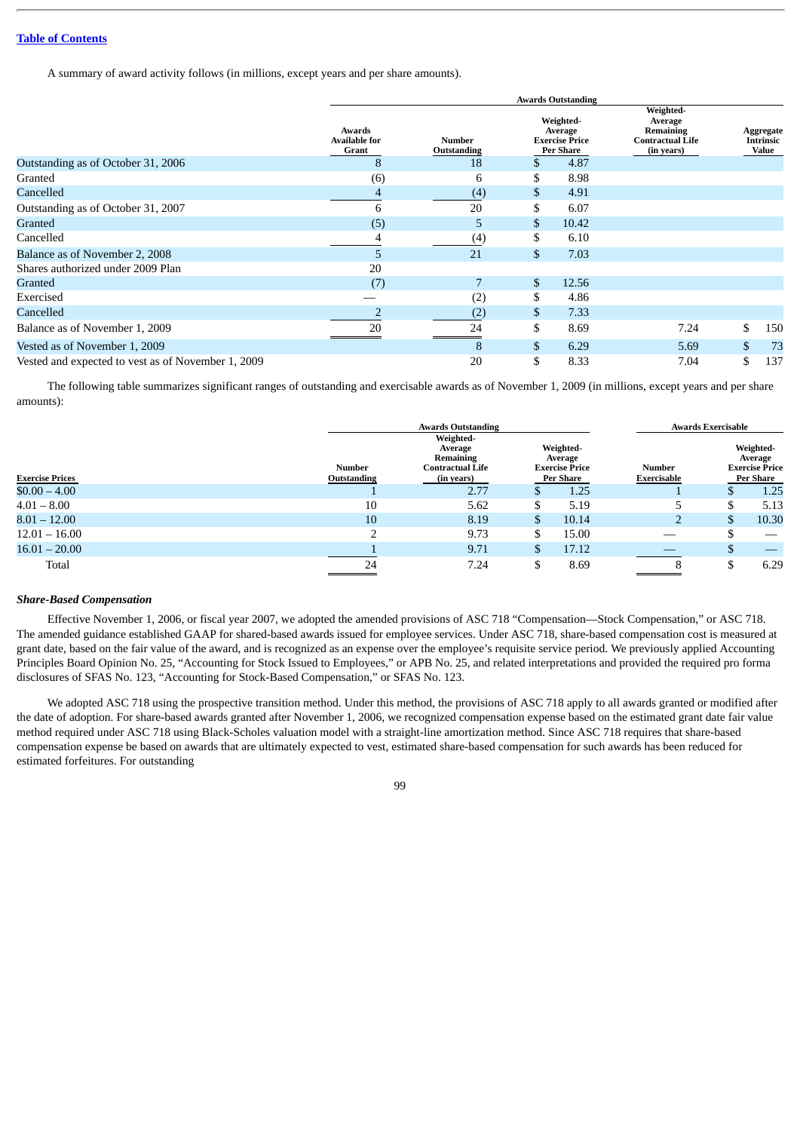A summary of award activity follows (in millions, except years and per share amounts).

|                                                    |                                                |                                     | <b>Awards Outstanding</b>                                  |                                                                            |                                 |
|----------------------------------------------------|------------------------------------------------|-------------------------------------|------------------------------------------------------------|----------------------------------------------------------------------------|---------------------------------|
|                                                    | <b>Awards</b><br><b>Available for</b><br>Grant | <b>Number</b><br><b>Outstanding</b> | Weighted-<br>Average<br><b>Exercise Price</b><br>Per Share | Weighted-<br>Average<br>Remaining<br><b>Contractual Life</b><br>(in years) | Aggregate<br>Intrinsic<br>Value |
| Outstanding as of October 31, 2006                 | 8                                              | 18                                  | \$<br>4.87                                                 |                                                                            |                                 |
| Granted                                            | (6)                                            | 6                                   | \$<br>8.98                                                 |                                                                            |                                 |
| Cancelled                                          |                                                | (4)                                 | \$<br>4.91                                                 |                                                                            |                                 |
| Outstanding as of October 31, 2007                 | b                                              | 20                                  | \$<br>6.07                                                 |                                                                            |                                 |
| Granted                                            | (5)                                            | 5                                   | \$<br>10.42                                                |                                                                            |                                 |
| Cancelled                                          |                                                | (4)                                 | \$<br>6.10                                                 |                                                                            |                                 |
| Balance as of November 2, 2008                     | 5                                              | 21                                  | \$<br>7.03                                                 |                                                                            |                                 |
| Shares authorized under 2009 Plan                  | 20                                             |                                     |                                                            |                                                                            |                                 |
| Granted                                            | (7)                                            |                                     | \$<br>12.56                                                |                                                                            |                                 |
| Exercised                                          |                                                | (2)                                 | \$<br>4.86                                                 |                                                                            |                                 |
| Cancelled                                          |                                                | (2)                                 | \$<br>7.33                                                 |                                                                            |                                 |
| Balance as of November 1, 2009                     | 20                                             | 24                                  | \$<br>8.69                                                 | 7.24                                                                       | \$<br>150                       |
| Vested as of November 1, 2009                      |                                                | 8                                   | \$<br>6.29                                                 | 5.69                                                                       | \$<br>73                        |
| Vested and expected to vest as of November 1, 2009 |                                                | 20                                  | \$<br>8.33                                                 | 7.04                                                                       | \$<br>137                       |

The following table summarizes significant ranges of outstanding and exercisable awards as of November 1, 2009 (in millions, except years and per share amounts):

|                        |                              | <b>Awards Outstanding</b>                                                  |    |                                                            |                              | <b>Awards Exercisable</b> |                                                            |  |  |
|------------------------|------------------------------|----------------------------------------------------------------------------|----|------------------------------------------------------------|------------------------------|---------------------------|------------------------------------------------------------|--|--|
| <b>Exercise Prices</b> | <b>Number</b><br>Outstanding | Weighted-<br>Average<br>Remaining<br><b>Contractual Life</b><br>(in years) |    | Weighted-<br>Average<br><b>Exercise Price</b><br>Per Share | <b>Number</b><br>Exercisable |                           | Weighted-<br>Average<br><b>Exercise Price</b><br>Per Share |  |  |
| $$0.00 - 4.00$         |                              | 2.77                                                                       |    | 1.25                                                       |                              |                           | 1.25                                                       |  |  |
| $4.01 - 8.00$          | 10                           | 5.62                                                                       | J  | 5.19                                                       | 5                            |                           | 5.13                                                       |  |  |
| $8.01 - 12.00$         | 10                           | 8.19                                                                       | \$ | 10.14                                                      | $\overline{2}$               |                           | 10.30                                                      |  |  |
| $12.01 - 16.00$        |                              | 9.73                                                                       | D  | 15.00                                                      |                              |                           |                                                            |  |  |
| $16.01 - 20.00$        |                              | 9.71                                                                       | \$ | 17.12                                                      |                              | S                         |                                                            |  |  |
| Total                  | 24                           | 7.24                                                                       | J. | 8.69                                                       |                              |                           | 6.29                                                       |  |  |

### *Share-Based Compensation*

Effective November 1, 2006, or fiscal year 2007, we adopted the amended provisions of ASC 718 "Compensation—Stock Compensation," or ASC 718. The amended guidance established GAAP for shared-based awards issued for employee services. Under ASC 718, share-based compensation cost is measured at grant date, based on the fair value of the award, and is recognized as an expense over the employee's requisite service period. We previously applied Accounting Principles Board Opinion No. 25, "Accounting for Stock Issued to Employees," or APB No. 25, and related interpretations and provided the required pro forma disclosures of SFAS No. 123, "Accounting for Stock-Based Compensation," or SFAS No. 123.

We adopted ASC 718 using the prospective transition method. Under this method, the provisions of ASC 718 apply to all awards granted or modified after the date of adoption. For share-based awards granted after November 1, 2006, we recognized compensation expense based on the estimated grant date fair value method required under ASC 718 using Black-Scholes valuation model with a straight-line amortization method. Since ASC 718 requires that share-based compensation expense be based on awards that are ultimately expected to vest, estimated share-based compensation for such awards has been reduced for estimated forfeitures. For outstanding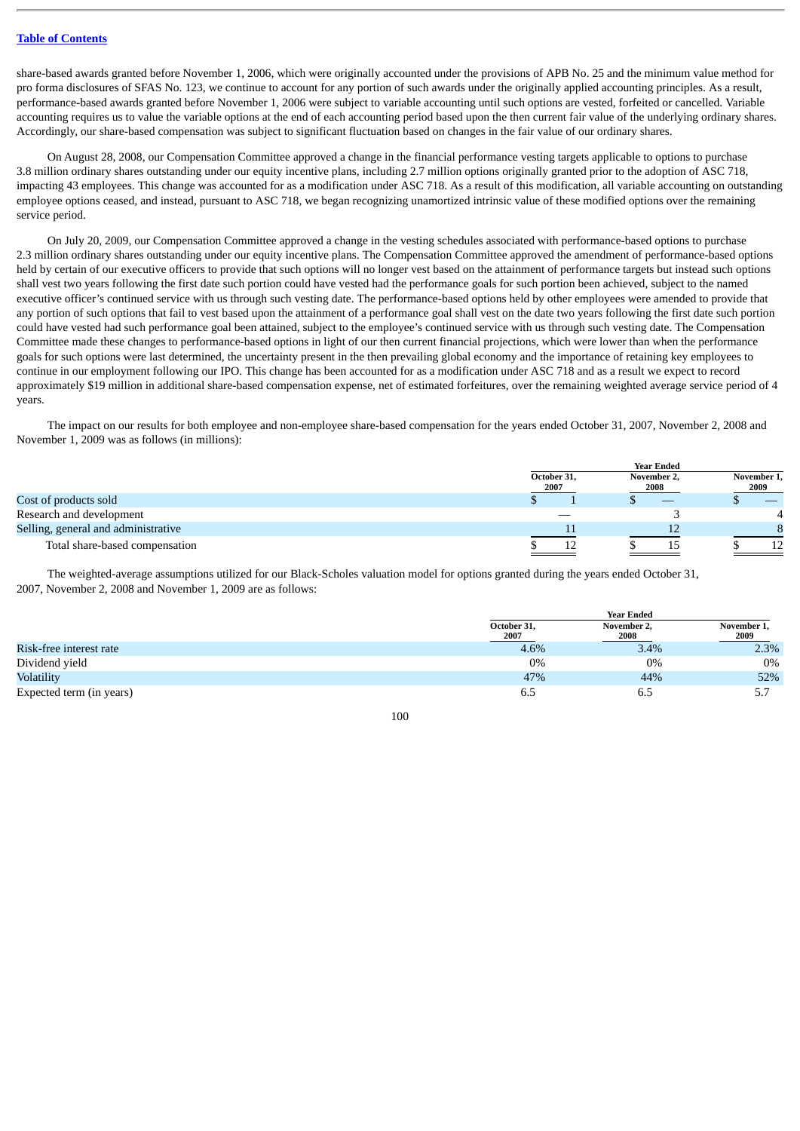share-based awards granted before November 1, 2006, which were originally accounted under the provisions of APB No. 25 and the minimum value method for pro forma disclosures of SFAS No. 123, we continue to account for any portion of such awards under the originally applied accounting principles. As a result, performance-based awards granted before November 1, 2006 were subject to variable accounting until such options are vested, forfeited or cancelled. Variable accounting requires us to value the variable options at the end of each accounting period based upon the then current fair value of the underlying ordinary shares. Accordingly, our share-based compensation was subject to significant fluctuation based on changes in the fair value of our ordinary shares.

On August 28, 2008, our Compensation Committee approved a change in the financial performance vesting targets applicable to options to purchase 3.8 million ordinary shares outstanding under our equity incentive plans, including 2.7 million options originally granted prior to the adoption of ASC 718, impacting 43 employees. This change was accounted for as a modification under ASC 718. As a result of this modification, all variable accounting on outstanding employee options ceased, and instead, pursuant to ASC 718, we began recognizing unamortized intrinsic value of these modified options over the remaining service period.

On July 20, 2009, our Compensation Committee approved a change in the vesting schedules associated with performance-based options to purchase 2.3 million ordinary shares outstanding under our equity incentive plans. The Compensation Committee approved the amendment of performance-based options held by certain of our executive officers to provide that such options will no longer vest based on the attainment of performance targets but instead such options shall vest two years following the first date such portion could have vested had the performance goals for such portion been achieved, subject to the named executive officer's continued service with us through such vesting date. The performance-based options held by other employees were amended to provide that any portion of such options that fail to vest based upon the attainment of a performance goal shall vest on the date two years following the first date such portion could have vested had such performance goal been attained, subject to the employee's continued service with us through such vesting date. The Compensation Committee made these changes to performance-based options in light of our then current financial projections, which were lower than when the performance goals for such options were last determined, the uncertainty present in the then prevailing global economy and the importance of retaining key employees to continue in our employment following our IPO. This change has been accounted for as a modification under ASC 718 and as a result we expect to record approximately \$19 million in additional share-based compensation expense, net of estimated forfeitures, over the remaining weighted average service period of 4 years.

The impact on our results for both employee and non-employee share-based compensation for the years ended October 31, 2007, November 2, 2008 and November 1, 2009 was as follows (in millions):

|                                     |                     | <b>Year Ended</b>   |                     |  |  |
|-------------------------------------|---------------------|---------------------|---------------------|--|--|
|                                     | October 31,<br>2007 | November 2,<br>2008 | November 1,<br>2009 |  |  |
| Cost of products sold               |                     |                     |                     |  |  |
| Research and development            |                     |                     |                     |  |  |
| Selling, general and administrative |                     |                     |                     |  |  |
| Total share-based compensation      |                     |                     | 1 つ                 |  |  |

The weighted-average assumptions utilized for our Black-Scholes valuation model for options granted during the years ended October 31, 2007, November 2, 2008 and November 1, 2009 are as follows:

|                          |                     | Year Ended          |                     |  |
|--------------------------|---------------------|---------------------|---------------------|--|
|                          | October 31,<br>2007 | November 2,<br>2008 | November 1,<br>2009 |  |
| Risk-free interest rate  | 4.6%                | 3.4%                | 2.3%                |  |
| Dividend yield           | 0%                  | $0\%$               | 0%                  |  |
| Volatility               | 47%                 | 44%                 | 52%                 |  |
| Expected term (in years) | 6.5                 | 6.5                 | 5.7                 |  |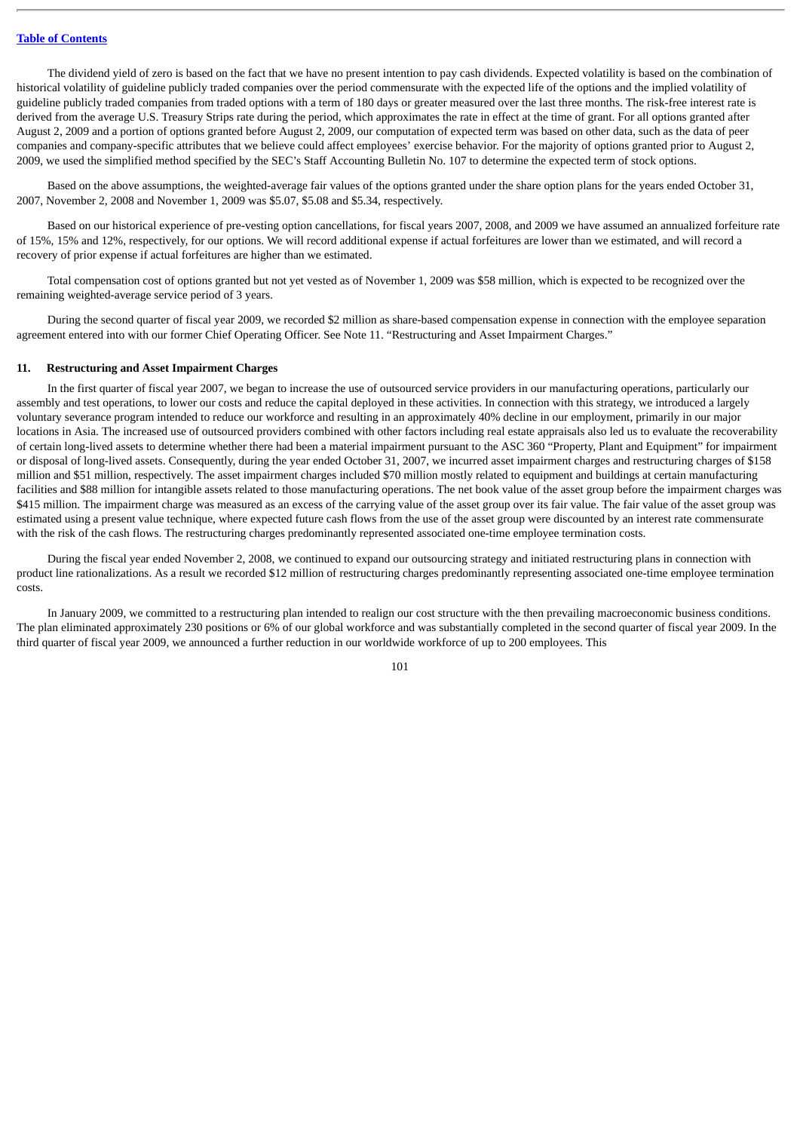The dividend yield of zero is based on the fact that we have no present intention to pay cash dividends. Expected volatility is based on the combination of historical volatility of guideline publicly traded companies over the period commensurate with the expected life of the options and the implied volatility of guideline publicly traded companies from traded options with a term of 180 days or greater measured over the last three months. The risk-free interest rate is derived from the average U.S. Treasury Strips rate during the period, which approximates the rate in effect at the time of grant. For all options granted after August 2, 2009 and a portion of options granted before August 2, 2009, our computation of expected term was based on other data, such as the data of peer companies and company-specific attributes that we believe could affect employees' exercise behavior. For the majority of options granted prior to August 2, 2009, we used the simplified method specified by the SEC's Staff Accounting Bulletin No. 107 to determine the expected term of stock options.

Based on the above assumptions, the weighted-average fair values of the options granted under the share option plans for the years ended October 31, 2007, November 2, 2008 and November 1, 2009 was \$5.07, \$5.08 and \$5.34, respectively.

Based on our historical experience of pre-vesting option cancellations, for fiscal years 2007, 2008, and 2009 we have assumed an annualized forfeiture rate of 15%, 15% and 12%, respectively, for our options. We will record additional expense if actual forfeitures are lower than we estimated, and will record a recovery of prior expense if actual forfeitures are higher than we estimated.

Total compensation cost of options granted but not yet vested as of November 1, 2009 was \$58 million, which is expected to be recognized over the remaining weighted-average service period of 3 years.

During the second quarter of fiscal year 2009, we recorded \$2 million as share-based compensation expense in connection with the employee separation agreement entered into with our former Chief Operating Officer. See Note 11. "Restructuring and Asset Impairment Charges."

### **11. Restructuring and Asset Impairment Charges**

In the first quarter of fiscal year 2007, we began to increase the use of outsourced service providers in our manufacturing operations, particularly our assembly and test operations, to lower our costs and reduce the capital deployed in these activities. In connection with this strategy, we introduced a largely voluntary severance program intended to reduce our workforce and resulting in an approximately 40% decline in our employment, primarily in our major locations in Asia. The increased use of outsourced providers combined with other factors including real estate appraisals also led us to evaluate the recoverability of certain long-lived assets to determine whether there had been a material impairment pursuant to the ASC 360 "Property, Plant and Equipment" for impairment or disposal of long-lived assets. Consequently, during the year ended October 31, 2007, we incurred asset impairment charges and restructuring charges of \$158 million and \$51 million, respectively. The asset impairment charges included \$70 million mostly related to equipment and buildings at certain manufacturing facilities and \$88 million for intangible assets related to those manufacturing operations. The net book value of the asset group before the impairment charges was \$415 million. The impairment charge was measured as an excess of the carrying value of the asset group over its fair value. The fair value of the asset group was estimated using a present value technique, where expected future cash flows from the use of the asset group were discounted by an interest rate commensurate with the risk of the cash flows. The restructuring charges predominantly represented associated one-time employee termination costs.

During the fiscal year ended November 2, 2008, we continued to expand our outsourcing strategy and initiated restructuring plans in connection with product line rationalizations. As a result we recorded \$12 million of restructuring charges predominantly representing associated one-time employee termination costs.

In January 2009, we committed to a restructuring plan intended to realign our cost structure with the then prevailing macroeconomic business conditions. The plan eliminated approximately 230 positions or 6% of our global workforce and was substantially completed in the second quarter of fiscal year 2009. In the third quarter of fiscal year 2009, we announced a further reduction in our worldwide workforce of up to 200 employees. This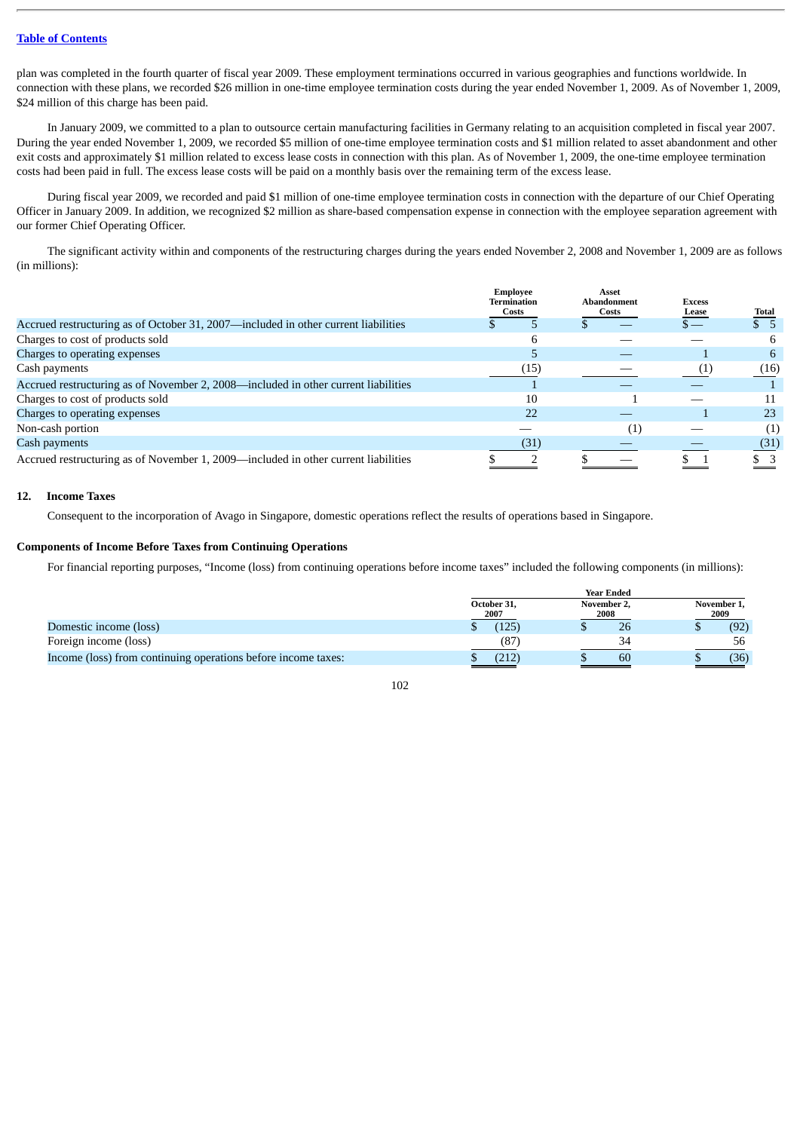plan was completed in the fourth quarter of fiscal year 2009. These employment terminations occurred in various geographies and functions worldwide. In connection with these plans, we recorded \$26 million in one-time employee termination costs during the year ended November 1, 2009. As of November 1, 2009, \$24 million of this charge has been paid.

In January 2009, we committed to a plan to outsource certain manufacturing facilities in Germany relating to an acquisition completed in fiscal year 2007. During the year ended November 1, 2009, we recorded \$5 million of one-time employee termination costs and \$1 million related to asset abandonment and other exit costs and approximately \$1 million related to excess lease costs in connection with this plan. As of November 1, 2009, the one-time employee termination costs had been paid in full. The excess lease costs will be paid on a monthly basis over the remaining term of the excess lease.

During fiscal year 2009, we recorded and paid \$1 million of one-time employee termination costs in connection with the departure of our Chief Operating Officer in January 2009. In addition, we recognized \$2 million as share-based compensation expense in connection with the employee separation agreement with our former Chief Operating Officer.

The significant activity within and components of the restructuring charges during the years ended November 2, 2008 and November 1, 2009 are as follows (in millions):

|                                                                                    | <b>Employee</b><br><b>Termination</b><br>Costs | Asset<br><b>Abandonment</b><br>Costs | <b>Excess</b><br><b>Lease</b> | <b>Total</b> |
|------------------------------------------------------------------------------------|------------------------------------------------|--------------------------------------|-------------------------------|--------------|
| Accrued restructuring as of October 31, 2007—included in other current liabilities |                                                |                                      | $\mathsf{s}$ —                |              |
| Charges to cost of products sold                                                   | h                                              |                                      |                               | 6            |
| Charges to operating expenses                                                      | C.                                             |                                      |                               | 6            |
| Cash payments                                                                      | (15)                                           |                                      |                               | (16)         |
| Accrued restructuring as of November 2, 2008—included in other current liabilities |                                                |                                      |                               |              |
| Charges to cost of products sold                                                   | 10                                             |                                      |                               |              |
| Charges to operating expenses                                                      | 22                                             |                                      |                               | 23           |
| Non-cash portion                                                                   |                                                | (1)                                  |                               | (1)          |
| Cash payments                                                                      | (31)                                           |                                      |                               | (31)         |
| Accrued restructuring as of November 1, 2009—included in other current liabilities |                                                |                                      |                               |              |

# **12. Income Taxes**

Consequent to the incorporation of Avago in Singapore, domestic operations reflect the results of operations based in Singapore.

# **Components of Income Before Taxes from Continuing Operations**

For financial reporting purposes, "Income (loss) from continuing operations before income taxes" included the following components (in millions):

|                                                               |                                            | Year Ended |                    |  |  |  |  |
|---------------------------------------------------------------|--------------------------------------------|------------|--------------------|--|--|--|--|
|                                                               | October 31,<br>November 2.<br>2007<br>2008 |            | November 1<br>2009 |  |  |  |  |
| Domestic income (loss)                                        | 125                                        | 26         | (92)               |  |  |  |  |
| Foreign income (loss)                                         | (87                                        | 34         | 56                 |  |  |  |  |
| Income (loss) from continuing operations before income taxes: |                                            | 60         | (36)               |  |  |  |  |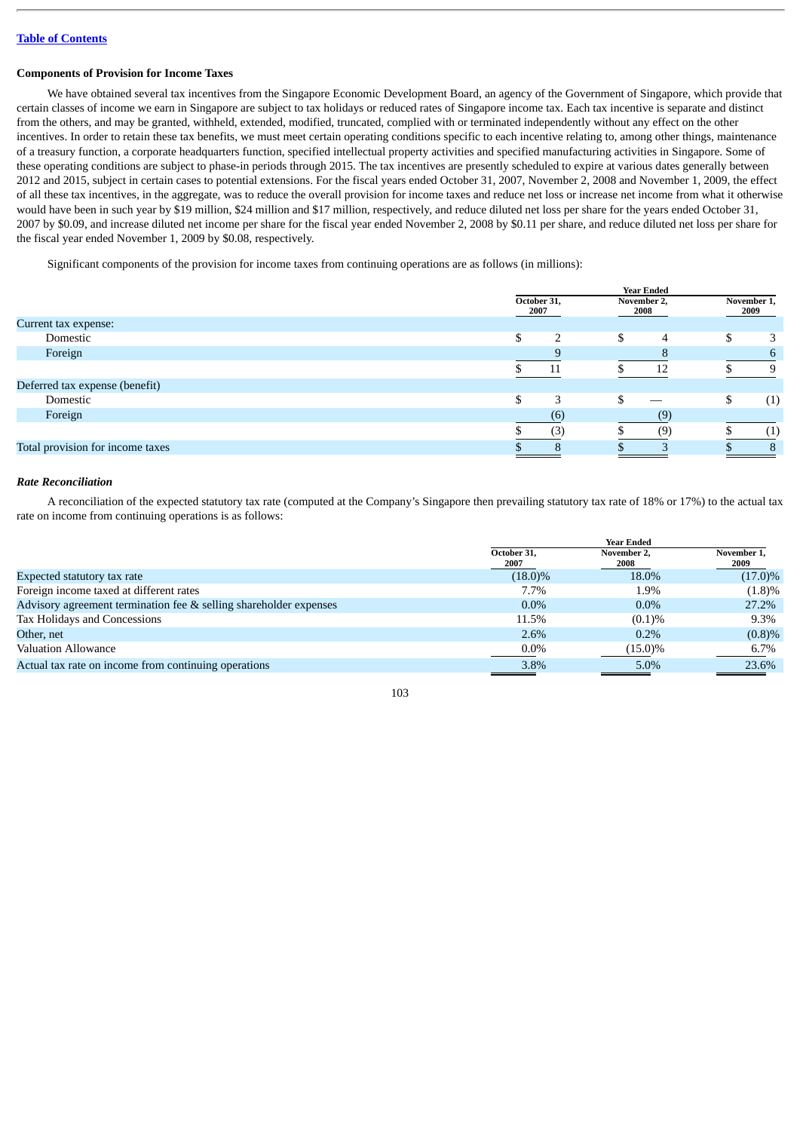### **Components of Provision for Income Taxes**

We have obtained several tax incentives from the Singapore Economic Development Board, an agency of the Government of Singapore, which provide that certain classes of income we earn in Singapore are subject to tax holidays or reduced rates of Singapore income tax. Each tax incentive is separate and distinct from the others, and may be granted, withheld, extended, modified, truncated, complied with or terminated independently without any effect on the other incentives. In order to retain these tax benefits, we must meet certain operating conditions specific to each incentive relating to, among other things, maintenance of a treasury function, a corporate headquarters function, specified intellectual property activities and specified manufacturing activities in Singapore. Some of these operating conditions are subject to phase-in periods through 2015. The tax incentives are presently scheduled to expire at various dates generally between 2012 and 2015, subject in certain cases to potential extensions. For the fiscal years ended October 31, 2007, November 2, 2008 and November 1, 2009, the effect of all these tax incentives, in the aggregate, was to reduce the overall provision for income taxes and reduce net loss or increase net income from what it otherwise would have been in such year by \$19 million, \$24 million and \$17 million, respectively, and reduce diluted net loss per share for the years ended October 31, 2007 by \$0.09, and increase diluted net income per share for the fiscal year ended November 2, 2008 by \$0.11 per share, and reduce diluted net loss per share for the fiscal year ended November 1, 2009 by \$0.08, respectively.

Significant components of the provision for income taxes from continuing operations are as follows (in millions):

|                                  |                     | <b>Year Ended</b>    |                     |  |  |
|----------------------------------|---------------------|----------------------|---------------------|--|--|
|                                  | October 31,<br>2007 | November 2,<br>2008  | November 1,<br>2009 |  |  |
| Current tax expense:             |                     |                      |                     |  |  |
| Domestic                         | $\mathcal{D}$       | \$<br>$\overline{4}$ | \$<br>3             |  |  |
| Foreign                          |                     | 8                    | 6                   |  |  |
|                                  |                     | ר י                  | 9                   |  |  |
| Deferred tax expense (benefit)   |                     |                      |                     |  |  |
| Domestic                         | 3<br>Φ              |                      | (1)                 |  |  |
| Foreign                          | (6)                 | (9                   |                     |  |  |
|                                  | (3)                 | (9)                  | (1)                 |  |  |
| Total provision for income taxes |                     |                      | 8                   |  |  |

### *Rate Reconciliation*

A reconciliation of the expected statutory tax rate (computed at the Company's Singapore then prevailing statutory tax rate of 18% or 17%) to the actual tax rate on income from continuing operations is as follows:

|                                                                   |                     | <b>Year Ended</b>   |                     |  |  |
|-------------------------------------------------------------------|---------------------|---------------------|---------------------|--|--|
|                                                                   | October 31.<br>2007 | November 2,<br>2008 | November 1.<br>2009 |  |  |
| Expected statutory tax rate                                       | $(18.0)\%$          | 18.0%               | $(17.0)\%$          |  |  |
| Foreign income taxed at different rates                           | 7.7%                | 1.9%                | $(1.8)\%$           |  |  |
| Advisory agreement termination fee & selling shareholder expenses | $0.0\%$             | $0.0\%$             | 27.2%               |  |  |
| Tax Holidays and Concessions                                      | 11.5%               | (0.1)%              | 9.3%                |  |  |
| Other, net                                                        | 2.6%                | 0.2%                | $(0.8)\%$           |  |  |
| <b>Valuation Allowance</b>                                        | $0.0\%$             | $(15.0)\%$          | 6.7%                |  |  |
| Actual tax rate on income from continuing operations              | 3.8%                | $5.0\%$             | 23.6%               |  |  |
|                                                                   |                     |                     |                     |  |  |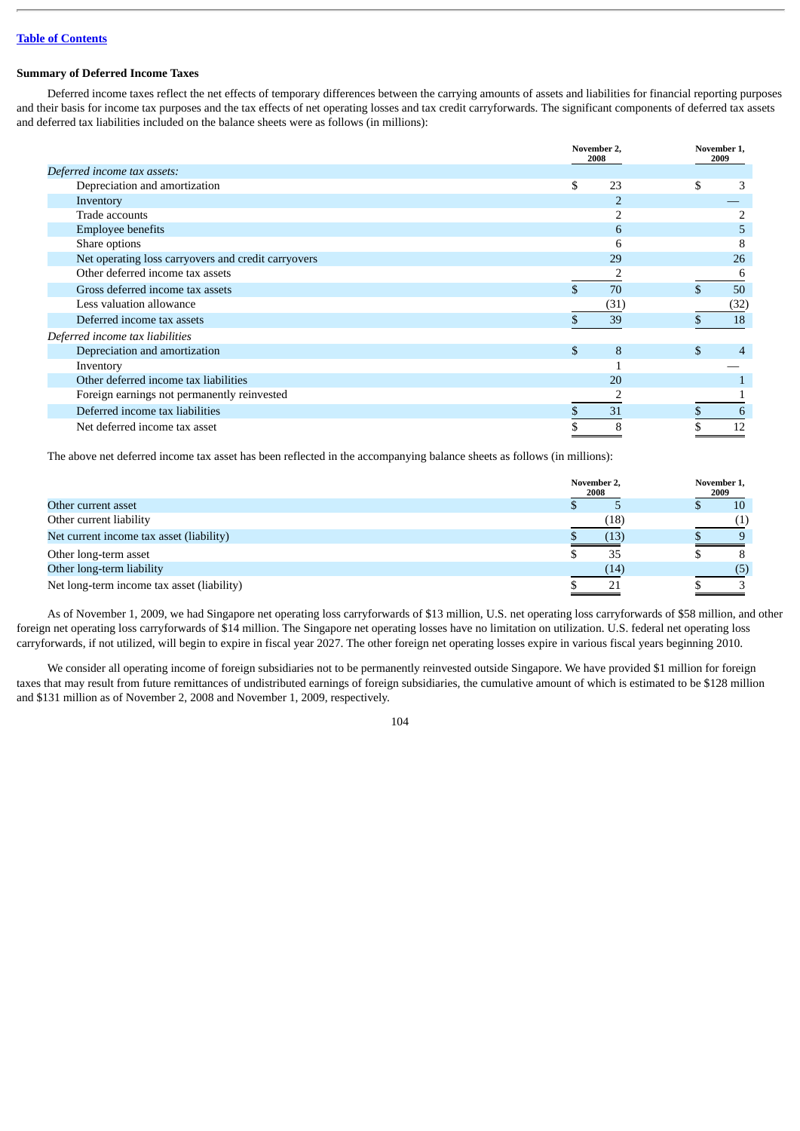# **Summary of Deferred Income Taxes**

Deferred income taxes reflect the net effects of temporary differences between the carrying amounts of assets and liabilities for financial reporting purposes and their basis for income tax purposes and the tax effects of net operating losses and tax credit carryforwards. The significant components of deferred tax assets and deferred tax liabilities included on the balance sheets were as follows (in millions):

|                                                     | November 2,<br>2008 |                | November 1,<br>2009            |  |
|-----------------------------------------------------|---------------------|----------------|--------------------------------|--|
| Deferred income tax assets:                         |                     |                |                                |  |
| Depreciation and amortization                       | \$                  | 23             | 3                              |  |
| Inventory                                           |                     | $\overline{2}$ |                                |  |
| Trade accounts                                      |                     |                |                                |  |
| <b>Employee benefits</b>                            |                     | 6              | 5                              |  |
| Share options                                       |                     | 6              | 8                              |  |
| Net operating loss carryovers and credit carryovers |                     | 29             | 26                             |  |
| Other deferred income tax assets                    |                     |                | 6                              |  |
| Gross deferred income tax assets                    |                     | 70             | 50                             |  |
| Less valuation allowance                            |                     | (31)           | (32)                           |  |
| Deferred income tax assets                          |                     | 39             | 18                             |  |
| Deferred income tax liabilities                     |                     |                |                                |  |
| Depreciation and amortization                       | \$.                 | 8              | \$<br>$\overline{\mathcal{A}}$ |  |
| Inventory                                           |                     |                |                                |  |
| Other deferred income tax liabilities               |                     | 20             |                                |  |
| Foreign earnings not permanently reinvested         |                     |                |                                |  |
| Deferred income tax liabilities                     |                     | 31             | 6                              |  |
| Net deferred income tax asset                       |                     | 8              | 12                             |  |

The above net deferred income tax asset has been reflected in the accompanying balance sheets as follows (in millions):

|                                            | November 2,<br>2008 | November 1,<br>2009 |
|--------------------------------------------|---------------------|---------------------|
| Other current asset                        |                     | 10                  |
| Other current liability                    | (18)                |                     |
| Net current income tax asset (liability)   | (13)                |                     |
| Other long-term asset                      | 35                  |                     |
| Other long-term liability                  | (14)                | (5)                 |
| Net long-term income tax asset (liability) | 21                  |                     |

As of November 1, 2009, we had Singapore net operating loss carryforwards of \$13 million, U.S. net operating loss carryforwards of \$58 million, and other foreign net operating loss carryforwards of \$14 million. The Singapore net operating losses have no limitation on utilization. U.S. federal net operating loss carryforwards, if not utilized, will begin to expire in fiscal year 2027. The other foreign net operating losses expire in various fiscal years beginning 2010.

We consider all operating income of foreign subsidiaries not to be permanently reinvested outside Singapore. We have provided \$1 million for foreign taxes that may result from future remittances of undistributed earnings of foreign subsidiaries, the cumulative amount of which is estimated to be \$128 million and \$131 million as of November 2, 2008 and November 1, 2009, respectively.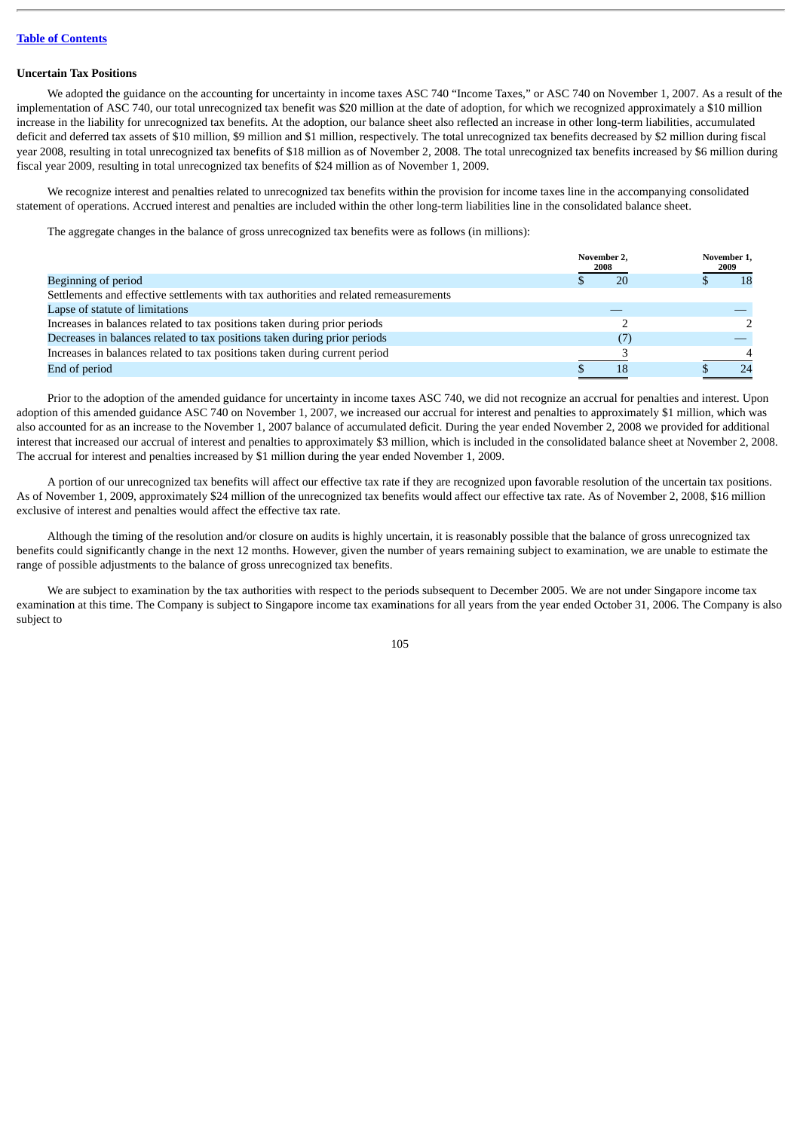### **Uncertain Tax Positions**

We adopted the guidance on the accounting for uncertainty in income taxes ASC 740 "Income Taxes," or ASC 740 on November 1, 2007. As a result of the implementation of ASC 740, our total unrecognized tax benefit was \$20 million at the date of adoption, for which we recognized approximately a \$10 million increase in the liability for unrecognized tax benefits. At the adoption, our balance sheet also reflected an increase in other long-term liabilities, accumulated deficit and deferred tax assets of \$10 million, \$9 million and \$1 million, respectively. The total unrecognized tax benefits decreased by \$2 million during fiscal year 2008, resulting in total unrecognized tax benefits of \$18 million as of November 2, 2008. The total unrecognized tax benefits increased by \$6 million during fiscal year 2009, resulting in total unrecognized tax benefits of \$24 million as of November 1, 2009.

We recognize interest and penalties related to unrecognized tax benefits within the provision for income taxes line in the accompanying consolidated statement of operations. Accrued interest and penalties are included within the other long-term liabilities line in the consolidated balance sheet.

The aggregate changes in the balance of gross unrecognized tax benefits were as follows (in millions):

|                                                                                       | <b>November 2.</b><br>2008 |    | November 1,<br>2009 |
|---------------------------------------------------------------------------------------|----------------------------|----|---------------------|
| Beginning of period                                                                   |                            | 20 | 18                  |
| Settlements and effective settlements with tax authorities and related remeasurements |                            |    |                     |
| Lapse of statute of limitations                                                       |                            |    |                     |
| Increases in balances related to tax positions taken during prior periods             |                            |    |                     |
| Decreases in balances related to tax positions taken during prior periods             |                            |    |                     |
| Increases in balances related to tax positions taken during current period            |                            |    |                     |
| End of period                                                                         |                            | 18 | 24                  |
|                                                                                       |                            |    |                     |

Prior to the adoption of the amended guidance for uncertainty in income taxes ASC 740, we did not recognize an accrual for penalties and interest. Upon adoption of this amended guidance ASC 740 on November 1, 2007, we increased our accrual for interest and penalties to approximately \$1 million, which was also accounted for as an increase to the November 1, 2007 balance of accumulated deficit. During the year ended November 2, 2008 we provided for additional interest that increased our accrual of interest and penalties to approximately \$3 million, which is included in the consolidated balance sheet at November 2, 2008. The accrual for interest and penalties increased by \$1 million during the year ended November 1, 2009.

A portion of our unrecognized tax benefits will affect our effective tax rate if they are recognized upon favorable resolution of the uncertain tax positions. As of November 1, 2009, approximately \$24 million of the unrecognized tax benefits would affect our effective tax rate. As of November 2, 2008, \$16 million exclusive of interest and penalties would affect the effective tax rate.

Although the timing of the resolution and/or closure on audits is highly uncertain, it is reasonably possible that the balance of gross unrecognized tax benefits could significantly change in the next 12 months. However, given the number of years remaining subject to examination, we are unable to estimate the range of possible adjustments to the balance of gross unrecognized tax benefits.

We are subject to examination by the tax authorities with respect to the periods subsequent to December 2005. We are not under Singapore income tax examination at this time. The Company is subject to Singapore income tax examinations for all years from the year ended October 31, 2006. The Company is also subject to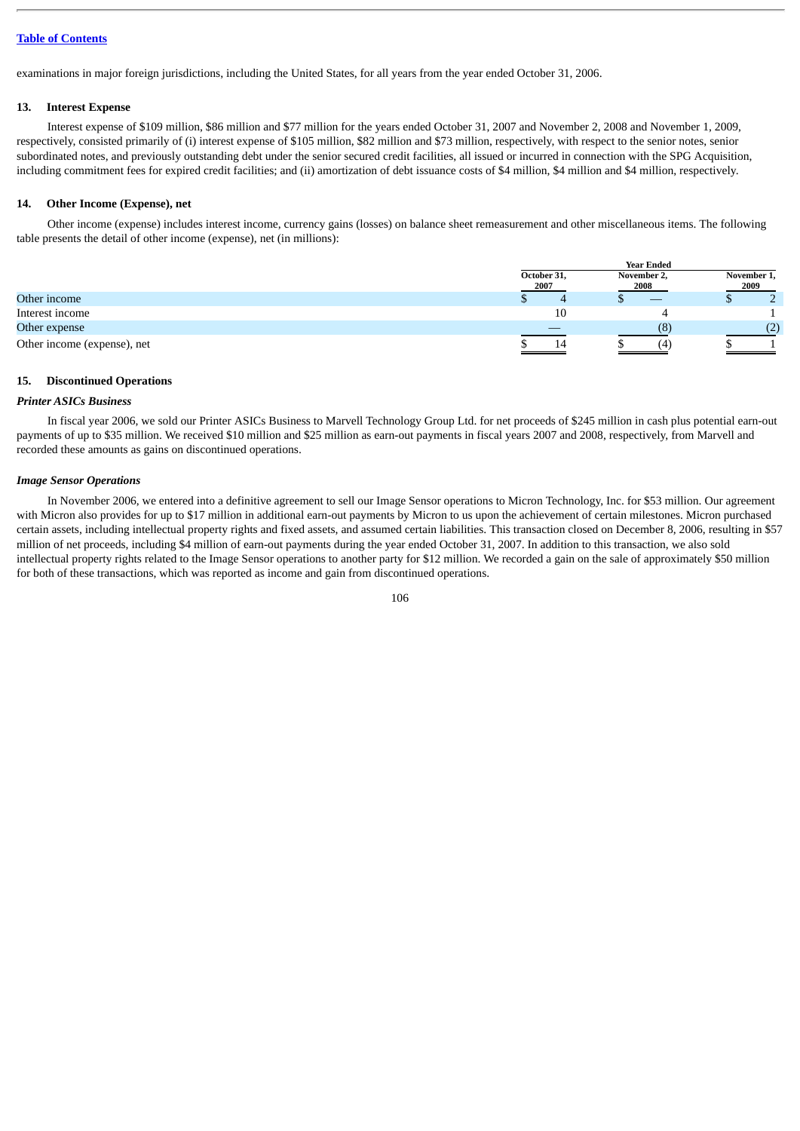examinations in major foreign jurisdictions, including the United States, for all years from the year ended October 31, 2006.

### **13. Interest Expense**

Interest expense of \$109 million, \$86 million and \$77 million for the years ended October 31, 2007 and November 2, 2008 and November 1, 2009, respectively, consisted primarily of (i) interest expense of \$105 million, \$82 million and \$73 million, respectively, with respect to the senior notes, senior subordinated notes, and previously outstanding debt under the senior secured credit facilities, all issued or incurred in connection with the SPG Acquisition, including commitment fees for expired credit facilities; and (ii) amortization of debt issuance costs of \$4 million, \$4 million and \$4 million, respectively.

### **14. Other Income (Expense), net**

Other income (expense) includes interest income, currency gains (losses) on balance sheet remeasurement and other miscellaneous items. The following table presents the detail of other income (expense), net (in millions):

|                             |                     | <b>Year Ended</b>   |                     |
|-----------------------------|---------------------|---------------------|---------------------|
|                             | October 31,<br>2007 | November 2,<br>2008 | November 1,<br>2009 |
| Other income                |                     |                     |                     |
| Interest income             |                     |                     |                     |
| Other expense               |                     |                     | (2)                 |
| Other income (expense), net |                     | (4)                 |                     |

# **15. Discontinued Operations**

### *Printer ASICs Business*

In fiscal year 2006, we sold our Printer ASICs Business to Marvell Technology Group Ltd. for net proceeds of \$245 million in cash plus potential earn-out payments of up to \$35 million. We received \$10 million and \$25 million as earn-out payments in fiscal years 2007 and 2008, respectively, from Marvell and recorded these amounts as gains on discontinued operations.

#### *Image Sensor Operations*

In November 2006, we entered into a definitive agreement to sell our Image Sensor operations to Micron Technology, Inc. for \$53 million. Our agreement with Micron also provides for up to \$17 million in additional earn-out payments by Micron to us upon the achievement of certain milestones. Micron purchased certain assets, including intellectual property rights and fixed assets, and assumed certain liabilities. This transaction closed on December 8, 2006, resulting in \$57 million of net proceeds, including \$4 million of earn-out payments during the year ended October 31, 2007. In addition to this transaction, we also sold intellectual property rights related to the Image Sensor operations to another party for \$12 million. We recorded a gain on the sale of approximately \$50 million for both of these transactions, which was reported as income and gain from discontinued operations.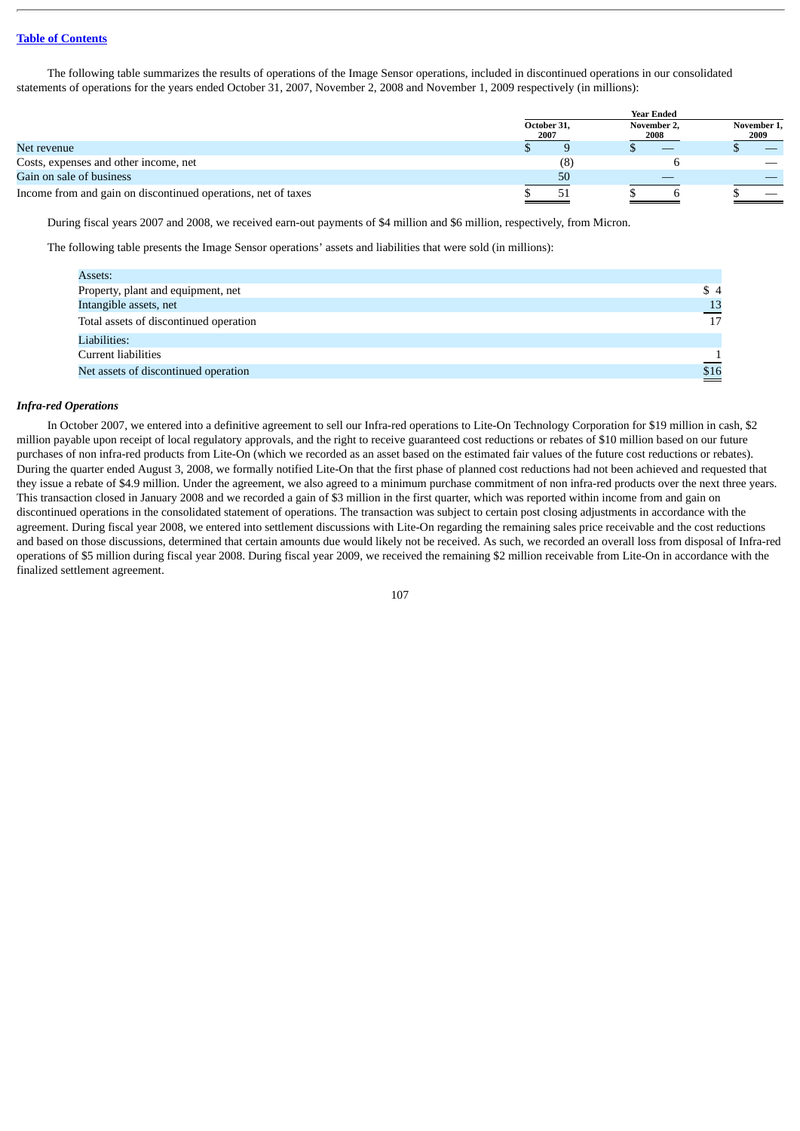The following table summarizes the results of operations of the Image Sensor operations, included in discontinued operations in our consolidated statements of operations for the years ended October 31, 2007, November 2, 2008 and November 1, 2009 respectively (in millions):

|                                                               | <b>Year Ended</b>   |                     |                     |
|---------------------------------------------------------------|---------------------|---------------------|---------------------|
|                                                               | October 31.<br>2007 | November 2.<br>2008 | November 1.<br>2009 |
| Net revenue                                                   |                     |                     |                     |
| Costs, expenses and other income, net                         | (8)                 |                     |                     |
| Gain on sale of business                                      | 50                  |                     |                     |
| Income from and gain on discontinued operations, net of taxes |                     |                     |                     |

During fiscal years 2007 and 2008, we received earn-out payments of \$4 million and \$6 million, respectively, from Micron.

The following table presents the Image Sensor operations' assets and liabilities that were sold (in millions):

| Assets:                                |      |
|----------------------------------------|------|
| Property, plant and equipment, net     | \$4  |
| Intangible assets, net                 | 13   |
| Total assets of discontinued operation | 17   |
| Liabilities:                           |      |
| Current liabilities                    |      |
| Net assets of discontinued operation   | \$16 |
|                                        |      |

## *Infra-red Operations*

In October 2007, we entered into a definitive agreement to sell our Infra-red operations to Lite-On Technology Corporation for \$19 million in cash, \$2 million payable upon receipt of local regulatory approvals, and the right to receive guaranteed cost reductions or rebates of \$10 million based on our future purchases of non infra-red products from Lite-On (which we recorded as an asset based on the estimated fair values of the future cost reductions or rebates). During the quarter ended August 3, 2008, we formally notified Lite-On that the first phase of planned cost reductions had not been achieved and requested that they issue a rebate of \$4.9 million. Under the agreement, we also agreed to a minimum purchase commitment of non infra-red products over the next three years. This transaction closed in January 2008 and we recorded a gain of \$3 million in the first quarter, which was reported within income from and gain on discontinued operations in the consolidated statement of operations. The transaction was subject to certain post closing adjustments in accordance with the agreement. During fiscal year 2008, we entered into settlement discussions with Lite-On regarding the remaining sales price receivable and the cost reductions and based on those discussions, determined that certain amounts due would likely not be received. As such, we recorded an overall loss from disposal of Infra-red operations of \$5 million during fiscal year 2008. During fiscal year 2009, we received the remaining \$2 million receivable from Lite-On in accordance with the finalized settlement agreement.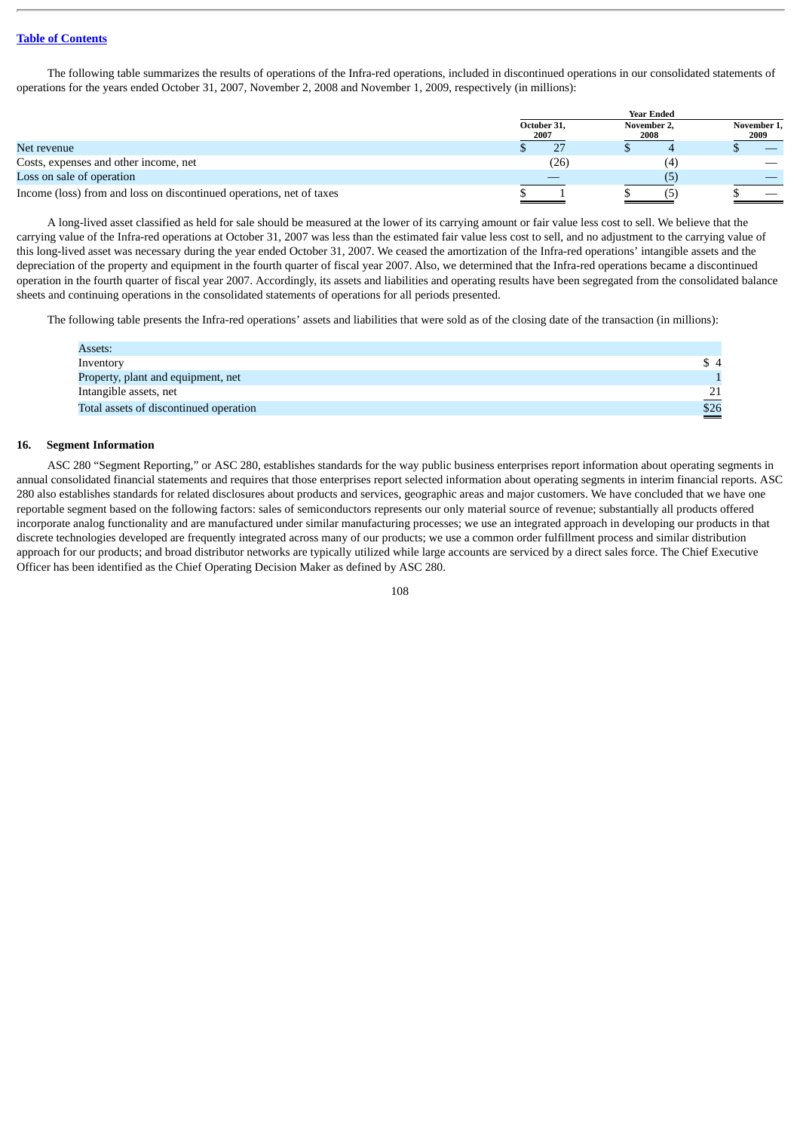The following table summarizes the results of operations of the Infra-red operations, included in discontinued operations in our consolidated statements of operations for the years ended October 31, 2007, November 2, 2008 and November 1, 2009, respectively (in millions):

|                                                                      | <b>Year Ended</b>   |                     |                     |
|----------------------------------------------------------------------|---------------------|---------------------|---------------------|
|                                                                      | October 31,<br>2007 | November 2,<br>2008 | November 1.<br>2009 |
| Net revenue                                                          |                     |                     |                     |
| Costs, expenses and other income, net                                | (26)                | (4)                 |                     |
| Loss on sale of operation                                            |                     |                     |                     |
| Income (loss) from and loss on discontinued operations, net of taxes |                     |                     |                     |

A long-lived asset classified as held for sale should be measured at the lower of its carrying amount or fair value less cost to sell. We believe that the carrying value of the Infra-red operations at October 31, 2007 was less than the estimated fair value less cost to sell, and no adjustment to the carrying value of this long-lived asset was necessary during the year ended October 31, 2007. We ceased the amortization of the Infra-red operations' intangible assets and the depreciation of the property and equipment in the fourth quarter of fiscal year 2007. Also, we determined that the Infra-red operations became a discontinued operation in the fourth quarter of fiscal year 2007. Accordingly, its assets and liabilities and operating results have been segregated from the consolidated balance sheets and continuing operations in the consolidated statements of operations for all periods presented.

The following table presents the Infra-red operations' assets and liabilities that were sold as of the closing date of the transaction (in millions):

| Assets:                                |                |
|----------------------------------------|----------------|
| Inventory                              | \$4            |
| Property, plant and equipment, net     |                |
| Intangible assets, net                 | 21             |
| Total assets of discontinued operation | \$26<br>$\sim$ |

### **16. Segment Information**

ASC 280 "Segment Reporting," or ASC 280, establishes standards for the way public business enterprises report information about operating segments in annual consolidated financial statements and requires that those enterprises report selected information about operating segments in interim financial reports. ASC 280 also establishes standards for related disclosures about products and services, geographic areas and major customers. We have concluded that we have one reportable segment based on the following factors: sales of semiconductors represents our only material source of revenue; substantially all products offered incorporate analog functionality and are manufactured under similar manufacturing processes; we use an integrated approach in developing our products in that discrete technologies developed are frequently integrated across many of our products; we use a common order fulfillment process and similar distribution approach for our products; and broad distributor networks are typically utilized while large accounts are serviced by a direct sales force. The Chief Executive Officer has been identified as the Chief Operating Decision Maker as defined by ASC 280.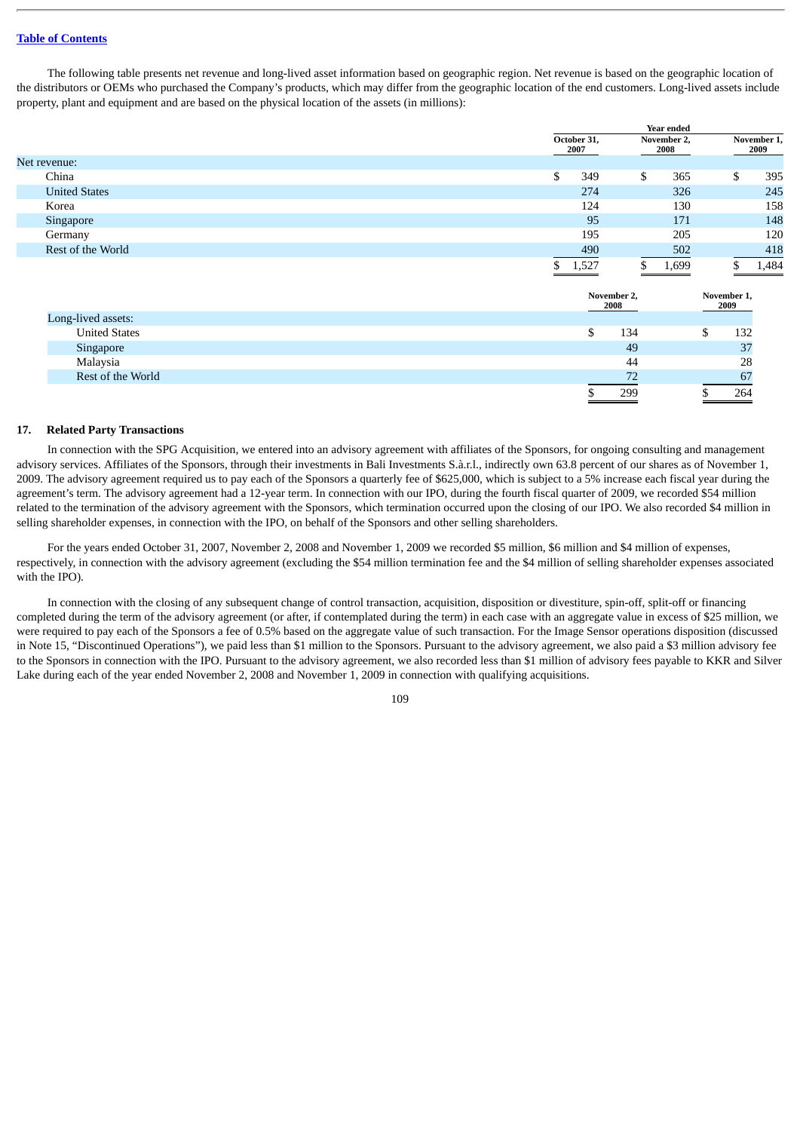The following table presents net revenue and long-lived asset information based on geographic region. Net revenue is based on the geographic location of the distributors or OEMs who purchased the Company's products, which may differ from the geographic location of the end customers. Long-lived assets include property, plant and equipment and are based on the physical location of the assets (in millions):

|                      |                     | Year ended          |                     |  |  |
|----------------------|---------------------|---------------------|---------------------|--|--|
|                      | October 31,<br>2007 | November 2,<br>2008 | November 1,<br>2009 |  |  |
| Net revenue:         |                     |                     |                     |  |  |
| China                | 349<br>¢<br>J       | 365<br>\$           | 395<br>\$           |  |  |
| <b>United States</b> | 274                 | 326                 | 245                 |  |  |
| Korea                | 124                 | 130                 | 158                 |  |  |
| Singapore            | 95                  | 171                 | 148                 |  |  |
| Germany              | 195                 | 205                 | 120                 |  |  |
| Rest of the World    | 490                 | 502                 | 418                 |  |  |
|                      | 1,527               | 1,699               | .484                |  |  |
|                      |                     |                     |                     |  |  |

|                      | November 2,<br>2008 | November 1,<br>$-2009$ |
|----------------------|---------------------|------------------------|
| Long-lived assets:   |                     |                        |
| <b>United States</b> | 134                 | 132                    |
| Singapore            | 49                  | 37                     |
| Malaysia             | 44                  | 28                     |
| Rest of the World    | 72                  | 67                     |
|                      | 299                 | 264                    |

#### **17. Related Party Transactions**

In connection with the SPG Acquisition, we entered into an advisory agreement with affiliates of the Sponsors, for ongoing consulting and management advisory services. Affiliates of the Sponsors, through their investments in Bali Investments S.à.r.l., indirectly own 63.8 percent of our shares as of November 1, 2009. The advisory agreement required us to pay each of the Sponsors a quarterly fee of \$625,000, which is subject to a 5% increase each fiscal year during the agreement's term. The advisory agreement had a 12-year term. In connection with our IPO, during the fourth fiscal quarter of 2009, we recorded \$54 million related to the termination of the advisory agreement with the Sponsors, which termination occurred upon the closing of our IPO. We also recorded \$4 million in selling shareholder expenses, in connection with the IPO, on behalf of the Sponsors and other selling shareholders.

For the years ended October 31, 2007, November 2, 2008 and November 1, 2009 we recorded \$5 million, \$6 million and \$4 million of expenses, respectively, in connection with the advisory agreement (excluding the \$54 million termination fee and the \$4 million of selling shareholder expenses associated with the IPO).

In connection with the closing of any subsequent change of control transaction, acquisition, disposition or divestiture, spin-off, split-off or financing completed during the term of the advisory agreement (or after, if contemplated during the term) in each case with an aggregate value in excess of \$25 million, we were required to pay each of the Sponsors a fee of 0.5% based on the aggregate value of such transaction. For the Image Sensor operations disposition (discussed in Note 15, "Discontinued Operations"), we paid less than \$1 million to the Sponsors. Pursuant to the advisory agreement, we also paid a \$3 million advisory fee to the Sponsors in connection with the IPO. Pursuant to the advisory agreement, we also recorded less than \$1 million of advisory fees payable to KKR and Silver Lake during each of the year ended November 2, 2008 and November 1, 2009 in connection with qualifying acquisitions.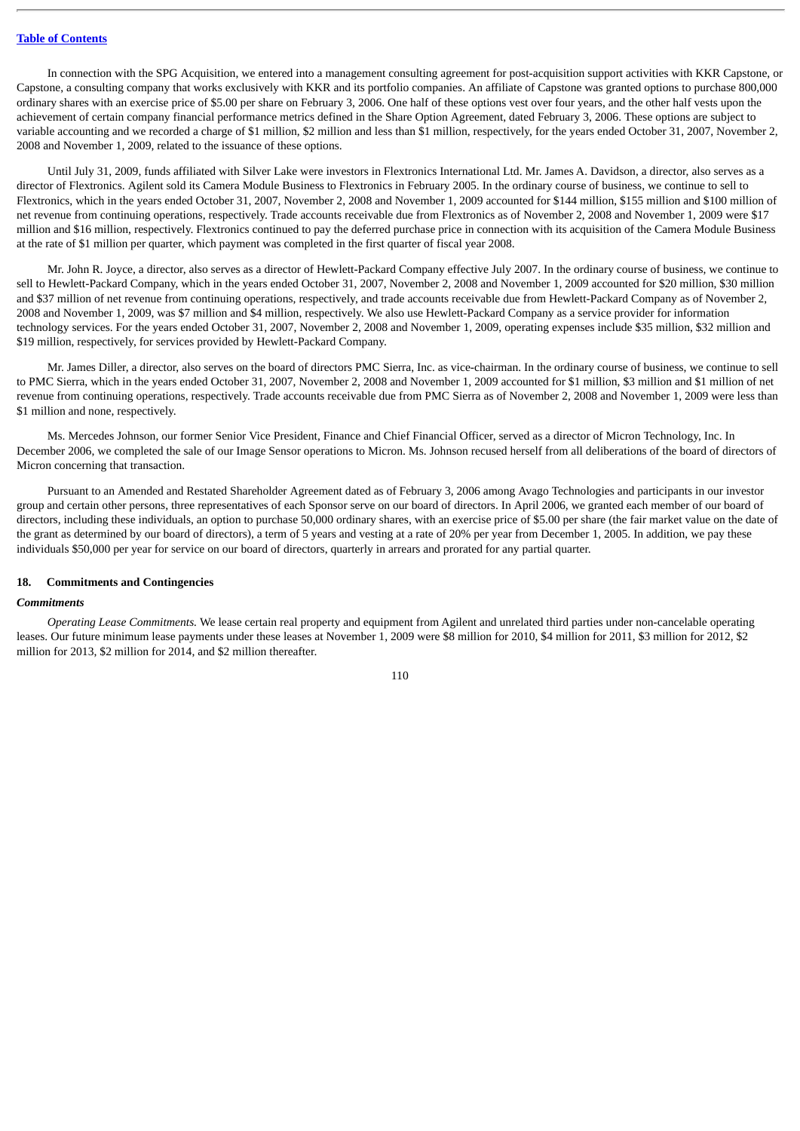In connection with the SPG Acquisition, we entered into a management consulting agreement for post-acquisition support activities with KKR Capstone, or Capstone, a consulting company that works exclusively with KKR and its portfolio companies. An affiliate of Capstone was granted options to purchase 800,000 ordinary shares with an exercise price of \$5.00 per share on February 3, 2006. One half of these options vest over four years, and the other half vests upon the achievement of certain company financial performance metrics defined in the Share Option Agreement, dated February 3, 2006. These options are subject to variable accounting and we recorded a charge of \$1 million, \$2 million and less than \$1 million, respectively, for the years ended October 31, 2007, November 2, 2008 and November 1, 2009, related to the issuance of these options.

Until July 31, 2009, funds affiliated with Silver Lake were investors in Flextronics International Ltd. Mr. James A. Davidson, a director, also serves as a director of Flextronics. Agilent sold its Camera Module Business to Flextronics in February 2005. In the ordinary course of business, we continue to sell to Flextronics, which in the years ended October 31, 2007, November 2, 2008 and November 1, 2009 accounted for \$144 million, \$155 million and \$100 million of net revenue from continuing operations, respectively. Trade accounts receivable due from Flextronics as of November 2, 2008 and November 1, 2009 were \$17 million and \$16 million, respectively. Flextronics continued to pay the deferred purchase price in connection with its acquisition of the Camera Module Business at the rate of \$1 million per quarter, which payment was completed in the first quarter of fiscal year 2008.

Mr. John R. Joyce, a director, also serves as a director of Hewlett-Packard Company effective July 2007. In the ordinary course of business, we continue to sell to Hewlett-Packard Company, which in the years ended October 31, 2007, November 2, 2008 and November 1, 2009 accounted for \$20 million, \$30 million and \$37 million of net revenue from continuing operations, respectively, and trade accounts receivable due from Hewlett-Packard Company as of November 2, 2008 and November 1, 2009, was \$7 million and \$4 million, respectively. We also use Hewlett-Packard Company as a service provider for information technology services. For the years ended October 31, 2007, November 2, 2008 and November 1, 2009, operating expenses include \$35 million, \$32 million and \$19 million, respectively, for services provided by Hewlett-Packard Company.

Mr. James Diller, a director, also serves on the board of directors PMC Sierra, Inc. as vice-chairman. In the ordinary course of business, we continue to sell to PMC Sierra, which in the years ended October 31, 2007, November 2, 2008 and November 1, 2009 accounted for \$1 million, \$3 million and \$1 million of net revenue from continuing operations, respectively. Trade accounts receivable due from PMC Sierra as of November 2, 2008 and November 1, 2009 were less than \$1 million and none, respectively.

Ms. Mercedes Johnson, our former Senior Vice President, Finance and Chief Financial Officer, served as a director of Micron Technology, Inc. In December 2006, we completed the sale of our Image Sensor operations to Micron. Ms. Johnson recused herself from all deliberations of the board of directors of Micron concerning that transaction.

Pursuant to an Amended and Restated Shareholder Agreement dated as of February 3, 2006 among Avago Technologies and participants in our investor group and certain other persons, three representatives of each Sponsor serve on our board of directors. In April 2006, we granted each member of our board of directors, including these individuals, an option to purchase 50,000 ordinary shares, with an exercise price of \$5.00 per share (the fair market value on the date of the grant as determined by our board of directors), a term of 5 years and vesting at a rate of 20% per year from December 1, 2005. In addition, we pay these individuals \$50,000 per year for service on our board of directors, quarterly in arrears and prorated for any partial quarter.

#### **18. Commitments and Contingencies**

#### *Commitments*

*Operating Lease Commitments.* We lease certain real property and equipment from Agilent and unrelated third parties under non-cancelable operating leases. Our future minimum lease payments under these leases at November 1, 2009 were \$8 million for 2010, \$4 million for 2011, \$3 million for 2012, \$2 million for 2013, \$2 million for 2014, and \$2 million thereafter.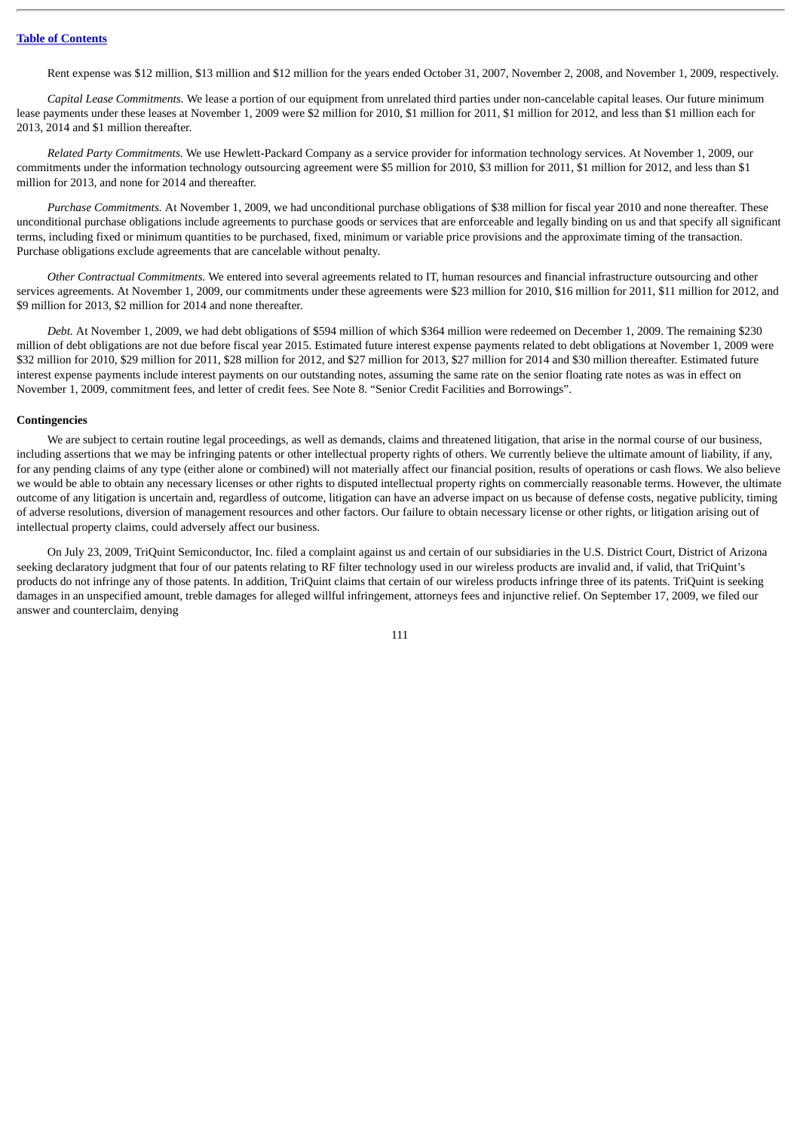Rent expense was \$12 million, \$13 million and \$12 million for the years ended October 31, 2007, November 2, 2008, and November 1, 2009, respectively.

*Capital Lease Commitments.* We lease a portion of our equipment from unrelated third parties under non-cancelable capital leases. Our future minimum lease payments under these leases at November 1, 2009 were \$2 million for 2010, \$1 million for 2011, \$1 million for 2012, and less than \$1 million each for 2013, 2014 and \$1 million thereafter.

*Related Party Commitments.* We use Hewlett-Packard Company as a service provider for information technology services. At November 1, 2009, our commitments under the information technology outsourcing agreement were \$5 million for 2010, \$3 million for 2011, \$1 million for 2012, and less than \$1 million for 2013, and none for 2014 and thereafter.

*Purchase Commitments.* At November 1, 2009, we had unconditional purchase obligations of \$38 million for fiscal year 2010 and none thereafter. These unconditional purchase obligations include agreements to purchase goods or services that are enforceable and legally binding on us and that specify all significant terms, including fixed or minimum quantities to be purchased, fixed, minimum or variable price provisions and the approximate timing of the transaction. Purchase obligations exclude agreements that are cancelable without penalty.

*Other Contractual Commitments.* We entered into several agreements related to IT, human resources and financial infrastructure outsourcing and other services agreements. At November 1, 2009, our commitments under these agreements were \$23 million for 2010, \$16 million for 2011, \$11 million for 2012, and \$9 million for 2013, \$2 million for 2014 and none thereafter.

*Debt.* At November 1, 2009, we had debt obligations of \$594 million of which \$364 million were redeemed on December 1, 2009. The remaining \$230 million of debt obligations are not due before fiscal year 2015. Estimated future interest expense payments related to debt obligations at November 1, 2009 were \$32 million for 2010, \$29 million for 2011, \$28 million for 2012, and \$27 million for 2013, \$27 million for 2014 and \$30 million thereafter. Estimated future interest expense payments include interest payments on our outstanding notes, assuming the same rate on the senior floating rate notes as was in effect on November 1, 2009, commitment fees, and letter of credit fees. See Note 8. "Senior Credit Facilities and Borrowings".

#### **Contingencies**

We are subject to certain routine legal proceedings, as well as demands, claims and threatened litigation, that arise in the normal course of our business, including assertions that we may be infringing patents or other intellectual property rights of others. We currently believe the ultimate amount of liability, if any, for any pending claims of any type (either alone or combined) will not materially affect our financial position, results of operations or cash flows. We also believe we would be able to obtain any necessary licenses or other rights to disputed intellectual property rights on commercially reasonable terms. However, the ultimate outcome of any litigation is uncertain and, regardless of outcome, litigation can have an adverse impact on us because of defense costs, negative publicity, timing of adverse resolutions, diversion of management resources and other factors. Our failure to obtain necessary license or other rights, or litigation arising out of intellectual property claims, could adversely affect our business.

On July 23, 2009, TriQuint Semiconductor, Inc. filed a complaint against us and certain of our subsidiaries in the U.S. District Court, District of Arizona seeking declaratory judgment that four of our patents relating to RF filter technology used in our wireless products are invalid and, if valid, that TriQuint's products do not infringe any of those patents. In addition, TriQuint claims that certain of our wireless products infringe three of its patents. TriQuint is seeking damages in an unspecified amount, treble damages for alleged willful infringement, attorneys fees and injunctive relief. On September 17, 2009, we filed our answer and counterclaim, denying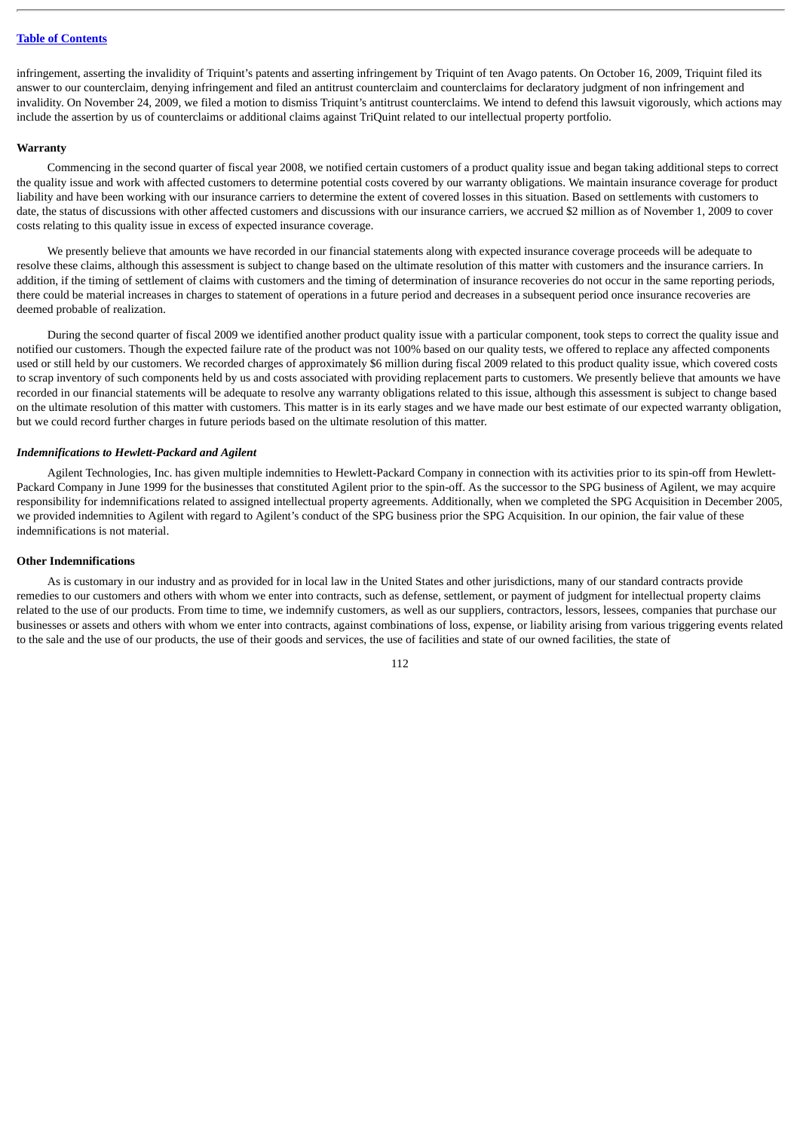infringement, asserting the invalidity of Triquint's patents and asserting infringement by Triquint of ten Avago patents. On October 16, 2009, Triquint filed its answer to our counterclaim, denying infringement and filed an antitrust counterclaim and counterclaims for declaratory judgment of non infringement and invalidity. On November 24, 2009, we filed a motion to dismiss Triquint's antitrust counterclaims. We intend to defend this lawsuit vigorously, which actions may include the assertion by us of counterclaims or additional claims against TriQuint related to our intellectual property portfolio.

#### **Warranty**

Commencing in the second quarter of fiscal year 2008, we notified certain customers of a product quality issue and began taking additional steps to correct the quality issue and work with affected customers to determine potential costs covered by our warranty obligations. We maintain insurance coverage for product liability and have been working with our insurance carriers to determine the extent of covered losses in this situation. Based on settlements with customers to date, the status of discussions with other affected customers and discussions with our insurance carriers, we accrued \$2 million as of November 1, 2009 to cover costs relating to this quality issue in excess of expected insurance coverage.

We presently believe that amounts we have recorded in our financial statements along with expected insurance coverage proceeds will be adequate to resolve these claims, although this assessment is subject to change based on the ultimate resolution of this matter with customers and the insurance carriers. In addition, if the timing of settlement of claims with customers and the timing of determination of insurance recoveries do not occur in the same reporting periods, there could be material increases in charges to statement of operations in a future period and decreases in a subsequent period once insurance recoveries are deemed probable of realization.

During the second quarter of fiscal 2009 we identified another product quality issue with a particular component, took steps to correct the quality issue and notified our customers. Though the expected failure rate of the product was not 100% based on our quality tests, we offered to replace any affected components used or still held by our customers. We recorded charges of approximately \$6 million during fiscal 2009 related to this product quality issue, which covered costs to scrap inventory of such components held by us and costs associated with providing replacement parts to customers. We presently believe that amounts we have recorded in our financial statements will be adequate to resolve any warranty obligations related to this issue, although this assessment is subject to change based on the ultimate resolution of this matter with customers. This matter is in its early stages and we have made our best estimate of our expected warranty obligation, but we could record further charges in future periods based on the ultimate resolution of this matter.

#### *Indemnifications to Hewlett-Packard and Agilent*

Agilent Technologies, Inc. has given multiple indemnities to Hewlett-Packard Company in connection with its activities prior to its spin-off from Hewlett-Packard Company in June 1999 for the businesses that constituted Agilent prior to the spin-off. As the successor to the SPG business of Agilent, we may acquire responsibility for indemnifications related to assigned intellectual property agreements. Additionally, when we completed the SPG Acquisition in December 2005, we provided indemnities to Agilent with regard to Agilent's conduct of the SPG business prior the SPG Acquisition. In our opinion, the fair value of these indemnifications is not material.

#### **Other Indemnifications**

As is customary in our industry and as provided for in local law in the United States and other jurisdictions, many of our standard contracts provide remedies to our customers and others with whom we enter into contracts, such as defense, settlement, or payment of judgment for intellectual property claims related to the use of our products. From time to time, we indemnify customers, as well as our suppliers, contractors, lessors, lessees, companies that purchase our businesses or assets and others with whom we enter into contracts, against combinations of loss, expense, or liability arising from various triggering events related to the sale and the use of our products, the use of their goods and services, the use of facilities and state of our owned facilities, the state of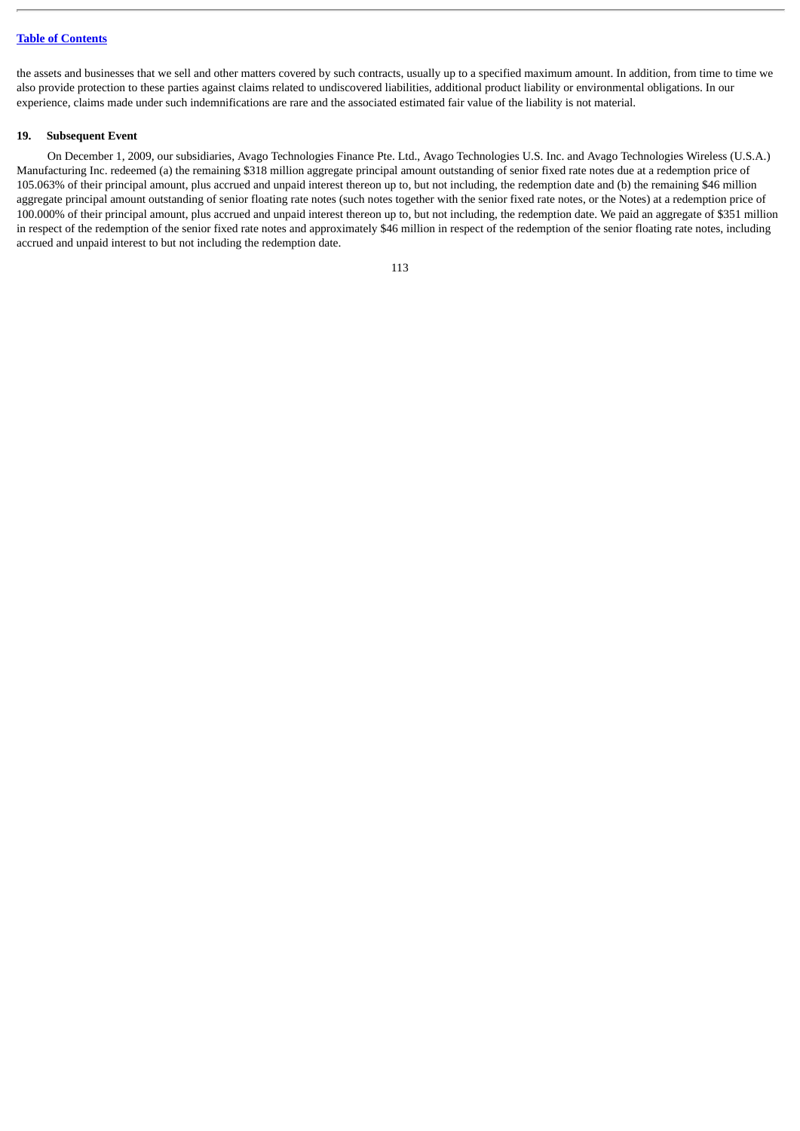the assets and businesses that we sell and other matters covered by such contracts, usually up to a specified maximum amount. In addition, from time to time we also provide protection to these parties against claims related to undiscovered liabilities, additional product liability or environmental obligations. In our experience, claims made under such indemnifications are rare and the associated estimated fair value of the liability is not material.

#### **19. Subsequent Event**

On December 1, 2009, our subsidiaries, Avago Technologies Finance Pte. Ltd., Avago Technologies U.S. Inc. and Avago Technologies Wireless (U.S.A.) Manufacturing Inc. redeemed (a) the remaining \$318 million aggregate principal amount outstanding of senior fixed rate notes due at a redemption price of 105.063% of their principal amount, plus accrued and unpaid interest thereon up to, but not including, the redemption date and (b) the remaining \$46 million aggregate principal amount outstanding of senior floating rate notes (such notes together with the senior fixed rate notes, or the Notes) at a redemption price of 100.000% of their principal amount, plus accrued and unpaid interest thereon up to, but not including, the redemption date. We paid an aggregate of \$351 million in respect of the redemption of the senior fixed rate notes and approximately \$46 million in respect of the redemption of the senior floating rate notes, including accrued and unpaid interest to but not including the redemption date.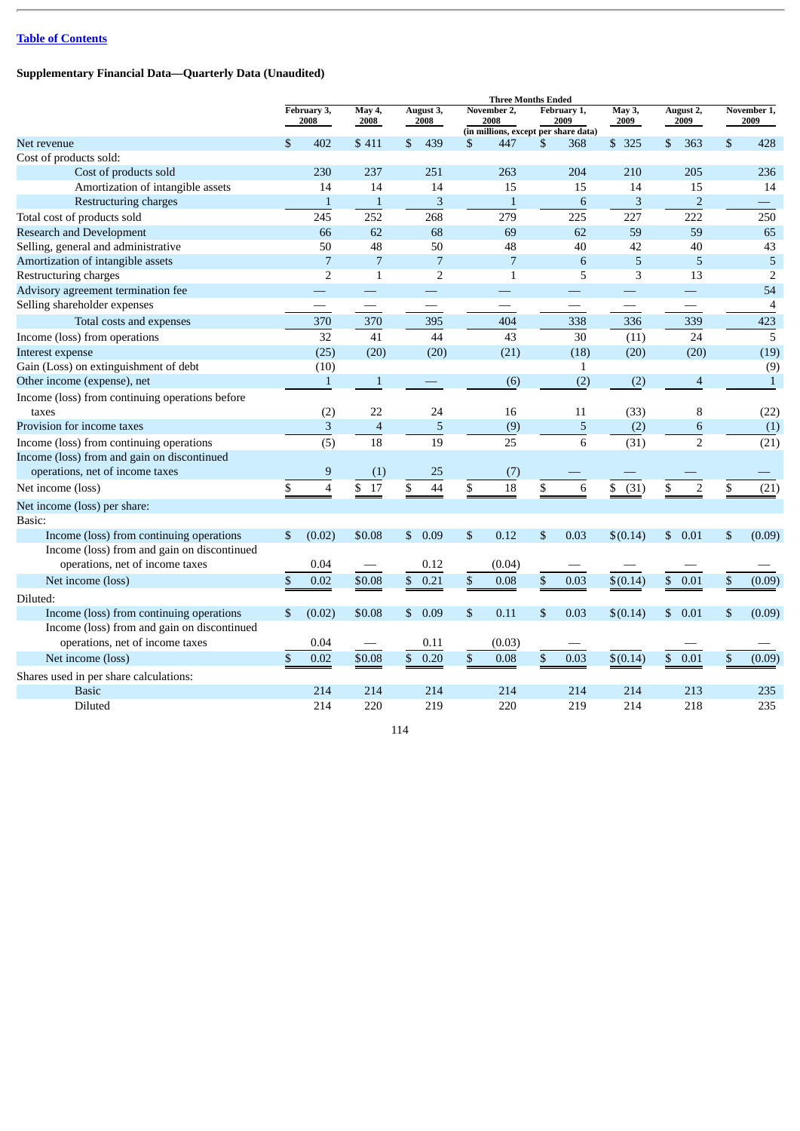# **Supplementary Financial Data—Quarterly Data (Unaudited)**

|                                                 |                      |                |              |                   |                           | <b>Three Months Ended</b>                   |               |                     |                |              |                   |              |                     |
|-------------------------------------------------|----------------------|----------------|--------------|-------------------|---------------------------|---------------------------------------------|---------------|---------------------|----------------|--------------|-------------------|--------------|---------------------|
|                                                 | February 3,<br>2008  | May 4,<br>2008 |              | August 3,<br>2008 |                           | November 2,<br>2008                         |               | February 1,<br>2009 | May 3,<br>2009 |              | August 2,<br>2009 |              | November 1,<br>2009 |
| Net revenue                                     | \$<br>402            | \$411          | \$           | 439               | \$                        | (in millions, except per share data)<br>447 | \$            | 368                 | \$325          | \$           | 363               | \$           | 428                 |
| Cost of products sold:                          |                      |                |              |                   |                           |                                             |               |                     |                |              |                   |              |                     |
| Cost of products sold                           | 230                  | 237            |              | 251               |                           | 263                                         |               | 204                 | 210            |              | 205               |              | 236                 |
| Amortization of intangible assets               | 14                   | 14             |              | 14                |                           | 15                                          |               | 15                  | 14             |              | 15                |              | 14                  |
| Restructuring charges                           | $\mathbf{1}$         | $\mathbf{1}$   |              | 3                 |                           | $\mathbf{1}$                                |               | 6                   | 3              |              | $\overline{2}$    |              |                     |
| Total cost of products sold                     | 245                  | 252            |              | 268               |                           | 279                                         |               | 225                 | 227            |              | 222               |              | 250                 |
| <b>Research and Development</b>                 | 66                   | 62             |              | 68                |                           | 69                                          |               | 62                  | 59             |              | 59                |              | 65                  |
| Selling, general and administrative             | 50                   | 48             |              | 50                |                           | 48                                          |               | 40                  | 42             |              | 40                |              | 43                  |
| Amortization of intangible assets               | $\overline{7}$       | $\overline{7}$ |              | $\overline{7}$    |                           | $\overline{7}$                              |               | 6                   | 5              |              | 5                 |              | 5                   |
| Restructuring charges                           | $\overline{2}$       | $\mathbf{1}$   |              | $\overline{2}$    |                           | $\mathbf{1}$                                |               | 5                   | 3              |              | 13                |              | $\overline{2}$      |
| Advisory agreement termination fee              |                      |                |              |                   |                           |                                             |               |                     |                |              |                   |              | 54                  |
| Selling shareholder expenses                    |                      |                |              |                   |                           |                                             |               |                     |                |              |                   |              | $\overline{4}$      |
| Total costs and expenses                        | 370                  | 370            |              | 395               |                           | 404                                         |               | 338                 | 336            |              | 339               |              | 423                 |
| Income (loss) from operations                   | 32                   | 41             |              | 44                |                           | 43                                          |               | 30                  | (11)           |              | 24                |              | 5                   |
| Interest expense                                | (25)                 | (20)           |              | (20)              |                           | (21)                                        |               | (18)                | (20)           |              | (20)              |              | (19)                |
| Gain (Loss) on extinguishment of debt           | (10)                 |                |              |                   |                           |                                             |               | $\mathbf{1}$        |                |              |                   |              | (9)                 |
| Other income (expense), net                     | $\mathbf{1}$         | $\mathbf{1}$   |              |                   |                           | (6)                                         |               | (2)                 | (2)            |              | $\overline{a}$    |              | $\mathbf{1}$        |
| Income (loss) from continuing operations before |                      |                |              |                   |                           |                                             |               |                     |                |              |                   |              |                     |
| taxes                                           | (2)                  | 22             |              | 24                |                           | 16                                          |               | 11                  | (33)           |              | 8                 |              | (22)                |
| Provision for income taxes                      | $\mathsf 3$          | $\overline{4}$ |              | 5                 |                           | (9)                                         |               | 5                   | (2)            |              | 6                 |              | (1)                 |
| Income (loss) from continuing operations        | (5)                  | 18             |              | 19                |                           | 25                                          |               | $\overline{6}$      | (31)           |              | $\overline{2}$    |              | (21)                |
| Income (loss) from and gain on discontinued     |                      |                |              |                   |                           |                                             |               |                     |                |              |                   |              |                     |
| operations, net of income taxes                 | $\overline{9}$       | (1)            |              | 25                |                           | (7)                                         |               |                     |                |              |                   |              |                     |
| Net income (loss)                               | \$<br>$\overline{4}$ | \$<br>17       | \$           | 44                | \$                        | 18                                          | \$            | 6                   | (31)<br>\$     | \$           | $\overline{2}$    | \$           | (21)                |
| Net income (loss) per share:                    |                      |                |              |                   |                           |                                             |               |                     |                |              |                   |              |                     |
| Basic:                                          |                      |                |              |                   |                           |                                             |               |                     |                |              |                   |              |                     |
| Income (loss) from continuing operations        | \$<br>(0.02)         | \$0.08         | \$           | 0.09              | \$                        | 0.12                                        | \$            | 0.03                | \$(0.14)       | \$           | 0.01              | \$           | (0.09)              |
| Income (loss) from and gain on discontinued     |                      |                |              |                   |                           |                                             |               |                     |                |              |                   |              |                     |
| operations, net of income taxes                 | 0.04                 |                |              | 0.12              |                           | (0.04)                                      |               |                     |                |              |                   |              |                     |
| Net income (loss)                               | \$<br>0.02           | \$0.08         | $\mathbb{S}$ | 0.21              | $\boldsymbol{\mathsf{S}}$ | 0.08                                        | $\mathcal{S}$ | 0.03                | \$(0.14)       | $\mathbb{S}$ | 0.01              | $\mathbb{S}$ | (0.09)              |
| Diluted:                                        |                      |                |              |                   |                           |                                             |               |                     |                |              |                   |              |                     |
| Income (loss) from continuing operations        | \$<br>(0.02)         | \$0.08         | \$           | 0.09              | \$                        | 0.11                                        | \$            | 0.03                | \$(0.14)       | \$           | 0.01              | \$           | (0.09)              |
| Income (loss) from and gain on discontinued     |                      |                |              |                   |                           |                                             |               |                     |                |              |                   |              |                     |
| operations, net of income taxes                 | 0.04                 |                |              | 0.11              |                           | (0.03)                                      |               |                     |                |              |                   |              |                     |
| Net income (loss)                               | \$<br>0.02           | \$0.08         | \$           | 0.20              | \$                        | 0.08                                        | \$            | 0.03                | \$(0.14)       | \$           | 0.01              | \$           | (0.09)              |
| Shares used in per share calculations:          |                      |                |              |                   |                           |                                             |               |                     |                |              |                   |              |                     |
| <b>Basic</b>                                    | 214                  | 214            |              | 214               |                           | 214                                         |               | 214                 | 214            |              | 213               |              | 235                 |
| Diluted                                         | 214                  | 220            |              | 219               |                           | 220                                         |               | 219                 | 214            |              | 218               |              | 235                 |
|                                                 |                      |                |              |                   |                           |                                             |               |                     |                |              |                   |              |                     |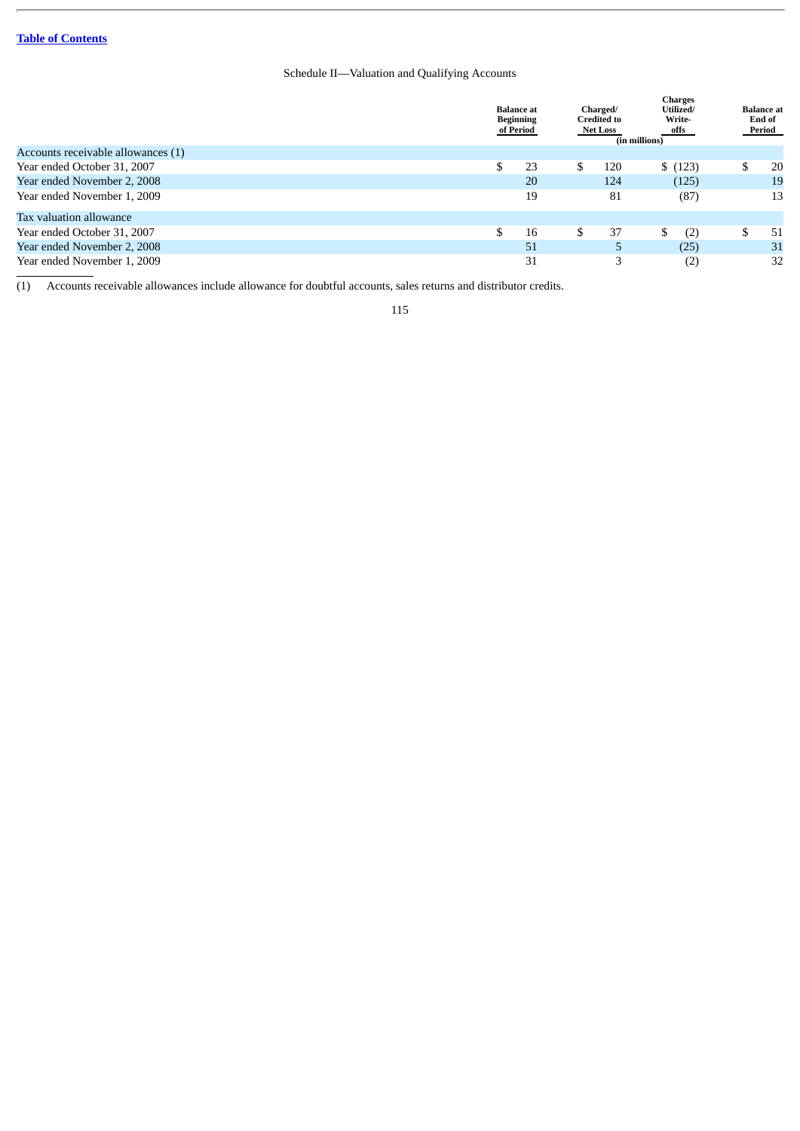# Schedule II—Valuation and Qualifying Accounts

|                                    | <b>Balance</b> at<br><b>Beginning</b><br>of Period |    | Charged/<br><b>Credited to</b><br><b>Net Loss</b> | (in millions) | <b>Charges</b><br>Utilized/<br>Write-<br><u>offs</u> | <b>Balance</b> at<br>End of<br>Period |
|------------------------------------|----------------------------------------------------|----|---------------------------------------------------|---------------|------------------------------------------------------|---------------------------------------|
| Accounts receivable allowances (1) |                                                    |    |                                                   |               |                                                      |                                       |
| Year ended October 31, 2007        | \$<br>23                                           | S. | 120                                               |               | \$(123)                                              | \$<br>20                              |
| Year ended November 2, 2008        | 20                                                 |    | 124                                               |               | (125)                                                | 19                                    |
| Year ended November 1, 2009        | 19                                                 |    | 81                                                |               | (87)                                                 | 13                                    |
| Tax valuation allowance            |                                                    |    |                                                   |               |                                                      |                                       |
| Year ended October 31, 2007        | \$<br>16                                           | \$ | 37                                                | \$            | (2)                                                  | \$<br>51                              |
| Year ended November 2, 2008        | 51                                                 |    | 5                                                 |               | (25)                                                 | 31                                    |
| Year ended November 1, 2009        | 31                                                 |    | 3                                                 |               | (2)                                                  | 32                                    |

(1) Accounts receivable allowances include allowance for doubtful accounts, sales returns and distributor credits.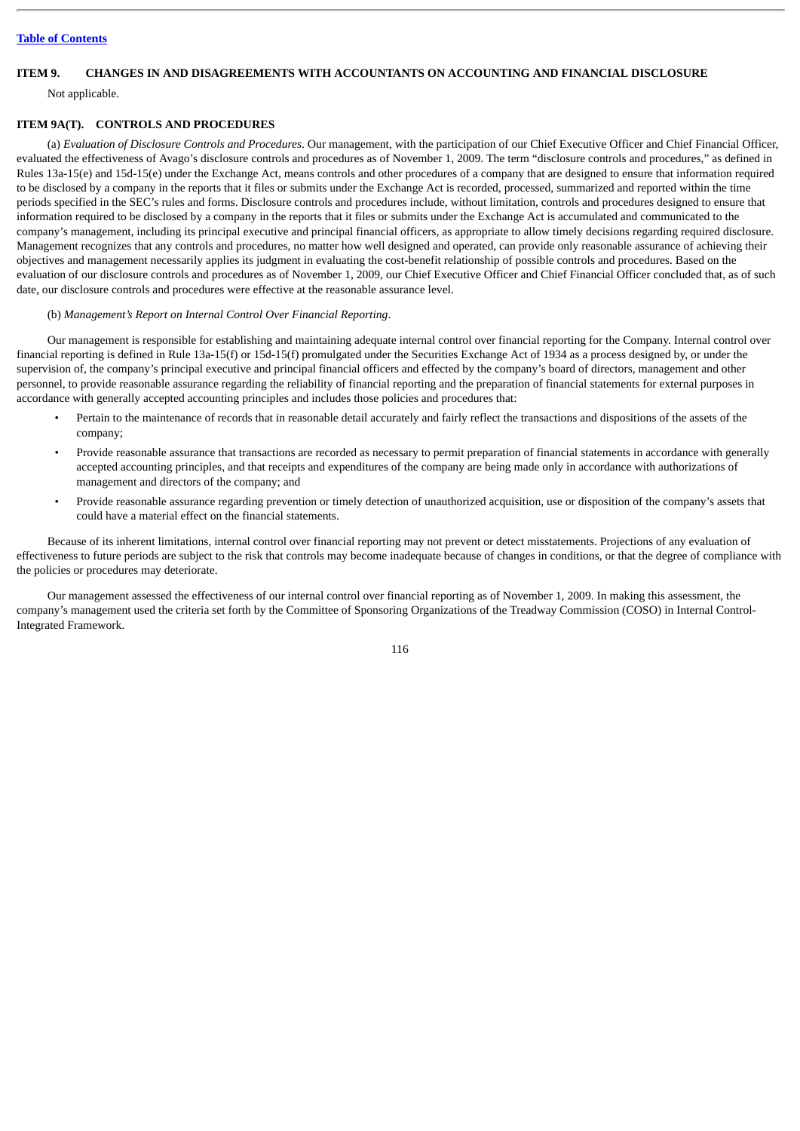#### **ITEM 9. CHANGES IN AND DISAGREEMENTS WITH ACCOUNTANTS ON ACCOUNTING AND FINANCIAL DISCLOSURE**

Not applicable.

### **ITEM 9A(T). CONTROLS AND PROCEDURES**

(a) *Evaluation of Disclosure Controls and Procedures*. Our management, with the participation of our Chief Executive Officer and Chief Financial Officer, evaluated the effectiveness of Avago's disclosure controls and procedures as of November 1, 2009. The term "disclosure controls and procedures," as defined in Rules 13a-15(e) and 15d-15(e) under the Exchange Act, means controls and other procedures of a company that are designed to ensure that information required to be disclosed by a company in the reports that it files or submits under the Exchange Act is recorded, processed, summarized and reported within the time periods specified in the SEC's rules and forms. Disclosure controls and procedures include, without limitation, controls and procedures designed to ensure that information required to be disclosed by a company in the reports that it files or submits under the Exchange Act is accumulated and communicated to the company's management, including its principal executive and principal financial officers, as appropriate to allow timely decisions regarding required disclosure. Management recognizes that any controls and procedures, no matter how well designed and operated, can provide only reasonable assurance of achieving their objectives and management necessarily applies its judgment in evaluating the cost-benefit relationship of possible controls and procedures. Based on the evaluation of our disclosure controls and procedures as of November 1, 2009, our Chief Executive Officer and Chief Financial Officer concluded that, as of such date, our disclosure controls and procedures were effective at the reasonable assurance level.

### (b) *Management's Report on Internal Control Over Financial Reporting*.

Our management is responsible for establishing and maintaining adequate internal control over financial reporting for the Company. Internal control over financial reporting is defined in Rule 13a-15(f) or 15d-15(f) promulgated under the Securities Exchange Act of 1934 as a process designed by, or under the supervision of, the company's principal executive and principal financial officers and effected by the company's board of directors, management and other personnel, to provide reasonable assurance regarding the reliability of financial reporting and the preparation of financial statements for external purposes in accordance with generally accepted accounting principles and includes those policies and procedures that:

- Pertain to the maintenance of records that in reasonable detail accurately and fairly reflect the transactions and dispositions of the assets of the company;
- Provide reasonable assurance that transactions are recorded as necessary to permit preparation of financial statements in accordance with generally accepted accounting principles, and that receipts and expenditures of the company are being made only in accordance with authorizations of management and directors of the company; and
- Provide reasonable assurance regarding prevention or timely detection of unauthorized acquisition, use or disposition of the company's assets that could have a material effect on the financial statements.

Because of its inherent limitations, internal control over financial reporting may not prevent or detect misstatements. Projections of any evaluation of effectiveness to future periods are subject to the risk that controls may become inadequate because of changes in conditions, or that the degree of compliance with the policies or procedures may deteriorate.

Our management assessed the effectiveness of our internal control over financial reporting as of November 1, 2009. In making this assessment, the company's management used the criteria set forth by the Committee of Sponsoring Organizations of the Treadway Commission (COSO) in Internal Control-Integrated Framework.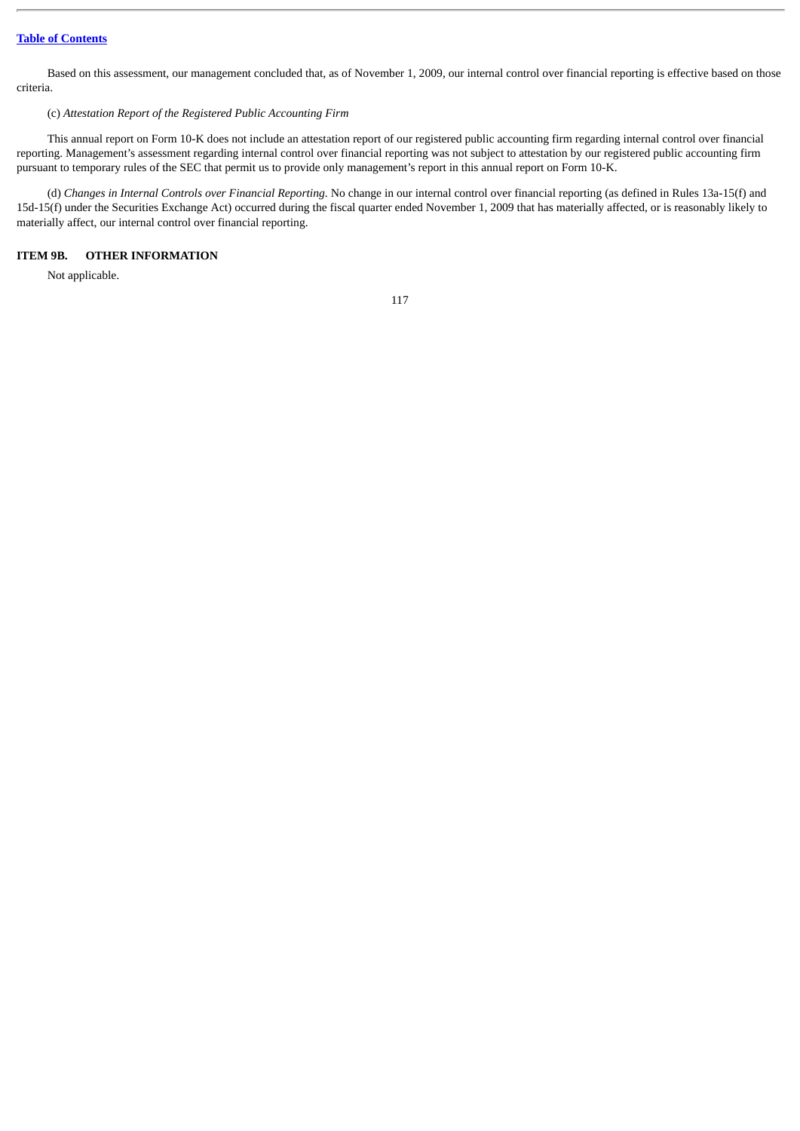Based on this assessment, our management concluded that, as of November 1, 2009, our internal control over financial reporting is effective based on those criteria.

### (c) *Attestation Report of the Registered Public Accounting Firm*

This annual report on Form 10-K does not include an attestation report of our registered public accounting firm regarding internal control over financial reporting. Management's assessment regarding internal control over financial reporting was not subject to attestation by our registered public accounting firm pursuant to temporary rules of the SEC that permit us to provide only management's report in this annual report on Form 10-K.

(d) *Changes in Internal Controls over Financial Reporting*. No change in our internal control over financial reporting (as defined in Rules 13a-15(f) and 15d-15(f) under the Securities Exchange Act) occurred during the fiscal quarter ended November 1, 2009 that has materially affected, or is reasonably likely to materially affect, our internal control over financial reporting.

### **ITEM 9B. OTHER INFORMATION**

Not applicable.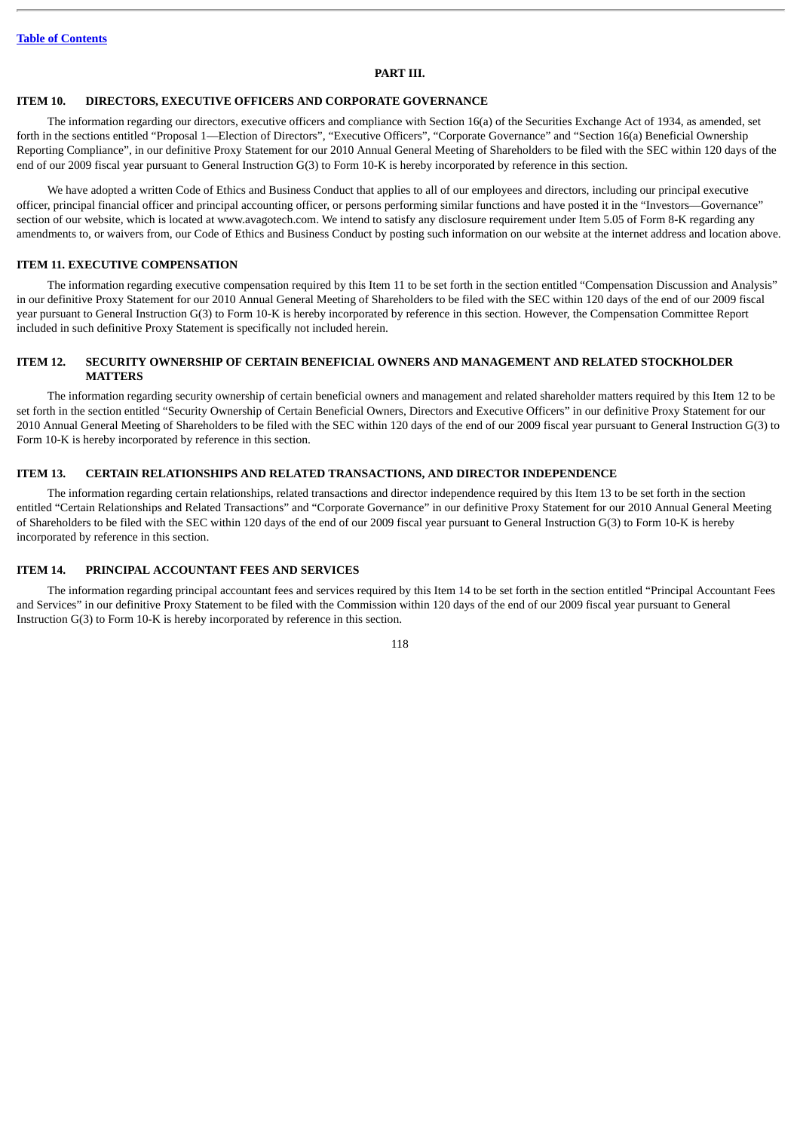### **PART III.**

### **ITEM 10. DIRECTORS, EXECUTIVE OFFICERS AND CORPORATE GOVERNANCE**

The information regarding our directors, executive officers and compliance with Section 16(a) of the Securities Exchange Act of 1934, as amended, set forth in the sections entitled "Proposal 1—Election of Directors", "Executive Officers", "Corporate Governance" and "Section 16(a) Beneficial Ownership Reporting Compliance", in our definitive Proxy Statement for our 2010 Annual General Meeting of Shareholders to be filed with the SEC within 120 days of the end of our 2009 fiscal year pursuant to General Instruction G(3) to Form 10-K is hereby incorporated by reference in this section.

We have adopted a written Code of Ethics and Business Conduct that applies to all of our employees and directors, including our principal executive officer, principal financial officer and principal accounting officer, or persons performing similar functions and have posted it in the "Investors—Governance" section of our website, which is located at www.avagotech.com. We intend to satisfy any disclosure requirement under Item 5.05 of Form 8-K regarding any amendments to, or waivers from, our Code of Ethics and Business Conduct by posting such information on our website at the internet address and location above.

### **ITEM 11. EXECUTIVE COMPENSATION**

The information regarding executive compensation required by this Item 11 to be set forth in the section entitled "Compensation Discussion and Analysis" in our definitive Proxy Statement for our 2010 Annual General Meeting of Shareholders to be filed with the SEC within 120 days of the end of our 2009 fiscal year pursuant to General Instruction G(3) to Form 10-K is hereby incorporated by reference in this section. However, the Compensation Committee Report included in such definitive Proxy Statement is specifically not included herein.

### **ITEM 12. SECURITY OWNERSHIP OF CERTAIN BENEFICIAL OWNERS AND MANAGEMENT AND RELATED STOCKHOLDER MATTERS**

The information regarding security ownership of certain beneficial owners and management and related shareholder matters required by this Item 12 to be set forth in the section entitled "Security Ownership of Certain Beneficial Owners, Directors and Executive Officers" in our definitive Proxy Statement for our 2010 Annual General Meeting of Shareholders to be filed with the SEC within 120 days of the end of our 2009 fiscal year pursuant to General Instruction G(3) to Form 10-K is hereby incorporated by reference in this section.

#### **ITEM 13. CERTAIN RELATIONSHIPS AND RELATED TRANSACTIONS, AND DIRECTOR INDEPENDENCE**

The information regarding certain relationships, related transactions and director independence required by this Item 13 to be set forth in the section entitled "Certain Relationships and Related Transactions" and "Corporate Governance" in our definitive Proxy Statement for our 2010 Annual General Meeting of Shareholders to be filed with the SEC within 120 days of the end of our 2009 fiscal year pursuant to General Instruction G(3) to Form 10-K is hereby incorporated by reference in this section.

### **ITEM 14. PRINCIPAL ACCOUNTANT FEES AND SERVICES**

The information regarding principal accountant fees and services required by this Item 14 to be set forth in the section entitled "Principal Accountant Fees and Services" in our definitive Proxy Statement to be filed with the Commission within 120 days of the end of our 2009 fiscal year pursuant to General Instruction G(3) to Form 10-K is hereby incorporated by reference in this section.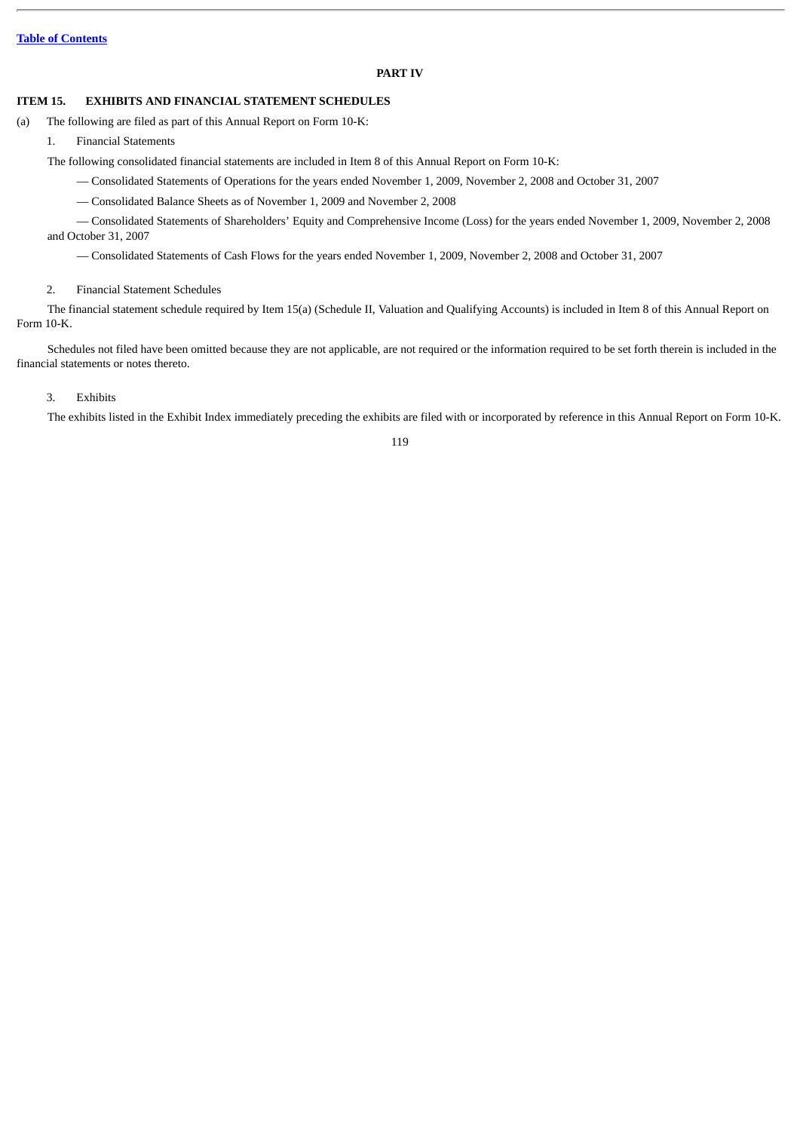#### **PART IV**

#### **ITEM 15. EXHIBITS AND FINANCIAL STATEMENT SCHEDULES**

(a) The following are filed as part of this Annual Report on Form 10-K:

1. Financial Statements

The following consolidated financial statements are included in Item 8 of this Annual Report on Form 10-K:

— Consolidated Statements of Operations for the years ended November 1, 2009, November 2, 2008 and October 31, 2007

— Consolidated Balance Sheets as of November 1, 2009 and November 2, 2008

— Consolidated Statements of Shareholders' Equity and Comprehensive Income (Loss) for the years ended November 1, 2009, November 2, 2008 and October 31, 2007

— Consolidated Statements of Cash Flows for the years ended November 1, 2009, November 2, 2008 and October 31, 2007

### 2. Financial Statement Schedules

The financial statement schedule required by Item 15(a) (Schedule II, Valuation and Qualifying Accounts) is included in Item 8 of this Annual Report on Form 10-K.

Schedules not filed have been omitted because they are not applicable, are not required or the information required to be set forth therein is included in the financial statements or notes thereto.

### 3. Exhibits

The exhibits listed in the Exhibit Index immediately preceding the exhibits are filed with or incorporated by reference in this Annual Report on Form 10-K.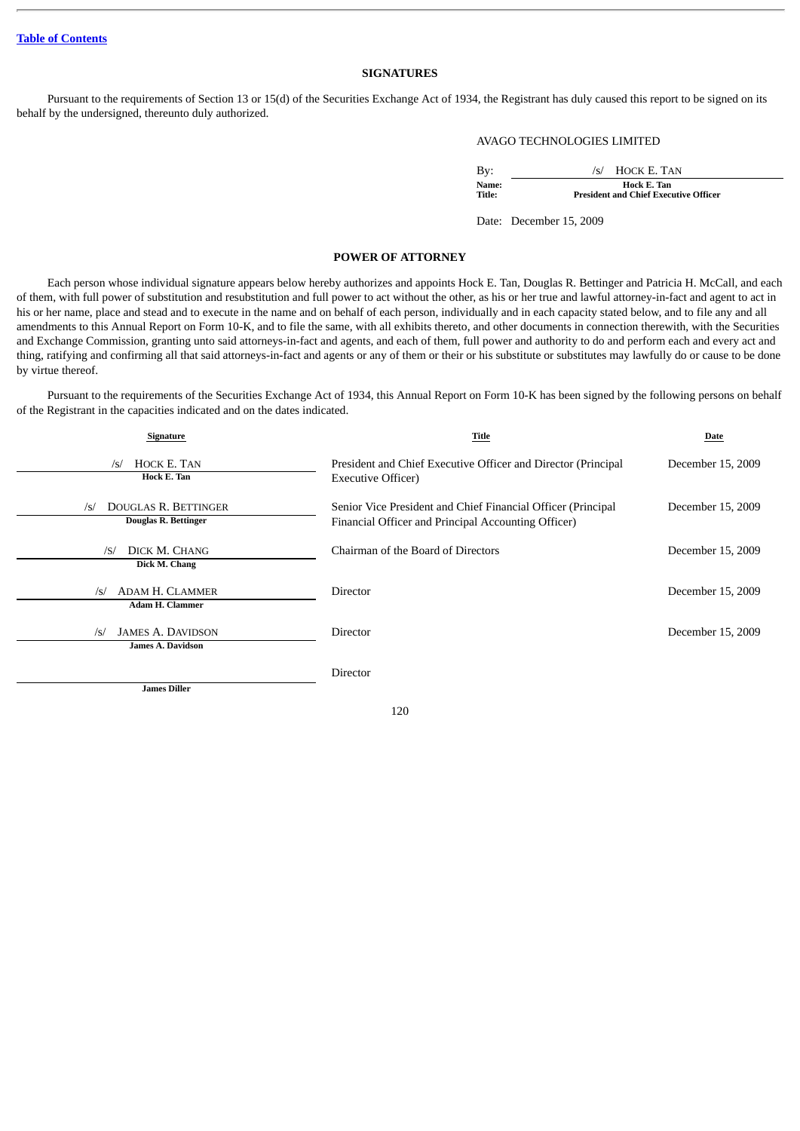### **SIGNATURES**

Pursuant to the requirements of Section 13 or 15(d) of the Securities Exchange Act of 1934, the Registrant has duly caused this report to be signed on its behalf by the undersigned, thereunto duly authorized.

### AVAGO TECHNOLOGIES LIMITED

| By:    | /s/ HOCK E. TAN                              |
|--------|----------------------------------------------|
| Name:  | Hock E. Tan                                  |
| Title: | <b>President and Chief Executive Officer</b> |

Date: December 15, 2009

### **POWER OF ATTORNEY**

Each person whose individual signature appears below hereby authorizes and appoints Hock E. Tan, Douglas R. Bettinger and Patricia H. McCall, and each of them, with full power of substitution and resubstitution and full power to act without the other, as his or her true and lawful attorney-in-fact and agent to act in his or her name, place and stead and to execute in the name and on behalf of each person, individually and in each capacity stated below, and to file any and all amendments to this Annual Report on Form 10-K, and to file the same, with all exhibits thereto, and other documents in connection therewith, with the Securities and Exchange Commission, granting unto said attorneys-in-fact and agents, and each of them, full power and authority to do and perform each and every act and thing, ratifying and confirming all that said attorneys-in-fact and agents or any of them or their or his substitute or substitutes may lawfully do or cause to be done by virtue thereof.

Pursuant to the requirements of the Securities Exchange Act of 1934, this Annual Report on Form 10-K has been signed by the following persons on behalf of the Registrant in the capacities indicated and on the dates indicated.

| Signature                                                   | <b>Title</b>                                                                                                        | Date              |
|-------------------------------------------------------------|---------------------------------------------------------------------------------------------------------------------|-------------------|
| HOCK E. TAN<br>/s/<br>Hock E. Tan                           | President and Chief Executive Officer and Director (Principal<br><b>Executive Officer)</b>                          | December 15, 2009 |
| DOUGLAS R. BETTINGER<br>/s/<br>Douglas R. Bettinger         | Senior Vice President and Chief Financial Officer (Principal<br>Financial Officer and Principal Accounting Officer) | December 15, 2009 |
| DICK M. CHANG<br>/S/<br>Dick M. Chang                       | Chairman of the Board of Directors                                                                                  | December 15, 2009 |
| <b>ADAM H. CLAMMER</b><br>/s/<br><b>Adam H. Clammer</b>     | Director                                                                                                            | December 15, 2009 |
| <b>JAMES A. DAVIDSON</b><br>/s/<br><b>James A. Davidson</b> | Director                                                                                                            | December 15, 2009 |
| <b>James Diller</b>                                         | Director                                                                                                            |                   |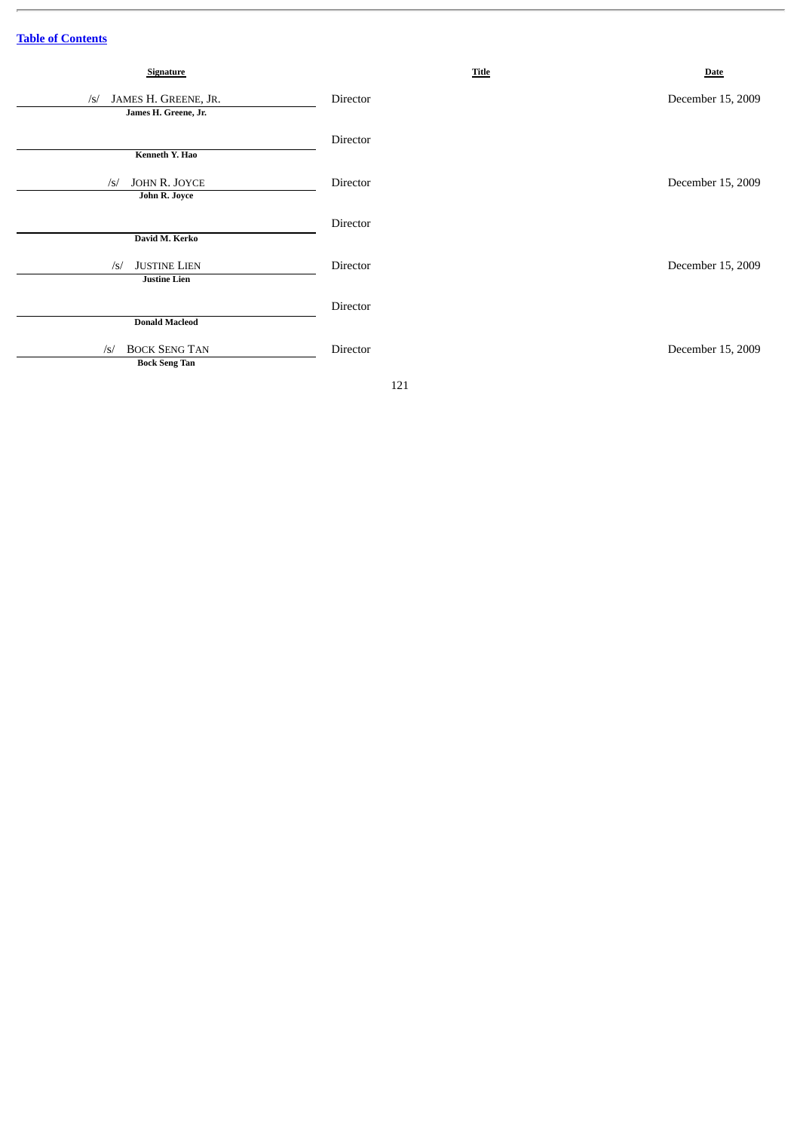Ĩ.

| Signature                                                  |          | Title | Date              |
|------------------------------------------------------------|----------|-------|-------------------|
| JAMES H. GREENE, JR.<br>$\sqrt{s}$<br>James H. Greene, Jr. | Director |       | December 15, 2009 |
| <b>Kenneth Y. Hao</b>                                      | Director |       |                   |
| JOHN R. JOYCE<br>/s/<br>John R. Joyce                      | Director |       | December 15, 2009 |
| David M. Kerko                                             | Director |       |                   |
| <b>JUSTINE LIEN</b><br>$\sqrt{s}$<br><b>Justine Lien</b>   | Director |       | December 15, 2009 |
| <b>Donald Macleod</b>                                      | Director |       |                   |
| <b>BOCK SENG TAN</b><br>$\sqrt{s}$<br><b>Bock Seng Tan</b> | Director |       | December 15, 2009 |
|                                                            |          |       |                   |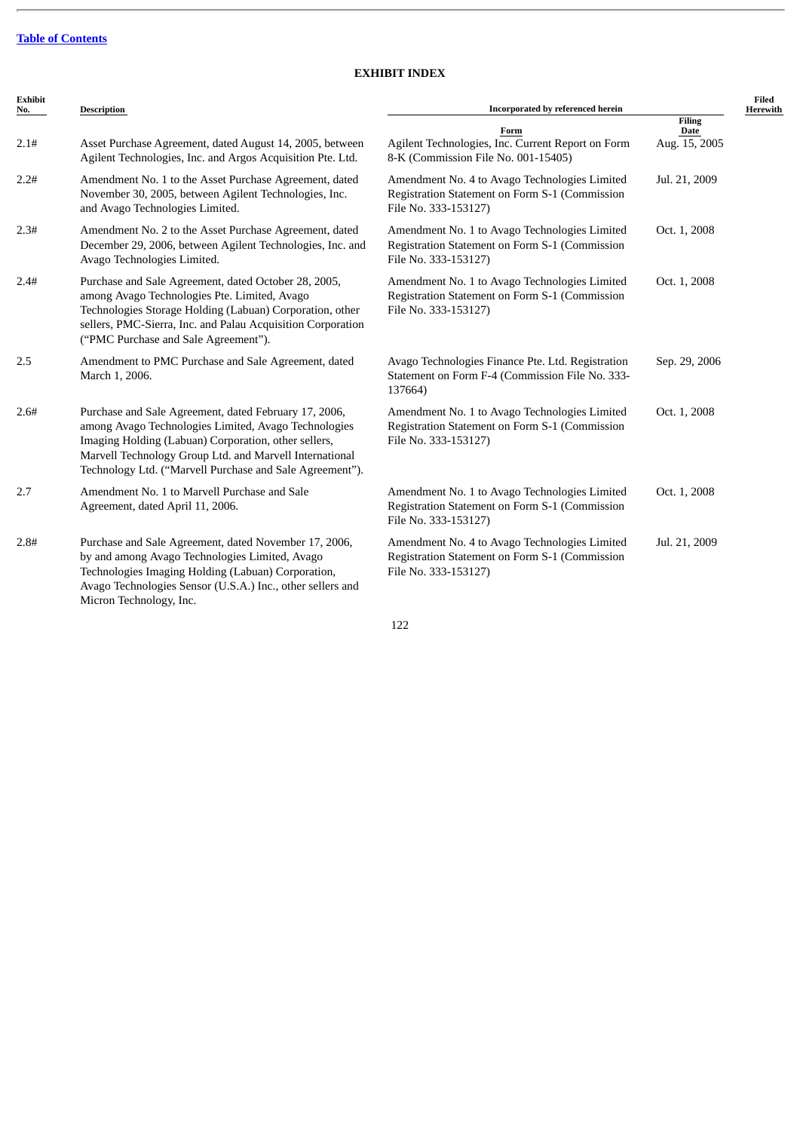Ē.

# **EXHIBIT INDEX**

| <b>Exhibit</b><br>No. | <b>Description</b>                                                                                                                                                                                                                                                                           | Incorporated by referenced herein                                                                                       |                                        |  |  |
|-----------------------|----------------------------------------------------------------------------------------------------------------------------------------------------------------------------------------------------------------------------------------------------------------------------------------------|-------------------------------------------------------------------------------------------------------------------------|----------------------------------------|--|--|
| 2.1#                  | Asset Purchase Agreement, dated August 14, 2005, between                                                                                                                                                                                                                                     | Form<br>Agilent Technologies, Inc. Current Report on Form                                                               | <b>Filing</b><br>Date<br>Aug. 15, 2005 |  |  |
|                       | Agilent Technologies, Inc. and Argos Acquisition Pte. Ltd.                                                                                                                                                                                                                                   | 8-K (Commission File No. 001-15405)                                                                                     |                                        |  |  |
| 2.2#                  | Amendment No. 1 to the Asset Purchase Agreement, dated<br>November 30, 2005, between Agilent Technologies, Inc.<br>and Avago Technologies Limited.                                                                                                                                           | Amendment No. 4 to Avago Technologies Limited<br>Registration Statement on Form S-1 (Commission<br>File No. 333-153127) | Jul. 21, 2009                          |  |  |
| 2.3#                  | Amendment No. 2 to the Asset Purchase Agreement, dated<br>December 29, 2006, between Agilent Technologies, Inc. and<br>Avago Technologies Limited.                                                                                                                                           | Amendment No. 1 to Avago Technologies Limited<br>Registration Statement on Form S-1 (Commission<br>File No. 333-153127) | Oct. 1, 2008                           |  |  |
| 2.4#                  | Purchase and Sale Agreement, dated October 28, 2005,<br>among Avago Technologies Pte. Limited, Avago<br>Technologies Storage Holding (Labuan) Corporation, other<br>sellers, PMC-Sierra, Inc. and Palau Acquisition Corporation<br>("PMC Purchase and Sale Agreement").                      | Amendment No. 1 to Avago Technologies Limited<br>Registration Statement on Form S-1 (Commission<br>File No. 333-153127) | Oct. 1, 2008                           |  |  |
| 2.5                   | Amendment to PMC Purchase and Sale Agreement, dated<br>March 1, 2006.                                                                                                                                                                                                                        | Avago Technologies Finance Pte. Ltd. Registration<br>Statement on Form F-4 (Commission File No. 333-<br>137664)         | Sep. 29, 2006                          |  |  |
| 2.6#                  | Purchase and Sale Agreement, dated February 17, 2006,<br>among Avago Technologies Limited, Avago Technologies<br>Imaging Holding (Labuan) Corporation, other sellers,<br>Marvell Technology Group Ltd. and Marvell International<br>Technology Ltd. ("Marvell Purchase and Sale Agreement"). | Amendment No. 1 to Avago Technologies Limited<br>Registration Statement on Form S-1 (Commission<br>File No. 333-153127) | Oct. 1, 2008                           |  |  |
| 2.7                   | Amendment No. 1 to Marvell Purchase and Sale<br>Agreement, dated April 11, 2006.                                                                                                                                                                                                             | Amendment No. 1 to Avago Technologies Limited<br>Registration Statement on Form S-1 (Commission<br>File No. 333-153127) | Oct. 1, 2008                           |  |  |
| 2.8#                  | Purchase and Sale Agreement, dated November 17, 2006,<br>by and among Avago Technologies Limited, Avago<br>Technologies Imaging Holding (Labuan) Corporation,<br>Avago Technologies Sensor (U.S.A.) Inc., other sellers and<br>Micron Technology, Inc.                                       | Amendment No. 4 to Avago Technologies Limited<br>Registration Statement on Form S-1 (Commission<br>File No. 333-153127) | Jul. 21, 2009                          |  |  |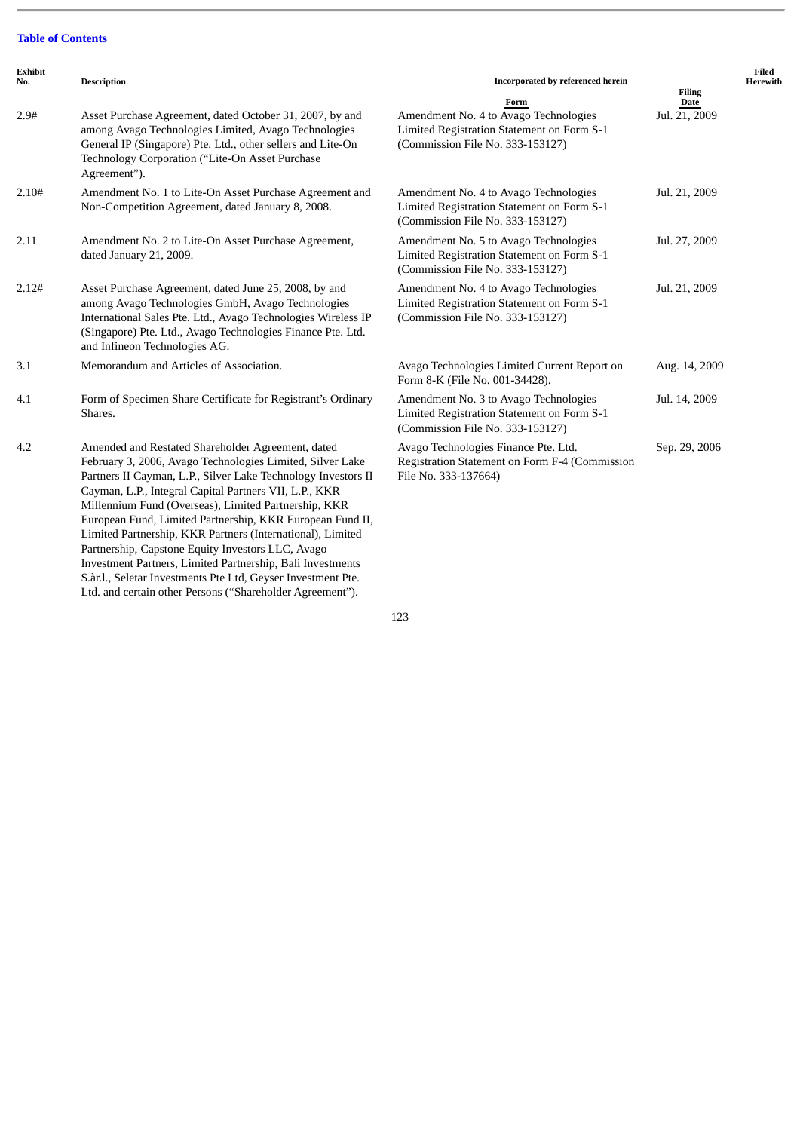| <b>Exhibit</b><br>No. | <b>Description</b>                                                                                                                                                                                                                                                                                                                                                                                                                                                                | Incorporated by referenced herein                                                                                       |                       |  |  |  |
|-----------------------|-----------------------------------------------------------------------------------------------------------------------------------------------------------------------------------------------------------------------------------------------------------------------------------------------------------------------------------------------------------------------------------------------------------------------------------------------------------------------------------|-------------------------------------------------------------------------------------------------------------------------|-----------------------|--|--|--|
|                       |                                                                                                                                                                                                                                                                                                                                                                                                                                                                                   | Form                                                                                                                    | <b>Filing</b><br>Date |  |  |  |
| 2.9#                  | Asset Purchase Agreement, dated October 31, 2007, by and<br>among Avago Technologies Limited, Avago Technologies<br>General IP (Singapore) Pte. Ltd., other sellers and Lite-On<br>Technology Corporation ("Lite-On Asset Purchase<br>Agreement").                                                                                                                                                                                                                                | Amendment No. 4 to Avago Technologies<br>Limited Registration Statement on Form S-1<br>(Commission File No. 333-153127) | Jul. 21, 2009         |  |  |  |
| 2.10#                 | Amendment No. 1 to Lite-On Asset Purchase Agreement and<br>Non-Competition Agreement, dated January 8, 2008.                                                                                                                                                                                                                                                                                                                                                                      | Amendment No. 4 to Avago Technologies<br>Limited Registration Statement on Form S-1<br>(Commission File No. 333-153127) | Jul. 21, 2009         |  |  |  |
| 2.11                  | Amendment No. 2 to Lite-On Asset Purchase Agreement,<br>dated January 21, 2009.                                                                                                                                                                                                                                                                                                                                                                                                   | Amendment No. 5 to Avago Technologies<br>Limited Registration Statement on Form S-1<br>(Commission File No. 333-153127) | Jul. 27, 2009         |  |  |  |
| 2.12#                 | Asset Purchase Agreement, dated June 25, 2008, by and<br>among Avago Technologies GmbH, Avago Technologies<br>International Sales Pte. Ltd., Avago Technologies Wireless IP<br>(Singapore) Pte. Ltd., Avago Technologies Finance Pte. Ltd.<br>and Infineon Technologies AG.                                                                                                                                                                                                       | Amendment No. 4 to Avago Technologies<br>Limited Registration Statement on Form S-1<br>(Commission File No. 333-153127) | Jul. 21, 2009         |  |  |  |
| 3.1                   | Memorandum and Articles of Association.                                                                                                                                                                                                                                                                                                                                                                                                                                           | Avago Technologies Limited Current Report on<br>Form 8-K (File No. 001-34428).                                          | Aug. 14, 2009         |  |  |  |
| 4.1                   | Form of Specimen Share Certificate for Registrant's Ordinary<br>Shares.                                                                                                                                                                                                                                                                                                                                                                                                           | Amendment No. 3 to Avago Technologies<br>Limited Registration Statement on Form S-1<br>(Commission File No. 333-153127) | Jul. 14, 2009         |  |  |  |
| 4.2                   | Amended and Restated Shareholder Agreement, dated<br>February 3, 2006, Avago Technologies Limited, Silver Lake<br>Partners II Cayman, L.P., Silver Lake Technology Investors II<br>Cayman, L.P., Integral Capital Partners VII, L.P., KKR<br>Millennium Fund (Overseas), Limited Partnership, KKR<br>European Fund, Limited Partnership, KKR European Fund II,<br>Limited Partnership, KKR Partners (International), Limited<br>Partnership, Capstone Equity Investors LLC, Avago | Avago Technologies Finance Pte. Ltd.<br>Registration Statement on Form F-4 (Commission<br>File No. 333-137664)          | Sep. 29, 2006         |  |  |  |

123

Investment Partners, Limited Partnership, Bali Investments S.àr.l., Seletar Investments Pte Ltd, Geyser Investment Pte. Ltd. and certain other Persons ("Shareholder Agreement").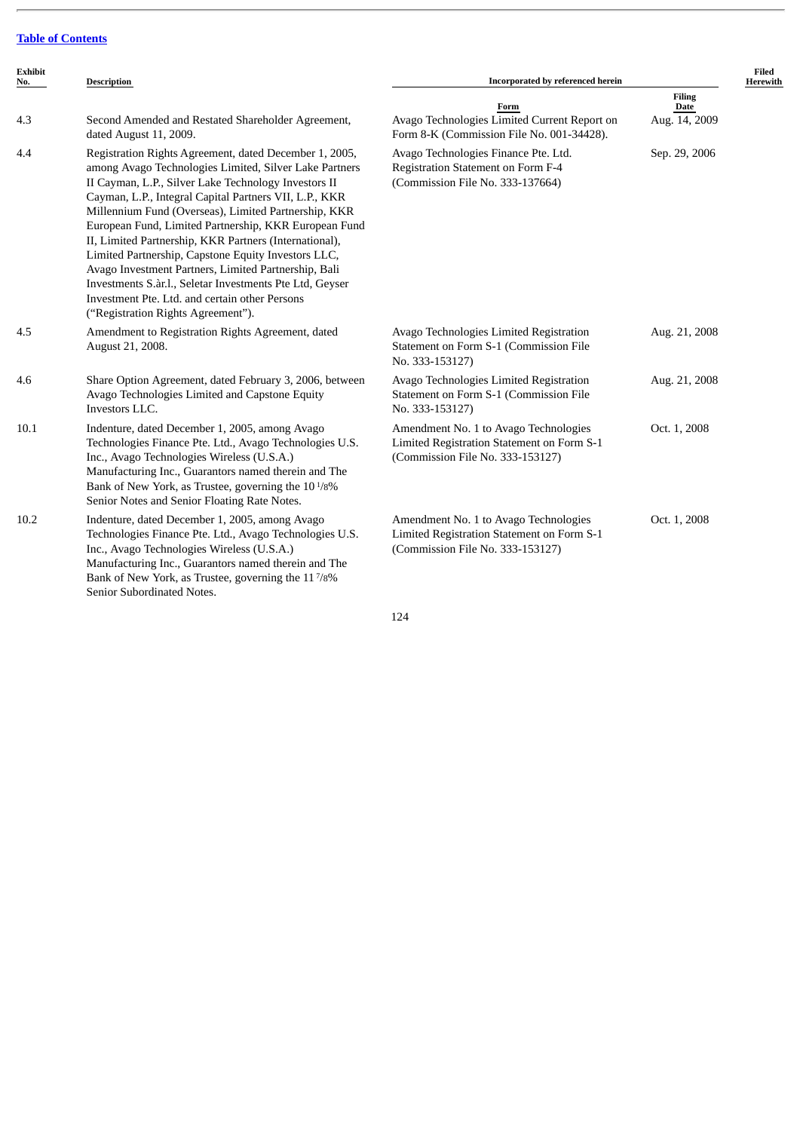| Exhibit<br>No. | <b>Description</b>                                                                                                                                                                                                                                                                                                                                                                                                                                                                                                                                                                                                                                                               | Incorporated by referenced herein                                                                                       |                                        |          |  |  |
|----------------|----------------------------------------------------------------------------------------------------------------------------------------------------------------------------------------------------------------------------------------------------------------------------------------------------------------------------------------------------------------------------------------------------------------------------------------------------------------------------------------------------------------------------------------------------------------------------------------------------------------------------------------------------------------------------------|-------------------------------------------------------------------------------------------------------------------------|----------------------------------------|----------|--|--|
| 4.3            | Second Amended and Restated Shareholder Agreement,<br>dated August 11, 2009.                                                                                                                                                                                                                                                                                                                                                                                                                                                                                                                                                                                                     | Form<br>Avago Technologies Limited Current Report on<br>Form 8-K (Commission File No. 001-34428).                       | <b>Filing</b><br>Date<br>Aug. 14, 2009 | Herewith |  |  |
| 4.4            | Registration Rights Agreement, dated December 1, 2005,<br>among Avago Technologies Limited, Silver Lake Partners<br>II Cayman, L.P., Silver Lake Technology Investors II<br>Cayman, L.P., Integral Capital Partners VII, L.P., KKR<br>Millennium Fund (Overseas), Limited Partnership, KKR<br>European Fund, Limited Partnership, KKR European Fund<br>II, Limited Partnership, KKR Partners (International),<br>Limited Partnership, Capstone Equity Investors LLC,<br>Avago Investment Partners, Limited Partnership, Bali<br>Investments S.àr.l., Seletar Investments Pte Ltd, Geyser<br>Investment Pte. Ltd. and certain other Persons<br>("Registration Rights Agreement"). | Avago Technologies Finance Pte. Ltd.<br>Registration Statement on Form F-4<br>(Commission File No. 333-137664)          | Sep. 29, 2006                          |          |  |  |
| 4.5            | Amendment to Registration Rights Agreement, dated<br>August 21, 2008.                                                                                                                                                                                                                                                                                                                                                                                                                                                                                                                                                                                                            | Avago Technologies Limited Registration<br>Statement on Form S-1 (Commission File<br>No. 333-153127)                    | Aug. 21, 2008                          |          |  |  |
| 4.6            | Share Option Agreement, dated February 3, 2006, between<br>Avago Technologies Limited and Capstone Equity<br>Investors LLC.                                                                                                                                                                                                                                                                                                                                                                                                                                                                                                                                                      | Avago Technologies Limited Registration<br>Statement on Form S-1 (Commission File<br>No. 333-153127)                    | Aug. 21, 2008                          |          |  |  |
| 10.1           | Indenture, dated December 1, 2005, among Avago<br>Technologies Finance Pte. Ltd., Avago Technologies U.S.<br>Inc., Avago Technologies Wireless (U.S.A.)<br>Manufacturing Inc., Guarantors named therein and The<br>Bank of New York, as Trustee, governing the 10 <sup>1</sup> /8%<br>Senior Notes and Senior Floating Rate Notes.                                                                                                                                                                                                                                                                                                                                               | Amendment No. 1 to Avago Technologies<br>Limited Registration Statement on Form S-1<br>(Commission File No. 333-153127) | Oct. 1, 2008                           |          |  |  |
| 10.2           | Indenture, dated December 1, 2005, among Avago<br>Technologies Finance Pte. Ltd., Avago Technologies U.S.<br>Inc., Avago Technologies Wireless (U.S.A.)<br>Manufacturing Inc., Guarantors named therein and The<br>Bank of New York, as Trustee, governing the 117/8%<br>Senior Subordinated Notes.                                                                                                                                                                                                                                                                                                                                                                              | Amendment No. 1 to Avago Technologies<br>Limited Registration Statement on Form S-1<br>(Commission File No. 333-153127) | Oct. 1, 2008                           |          |  |  |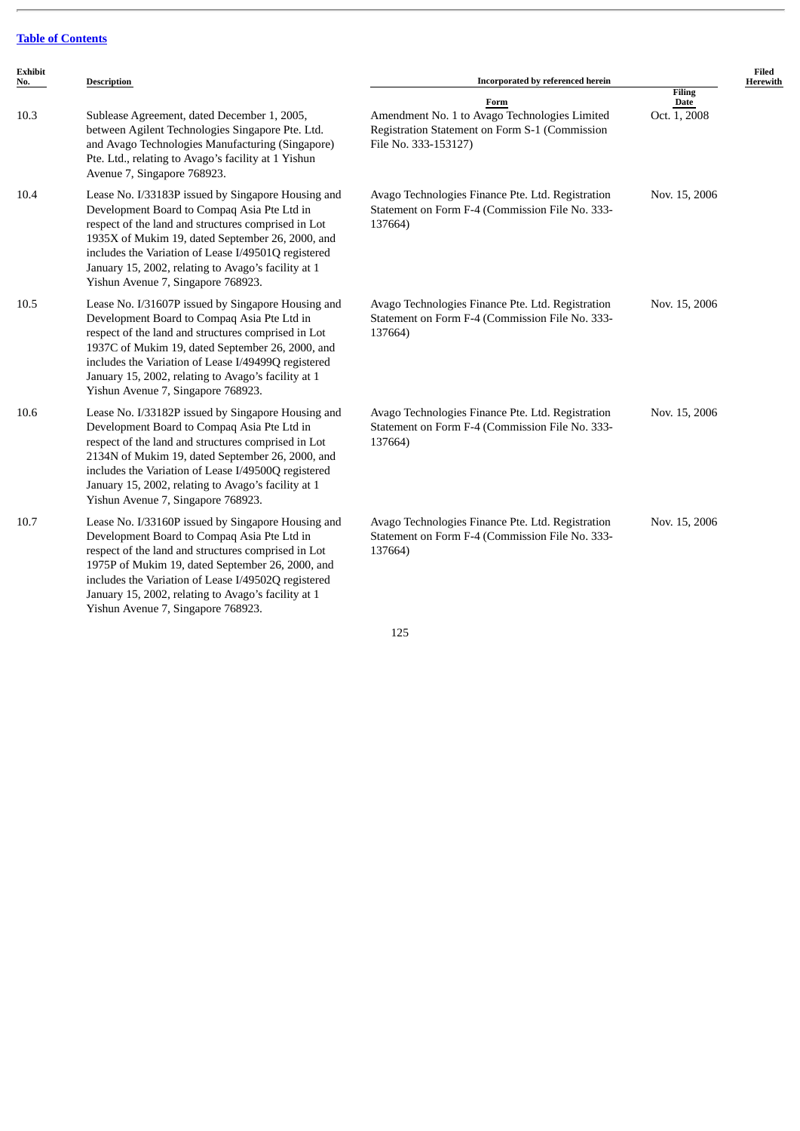Ē.

| Exhibit<br>No. | Description                                                                                                                                                                                                                                                                                                                                                      | Incorporated by referenced herein                                                                                       |                       |
|----------------|------------------------------------------------------------------------------------------------------------------------------------------------------------------------------------------------------------------------------------------------------------------------------------------------------------------------------------------------------------------|-------------------------------------------------------------------------------------------------------------------------|-----------------------|
|                |                                                                                                                                                                                                                                                                                                                                                                  | Form                                                                                                                    | <b>Filing</b><br>Date |
| 10.3           | Sublease Agreement, dated December 1, 2005,<br>between Agilent Technologies Singapore Pte. Ltd.<br>and Avago Technologies Manufacturing (Singapore)<br>Pte. Ltd., relating to Avago's facility at 1 Yishun<br>Avenue 7, Singapore 768923.                                                                                                                        | Amendment No. 1 to Avago Technologies Limited<br>Registration Statement on Form S-1 (Commission<br>File No. 333-153127) | Oct. 1, 2008          |
| 10.4           | Lease No. I/33183P issued by Singapore Housing and<br>Development Board to Compaq Asia Pte Ltd in<br>respect of the land and structures comprised in Lot<br>1935X of Mukim 19, dated September 26, 2000, and<br>includes the Variation of Lease I/49501Q registered<br>January 15, 2002, relating to Avago's facility at 1<br>Yishun Avenue 7, Singapore 768923. | Avago Technologies Finance Pte. Ltd. Registration<br>Statement on Form F-4 (Commission File No. 333-<br>137664)         | Nov. 15, 2006         |
| 10.5           | Lease No. I/31607P issued by Singapore Housing and<br>Development Board to Compaq Asia Pte Ltd in<br>respect of the land and structures comprised in Lot<br>1937C of Mukim 19, dated September 26, 2000, and<br>includes the Variation of Lease I/49499Q registered<br>January 15, 2002, relating to Avago's facility at 1<br>Yishun Avenue 7, Singapore 768923. | Avago Technologies Finance Pte. Ltd. Registration<br>Statement on Form F-4 (Commission File No. 333-<br>137664)         | Nov. 15, 2006         |
| 10.6           | Lease No. I/33182P issued by Singapore Housing and<br>Development Board to Compaq Asia Pte Ltd in<br>respect of the land and structures comprised in Lot<br>2134N of Mukim 19, dated September 26, 2000, and<br>includes the Variation of Lease I/49500Q registered<br>January 15, 2002, relating to Avago's facility at 1<br>Yishun Avenue 7, Singapore 768923. | Avago Technologies Finance Pte. Ltd. Registration<br>Statement on Form F-4 (Commission File No. 333-<br>137664)         | Nov. 15, 2006         |
| 10.7           | Lease No. I/33160P issued by Singapore Housing and<br>Development Board to Compaq Asia Pte Ltd in<br>respect of the land and structures comprised in Lot<br>1975P of Mukim 19, dated September 26, 2000, and<br>includes the Variation of Lease I/49502Q registered<br>January 15, 2002, relating to Avago's facility at 1<br>Yishun Avenue 7, Singapore 768923. | Avago Technologies Finance Pte. Ltd. Registration<br>Statement on Form F-4 (Commission File No. 333-<br>137664)         | Nov. 15, 2006         |
|                |                                                                                                                                                                                                                                                                                                                                                                  | 125                                                                                                                     |                       |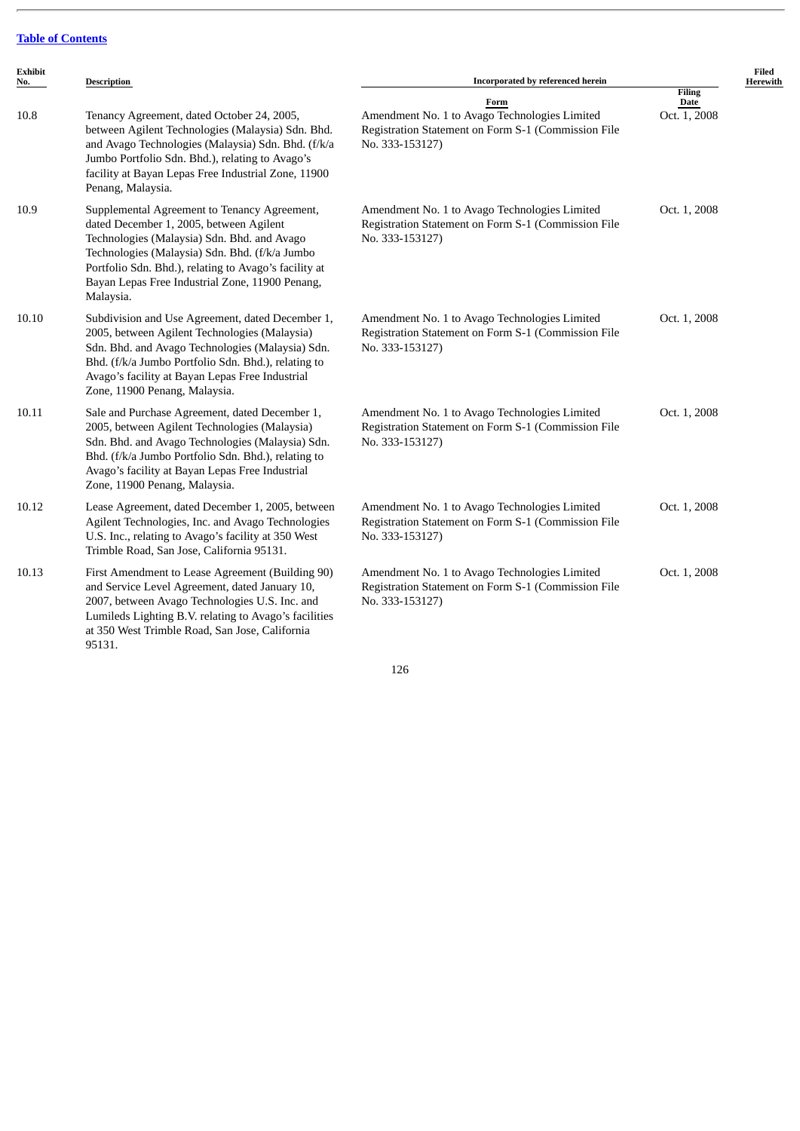Ē.

| Exhibit<br>No. | <b>Description</b>                                                                                                                                                                                                                                                                                                | Incorporated by referenced herein                                                                                       |                       |          |  |  |
|----------------|-------------------------------------------------------------------------------------------------------------------------------------------------------------------------------------------------------------------------------------------------------------------------------------------------------------------|-------------------------------------------------------------------------------------------------------------------------|-----------------------|----------|--|--|
|                |                                                                                                                                                                                                                                                                                                                   | Form                                                                                                                    | <b>Filing</b><br>Date | Herewith |  |  |
| 10.8           | Tenancy Agreement, dated October 24, 2005,<br>between Agilent Technologies (Malaysia) Sdn. Bhd.<br>and Avago Technologies (Malaysia) Sdn. Bhd. (f/k/a<br>Jumbo Portfolio Sdn. Bhd.), relating to Avago's<br>facility at Bayan Lepas Free Industrial Zone, 11900<br>Penang, Malaysia.                              | Amendment No. 1 to Avago Technologies Limited<br>Registration Statement on Form S-1 (Commission File<br>No. 333-153127) | Oct. 1, 2008          |          |  |  |
| 10.9           | Supplemental Agreement to Tenancy Agreement,<br>dated December 1, 2005, between Agilent<br>Technologies (Malaysia) Sdn. Bhd. and Avago<br>Technologies (Malaysia) Sdn. Bhd. (f/k/a Jumbo<br>Portfolio Sdn. Bhd.), relating to Avago's facility at<br>Bayan Lepas Free Industrial Zone, 11900 Penang,<br>Malaysia. | Amendment No. 1 to Avago Technologies Limited<br>Registration Statement on Form S-1 (Commission File<br>No. 333-153127) | Oct. 1, 2008          |          |  |  |
| 10.10          | Subdivision and Use Agreement, dated December 1,<br>2005, between Agilent Technologies (Malaysia)<br>Sdn. Bhd. and Avago Technologies (Malaysia) Sdn.<br>Bhd. (f/k/a Jumbo Portfolio Sdn. Bhd.), relating to<br>Avago's facility at Bayan Lepas Free Industrial<br>Zone, 11900 Penang, Malaysia.                  | Amendment No. 1 to Avago Technologies Limited<br>Registration Statement on Form S-1 (Commission File<br>No. 333-153127) | Oct. 1, 2008          |          |  |  |
| 10.11          | Sale and Purchase Agreement, dated December 1,<br>2005, between Agilent Technologies (Malaysia)<br>Sdn. Bhd. and Avago Technologies (Malaysia) Sdn.<br>Bhd. (f/k/a Jumbo Portfolio Sdn. Bhd.), relating to<br>Avago's facility at Bayan Lepas Free Industrial<br>Zone, 11900 Penang, Malaysia.                    | Amendment No. 1 to Avago Technologies Limited<br>Registration Statement on Form S-1 (Commission File<br>No. 333-153127) | Oct. 1, 2008          |          |  |  |
| 10.12          | Lease Agreement, dated December 1, 2005, between<br>Agilent Technologies, Inc. and Avago Technologies<br>U.S. Inc., relating to Avago's facility at 350 West<br>Trimble Road, San Jose, California 95131.                                                                                                         | Amendment No. 1 to Avago Technologies Limited<br>Registration Statement on Form S-1 (Commission File<br>No. 333-153127) | Oct. 1, 2008          |          |  |  |
| 10.13          | First Amendment to Lease Agreement (Building 90)<br>and Service Level Agreement, dated January 10,<br>2007, between Avago Technologies U.S. Inc. and<br>Lumileds Lighting B.V. relating to Avago's facilities<br>at 350 West Trimble Road, San Jose, California<br>95131.                                         | Amendment No. 1 to Avago Technologies Limited<br>Registration Statement on Form S-1 (Commission File<br>No. 333-153127) | Oct. 1, 2008          |          |  |  |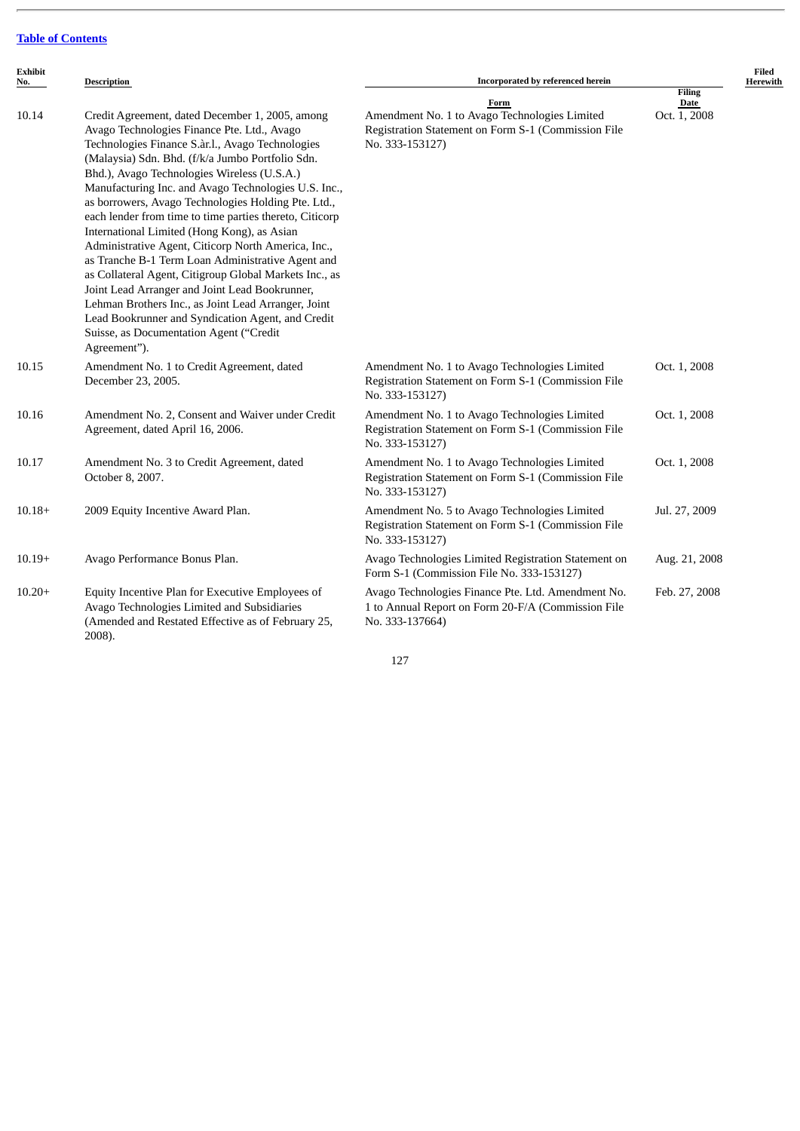Ē.

| Exhibit<br>No. | <b>Description</b>                                                                                                                                                                                                                                                                                                                                                                                                                                                                                                                                                                                                                                                                                                                                                                                                                                                            | <b>Incorporated by referenced herein</b>                                                                                        |                                       |          |  |  |  |
|----------------|-------------------------------------------------------------------------------------------------------------------------------------------------------------------------------------------------------------------------------------------------------------------------------------------------------------------------------------------------------------------------------------------------------------------------------------------------------------------------------------------------------------------------------------------------------------------------------------------------------------------------------------------------------------------------------------------------------------------------------------------------------------------------------------------------------------------------------------------------------------------------------|---------------------------------------------------------------------------------------------------------------------------------|---------------------------------------|----------|--|--|--|
| 10.14          | Credit Agreement, dated December 1, 2005, among<br>Avago Technologies Finance Pte. Ltd., Avago<br>Technologies Finance S.àr.l., Avago Technologies<br>(Malaysia) Sdn. Bhd. (f/k/a Jumbo Portfolio Sdn.<br>Bhd.), Avago Technologies Wireless (U.S.A.)<br>Manufacturing Inc. and Avago Technologies U.S. Inc.,<br>as borrowers, Avago Technologies Holding Pte. Ltd.,<br>each lender from time to time parties thereto, Citicorp<br>International Limited (Hong Kong), as Asian<br>Administrative Agent, Citicorp North America, Inc.,<br>as Tranche B-1 Term Loan Administrative Agent and<br>as Collateral Agent, Citigroup Global Markets Inc., as<br>Joint Lead Arranger and Joint Lead Bookrunner,<br>Lehman Brothers Inc., as Joint Lead Arranger, Joint<br>Lead Bookrunner and Syndication Agent, and Credit<br>Suisse, as Documentation Agent ("Credit<br>Agreement"). | Form<br>Amendment No. 1 to Avago Technologies Limited<br>Registration Statement on Form S-1 (Commission File<br>No. 333-153127) | <b>Filing</b><br>Date<br>Oct. 1, 2008 | Herewith |  |  |  |
| 10.15          | Amendment No. 1 to Credit Agreement, dated<br>December 23, 2005.                                                                                                                                                                                                                                                                                                                                                                                                                                                                                                                                                                                                                                                                                                                                                                                                              | Amendment No. 1 to Avago Technologies Limited<br>Registration Statement on Form S-1 (Commission File<br>No. 333-153127)         | Oct. 1, 2008                          |          |  |  |  |
| 10.16          | Amendment No. 2, Consent and Waiver under Credit<br>Agreement, dated April 16, 2006.                                                                                                                                                                                                                                                                                                                                                                                                                                                                                                                                                                                                                                                                                                                                                                                          | Amendment No. 1 to Avago Technologies Limited<br>Registration Statement on Form S-1 (Commission File<br>No. 333-153127)         | Oct. 1, 2008                          |          |  |  |  |
| 10.17          | Amendment No. 3 to Credit Agreement, dated<br>October 8, 2007.                                                                                                                                                                                                                                                                                                                                                                                                                                                                                                                                                                                                                                                                                                                                                                                                                | Amendment No. 1 to Avago Technologies Limited<br>Registration Statement on Form S-1 (Commission File<br>No. 333-153127)         | Oct. 1, 2008                          |          |  |  |  |
| $10.18+$       | 2009 Equity Incentive Award Plan.                                                                                                                                                                                                                                                                                                                                                                                                                                                                                                                                                                                                                                                                                                                                                                                                                                             | Amendment No. 5 to Avago Technologies Limited<br>Registration Statement on Form S-1 (Commission File<br>No. 333-153127)         | Jul. 27, 2009                         |          |  |  |  |
| $10.19+$       | Avago Performance Bonus Plan.                                                                                                                                                                                                                                                                                                                                                                                                                                                                                                                                                                                                                                                                                                                                                                                                                                                 | Avago Technologies Limited Registration Statement on<br>Form S-1 (Commission File No. 333-153127)                               | Aug. 21, 2008                         |          |  |  |  |
| $10.20+$       | Equity Incentive Plan for Executive Employees of<br>Avago Technologies Limited and Subsidiaries<br>(Amended and Restated Effective as of February 25,<br>2008).                                                                                                                                                                                                                                                                                                                                                                                                                                                                                                                                                                                                                                                                                                               | Avago Technologies Finance Pte. Ltd. Amendment No.<br>1 to Annual Report on Form 20-F/A (Commission File<br>No. 333-137664)     | Feb. 27, 2008                         |          |  |  |  |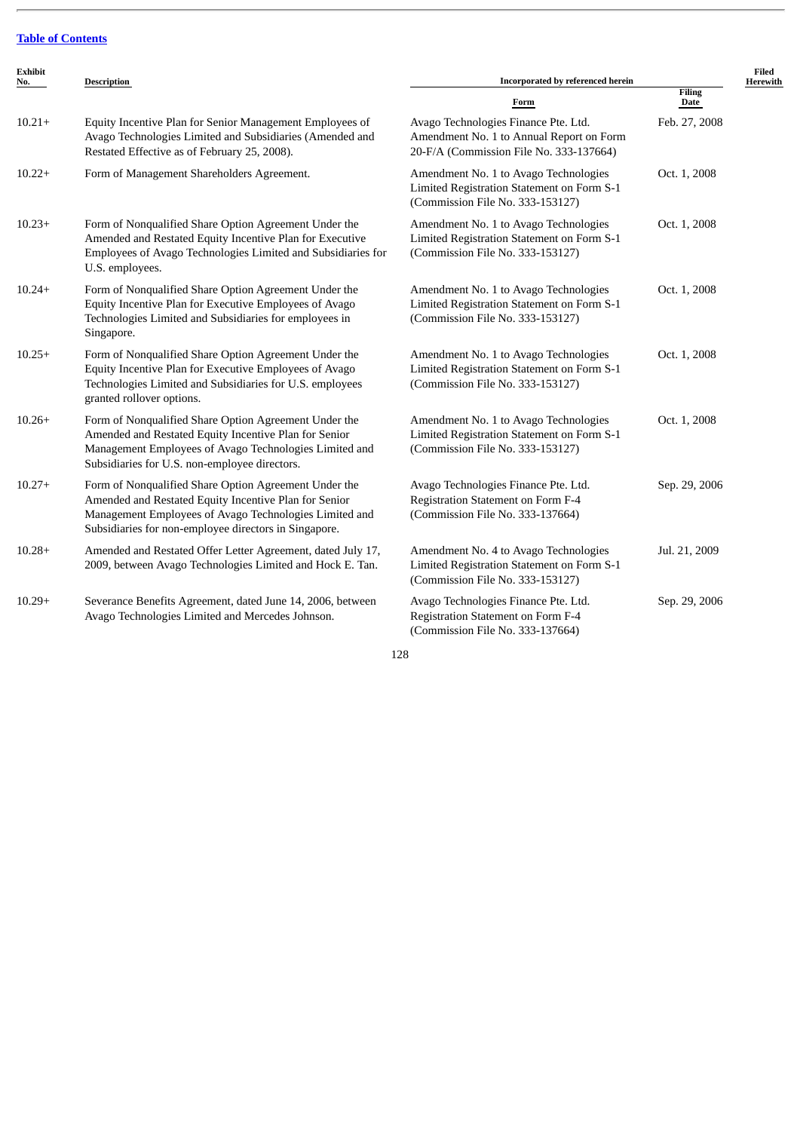Ē.

| Exhibit<br>No. | <b>Description</b>                                                                                                                                                                                                                | Incorporated by referenced herein                                                                                           |                       |  |  |  |  |
|----------------|-----------------------------------------------------------------------------------------------------------------------------------------------------------------------------------------------------------------------------------|-----------------------------------------------------------------------------------------------------------------------------|-----------------------|--|--|--|--|
|                |                                                                                                                                                                                                                                   | Form                                                                                                                        | <b>Filing</b><br>Date |  |  |  |  |
| $10.21+$       | Equity Incentive Plan for Senior Management Employees of<br>Avago Technologies Limited and Subsidiaries (Amended and<br>Restated Effective as of February 25, 2008).                                                              | Avago Technologies Finance Pte. Ltd.<br>Amendment No. 1 to Annual Report on Form<br>20-F/A (Commission File No. 333-137664) | Feb. 27, 2008         |  |  |  |  |
| $10.22+$       | Form of Management Shareholders Agreement.                                                                                                                                                                                        | Amendment No. 1 to Avago Technologies<br>Limited Registration Statement on Form S-1<br>(Commission File No. 333-153127)     | Oct. 1, 2008          |  |  |  |  |
| $10.23+$       | Form of Nonqualified Share Option Agreement Under the<br>Amended and Restated Equity Incentive Plan for Executive<br>Employees of Avago Technologies Limited and Subsidiaries for<br>U.S. employees.                              | Amendment No. 1 to Avago Technologies<br>Limited Registration Statement on Form S-1<br>(Commission File No. 333-153127)     | Oct. 1, 2008          |  |  |  |  |
| $10.24+$       | Form of Nonqualified Share Option Agreement Under the<br>Equity Incentive Plan for Executive Employees of Avago<br>Technologies Limited and Subsidiaries for employees in<br>Singapore.                                           | Amendment No. 1 to Avago Technologies<br>Limited Registration Statement on Form S-1<br>(Commission File No. 333-153127)     | Oct. 1, 2008          |  |  |  |  |
| $10.25+$       | Form of Nonqualified Share Option Agreement Under the<br>Equity Incentive Plan for Executive Employees of Avago<br>Technologies Limited and Subsidiaries for U.S. employees<br>granted rollover options.                          | Amendment No. 1 to Avago Technologies<br>Limited Registration Statement on Form S-1<br>(Commission File No. 333-153127)     | Oct. 1, 2008          |  |  |  |  |
| $10.26+$       | Form of Nonqualified Share Option Agreement Under the<br>Amended and Restated Equity Incentive Plan for Senior<br>Management Employees of Avago Technologies Limited and<br>Subsidiaries for U.S. non-employee directors.         | Amendment No. 1 to Avago Technologies<br>Limited Registration Statement on Form S-1<br>(Commission File No. 333-153127)     | Oct. 1, 2008          |  |  |  |  |
| $10.27+$       | Form of Nonqualified Share Option Agreement Under the<br>Amended and Restated Equity Incentive Plan for Senior<br>Management Employees of Avago Technologies Limited and<br>Subsidiaries for non-employee directors in Singapore. | Avago Technologies Finance Pte. Ltd.<br>Registration Statement on Form F-4<br>(Commission File No. 333-137664)              | Sep. 29, 2006         |  |  |  |  |
| $10.28+$       | Amended and Restated Offer Letter Agreement, dated July 17,<br>2009, between Avago Technologies Limited and Hock E. Tan.                                                                                                          | Amendment No. 4 to Avago Technologies<br>Limited Registration Statement on Form S-1<br>(Commission File No. 333-153127)     | Jul. 21, 2009         |  |  |  |  |
| $10.29+$       | Severance Benefits Agreement, dated June 14, 2006, between<br>Avago Technologies Limited and Mercedes Johnson.                                                                                                                    | Avago Technologies Finance Pte. Ltd.<br>Registration Statement on Form F-4<br>(Commission File No. 333-137664)              | Sep. 29, 2006         |  |  |  |  |
|                |                                                                                                                                                                                                                                   |                                                                                                                             |                       |  |  |  |  |

**Filed Herewith**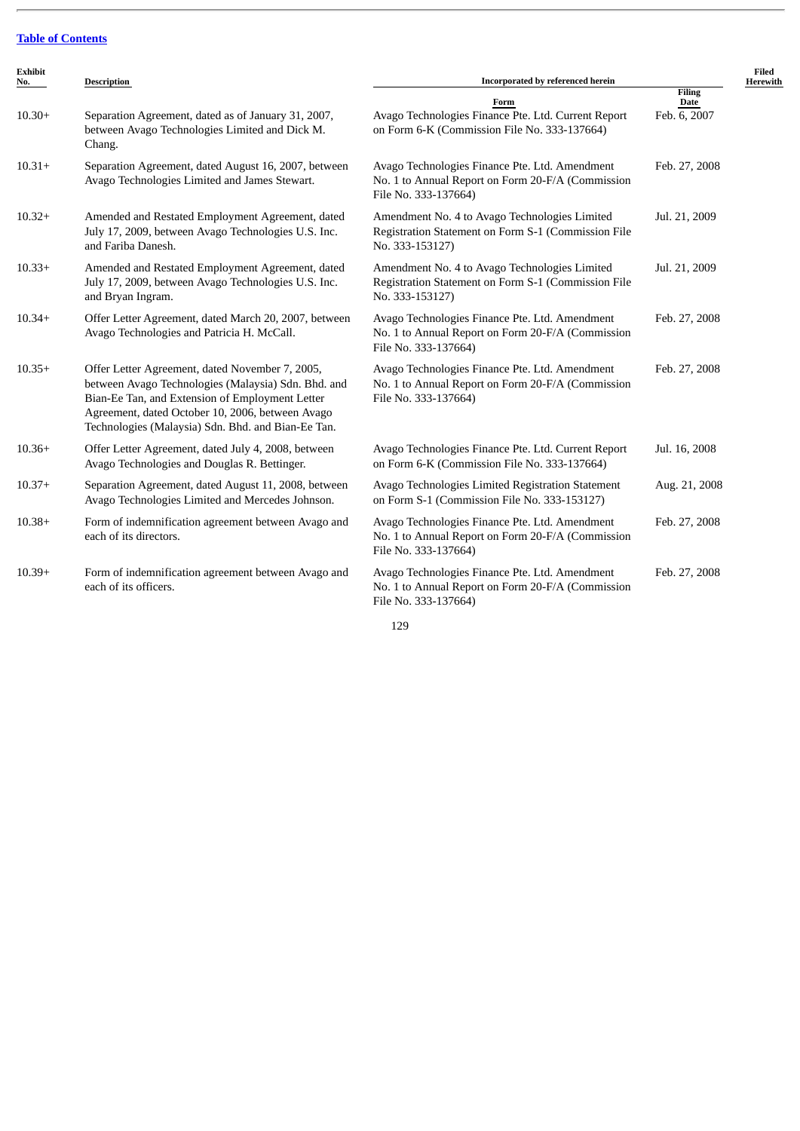J.

| Exhibit<br>No. | <b>Description</b>                                                                                                                                                                                                                                                  | Incorporated by referenced herein                                                                                           |                                       |          |  |  |
|----------------|---------------------------------------------------------------------------------------------------------------------------------------------------------------------------------------------------------------------------------------------------------------------|-----------------------------------------------------------------------------------------------------------------------------|---------------------------------------|----------|--|--|
| $10.30+$       | Separation Agreement, dated as of January 31, 2007,<br>between Avago Technologies Limited and Dick M.<br>Chang.                                                                                                                                                     | Form<br>Avago Technologies Finance Pte. Ltd. Current Report<br>on Form 6-K (Commission File No. 333-137664)                 | <b>Filing</b><br>Date<br>Feb. 6, 2007 | Herewith |  |  |
| $10.31+$       | Separation Agreement, dated August 16, 2007, between<br>Avago Technologies Limited and James Stewart.                                                                                                                                                               | Avago Technologies Finance Pte. Ltd. Amendment<br>No. 1 to Annual Report on Form 20-F/A (Commission<br>File No. 333-137664) | Feb. 27, 2008                         |          |  |  |
| $10.32+$       | Amended and Restated Employment Agreement, dated<br>July 17, 2009, between Avago Technologies U.S. Inc.<br>and Fariba Danesh.                                                                                                                                       | Amendment No. 4 to Avago Technologies Limited<br>Registration Statement on Form S-1 (Commission File<br>No. 333-153127)     | Jul. 21, 2009                         |          |  |  |
| $10.33+$       | Amended and Restated Employment Agreement, dated<br>July 17, 2009, between Avago Technologies U.S. Inc.<br>and Bryan Ingram.                                                                                                                                        | Amendment No. 4 to Avago Technologies Limited<br>Registration Statement on Form S-1 (Commission File<br>No. 333-153127)     | Jul. 21, 2009                         |          |  |  |
| $10.34+$       | Offer Letter Agreement, dated March 20, 2007, between<br>Avago Technologies and Patricia H. McCall.                                                                                                                                                                 | Avago Technologies Finance Pte. Ltd. Amendment<br>No. 1 to Annual Report on Form 20-F/A (Commission<br>File No. 333-137664) | Feb. 27, 2008                         |          |  |  |
| $10.35+$       | Offer Letter Agreement, dated November 7, 2005,<br>between Avago Technologies (Malaysia) Sdn. Bhd. and<br>Bian-Ee Tan, and Extension of Employment Letter<br>Agreement, dated October 10, 2006, between Avago<br>Technologies (Malaysia) Sdn. Bhd. and Bian-Ee Tan. | Avago Technologies Finance Pte. Ltd. Amendment<br>No. 1 to Annual Report on Form 20-F/A (Commission<br>File No. 333-137664) | Feb. 27, 2008                         |          |  |  |
| $10.36+$       | Offer Letter Agreement, dated July 4, 2008, between<br>Avago Technologies and Douglas R. Bettinger.                                                                                                                                                                 | Avago Technologies Finance Pte. Ltd. Current Report<br>on Form 6-K (Commission File No. 333-137664)                         | Jul. 16, 2008                         |          |  |  |
| $10.37+$       | Separation Agreement, dated August 11, 2008, between<br>Avago Technologies Limited and Mercedes Johnson.                                                                                                                                                            | Avago Technologies Limited Registration Statement<br>on Form S-1 (Commission File No. 333-153127)                           | Aug. 21, 2008                         |          |  |  |
| $10.38+$       | Form of indemnification agreement between Avago and<br>each of its directors.                                                                                                                                                                                       | Avago Technologies Finance Pte. Ltd. Amendment<br>No. 1 to Annual Report on Form 20-F/A (Commission<br>File No. 333-137664) | Feb. 27, 2008                         |          |  |  |
| $10.39+$       | Form of indemnification agreement between Avago and<br>each of its officers.                                                                                                                                                                                        | Avago Technologies Finance Pte. Ltd. Amendment<br>No. 1 to Annual Report on Form 20-F/A (Commission<br>File No. 333-137664) | Feb. 27, 2008                         |          |  |  |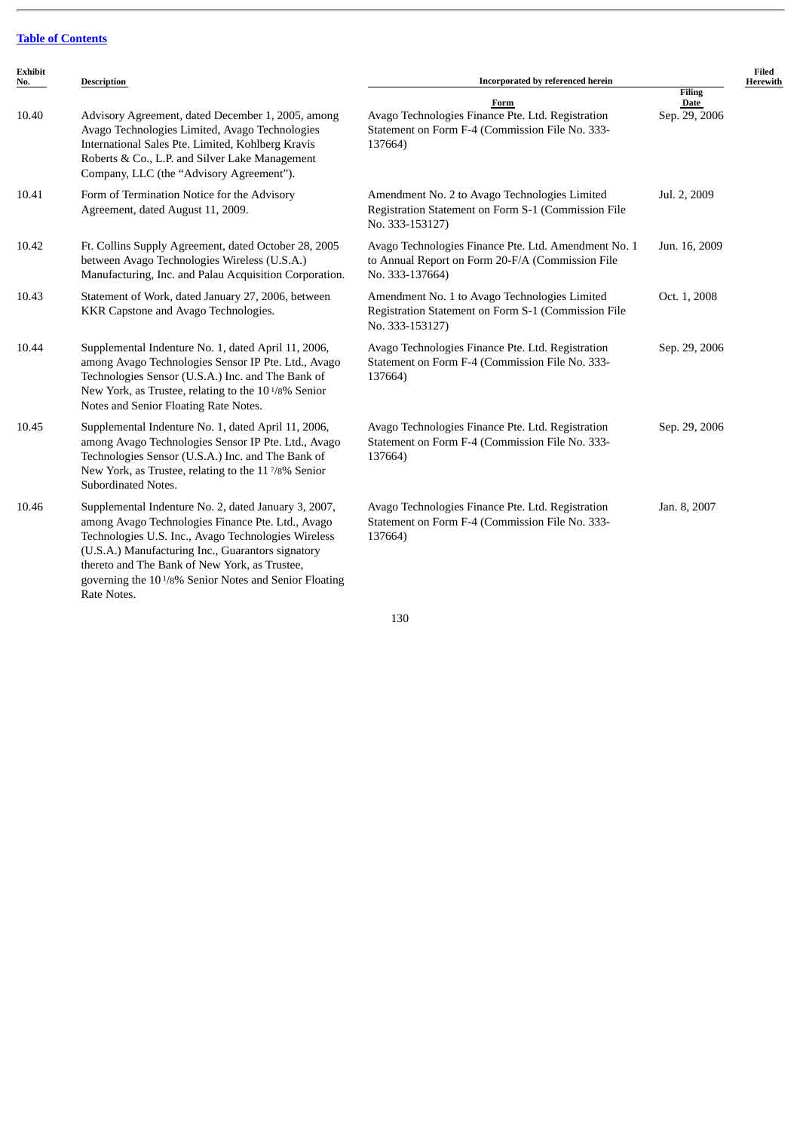Ē.

| Exhibit<br>No. | <b>Description</b>                                                                                                                                                                                                                                                                                                                                          | Incorporated by referenced herein                                                                                           |                                        |  |  |  |  |
|----------------|-------------------------------------------------------------------------------------------------------------------------------------------------------------------------------------------------------------------------------------------------------------------------------------------------------------------------------------------------------------|-----------------------------------------------------------------------------------------------------------------------------|----------------------------------------|--|--|--|--|
| 10.40          | Advisory Agreement, dated December 1, 2005, among<br>Avago Technologies Limited, Avago Technologies<br>International Sales Pte. Limited, Kohlberg Kravis<br>Roberts & Co., L.P. and Silver Lake Management<br>Company, LLC (the "Advisory Agreement").                                                                                                      | Form<br>Avago Technologies Finance Pte. Ltd. Registration<br>Statement on Form F-4 (Commission File No. 333-<br>137664)     | <b>Filing</b><br>Date<br>Sep. 29, 2006 |  |  |  |  |
| 10.41          | Form of Termination Notice for the Advisory<br>Agreement, dated August 11, 2009.                                                                                                                                                                                                                                                                            | Amendment No. 2 to Avago Technologies Limited<br>Registration Statement on Form S-1 (Commission File<br>No. 333-153127)     | Jul. 2, 2009                           |  |  |  |  |
| 10.42          | Ft. Collins Supply Agreement, dated October 28, 2005<br>between Avago Technologies Wireless (U.S.A.)<br>Manufacturing, Inc. and Palau Acquisition Corporation.                                                                                                                                                                                              | Avago Technologies Finance Pte. Ltd. Amendment No. 1<br>to Annual Report on Form 20-F/A (Commission File<br>No. 333-137664) | Jun. 16, 2009                          |  |  |  |  |
| 10.43          | Statement of Work, dated January 27, 2006, between<br>KKR Capstone and Avago Technologies.                                                                                                                                                                                                                                                                  | Amendment No. 1 to Avago Technologies Limited<br>Registration Statement on Form S-1 (Commission File<br>No. 333-153127)     | Oct. 1, 2008                           |  |  |  |  |
| 10.44          | Supplemental Indenture No. 1, dated April 11, 2006,<br>among Avago Technologies Sensor IP Pte. Ltd., Avago<br>Technologies Sensor (U.S.A.) Inc. and The Bank of<br>New York, as Trustee, relating to the 10 <sup>1</sup> /8% Senior<br>Notes and Senior Floating Rate Notes.                                                                                | Avago Technologies Finance Pte. Ltd. Registration<br>Statement on Form F-4 (Commission File No. 333-<br>137664)             | Sep. 29, 2006                          |  |  |  |  |
| 10.45          | Supplemental Indenture No. 1, dated April 11, 2006,<br>among Avago Technologies Sensor IP Pte. Ltd., Avago<br>Technologies Sensor (U.S.A.) Inc. and The Bank of<br>New York, as Trustee, relating to the 117/8% Senior<br>Subordinated Notes.                                                                                                               | Avago Technologies Finance Pte. Ltd. Registration<br>Statement on Form F-4 (Commission File No. 333-<br>137664)             | Sep. 29, 2006                          |  |  |  |  |
| 10.46          | Supplemental Indenture No. 2, dated January 3, 2007,<br>among Avago Technologies Finance Pte. Ltd., Avago<br>Technologies U.S. Inc., Avago Technologies Wireless<br>(U.S.A.) Manufacturing Inc., Guarantors signatory<br>thereto and The Bank of New York, as Trustee,<br>governing the 10 <sup>1</sup> /8% Senior Notes and Senior Floating<br>Rate Notes. | Avago Technologies Finance Pte. Ltd. Registration<br>Statement on Form F-4 (Commission File No. 333-<br>137664)             | Jan. 8, 2007                           |  |  |  |  |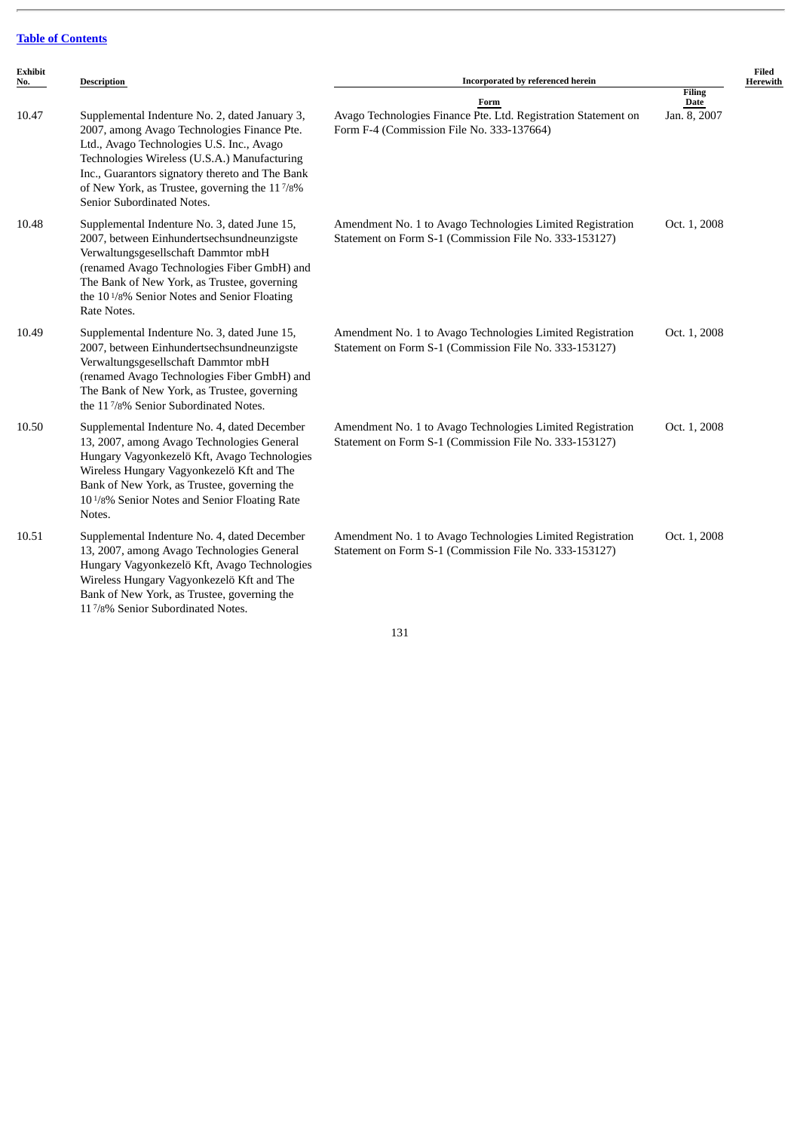Ē.

| Exhibit<br>No. | <b>Description</b>                                                                                                                                                                                                                                                                                                           | Incorporated by referenced herein                                                                                    |                       |          |  |  |  |
|----------------|------------------------------------------------------------------------------------------------------------------------------------------------------------------------------------------------------------------------------------------------------------------------------------------------------------------------------|----------------------------------------------------------------------------------------------------------------------|-----------------------|----------|--|--|--|
|                |                                                                                                                                                                                                                                                                                                                              | Form                                                                                                                 | <b>Filing</b><br>Date | Herewith |  |  |  |
| 10.47          | Supplemental Indenture No. 2, dated January 3,<br>2007, among Avago Technologies Finance Pte.<br>Ltd., Avago Technologies U.S. Inc., Avago<br>Technologies Wireless (U.S.A.) Manufacturing<br>Inc., Guarantors signatory thereto and The Bank<br>of New York, as Trustee, governing the 117/8%<br>Senior Subordinated Notes. | Avago Technologies Finance Pte. Ltd. Registration Statement on<br>Form F-4 (Commission File No. 333-137664)          | Jan. 8, 2007          |          |  |  |  |
| 10.48          | Supplemental Indenture No. 3, dated June 15,<br>2007, between Einhundertsechsundneunzigste<br>Verwaltungsgesellschaft Dammtor mbH<br>(renamed Avago Technologies Fiber GmbH) and<br>The Bank of New York, as Trustee, governing<br>the 10 <sup>1</sup> /8% Senior Notes and Senior Floating<br>Rate Notes.                   | Amendment No. 1 to Avago Technologies Limited Registration<br>Statement on Form S-1 (Commission File No. 333-153127) | Oct. 1, 2008          |          |  |  |  |
| 10.49          | Supplemental Indenture No. 3, dated June 15,<br>2007, between Einhundertsechsundneunzigste<br>Verwaltungsgesellschaft Dammtor mbH<br>(renamed Avago Technologies Fiber GmbH) and<br>The Bank of New York, as Trustee, governing<br>the 117/8% Senior Subordinated Notes.                                                     | Amendment No. 1 to Avago Technologies Limited Registration<br>Statement on Form S-1 (Commission File No. 333-153127) | Oct. 1, 2008          |          |  |  |  |
| 10.50          | Supplemental Indenture No. 4, dated December<br>13, 2007, among Avago Technologies General<br>Hungary Vagyonkezelö Kft, Avago Technologies<br>Wireless Hungary Vagyonkezelö Kft and The<br>Bank of New York, as Trustee, governing the<br>10 <sup>1</sup> /8% Senior Notes and Senior Floating Rate<br>Notes.                | Amendment No. 1 to Avago Technologies Limited Registration<br>Statement on Form S-1 (Commission File No. 333-153127) | Oct. 1, 2008          |          |  |  |  |
| 10.51          | Supplemental Indenture No. 4, dated December<br>13, 2007, among Avago Technologies General<br>Hungary Vagyonkezelö Kft, Avago Technologies<br>Wireless Hungary Vagyonkezelö Kft and The<br>Bank of New York, as Trustee, governing the<br>117/8% Senior Subordinated Notes.                                                  | Amendment No. 1 to Avago Technologies Limited Registration<br>Statement on Form S-1 (Commission File No. 333-153127) | Oct. 1, 2008          |          |  |  |  |
|                |                                                                                                                                                                                                                                                                                                                              |                                                                                                                      |                       |          |  |  |  |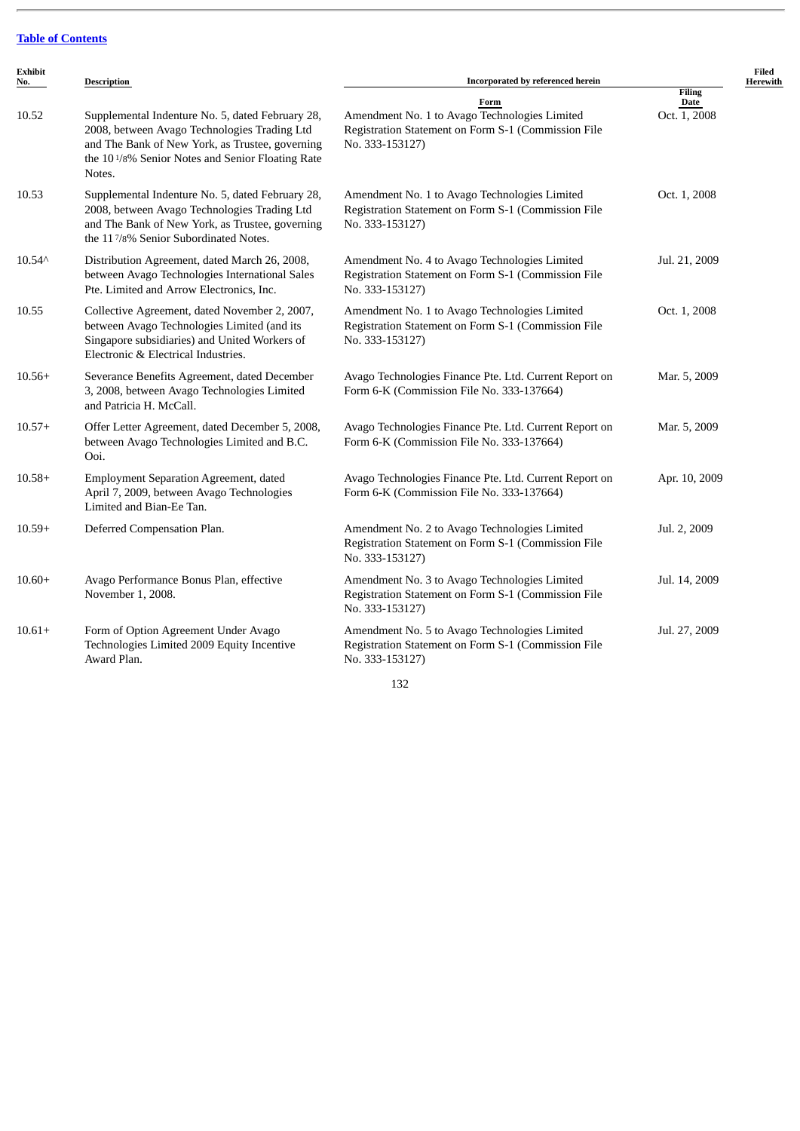j.

| Exhibit<br>No. | <b>Description</b>                                                                                                                                                                                                             | Incorporated by referenced herein                                                                                               |                                       |  |  |  |
|----------------|--------------------------------------------------------------------------------------------------------------------------------------------------------------------------------------------------------------------------------|---------------------------------------------------------------------------------------------------------------------------------|---------------------------------------|--|--|--|
| 10.52          | Supplemental Indenture No. 5, dated February 28,<br>2008, between Avago Technologies Trading Ltd<br>and The Bank of New York, as Trustee, governing<br>the 10 <sup>1</sup> /8% Senior Notes and Senior Floating Rate<br>Notes. | Form<br>Amendment No. 1 to Avago Technologies Limited<br>Registration Statement on Form S-1 (Commission File<br>No. 333-153127) | <b>Filing</b><br>Date<br>Oct. 1, 2008 |  |  |  |
| 10.53          | Supplemental Indenture No. 5, dated February 28,<br>2008, between Avago Technologies Trading Ltd<br>and The Bank of New York, as Trustee, governing<br>the 117/8% Senior Subordinated Notes.                                   | Amendment No. 1 to Avago Technologies Limited<br>Registration Statement on Form S-1 (Commission File<br>No. 333-153127)         | Oct. 1, 2008                          |  |  |  |
| $10.54^$       | Distribution Agreement, dated March 26, 2008,<br>between Avago Technologies International Sales<br>Pte. Limited and Arrow Electronics, Inc.                                                                                    | Amendment No. 4 to Avago Technologies Limited<br>Registration Statement on Form S-1 (Commission File<br>No. 333-153127)         | Jul. 21, 2009                         |  |  |  |
| 10.55          | Collective Agreement, dated November 2, 2007,<br>between Avago Technologies Limited (and its<br>Singapore subsidiaries) and United Workers of<br>Electronic & Electrical Industries.                                           | Amendment No. 1 to Avago Technologies Limited<br>Registration Statement on Form S-1 (Commission File<br>No. 333-153127)         | Oct. 1, 2008                          |  |  |  |
| $10.56+$       | Severance Benefits Agreement, dated December<br>3, 2008, between Avago Technologies Limited<br>and Patricia H. McCall.                                                                                                         | Avago Technologies Finance Pte. Ltd. Current Report on<br>Form 6-K (Commission File No. 333-137664)                             | Mar. 5, 2009                          |  |  |  |
| $10.57+$       | Offer Letter Agreement, dated December 5, 2008,<br>between Avago Technologies Limited and B.C.<br>Ooi.                                                                                                                         | Avago Technologies Finance Pte. Ltd. Current Report on<br>Form 6-K (Commission File No. 333-137664)                             | Mar. 5, 2009                          |  |  |  |
| $10.58+$       | <b>Employment Separation Agreement, dated</b><br>April 7, 2009, between Avago Technologies<br>Limited and Bian-Ee Tan.                                                                                                         | Avago Technologies Finance Pte. Ltd. Current Report on<br>Form 6-K (Commission File No. 333-137664)                             | Apr. 10, 2009                         |  |  |  |
| $10.59+$       | Deferred Compensation Plan.                                                                                                                                                                                                    | Amendment No. 2 to Avago Technologies Limited<br>Registration Statement on Form S-1 (Commission File<br>No. 333-153127)         | Jul. 2, 2009                          |  |  |  |
| $10.60+$       | Avago Performance Bonus Plan, effective<br>November 1, 2008.                                                                                                                                                                   | Amendment No. 3 to Avago Technologies Limited<br>Registration Statement on Form S-1 (Commission File<br>No. 333-153127)         | Jul. 14, 2009                         |  |  |  |
| $10.61+$       | Form of Option Agreement Under Avago<br>Technologies Limited 2009 Equity Incentive<br>Award Plan.                                                                                                                              | Amendment No. 5 to Avago Technologies Limited<br>Registration Statement on Form S-1 (Commission File<br>No. 333-153127)         | Jul. 27, 2009                         |  |  |  |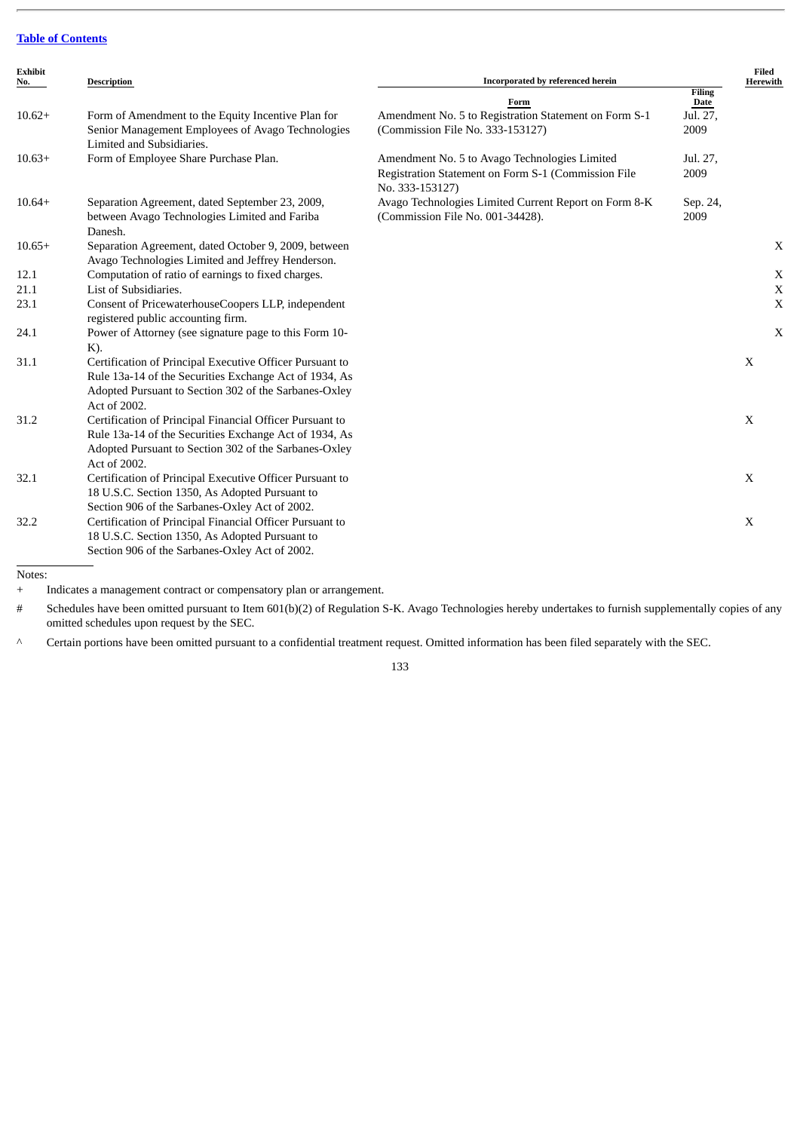| Exhibit<br>No. | <b>Description</b>                                                                                                                                                                          | Incorporated by referenced herein                                                         |                       |             |             |  |
|----------------|---------------------------------------------------------------------------------------------------------------------------------------------------------------------------------------------|-------------------------------------------------------------------------------------------|-----------------------|-------------|-------------|--|
|                |                                                                                                                                                                                             | Form                                                                                      | <b>Filing</b><br>Date |             |             |  |
| $10.62+$       | Form of Amendment to the Equity Incentive Plan for                                                                                                                                          | Amendment No. 5 to Registration Statement on Form S-1                                     | Jul. 27,              |             |             |  |
|                | Senior Management Employees of Avago Technologies<br>Limited and Subsidiaries.                                                                                                              | (Commission File No. 333-153127)                                                          | 2009                  |             |             |  |
| $10.63+$       | Form of Employee Share Purchase Plan.                                                                                                                                                       | Amendment No. 5 to Avago Technologies Limited                                             | Jul. 27,              |             |             |  |
|                |                                                                                                                                                                                             | Registration Statement on Form S-1 (Commission File<br>No. 333-153127)                    | 2009                  |             |             |  |
| $10.64+$       | Separation Agreement, dated September 23, 2009,<br>between Avago Technologies Limited and Fariba<br>Danesh.                                                                                 | Avago Technologies Limited Current Report on Form 8-K<br>(Commission File No. 001-34428). | Sep. 24,<br>2009      |             |             |  |
| $10.65+$       | Separation Agreement, dated October 9, 2009, between<br>Avago Technologies Limited and Jeffrey Henderson.                                                                                   |                                                                                           |                       |             | $\mathbf X$ |  |
| 12.1           | Computation of ratio of earnings to fixed charges.                                                                                                                                          |                                                                                           |                       |             | $\mathbf X$ |  |
| 21.1           | List of Subsidiaries.                                                                                                                                                                       |                                                                                           |                       |             | $\mathbf X$ |  |
| 23.1           | Consent of PricewaterhouseCoopers LLP, independent<br>registered public accounting firm.                                                                                                    |                                                                                           |                       |             | X           |  |
| 24.1           | Power of Attorney (see signature page to this Form 10-<br>$K$ ).                                                                                                                            |                                                                                           |                       |             | $\mathbf X$ |  |
| 31.1           | Certification of Principal Executive Officer Pursuant to<br>Rule 13a-14 of the Securities Exchange Act of 1934, As<br>Adopted Pursuant to Section 302 of the Sarbanes-Oxley<br>Act of 2002. |                                                                                           |                       | X           |             |  |
| 31.2           | Certification of Principal Financial Officer Pursuant to<br>Rule 13a-14 of the Securities Exchange Act of 1934, As<br>Adopted Pursuant to Section 302 of the Sarbanes-Oxley<br>Act of 2002. |                                                                                           |                       | $\mathbf X$ |             |  |
| 32.1           | Certification of Principal Executive Officer Pursuant to                                                                                                                                    |                                                                                           |                       | X           |             |  |
|                | 18 U.S.C. Section 1350, As Adopted Pursuant to                                                                                                                                              |                                                                                           |                       |             |             |  |
|                | Section 906 of the Sarbanes-Oxley Act of 2002.                                                                                                                                              |                                                                                           |                       |             |             |  |
| 32.2           | Certification of Principal Financial Officer Pursuant to                                                                                                                                    |                                                                                           |                       | X           |             |  |
|                | 18 U.S.C. Section 1350, As Adopted Pursuant to                                                                                                                                              |                                                                                           |                       |             |             |  |
|                | Section 906 of the Sarbanes-Oxley Act of 2002.                                                                                                                                              |                                                                                           |                       |             |             |  |

Notes:

# Schedules have been omitted pursuant to Item 601(b)(2) of Regulation S-K. Avago Technologies hereby undertakes to furnish supplementally copies of any omitted schedules upon request by the SEC.

 $\wedge$  Certain portions have been omitted pursuant to a confidential treatment request. Omitted information has been filed separately with the SEC.

<sup>+</sup> Indicates a management contract or compensatory plan or arrangement.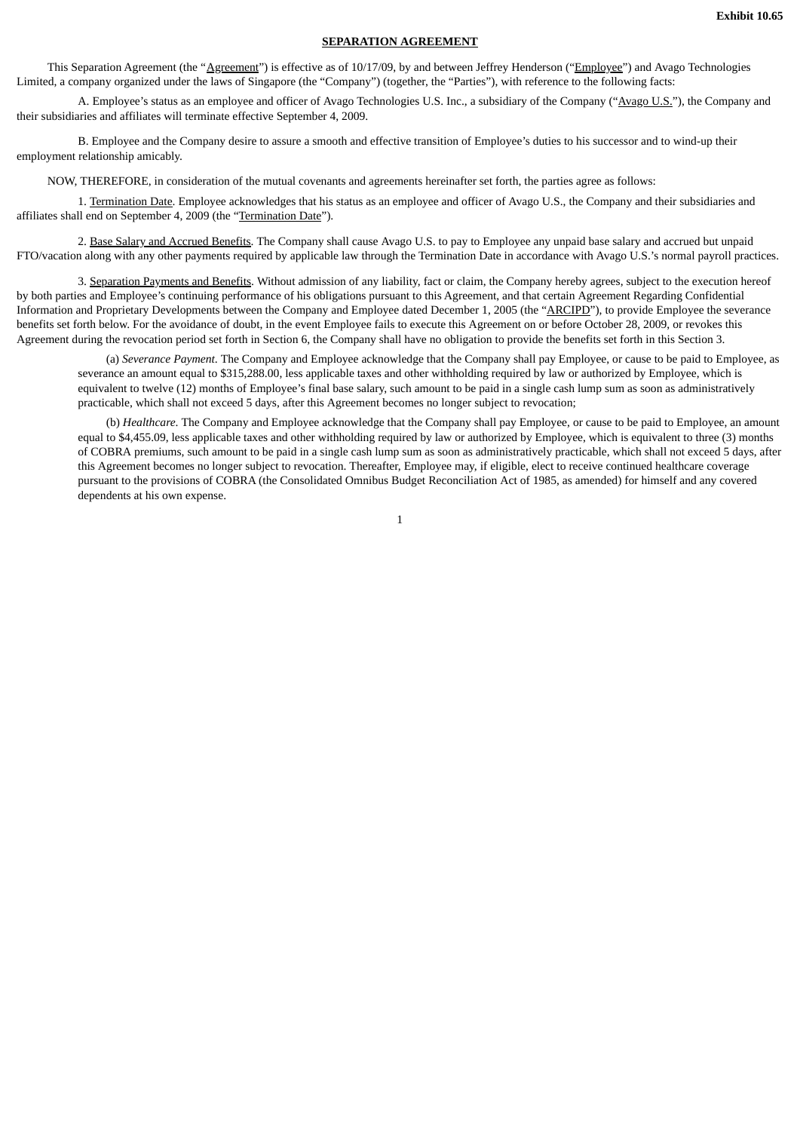### **SEPARATION AGREEMENT**

This Separation Agreement (the "Agreement") is effective as of 10/17/09, by and between Jeffrey Henderson ("Employee") and Avago Technologies Limited, a company organized under the laws of Singapore (the "Company") (together, the "Parties"), with reference to the following facts:

A. Employee's status as an employee and officer of Avago Technologies U.S. Inc., a subsidiary of the Company ("Avago U.S."), the Company and their subsidiaries and affiliates will terminate effective September 4, 2009.

B. Employee and the Company desire to assure a smooth and effective transition of Employee's duties to his successor and to wind-up their employment relationship amicably.

NOW, THEREFORE, in consideration of the mutual covenants and agreements hereinafter set forth, the parties agree as follows:

1. Termination Date. Employee acknowledges that his status as an employee and officer of Avago U.S., the Company and their subsidiaries and affiliates shall end on September 4, 2009 (the "Termination Date").

2. Base Salary and Accrued Benefits. The Company shall cause Avago U.S. to pay to Employee any unpaid base salary and accrued but unpaid FTO/vacation along with any other payments required by applicable law through the Termination Date in accordance with Avago U.S.'s normal payroll practices.

3. Separation Payments and Benefits. Without admission of any liability, fact or claim, the Company hereby agrees, subject to the execution hereof by both parties and Employee's continuing performance of his obligations pursuant to this Agreement, and that certain Agreement Regarding Confidential Information and Proprietary Developments between the Company and Employee dated December 1, 2005 (the "ARCIPD"), to provide Employee the severance benefits set forth below. For the avoidance of doubt, in the event Employee fails to execute this Agreement on or before October 28, 2009, or revokes this Agreement during the revocation period set forth in Section 6, the Company shall have no obligation to provide the benefits set forth in this Section 3.

(a) *Severance Payment*. The Company and Employee acknowledge that the Company shall pay Employee, or cause to be paid to Employee, as severance an amount equal to \$315,288.00, less applicable taxes and other withholding required by law or authorized by Employee, which is equivalent to twelve (12) months of Employee's final base salary, such amount to be paid in a single cash lump sum as soon as administratively practicable, which shall not exceed 5 days, after this Agreement becomes no longer subject to revocation;

(b) *Healthcare*. The Company and Employee acknowledge that the Company shall pay Employee, or cause to be paid to Employee, an amount equal to \$4,455.09, less applicable taxes and other withholding required by law or authorized by Employee, which is equivalent to three (3) months of COBRA premiums, such amount to be paid in a single cash lump sum as soon as administratively practicable, which shall not exceed 5 days, after this Agreement becomes no longer subject to revocation. Thereafter, Employee may, if eligible, elect to receive continued healthcare coverage pursuant to the provisions of COBRA (the Consolidated Omnibus Budget Reconciliation Act of 1985, as amended) for himself and any covered dependents at his own expense.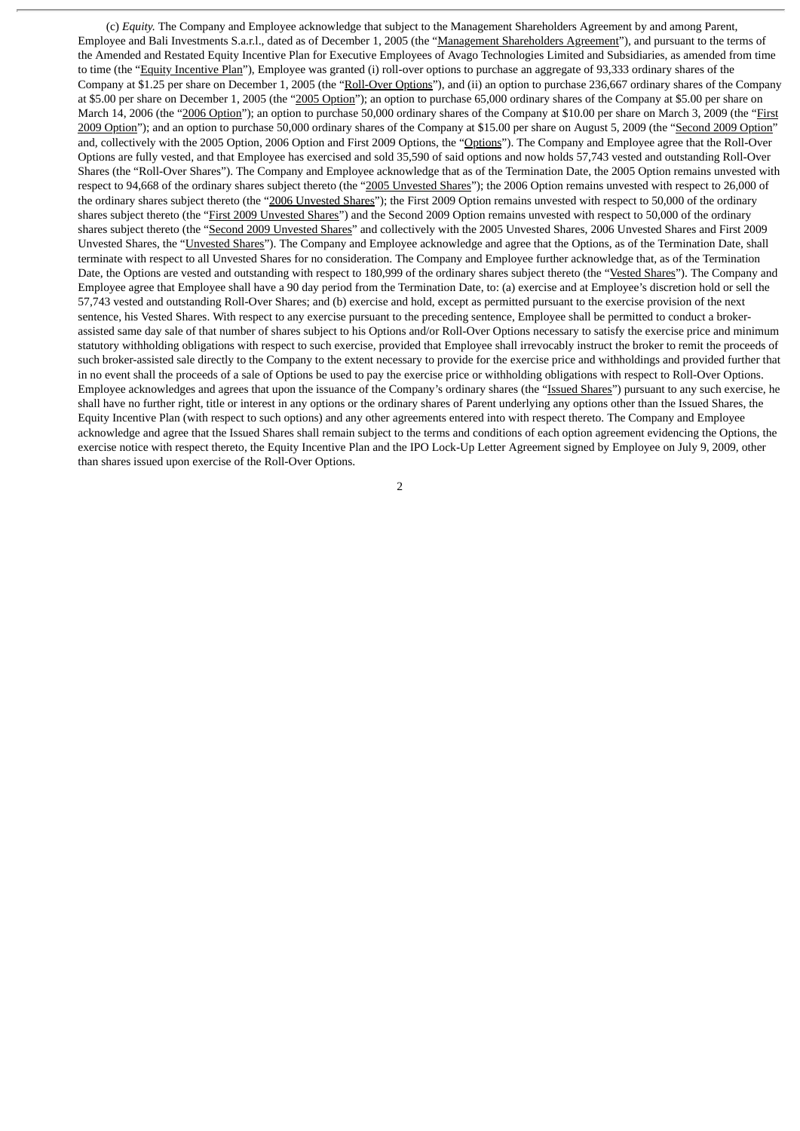(c) *Equity.* The Company and Employee acknowledge that subject to the Management Shareholders Agreement by and among Parent, Employee and Bali Investments S.a.r.l., dated as of December 1, 2005 (the "Management Shareholders Agreement"), and pursuant to the terms of the Amended and Restated Equity Incentive Plan for Executive Employees of Avago Technologies Limited and Subsidiaries, as amended from time to time (the "Equity Incentive Plan"), Employee was granted (i) roll-over options to purchase an aggregate of 93,333 ordinary shares of the Company at \$1.25 per share on December 1, 2005 (the "Roll-Over Options"), and (ii) an option to purchase 236,667 ordinary shares of the Company at \$5.00 per share on December 1, 2005 (the "2005 Option"); an option to purchase 65,000 ordinary shares of the Company at \$5.00 per share on March 14, 2006 (the "2006 Option"); an option to purchase 50,000 ordinary shares of the Company at \$10.00 per share on March 3, 2009 (the "First 2009 Option"); and an option to purchase 50,000 ordinary shares of the Company at \$15.00 per share on August 5, 2009 (the "Second 2009 Option" and, collectively with the 2005 Option, 2006 Option and First 2009 Options, the "Options"). The Company and Employee agree that the Roll-Over Options are fully vested, and that Employee has exercised and sold 35,590 of said options and now holds 57,743 vested and outstanding Roll-Over Shares (the "Roll-Over Shares"). The Company and Employee acknowledge that as of the Termination Date, the 2005 Option remains unvested with respect to 94,668 of the ordinary shares subject thereto (the "2005 Unvested Shares"); the 2006 Option remains unvested with respect to 26,000 of the ordinary shares subject thereto (the "2006 Unvested Shares"); the First 2009 Option remains unvested with respect to 50,000 of the ordinary shares subject thereto (the "First 2009 Unvested Shares") and the Second 2009 Option remains unvested with respect to 50,000 of the ordinary shares subject thereto (the "Second 2009 Unvested Shares" and collectively with the 2005 Unvested Shares, 2006 Unvested Shares and First 2009 Unvested Shares, the "Unvested Shares"). The Company and Employee acknowledge and agree that the Options, as of the Termination Date, shall terminate with respect to all Unvested Shares for no consideration. The Company and Employee further acknowledge that, as of the Termination Date, the Options are vested and outstanding with respect to 180,999 of the ordinary shares subject thereto (the "Vested Shares"). The Company and Employee agree that Employee shall have a 90 day period from the Termination Date, to: (a) exercise and at Employee's discretion hold or sell the 57,743 vested and outstanding Roll-Over Shares; and (b) exercise and hold, except as permitted pursuant to the exercise provision of the next sentence, his Vested Shares. With respect to any exercise pursuant to the preceding sentence, Employee shall be permitted to conduct a brokerassisted same day sale of that number of shares subject to his Options and/or Roll-Over Options necessary to satisfy the exercise price and minimum statutory withholding obligations with respect to such exercise, provided that Employee shall irrevocably instruct the broker to remit the proceeds of such broker-assisted sale directly to the Company to the extent necessary to provide for the exercise price and withholdings and provided further that in no event shall the proceeds of a sale of Options be used to pay the exercise price or withholding obligations with respect to Roll-Over Options. Employee acknowledges and agrees that upon the issuance of the Company's ordinary shares (the "Issued Shares") pursuant to any such exercise, he shall have no further right, title or interest in any options or the ordinary shares of Parent underlying any options other than the Issued Shares, the Equity Incentive Plan (with respect to such options) and any other agreements entered into with respect thereto. The Company and Employee acknowledge and agree that the Issued Shares shall remain subject to the terms and conditions of each option agreement evidencing the Options, the exercise notice with respect thereto, the Equity Incentive Plan and the IPO Lock-Up Letter Agreement signed by Employee on July 9, 2009, other than shares issued upon exercise of the Roll-Over Options.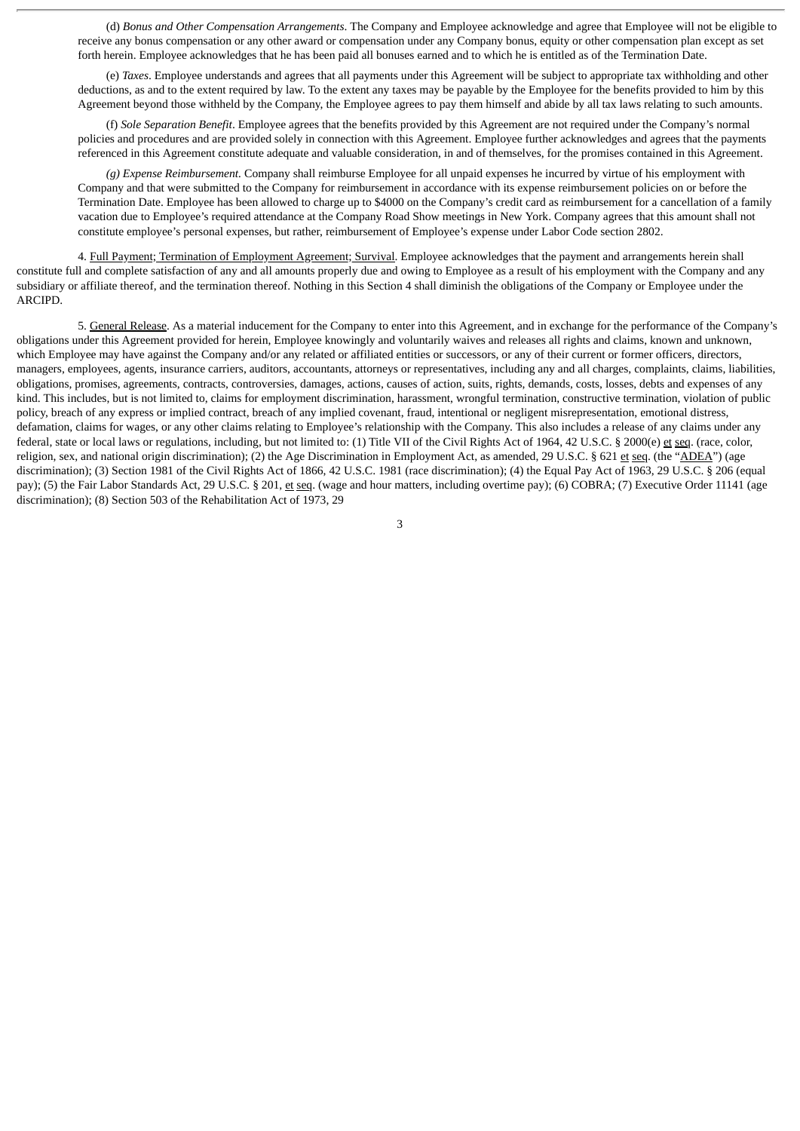(d) *Bonus and Other Compensation Arrangements*. The Company and Employee acknowledge and agree that Employee will not be eligible to receive any bonus compensation or any other award or compensation under any Company bonus, equity or other compensation plan except as set forth herein. Employee acknowledges that he has been paid all bonuses earned and to which he is entitled as of the Termination Date.

(e) *Taxes*. Employee understands and agrees that all payments under this Agreement will be subject to appropriate tax withholding and other deductions, as and to the extent required by law. To the extent any taxes may be payable by the Employee for the benefits provided to him by this Agreement beyond those withheld by the Company, the Employee agrees to pay them himself and abide by all tax laws relating to such amounts.

(f) *Sole Separation Benefit*. Employee agrees that the benefits provided by this Agreement are not required under the Company's normal policies and procedures and are provided solely in connection with this Agreement. Employee further acknowledges and agrees that the payments referenced in this Agreement constitute adequate and valuable consideration, in and of themselves, for the promises contained in this Agreement.

*(g) Expense Reimbursement.* Company shall reimburse Employee for all unpaid expenses he incurred by virtue of his employment with Company and that were submitted to the Company for reimbursement in accordance with its expense reimbursement policies on or before the Termination Date. Employee has been allowed to charge up to \$4000 on the Company's credit card as reimbursement for a cancellation of a family vacation due to Employee's required attendance at the Company Road Show meetings in New York. Company agrees that this amount shall not constitute employee's personal expenses, but rather, reimbursement of Employee's expense under Labor Code section 2802.

4. Full Payment; Termination of Employment Agreement; Survival. Employee acknowledges that the payment and arrangements herein shall constitute full and complete satisfaction of any and all amounts properly due and owing to Employee as a result of his employment with the Company and any subsidiary or affiliate thereof, and the termination thereof. Nothing in this Section 4 shall diminish the obligations of the Company or Employee under the ARCIPD.

5. General Release. As a material inducement for the Company to enter into this Agreement, and in exchange for the performance of the Company's obligations under this Agreement provided for herein, Employee knowingly and voluntarily waives and releases all rights and claims, known and unknown, which Employee may have against the Company and/or any related or affiliated entities or successors, or any of their current or former officers, directors, managers, employees, agents, insurance carriers, auditors, accountants, attorneys or representatives, including any and all charges, complaints, claims, liabilities, obligations, promises, agreements, contracts, controversies, damages, actions, causes of action, suits, rights, demands, costs, losses, debts and expenses of any kind. This includes, but is not limited to, claims for employment discrimination, harassment, wrongful termination, constructive termination, violation of public policy, breach of any express or implied contract, breach of any implied covenant, fraud, intentional or negligent misrepresentation, emotional distress, defamation, claims for wages, or any other claims relating to Employee's relationship with the Company. This also includes a release of any claims under any federal, state or local laws or regulations, including, but not limited to: (1) Title VII of the Civil Rights Act of 1964, 42 U.S.C. § 2000(e) et seq. (race, color, religion, sex, and national origin discrimination); (2) the Age Discrimination in Employment Act, as amended, 29 U.S.C. § 621 et seq. (the "ADEA") (age discrimination); (3) Section 1981 of the Civil Rights Act of 1866, 42 U.S.C. 1981 (race discrimination); (4) the Equal Pay Act of 1963, 29 U.S.C. § 206 (equal pay); (5) the Fair Labor Standards Act, 29 U.S.C. § 201, et seq. (wage and hour matters, including overtime pay); (6) COBRA; (7) Executive Order 11141 (age discrimination); (8) Section 503 of the Rehabilitation Act of 1973, 29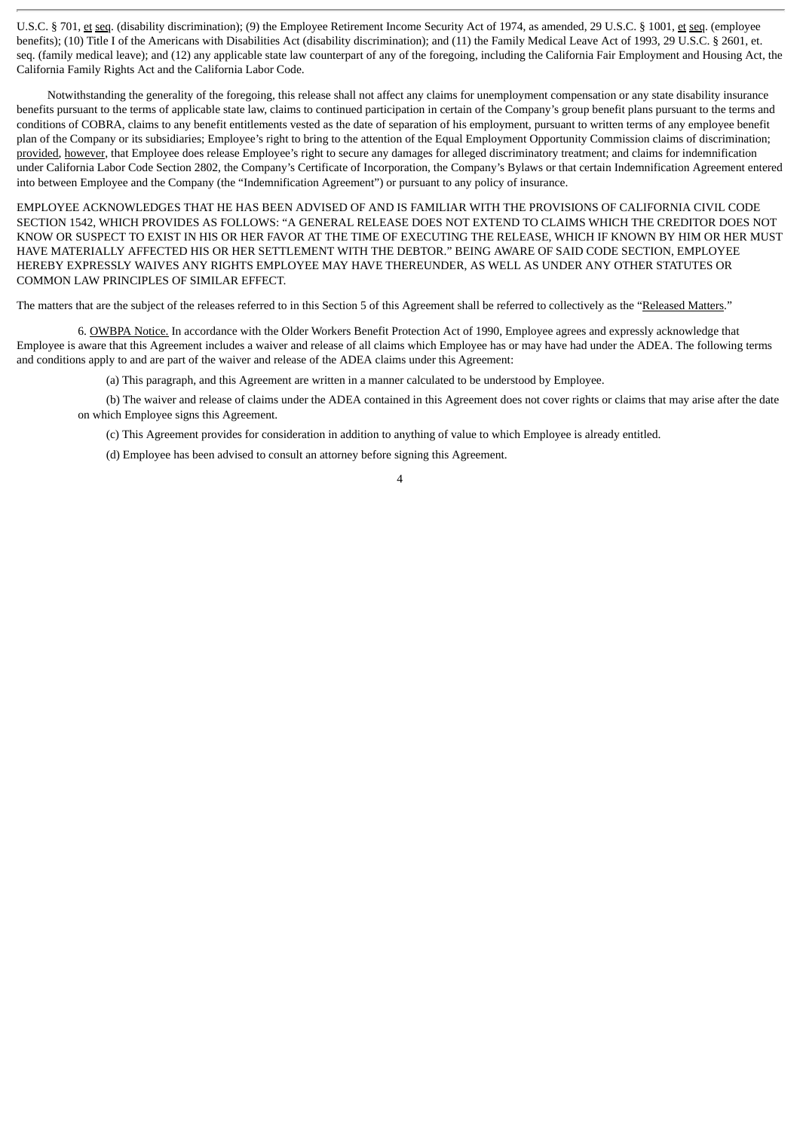U.S.C. § 701, et seq. (disability discrimination); (9) the Employee Retirement Income Security Act of 1974, as amended, 29 U.S.C. § 1001, et seq. (employee benefits); (10) Title I of the Americans with Disabilities Act (disability discrimination); and (11) the Family Medical Leave Act of 1993, 29 U.S.C. § 2601, et. seq. (family medical leave); and (12) any applicable state law counterpart of any of the foregoing, including the California Fair Employment and Housing Act, the California Family Rights Act and the California Labor Code.

Notwithstanding the generality of the foregoing, this release shall not affect any claims for unemployment compensation or any state disability insurance benefits pursuant to the terms of applicable state law, claims to continued participation in certain of the Company's group benefit plans pursuant to the terms and conditions of COBRA, claims to any benefit entitlements vested as the date of separation of his employment, pursuant to written terms of any employee benefit plan of the Company or its subsidiaries; Employee's right to bring to the attention of the Equal Employment Opportunity Commission claims of discrimination; provided, however, that Employee does release Employee's right to secure any damages for alleged discriminatory treatment; and claims for indemnification under California Labor Code Section 2802, the Company's Certificate of Incorporation, the Company's Bylaws or that certain Indemnification Agreement entered into between Employee and the Company (the "Indemnification Agreement") or pursuant to any policy of insurance.

EMPLOYEE ACKNOWLEDGES THAT HE HAS BEEN ADVISED OF AND IS FAMILIAR WITH THE PROVISIONS OF CALIFORNIA CIVIL CODE SECTION 1542, WHICH PROVIDES AS FOLLOWS: "A GENERAL RELEASE DOES NOT EXTEND TO CLAIMS WHICH THE CREDITOR DOES NOT KNOW OR SUSPECT TO EXIST IN HIS OR HER FAVOR AT THE TIME OF EXECUTING THE RELEASE, WHICH IF KNOWN BY HIM OR HER MUST HAVE MATERIALLY AFFECTED HIS OR HER SETTLEMENT WITH THE DEBTOR." BEING AWARE OF SAID CODE SECTION, EMPLOYEE HEREBY EXPRESSLY WAIVES ANY RIGHTS EMPLOYEE MAY HAVE THEREUNDER, AS WELL AS UNDER ANY OTHER STATUTES OR COMMON LAW PRINCIPLES OF SIMILAR EFFECT.

The matters that are the subject of the releases referred to in this Section 5 of this Agreement shall be referred to collectively as the "Released Matters."

6. OWBPA Notice. In accordance with the Older Workers Benefit Protection Act of 1990, Employee agrees and expressly acknowledge that Employee is aware that this Agreement includes a waiver and release of all claims which Employee has or may have had under the ADEA. The following terms and conditions apply to and are part of the waiver and release of the ADEA claims under this Agreement:

(a) This paragraph, and this Agreement are written in a manner calculated to be understood by Employee.

(b) The waiver and release of claims under the ADEA contained in this Agreement does not cover rights or claims that may arise after the date on which Employee signs this Agreement.

(c) This Agreement provides for consideration in addition to anything of value to which Employee is already entitled.

(d) Employee has been advised to consult an attorney before signing this Agreement.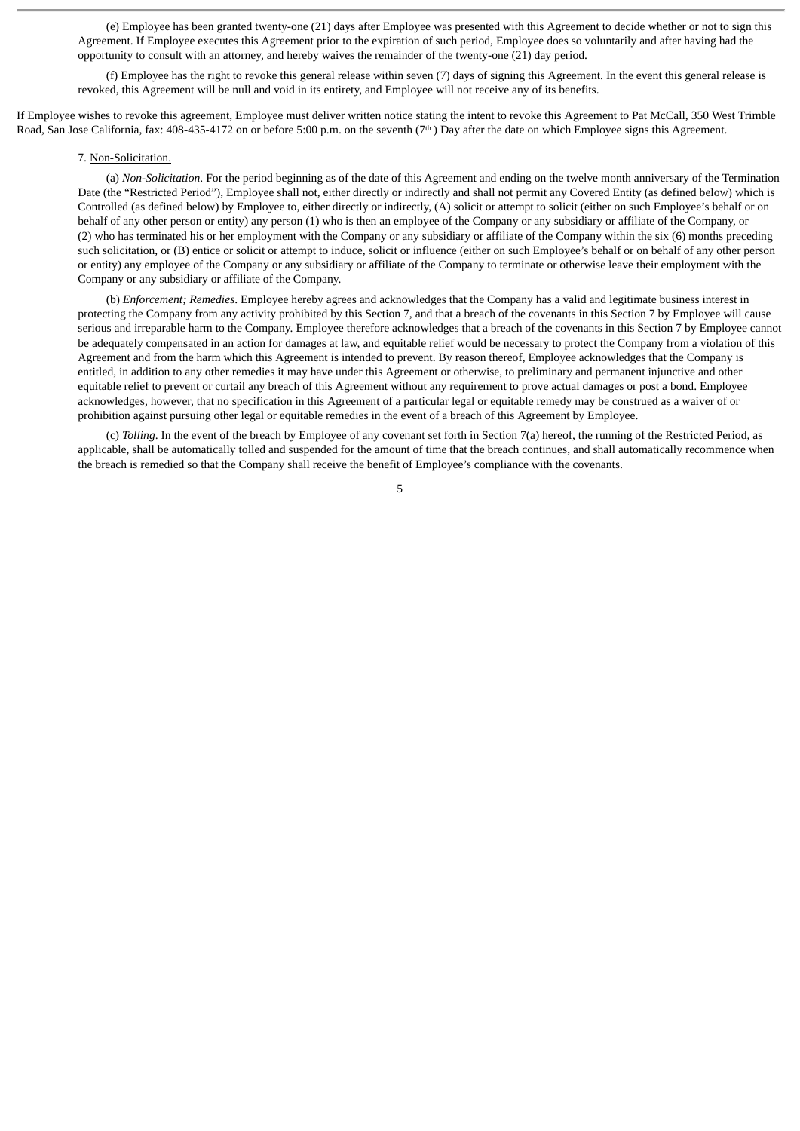(e) Employee has been granted twenty-one (21) days after Employee was presented with this Agreement to decide whether or not to sign this Agreement. If Employee executes this Agreement prior to the expiration of such period, Employee does so voluntarily and after having had the opportunity to consult with an attorney, and hereby waives the remainder of the twenty-one (21) day period.

(f) Employee has the right to revoke this general release within seven (7) days of signing this Agreement. In the event this general release is revoked, this Agreement will be null and void in its entirety, and Employee will not receive any of its benefits.

If Employee wishes to revoke this agreement, Employee must deliver written notice stating the intent to revoke this Agreement to Pat McCall, 350 West Trimble Road, San Jose California, fax: 408-435-4172 on or before 5:00 p.m. on the seventh (7<sup>th</sup>) Day after the date on which Employee signs this Agreement.

#### 7. Non-Solicitation.

(a) *Non-Solicitation*. For the period beginning as of the date of this Agreement and ending on the twelve month anniversary of the Termination Date (the "Restricted Period"), Employee shall not, either directly or indirectly and shall not permit any Covered Entity (as defined below) which is Controlled (as defined below) by Employee to, either directly or indirectly, (A) solicit or attempt to solicit (either on such Employee's behalf or on behalf of any other person or entity) any person (1) who is then an employee of the Company or any subsidiary or affiliate of the Company, or (2) who has terminated his or her employment with the Company or any subsidiary or affiliate of the Company within the six (6) months preceding such solicitation, or (B) entice or solicit or attempt to induce, solicit or influence (either on such Employee's behalf or on behalf of any other person or entity) any employee of the Company or any subsidiary or affiliate of the Company to terminate or otherwise leave their employment with the Company or any subsidiary or affiliate of the Company.

(b) *Enforcement; Remedies*. Employee hereby agrees and acknowledges that the Company has a valid and legitimate business interest in protecting the Company from any activity prohibited by this Section 7, and that a breach of the covenants in this Section 7 by Employee will cause serious and irreparable harm to the Company. Employee therefore acknowledges that a breach of the covenants in this Section 7 by Employee cannot be adequately compensated in an action for damages at law, and equitable relief would be necessary to protect the Company from a violation of this Agreement and from the harm which this Agreement is intended to prevent. By reason thereof, Employee acknowledges that the Company is entitled, in addition to any other remedies it may have under this Agreement or otherwise, to preliminary and permanent injunctive and other equitable relief to prevent or curtail any breach of this Agreement without any requirement to prove actual damages or post a bond. Employee acknowledges, however, that no specification in this Agreement of a particular legal or equitable remedy may be construed as a waiver of or prohibition against pursuing other legal or equitable remedies in the event of a breach of this Agreement by Employee.

(c) *Tolling*. In the event of the breach by Employee of any covenant set forth in Section 7(a) hereof, the running of the Restricted Period, as applicable, shall be automatically tolled and suspended for the amount of time that the breach continues, and shall automatically recommence when the breach is remedied so that the Company shall receive the benefit of Employee's compliance with the covenants.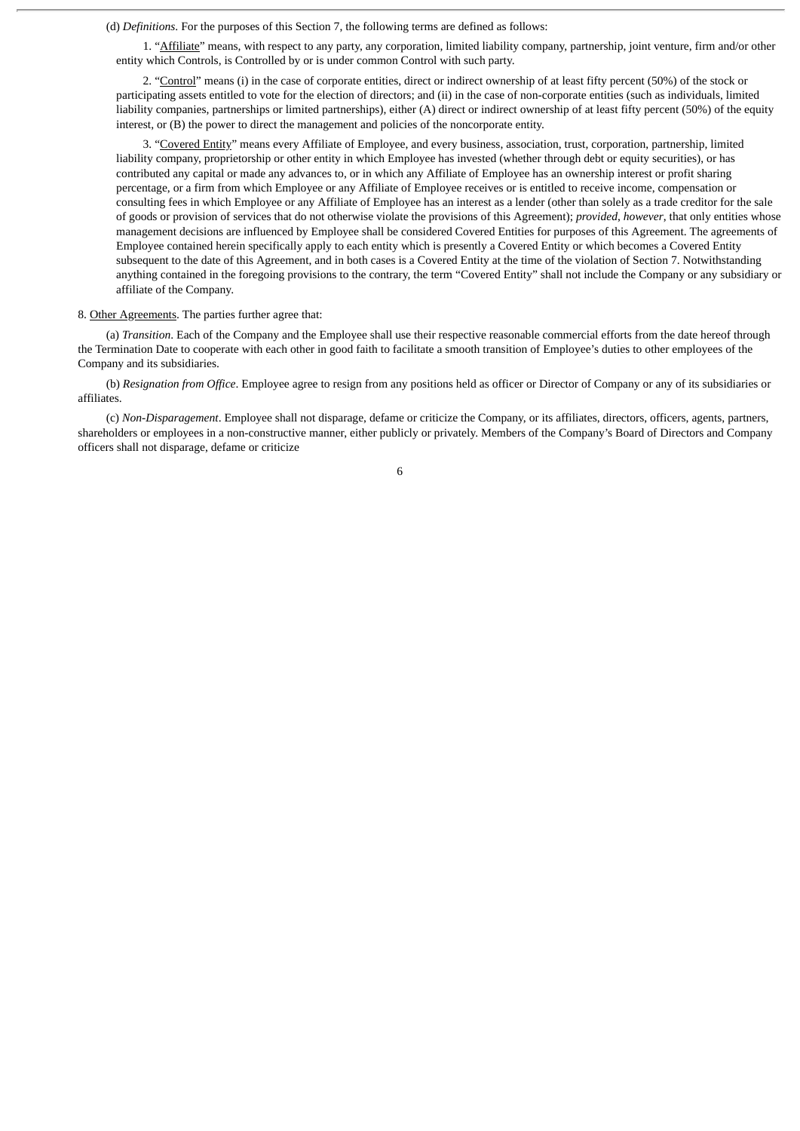(d) *Definitions*. For the purposes of this Section 7, the following terms are defined as follows:

1. "Affiliate" means, with respect to any party, any corporation, limited liability company, partnership, joint venture, firm and/or other entity which Controls, is Controlled by or is under common Control with such party.

2. "Control" means (i) in the case of corporate entities, direct or indirect ownership of at least fifty percent (50%) of the stock or participating assets entitled to vote for the election of directors; and (ii) in the case of non-corporate entities (such as individuals, limited liability companies, partnerships or limited partnerships), either (A) direct or indirect ownership of at least fifty percent (50%) of the equity interest, or (B) the power to direct the management and policies of the noncorporate entity.

3. "Covered Entity" means every Affiliate of Employee, and every business, association, trust, corporation, partnership, limited liability company, proprietorship or other entity in which Employee has invested (whether through debt or equity securities), or has contributed any capital or made any advances to, or in which any Affiliate of Employee has an ownership interest or profit sharing percentage, or a firm from which Employee or any Affiliate of Employee receives or is entitled to receive income, compensation or consulting fees in which Employee or any Affiliate of Employee has an interest as a lender (other than solely as a trade creditor for the sale of goods or provision of services that do not otherwise violate the provisions of this Agreement); *provided*, *however*, that only entities whose management decisions are influenced by Employee shall be considered Covered Entities for purposes of this Agreement. The agreements of Employee contained herein specifically apply to each entity which is presently a Covered Entity or which becomes a Covered Entity subsequent to the date of this Agreement, and in both cases is a Covered Entity at the time of the violation of Section 7. Notwithstanding anything contained in the foregoing provisions to the contrary, the term "Covered Entity" shall not include the Company or any subsidiary or affiliate of the Company.

### 8. Other Agreements. The parties further agree that:

(a) *Transition*. Each of the Company and the Employee shall use their respective reasonable commercial efforts from the date hereof through the Termination Date to cooperate with each other in good faith to facilitate a smooth transition of Employee's duties to other employees of the Company and its subsidiaries.

(b) *Resignation from Office*. Employee agree to resign from any positions held as officer or Director of Company or any of its subsidiaries or affiliates.

(c) *Non-Disparagement*. Employee shall not disparage, defame or criticize the Company, or its affiliates, directors, officers, agents, partners, shareholders or employees in a non-constructive manner, either publicly or privately. Members of the Company's Board of Directors and Company officers shall not disparage, defame or criticize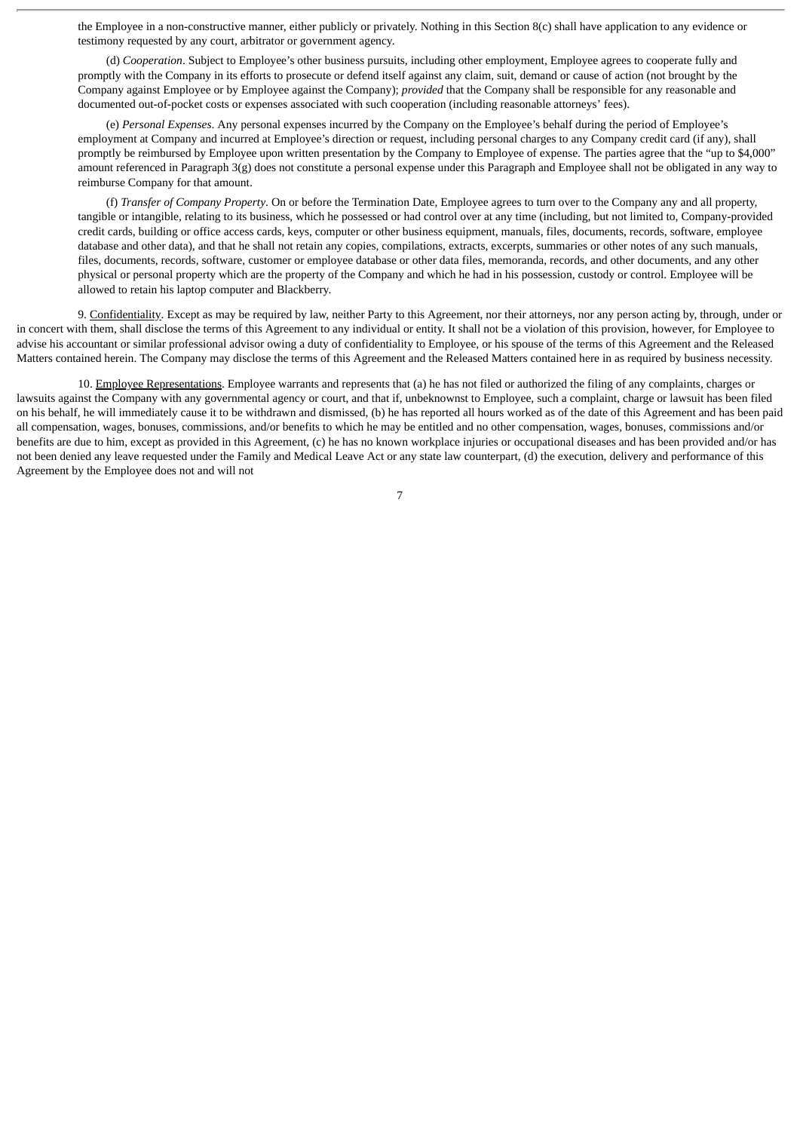the Employee in a non-constructive manner, either publicly or privately. Nothing in this Section 8(c) shall have application to any evidence or testimony requested by any court, arbitrator or government agency.

(d) *Cooperation*. Subject to Employee's other business pursuits, including other employment, Employee agrees to cooperate fully and promptly with the Company in its efforts to prosecute or defend itself against any claim, suit, demand or cause of action (not brought by the Company against Employee or by Employee against the Company); *provided* that the Company shall be responsible for any reasonable and documented out-of-pocket costs or expenses associated with such cooperation (including reasonable attorneys' fees).

(e) *Personal Expenses*. Any personal expenses incurred by the Company on the Employee's behalf during the period of Employee's employment at Company and incurred at Employee's direction or request, including personal charges to any Company credit card (if any), shall promptly be reimbursed by Employee upon written presentation by the Company to Employee of expense. The parties agree that the "up to \$4,000" amount referenced in Paragraph 3(g) does not constitute a personal expense under this Paragraph and Employee shall not be obligated in any way to reimburse Company for that amount.

(f) *Transfer of Company Property*. On or before the Termination Date, Employee agrees to turn over to the Company any and all property, tangible or intangible, relating to its business, which he possessed or had control over at any time (including, but not limited to, Company-provided credit cards, building or office access cards, keys, computer or other business equipment, manuals, files, documents, records, software, employee database and other data), and that he shall not retain any copies, compilations, extracts, excerpts, summaries or other notes of any such manuals, files, documents, records, software, customer or employee database or other data files, memoranda, records, and other documents, and any other physical or personal property which are the property of the Company and which he had in his possession, custody or control. Employee will be allowed to retain his laptop computer and Blackberry.

9. Confidentiality. Except as may be required by law, neither Party to this Agreement, nor their attorneys, nor any person acting by, through, under or in concert with them, shall disclose the terms of this Agreement to any individual or entity. It shall not be a violation of this provision, however, for Employee to advise his accountant or similar professional advisor owing a duty of confidentiality to Employee, or his spouse of the terms of this Agreement and the Released Matters contained herein. The Company may disclose the terms of this Agreement and the Released Matters contained here in as required by business necessity.

10. Employee Representations. Employee warrants and represents that (a) he has not filed or authorized the filing of any complaints, charges or lawsuits against the Company with any governmental agency or court, and that if, unbeknownst to Employee, such a complaint, charge or lawsuit has been filed on his behalf, he will immediately cause it to be withdrawn and dismissed, (b) he has reported all hours worked as of the date of this Agreement and has been paid all compensation, wages, bonuses, commissions, and/or benefits to which he may be entitled and no other compensation, wages, bonuses, commissions and/or benefits are due to him, except as provided in this Agreement, (c) he has no known workplace injuries or occupational diseases and has been provided and/or has not been denied any leave requested under the Family and Medical Leave Act or any state law counterpart, (d) the execution, delivery and performance of this Agreement by the Employee does not and will not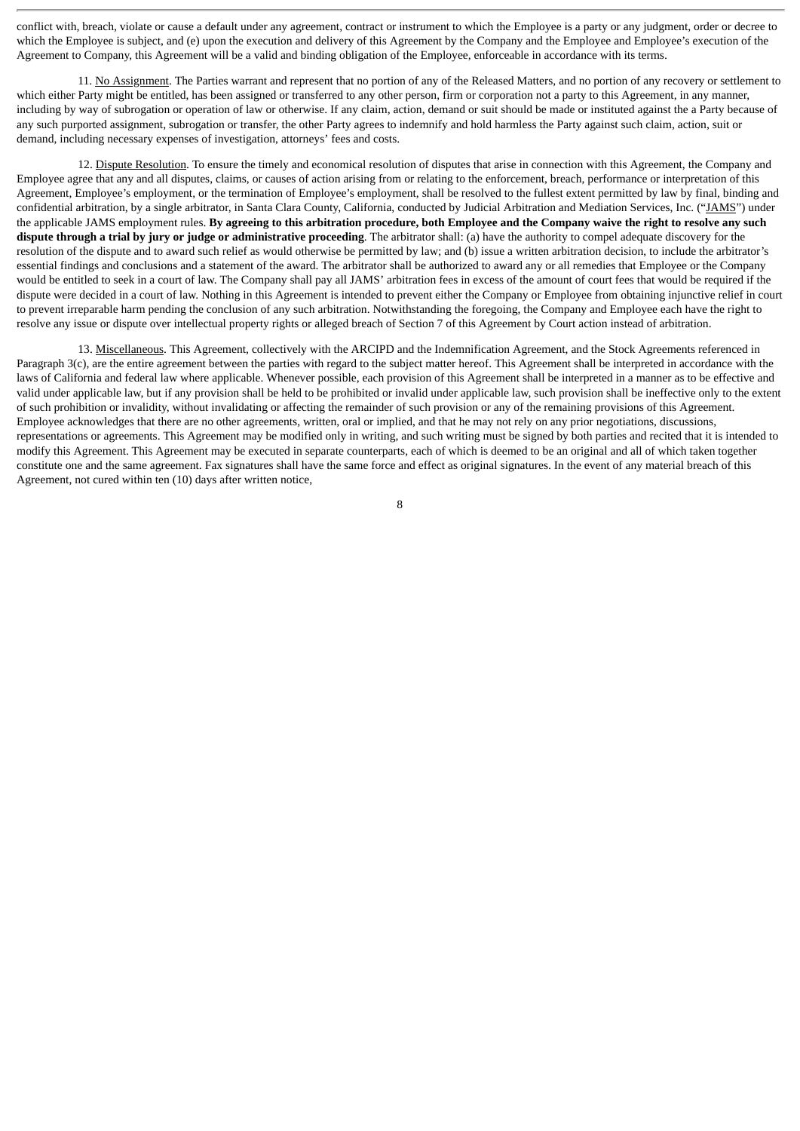conflict with, breach, violate or cause a default under any agreement, contract or instrument to which the Employee is a party or any judgment, order or decree to which the Employee is subject, and (e) upon the execution and delivery of this Agreement by the Company and the Employee and Employee's execution of the Agreement to Company, this Agreement will be a valid and binding obligation of the Employee, enforceable in accordance with its terms.

11. No Assignment. The Parties warrant and represent that no portion of any of the Released Matters, and no portion of any recovery or settlement to which either Party might be entitled, has been assigned or transferred to any other person, firm or corporation not a party to this Agreement, in any manner, including by way of subrogation or operation of law or otherwise. If any claim, action, demand or suit should be made or instituted against the a Party because of any such purported assignment, subrogation or transfer, the other Party agrees to indemnify and hold harmless the Party against such claim, action, suit or demand, including necessary expenses of investigation, attorneys' fees and costs.

12. Dispute Resolution. To ensure the timely and economical resolution of disputes that arise in connection with this Agreement, the Company and Employee agree that any and all disputes, claims, or causes of action arising from or relating to the enforcement, breach, performance or interpretation of this Agreement, Employee's employment, or the termination of Employee's employment, shall be resolved to the fullest extent permitted by law by final, binding and confidential arbitration, by a single arbitrator, in Santa Clara County, California, conducted by Judicial Arbitration and Mediation Services, Inc. ("JAMS") under the applicable JAMS employment rules. **By agreeing to this arbitration procedure, both Employee and the Company waive the right to resolve any such dispute through a trial by jury or judge or administrative proceeding**. The arbitrator shall: (a) have the authority to compel adequate discovery for the resolution of the dispute and to award such relief as would otherwise be permitted by law; and (b) issue a written arbitration decision, to include the arbitrator's essential findings and conclusions and a statement of the award. The arbitrator shall be authorized to award any or all remedies that Employee or the Company would be entitled to seek in a court of law. The Company shall pay all JAMS' arbitration fees in excess of the amount of court fees that would be required if the dispute were decided in a court of law. Nothing in this Agreement is intended to prevent either the Company or Employee from obtaining injunctive relief in court to prevent irreparable harm pending the conclusion of any such arbitration. Notwithstanding the foregoing, the Company and Employee each have the right to resolve any issue or dispute over intellectual property rights or alleged breach of Section 7 of this Agreement by Court action instead of arbitration.

13. Miscellaneous. This Agreement, collectively with the ARCIPD and the Indemnification Agreement, and the Stock Agreements referenced in Paragraph 3(c), are the entire agreement between the parties with regard to the subject matter hereof. This Agreement shall be interpreted in accordance with the laws of California and federal law where applicable. Whenever possible, each provision of this Agreement shall be interpreted in a manner as to be effective and valid under applicable law, but if any provision shall be held to be prohibited or invalid under applicable law, such provision shall be ineffective only to the extent of such prohibition or invalidity, without invalidating or affecting the remainder of such provision or any of the remaining provisions of this Agreement. Employee acknowledges that there are no other agreements, written, oral or implied, and that he may not rely on any prior negotiations, discussions, representations or agreements. This Agreement may be modified only in writing, and such writing must be signed by both parties and recited that it is intended to modify this Agreement. This Agreement may be executed in separate counterparts, each of which is deemed to be an original and all of which taken together constitute one and the same agreement. Fax signatures shall have the same force and effect as original signatures. In the event of any material breach of this Agreement, not cured within ten (10) days after written notice,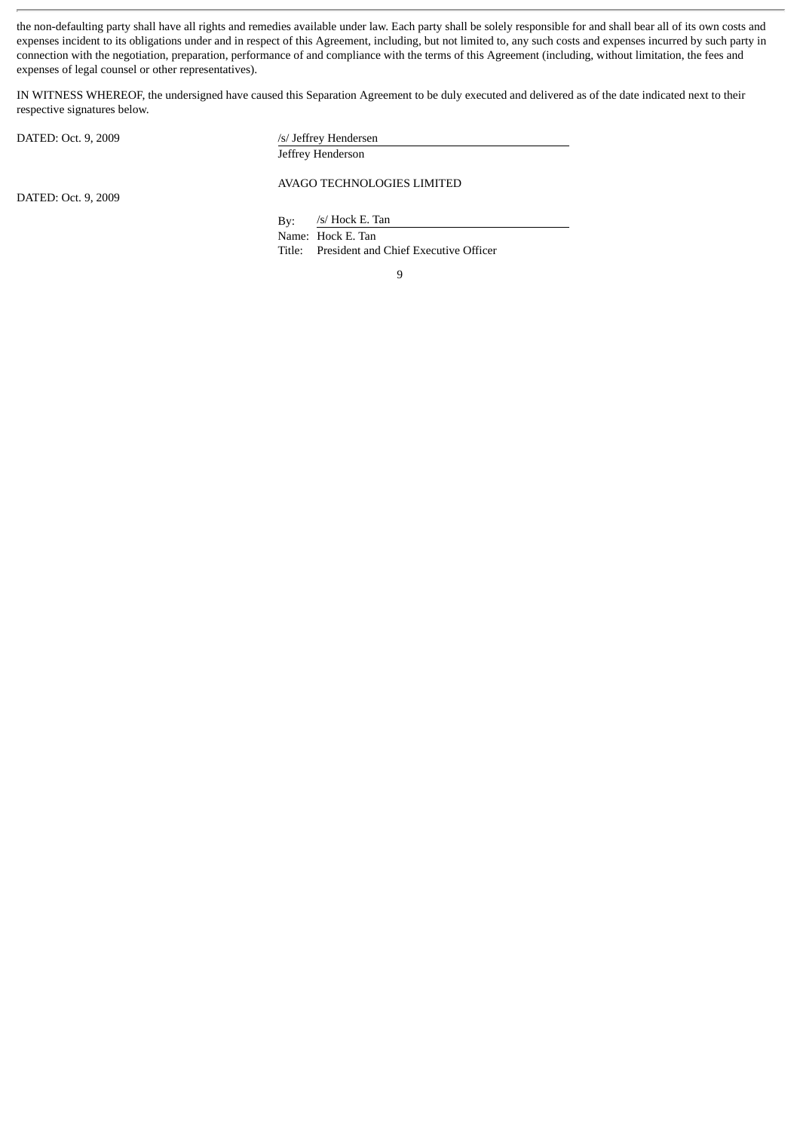the non-defaulting party shall have all rights and remedies available under law. Each party shall be solely responsible for and shall bear all of its own costs and expenses incident to its obligations under and in respect of this Agreement, including, but not limited to, any such costs and expenses incurred by such party in connection with the negotiation, preparation, performance of and compliance with the terms of this Agreement (including, without limitation, the fees and expenses of legal counsel or other representatives).

IN WITNESS WHEREOF, the undersigned have caused this Separation Agreement to be duly executed and delivered as of the date indicated next to their respective signatures below.

DATED: Oct. 9, 2009 /s/ Jeffrey Hendersen

Jeffrey Henderson

DATED: Oct. 9, 2009

AVAGO TECHNOLOGIES LIMITED

By: /s/ Hock E. Tan

Name: Hock E. Tan Title: President and Chief Executive Officer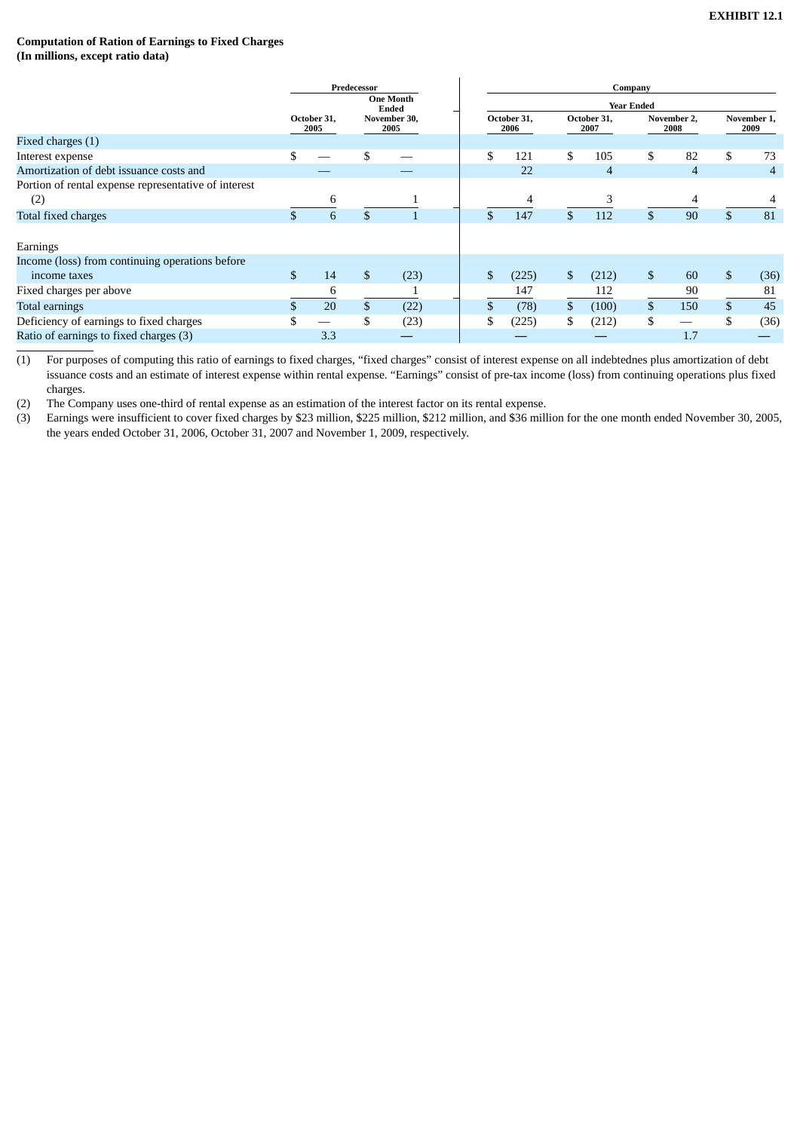# **Computation of Ration of Earnings to Fixed Charges**

**(In millions, except ratio data)**

|                                                      | Predecessor |                     |                           |                      | Company |                     |    |                     |    |                     |    |                     |
|------------------------------------------------------|-------------|---------------------|---------------------------|----------------------|---------|---------------------|----|---------------------|----|---------------------|----|---------------------|
|                                                      |             |                     | <b>One Month</b><br>Ended |                      |         | <b>Year Ended</b>   |    |                     |    |                     |    |                     |
|                                                      |             | October 31,<br>2005 |                           | November 30,<br>2005 |         | October 31,<br>2006 |    | October 31,<br>2007 |    | November 2,<br>2008 |    | November 1,<br>2009 |
| Fixed charges (1)                                    |             |                     |                           |                      |         |                     |    |                     |    |                     |    |                     |
| Interest expense                                     |             |                     |                           |                      | \$      | 121                 | \$ | 105                 | \$ | 82                  | \$ | 73                  |
| Amortization of debt issuance costs and              |             |                     |                           |                      |         | 22                  |    | 4                   |    | 4                   |    | 4                   |
| Portion of rental expense representative of interest |             |                     |                           |                      |         |                     |    |                     |    |                     |    |                     |
| (2)                                                  |             | 6                   |                           |                      |         |                     |    |                     |    |                     |    |                     |
| Total fixed charges                                  |             | 6                   |                           |                      | \$      | 147                 | \$ | 112                 | \$ | 90                  |    | 81                  |
| Earnings                                             |             |                     |                           |                      |         |                     |    |                     |    |                     |    |                     |
| Income (loss) from continuing operations before      |             |                     |                           |                      |         |                     |    |                     |    |                     |    |                     |
| income taxes                                         | \$          | 14                  | \$                        | (23)                 | \$      | (225)               | \$ | (212)               | \$ | 60                  | \$ | (36)                |
| Fixed charges per above                              |             | b                   |                           |                      |         | 147                 |    | 112                 |    | 90                  |    | 81                  |
| Total earnings                                       |             | 20                  | \$                        | (22)                 | S       | (78)                | \$ | (100)               | \$ | 150                 |    | 45                  |
| Deficiency of earnings to fixed charges              |             |                     | \$                        | (23)                 | \$      | (225)               | \$ | (212)               | \$ |                     | \$ | (36)                |
| Ratio of earnings to fixed charges (3)               |             | 3.3                 |                           |                      |         |                     |    |                     |    | 1.7                 |    |                     |

(1) For purposes of computing this ratio of earnings to fixed charges, "fixed charges" consist of interest expense on all indebtednes plus amortization of debt issuance costs and an estimate of interest expense within rental expense. "Earnings" consist of pre-tax income (loss) from continuing operations plus fixed charges.

(2) The Company uses one-third of rental expense as an estimation of the interest factor on its rental expense.

(3) Earnings were insufficient to cover fixed charges by \$23 million, \$225 million, \$212 million, and \$36 million for the one month ended November 30, 2005, the years ended October 31, 2006, October 31, 2007 and November 1, 2009, respectively.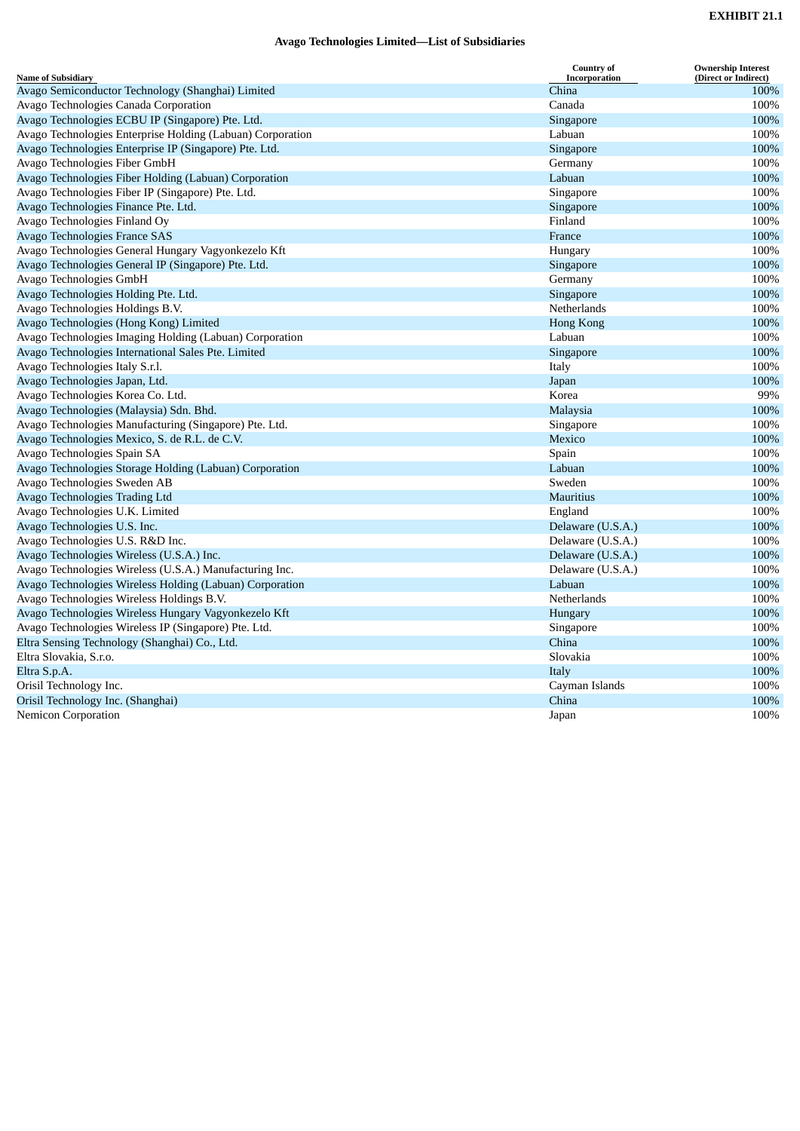# **EXHIBIT 21.1**

# **Avago Technologies Limited—List of Subsidiaries**

| <b>Name of Subsidiary</b>                                  | <b>Country of</b><br>Incorporation | <b>Ownership Interest</b><br>(Direct or Indirect) |
|------------------------------------------------------------|------------------------------------|---------------------------------------------------|
| Avago Semiconductor Technology (Shanghai) Limited          | China                              | 100%                                              |
| Avago Technologies Canada Corporation                      | Canada                             | 100%                                              |
| Avago Technologies ECBU IP (Singapore) Pte. Ltd.           | Singapore                          | 100%                                              |
| Avago Technologies Enterprise Holding (Labuan) Corporation | Labuan                             | 100%                                              |
| Avago Technologies Enterprise IP (Singapore) Pte. Ltd.     | Singapore                          | 100%                                              |
| Avago Technologies Fiber GmbH                              | Germany                            | 100%                                              |
| Avago Technologies Fiber Holding (Labuan) Corporation      | Labuan                             | 100%                                              |
| Avago Technologies Fiber IP (Singapore) Pte. Ltd.          | Singapore                          | 100%                                              |
| Avago Technologies Finance Pte. Ltd.                       | Singapore                          | 100%                                              |
| Avago Technologies Finland Oy                              | Finland                            | 100%                                              |
| Avago Technologies France SAS                              | France                             | 100%                                              |
| Avago Technologies General Hungary Vagyonkezelo Kft        | Hungary                            | 100%                                              |
| Avago Technologies General IP (Singapore) Pte. Ltd.        | Singapore                          | 100%                                              |
| Avago Technologies GmbH                                    | Germany                            | 100%                                              |
| Avago Technologies Holding Pte. Ltd.                       | Singapore                          | 100%                                              |
| Avago Technologies Holdings B.V.                           | Netherlands                        | 100%                                              |
| Avago Technologies (Hong Kong) Limited                     | Hong Kong                          | 100%                                              |
| Avago Technologies Imaging Holding (Labuan) Corporation    | Labuan                             | 100%                                              |
| Avago Technologies International Sales Pte. Limited        | Singapore                          | 100%                                              |
| Avago Technologies Italy S.r.l.                            | Italy                              | 100%                                              |
| Avago Technologies Japan, Ltd.                             | Japan                              | 100%                                              |
| Avago Technologies Korea Co. Ltd.                          | Korea                              | 99%                                               |
| Avago Technologies (Malaysia) Sdn. Bhd.                    | Malaysia                           | 100%                                              |
| Avago Technologies Manufacturing (Singapore) Pte. Ltd.     | Singapore                          | 100%                                              |
| Avago Technologies Mexico, S. de R.L. de C.V.              | Mexico                             | 100%                                              |
| Avago Technologies Spain SA                                | Spain                              | 100%                                              |
| Avago Technologies Storage Holding (Labuan) Corporation    | Labuan                             | 100%                                              |
| Avago Technologies Sweden AB                               | Sweden                             | 100%                                              |
| Avago Technologies Trading Ltd                             | Mauritius                          | 100%                                              |
| Avago Technologies U.K. Limited                            | England                            | 100%                                              |
| Avago Technologies U.S. Inc.                               | Delaware (U.S.A.)                  | 100%                                              |
| Avago Technologies U.S. R&D Inc.                           | Delaware (U.S.A.)                  | 100%                                              |
| Avago Technologies Wireless (U.S.A.) Inc.                  | Delaware (U.S.A.)                  | 100%                                              |
| Avago Technologies Wireless (U.S.A.) Manufacturing Inc.    | Delaware (U.S.A.)                  | 100%                                              |
| Avago Technologies Wireless Holding (Labuan) Corporation   | Labuan                             | 100%                                              |
| Avago Technologies Wireless Holdings B.V.                  | Netherlands                        | 100%                                              |
| Avago Technologies Wireless Hungary Vagyonkezelo Kft       | Hungary                            | 100%                                              |
| Avago Technologies Wireless IP (Singapore) Pte. Ltd.       | Singapore                          | 100%                                              |
| Eltra Sensing Technology (Shanghai) Co., Ltd.              | China                              | 100%                                              |
| Eltra Slovakia, S.r.o.                                     | Slovakia                           | 100%                                              |
| Eltra S.p.A.                                               | Italy                              | 100%                                              |
| Orisil Technology Inc.                                     | Cayman Islands                     | 100%                                              |
| Orisil Technology Inc. (Shanghai)                          | China                              | 100%                                              |
| <b>Nemicon Corporation</b>                                 | Japan                              | 100%                                              |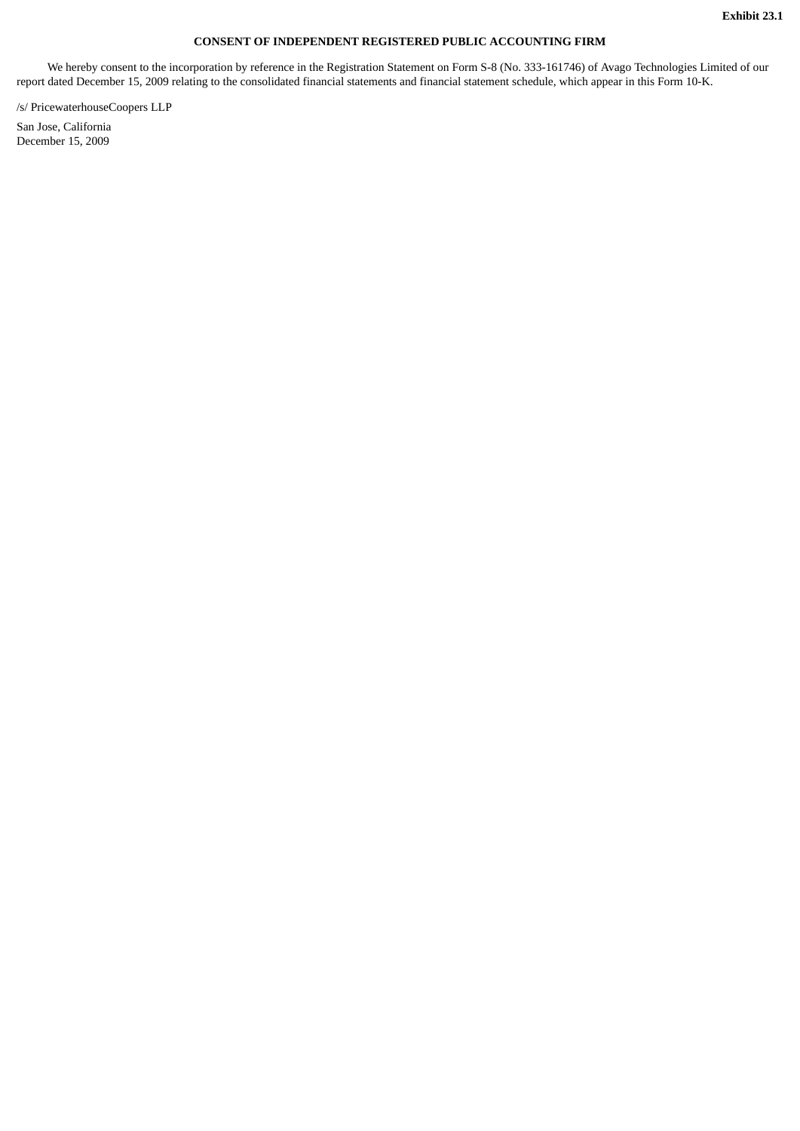# **CONSENT OF INDEPENDENT REGISTERED PUBLIC ACCOUNTING FIRM**

We hereby consent to the incorporation by reference in the Registration Statement on Form S-8 (No. 333-161746) of Avago Technologies Limited of our report dated December 15, 2009 relating to the consolidated financial statements and financial statement schedule, which appear in this Form 10-K.

/s/ PricewaterhouseCoopers LLP

San Jose, California December 15, 2009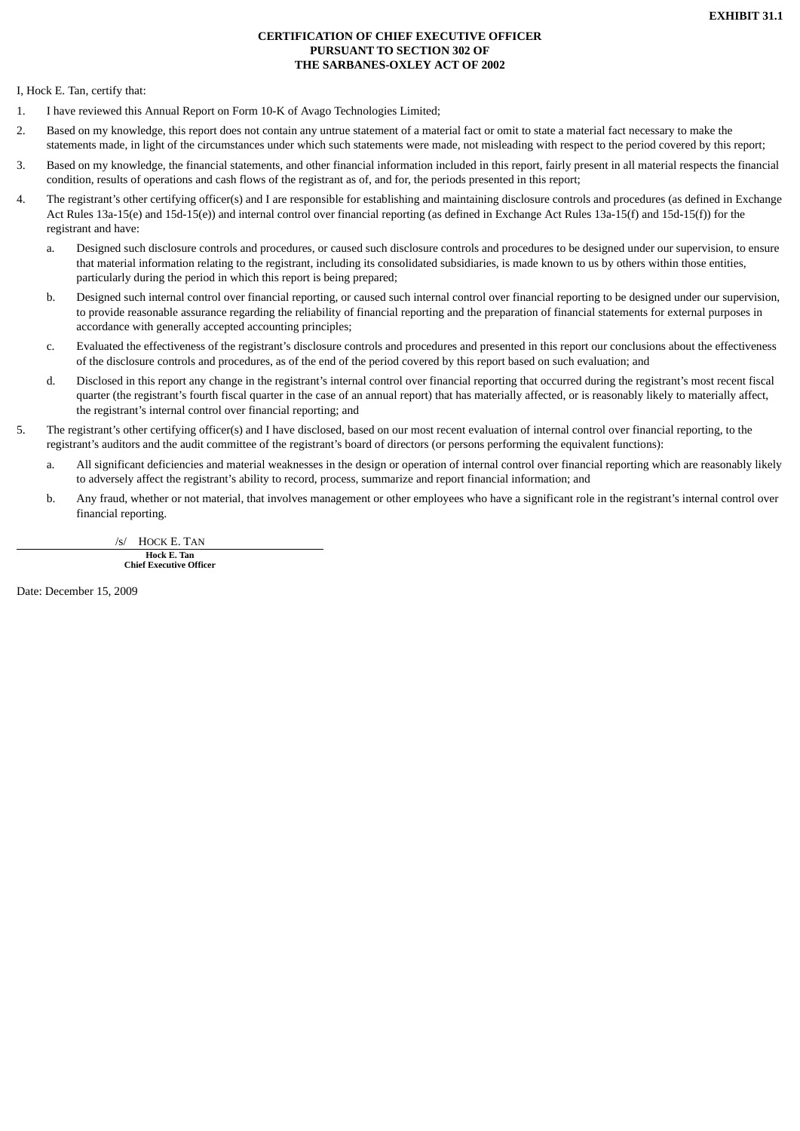### **CERTIFICATION OF CHIEF EXECUTIVE OFFICER PURSUANT TO SECTION 302 OF THE SARBANES-OXLEY ACT OF 2002**

I, Hock E. Tan, certify that:

- 1. I have reviewed this Annual Report on Form 10-K of Avago Technologies Limited;
- 2. Based on my knowledge, this report does not contain any untrue statement of a material fact or omit to state a material fact necessary to make the statements made, in light of the circumstances under which such statements were made, not misleading with respect to the period covered by this report;
- 3. Based on my knowledge, the financial statements, and other financial information included in this report, fairly present in all material respects the financial condition, results of operations and cash flows of the registrant as of, and for, the periods presented in this report;
- 4. The registrant's other certifying officer(s) and I are responsible for establishing and maintaining disclosure controls and procedures (as defined in Exchange Act Rules 13a-15(e) and 15d-15(e)) and internal control over financial reporting (as defined in Exchange Act Rules 13a-15(f) and 15d-15(f)) for the registrant and have:
	- a. Designed such disclosure controls and procedures, or caused such disclosure controls and procedures to be designed under our supervision, to ensure that material information relating to the registrant, including its consolidated subsidiaries, is made known to us by others within those entities, particularly during the period in which this report is being prepared;
	- b. Designed such internal control over financial reporting, or caused such internal control over financial reporting to be designed under our supervision, to provide reasonable assurance regarding the reliability of financial reporting and the preparation of financial statements for external purposes in accordance with generally accepted accounting principles;
	- c. Evaluated the effectiveness of the registrant's disclosure controls and procedures and presented in this report our conclusions about the effectiveness of the disclosure controls and procedures, as of the end of the period covered by this report based on such evaluation; and
	- d. Disclosed in this report any change in the registrant's internal control over financial reporting that occurred during the registrant's most recent fiscal quarter (the registrant's fourth fiscal quarter in the case of an annual report) that has materially affected, or is reasonably likely to materially affect, the registrant's internal control over financial reporting; and
- 5. The registrant's other certifying officer(s) and I have disclosed, based on our most recent evaluation of internal control over financial reporting, to the registrant's auditors and the audit committee of the registrant's board of directors (or persons performing the equivalent functions):
	- a. All significant deficiencies and material weaknesses in the design or operation of internal control over financial reporting which are reasonably likely to adversely affect the registrant's ability to record, process, summarize and report financial information; and
	- b. Any fraud, whether or not material, that involves management or other employees who have a significant role in the registrant's internal control over financial reporting.

/s/ HOCK E. TAN **Hock E. Tan Chief Executive Officer**

Date: December 15, 2009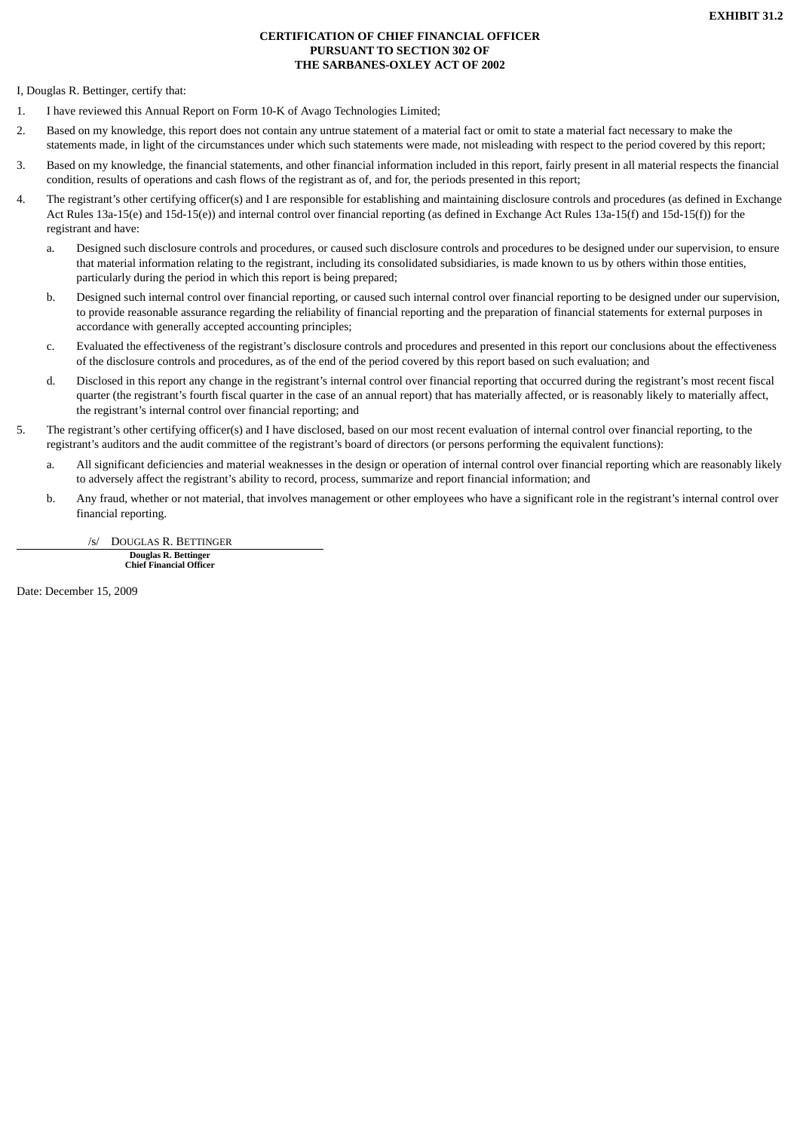### **CERTIFICATION OF CHIEF FINANCIAL OFFICER PURSUANT TO SECTION 302 OF THE SARBANES-OXLEY ACT OF 2002**

I, Douglas R. Bettinger, certify that:

- 1. I have reviewed this Annual Report on Form 10-K of Avago Technologies Limited;
- 2. Based on my knowledge, this report does not contain any untrue statement of a material fact or omit to state a material fact necessary to make the statements made, in light of the circumstances under which such statements were made, not misleading with respect to the period covered by this report;
- 3. Based on my knowledge, the financial statements, and other financial information included in this report, fairly present in all material respects the financial condition, results of operations and cash flows of the registrant as of, and for, the periods presented in this report;
- 4. The registrant's other certifying officer(s) and I are responsible for establishing and maintaining disclosure controls and procedures (as defined in Exchange Act Rules 13a-15(e) and 15d-15(e)) and internal control over financial reporting (as defined in Exchange Act Rules 13a-15(f) and 15d-15(f)) for the registrant and have:
	- a. Designed such disclosure controls and procedures, or caused such disclosure controls and procedures to be designed under our supervision, to ensure that material information relating to the registrant, including its consolidated subsidiaries, is made known to us by others within those entities, particularly during the period in which this report is being prepared;
	- b. Designed such internal control over financial reporting, or caused such internal control over financial reporting to be designed under our supervision, to provide reasonable assurance regarding the reliability of financial reporting and the preparation of financial statements for external purposes in accordance with generally accepted accounting principles;
	- c. Evaluated the effectiveness of the registrant's disclosure controls and procedures and presented in this report our conclusions about the effectiveness of the disclosure controls and procedures, as of the end of the period covered by this report based on such evaluation; and
	- d. Disclosed in this report any change in the registrant's internal control over financial reporting that occurred during the registrant's most recent fiscal quarter (the registrant's fourth fiscal quarter in the case of an annual report) that has materially affected, or is reasonably likely to materially affect, the registrant's internal control over financial reporting; and
- 5. The registrant's other certifying officer(s) and I have disclosed, based on our most recent evaluation of internal control over financial reporting, to the registrant's auditors and the audit committee of the registrant's board of directors (or persons performing the equivalent functions):
	- a. All significant deficiencies and material weaknesses in the design or operation of internal control over financial reporting which are reasonably likely to adversely affect the registrant's ability to record, process, summarize and report financial information; and
	- b. Any fraud, whether or not material, that involves management or other employees who have a significant role in the registrant's internal control over financial reporting.

/s/ DOUGLAS R. BETTINGER **Douglas R. Bettinger Chief Financial Officer**

Date: December 15, 2009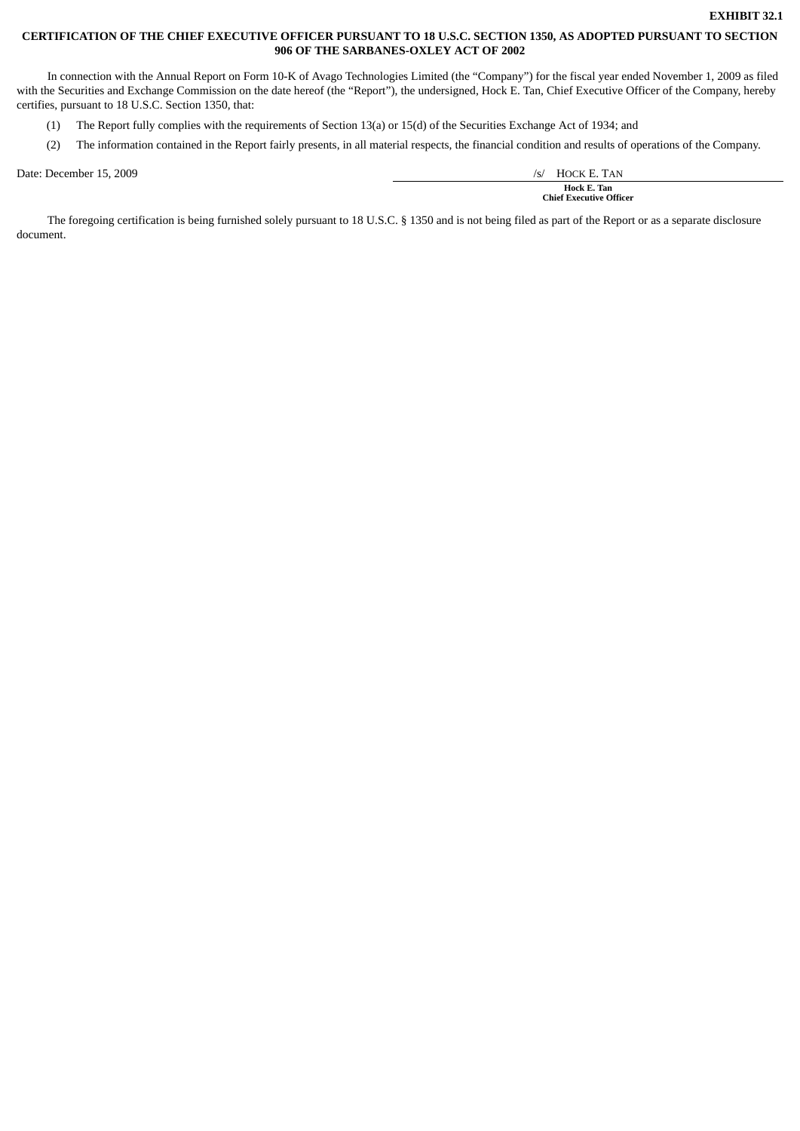#### **CERTIFICATION OF THE CHIEF EXECUTIVE OFFICER PURSUANT TO 18 U.S.C. SECTION 1350, AS ADOPTED PURSUANT TO SECTION 906 OF THE SARBANES-OXLEY ACT OF 2002**

In connection with the Annual Report on Form 10-K of Avago Technologies Limited (the "Company") for the fiscal year ended November 1, 2009 as filed with the Securities and Exchange Commission on the date hereof (the "Report"), the undersigned, Hock E. Tan, Chief Executive Officer of the Company, hereby certifies, pursuant to 18 U.S.C. Section 1350, that:

(1) The Report fully complies with the requirements of Section 13(a) or 15(d) of the Securities Exchange Act of 1934; and

(2) The information contained in the Report fairly presents, in all material respects, the financial condition and results of operations of the Company.

Date: December 15, 2009

/s/ HOCK E. TAN

 **Hock E. Tan Chief Executive Officer**

The foregoing certification is being furnished solely pursuant to 18 U.S.C. § 1350 and is not being filed as part of the Report or as a separate disclosure document.